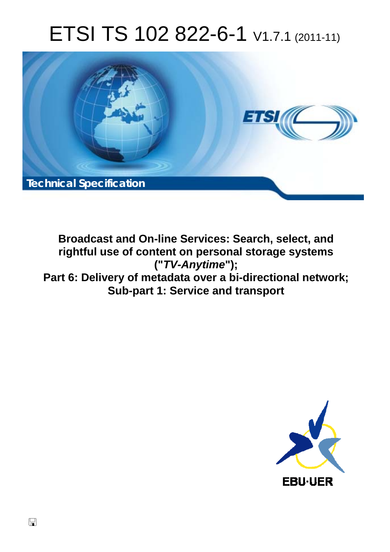# ETSI TS 102 822-6-1 V1.7.1 (2011-11)



**Broadcast and On-line Services: Search, select, and rightful use of content on personal storage systems ("***TV-Anytime***"); Part 6: Delivery of metadata over a bi-directional network; Sub-part 1: Service and transport** 

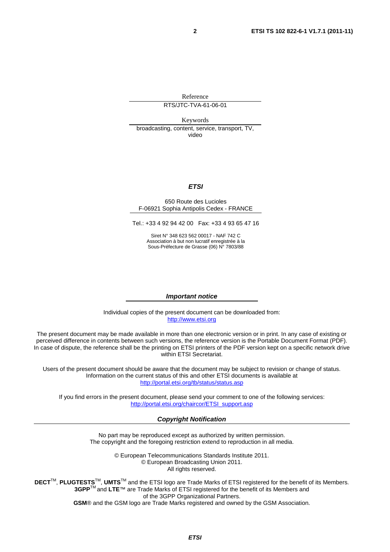Reference

RTS/JTC-TVA-61-06-01

Keywords

broadcasting, content, service, transport, TV, video

### *ETSI*

#### 650 Route des Lucioles F-06921 Sophia Antipolis Cedex - FRANCE

Tel.: +33 4 92 94 42 00 Fax: +33 4 93 65 47 16

Siret N° 348 623 562 00017 - NAF 742 C Association à but non lucratif enregistrée à la Sous-Préfecture de Grasse (06) N° 7803/88

#### *Important notice*

Individual copies of the present document can be downloaded from: [http://www.etsi.org](http://www.etsi.org/)

The present document may be made available in more than one electronic version or in print. In any case of existing or perceived difference in contents between such versions, the reference version is the Portable Document Format (PDF). In case of dispute, the reference shall be the printing on ETSI printers of the PDF version kept on a specific network drive within ETSI Secretariat.

Users of the present document should be aware that the document may be subject to revision or change of status. Information on the current status of this and other ETSI documents is available at <http://portal.etsi.org/tb/status/status.asp>

If you find errors in the present document, please send your comment to one of the following services: [http://portal.etsi.org/chaircor/ETSI\\_support.asp](http://portal.etsi.org/chaircor/ETSI_support.asp)

#### *Copyright Notification*

No part may be reproduced except as authorized by written permission. The copyright and the foregoing restriction extend to reproduction in all media.

> © European Telecommunications Standards Institute 2011. © European Broadcasting Union 2011. All rights reserved.

**DECT**TM, **PLUGTESTS**TM, **UMTS**TM and the ETSI logo are Trade Marks of ETSI registered for the benefit of its Members. **3GPP**TM and **LTE**™ are Trade Marks of ETSI registered for the benefit of its Members and of the 3GPP Organizational Partners. **GSM**® and the GSM logo are Trade Marks registered and owned by the GSM Association.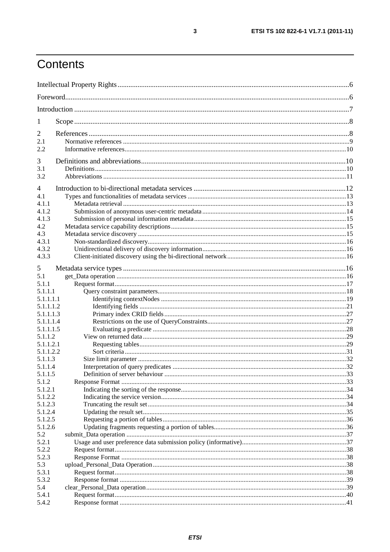# Contents

| 1                  |  |  |
|--------------------|--|--|
| 2                  |  |  |
| 2.1                |  |  |
| 2.2                |  |  |
| 3                  |  |  |
| 3.1                |  |  |
| 3.2                |  |  |
|                    |  |  |
| $\overline{4}$     |  |  |
| 4.1                |  |  |
| 4.1.1              |  |  |
| 4.1.2              |  |  |
| 4.1.3              |  |  |
| 4.2                |  |  |
| 4.3                |  |  |
| 4.3.1<br>4.3.2     |  |  |
| 4.3.3              |  |  |
|                    |  |  |
| 5                  |  |  |
| 5.1                |  |  |
| 5.1.1              |  |  |
| 5.1.1.1            |  |  |
| 5.1.1.1.1          |  |  |
| 5.1.1.1.2          |  |  |
| 5.1.1.1.3          |  |  |
| 5.1.1.1.4          |  |  |
| 5.1.1.1.5          |  |  |
| 5.1.1.2            |  |  |
| 5.1.1.2.1          |  |  |
| 5.1.1.2.2          |  |  |
| 5.1.1.3            |  |  |
| 5.1.1.4<br>5.1.1.5 |  |  |
| 5.1.2              |  |  |
| 5.1.2.1            |  |  |
| 5.1.2.2            |  |  |
| 5.1.2.3            |  |  |
| 5.1.2.4            |  |  |
| 5.1.2.5            |  |  |
| 5.1.2.6            |  |  |
| 5.2                |  |  |
| 5.2.1              |  |  |
| 5.2.2              |  |  |
| 5.2.3              |  |  |
| 5.3                |  |  |
| 5.3.1              |  |  |
| 5.3.2              |  |  |
| 5.4                |  |  |
| 5.4.1              |  |  |
| 5.4.2              |  |  |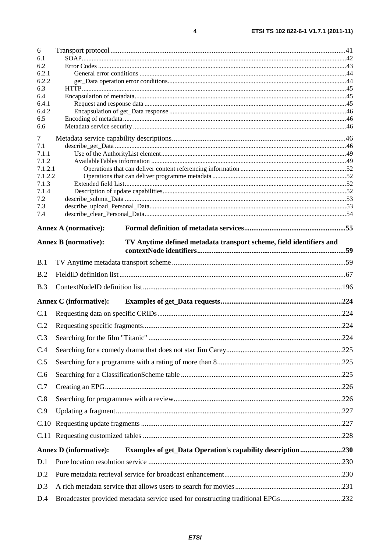| 6                |                                                                                                    |  |  |
|------------------|----------------------------------------------------------------------------------------------------|--|--|
| 6.1<br>6.2       |                                                                                                    |  |  |
| 6.2.1            |                                                                                                    |  |  |
| 6.2.2<br>6.3     |                                                                                                    |  |  |
| 6.4              |                                                                                                    |  |  |
| 6.4.1            |                                                                                                    |  |  |
| 6.4.2<br>6.5     |                                                                                                    |  |  |
| 6.6              |                                                                                                    |  |  |
| 7                |                                                                                                    |  |  |
| 7.1              |                                                                                                    |  |  |
| 7.1.1<br>7.1.2   |                                                                                                    |  |  |
| 7.1.2.1          |                                                                                                    |  |  |
| 7.1.2.2<br>7.1.3 |                                                                                                    |  |  |
| 7.1.4            |                                                                                                    |  |  |
| 7.2              |                                                                                                    |  |  |
| 7.3<br>7.4       |                                                                                                    |  |  |
|                  | <b>Annex A (normative):</b>                                                                        |  |  |
|                  | <b>Annex B</b> (normative):<br>TV Anytime defined metadata transport scheme, field identifiers and |  |  |
|                  |                                                                                                    |  |  |
| B.1              |                                                                                                    |  |  |
| B.2              |                                                                                                    |  |  |
| B.3              |                                                                                                    |  |  |
|                  | <b>Annex C</b> (informative):                                                                      |  |  |
| C.1              |                                                                                                    |  |  |
| C.2              |                                                                                                    |  |  |
| C.3              |                                                                                                    |  |  |
| C.4              |                                                                                                    |  |  |
| C.5              |                                                                                                    |  |  |
| C.6              |                                                                                                    |  |  |
| C.7              |                                                                                                    |  |  |
| C.8              |                                                                                                    |  |  |
| C.9              |                                                                                                    |  |  |
|                  |                                                                                                    |  |  |
|                  |                                                                                                    |  |  |
|                  | <b>Annex D</b> (informative):<br><b>Examples of get_Data Operation's capability description230</b> |  |  |
| D.1              |                                                                                                    |  |  |
| D.2              |                                                                                                    |  |  |
| D.3              |                                                                                                    |  |  |
|                  |                                                                                                    |  |  |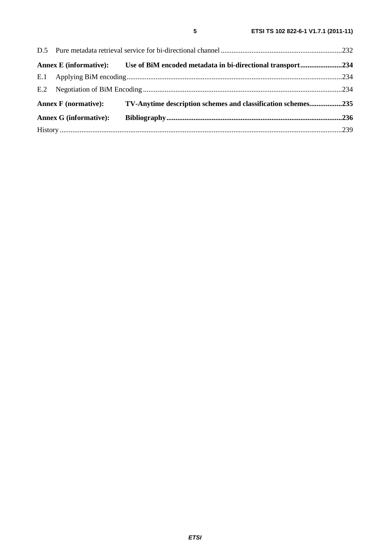|                               |                             | Annex E (informative): Use of BiM encoded metadata in bi-directional transport234 |  |
|-------------------------------|-----------------------------|-----------------------------------------------------------------------------------|--|
|                               |                             |                                                                                   |  |
|                               |                             |                                                                                   |  |
|                               | <b>Annex F</b> (normative): | TV-Anytime description schemes and classification schemes235                      |  |
| <b>Annex G (informative):</b> |                             |                                                                                   |  |
|                               |                             |                                                                                   |  |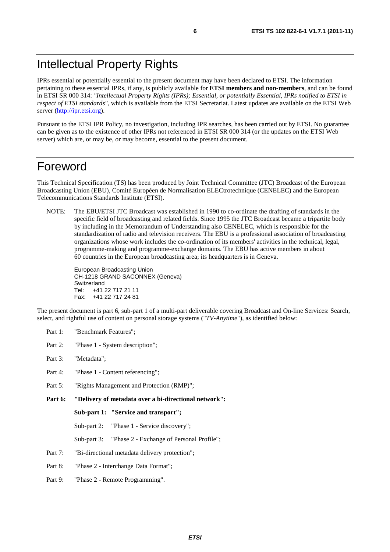# Intellectual Property Rights

IPRs essential or potentially essential to the present document may have been declared to ETSI. The information pertaining to these essential IPRs, if any, is publicly available for **ETSI members and non-members**, and can be found in ETSI SR 000 314: *"Intellectual Property Rights (IPRs); Essential, or potentially Essential, IPRs notified to ETSI in respect of ETSI standards"*, which is available from the ETSI Secretariat. Latest updates are available on the ETSI Web server [\(http://ipr.etsi.org](http://webapp.etsi.org/IPR/home.asp)).

Pursuant to the ETSI IPR Policy, no investigation, including IPR searches, has been carried out by ETSI. No guarantee can be given as to the existence of other IPRs not referenced in ETSI SR 000 314 (or the updates on the ETSI Web server) which are, or may be, or may become, essential to the present document.

# Foreword

This Technical Specification (TS) has been produced by Joint Technical Committee (JTC) Broadcast of the European Broadcasting Union (EBU), Comité Européen de Normalisation ELECtrotechnique (CENELEC) and the European Telecommunications Standards Institute (ETSI).

NOTE: The EBU/ETSI JTC Broadcast was established in 1990 to co-ordinate the drafting of standards in the specific field of broadcasting and related fields. Since 1995 the JTC Broadcast became a tripartite body by including in the Memorandum of Understanding also CENELEC, which is responsible for the standardization of radio and television receivers. The EBU is a professional association of broadcasting organizations whose work includes the co-ordination of its members' activities in the technical, legal, programme-making and programme-exchange domains. The EBU has active members in about 60 countries in the European broadcasting area; its headquarters is in Geneva.

European Broadcasting Union CH-1218 GRAND SACONNEX (Geneva) Switzerland Tel: +41 22 717 21 11 Fax: +41 22 717 24 81

The present document is part 6, sub-part 1 of a multi-part deliverable covering Broadcast and On-line Services: Search, select, and rightful use of content on personal storage systems ("*TV-Anytime*"), as identified below:

- Part 1: "Benchmark Features";
- Part 2: "Phase 1 System description";
- Part 3: "Metadata";
- Part 4: "Phase 1 Content referencing":
- Part 5: "Rights Management and Protection (RMP)";
- **Part 6: "Delivery of metadata over a bi-directional network":**

**Sub-part 1: "Service and transport";** 

Sub-part 2: "Phase 1 - Service discovery";

- Sub-part 3: "Phase 2 Exchange of Personal Profile";
- Part 7: "Bi-directional metadata delivery protection";
- Part 8: "Phase 2 Interchange Data Format";
- Part 9: "Phase 2 Remote Programming".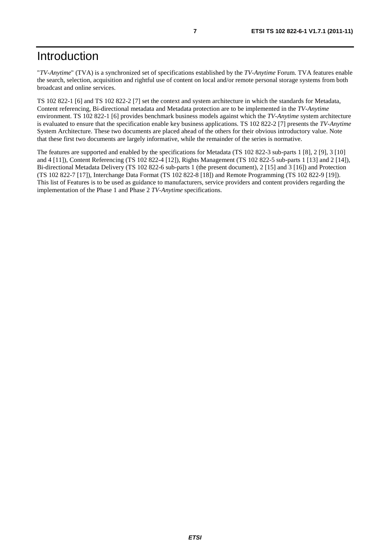# Introduction

"*TV-Anytime*" (TVA) is a synchronized set of specifications established by the *TV-Anytime* Forum. TVA features enable the search, selection, acquisition and rightful use of content on local and/or remote personal storage systems from both broadcast and online services.

TS 102 822-1 [6] and TS 102 822-2 [7] set the context and system architecture in which the standards for Metadata, Content referencing, Bi-directional metadata and Metadata protection are to be implemented in the *TV-Anytime* environment. TS 102 822-1 [6] provides benchmark business models against which the *TV-Anytime* system architecture is evaluated to ensure that the specification enable key business applications. TS 102 822-2 [7] presents the *TV-Anytime* System Architecture. These two documents are placed ahead of the others for their obvious introductory value. Note that these first two documents are largely informative, while the remainder of the series is normative.

The features are supported and enabled by the specifications for Metadata (TS 102 822-3 sub-parts 1 [8], 2 [9], 3 [10] and 4 [11]), Content Referencing (TS 102 822-4 [12]), Rights Management (TS 102 822-5 sub-parts 1 [13] and 2 [14]), Bi-directional Metadata Delivery (TS 102 822-6 sub-parts 1 (the present document), 2 [15] and 3 [16]) and Protection (TS 102 822-7 [17]), Interchange Data Format (TS 102 822-8 [18]) and Remote Programming (TS 102 822-9 [19]). This list of Features is to be used as guidance to manufacturers, service providers and content providers regarding the implementation of the Phase 1 and Phase 2 *TV-Anytime* specifications.

*ETSI*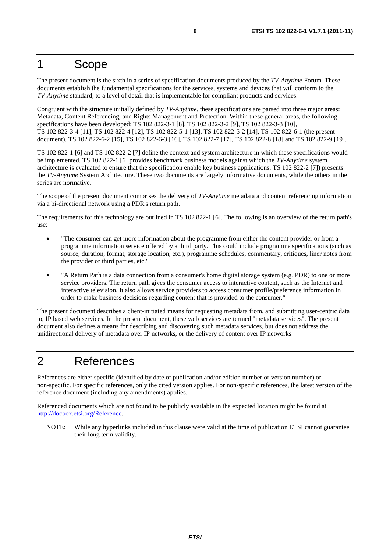### 1 Scope

The present document is the sixth in a series of specification documents produced by the *TV-Anytime* Forum. These documents establish the fundamental specifications for the services, systems and devices that will conform to the *TV-Anytime* standard, to a level of detail that is implementable for compliant products and services.

Congruent with the structure initially defined by *TV-Anytime*, these specifications are parsed into three major areas: Metadata, Content Referencing, and Rights Management and Protection. Within these general areas, the following specifications have been developed: TS 102 822-3-1 [8], TS 102 822-3-2 [9], TS 102 822-3-3 [10], TS 102 822-3-4 [11], TS 102 822-4 [12], TS 102 822-5-1 [13], TS 102 822-5-2 [14], TS 102 822-6-1 (the present document), TS 102 822-6-2 [15], TS 102 822-6-3 [16], TS 102 822-7 [17], TS 102 822-8 [18] and TS 102 822-9 [19].

TS 102 822-1 [6] and TS 102 822-2 [7] define the context and system architecture in which these specifications would be implemented. TS 102 822-1 [6] provides benchmark business models against which the *TV-Anytime* system architecture is evaluated to ensure that the specification enable key business applications. TS 102 822-2 [7]) presents the *TV-Anytime* System Architecture. These two documents are largely informative documents, while the others in the series are normative.

The scope of the present document comprises the delivery of *TV-Anytime* metadata and content referencing information via a bi-directional network using a PDR's return path.

The requirements for this technology are outlined in TS 102 822-1 [6]. The following is an overview of the return path's use:

- "The consumer can get more information about the programme from either the content provider or from a programme information service offered by a third party. This could include programme specifications (such as source, duration, format, storage location, etc.), programme schedules, commentary, critiques, liner notes from the provider or third parties, etc."
- "A Return Path is a data connection from a consumer's home digital storage system (e.g. PDR) to one or more service providers. The return path gives the consumer access to interactive content, such as the Internet and interactive television. It also allows service providers to access consumer profile/preference information in order to make business decisions regarding content that is provided to the consumer."

The present document describes a client-initiated means for requesting metadata from, and submitting user-centric data to, IP based web services. In the present document, these web services are termed "metadata services". The present document also defines a means for describing and discovering such metadata services, but does not address the unidirectional delivery of metadata over IP networks, or the delivery of content over IP networks.

# 2 References

References are either specific (identified by date of publication and/or edition number or version number) or non-specific. For specific references, only the cited version applies. For non-specific references, the latest version of the reference document (including any amendments) applies.

Referenced documents which are not found to be publicly available in the expected location might be found at <http://docbox.etsi.org/Reference>.

NOTE: While any hyperlinks included in this clause were valid at the time of publication ETSI cannot guarantee their long term validity.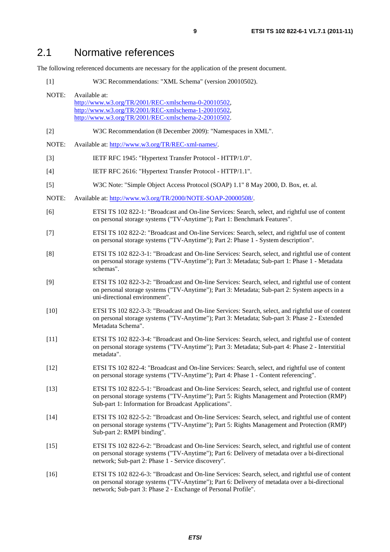The following referenced documents are necessary for the application of the present document.

[1] W3C Recommendations: "XML Schema" (version 20010502).

| NOTE:  | Available at:<br>http://www.w3.org/TR/2001/REC-xmlschema-0-20010502,<br>http://www.w3.org/TR/2001/REC-xmlschema-1-20010502,<br>http://www.w3.org/TR/2001/REC-xmlschema-2-20010502.                                                                                   |
|--------|----------------------------------------------------------------------------------------------------------------------------------------------------------------------------------------------------------------------------------------------------------------------|
| $[2]$  | W3C Recommendation (8 December 2009): "Namespaces in XML".                                                                                                                                                                                                           |
| NOTE:  | Available at: http://www.w3.org/TR/REC-xml-names/.                                                                                                                                                                                                                   |
| $[3]$  | IETF RFC 1945: "Hypertext Transfer Protocol - HTTP/1.0".                                                                                                                                                                                                             |
| $[4]$  | IETF RFC 2616: "Hypertext Transfer Protocol - HTTP/1.1".                                                                                                                                                                                                             |
| $[5]$  | W3C Note: "Simple Object Access Protocol (SOAP) 1.1" 8 May 2000, D. Box, et. al.                                                                                                                                                                                     |
| NOTE:  | Available at: http://www.w3.org/TR/2000/NOTE-SOAP-20000508/.                                                                                                                                                                                                         |
| [6]    | ETSI TS 102 822-1: "Broadcast and On-line Services: Search, select, and rightful use of content<br>on personal storage systems ("TV-Anytime"); Part 1: Benchmark Features".                                                                                          |
| $[7]$  | ETSI TS 102 822-2: "Broadcast and On-line Services: Search, select, and rightful use of content<br>on personal storage systems ("TV-Anytime"); Part 2: Phase 1 - System description".                                                                                |
| [8]    | ETSI TS 102 822-3-1: "Broadcast and On-line Services: Search, select, and rightful use of content<br>on personal storage systems ("TV-Anytime"); Part 3: Metadata; Sub-part 1: Phase 1 - Metadata<br>schemas".                                                       |
| [9]    | ETSI TS 102 822-3-2: "Broadcast and On-line Services: Search, select, and rightful use of content<br>on personal storage systems ("TV-Anytime"); Part 3: Metadata; Sub-part 2: System aspects in a<br>uni-directional environment".                                  |
| $[10]$ | ETSI TS 102 822-3-3: "Broadcast and On-line Services: Search, select, and rightful use of content<br>on personal storage systems ("TV-Anytime"); Part 3: Metadata; Sub-part 3: Phase 2 - Extended<br>Metadata Schema".                                               |
| $[11]$ | ETSI TS 102 822-3-4: "Broadcast and On-line Services: Search, select, and rightful use of content<br>on personal storage systems ("TV-Anytime"); Part 3: Metadata; Sub-part 4: Phase 2 - Interstitial<br>metadata".                                                  |
| $[12]$ | ETSI TS 102 822-4: "Broadcast and On-line Services: Search, select, and rightful use of content<br>on personal storage systems ("TV-Anytime"); Part 4: Phase 1 - Content referencing".                                                                               |
| $[13]$ | ETSI TS 102 822-5-1: "Broadcast and On-line Services: Search, select, and rightful use of content<br>on personal storage systems ("TV-Anytime"); Part 5: Rights Management and Protection (RMP)<br>Sub-part 1: Information for Broadcast Applications".              |
| $[14]$ | ETSI TS 102 822-5-2: "Broadcast and On-line Services: Search, select, and rightful use of content<br>on personal storage systems ("TV-Anytime"); Part 5: Rights Management and Protection (RMP)<br>Sub-part 2: RMPI binding".                                        |
| $[15]$ | ETSI TS 102 822-6-2: "Broadcast and On-line Services: Search, select, and rightful use of content<br>on personal storage systems ("TV-Anytime"); Part 6: Delivery of metadata over a bi-directional<br>network; Sub-part 2: Phase 1 - Service discovery".            |
| $[16]$ | ETSI TS 102 822-6-3: "Broadcast and On-line Services: Search, select, and rightful use of content<br>on personal storage systems ("TV-Anytime"); Part 6: Delivery of metadata over a bi-directional<br>network; Sub-part 3: Phase 2 - Exchange of Personal Profile". |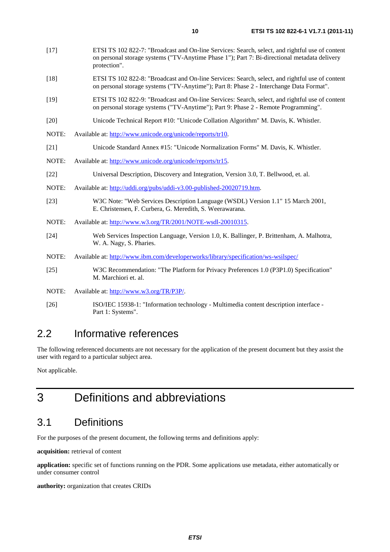- [18] ETSI TS 102 822-8: "Broadcast and On-line Services: Search, select, and rightful use of content on personal storage systems ("TV-Anytime"); Part 8: Phase 2 - Interchange Data Format".
- [19] ETSI TS 102 822-9: "Broadcast and On-line Services: Search, select, and rightful use of content on personal storage systems ("TV-Anytime"); Part 9: Phase 2 - Remote Programming".
- [20] Unicode Technical Report #10: "Unicode Collation Algorithm" M. Davis, K. Whistler.
- NOTE: Available at:<http://www.unicode.org/unicode/reports/tr10>.
- [21] Unicode Standard Annex #15: "Unicode Normalization Forms" M. Davis, K. Whistler.
- NOTE: Available at:<http://www.unicode.org/unicode/reports/tr15>.
- [22] Universal Description, Discovery and Integration, Version 3.0, T. Bellwood, et. al.
- NOTE: Available at:<http://uddi.org/pubs/uddi-v3.00-published-20020719.htm>.
- [23] W3C Note: "Web Services Description Language (WSDL) Version 1.1" 15 March 2001, E. Christensen, F. Curbera, G. Meredith, S. Weerawarana.
- NOTE: Available at:<http://www.w3.org/TR/2001/NOTE-wsdl-20010315>.
- [24] Web Services Inspection Language, Version 1.0, K. Ballinger, P. Brittenham, A. Malhotra, W. A. Nagy, S. Pharies.
- NOTE: Available at: [http://www.ibm.com/developerworks/library/specification/ws-wsilspec](http://www.ibm.com/developerworks/library/specification/ws-wsilspec/)/
- [25] W3C Recommendation: "The Platform for Privacy Preferences 1.0 (P3P1.0) Specification" M. Marchiori et. al.
- NOTE: Available at:<http://www.w3.org/TR/P3P/>.
- [26] ISO/IEC 15938-1: "Information technology Multimedia content description interface Part 1: Systems".

## 2.2 Informative references

The following referenced documents are not necessary for the application of the present document but they assist the user with regard to a particular subject area.

Not applicable.

# 3 Definitions and abbreviations

# 3.1 Definitions

For the purposes of the present document, the following terms and definitions apply:

**acquisition:** retrieval of content

**application:** specific set of functions running on the PDR. Some applications use metadata, either automatically or under consumer control

**authority:** organization that creates CRIDs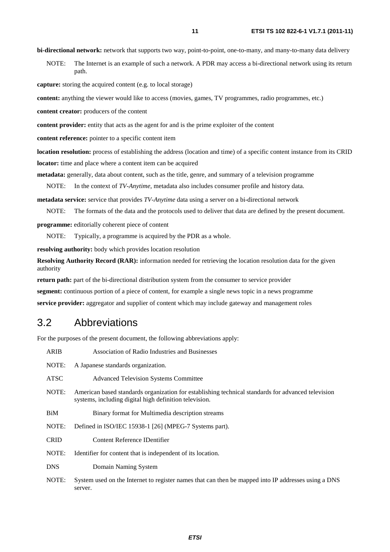**bi-directional network:** network that supports two way, point-to-point, one-to-many, and many-to-many data delivery

NOTE: The Internet is an example of such a network. A PDR may access a bi-directional network using its return path.

**capture:** storing the acquired content (e.g. to local storage)

**content:** anything the viewer would like to access (movies, games, TV programmes, radio programmes, etc.)

**content creator:** producers of the content

**content provider:** entity that acts as the agent for and is the prime exploiter of the content

**content reference:** pointer to a specific content item

**location resolution:** process of establishing the address (location and time) of a specific content instance from its CRID **locator:** time and place where a content item can be acquired

**metadata:** generally, data about content, such as the title, genre, and summary of a television programme

NOTE: In the context of *TV-Anytime*, metadata also includes consumer profile and history data.

**metadata service:** service that provides *TV-Anytime* data using a server on a bi-directional network

NOTE: The formats of the data and the protocols used to deliver that data are defined by the present document.

**programme:** editorially coherent piece of content

NOTE: Typically, a programme is acquired by the PDR as a whole.

**resolving authority:** body which provides location resolution

**Resolving Authority Record (RAR):** information needed for retrieving the location resolution data for the given authority

**return path:** part of the bi-directional distribution system from the consumer to service provider

**segment:** continuous portion of a piece of content, for example a single news topic in a news programme

**service provider:** aggregator and supplier of content which may include gateway and management roles

### 3.2 Abbreviations

For the purposes of the present document, the following abbreviations apply:

| <b>ARIB</b> | Association of Radio Industries and Businesses                                                                                                               |
|-------------|--------------------------------------------------------------------------------------------------------------------------------------------------------------|
| NOTE:       | A Japanese standards organization.                                                                                                                           |
| <b>ATSC</b> | <b>Advanced Television Systems Committee</b>                                                                                                                 |
| NOTE:       | American based standards organization for establishing technical standards for advanced television<br>systems, including digital high definition television. |
| BiM         | Binary format for Multimedia description streams                                                                                                             |
| NOTE:       | Defined in ISO/IEC 15938-1 [26] (MPEG-7 Systems part).                                                                                                       |
| <b>CRID</b> | Content Reference IDentifier                                                                                                                                 |
| NOTE:       | Identifier for content that is independent of its location.                                                                                                  |
| <b>DNS</b>  | Domain Naming System                                                                                                                                         |
| NOTE:       | System used on the Internet to register names that can then be mapped into IP addresses using a DNS<br>server.                                               |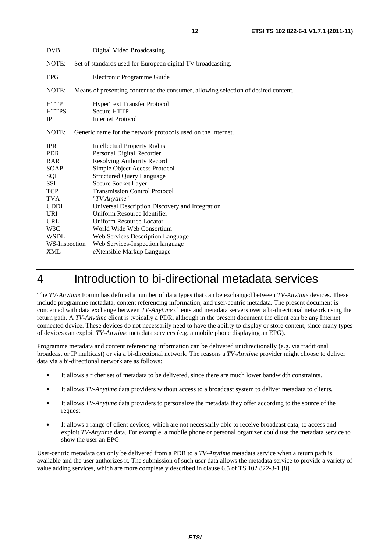| <b>DVB</b>                                                                                                                                                                       | Digital Video Broadcasting                                                                                                                                                                                                                                                                                                                                                                                                                                                           |  |
|----------------------------------------------------------------------------------------------------------------------------------------------------------------------------------|--------------------------------------------------------------------------------------------------------------------------------------------------------------------------------------------------------------------------------------------------------------------------------------------------------------------------------------------------------------------------------------------------------------------------------------------------------------------------------------|--|
| NOTE:                                                                                                                                                                            | Set of standards used for European digital TV broadcasting.                                                                                                                                                                                                                                                                                                                                                                                                                          |  |
| <b>EPG</b>                                                                                                                                                                       | Electronic Programme Guide                                                                                                                                                                                                                                                                                                                                                                                                                                                           |  |
| NOTE:                                                                                                                                                                            | Means of presenting content to the consumer, allowing selection of desired content.                                                                                                                                                                                                                                                                                                                                                                                                  |  |
| <b>HTTP</b><br><b>HTTPS</b><br>IP                                                                                                                                                | HyperText Transfer Protocol<br><b>Secure HTTP</b><br><b>Internet Protocol</b>                                                                                                                                                                                                                                                                                                                                                                                                        |  |
| NOTE:                                                                                                                                                                            | Generic name for the network protocols used on the Internet.                                                                                                                                                                                                                                                                                                                                                                                                                         |  |
| <b>IPR</b><br><b>PDR</b><br>RAR<br>SOAP<br>SQL<br>SSL<br><b>TCP</b><br><b>TVA</b><br><b>UDDI</b><br><b>URI</b><br><b>URL</b><br>W <sub>3</sub> C<br><b>WSDL</b><br>WS-Inspection | <b>Intellectual Property Rights</b><br>Personal Digital Recorder<br><b>Resolving Authority Record</b><br>Simple Object Access Protocol<br><b>Structured Query Language</b><br>Secure Socket Layer<br><b>Transmission Control Protocol</b><br>"TV Anytime"<br>Universal Description Discovery and Integration<br>Uniform Resource Identifier<br><b>Uniform Resource Locator</b><br>World Wide Web Consortium<br>Web Services Description Language<br>Web Services-Inspection language |  |
| <b>XML</b>                                                                                                                                                                       | eXtensible Markup Language                                                                                                                                                                                                                                                                                                                                                                                                                                                           |  |

# 4 Introduction to bi-directional metadata services

The *TV-Anytime* Forum has defined a number of data types that can be exchanged between *TV-Anytime* devices. These include programme metadata, content referencing information, and user-centric metadata. The present document is concerned with data exchange between *TV-Anytime* clients and metadata servers over a bi-directional network using the return path. A *TV-Anytime* client is typically a PDR, although in the present document the client can be any Internet connected device. These devices do not necessarily need to have the ability to display or store content, since many types of devices can exploit *TV-Anytime* metadata services (e.g. a mobile phone displaying an EPG).

Programme metadata and content referencing information can be delivered unidirectionally (e.g. via traditional broadcast or IP multicast) or via a bi-directional network. The reasons a *TV-Anytime* provider might choose to deliver data via a bi-directional network are as follows:

- It allows a richer set of metadata to be delivered, since there are much lower bandwidth constraints.
- It allows *TV-Anytime* data providers without access to a broadcast system to deliver metadata to clients.
- It allows *TV-Anytime* data providers to personalize the metadata they offer according to the source of the request.
- It allows a range of client devices, which are not necessarily able to receive broadcast data, to access and exploit *TV-Anytime* data. For example, a mobile phone or personal organizer could use the metadata service to show the user an EPG.

User-centric metadata can only be delivered from a PDR to a *TV-Anytime* metadata service when a return path is available and the user authorizes it. The submission of such user data allows the metadata service to provide a variety of value adding services, which are more completely described in clause 6.5 of TS 102 822-3-1 [8].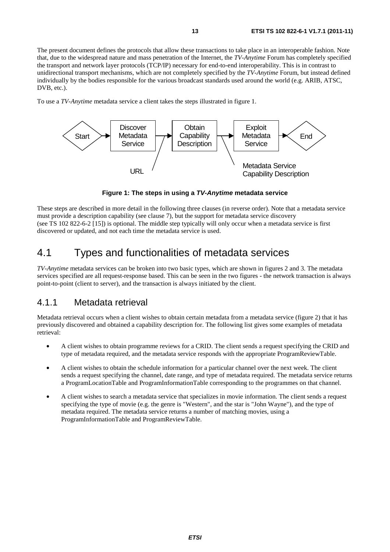The present document defines the protocols that allow these transactions to take place in an interoperable fashion. Note that, due to the widespread nature and mass penetration of the Internet, the *TV-Anytime* Forum has completely specified the transport and network layer protocols (TCP/IP) necessary for end-to-end interoperability. This is in contrast to unidirectional transport mechanisms, which are not completely specified by the *TV-Anytime* Forum, but instead defined individually by the bodies responsible for the various broadcast standards used around the world (e.g. ARIB, ATSC, DVB, etc.).

To use a *TV-Anytime* metadata service a client takes the steps illustrated in figure 1.



**Figure 1: The steps in using a** *TV-Anytime* **metadata service** 

These steps are described in more detail in the following three clauses (in reverse order). Note that a metadata service must provide a description capability (see clause 7), but the support for metadata service discovery (see TS 102 822-6-2 [15]) is optional. The middle step typically will only occur when a metadata service is first discovered or updated, and not each time the metadata service is used.

# 4.1 Types and functionalities of metadata services

*TV-Anytime* metadata services can be broken into two basic types, which are shown in figures 2 and 3. The metadata services specified are all request-response based. This can be seen in the two figures - the network transaction is always point-to-point (client to server), and the transaction is always initiated by the client.

### 4.1.1 Metadata retrieval

Metadata retrieval occurs when a client wishes to obtain certain metadata from a metadata service (figure 2) that it has previously discovered and obtained a capability description for. The following list gives some examples of metadata retrieval:

- A client wishes to obtain programme reviews for a CRID. The client sends a request specifying the CRID and type of metadata required, and the metadata service responds with the appropriate ProgramReviewTable.
- A client wishes to obtain the schedule information for a particular channel over the next week. The client sends a request specifying the channel, date range, and type of metadata required. The metadata service returns a ProgramLocationTable and ProgramInformationTable corresponding to the programmes on that channel.
- A client wishes to search a metadata service that specializes in movie information. The client sends a request specifying the type of movie (e.g. the genre is "Western", and the star is "John Wayne"), and the type of metadata required. The metadata service returns a number of matching movies, using a ProgramInformationTable and ProgramReviewTable.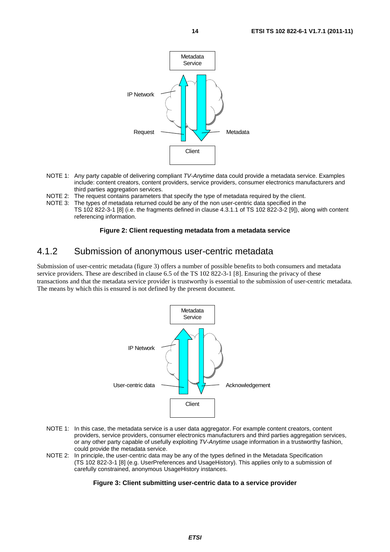

- NOTE 1: Any party capable of delivering compliant *TV-Anytime* data could provide a metadata service. Examples include: content creators, content providers, service providers, consumer electronics manufacturers and third parties aggregation services.
- NOTE 2: The request contains parameters that specify the type of metadata required by the client.
- NOTE 3: The types of metadata returned could be any of the non user-centric data specified in the TS 102 822-3-1 [8] (i.e. the fragments defined in clause 4.3.1.1 of TS 102 822-3-2 [9]), along with content referencing information.

#### **Figure 2: Client requesting metadata from a metadata service**

### 4.1.2 Submission of anonymous user-centric metadata

Submission of user-centric metadata (figure 3) offers a number of possible benefits to both consumers and metadata service providers. These are described in clause 6.5 of the TS 102 822-3-1 [8]. Ensuring the privacy of these transactions and that the metadata service provider is trustworthy is essential to the submission of user-centric metadata. The means by which this is ensured is not defined by the present document.



- NOTE 1: In this case, the metadata service is a user data aggregator. For example content creators, content providers, service providers, consumer electronics manufacturers and third parties aggregation services, or any other party capable of usefully exploiting *TV-Anytime* usage information in a trustworthy fashion, could provide the metadata service.
- NOTE 2: In principle, the user-centric data may be any of the types defined in the Metadata Specification (TS 102 822-3-1 [8] (e.g. UserPreferences and UsageHistory). This applies only to a submission of carefully constrained, anonymous UsageHistory instances.

#### **Figure 3: Client submitting user-centric data to a service provider**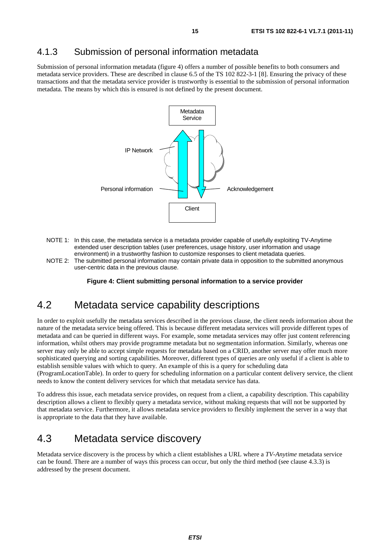### 4.1.3 Submission of personal information metadata

Submission of personal information metadata (figure 4) offers a number of possible benefits to both consumers and metadata service providers. These are described in clause 6.5 of the TS 102 822-3-1 [8]. Ensuring the privacy of these transactions and that the metadata service provider is trustworthy is essential to the submission of personal information metadata. The means by which this is ensured is not defined by the present document.



- NOTE 1: In this case, the metadata service is a metadata provider capable of usefully exploiting TV-Anytime extended user description tables (user preferences, usage history, user information and usage environment) in a trustworthy fashion to customize responses to client metadata queries.
- NOTE 2: The submitted personal information may contain private data in opposition to the submitted anonymous user-centric data in the previous clause.

**Figure 4: Client submitting personal information to a service provider** 

## 4.2 Metadata service capability descriptions

In order to exploit usefully the metadata services described in the previous clause, the client needs information about the nature of the metadata service being offered. This is because different metadata services will provide different types of metadata and can be queried in different ways. For example, some metadata services may offer just content referencing information, whilst others may provide programme metadata but no segmentation information. Similarly, whereas one server may only be able to accept simple requests for metadata based on a CRID, another server may offer much more sophisticated querying and sorting capabilities. Moreover, different types of queries are only useful if a client is able to establish sensible values with which to query. An example of this is a query for scheduling data

(ProgramLocationTable). In order to query for scheduling information on a particular content delivery service, the client needs to know the content delivery services for which that metadata service has data.

To address this issue, each metadata service provides, on request from a client, a capability description. This capability description allows a client to flexibly query a metadata service, without making requests that will not be supported by that metadata service. Furthermore, it allows metadata service providers to flexibly implement the server in a way that is appropriate to the data that they have available.

### 4.3 Metadata service discovery

Metadata service discovery is the process by which a client establishes a URL where a *TV-Anytime* metadata service can be found. There are a number of ways this process can occur, but only the third method (see clause 4.3.3) is addressed by the present document.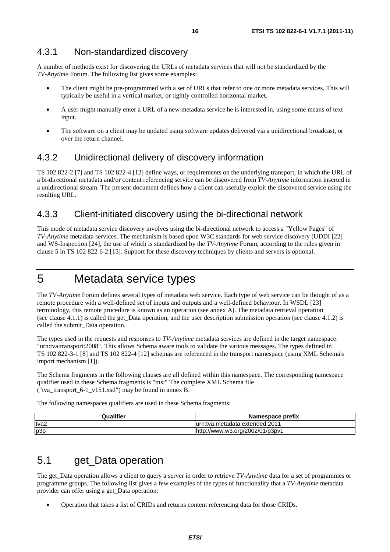A number of methods exist for discovering the URLs of metadata services that will not be standardized by the *TV-Anytime* Forum. The following list gives some examples:

- The client might be pre-programmed with a set of URLs that refer to one or more metadata services. This will typically be useful in a vertical market, or tightly controlled horizontal market.
- A user might manually enter a URL of a new metadata service he is interested in, using some means of text input.
- The software on a client may be updated using software updates delivered via a unidirectional broadcast, or over the return channel.

### 4.3.2 Unidirectional delivery of discovery information

TS 102 822-2 [7] and TS 102 822-4 [12] define ways, or requirements on the underlying transport, in which the URL of a bi-directional metadata and/or content referencing service can be discovered from *TV-Anytime* information inserted in a unidirectional stream. The present document defines how a client can usefully exploit the discovered service using the resulting URL.

### 4.3.3 Client-initiated discovery using the bi-directional network

This mode of metadata service discovery involves using the bi-directional network to access a "Yellow Pages" of *TV-Anytime* metadata services. The mechanism is based upon W3C standards for web service discovery (UDDI [22] and WS-Inspection [24], the use of which is standardized by the *TV-Anytime* Forum, according to the rules given in clause 5 in TS 102 822-6-2 [15]. Support for these discovery techniques by clients and servers is optional.

# 5 Metadata service types

The *TV-Anytime* Forum defines several types of metadata web service. Each type of web service can be thought of as a remote procedure with a well-defined set of inputs and outputs and a well-defined behaviour. In WSDL [23] terminology, this remote procedure is known as an operation (see annex A). The metadata retrieval operation (see clause 4.1.1) is called the get\_Data operation, and the user description submission operation (see clause 4.1.2) is called the submit\_Data operation.

The types used in the requests and responses to *TV-Anytime* metadata services are defined in the target namespace: "urn:tva:transport:2008". This allows Schema aware tools to validate the various messages. The types defined in TS 102 822-3-1 [8] and TS 102 822-4 [12] schemas are referenced in the transport namespace (using XML Schema's import mechanism [1]).

The Schema fragments in the following clauses are all defined within this namespace. The corresponding namespace qualifier used in these Schema fragments is "tns:" The complete XML Schema file ("tva\_transport\_6-1\_v151.xsd") may be found in annex B.

The following namespaces qualifiers are used in these Schema fragments:

| Qualifier | Namespace prefix                |
|-----------|---------------------------------|
| tva2      | lurn:tva:metadata:extended:2011 |
| p3p       | http://www.w3.org/2002/01/p3pv1 |

# 5.1 get Data operation

The get\_Data operation allows a client to query a server in order to retrieve *TV-Anytime* data for a set of programmes or programme groups. The following list gives a few examples of the types of functionality that a *TV-Anytime* metadata provider can offer using a get\_Data operation:

• Operation that takes a list of CRIDs and returns content referencing data for those CRIDs.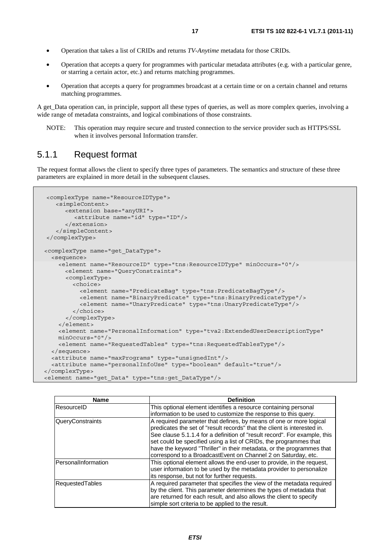- Operation that takes a list of CRIDs and returns *TV-Anytime* metadata for those CRIDs.
- Operation that accepts a query for programmes with particular metadata attributes (e.g. with a particular genre, or starring a certain actor, etc.) and returns matching programmes.
- Operation that accepts a query for programmes broadcast at a certain time or on a certain channel and returns matching programmes.

A get Data operation can, in principle, support all these types of queries, as well as more complex queries, involving a wide range of metadata constraints, and logical combinations of those constraints.

NOTE: This operation may require secure and trusted connection to the service provider such as HTTPS/SSL when it involves personal Information transfer.

### 5.1.1 Request format

The request format allows the client to specify three types of parameters. The semantics and structure of these three parameters are explained in more detail in the subsequent clauses.

```
<complexType name="ResourceIDType"> 
    <simpleContent> 
       <extension base="anyURI"> 
         <attribute name="id" type="ID"/> 
       </extension> 
    </simpleContent> 
</complexType> 
 <complexType name="get_DataType"> 
  <sequence> 
     <element name="ResourceID" type="tns:ResourceIDType" minOccurs="0"/> 
      <element name="QueryConstraints"> 
       <complexType> 
         <choice> 
           <element name="PredicateBag" type="tns:PredicateBagType"/> 
           <element name="BinaryPredicate" type="tns:BinaryPredicateType"/> 
           <element name="UnaryPredicate" type="tns:UnaryPredicateType"/> 
         </choice> 
       </complexType> 
     </element> 
     <element name="PersonalInformation" type="tva2:ExtendedUserDescriptionType" 
     minOccurs="0"/> 
     <element name="RequestedTables" type="tns:RequestedTablesType"/> 
   </sequence> 
   <attribute name="maxPrograms" type="unsignedInt"/> 
   <attribute name="personalInfoUse" type="boolean" default="true"/> 
</complexType> 
<element name="get_Data" type="tns:get_DataType"/>
```

| <b>Name</b>         | <b>Definition</b>                                                                                                                                                                                                                                                                                                                                                                                                                          |
|---------------------|--------------------------------------------------------------------------------------------------------------------------------------------------------------------------------------------------------------------------------------------------------------------------------------------------------------------------------------------------------------------------------------------------------------------------------------------|
| ResourceID          | This optional element identifies a resource containing personal                                                                                                                                                                                                                                                                                                                                                                            |
|                     | information to be used to customize the response to this query.                                                                                                                                                                                                                                                                                                                                                                            |
| QueryConstraints    | A required parameter that defines, by means of one or more logical<br>predicates the set of "result records" that the client is interested in.<br>See clause 5.1.1.4 for a definition of "result record". For example, this<br>set could be specified using a list of CRIDs, the programmes that<br>have the keyword "Thriller" in their metadata, or the programmes that<br>correspond to a BroadcastEvent on Channel 2 on Saturday, etc. |
| PersonalInformation | This optional element allows the end-user to provide, in the request,<br>user information to be used by the metadata provider to personalize<br>its response, but not for further requests.                                                                                                                                                                                                                                                |
| RequestedTables     | A required parameter that specifies the view of the metadata required<br>by the client. This parameter determines the types of metadata that<br>are returned for each result, and also allows the client to specify<br>simple sort criteria to be applied to the result.                                                                                                                                                                   |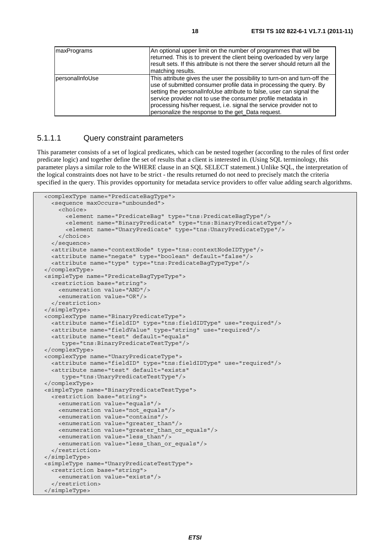| <b>ImaxPrograms</b>    | An optional upper limit on the number of programmes that will be<br>returned. This is to prevent the client being overloaded by very large<br>Iresult sets. If this attribute is not there the server should return all the<br>matching results.                                                                                                                                                                   |
|------------------------|--------------------------------------------------------------------------------------------------------------------------------------------------------------------------------------------------------------------------------------------------------------------------------------------------------------------------------------------------------------------------------------------------------------------|
| <b>personalInfoUse</b> | This attribute gives the user the possibility to turn-on and turn-off the<br>use of submitted consumer profile data in processing the query. By<br>setting the personalInfoUse attribute to false, user can signal the<br>service provider not to use the consumer profile metadata in<br>processing his/her request, i.e. signal the service provider not to<br>personalize the response to the get Data request. |

#### 5.1.1.1 Query constraint parameters

This parameter consists of a set of logical predicates, which can be nested together (according to the rules of first order predicate logic) and together define the set of results that a client is interested in. (Using SQL terminology, this parameter plays a similar role to the WHERE clause in an SQL SELECT statement.) Unlike SQL, the interpretation of the logical constraints does not have to be strict - the results returned do not need to precisely match the criteria specified in the query. This provides opportunity for metadata service providers to offer value adding search algorithms.

```
 <complexType name="PredicateBagType"> 
   <sequence maxOccurs="unbounded"> 
     <choice> 
       <element name="PredicateBag" type="tns:PredicateBagType"/> 
       <element name="BinaryPredicate" type="tns:BinaryPredicateType"/> 
       <element name="UnaryPredicate" type="tns:UnaryPredicateType"/> 
     </choice> 
   </sequence> 
   <attribute name="contextNode" type="tns:contextNodeIDType"/> 
   <attribute name="negate" type="boolean" default="false"/> 
   <attribute name="type" type="tns:PredicateBagTypeType"/> 
 </complexType> 
 <simpleType name="PredicateBagTypeType"> 
   <restriction base="string"> 
     <enumeration value="AND"/> 
     <enumeration value="OR"/> 
   </restriction> 
 </simpleType> 
 <complexType name="BinaryPredicateType"> 
   <attribute name="fieldID" type="tns:fieldIDType" use="required"/> 
   <attribute name="fieldValue" type="string" use="required"/> 
   <attribute name="test" default="equals" 
      type="tns:BinaryPredicateTestType"/> 
 </complexType> 
 <complexType name="UnaryPredicateType"> 
   <attribute name="fieldID" type="tns:fieldIDType" use="required"/> 
   <attribute name="test" default="exists" 
      type="tns:UnaryPredicateTestType"/> 
 </complexType> 
 <simpleType name="BinaryPredicateTestType"> 
   <restriction base="string"> 
     <enumeration value="equals"/> 
     <enumeration value="not_equals"/> 
     <enumeration value="contains"/> 
     <enumeration value="greater_than"/> 
     <enumeration value="greater_than_or_equals"/> 
     <enumeration value="less_than"/> 
     <enumeration value="less_than_or_equals"/> 
   </restriction> 
 </simpleType> 
 <simpleType name="UnaryPredicateTestType"> 
   <restriction base="string"> 
     <enumeration value="exists"/> 
   </restriction> 
 </simpleType>
```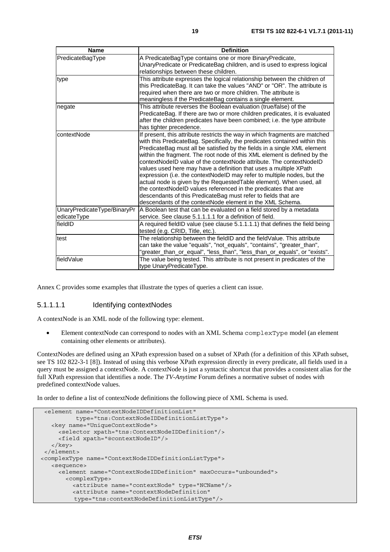| <b>Name</b>                                | <b>Definition</b>                                                                                                                                                                                                                                                                                                                                                                                                                                                                                                                                                                                                                                                                                                                                                                                                |
|--------------------------------------------|------------------------------------------------------------------------------------------------------------------------------------------------------------------------------------------------------------------------------------------------------------------------------------------------------------------------------------------------------------------------------------------------------------------------------------------------------------------------------------------------------------------------------------------------------------------------------------------------------------------------------------------------------------------------------------------------------------------------------------------------------------------------------------------------------------------|
| PredicateBagType                           | A PredicateBagType contains one or more BinaryPredicate,<br>UnaryPredicate or PredicateBag children, and is used to express logical                                                                                                                                                                                                                                                                                                                                                                                                                                                                                                                                                                                                                                                                              |
|                                            | relationships between these children.                                                                                                                                                                                                                                                                                                                                                                                                                                                                                                                                                                                                                                                                                                                                                                            |
| type                                       | This attribute expresses the logical relationship between the children of<br>this PredicateBag. It can take the values "AND" or "OR". The attribute is<br>required when there are two or more children. The attribute is<br>meaningless if the PredicateBag contains a single element.                                                                                                                                                                                                                                                                                                                                                                                                                                                                                                                           |
| negate                                     | This attribute reverses the Boolean evaluation (true/false) of the<br>PredicateBag. If there are two or more children predicates, it is evaluated<br>after the children predicates have been combined; i.e. the type attribute<br>has tighter precedence.                                                                                                                                                                                                                                                                                                                                                                                                                                                                                                                                                        |
| contextNode                                | If present, this attribute restricts the way in which fragments are matched<br>with this PredicateBag. Specifically, the predicates contained within this<br>PredicateBag must all be satisfied by the fields in a single XML element<br>within the fragment. The root node of this XML element is defined by the<br>contextNodeID value of the contextNode attribute. The contextNodeID<br>values used here may have a definition that uses a multiple XPath<br>expression (i.e. the contextNodeID may refer to multiple nodes, but the<br>actual node is given by the RequestedTable element). When used, all<br>the contextNodeID values referenced in the predicates that are<br>descendants of this PredicateBag must refer to fields that are<br>descendants of the contextNode element in the XML Schema. |
| UnaryPredicateType/BinaryPr<br>edicateType | A Boolean test that can be evaluated on a field stored by a metadata<br>service. See clause 5.1.1.1.1 for a definition of field.                                                                                                                                                                                                                                                                                                                                                                                                                                                                                                                                                                                                                                                                                 |
| fieldID                                    | A required fieldID value (see clause 5.1.1.1.1) that defines the field being<br>tested (e.g. CRID, Title, etc.).                                                                                                                                                                                                                                                                                                                                                                                                                                                                                                                                                                                                                                                                                                 |
| test                                       | The relationship between the fieldID and the fieldValue. This attribute<br>can take the value "equals", "not_equals", "contains", "greater_than",<br>"greater_than_or_equal", "less_than", "less_than_or_equals", or "exists".                                                                                                                                                                                                                                                                                                                                                                                                                                                                                                                                                                                   |
| fieldValue                                 | The value being tested. This attribute is not present in predicates of the<br>type UnaryPredicateType.                                                                                                                                                                                                                                                                                                                                                                                                                                                                                                                                                                                                                                                                                                           |

Annex C provides some examples that illustrate the types of queries a client can issue.

#### 5.1.1.1.1 Identifying contextNodes

A contextNode is an XML node of the following type: element.

• Element contextNode can correspond to nodes with an XML Schema complexType model (an element containing other elements or attributes).

ContextNodes are defined using an XPath expression based on a subset of XPath (for a definition of this XPath subset, see TS 102 822-3-1 [8]). Instead of using this verbose XPath expression directly in every predicate, all fields used in a query must be assigned a contextNode. A contextNode is just a syntactic shortcut that provides a consistent alias for the full XPath expression that identifies a node. The *TV-Anytime* Forum defines a normative subset of nodes with predefined contextNode values.

In order to define a list of contextNode definitions the following piece of XML Schema is used.

```
 <element name="ContextNodeIDDefinitionList" 
           type="tns:ContextNodeIDDefinitionListType"> 
    <key name="UniqueContextNode"> 
      <selector xpath="tns:ContextNodeIDDefinition"/> 
      <field xpath="@contextNodeID"/> 
    </key> 
 </element> 
 <complexType name="ContextNodeIDDefinitionListType"> 
   <sequence> 
      <element name="ContextNodeIDDefinition" maxOccurs="unbounded"> 
        <complexType> 
          <attribute name="contextNode" type="NCName"/> 
          <attribute name="contextNodeDefinition" 
          type="tns:contextNodeDefinitionListType"/>
```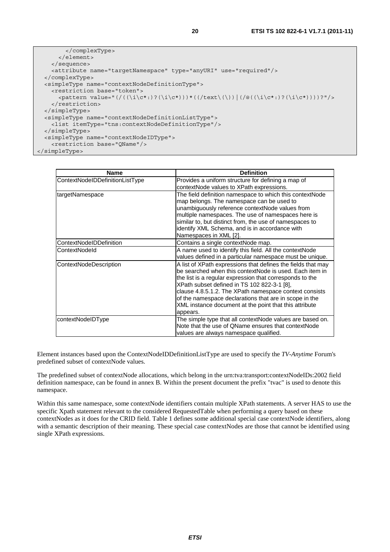```
 </complexType> 
        </element> 
     </sequence> 
     <attribute name="targetNamespace" type="anyURI" use="required"/> 
   </complexType> 
   <simpleType name="contextNodeDefinitionType"> 
     <restriction base="token"> 
       \langle <pattern value="(/(\langle \iota \rangle(\langle \iota \rangle)?'\langle \iota \rangle(\langle \iota \rangle))*((/text\langle \iota \rangle))|(/@((\i\c*:)?(\i\c*))))?"/>
     </restriction> 
   </simpleType> 
   <simpleType name="contextNodeDefinitionListType"> 
     <list itemType="tns:contextNodeDefinitionType"/> 
   </simpleType> 
   <simpleType name="contextNodeIDType"> 
     <restriction base="QName"/> 
</simpleType>
```

| Name                            | <b>Definition</b>                                                                                                                                                                                                                                                                                                                                                                                                            |
|---------------------------------|------------------------------------------------------------------------------------------------------------------------------------------------------------------------------------------------------------------------------------------------------------------------------------------------------------------------------------------------------------------------------------------------------------------------------|
| ContextNodeIDDefinitionListType | Provides a uniform structure for defining a map of<br>contextNode values to XPath expressions.                                                                                                                                                                                                                                                                                                                               |
| targetNamespace                 | The field definition namespace to which this contextNode<br>map belongs. The namespace can be used to<br>unambiguously reference contextNode values from<br>multiple namespaces. The use of namespaces here is<br>similar to, but distinct from, the use of namespaces to<br>identify XML Schema, and is in accordance with<br>Namespaces in XML [2].                                                                        |
| ContextNodeIDDefinition         | Contains a single contextNode map.                                                                                                                                                                                                                                                                                                                                                                                           |
| ContextNodeld                   | A name used to identify this field. All the contextNode<br>values defined in a particular namespace must be unique.                                                                                                                                                                                                                                                                                                          |
| ContextNodeDescription          | A list of XPath expressions that defines the fields that may<br>be searched when this contextNode is used. Each item in<br>the list is a regular expression that corresponds to the<br>XPath subset defined in TS 102 822-3-1 [8],<br>clause 4.8.5.1.2. The XPath namespace context consists<br>of the namespace declarations that are in scope in the<br>XML instance document at the point that this attribute<br>appears. |
| contextNodeIDType               | The simple type that all contextNode values are based on.<br>Note that the use of QName ensures that contextNode<br>values are always namespace qualified.                                                                                                                                                                                                                                                                   |

Element instances based upon the ContextNodeIDDefinitionListType are used to specify the *TV-Anytime* Forum's predefined subset of contextNode values.

The predefined subset of contextNode allocations, which belong in the urn:tva:transport:contextNodeIDs:2002 field definition namespace, can be found in annex B. Within the present document the prefix "tvac" is used to denote this namespace.

Within this same namespace, some contextNode identifiers contain multiple XPath statements. A server HAS to use the specific Xpath statement relevant to the considered RequestedTable when performing a query based on these contextNodes as it does for the CRID field. Table 1 defines some additional special case contextNode identifiers, along with a semantic description of their meaning. These special case contextNodes are those that cannot be identified using single XPath expressions.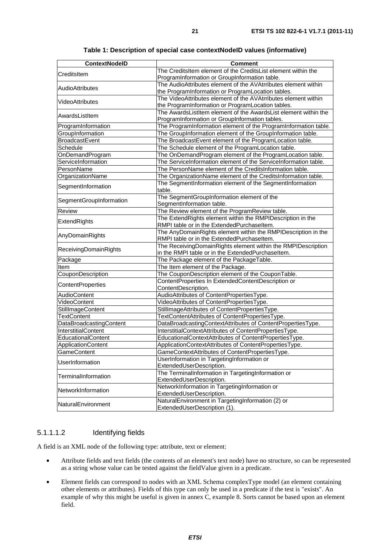| <b>ContextNodelD</b>    | <b>Comment</b>                                                  |
|-------------------------|-----------------------------------------------------------------|
|                         | The CreditsItem element of the CreditsList element within the   |
| CreditsItem             | ProgramInformation or GroupInformation table.                   |
|                         | The AudioAttributes element of the AVAtrributes element within  |
| AudioAttributes         | the ProgramInformation or ProgramLocation tables.               |
|                         | The VideoAttributes element of the AVAtrributes element within  |
| VideoAttributes         | the ProgramInformation or ProgramLocation tables.               |
|                         | The AwardsListItem element of the AwardsList element within the |
| AwardsListItem          | ProgramInformation or GroupInformation tables.                  |
| ProgramInformation      | The ProgramInformation element of the ProgramInformation table. |
| GroupInformation        | The GroupInformation element of the GroupInformation table.     |
| <b>BroadcastEvent</b>   | The BroadcastEvent element of the ProgramLocation table.        |
| Schedule                | The Schedule element of the ProgramLocation table.              |
| OnDemandProgram         | The OnDemandProgram element of the ProgramLocation table.       |
| ServiceInformation      | The ServiceInformation element of the ServiceInformation table. |
| PersonName              | The PersonName element of the CreditsInformation table.         |
| OrganizationName        | The OrganizationName element of the CreditsInformation table.   |
| SegmentInformation      | The SegmentInformation element of the SegmentInformation        |
|                         | table.                                                          |
| SegmentGroupInformation | The SegmentGroupInformation element of the                      |
|                         | SegmentInformation table.                                       |
| <b>Review</b>           | The Review element of the ProgramReview table.                  |
| ExtendRights            | The ExtendRights element within the RMPIDescription in the      |
|                         | RMPI table or in the ExtendedPurchaseItem.                      |
| AnyDomainRights         | The AnyDomainRights element within the RMPIDescription in the   |
|                         | RMPI table or in the ExtendedPurchaseItem.                      |
| ReceivingDomainRights   | The ReceivingDomainRights element within the RMPIDescription    |
|                         | in the RMPI table or in the ExtendedPurchaseItem.               |
| Package                 | The Package element of the PackageTable.                        |
| Item                    | The Item element of the Package.                                |
| CouponDescription       | The CouponDescription element of the CouponTable.               |
| ContentProperties       | ContentProperties In ExtendedContentDescription or              |
|                         | ContentDescription.                                             |
| AudioContent            | AudioAttributes of ContentPropertiesType.                       |
| VideoContent            | VideoAttributes of ContentPropertiesType.                       |
| StillImageContent       | StillImageAttributes of ContentPropertiesType.                  |
| <b>TextContent</b>      | TextContentAttributes of ContentPropertiesType.                 |
| DataBroadcastingContent | DataBroadcastingContextAttributes of ContentPropertiesType.     |
| InterstitialContent     | InterstitialContextAttributes of ContentPropertiesType.         |
| EducationalContent      | EducationalContextAttributes of ContentPropertiesType.          |
| ApplicationContent      | ApplicationContextAttributes of ContentPropertiesType.          |
| <b>GameContent</b>      | GameContextAttributes of ContentPropertiesType.                 |
| UserInformation         | UserInformation in TargetingInformation or                      |
|                         | ExtendedUserDescription.                                        |
| TerminalInformation     | The TerminalInformation in TargetingInformation or              |
|                         | ExtendedUserDescription.                                        |
| NetworkInformation      | NetworkInformation in TargetingInformation or                   |
|                         | ExtendedUserDescription.                                        |
| NaturalEnvironment      | NaturalEnvironment in TargetingInformation (2) or               |
|                         | ExtendedUserDescription (1).                                    |

**Table 1: Description of special case contextNodeID values (informative)** 

### 5.1.1.1.2 Identifying fields

A field is an XML node of the following type: attribute, text or element:

- Attribute fields and text fields (the contents of an element's text node) have no structure, so can be represented as a string whose value can be tested against the fieldValue given in a predicate.
- Element fields can correspond to nodes with an XML Schema complexType model (an element containing other elements or attributes). Fields of this type can only be used in a predicate if the test is "exists". An example of why this might be useful is given in annex C, example 8. Sorts cannot be based upon an element field.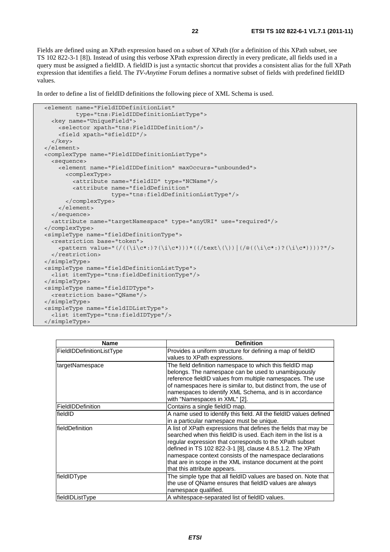Fields are defined using an XPath expression based on a subset of XPath (for a definition of this XPath subset, see TS 102 822-3-1 [8]). Instead of using this verbose XPath expression directly in every predicate, all fields used in a query must be assigned a fieldID. A fieldID is just a syntactic shortcut that provides a consistent alias for the full XPath expression that identifies a field. The *TV-Anytime* Forum defines a normative subset of fields with predefined fieldID values.

In order to define a list of fieldID definitions the following piece of XML Schema is used.

```
 <element name="FieldIDDefinitionList" 
           type="tns:FieldIDDefinitionListType"> 
   <key name="UniqueField"> 
     <selector xpath="tns:FieldIDDefinition"/> 
     <field xpath="@fieldID"/> 
   </key> 
 </element> 
 <complexType name="FieldIDDefinitionListType"> 
   <sequence> 
     <element name="FieldIDDefinition" maxOccurs="unbounded"> 
        <complexType> 
          <attribute name="fieldID" type="NCName"/> 
          <attribute name="fieldDefinition" 
                       type="tns:fieldDefinitionListType"/> 
        </complexType> 
     </element> 
   </sequence> 
   <attribute name="targetNamespace" type="anyURI" use="required"/> 
 </complexType> 
 <simpleType name="fieldDefinitionType"> 
   <restriction base="token"> 
    \langle <pattern value="(/(\langle \iota \rangle(\langle \iota \rangle)?'\langle \iota \rangle(\langle \iota \rangle))*((/text\langle \iota \rangle))|(/@((\i\c*:)?(\i\c*))))?"/>
   </restriction> 
 </simpleType> 
 <simpleType name="fieldDefinitionListType"> 
   <list itemType="tns:fieldDefinitionType"/> 
 </simpleType> 
 <simpleType name="fieldIDType"> 
   <restriction base="QName"/> 
 </simpleType> 
 <simpleType name="fieldIDListType"> 
   <list itemType="tns:fieldIDType"/> 
 </simpleType>
```

| Name                      | <b>Definition</b>                                                  |
|---------------------------|--------------------------------------------------------------------|
| FieldIDDefinitionListType | Provides a uniform structure for defining a map of fieldID         |
|                           | values to XPath expressions.                                       |
| targetNamespace           | The field definition namespace to which this fieldID map           |
|                           | belongs. The namespace can be used to unambiguously                |
|                           | reference fieldID values from multiple namespaces. The use         |
|                           | of namespaces here is similar to, but distinct from, the use of    |
|                           | namespaces to identify XML Schema, and is in accordance            |
|                           | with "Namespaces in XML" [2].                                      |
| FieldIDDefinition         | Contains a single fieldID map.                                     |
| fieldID                   | A name used to identify this field. All the fieldID values defined |
|                           | in a particular namespace must be unique.                          |
| fieldDefinition           | A list of XPath expressions that defines the fields that may be    |
|                           | searched when this fieldID is used. Each item in the list is a     |
|                           | regular expression that corresponds to the XPath subset            |
|                           | defined in TS 102 822-3-1 [8], clause 4.8.5.1.2. The XPath         |
|                           | namespace context consists of the namespace declarations           |
|                           | that are in scope in the XML instance document at the point        |
|                           | that this attribute appears.                                       |
| fieldIDType               | The simple type that all fieldID values are based on. Note that    |
|                           | the use of QName ensures that fieldID values are always            |
|                           | namespace qualified.                                               |
| fieldIDListType           | A whitespace-separated list of fieldID values.                     |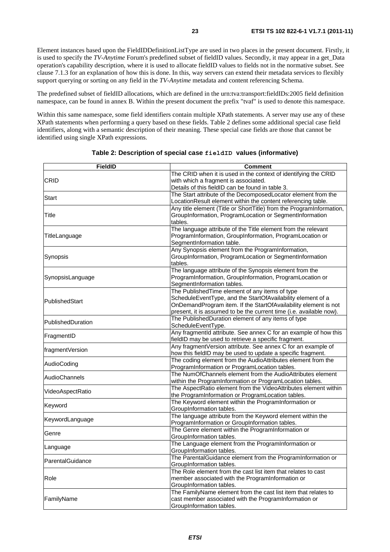Element instances based upon the FieldIDDefinitionListType are used in two places in the present document. Firstly, it is used to specify the *TV-Anytime* Forum's predefined subset of fieldID values. Secondly, it may appear in a get\_Data operation's capability description, where it is used to allocate fieldID values to fields not in the normative subset. See clause 7.1.3 for an explanation of how this is done. In this, way servers can extend their metadata services to flexibly support querying or sorting on any field in the *TV-Anytime* metadata and content referencing Schema.

The predefined subset of fieldID allocations, which are defined in the urn:tva:transport:fieldIDs:2005 field definition namespace, can be found in annex B. Within the present document the prefix "tvaf" is used to denote this namespace.

Within this same namespace, some field identifiers contain multiple XPath statements. A server may use any of these XPath statements when performing a query based on these fields. Table 2 defines some additional special case field identifiers, along with a semantic description of their meaning. These special case fields are those that cannot be identified using single XPath expressions.

| <b>FieldID</b>    | <b>Comment</b>                                                                                               |
|-------------------|--------------------------------------------------------------------------------------------------------------|
|                   | The CRID when it is used in the context of identifying the CRID                                              |
| CRID              | with which a fragment is associated.                                                                         |
|                   | Details of this fieldID can be found in table 3.                                                             |
|                   | The Start attribute of the DecomposedLocator element from the                                                |
| Start             | LocationResult element within the content referencing table.                                                 |
|                   | Any title element (Title or ShortTitle) from the ProgramInformation,                                         |
| Title             | GroupInformation, ProgramLocation or SegmentInformation                                                      |
|                   | tables.                                                                                                      |
|                   | The language attribute of the Title element from the relevant                                                |
| TitleLanguage     | ProgramInformation, GroupInformation, ProgramLocation or                                                     |
|                   | SegmentInformation table.                                                                                    |
|                   | Any Synopsis element from the ProgramInformation,                                                            |
| Synopsis          | GroupInformation, ProgramLocation or SegmentInformation                                                      |
|                   | tables.                                                                                                      |
|                   | The language attribute of the Synopsis element from the                                                      |
| SynopsisLanguage  | ProgramInformation, GroupInformation, ProgramLocation or                                                     |
|                   | SegmentInformation tables.                                                                                   |
|                   | The PublishedTime element of any items of type                                                               |
| PublishedStart    | ScheduleEventType, and the StartOfAvailability element of a                                                  |
|                   | OnDemandProgram item. If the StartOfAvailability element is not                                              |
|                   | present, it is assumed to be the current time (i.e. available now).                                          |
| PublishedDuration | The PublishedDuration element of any items of type                                                           |
|                   | ScheduleEventType.                                                                                           |
| FragmentID        | Any fragmentId attribute. See annex C for an example of how this                                             |
|                   | fieldID may be used to retrieve a specific fragment.                                                         |
| fragmentVersion   | Any fragmentVersion attribute. See annex C for an example of                                                 |
|                   | how this fieldID may be used to update a specific fragment.                                                  |
| AudioCoding       | The coding element from the AudioAttributes element from the                                                 |
|                   | ProgramInformation or ProgramLocation tables.                                                                |
| AudioChannels     | The NumOfChannels element from the AudioAttributes element                                                   |
|                   | within the ProgramInformation or ProgramLocation tables.                                                     |
| VideoAspectRatio  | The AspectRatio element from the VideoAttributes element within                                              |
|                   | the ProgramInformation or ProgramLocation tables.                                                            |
| Keyword           | The Keyword element within the ProgramInformation or                                                         |
|                   | GroupInformation tables.                                                                                     |
| KeywordLanguage   | The language attribute from the Keyword element within the<br>ProgramInformation or GroupInformation tables. |
|                   |                                                                                                              |
| Genre             | The Genre element within the ProgramInformation or<br>GroupInformation tables.                               |
|                   | The Language element from the ProgramInformation or                                                          |
| Language          | GroupInformation tables.                                                                                     |
|                   |                                                                                                              |
| ParentalGuidance  | The ParentalGuidance element from the ProgramInformation or<br>GroupInformation tables.                      |
|                   | The Role element from the cast list item that relates to cast                                                |
| Role              | member associated with the ProgramInformation or                                                             |
|                   | GroupInformation tables.                                                                                     |
|                   | The FamilyName element from the cast list item that relates to                                               |
| FamilyName        | cast member associated with the ProgramInformation or                                                        |
|                   | GroupInformation tables.                                                                                     |
|                   |                                                                                                              |

#### **Table 2: Description of special case fieldID values (informative)**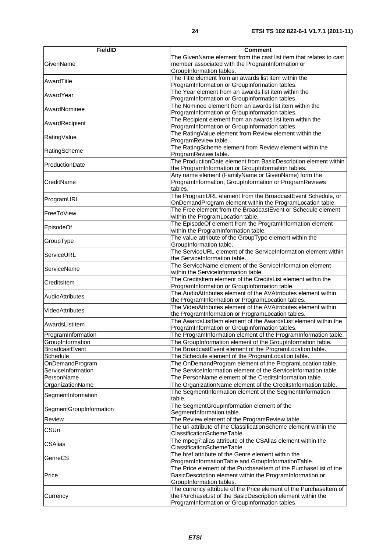| <b>FieldID</b>          | <b>Comment</b>                                                                                                                                                                      |  |
|-------------------------|-------------------------------------------------------------------------------------------------------------------------------------------------------------------------------------|--|
| GivenName               | The GivenName element from the cast list item that relates to cast<br>member associated with the ProgramInformation or<br>GroupInformation tables.                                  |  |
| AwardTitle              | The Title element from an awards list item within the<br>ProgramInformation or GroupInformation tables.                                                                             |  |
| AwardYear               | The Year element from an awards list item within the<br>ProgramInformation or GroupInformation tables.                                                                              |  |
| AwardNominee            | The Nominee element from an awards list item within the<br>ProgramInformation or GroupInformation tables.                                                                           |  |
| AwardRecipient          | The Recipient element from an awards list item within the<br>ProgramInformation or GroupInformation tables.                                                                         |  |
| RatingValue             | The RatingValue element from Review element within the<br>ProgramReview table.                                                                                                      |  |
| RatingScheme            | The RatingScheme element from Review element within the<br>ProgramReview table.                                                                                                     |  |
| ProductionDate          | The ProductionDate element from BasicDescription element within<br>the ProgramInformation or GroupInformation tables.                                                               |  |
| CreditName              | Any name element (FamilyName or GivenName) form the<br>ProgramInformation, GroupInformation or ProgramReviews<br>tables.                                                            |  |
| ProgramURL              | The ProgramURL element from the BroadcastEvent Schedule, or<br>OnDemandProgram element within the ProgramLocation table.                                                            |  |
| FreeToView              | The Free element from the BroadcastEvent or Schedule element<br>within the ProgramLocation table.                                                                                   |  |
| EpisodeOf               | The EpisodeOf element from the ProgramInformation element<br>within the ProgramInformation table.                                                                                   |  |
| GroupType               | The value attribute of the GroupType element within the<br>GroupInformation table.                                                                                                  |  |
| ServiceURL              | The ServiceURL element of the ServiceInformation element within<br>the ServiceInformation table.                                                                                    |  |
| ServiceName             | The ServiceName element of the ServiceInformation element<br>within the ServiceInformation table.                                                                                   |  |
| CreditsItem             | The CreditsItem element of the CreditsList element within the<br>ProgramInformation or GroupInformation table.                                                                      |  |
| <b>AudioAttributes</b>  | The AudioAttributes element of the AVAtrributes element within<br>the ProgramInformation or ProgramLocation tables.                                                                 |  |
| VideoAttributes         | The VideoAttributes element of the AVAtrributes element within<br>the ProgramInformation or ProgramLocation tables.                                                                 |  |
| AwardsListItem          | The AwardsListItem element of the AwardsList element within the<br>ProgramInformation or GroupInformation tables.                                                                   |  |
| ProgramInformation      | The ProgramInformation element of the ProgramInformation table.                                                                                                                     |  |
| GroupInformation        | The GroupInformation element of the GroupInformation table.                                                                                                                         |  |
| <b>BroadcastEvent</b>   | The BroadcastEvent element of the ProgramLocation table.                                                                                                                            |  |
| Schedule                | The Schedule element of the ProgramLocation table.                                                                                                                                  |  |
| OnDemandProgram         | The OnDemandProgram element of the ProgramLocation table.                                                                                                                           |  |
| ServiceInformation      | The ServiceInformation element of the ServiceInformation table.                                                                                                                     |  |
| PersonName              | The PersonName element of the CreditsInformation table.                                                                                                                             |  |
| OrganizationName        | The OrganizationName element of the CreditsInformation table.                                                                                                                       |  |
| SegmentInformation      | The SegmentInformation element of the SegmentInformation<br>table.                                                                                                                  |  |
| SegmentGroupInformation | The SegmentGroupInformation element of the<br>SegmentInformation table.                                                                                                             |  |
| Review                  | The Review element of the ProgramReview table.                                                                                                                                      |  |
| <b>CSUri</b>            | The uri attribute of the ClassificationScheme element within the<br>ClassificationSchemeTable.                                                                                      |  |
| <b>CSAlias</b>          | The mpeg7:alias attribute of the CSAlias element within the<br>ClassificationSchemeTable.                                                                                           |  |
| GenreCS                 | The href attribute of the Genre element within the<br>ProgramInformationTable and GroupInformationTable.                                                                            |  |
| Price                   | The Price element of the Purchaseltem of the PurchaseList of the<br>BasicDescription element within the ProgramInformation or<br>GroupInformation tables.                           |  |
| Currency                | The currency attribute of the Price element of the Purchaseltem of<br>the PurchaseList of the BasicDescription element within the<br>ProgramInformation or GroupInformation tables. |  |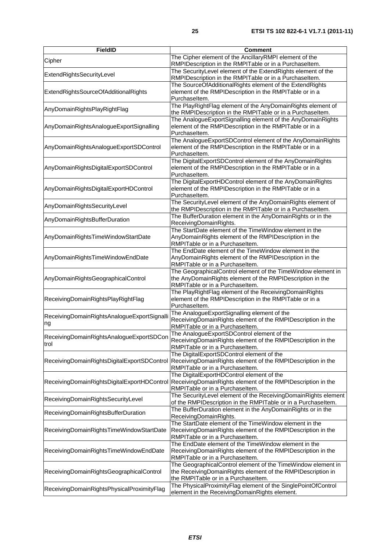| <b>FieldID</b>                                    | <b>Comment</b>                                                                                                                                                     |
|---------------------------------------------------|--------------------------------------------------------------------------------------------------------------------------------------------------------------------|
| Cipher                                            | The Cipher element of the AncillaryRMPI element of the<br>RMPIDescription in the RMPITable or in a Purchaseltem.                                                   |
| ExtendRightsSecurityLevel                         | The SecurityLevel element of the ExtendRights element of the<br>RMPIDescription in the RMPITable or in a Purchaseltem.                                             |
| ExtendRightsSourceOfAdditionalRights              | The SourceOfAdditionalRights element of the ExtendRights<br>element of the RMPIDescription in the RMPITable or in a<br>Purchaseltem.                               |
| AnyDomainRightsPlayRightFlag                      | The PlayRightFlag element of the AnyDomainRights element of<br>the RMPIDescription in the RMPITable or in a PurchaseItem.                                          |
| AnyDomainRightsAnalogueExportSignalling           | The AnalogueExportSignalling element of the AnyDomainRights<br>element of the RMPIDescription in the RMPITable or in a<br>Purchaseltem.                            |
| AnyDomainRightsAnalogueExportSDControl            | The AnalogueExportSDControl element of the AnyDomainRights<br>element of the RMPIDescription in the RMPITable or in a<br>Purchaseltem.                             |
| AnyDomainRightsDigitalExportSDControl             | The DigitalExportSDControl element of the AnyDomainRights<br>element of the RMPIDescription in the RMPITable or in a<br>Purchaseltem.                              |
| AnyDomainRightsDigitalExportHDControl             | The DigitalExportHDControl element of the AnyDomainRights<br>element of the RMPIDescription in the RMPITable or in a<br>Purchaseltem.                              |
| AnyDomainRightsSecurityLevel                      | The SecurityLevel element of the AnyDomainRights element of<br>the RMPIDescription in the RMPITable or in a Purchaseltem.                                          |
| AnyDomainRightsBufferDuration                     | The BufferDuration element in the AnyDomainRights or in the<br>ReceivingDomainRights.                                                                              |
| AnyDomainRightsTimeWindowStartDate                | The StartDate element of the TimeWindow element in the<br>AnyDomainRights element of the RMPIDescription in the<br>RMPITable or in a Purchaseltem.                 |
| AnyDomainRightsTimeWindowEndDate                  | The EndDate element of the TimeWindow element in the<br>AnyDomainRights element of the RMPIDescription in the<br>RMPITable or in a Purchaseltem.                   |
| AnyDomainRightsGeographicalControl                | The GeographicalControl element of the TimeWindow element in<br>the AnyDomainRights element of the RMPIDescription in the<br>RMPITable or in a Purchaseltem.       |
| ReceivingDomainRightsPlayRightFlag                | The PlayRightFlag element of the ReceivingDomainRights<br>element of the RMPIDescription in the RMPITable or in a<br>Purchaseltem.                                 |
| ReceivingDomainRightsAnalogueExportSignalli<br>ng | The AnalogueExportSignalling element of the<br>ReceivingDomainRights element of the RMPIDescription in the<br>RMPITable or in a Purchaseltem.                      |
| ReceivingDomainRightsAnalogueExportSDCon<br>trol  | The AnalogueExportSDControl element of the<br>ReceivingDomainRights element of the RMPIDescription in the<br>RMPITable or in a Purchaseltem.                       |
| ReceivingDomainRightsDigitalExportSDControl       | The DigitalExportSDControl element of the<br>ReceivingDomainRights element of the RMPIDescription in the<br>RMPITable or in a Purchaseltem.                        |
| ReceivingDomainRightsDigitalExportHDControl       | The DigitalExportHDControl element of the<br>ReceivingDomainRights element of the RMPIDescription in the<br>RMPITable or in a Purchaseltem.                        |
| ReceivingDomainRightsSecurityLevel                | The SecurityLevel element of the ReceivingDomainRights element<br>of the RMPIDescription in the RMPITable or in a PurchaseItem.                                    |
| ReceivingDomainRightsBufferDuration               | The BufferDuration element in the AnyDomainRights or in the<br>ReceivingDomainRights.                                                                              |
| ReceivingDomainRightsTimeWindowStartDate          | The StartDate element of the TimeWindow element in the<br>ReceivingDomainRights element of the RMPIDescription in the<br>RMPITable or in a Purchaseltem.           |
| ReceivingDomainRightsTimeWindowEndDate            | The EndDate element of the TimeWindow element in the<br>ReceivingDomainRights element of the RMPIDescription in the<br>RMPITable or in a Purchaseltem.             |
| ReceivingDomainRightsGeographicalControl          | The GeographicalControl element of the TimeWindow element in<br>the ReceivingDomainRights element of the RMPIDescription in<br>the RMPITable or in a Purchaseltem. |
| ReceivingDomainRightsPhysicalProximityFlag        | The PhysicalProximityFlag element of the SinglePointOfControl<br>element in the ReceivingDomainRights element.                                                     |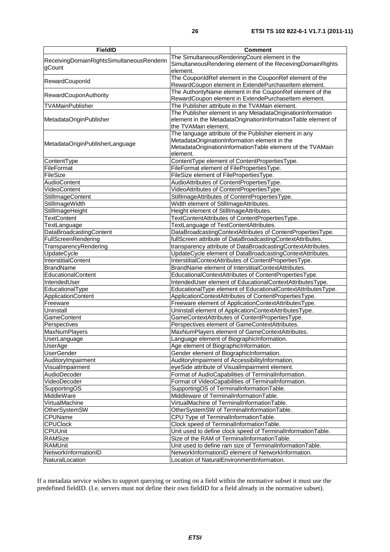| <b>FieldID</b>                            | <b>Comment</b>                                                                       |
|-------------------------------------------|--------------------------------------------------------------------------------------|
|                                           | The SimultaneousRenderingCount element in the                                        |
| ReceivingDomainRightsSimultaneousRenderin | SimultaneousRendering element of the ReceivingDomainRights                           |
| gCount                                    | element.                                                                             |
| RewardCouponId                            | The CouponIdRef element in the CouponRef element of the                              |
|                                           | RewardCoupon element in ExtendePurchaseItem element.                                 |
| RewardCouponAuthority                     | The AuthorityName element in the CouponRef element of the                            |
|                                           | RewardCoupon element in ExtendePurchaseItem element.                                 |
| <b>TVAMainPublisher</b>                   | The Publisher attribute in the TVAMain element.                                      |
|                                           | The Publisher element in any MetadataOriginationInformation                          |
| MetadataOriginPublisher                   | element in the MetadataOriginationInformationTable element of                        |
|                                           | the TVAMain element.                                                                 |
|                                           | The language attribute of the Publisher element in any                               |
| MetadataOriginPublisherLanguage           | MetadataOriginationInformation element in the                                        |
|                                           | MetadataOriginationInformationTable element of the TVAMain<br>element.               |
|                                           |                                                                                      |
| ContentType<br>FileFormat                 | ContentType element of ContentPropertiesType.                                        |
| FileSize                                  | FileFormat element of FilePropertiesType.<br>FileSize element of FilePropertiesType. |
| <b>AudioContent</b>                       | AudioAttributes of ContentPropertiesType.                                            |
| VideoContent                              | VideoAttributes of ContentPropertiesType.                                            |
| StillImageContent                         | StillImageAttributes of ContentPropertiesType.                                       |
| StillImageWidth                           | Width element of StillImageAttributes.                                               |
| StillmageHeight                           | Height element of StillImageAttributes.                                              |
| <b>TextContent</b>                        | TextContentAttributes of ContentPropertiesType.                                      |
| TextLanguage                              | TextLanguage of TextContentAttributes.                                               |
| DataBroadcastingContent                   | DataBroadcastingContextAttributes of ContentPropertiesType.                          |
| FullScreenRendering                       | fullScreen attribute of DataBroadcastingContextAttributes.                           |
| TransparencyRendering                     | transparency attribute of DataBroadcastingContextAttributes.                         |
| UpdateCycle                               | UpdateCycle element of DataBroadcastingContextAttributes.                            |
| InterstitialContent                       | InterstitialContextAttributes of ContentPropertiesType.                              |
| <b>BrandName</b>                          | BrandName element of InterstitialContextAttributes.                                  |
| EducationalContent                        | EducationalContextAttributes of ContentPropertiesType.                               |
| IntendedUser                              | IntendedUser element of EducationalContextAttributesType.                            |
| EducationalType                           | EducationalType element of EducationalContextAttributesType.                         |
| ApplicationContent                        | ApplicationContextAttributes of ContentPropertiesType.                               |
| Freeware                                  | Freeware element of ApplicationContextAttributesType.                                |
| Uninstall                                 | Uninstall element of ApplicationContextAttributesType.                               |
| <b>GameContent</b>                        | GameContextAttributes of ContentPropertiesType.                                      |
| Perspectives                              | Perspectives element of GameContextAttributes.                                       |
| <b>MaxNumPlayers</b>                      | MaxNumPlayers element of GameContextAttributes.                                      |
| <b>UserLanguage</b>                       | Language element of BiographicInformation.                                           |
| <b>UserAge</b>                            | Age element of BiographicInformation.                                                |
| <b>UserGender</b>                         | Gender element of BiographicInformation.                                             |
| AuditoryImpairment                        | AuditoryImpairment of AccessibilityInformation.                                      |
| VisualImpairment                          | eyeSide attribute of VisualImpairment element.                                       |
| AudioDecoder                              | Format of AudioCapabilities of TerminalInformation.                                  |
| VideoDecoder                              | Format of VideoCapabilities of TerminalInformation.                                  |
| SupportingOS                              | SupportingOS of TerminalInformationTable.                                            |
| MiddleWare                                | Middleware of TerminalInformationTable.                                              |
| VirtualMachine                            | VirtualMachine of TerminalInformationTable.                                          |
| OtherSystemSW                             | OtherSystemSW of TerminalInformationTable.                                           |
| <b>CPUName</b>                            | CPU Type of TerminalInformationTable.                                                |
| <b>CPUClock</b>                           | Clock speed of TerminalInformationTable.                                             |
| <b>CPUUnit</b>                            | Unit used to define clock speed of TerminalInformationTable.                         |
| RAMSize                                   | Size of the RAM of TerminalInformationTable.                                         |
| <b>RAMUnit</b>                            | Unit used to define ram size of TerminalInformationTable.                            |
| NetworkInformationID                      | NetworkInformationID element of NetworkInformation.                                  |
| NaturalLocation                           | Location of NaturalEnvironmentInformation.                                           |

If a metadata service wishes to support querying or sorting on a field within the normative subset it must use the predefined fieldID. (I.e. servers must not define their own fieldID for a field already in the normative subset).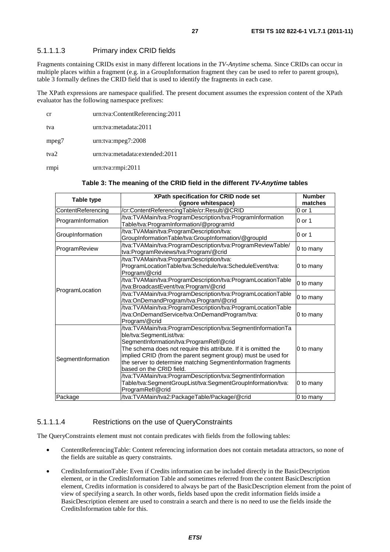### 5.1.1.1.3 Primary index CRID fields

Fragments containing CRIDs exist in many different locations in the *TV-Anytime* schema. Since CRIDs can occur in multiple places within a fragment (e.g. in a GroupInformation fragment they can be used to refer to parent groups), table 3 formally defines the CRID field that is used to identify the fragments in each case.

The XPath expressions are namespace qualified. The present document assumes the expression content of the XPath evaluator has the following namespace prefixes:

| cr    | urn:tva:ContentReferencing:2011 |
|-------|---------------------------------|
| tva   | urn:tva:metadata:2011           |
| mpeg7 | $urn:$ tva: $mpeg7:2008$        |
| tva2  | urn:tva:metadata:extended:2011  |
| rmpi  | urn:tva:rmpi:2011               |

### **Table 3: The meaning of the CRID field in the different** *TV-Anytime* **tables**

|                    | XPath specification for CRID node set                                                                                                                                                                                                                                                                                                                                 | <b>Number</b> |
|--------------------|-----------------------------------------------------------------------------------------------------------------------------------------------------------------------------------------------------------------------------------------------------------------------------------------------------------------------------------------------------------------------|---------------|
| Table type         | (ignore whitespace)                                                                                                                                                                                                                                                                                                                                                   | matches       |
| ContentReferencing | /cr:ContentReferencingTable/cr:Result/@CRID                                                                                                                                                                                                                                                                                                                           | 0 or 1        |
| ProgramInformation | /tva:TVAMain/tva:ProgramDescription/tva:ProgramInformation<br>Table/tva:ProgramInformation/@programId                                                                                                                                                                                                                                                                 | 0 or 1        |
| GroupInformation   | /tva:TVAMain/tva:ProgramDescription/tva:<br>GroupInformationTable/tva:GroupInformation/@groupId                                                                                                                                                                                                                                                                       | 0 or 1        |
| ProgramReview      | /tva:TVAMain/tva:ProgramDescription/tva:ProgramReviewTable/<br>tva:ProgramReviews/tva:Program/@crid                                                                                                                                                                                                                                                                   | 0 to many     |
| ProgramLocation    | /tva:TVAMain/tva:ProgramDescription/tva:<br>ProgramLocationTable/tva:Schedule/tva:ScheduleEvent/tva:<br>Program/@crid                                                                                                                                                                                                                                                 | 0 to many     |
|                    | /tva:TVAMain/tva:ProgramDescription/tva:ProgramLocationTable<br>/tva:BroadcastEvent/tva:Program/@crid                                                                                                                                                                                                                                                                 | 0 to many     |
|                    | /tva:TVAMain/tva:ProgramDescription/tva:ProgramLocationTable<br>/tva:OnDemandProgram/tva:Program/@crid                                                                                                                                                                                                                                                                | 0 to many     |
|                    | /tva:TVAMain/tva:ProgramDescription/tva:ProgramLocationTable<br>/tva:OnDemandService/tva:OnDemandProgram/tva:<br>Program/@crid                                                                                                                                                                                                                                        | 0 to many     |
| SegmentInformation | /tva:TVAMain/tva:ProgramDescription/tva:SegmentInformationTa<br>ble/tva:SegmentList/tva:<br>SegmentInformation/tva:ProgramRef/@crid<br>The schema does not require this attribute. If it is omitted the<br>implied CRID (from the parent segment group) must be used for<br>the server to determine matching SegmentInformation fragments<br>based on the CRID field. | 0 to many     |
|                    | /tva:TVAMain/tva:ProgramDescription/tva:SegmentInformation<br>Table/tva:SegmentGroupList/tva:SegmentGroupInformation/tva:<br>ProgramRef/@crid                                                                                                                                                                                                                         | 0 to many     |
| Package            | /tva:TVAMain/tva2:PackageTable/Package/@crid                                                                                                                                                                                                                                                                                                                          | 0 to many     |

#### 5.1.1.1.4 Restrictions on the use of QueryConstraints

The QueryConstraints element must not contain predicates with fields from the following tables:

- ContentReferencingTable: Content referencing information does not contain metadata attractors, so none of the fields are suitable as query constraints.
- CreditsInformationTable: Even if Credits information can be included directly in the BasicDescription element, or in the CreditsInformation Table and sometimes referred from the content BasicDescription element, Credits information is considered to always be part of the BasicDescription element from the point of view of specifying a search. In other words, fields based upon the credit information fields inside a BasicDescription element are used to constrain a search and there is no need to use the fields inside the CreditsInformation table for this.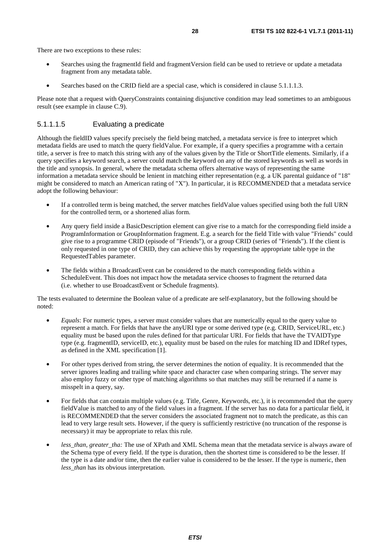- Searches using the fragmentId field and fragmentVersion field can be used to retrieve or update a metadata fragment from any metadata table.
- Searches based on the CRID field are a special case, which is considered in clause 5.1.1.1.3.

Please note that a request with QueryConstraints containing disjunctive condition may lead sometimes to an ambiguous result (see example in clause C.9).

### 5.1.1.1.5 Evaluating a predicate

Although the fieldID values specify precisely the field being matched, a metadata service is free to interpret which metadata fields are used to match the query fieldValue. For example, if a query specifies a programme with a certain title, a server is free to match this string with any of the values given by the Title or ShortTitle elements. Similarly, if a query specifies a keyword search, a server could match the keyword on any of the stored keywords as well as words in the title and synopsis. In general, where the metadata schema offers alternative ways of representing the same information a metadata service should be lenient in matching either representation (e.g. a UK parental guidance of "18" might be considered to match an American rating of "X"). In particular, it is RECOMMENDED that a metadata service adopt the following behaviour:

- If a controlled term is being matched, the server matches fieldValue values specified using both the full URN for the controlled term, or a shortened alias form.
- Any query field inside a BasicDescription element can give rise to a match for the corresponding field inside a ProgramInformation or GroupInformation fragment. E.g. a search for the field Title with value "Friends" could give rise to a programme CRID (episode of "Friends"), or a group CRID (series of "Friends"). If the client is only requested in one type of CRID, they can achieve this by requesting the appropriate table type in the RequestedTables parameter.
- The fields within a BroadcastEvent can be considered to the match corresponding fields within a ScheduleEvent. This does not impact how the metadata service chooses to fragment the returned data (i.e. whether to use BroadcastEvent or Schedule fragments).

The tests evaluated to determine the Boolean value of a predicate are self-explanatory, but the following should be noted:

- *Equals*: For numeric types, a server must consider values that are numerically equal to the query value to represent a match. For fields that have the anyURI type or some derived type (e.g. CRID, ServiceURL, etc.) equality must be based upon the rules defined for that particular URI. For fields that have the TVAIDType type (e.g. fragmentID, serviceID, etc.), equality must be based on the rules for matching ID and IDRef types, as defined in the XML specification [1].
- For other types derived from string, the server determines the notion of equality. It is recommended that the server ignores leading and trailing white space and character case when comparing strings. The server may also employ fuzzy or other type of matching algorithms so that matches may still be returned if a name is misspelt in a query, say.
- For fields that can contain multiple values (e.g. Title, Genre, Keywords, etc.), it is recommended that the query fieldValue is matched to any of the field values in a fragment. If the server has no data for a particular field, it is RECOMMENDED that the server considers the associated fragment not to match the predicate, as this can lead to very large result sets. However, if the query is sufficiently restrictive (no truncation of the response is necessary) it may be appropriate to relax this rule.
- *less than, greater tha:* The use of XPath and XML Schema mean that the metadata service is always aware of the Schema type of every field. If the type is duration, then the shortest time is considered to be the lesser. If the type is a date and/or time, then the earlier value is considered to be the lesser. If the type is numeric, then *less*\_*than* has its obvious interpretation.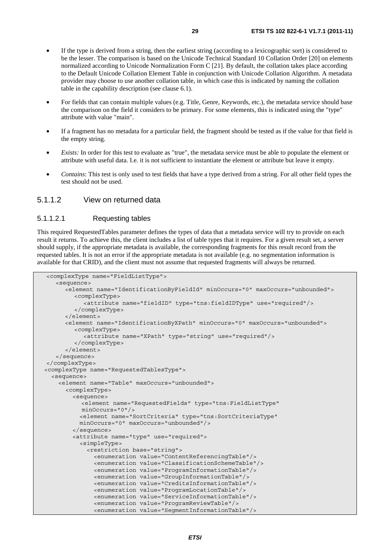- If the type is derived from a string, then the earliest string (according to a lexicographic sort) is considered to be the lesser. The comparison is based on the Unicode Technical Standard 10 Collation Order [20] on elements normalized according to Unicode Normalization Form C [21]. By default, the collation takes place according to the Default Unicode Collation Element Table in conjunction with Unicode Collation Algorithm. A metadata provider may choose to use another collation table, in which case this is indicated by naming the collation table in the capability description (see clause 6.1).
- For fields that can contain multiple values (e.g. Title, Genre, Keywords, etc.), the metadata service should base the comparison on the field it considers to be primary. For some elements, this is indicated using the "type" attribute with value "main".
- If a fragment has no metadata for a particular field, the fragment should be tested as if the value for that field is the empty string.
- *Exists:* In order for this test to evaluate as "true", the metadata service must be able to populate the element or attribute with useful data. I.e. it is not sufficient to instantiate the element or attribute but leave it empty.
- *Contains*: This test is only used to test fields that have a type derived from a string. For all other field types the test should not be used.

### 5.1.1.2 View on returned data

#### 5.1.1.2.1 Requesting tables

This required RequestedTables parameter defines the types of data that a metadata service will try to provide on each result it returns. To achieve this, the client includes a list of table types that it requires. For a given result set, a server should supply, if the appropriate metadata is available, the corresponding fragments for this result record from the requested tables. It is not an error if the appropriate metadata is not available (e.g. no segmentation information is available for that CRID), and the client must not assume that requested fragments will always be returned.

```
<complexType name="FieldListType"> 
    <sequence> 
       <element name="IdentificationByFieldId" minOccurs="0" maxOccurs="unbounded"> 
          <complexType> 
            <attribute name="fieldID" type="tns:fieldIDType" use="required"/> 
         </complexType> 
       </element> 
       <element name="IdentificationByXPath" minOccurs="0" maxOccurs="unbounded"> 
         <complexType> 
            <attribute name="XPath" type="string" use="required"/> 
          </complexType> 
       </element> 
    </sequence> 
</complexType> 
 <complexType name="RequestedTablesType"> 
   <sequence> 
     <element name="Table" maxOccurs="unbounded"> 
       <complexType> 
         <sequence> 
            <element name="RequestedFields" type="tns:FieldListType" 
            minOccurs="0"/> 
           <element name="SortCriteria" type="tns:SortCriteriaType" 
           minOccurs="0" maxOccurs="unbounded"/> 
         </sequence> 
         <attribute name="type" use="required"> 
           <simpleType> 
             <restriction base="string"> 
               <enumeration value="ContentReferencingTable"/> 
                <enumeration value="ClassificationSchemeTable"/> 
               <enumeration value="ProgramInformationTable"/> 
               <enumeration value="GroupInformationTable"/> 
               <enumeration value="CreditsInformationTable"/> 
               <enumeration value="ProgramLocationTable"/> 
               <enumeration value="ServiceInformationTable"/> 
                <enumeration value="ProgramReviewTable"/> 
               <enumeration value="SegmentInformationTable"/>
```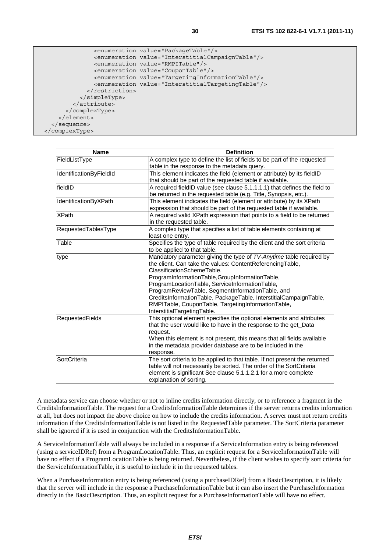```
 <enumeration value="PackageTable"/> 
                <enumeration value="InterstitialCampaignTable"/> 
                <enumeration value="RMPITable"/> 
                <enumeration value="CouponTable"/> 
                <enumeration value="TargetingInformationTable"/> 
                <enumeration value="InterstitialTargetingTable"/> 
              </restriction> 
            </simpleType> 
         </attribute> 
       </complexType> 
     </element> 
   </sequence> 
 </complexType>
```

| <b>Name</b>             | <b>Definition</b>                                                          |
|-------------------------|----------------------------------------------------------------------------|
| FieldListType           | A complex type to define the list of fields to be part of the requested    |
|                         | table in the response to the metadata query.                               |
| IdentificationByFieldId | This element indicates the field (element or attribute) by its fieldID     |
|                         | that should be part of the requested table if available.                   |
| fieldID                 | A required fieldID value (see clause 5.1.1.1.1) that defines the field to  |
|                         | be returned in the requested table (e.g. Title, Synopsis, etc.).           |
| IdentificationByXPath   | This element indicates the field (element or attribute) by its XPath       |
|                         | expression that should be part of the requested table if available.        |
| <b>XPath</b>            | A required valid XPath expression that points to a field to be returned    |
|                         | in the requested table.                                                    |
| RequestedTablesType     | A complex type that specifies a list of table elements containing at       |
|                         | least one entry.                                                           |
| Table                   | Specifies the type of table required by the client and the sort criteria   |
|                         | to be applied to that table.                                               |
| type                    | Mandatory parameter giving the type of TV-Anytime table required by        |
|                         | the client. Can take the values: ContentReferencingTable,                  |
|                         | ClassificationSchemeTable.                                                 |
|                         | ProgramInformationTable,GroupInformationTable,                             |
|                         | ProgramLocationTable, ServiceInformationTable,                             |
|                         | ProgramReviewTable, SegmentInformationTable, and                           |
|                         | CreditsInformationTable, PackageTable, InterstitialCampaignTable,          |
|                         | RMPITable, CouponTable, TargetingInformationTable,                         |
|                         | InterstitialTargetingTable.                                                |
| <b>RequestedFields</b>  | This optional element specifies the optional elements and attributes       |
|                         | that the user would like to have in the response to the get_Data           |
|                         | request.                                                                   |
|                         | When this element is not present, this means that all fields available     |
|                         | in the metadata provider database are to be included in the                |
|                         | response.                                                                  |
| SortCriteria            | The sort criteria to be applied to that table. If not present the returned |
|                         | table will not necessarily be sorted. The order of the SortCriteria        |
|                         | element is significant See clause 5.1.1.2.1 for a more complete            |
|                         | explanation of sorting.                                                    |

A metadata service can choose whether or not to inline credits information directly, or to reference a fragment in the CreditsInformationTable. The request for a CreditsInformationTable determines if the server returns credits information at all, but does not impact the above choice on how to include the credits information. A server must not return credits information if the CreditsInformationTable is not listed in the RequestedTable parameter. The SortCriteria parameter shall be ignored if it is used in conjunction with the CreditsInformationTable.

A ServiceInformationTable will always be included in a response if a ServiceInformation entry is being referenced (using a serviceIDRef) from a ProgramLocationTable. Thus, an explicit request for a ServiceInformationTable will have no effect if a ProgramLocationTable is being returned. Nevertheless, if the client wishes to specify sort criteria for the ServiceInformationTable, it is useful to include it in the requested tables.

When a PurchaseInformation entry is being referenced (using a purchaseIDRef) from a BasicDescription, it is likely that the server will include in the response a PurchaseInformationTable but it can also insert the PurchaseInformation directly in the BasicDescription. Thus, an explicit request for a PurchaseInformationTable will have no effect.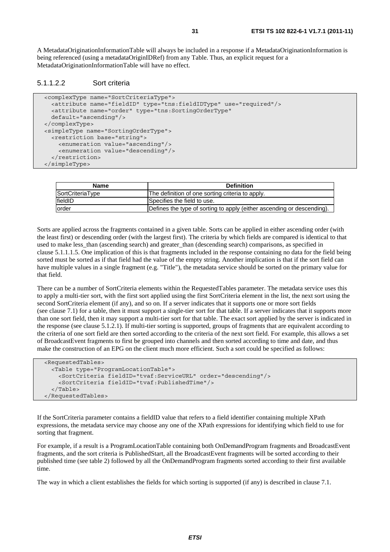A MetadataOriginationInformationTable will always be included in a response if a MetadataOriginationInformation is being referenced (using a metadataOriginIDRef) from any Table. Thus, an explicit request for a MetadataOriginationInformationTable will have no effect.

#### 5.1.1.2.2 Sort criteria

```
 <complexType name="SortCriteriaType"> 
   <attribute name="fieldID" type="tns:fieldIDType" use="required"/> 
   <attribute name="order" type="tns:SortingOrderType" 
   default="ascending"/> 
 </complexType> 
 <simpleType name="SortingOrderType"> 
   <restriction base="string"> 
     <enumeration value="ascending"/> 
     <enumeration value="descending"/> 
   </restriction> 
 </simpleType>
```

| <b>Name</b>      | <b>Definition</b>                                                      |
|------------------|------------------------------------------------------------------------|
| SortCriteriaType | The definition of one sorting criteria to apply.                       |
| fieldID          | Specifies the field to use.                                            |
| order            | Defines the type of sorting to apply (either ascending or descending). |

Sorts are applied across the fragments contained in a given table. Sorts can be applied in either ascending order (with the least first) or descending order (with the largest first). The criteria by which fields are compared is identical to that used to make less than (ascending search) and greater than (descending search) comparisons, as specified in clause 5.1.1.1.5. One implication of this is that fragments included in the response containing no data for the field being sorted must be sorted as if that field had the value of the empty string. Another implication is that if the sort field can have multiple values in a single fragment (e.g. "Title"), the metadata service should be sorted on the primary value for that field.

There can be a number of SortCriteria elements within the RequestedTables parameter. The metadata service uses this to apply a multi-tier sort, with the first sort applied using the first SortCriteria element in the list, the next sort using the second SortCriteria element (if any), and so on. If a server indicates that it supports one or more sort fields (see clause 7.1) for a table, then it must support a single-tier sort for that table. If a server indicates that it supports more than one sort field, then it may support a multi-tier sort for that table. The exact sort applied by the server is indicated in the response (see clause 5.1.2.1). If multi-tier sorting is supported, groups of fragments that are equivalent according to the criteria of one sort field are then sorted according to the criteria of the next sort field. For example, this allows a set of BroadcastEvent fragments to first be grouped into channels and then sorted according to time and date, and thus make the construction of an EPG on the client much more efficient. Such a sort could be specified as follows:

```
 <RequestedTables> 
   <Table type="ProgramLocationTable"> 
     <SortCriteria fieldID="tvaf:ServiceURL" order="descending"/> 
     <SortCriteria fieldID="tvaf:PublishedTime"/> 
  \angle/Tables
 </RequestedTables>
```
If the SortCriteria parameter contains a fieldID value that refers to a field identifier containing multiple XPath expressions, the metadata service may choose any one of the XPath expressions for identifying which field to use for sorting that fragment.

For example, if a result is a ProgramLocationTable containing both OnDemandProgram fragments and BroadcastEvent fragments, and the sort criteria is PublishedStart, all the BroadcastEvent fragments will be sorted according to their published time (see table 2) followed by all the OnDemandProgram fragments sorted according to their first available time.

The way in which a client establishes the fields for which sorting is supported (if any) is described in clause 7.1.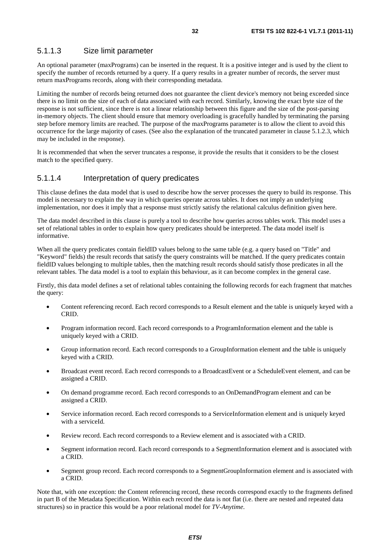### 5.1.1.3 Size limit parameter

An optional parameter (maxPrograms) can be inserted in the request. It is a positive integer and is used by the client to specify the number of records returned by a query. If a query results in a greater number of records, the server must return maxPrograms records, along with their corresponding metadata.

Limiting the number of records being returned does not guarantee the client device's memory not being exceeded since there is no limit on the size of each of data associated with each record. Similarly, knowing the exact byte size of the response is not sufficient, since there is not a linear relationship between this figure and the size of the post-parsing in-memory objects. The client should ensure that memory overloading is gracefully handled by terminating the parsing step before memory limits are reached. The purpose of the maxPrograms parameter is to allow the client to avoid this occurrence for the large majority of cases. (See also the explanation of the truncated parameter in clause 5.1.2.3, which may be included in the response).

It is recommended that when the server truncates a response, it provide the results that it considers to be the closest match to the specified query.

### 5.1.1.4 Interpretation of query predicates

This clause defines the data model that is used to describe how the server processes the query to build its response. This model is necessary to explain the way in which queries operate across tables. It does not imply an underlying implementation, nor does it imply that a response must strictly satisfy the relational calculus definition given here.

The data model described in this clause is purely a tool to describe how queries across tables work. This model uses a set of relational tables in order to explain how query predicates should be interpreted. The data model itself is informative.

When all the query predicates contain fieldID values belong to the same table (e.g. a query based on "Title" and "Keyword" fields) the result records that satisfy the query constraints will be matched. If the query predicates contain fieldID values belonging to multiple tables, then the matching result records should satisfy those predicates in all the relevant tables. The data model is a tool to explain this behaviour, as it can become complex in the general case.

Firstly, this data model defines a set of relational tables containing the following records for each fragment that matches the query:

- Content referencing record. Each record corresponds to a Result element and the table is uniquely keyed with a CRID.
- Program information record. Each record corresponds to a ProgramInformation element and the table is uniquely keyed with a CRID.
- Group information record. Each record corresponds to a GroupInformation element and the table is uniquely keyed with a CRID.
- Broadcast event record. Each record corresponds to a BroadcastEvent or a ScheduleEvent element, and can be assigned a CRID.
- On demand programme record. Each record corresponds to an OnDemandProgram element and can be assigned a CRID.
- Service information record. Each record corresponds to a ServiceInformation element and is uniquely keyed with a serviceId.
- Review record. Each record corresponds to a Review element and is associated with a CRID.
- Segment information record. Each record corresponds to a SegmentInformation element and is associated with a CRID.
- Segment group record. Each record corresponds to a SegmentGroupInformation element and is associated with a CRID.

Note that, with one exception: the Content referencing record, these records correspond exactly to the fragments defined in part B of the Metadata Specification. Within each record the data is not flat (i.e. there are nested and repeated data structures) so in practice this would be a poor relational model for *TV-Anytime*.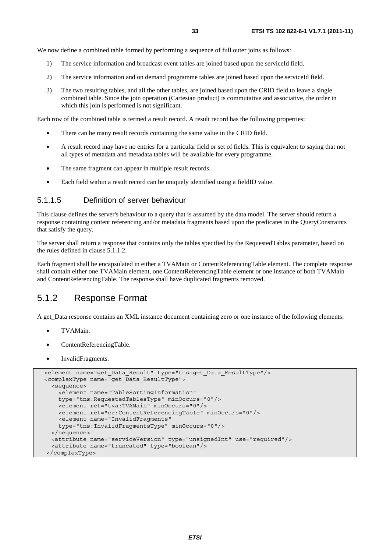We now define a combined table formed by performing a sequence of full outer joins as follows:

- 1) The service information and broadcast event tables are joined based upon the serviceId field.
- 2) The service information and on demand programme tables are joined based upon the serviceId field.
- 3) The two resulting tables, and all the other tables, are joined based upon the CRID field to leave a single combined table. Since the join operation (Cartesian product) is commutative and associative, the order in which this join is performed is not significant.

Each row of the combined table is termed a result record. A result record has the following properties:

- There can be many result records containing the same value in the CRID field.
- A result record may have no entries for a particular field or set of fields. This is equivalent to saying that not all types of metadata and metadata tables will be available for every programme.
- The same fragment can appear in multiple result records.
- Each field within a result record can be uniquely identified using a fieldID value.

### 5.1.1.5 Definition of server behaviour

This clause defines the server's behaviour to a query that is assumed by the data model. The server should return a response containing content referencing and/or metadata fragments based upon the predicates in the QueryConstraints that satisfy the query.

The server shall return a response that contains only the tables specified by the RequestedTables parameter, based on the rules defined in clause 5.1.1.2.

Each fragment shall be encapsulated in either a TVAMain or ContentReferencingTable element. The complete response shall contain either one TVAMain element, one ContentReferencingTable element or one instance of both TVAMain and ContentReferencingTable. The response shall have duplicated fragments removed.

### 5.1.2 Response Format

A get\_Data response contains an XML instance document containing zero or one instance of the following elements:

- TVAMain.
- ContentReferencingTable.
- InvalidFragments.

```
 <element name="get_Data_Result" type="tns:get_Data_ResultType"/> 
 <complexType name="get_Data_ResultType"> 
   <sequence> 
     <element name="TableSortingInformation" 
     type="tns:RequestedTablesType" minOccurs="0"/> 
     <element ref="tva:TVAMain" minOccurs="0"/> 
     <element ref="cr:ContentReferencingTable" minOccurs="0"/> 
     <element name="InvalidFragments" 
     type="tns:InvalidFragmentsType" minOccurs="0"/> 
  </sequence> 
   <attribute name="serviceVersion" type="unsignedInt" use="required"/> 
   <attribute name="truncated" type="boolean"/> 
 </complexType>
```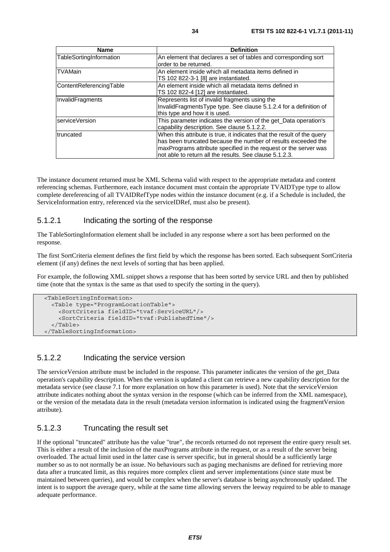| Name                    | <b>Definition</b>                                                                                                                                                                                                                                                      |
|-------------------------|------------------------------------------------------------------------------------------------------------------------------------------------------------------------------------------------------------------------------------------------------------------------|
| TableSortingInformation | An element that declares a set of tables and corresponding sort<br>lorder to be returned.                                                                                                                                                                              |
| <b>TVAMain</b>          | An element inside which all metadata items defined in<br>TS 102 822-3-1 [8] are instantiated.                                                                                                                                                                          |
| ContentReferencingTable | An element inside which all metadata items defined in<br>TS 102 822-4 [12] are instantiated.                                                                                                                                                                           |
| InvalidFragments        | Represents list of invalid fragments using the<br>InvalidFragmentsType type. See clause 5.1.2.4 for a definition of<br>this type and how it is used.                                                                                                                   |
| <b>IserviceVersion</b>  | This parameter indicates the version of the get Data operation's<br>capability description. See clause 5.1.2.2.                                                                                                                                                        |
| truncated               | When this attribute is true, it indicates that the result of the query<br>has been truncated because the number of results exceeded the<br>maxPrograms attribute specified in the request or the server was<br>not able to return all the results. See clause 5.1.2.3. |

The instance document returned must be XML Schema valid with respect to the appropriate metadata and content referencing schemas. Furthermore, each instance document must contain the appropriate TVAIDType type to allow complete dereferencing of all TVAIDRefType nodes within the instance document (e.g. if a Schedule is included, the ServiceInformation entry, referenced via the serviceIDRef, must also be present).

### 5.1.2.1 Indicating the sorting of the response

The TableSortingInformation element shall be included in any response where a sort has been performed on the response.

The first SortCriteria element defines the first field by which the response has been sorted. Each subsequent SortCriteria element (if any) defines the next levels of sorting that has been applied.

For example, the following XML snippet shows a response that has been sorted by service URL and then by published time (note that the syntax is the same as that used to specify the sorting in the query).

```
 <TableSortingInformation> 
   <Table type="ProgramLocationTable"> 
     <SortCriteria fieldID="tvaf:ServiceURL"/> 
     <SortCriteria fieldID="tvaf:PublishedTime"/> 
   </Table> 
 </TableSortingInformation>
```
### 5.1.2.2 Indicating the service version

The serviceVersion attribute must be included in the response. This parameter indicates the version of the get\_Data operation's capability description. When the version is updated a client can retrieve a new capability description for the metadata service (see clause 7.1 for more explanation on how this parameter is used). Note that the serviceVersion attribute indicates nothing about the syntax version in the response (which can be inferred from the XML namespace), or the version of the metadata data in the result (metadata version information is indicated using the fragmentVersion attribute).

### 5.1.2.3 Truncating the result set

If the optional "truncated" attribute has the value "true", the records returned do not represent the entire query result set. This is either a result of the inclusion of the maxPrograms attribute in the request, or as a result of the server being overloaded. The actual limit used in the latter case is server specific, but in general should be a sufficiently large number so as to not normally be an issue. No behaviours such as paging mechanisms are defined for retrieving more data after a truncated limit, as this requires more complex client and server implementations (since state must be maintained between queries), and would be complex when the server's database is being asynchronously updated. The intent is to support the average query, while at the same time allowing servers the leeway required to be able to manage adequate performance.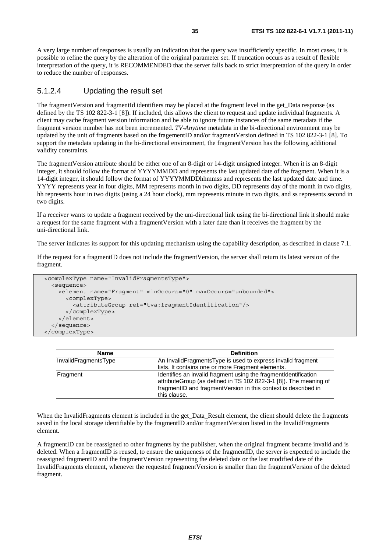A very large number of responses is usually an indication that the query was insufficiently specific. In most cases, it is possible to refine the query by the alteration of the original parameter set. If truncation occurs as a result of flexible interpretation of the query, it is RECOMMENDED that the server falls back to strict interpretation of the query in order to reduce the number of responses.

### 5.1.2.4 Updating the result set

The fragmentVersion and fragmentId identifiers may be placed at the fragment level in the get\_Data response (as defined by the TS 102 822-3-1 [8]). If included, this allows the client to request and update individual fragments. A client may cache fragment version information and be able to ignore future instances of the same metadata if the fragment version number has not been incremented. *TV-Anytime* metadata in the bi-directional environment may be updated by the unit of fragments based on the fragementID and/or fragmentVersion defined in TS 102 822-3-1 [8]. To support the metadata updating in the bi-directional environment, the fragmentVersion has the following additional validity constraints.

The fragmentVersion attribute should be either one of an 8-digit or 14-digit unsigned integer. When it is an 8-digit integer, it should follow the format of YYYYMMDD and represents the last updated date of the fragment. When it is a 14-digit integer, it should follow the format of YYYYMMDDhhmmss and represents the last updated date and time. YYYY represents year in four digits, MM represents month in two digits, DD represents day of the month in two digits, hh represents hour in two digits (using a 24 hour clock), mm represents minute in two digits, and ss represents second in two digits.

If a receiver wants to update a fragment received by the uni-directional link using the bi-directional link it should make a request for the same fragment with a fragmentVersion with a later date than it receives the fragment by the uni-directional link.

The server indicates its support for this updating mechanism using the capability description, as described in clause 7.1.

If the request for a fragmentID does not include the fragmentVersion, the server shall return its latest version of the fragment.

```
 <complexType name="InvalidFragmentsType"> 
   <sequence> 
     <element name="Fragment" minOccurs="0" maxOccurs="unbounded"> 
       <complexType> 
         <attributeGroup ref="tva:fragmentIdentification"/> 
       </complexType> 
     </element> 
   </sequence> 
 </complexType>
```

| <b>Name</b>          | <b>Definition</b>                                                 |
|----------------------|-------------------------------------------------------------------|
| InvalidFragmentsType | An InvalidFragmentsType is used to express invalid fragment       |
|                      | lists. It contains one or more Fragment elements.                 |
| Fragment             | Identifies an invalid fragment using the fragment dentification   |
|                      | attributeGroup (as defined in TS 102 822-3-1 [8]). The meaning of |
|                      | fragmentID and fragmentVersion in this context is described in    |
|                      | this clause.                                                      |

When the InvalidFragments element is included in the get Data Result element, the client should delete the fragments saved in the local storage identifiable by the fragmentID and/or fragmentVersion listed in the InvalidFragments element.

A fragmentID can be reassigned to other fragments by the publisher, when the original fragment became invalid and is deleted. When a fragmentID is reused, to ensure the uniqueness of the fragmentID, the server is expected to include the reassigned fragmentID and the fragmentVersion representing the deleted date or the last modified date of the InvalidFragments element, whenever the requested fragmentVersion is smaller than the fragmentVersion of the deleted fragment.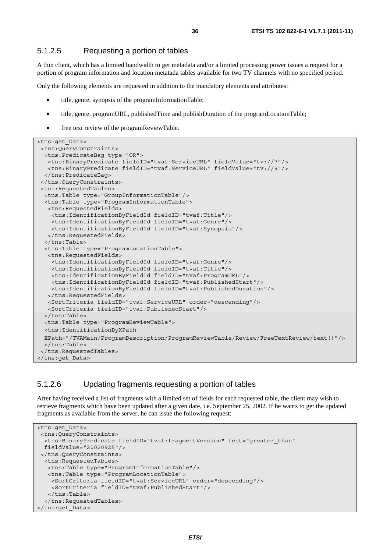### 5.1.2.5 Requesting a portion of tables

A thin client, which has a limited bandwidth to get metadata and/or a limited processing power issues a request for a portion of program information and location metatada tables available for two TV channels with no specified period.

Only the following elements are requested in addition to the mandatory elements and attributes:

- title, genre, synopsis of the programInformationTable;
- title, genre, programURL, publishedTime and publishDuration of the programLocationTable;
- free text review of the programReviewTable.

```
<tns:get_Data> 
 <tns:QueryConstraints> 
  <tns:PredicateBag type="OR"> 
   <tns:BinaryPredicate fieldID="tvaf:ServiceURL" fieldValue="tv://7"/> 
   <tns:BinaryPredicate fieldID="tvaf:ServiceURL" fieldValue="tv://9"/> 
  </tns:PredicateBag> 
  </tns:QueryConstraints> 
  <tns:RequestedTables> 
  <tns:Table type="GroupInformationTable"/> 
   <tns:Table type="ProgramInformationTable"> 
   <tns:RequestedFields> 
    <tns:IdentificationByFieldId fieldID="tvaf:Title"/> 
     <tns:IdentificationByFieldId fieldID="tvaf:Genre"/> 
    <tns:IdentificationByFieldId fieldID="tvaf:Synopsis"/> 
   </tns:RequestedFields> 
   </tns:Table> 
   <tns:Table type="ProgramLocationTable"> 
   <tns:RequestedFields> 
     <tns:IdentificationByFieldId fieldID="tvaf:Genre"/> 
     <tns:IdentificationByFieldId fieldID="tvaf:Title"/> 
     <tns:IdentificationByFieldId fieldID="tvaf:ProgramURL"/> 
     <tns:IdentificationByFieldId fieldID="tvaf:PublishedStart"/> 
    <tns:IdentificationByFieldId fieldID="tvaf:PublishedDuration"/> 
   </tns:RequestedFields> 
   <SortCriteria fieldID="tvaf:ServiceURL" order="descending"/> 
   <SortCriteria fieldID="tvaf:PublishedStart"/> 
   </tns:Table> 
  <tns:Table type="ProgramReviewTable"> 
   <tns:IdentificationByXPath 
  XPath="/TVAMain/ProgramDescription/ProgramReviewTable/Review/FreeTextReview/text()"/> 
  </tns:Table> 
  </tns:RequestedTables> 
</tns:get_Data>
```
### 5.1.2.6 Updating fragments requesting a portion of tables

After having received a list of fragments with a limited set of fields for each requested table, the client may wish to retrieve fragments which have been updated after a given date, i.e. September 25, 2002. If he wants to get the updated fragments as available from the server, he can issue the following request:

```
<tns:get_Data> 
  <tns:QueryConstraints> 
   <tns:BinaryPredicate fieldID="tvaf:fragmentVersion" test="greater_than" 
  fieldValue="20020925"/> 
  </tns:QueryConstraints> 
   <tns:RequestedTables> 
    <tns:Table type="ProgramInformationTable"/> 
    <tns:Table type="ProgramLocationTable"> 
     <SortCriteria fieldID="tvaf:ServiceURL" order="descending"/> 
     <SortCriteria fieldID="tvaf:PublishedStart"/> 
    </tns:Table> 
   </tns:RequestedTables> 
</tns:get_Data>
```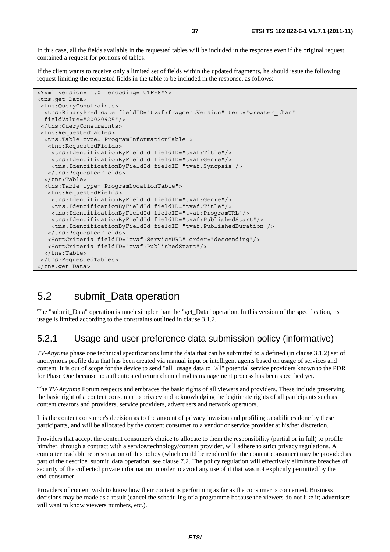In this case, all the fields available in the requested tables will be included in the response even if the original request contained a request for portions of tables.

If the client wants to receive only a limited set of fields within the updated fragments, he should issue the following request limiting the requested fields in the table to be included in the response, as follows:

```
<?xml version="1.0" encoding="UTF-8"?> 
<tns:get_Data> 
 <tns:QueryConstraints> 
   <tns:BinaryPredicate fieldID="tvaf:fragmentVersion" test="greater_than" 
  fieldValue="20020925"/> 
  </tns:QueryConstraints> 
  <tns:RequestedTables> 
   <tns:Table type="ProgramInformationTable"> 
   <tns:RequestedFields> 
    <tns:IdentificationByFieldId fieldID="tvaf:Title"/> 
     <tns:IdentificationByFieldId fieldID="tvaf:Genre"/> 
    <tns:IdentificationByFieldId fieldID="tvaf:Synopsis"/> 
   </tns:RequestedFields> 
   </tns:Table> 
   <tns:Table type="ProgramLocationTable"> 
   <tns:RequestedFields> 
     <tns:IdentificationByFieldId fieldID="tvaf:Genre"/> 
     <tns:IdentificationByFieldId fieldID="tvaf:Title"/> 
     <tns:IdentificationByFieldId fieldID="tvaf:ProgramURL"/> 
     <tns:IdentificationByFieldId fieldID="tvaf:PublishedStart"/> 
     <tns:IdentificationByFieldId fieldID="tvaf:PublishedDuration"/> 
   </tns:RequestedFields> 
   <SortCriteria fieldID="tvaf:ServiceURL" order="descending"/> 
   <SortCriteria fieldID="tvaf:PublishedStart"/> 
   </tns:Table> 
  </tns:RequestedTables> 
</tns:get_Data>
```
## 5.2 submit\_Data operation

The "submit\_Data" operation is much simpler than the "get\_Data" operation. In this version of the specification, its usage is limited according to the constraints outlined in clause 3.1.2.

#### 5.2.1 Usage and user preference data submission policy (informative)

*TV-Anytime* phase one technical specifications limit the data that can be submitted to a defined (in clause 3.1.2) set of anonymous profile data that has been created via manual input or intelligent agents based on usage of services and content. It is out of scope for the device to send "all" usage data to "all" potential service providers known to the PDR for Phase One because no authenticated return channel rights management process has been specified yet.

The *TV-Anytime* Forum respects and embraces the basic rights of all viewers and providers. These include preserving the basic right of a content consumer to privacy and acknowledging the legitimate rights of all participants such as content creators and providers, service providers, advertisers and network operators.

It is the content consumer's decision as to the amount of privacy invasion and profiling capabilities done by these participants, and will be allocated by the content consumer to a vendor or service provider at his/her discretion.

Providers that accept the content consumer's choice to allocate to them the responsibility (partial or in full) to profile him/her, through a contract with a service/technology/content provider, will adhere to strict privacy regulations. A computer readable representation of this policy (which could be rendered for the content consumer) may be provided as part of the describe\_submit\_data operation, see clause 7.2. The policy regulation will effectively eliminate breaches of security of the collected private information in order to avoid any use of it that was not explicitly permitted by the end-consumer.

Providers of content wish to know how their content is performing as far as the consumer is concerned. Business decisions may be made as a result (cancel the scheduling of a programme because the viewers do not like it; advertisers will want to know viewers numbers, etc.).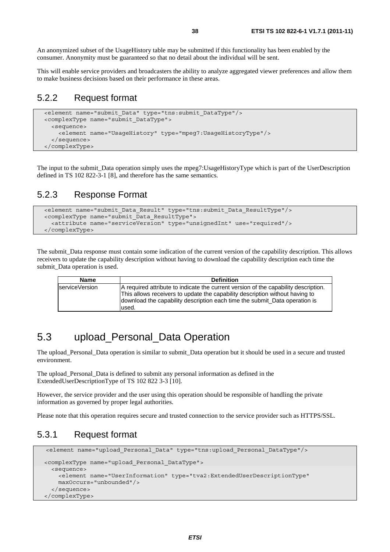An anonymized subset of the UsageHistory table may be submitted if this functionality has been enabled by the consumer. Anonymity must be guaranteed so that no detail about the individual will be sent.

This will enable service providers and broadcasters the ability to analyze aggregated viewer preferences and allow them to make business decisions based on their performance in these areas.

#### 5.2.2 Request format

```
 <element name="submit_Data" type="tns:submit_DataType"/> 
 <complexType name="submit_DataType"> 
   <sequence> 
     <element name="UsageHistory" type="mpeg7:UsageHistoryType"/> 
   </sequence> 
 </complexType>
```
The input to the submit\_Data operation simply uses the mpeg7:UsageHistoryType which is part of the UserDescription defined in TS 102 822-3-1 [8], and therefore has the same semantics.

### 5.2.3 Response Format

```
 <element name="submit_Data_Result" type="tns:submit_Data_ResultType"/> 
 <complexType name="submit_Data_ResultType"> 
   <attribute name="serviceVersion" type="unsignedInt" use="required"/> 
 </complexType>
```
The submit\_Data response must contain some indication of the current version of the capability description. This allows receivers to update the capability description without having to download the capability description each time the submit Data operation is used.

| <b>Name</b>    | <b>Definition</b>                                                                                                                                                                                                                                          |
|----------------|------------------------------------------------------------------------------------------------------------------------------------------------------------------------------------------------------------------------------------------------------------|
| serviceVersion | A required attribute to indicate the current version of the capability description.<br>This allows receivers to update the capability description without having to<br>download the capability description each time the submit_Data operation is<br>used. |

## 5.3 upload\_Personal\_Data Operation

The upload\_Personal\_Data operation is similar to submit\_Data operation but it should be used in a secure and trusted environment.

The upload\_Personal\_Data is defined to submit any personal information as defined in the ExtendedUserDescriptionType of TS 102 822 3-3 [10].

However, the service provider and the user using this operation should be responsible of handling the private information as governed by proper legal authorities.

Please note that this operation requires secure and trusted connection to the service provider such as HTTPS/SSL.

### 5.3.1 Request format

```
 <element name="upload_Personal_Data" type="tns:upload_Personal_DataType"/>
 <complexType name="upload_Personal_DataType"> 
   <sequence> 
     <element name="UserInformation" type="tva2:ExtendedUserDescriptionType" 
     maxOccurs="unbounded"/> 
   </sequence> 
 </complexType>
```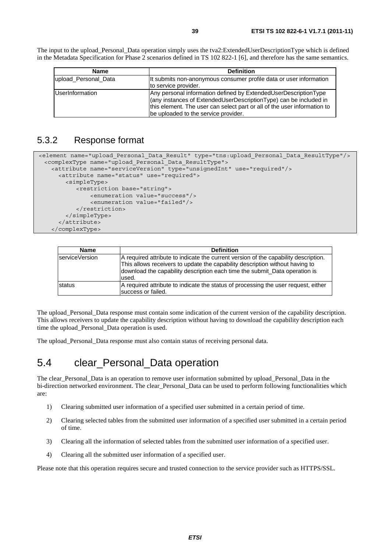The input to the upload Personal Data operation simply uses the tva2:ExtendedUserDescriptionType which is defined in the Metadata Specification for Phase 2 scenarios defined in TS 102 822-1 [6], and therefore has the same semantics.

| <b>Name</b>            | <b>Definition</b>                                                                                                                                                                                                                                        |
|------------------------|----------------------------------------------------------------------------------------------------------------------------------------------------------------------------------------------------------------------------------------------------------|
| upload Personal Data   | It submits non-anonymous consumer profile data or user information<br>to service provider.                                                                                                                                                               |
| <b>UserInformation</b> | Any personal information defined by ExtendedUserDescriptionType<br>(any instances of ExtendedUserDescriptionType) can be included in<br>this element. The user can select part or all of the user information to<br>be uploaded to the service provider. |

### 5.3.2 Response format

```
<element name="upload_Personal_Data_Result" type="tns:upload_Personal_Data_ResultType"/> 
  <complexType name="upload_Personal_Data_ResultType"> 
    <attribute name="serviceVersion" type="unsignedInt" use="required"/> 
      <attribute name="status" use="required"> 
        <simpleType> 
            <restriction base="string"> 
                <enumeration value="success"/> 
                <enumeration value="failed"/> 
            </restriction> 
         </simpleType> 
       </attribute> 
    </complexType>
```

| <b>Name</b>    | <b>Definition</b>                                                                                                                                                                                                                                           |
|----------------|-------------------------------------------------------------------------------------------------------------------------------------------------------------------------------------------------------------------------------------------------------------|
| serviceVersion | A required attribute to indicate the current version of the capability description.<br>This allows receivers to update the capability description without having to<br>download the capability description each time the submit_Data operation is<br>lused. |
| <b>Istatus</b> | A required attribute to indicate the status of processing the user request, either<br>success or failed.                                                                                                                                                    |

The upload\_Personal\_Data response must contain some indication of the current version of the capability description. This allows receivers to update the capability description without having to download the capability description each time the upload\_Personal\_Data operation is used.

The upload Personal Data response must also contain status of receiving personal data.

## 5.4 clear\_Personal\_Data operation

The clear\_Personal\_Data is an operation to remove user information submitted by upload\_Personal\_Data in the bi-direction networked environment. The clear Personal Data can be used to perform following functionalities which are:

- 1) Clearing submitted user information of a specified user submitted in a certain period of time.
- 2) Clearing selected tables from the submitted user information of a specified user submitted in a certain period of time.
- 3) Clearing all the information of selected tables from the submitted user information of a specified user.
- 4) Clearing all the submitted user information of a specified user.

Please note that this operation requires secure and trusted connection to the service provider such as HTTPS/SSL.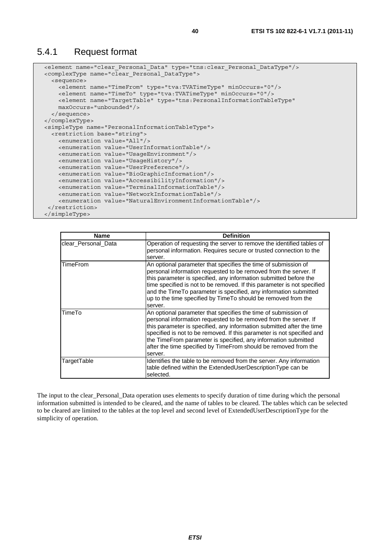#### 5.4.1 Request format

```
 <element name="clear_Personal_Data" type="tns:clear_Personal_DataType"/> 
 <complexType name="clear_Personal_DataType"> 
   <sequence> 
     <element name="TimeFrom" type="tva:TVATimeType" minOccurs="0"/> 
     <element name="TimeTo" type="tva:TVATimeType" minOccurs="0"/> 
     <element name="TargetTable" type="tns:PersonalInformationTableType" 
     maxOccurs="unbounded"/> 
   </sequence> 
 </complexType> 
 <simpleType name="PersonalInformationTableType"> 
   <restriction base="string"> 
     <enumeration value="All"/> 
     <enumeration value="UserInformationTable"/> 
     <enumeration value="UsageEnvironment"/> 
     <enumeration value="UsageHistory"/> 
     <enumeration value="UserPreference"/> 
     <enumeration value="BioGraphicInformation"/> 
     <enumeration value="AccessibilityInformation"/> 
     <enumeration value="TerminalInformationTable"/> 
     <enumeration value="NetworkInformationTable"/> 
     <enumeration value="NaturalEnvironmentInformationTable"/> 
  </restriction> 
 </simpleType>
```

| <b>Name</b>         | <b>Definition</b>                                                                                                                                                                                                                                                                                                                                                                                                                     |
|---------------------|---------------------------------------------------------------------------------------------------------------------------------------------------------------------------------------------------------------------------------------------------------------------------------------------------------------------------------------------------------------------------------------------------------------------------------------|
| clear Personal Data | Operation of requesting the server to remove the identified tables of<br>personal information. Requires secure or trusted connection to the<br>server.                                                                                                                                                                                                                                                                                |
| TimeFrom            | An optional parameter that specifies the time of submission of<br>personal information requested to be removed from the server. If<br>this parameter is specified, any information submitted before the<br>time specified is not to be removed. If this parameter is not specified<br>and the TimeTo parameter is specified, any information submitted<br>up to the time specified by Time To should be removed from the<br>server.   |
| TimeTo              | An optional parameter that specifies the time of submission of<br>personal information requested to be removed from the server. If<br>this parameter is specified, any information submitted after the time<br>specified is not to be removed. If this parameter is not specified and<br>the TimeFrom parameter is specified, any information submitted<br>after the time specified by TimeFrom should be removed from the<br>server. |
| TargetTable         | Identifies the table to be removed from the server. Any information<br>table defined within the ExtendedUserDescriptionType can be<br>selected.                                                                                                                                                                                                                                                                                       |

The input to the clear Personal Data operation uses elements to specify duration of time during which the personal information submitted is intended to be cleared, and the name of tables to be cleared. The tables which can be selected to be cleared are limited to the tables at the top level and second level of ExtendedUserDescriptionType for the simplicity of operation.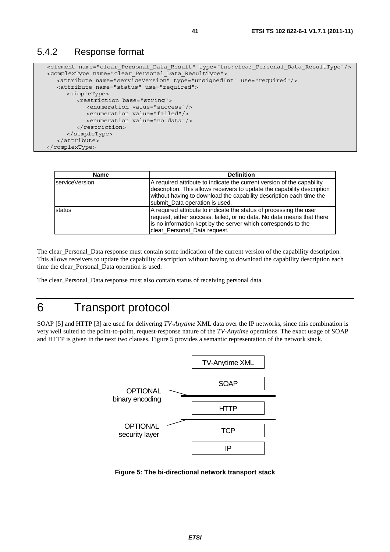#### 5.4.2 Response format

```
 <element name="clear_Personal_Data_Result" type="tns:clear_Personal_Data_ResultType"/> 
 <complexType name="clear_Personal_Data_ResultType"> 
   <attribute name="serviceVersion" type="unsignedInt" use="required"/> 
   <attribute name="status" use="required"> 
      <simpleType> 
          <restriction base="string"> 
             <enumeration value="success"/> 
             <enumeration value="failed"/> 
             <enumeration value="no data"/> 
          </restriction> 
       </simpleType> 
    </attribute> 
 </complexType>
```

| <b>Name</b>    | <b>Definition</b>                                                                                                                                                                                                                                          |
|----------------|------------------------------------------------------------------------------------------------------------------------------------------------------------------------------------------------------------------------------------------------------------|
| serviceVersion | A required attribute to indicate the current version of the capability<br>description. This allows receivers to update the capability description<br>without having to download the capability description each time the<br>submit_Data operation is used. |
| status         | A required attribute to indicate the status of processing the user<br>request, either success, failed, or no data. No data means that there<br>is no information kept by the server which corresponds to the<br>clear_Personal_Data request.               |

The clear\_Personal\_Data response must contain some indication of the current version of the capability description. This allows receivers to update the capability description without having to download the capability description each time the clear\_Personal\_Data operation is used.

The clear\_Personal\_Data response must also contain status of receiving personal data.

# 6 Transport protocol

SOAP [5] and HTTP [3] are used for delivering *TV-Anytime* XML data over the IP networks, since this combination is very well suited to the point-to-point, request-response nature of the *TV-Anytime* operations. The exact usage of SOAP and HTTP is given in the next two clauses. Figure 5 provides a semantic representation of the network stack.



**Figure 5: The bi-directional network transport stack**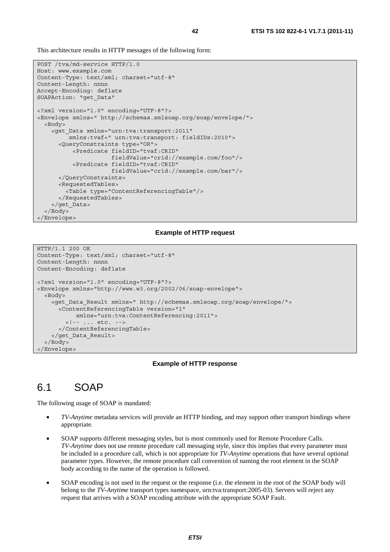This architecture results in HTTP messages of the following form:

```
POST /tva/md-service HTTP/1.0 
Host: www.example.com 
Content-Type: text/xml; charset="utf-8" 
Content-Length: nnnn 
Accept-Encoding: deflate 
SOAPAction: "get_Data" 
<?xml version="1.0" encoding="UTF-8"?> 
<Envelope xmlns=" http://schemas.xmlsoap.org/soap/envelope/"> 
   <Body> 
     <get_Data xmlns="urn:tva:transport:2011" 
          xmlns:tvaf=" urn:tva:transport: fieldIDs:2010"> 
       <QueryConstraints type="OR"> 
            <Predicate fieldID="tvaf:CRID" 
                       fieldValue="crid://example.com/foo"/> 
            <Predicate fieldID="tvaf:CRID" 
                       fieldValue="crid://example.com/bar"/> 
       </QueryConstraints> 
       <RequestedTables> 
         <Table type="ContentReferencingTable"/> 
       </RequestedTables> 
     </get_Data> 
   </Body> 
</Envelope>
```
#### **Example of HTTP request**

```
HTTP/1.1 200 OK 
Content-Type: text/xml; charset="utf-8" 
Content-Length: nnnn 
Content-Encoding: deflate 
<?xml version="1.0" encoding="UTF-8"?> 
<Envelope xmlns="http://www.w3.org/2002/06/soap-envelope"> 
   <Body> 
     <get_Data_Result xmlns=" http://schemas.xmlsoap.org/soap/envelope/"> 
       <ContentReferencingTable version="1" 
            xmlns="urn:tva:ContentReferencing:2011"> 
         <!-- ... etc. --> 
       </ContentReferencingTable> 
     </get_Data_Result> 
   </Body> 
</Envelope>
```
#### **Example of HTTP response**

## 6.1 SOAP

The following usage of SOAP is mandated:

- *TV-Anytime* metadata services will provide an HTTP binding, and may support other transport bindings where appropriate.
- SOAP supports different messaging styles, but is most commonly used for Remote Procedure Calls. *TV-Anytime* does not use remote procedure call messaging style, since this implies that every parameter must be included in a procedure call, which is not appropriate for *TV-Anytime* operations that have several optional parameter types. However, the remote procedure call convention of naming the root element in the SOAP body according to the name of the operation is followed.
- SOAP encoding is not used in the request or the response (i.e. the element in the root of the SOAP body will belong to the *TV-Anytime* transport types namespace, urn:tva:transport:2005-03). Servers will reject any request that arrives with a SOAP encoding attribute with the appropriate SOAP Fault.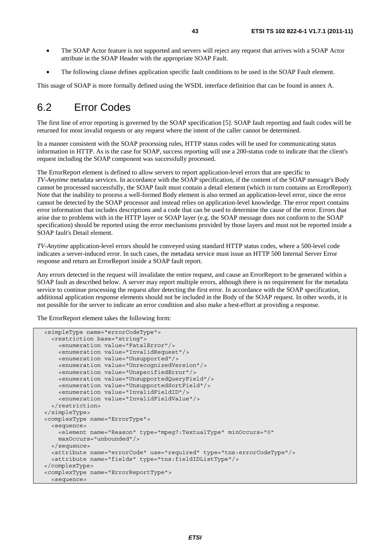- The SOAP Actor feature is not supported and servers will reject any request that arrives with a SOAP Actor attribute in the SOAP Header with the appropriate SOAP Fault.
- The following clause defines application specific fault conditions to be used in the SOAP Fault element.

This usage of SOAP is more formally defined using the WSDL interface definition that can be found in annex A.

## 6.2 Error Codes

The first line of error reporting is governed by the SOAP specification [5]. SOAP fault reporting and fault codes will be returned for most invalid requests or any request where the intent of the caller cannot be determined.

In a manner consistent with the SOAP processing rules, HTTP status codes will be used for communicating status information in HTTP. As is the case for SOAP, success reporting will use a 200-status code to indicate that the client's request including the SOAP component was successfully processed.

The ErrorReport element is defined to allow servers to report application-level errors that are specific to *TV-Anytime* metadata services. In accordance with the SOAP specification, if the content of the SOAP message's Body cannot be processed successfully, the SOAP fault must contain a detail element (which in turn contains an ErrorReport). Note that the inability to process a well-formed Body element is also termed an application-level error, since the error cannot be detected by the SOAP processor and instead relies on application-level knowledge. The error report contains error information that includes descriptions and a code that can be used to determine the cause of the error. Errors that arise due to problems with in the HTTP layer or SOAP layer (e.g. the SOAP message does not conform to the SOAP specification) should be reported using the error mechanisms provided by those layers and must not be reported inside a SOAP fault's Detail element.

*TV-Anytime* application-level errors should be conveyed using standard HTTP status codes, where a 500-level code indicates a server-induced error. In such cases, the metadata service must issue an HTTP 500 Internal Server Error response and return an ErrorReport inside a SOAP fault report.

Any errors detected in the request will invalidate the entire request, and cause an ErrorReport to be generated within a SOAP fault as described below. A server may report multiple errors, although there is no requirement for the metadata service to continue processing the request after detecting the first error. In accordance with the SOAP specification, additional application response elements should not be included in the Body of the SOAP request. In other words, it is not possible for the server to indicate an error condition and also make a best-effort at providing a response.

The ErrorReport element takes the following form:

```
 <simpleType name="errorCodeType"> 
   <restriction base="string"> 
     <enumeration value="FatalError"/> 
     <enumeration value="InvalidRequest"/> 
     <enumeration value="Unsupported"/> 
     <enumeration value="UnrecognizedVersion"/> 
     <enumeration value="UnspecifiedError"/> 
     <enumeration value="UnsupportedQueryField"/> 
     <enumeration value="UnsupportedSortField"/> 
     <enumeration value="InvalidFieldID"/> 
     <enumeration value="InvalidFieldValue"/> 
   </restriction> 
 </simpleType> 
 <complexType name="ErrorType"> 
   <sequence> 
     <element name="Reason" type="mpeg7:TextualType" minOccurs="0" 
     maxOccurs="unbounded"/> 
   </sequence> 
   <attribute name="errorCode" use="required" type="tns:errorCodeType"/> 
   <attribute name="fields" type="tns:fieldIDListType"/> 
</complexType> 
 <complexType name="ErrorReportType"> 
   <sequence>
```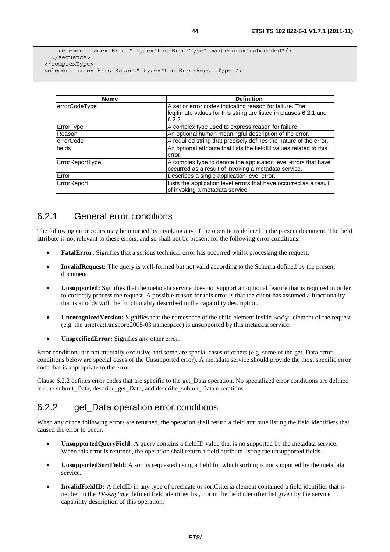```
 <element name="Error" type="tns:ErrorType" maxOccurs="unbounded"/> 
   </sequence> 
 </complexType> 
 <element name="ErrorReport" type="tns:ErrorReportType"/>
```

| <b>Name</b>            | <b>Definition</b>                                                   |
|------------------------|---------------------------------------------------------------------|
| errorCodeType          | A set or error codes indicating reason for failure. The             |
|                        | legitimate values for this string are listed in clauses 6.2.1 and   |
|                        | 6.2.2.                                                              |
| ErrorType              | A complex type used to express reason for failure.                  |
| Reason                 | An optional human meaningful description of the error.              |
| lerrorCode             | A required string that precisely defines the nature of the error.   |
| fields                 | An optional attribute that lists the fieldID values related to this |
|                        | error.                                                              |
| <b>ErrorReportType</b> | A complex type to denote the application level errors that have     |
|                        | occurred as a result of invoking a metadata service.                |
| Error                  | Describes a single application-level error.                         |
| ErrorReport            | Lists the application level errors that have occurred as a result   |
|                        | of invoking a metadata service.                                     |

## 6.2.1 General error conditions

The following error codes may be returned by invoking any of the operations defined in the present document. The field attribute is not relevant to these errors, and so shall not be present for the following error conditions:

- **FatalError:** Signifies that a serious technical error has occurred whilst processing the request.
- **InvalidRequest:** The query is well-formed but not valid according to the Schema defined by the present document.
- **Unsupported:** Signifies that the metadata service does not support an optional feature that is required in order to correctly process the request. A possible reason for this error is that the client has assumed a functionality that is at odds with the functionality described in the capability description.
- **UnrecognizedVersion:** Signifies that the namespace of the child element inside Body element of the request (e.g. the urn:tva:transport:2005-03 namespace) is unsupported by this metadata service.
- **UnspecifiedError:** Signifies any other error.

Error conditions are not mutually exclusive and some are special cases of others (e.g. some of the get\_Data error conditions below are special cases of the Unsupported error). A metadata service should provide the most specific error code that is appropriate to the error.

Clause 6.2.2 defines error codes that are specific to the get\_Data operation. No specialized error conditions are defined for the submit Data, describe get Data, and describe submit Data operations.

## 6.2.2 get\_Data operation error conditions

When any of the following errors are returned, the operation shall return a field attribute listing the field identifiers that caused the error to occur.

- **UnsupportedQueryField:** A query contains a fieldID value that is no supported by the metadata service. When this error is returned, the operation shall return a field attribute listing the unsupported fields.
- **UnsupportedSortField:** A sort is requested using a field for which sorting is not supported by the metadata service.
- **InvalidFieldID:** A fieldID in any type of predicate or sortCriteria element contained a field identifier that is neither in the *TV-Anytime* defined field identifier list, nor in the field identifier list given by the service capability description of this operation.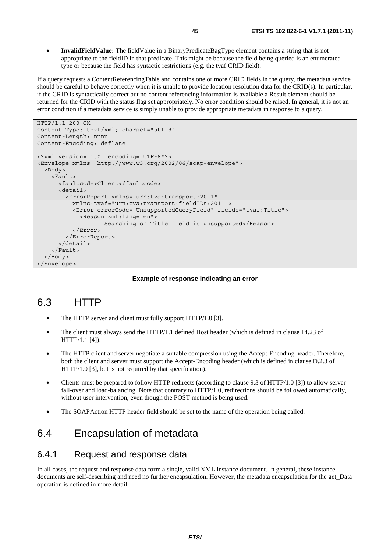• **InvalidFieldValue:** The fieldValue in a BinaryPredicateBagType element contains a string that is not appropriate to the fieldID in that predicate. This might be because the field being queried is an enumerated type or because the field has syntactic restrictions (e.g. the tvaf:CRID field).

If a query requests a ContentReferencingTable and contains one or more CRID fields in the query, the metadata service should be careful to behave correctly when it is unable to provide location resolution data for the CRID(s). In particular, if the CRID is syntactically correct but no content referencing information is available a Result element should be returned for the CRID with the status flag set appropriately. No error condition should be raised. In general, it is not an error condition if a metadata service is simply unable to provide appropriate metadata in response to a query.

```
HTTP/1.1 200 OK 
Content-Type: text/xml; charset="utf-8" 
Content-Length: nnnn 
Content-Encoding: deflate 
<?xml version="1.0" encoding="UTF-8"?> 
<Envelope xmlns="http://www.w3.org/2002/06/soap-envelope"> 
   <Body> 
     <Fault> 
       <faultcode>Client</faultcode> 
       <detail> 
         <ErrorReport xmlns="urn:tva:transport:2011" 
           xmlns:tvaf="urn:tva:transport:fieldIDs:2011"> 
           <Error errorCode="UnsupportedQueryField" fields="tvaf:Title"> 
              <Reason xml:lang="en"> 
                     Searching on Title field is unsupported</Reason> 
           </Error> 
         </ErrorReport> 
       </detail> 
     </Fault> 
   </Body> 
</Envelope>
```
#### **Example of response indicating an error**

## 6.3 HTTP

- The HTTP server and client must fully support HTTP/1.0 [3].
- The client must always send the HTTP/1.1 defined Host header (which is defined in clause 14.23 of HTTP/1.1 [4]).
- The HTTP client and server negotiate a suitable compression using the Accept-Encoding header. Therefore, both the client and server must support the Accept-Encoding header (which is defined in clause D.2.3 of HTTP/1.0 [3], but is not required by that specification).
- Clients must be prepared to follow HTTP redirects (according to clause 9.3 of HTTP/1.0 [3]) to allow server fall-over and load-balancing. Note that contrary to HTTP/1.0, redirections should be followed automatically, without user intervention, even though the POST method is being used.
- The SOAPAction HTTP header field should be set to the name of the operation being called.

## 6.4 Encapsulation of metadata

#### 6.4.1 Request and response data

In all cases, the request and response data form a single, valid XML instance document. In general, these instance documents are self-describing and need no further encapsulation. However, the metadata encapsulation for the get\_Data operation is defined in more detail.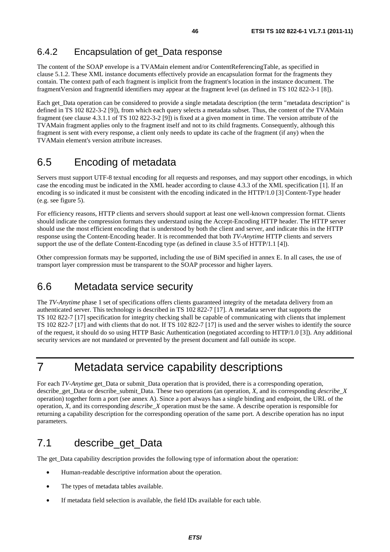### 6.4.2 Encapsulation of get\_Data response

The content of the SOAP envelope is a TVAMain element and/or ContentReferencingTable, as specified in clause 5.1.2. These XML instance documents effectively provide an encapsulation format for the fragments they contain. The context path of each fragment is implicit from the fragment's location in the instance document. The fragmentVersion and fragmentId identifiers may appear at the fragment level (as defined in TS 102 822-3-1 [8]).

Each get Data operation can be considered to provide a single metadata description (the term "metadata description" is defined in TS 102 822-3-2 [9]), from which each query selects a metadata subset. Thus, the content of the TVAMain fragment (see clause 4.3.1.1 of TS 102 822-3-2 [9]) is fixed at a given moment in time. The version attribute of the TVAMain fragment applies only to the fragment itself and not to its child fragments. Consequently, although this fragment is sent with every response, a client only needs to update its cache of the fragment (if any) when the TVAMain element's version attribute increases.

## 6.5 Encoding of metadata

Servers must support UTF-8 textual encoding for all requests and responses, and may support other encodings, in which case the encoding must be indicated in the XML header according to clause 4.3.3 of the XML specification [1]. If an encoding is so indicated it must be consistent with the encoding indicated in the HTTP/1.0 [3] Content-Type header (e.g. see figure 5).

For efficiency reasons, HTTP clients and servers should support at least one well-known compression format. Clients should indicate the compression formats they understand using the Accept-Encoding HTTP header. The HTTP server should use the most efficient encoding that is understood by both the client and server, and indicate this in the HTTP response using the Content-Encoding header. It is recommended that both *TV-Anytime* HTTP clients and servers support the use of the deflate Content-Encoding type (as defined in clause 3.5 of HTTP/1.1 [4]).

Other compression formats may be supported, including the use of BiM specified in annex E. In all cases, the use of transport layer compression must be transparent to the SOAP processor and higher layers.

## 6.6 Metadata service security

The *TV-Anytime* phase 1 set of specifications offers clients guaranteed integrity of the metadata delivery from an authenticated server. This technology is described in TS 102 822-7 [17]. A metadata server that supports the TS 102 822-7 [17] specification for integrity checking shall be capable of communicating with clients that implement TS 102 822-7 [17] and with clients that do not. If TS 102 822-7 [17] is used and the server wishes to identify the source of the request, it should do so using HTTP Basic Authentication (negotiated according to HTTP/1.0 [3]). Any additional security services are not mandated or prevented by the present document and fall outside its scope.

# 7 Metadata service capability descriptions

For each *TV-Anytime* get\_Data or submit\_Data operation that is provided, there is a corresponding operation, describe\_get\_Data or describe\_submit\_Data. These two operations (an operation, *X*, and its corresponding *describe*\_*X* operation) together form a port (see annex A). Since a port always has a single binding and endpoint, the URL of the operation, *X*, and its corresponding *describe\_X* operation must be the same. A describe operation is responsible for returning a capability description for the corresponding operation of the same port. A describe operation has no input parameters.

## 7.1 describe\_get\_Data

The get Data capability description provides the following type of information about the operation:

- Human-readable descriptive information about the operation.
- The types of metadata tables available.
- If metadata field selection is available, the field IDs available for each table.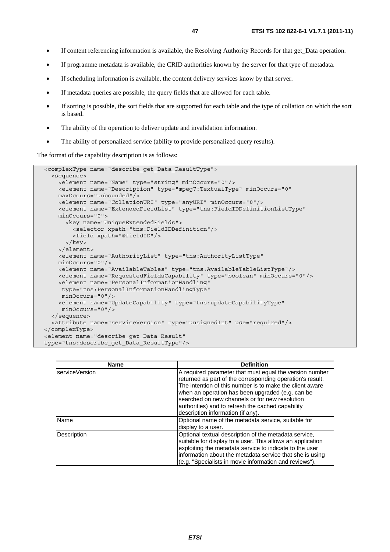- If content referencing information is available, the Resolving Authority Records for that get\_Data operation.
- If programme metadata is available, the CRID authorities known by the server for that type of metadata.
- If scheduling information is available, the content delivery services know by that server.
- If metadata queries are possible, the query fields that are allowed for each table.
- If sorting is possible, the sort fields that are supported for each table and the type of collation on which the sort is based.
- The ability of the operation to deliver update and invalidation information.
- The ability of personalized service (ability to provide personalized query results).

The format of the capability description is as follows:

```
 <complexType name="describe_get_Data_ResultType"> 
   <sequence> 
     <element name="Name" type="string" minOccurs="0"/> 
     <element name="Description" type="mpeg7:TextualType" minOccurs="0" 
    maxOccurs="unbounded"/> 
     <element name="CollationURI" type="anyURI" minOccurs="0"/> 
     <element name="ExtendedFieldList" type="tns:FieldIDDefinitionListType" 
    minOccurs="0"> 
       <key name="UniqueExtendedFields"> 
         <selector xpath="tns:FieldIDDefinition"/> 
         <field xpath="@fieldID"/> 
       </key> 
     </element> 
     <element name="AuthorityList" type="tns:AuthorityListType" 
     minOccurs="0"/> 
     <element name="AvailableTables" type="tns:AvailableTableListType"/> 
     <element name="RequestedFieldsCapability" type="boolean" minOccurs="0"/> 
     <element name="PersonalInformationHandling" 
     type="tns:PersonalInformationHandlingType" 
     minOccurs="0"/> 
     <element name="UpdateCapability" type="tns:updateCapabilityType" 
      minOccurs="0"/> 
   </sequence> 
   <attribute name="serviceVersion" type="unsignedInt" use="required"/> 
</complexType> 
 <element name="describe_get_Data_Result" 
 type="tns:describe_get_Data_ResultType"/>
```

| <b>Name</b>    | <b>Definition</b>                                                                                                                                                                                                                                                                                                                                                                |
|----------------|----------------------------------------------------------------------------------------------------------------------------------------------------------------------------------------------------------------------------------------------------------------------------------------------------------------------------------------------------------------------------------|
| serviceVersion | A required parameter that must equal the version number<br>returned as part of the corresponding operation's result.<br>The intention of this number is to make the client aware<br>when an operation has been upgraded (e.g. can be<br>searched on new channels or for new resolution<br>authorities) and to refresh the cached capability<br>description information (if any). |
| <b>Name</b>    | Optional name of the metadata service, suitable for<br>display to a user.                                                                                                                                                                                                                                                                                                        |
| Description    | Optional textual description of the metadata service,<br>suitable for display to a user. This allows an application<br>exploiting the metadata service to indicate to the user<br>information about the metadata service that she is using<br>(e.g. "Specialists in movie information and reviews").                                                                             |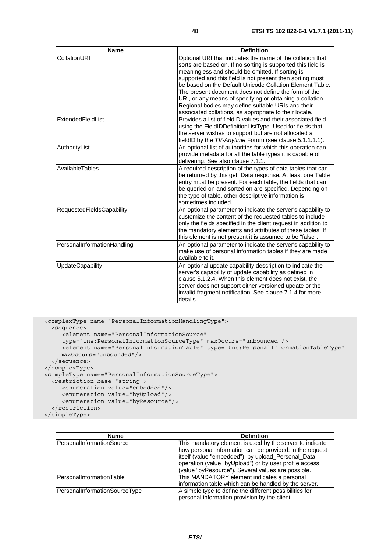| <b>Name</b>                 | <b>Definition</b>                                                                                                                                                                                                                                                                                                                                                                                                                                                                                                                            |
|-----------------------------|----------------------------------------------------------------------------------------------------------------------------------------------------------------------------------------------------------------------------------------------------------------------------------------------------------------------------------------------------------------------------------------------------------------------------------------------------------------------------------------------------------------------------------------------|
| CollationURI                | Optional URI that indicates the name of the collation that<br>sorts are based on. If no sorting is supported this field is<br>meaningless and should be omitted. If sorting is<br>supported and this field is not present then sorting must<br>be based on the Default Unicode Collation Element Table.<br>The present document does not define the form of the<br>URI, or any means of specifying or obtaining a collation.<br>Regional bodies may define suitable URIs and their<br>associated collations, as appropriate to their locale. |
| ExtendedFieldList           | Provides a list of fieldID values and their associated field<br>using the FieldIDDefinitionListType. Used for fields that<br>the server wishes to support but are not allocated a<br>fieldID by the TV-Anytime Forum (see clause 5.1.1.1.1).                                                                                                                                                                                                                                                                                                 |
| AuthorityList               | An optional list of authorities for which this operation can<br>provide metadata for all the table types it is capable of<br>delivering. See also clause 7.1.1.                                                                                                                                                                                                                                                                                                                                                                              |
| AvailableTables             | A required description of the types of data tables that can<br>be returned by this get_Data response. At least one Table<br>entry must be present. For each table, the fields that can<br>be queried on and sorted on are specified. Depending on<br>the type of table, other descriptive information is<br>sometimes included.                                                                                                                                                                                                              |
| RequestedFieldsCapability   | An optional parameter to indicate the server's capability to<br>customize the content of the requested tables to include<br>only the fields specified in the client request in addition to<br>the mandatory elements and attributes of these tables. If<br>this element is not present it is assumed to be "false".                                                                                                                                                                                                                          |
| PersonalInformationHandling | An optional parameter to indicate the server's capability to<br>make use of personal information tables if they are made<br>available to it.                                                                                                                                                                                                                                                                                                                                                                                                 |
| <b>UpdateCapability</b>     | An optional update capability description to indicate the<br>server's capability of update capability as defined in<br>clause 5.1.2.4. When this element does not exist, the<br>server does not support either versioned update or the<br>invalid fragment notification. See clause 7.1.4 for more<br>details.                                                                                                                                                                                                                               |

```
 <complexType name="PersonalInformationHandlingType"> 
    <sequence> 
       <element name="PersonalInformationSource" 
 type="tns:PersonalInformationSourceType" maxOccurs="unbounded"/> 
 <element name="PersonalInformationTable" type="tns:PersonalInformationTableType" 
       maxOccurs="unbounded"/> 
    </sequence> 
  </complexType> 
  <simpleType name="PersonalInformationSourceType"> 
    <restriction base="string"> 
       <enumeration value="embedded"/> 
       <enumeration value="byUpload"/> 
       <enumeration value="byResource"/> 
    </restriction> 
  </simpleType>
```

| <b>Name</b>                   | <b>Definition</b>                                        |
|-------------------------------|----------------------------------------------------------|
| PersonalInformationSource     | This mandatory element is used by the server to indicate |
|                               | how personal information can be provided: in the request |
|                               | itself (value "embedded"), by upload_Personal_Data       |
|                               | operation (value "byUpload") or by user profile access   |
|                               | (value "byResource"). Several values are possible.       |
| PersonalInformationTable      | This MANDATORY element indicates a personal              |
|                               | information table which can be handled by the server.    |
| PersonalInformationSourceType | A simple type to define the different possibilities for  |
|                               | personal information provision by the client.            |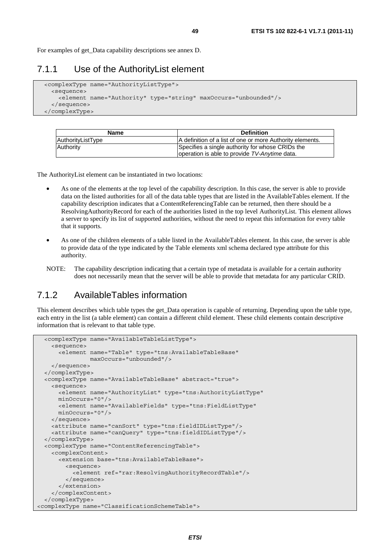For examples of get\_Data capability descriptions see annex D.

#### 7.1.1 Use of the AuthorityList element

```
 <complexType name="AuthorityListType"> 
   <sequence> 
     <element name="Authority" type="string" maxOccurs="unbounded"/> 
   </sequence> 
 </complexType>
```

| <b>Name</b>       | <b>Definition</b>                                         |
|-------------------|-----------------------------------------------------------|
| AuthorityListType | A definition of a list of one or more Authority elements. |
| Authority         | Specifies a single authority for whose CRIDs the          |
|                   | loperation is able to provide TV-Anytime data.            |

The AuthorityList element can be instantiated in two locations:

- As one of the elements at the top level of the capability description. In this case, the server is able to provide data on the listed authorities for all of the data table types that are listed in the AvailableTables element. If the capability description indicates that a ContentReferencingTable can be returned, then there should be a ResolvingAuthorityRecord for each of the authorities listed in the top level AuthorityList. This element allows a server to specify its list of supported authorities, without the need to repeat this information for every table that it supports.
- As one of the children elements of a table listed in the AvailableTables element. In this case, the server is able to provide data of the type indicated by the Table elements xml schema declared type attribute for this authority.
- NOTE: The capability description indicating that a certain type of metadata is available for a certain authority does not necessarily mean that the server will be able to provide that metadata for any particular CRID.

### 7.1.2 AvailableTables information

This element describes which table types the get\_Data operation is capable of returning. Depending upon the table type, each entry in the list (a table element) can contain a different child element. These child elements contain descriptive information that is relevant to that table type.

```
 <complexType name="AvailableTableListType"> 
     <sequence> 
       <element name="Table" type="tns:AvailableTableBase" 
                maxOccurs="unbounded"/> 
     </sequence> 
  </complexType> 
  <complexType name="AvailableTableBase" abstract="true"> 
     <sequence> 
       <element name="AuthorityList" type="tns:AuthorityListType" 
       minOccurs="0"/> 
       <element name="AvailableFields" type="tns:FieldListType" 
      minOccurs="0"/> 
    </sequence> 
     <attribute name="canSort" type="tns:fieldIDListType"/> 
     <attribute name="canQuery" type="tns:fieldIDListType"/> 
  </complexType> 
  <complexType name="ContentReferencingTable"> 
     <complexContent> 
       <extension base="tns:AvailableTableBase"> 
         <sequence> 
           <element ref="rar:ResolvingAuthorityRecordTable"/> 
         </sequence> 
       </extension> 
     </complexContent> 
  </complexType> 
<complexType name="ClassificationSchemeTable">
```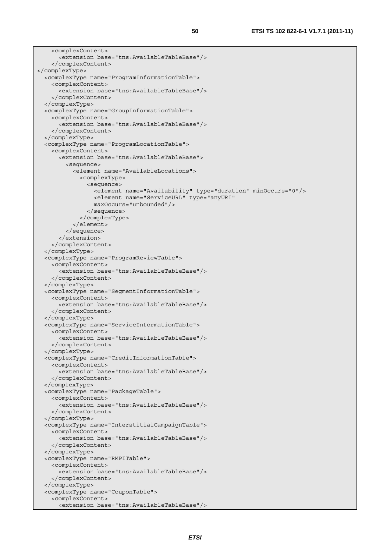```
 <complexContent> 
       <extension base="tns:AvailableTableBase"/> 
     </complexContent> 
</complexType> 
   <complexType name="ProgramInformationTable"> 
     <complexContent> 
       <extension base="tns:AvailableTableBase"/> 
     </complexContent> 
   </complexType> 
   <complexType name="GroupInformationTable"> 
     <complexContent> 
       <extension base="tns:AvailableTableBase"/> 
     </complexContent> 
   </complexType> 
   <complexType name="ProgramLocationTable"> 
     <complexContent> 
       <extension base="tns:AvailableTableBase"> 
         <sequence> 
            <element name="AvailableLocations"> 
              <complexType> 
                <sequence> 
                  <element name="Availability" type="duration" minOccurs="0"/> 
                  <element name="ServiceURL" type="anyURI" 
                  maxOccurs="unbounded"/> 
                </sequence> 
              </complexType> 
            </element> 
         </sequence> 
       </extension> 
     </complexContent> 
   </complexType> 
   <complexType name="ProgramReviewTable"> 
     <complexContent> 
       <extension base="tns:AvailableTableBase"/> 
     </complexContent> 
   </complexType> 
   <complexType name="SegmentInformationTable"> 
     <complexContent> 
       <extension base="tns:AvailableTableBase"/> 
     </complexContent> 
   </complexType> 
   <complexType name="ServiceInformationTable"> 
     <complexContent> 
       <extension base="tns:AvailableTableBase"/> 
     </complexContent> 
   </complexType> 
   <complexType name="CreditInformationTable"> 
     <complexContent> 
       <extension base="tns:AvailableTableBase"/> 
     </complexContent> 
  </complexType> 
   <complexType name="PackageTable"> 
     <complexContent> 
       <extension base="tns:AvailableTableBase"/> 
     </complexContent> 
   </complexType> 
   <complexType name="InterstitialCampaignTable"> 
     <complexContent> 
       <extension base="tns:AvailableTableBase"/> 
     </complexContent> 
   </complexType> 
   <complexType name="RMPITable"> 
     <complexContent> 
       <extension base="tns:AvailableTableBase"/> 
     </complexContent> 
   </complexType> 
   <complexType name="CouponTable"> 
     <complexContent> 
       <extension base="tns:AvailableTableBase"/>
```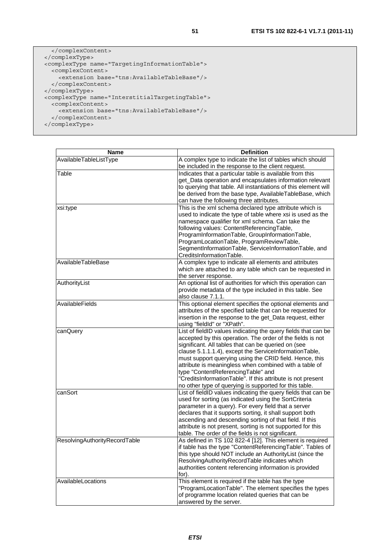```
 </complexContent> 
  </complexType> 
  <complexType name="TargetingInformationTable"> 
    <complexContent> 
       <extension base="tns:AvailableTableBase"/> 
    </complexContent> 
  </complexType> 
 <complexType name="InterstitialTargetingTable"> 
 <complexContent> 
      <extension base="tns:AvailableTableBase"/> 
    </complexContent> 
  </complexType>
```

| AvailableTableListType<br>A complex type to indicate the list of tables which should<br>be included in the response to the client request.<br>Table<br>Indicates that a particular table is available from this<br>get_Data operation and encapsulates information relevant<br>to querying that table. All instantiations of this element will<br>be derived from the base type, AvailableTableBase, which<br>can have the following three attributes.<br>This is the xml schema declared type attribute which is<br>xsi:type<br>used to indicate the type of table where xsi is used as the<br>namespace qualifier for xml schema. Can take the<br>following values: ContentReferencingTable,<br>ProgramInformationTable, GroupInformationTable,<br>ProgramLocationTable, ProgramReviewTable,<br>SegmentInformationTable, ServiceInformationTable, and<br>CreditsInformationTable.<br>AvailableTableBase<br>A complex type to indicate all elements and attributes<br>which are attached to any table which can be requested in<br>the server response.<br>AuthorityList<br>An optional list of authorities for which this operation can<br>provide metadata of the type included in this table. See<br>also clause 7.1.1.<br>AvailableFields<br>This optional element specifies the optional elements and<br>attributes of the specified table that can be requested for<br>insertion in the response to the get_Data request, either<br>using "fieldId" or "XPath".<br>List of fieldID values indicating the query fields that can be<br>canQuery<br>accepted by this operation. The order of the fields is not<br>significant. All tables that can be queried on (see | <b>Name</b> | <b>Definition</b> |
|---------------------------------------------------------------------------------------------------------------------------------------------------------------------------------------------------------------------------------------------------------------------------------------------------------------------------------------------------------------------------------------------------------------------------------------------------------------------------------------------------------------------------------------------------------------------------------------------------------------------------------------------------------------------------------------------------------------------------------------------------------------------------------------------------------------------------------------------------------------------------------------------------------------------------------------------------------------------------------------------------------------------------------------------------------------------------------------------------------------------------------------------------------------------------------------------------------------------------------------------------------------------------------------------------------------------------------------------------------------------------------------------------------------------------------------------------------------------------------------------------------------------------------------------------------------------------------------------------------------------------------------------------------------------------|-------------|-------------------|
|                                                                                                                                                                                                                                                                                                                                                                                                                                                                                                                                                                                                                                                                                                                                                                                                                                                                                                                                                                                                                                                                                                                                                                                                                                                                                                                                                                                                                                                                                                                                                                                                                                                                           |             |                   |
|                                                                                                                                                                                                                                                                                                                                                                                                                                                                                                                                                                                                                                                                                                                                                                                                                                                                                                                                                                                                                                                                                                                                                                                                                                                                                                                                                                                                                                                                                                                                                                                                                                                                           |             |                   |
|                                                                                                                                                                                                                                                                                                                                                                                                                                                                                                                                                                                                                                                                                                                                                                                                                                                                                                                                                                                                                                                                                                                                                                                                                                                                                                                                                                                                                                                                                                                                                                                                                                                                           |             |                   |
|                                                                                                                                                                                                                                                                                                                                                                                                                                                                                                                                                                                                                                                                                                                                                                                                                                                                                                                                                                                                                                                                                                                                                                                                                                                                                                                                                                                                                                                                                                                                                                                                                                                                           |             |                   |
|                                                                                                                                                                                                                                                                                                                                                                                                                                                                                                                                                                                                                                                                                                                                                                                                                                                                                                                                                                                                                                                                                                                                                                                                                                                                                                                                                                                                                                                                                                                                                                                                                                                                           |             |                   |
|                                                                                                                                                                                                                                                                                                                                                                                                                                                                                                                                                                                                                                                                                                                                                                                                                                                                                                                                                                                                                                                                                                                                                                                                                                                                                                                                                                                                                                                                                                                                                                                                                                                                           |             |                   |
|                                                                                                                                                                                                                                                                                                                                                                                                                                                                                                                                                                                                                                                                                                                                                                                                                                                                                                                                                                                                                                                                                                                                                                                                                                                                                                                                                                                                                                                                                                                                                                                                                                                                           |             |                   |
|                                                                                                                                                                                                                                                                                                                                                                                                                                                                                                                                                                                                                                                                                                                                                                                                                                                                                                                                                                                                                                                                                                                                                                                                                                                                                                                                                                                                                                                                                                                                                                                                                                                                           |             |                   |
|                                                                                                                                                                                                                                                                                                                                                                                                                                                                                                                                                                                                                                                                                                                                                                                                                                                                                                                                                                                                                                                                                                                                                                                                                                                                                                                                                                                                                                                                                                                                                                                                                                                                           |             |                   |
|                                                                                                                                                                                                                                                                                                                                                                                                                                                                                                                                                                                                                                                                                                                                                                                                                                                                                                                                                                                                                                                                                                                                                                                                                                                                                                                                                                                                                                                                                                                                                                                                                                                                           |             |                   |
|                                                                                                                                                                                                                                                                                                                                                                                                                                                                                                                                                                                                                                                                                                                                                                                                                                                                                                                                                                                                                                                                                                                                                                                                                                                                                                                                                                                                                                                                                                                                                                                                                                                                           |             |                   |
|                                                                                                                                                                                                                                                                                                                                                                                                                                                                                                                                                                                                                                                                                                                                                                                                                                                                                                                                                                                                                                                                                                                                                                                                                                                                                                                                                                                                                                                                                                                                                                                                                                                                           |             |                   |
|                                                                                                                                                                                                                                                                                                                                                                                                                                                                                                                                                                                                                                                                                                                                                                                                                                                                                                                                                                                                                                                                                                                                                                                                                                                                                                                                                                                                                                                                                                                                                                                                                                                                           |             |                   |
|                                                                                                                                                                                                                                                                                                                                                                                                                                                                                                                                                                                                                                                                                                                                                                                                                                                                                                                                                                                                                                                                                                                                                                                                                                                                                                                                                                                                                                                                                                                                                                                                                                                                           |             |                   |
|                                                                                                                                                                                                                                                                                                                                                                                                                                                                                                                                                                                                                                                                                                                                                                                                                                                                                                                                                                                                                                                                                                                                                                                                                                                                                                                                                                                                                                                                                                                                                                                                                                                                           |             |                   |
|                                                                                                                                                                                                                                                                                                                                                                                                                                                                                                                                                                                                                                                                                                                                                                                                                                                                                                                                                                                                                                                                                                                                                                                                                                                                                                                                                                                                                                                                                                                                                                                                                                                                           |             |                   |
|                                                                                                                                                                                                                                                                                                                                                                                                                                                                                                                                                                                                                                                                                                                                                                                                                                                                                                                                                                                                                                                                                                                                                                                                                                                                                                                                                                                                                                                                                                                                                                                                                                                                           |             |                   |
|                                                                                                                                                                                                                                                                                                                                                                                                                                                                                                                                                                                                                                                                                                                                                                                                                                                                                                                                                                                                                                                                                                                                                                                                                                                                                                                                                                                                                                                                                                                                                                                                                                                                           |             |                   |
|                                                                                                                                                                                                                                                                                                                                                                                                                                                                                                                                                                                                                                                                                                                                                                                                                                                                                                                                                                                                                                                                                                                                                                                                                                                                                                                                                                                                                                                                                                                                                                                                                                                                           |             |                   |
|                                                                                                                                                                                                                                                                                                                                                                                                                                                                                                                                                                                                                                                                                                                                                                                                                                                                                                                                                                                                                                                                                                                                                                                                                                                                                                                                                                                                                                                                                                                                                                                                                                                                           |             |                   |
|                                                                                                                                                                                                                                                                                                                                                                                                                                                                                                                                                                                                                                                                                                                                                                                                                                                                                                                                                                                                                                                                                                                                                                                                                                                                                                                                                                                                                                                                                                                                                                                                                                                                           |             |                   |
|                                                                                                                                                                                                                                                                                                                                                                                                                                                                                                                                                                                                                                                                                                                                                                                                                                                                                                                                                                                                                                                                                                                                                                                                                                                                                                                                                                                                                                                                                                                                                                                                                                                                           |             |                   |
|                                                                                                                                                                                                                                                                                                                                                                                                                                                                                                                                                                                                                                                                                                                                                                                                                                                                                                                                                                                                                                                                                                                                                                                                                                                                                                                                                                                                                                                                                                                                                                                                                                                                           |             |                   |
|                                                                                                                                                                                                                                                                                                                                                                                                                                                                                                                                                                                                                                                                                                                                                                                                                                                                                                                                                                                                                                                                                                                                                                                                                                                                                                                                                                                                                                                                                                                                                                                                                                                                           |             |                   |
|                                                                                                                                                                                                                                                                                                                                                                                                                                                                                                                                                                                                                                                                                                                                                                                                                                                                                                                                                                                                                                                                                                                                                                                                                                                                                                                                                                                                                                                                                                                                                                                                                                                                           |             |                   |
|                                                                                                                                                                                                                                                                                                                                                                                                                                                                                                                                                                                                                                                                                                                                                                                                                                                                                                                                                                                                                                                                                                                                                                                                                                                                                                                                                                                                                                                                                                                                                                                                                                                                           |             |                   |
|                                                                                                                                                                                                                                                                                                                                                                                                                                                                                                                                                                                                                                                                                                                                                                                                                                                                                                                                                                                                                                                                                                                                                                                                                                                                                                                                                                                                                                                                                                                                                                                                                                                                           |             |                   |
| clause 5.1.1.1.4), except the ServiceInformationTable,<br>must support querying using the CRID field. Hence, this                                                                                                                                                                                                                                                                                                                                                                                                                                                                                                                                                                                                                                                                                                                                                                                                                                                                                                                                                                                                                                                                                                                                                                                                                                                                                                                                                                                                                                                                                                                                                         |             |                   |
| attribute is meaningless when combined with a table of                                                                                                                                                                                                                                                                                                                                                                                                                                                                                                                                                                                                                                                                                                                                                                                                                                                                                                                                                                                                                                                                                                                                                                                                                                                                                                                                                                                                                                                                                                                                                                                                                    |             |                   |
| type "ContentReferencingTable" and                                                                                                                                                                                                                                                                                                                                                                                                                                                                                                                                                                                                                                                                                                                                                                                                                                                                                                                                                                                                                                                                                                                                                                                                                                                                                                                                                                                                                                                                                                                                                                                                                                        |             |                   |
| "CreditsInformationTable". If this attribute is not present                                                                                                                                                                                                                                                                                                                                                                                                                                                                                                                                                                                                                                                                                                                                                                                                                                                                                                                                                                                                                                                                                                                                                                                                                                                                                                                                                                                                                                                                                                                                                                                                               |             |                   |
| no other type of querying is supported for this table.                                                                                                                                                                                                                                                                                                                                                                                                                                                                                                                                                                                                                                                                                                                                                                                                                                                                                                                                                                                                                                                                                                                                                                                                                                                                                                                                                                                                                                                                                                                                                                                                                    |             |                   |
| List of fieldID values indicating the query fields that can be<br>canSort                                                                                                                                                                                                                                                                                                                                                                                                                                                                                                                                                                                                                                                                                                                                                                                                                                                                                                                                                                                                                                                                                                                                                                                                                                                                                                                                                                                                                                                                                                                                                                                                 |             |                   |
| used for sorting (as indicated using the SortCriteria                                                                                                                                                                                                                                                                                                                                                                                                                                                                                                                                                                                                                                                                                                                                                                                                                                                                                                                                                                                                                                                                                                                                                                                                                                                                                                                                                                                                                                                                                                                                                                                                                     |             |                   |
| parameter in a query). For every field that a server                                                                                                                                                                                                                                                                                                                                                                                                                                                                                                                                                                                                                                                                                                                                                                                                                                                                                                                                                                                                                                                                                                                                                                                                                                                                                                                                                                                                                                                                                                                                                                                                                      |             |                   |
| declares that it supports sorting, it shall support both                                                                                                                                                                                                                                                                                                                                                                                                                                                                                                                                                                                                                                                                                                                                                                                                                                                                                                                                                                                                                                                                                                                                                                                                                                                                                                                                                                                                                                                                                                                                                                                                                  |             |                   |
| ascending and descending sorting of that field. If this                                                                                                                                                                                                                                                                                                                                                                                                                                                                                                                                                                                                                                                                                                                                                                                                                                                                                                                                                                                                                                                                                                                                                                                                                                                                                                                                                                                                                                                                                                                                                                                                                   |             |                   |
| attribute is not present, sorting is not supported for this                                                                                                                                                                                                                                                                                                                                                                                                                                                                                                                                                                                                                                                                                                                                                                                                                                                                                                                                                                                                                                                                                                                                                                                                                                                                                                                                                                                                                                                                                                                                                                                                               |             |                   |
| table. The order of the fields is not significant.                                                                                                                                                                                                                                                                                                                                                                                                                                                                                                                                                                                                                                                                                                                                                                                                                                                                                                                                                                                                                                                                                                                                                                                                                                                                                                                                                                                                                                                                                                                                                                                                                        |             |                   |
| ResolvingAuthorityRecordTable<br>As defined in TS 102 822-4 [12]. This element is required                                                                                                                                                                                                                                                                                                                                                                                                                                                                                                                                                                                                                                                                                                                                                                                                                                                                                                                                                                                                                                                                                                                                                                                                                                                                                                                                                                                                                                                                                                                                                                                |             |                   |
| if table has the type "ContentReferencingTable". Tables of<br>this type should NOT include an AuthorityList (since the                                                                                                                                                                                                                                                                                                                                                                                                                                                                                                                                                                                                                                                                                                                                                                                                                                                                                                                                                                                                                                                                                                                                                                                                                                                                                                                                                                                                                                                                                                                                                    |             |                   |
| ResolvingAuthorityRecordTable indicates which                                                                                                                                                                                                                                                                                                                                                                                                                                                                                                                                                                                                                                                                                                                                                                                                                                                                                                                                                                                                                                                                                                                                                                                                                                                                                                                                                                                                                                                                                                                                                                                                                             |             |                   |
| authorities content referencing information is provided                                                                                                                                                                                                                                                                                                                                                                                                                                                                                                                                                                                                                                                                                                                                                                                                                                                                                                                                                                                                                                                                                                                                                                                                                                                                                                                                                                                                                                                                                                                                                                                                                   |             |                   |
| for).                                                                                                                                                                                                                                                                                                                                                                                                                                                                                                                                                                                                                                                                                                                                                                                                                                                                                                                                                                                                                                                                                                                                                                                                                                                                                                                                                                                                                                                                                                                                                                                                                                                                     |             |                   |
| This element is required if the table has the type<br>AvailableLocations                                                                                                                                                                                                                                                                                                                                                                                                                                                                                                                                                                                                                                                                                                                                                                                                                                                                                                                                                                                                                                                                                                                                                                                                                                                                                                                                                                                                                                                                                                                                                                                                  |             |                   |
| "ProgramLocationTable". The element specifies the types                                                                                                                                                                                                                                                                                                                                                                                                                                                                                                                                                                                                                                                                                                                                                                                                                                                                                                                                                                                                                                                                                                                                                                                                                                                                                                                                                                                                                                                                                                                                                                                                                   |             |                   |
| of programme location related queries that can be                                                                                                                                                                                                                                                                                                                                                                                                                                                                                                                                                                                                                                                                                                                                                                                                                                                                                                                                                                                                                                                                                                                                                                                                                                                                                                                                                                                                                                                                                                                                                                                                                         |             |                   |
| answered by the server.                                                                                                                                                                                                                                                                                                                                                                                                                                                                                                                                                                                                                                                                                                                                                                                                                                                                                                                                                                                                                                                                                                                                                                                                                                                                                                                                                                                                                                                                                                                                                                                                                                                   |             |                   |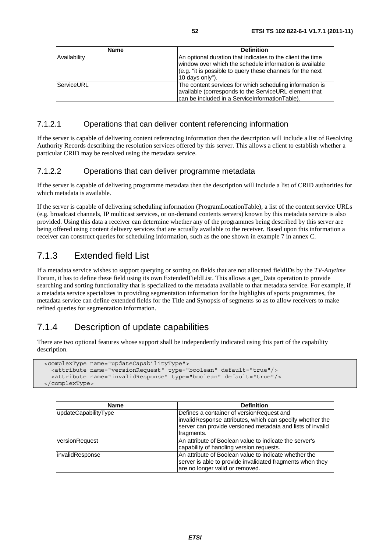| <b>Name</b>  | <b>Definition</b>                                                                                                                                                                                      |
|--------------|--------------------------------------------------------------------------------------------------------------------------------------------------------------------------------------------------------|
| Availability | An optional duration that indicates to the client the time<br>window over which the schedule information is available<br>(e.g. "it is possible to query these channels for the next<br>10 days only"). |
| ServiceURL   | The content services for which scheduling information is<br>available (corresponds to the ServiceURL element that<br>can be included in a ServiceInformationTable).                                    |

#### 7.1.2.1 Operations that can deliver content referencing information

If the server is capable of delivering content referencing information then the description will include a list of Resolving Authority Records describing the resolution services offered by this server. This allows a client to establish whether a particular CRID may be resolved using the metadata service.

#### 7.1.2.2 Operations that can deliver programme metadata

If the server is capable of delivering programme metadata then the description will include a list of CRID authorities for which metadata is available.

If the server is capable of delivering scheduling information (ProgramLocationTable), a list of the content service URLs (e.g. broadcast channels, IP multicast services, or on-demand contents servers) known by this metadata service is also provided. Using this data a receiver can determine whether any of the programmes being described by this server are being offered using content delivery services that are actually available to the receiver. Based upon this information a receiver can construct queries for scheduling information, such as the one shown in example 7 in annex C.

### 7.1.3 Extended field List

If a metadata service wishes to support querying or sorting on fields that are not allocated fieldIDs by the *TV-Anytime* Forum, it has to define these field using its own ExtendedFieldList. This allows a get\_Data operation to provide searching and sorting functionality that is specialized to the metadata available to that metadata service. For example, if a metadata service specializes in providing segmentation information for the highlights of sports programmes, the metadata service can define extended fields for the Title and Synopsis of segments so as to allow receivers to make refined queries for segmentation information.

### 7.1.4 Description of update capabilities

There are two optional features whose support shall be independently indicated using this part of the capability description.

```
 <complexType name="updateCapabilityType"> 
   <attribute name="versionRequest" type="boolean" default="true"/> 
   <attribute name="invalidResponse" type="boolean" default="true"/> 
 </complexType>
```

| <b>Name</b>            | <b>Definition</b>                                                                                                                                                                   |
|------------------------|-------------------------------------------------------------------------------------------------------------------------------------------------------------------------------------|
| updateCapabilityType   | Defines a container of version Request and<br>invalidResponse attributes, which can specify whether the<br>server can provide versioned metadata and lists of invalid<br>fragments. |
| versionRequest         | An attribute of Boolean value to indicate the server's<br>capability of handling version requests.                                                                                  |
| <i>invalidResponse</i> | An attribute of Boolean value to indicate whether the<br>server is able to provide invalidated fragments when they<br>are no longer valid or removed.                               |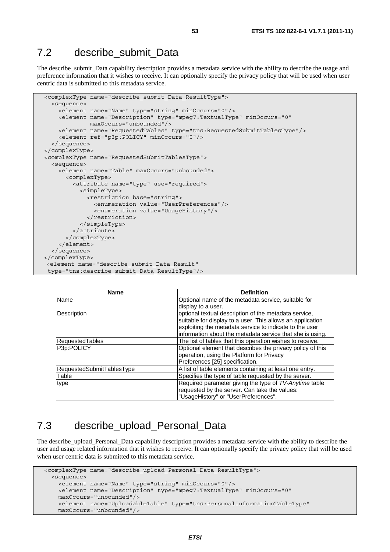## 7.2 describe submit Data

The describe\_submit\_Data capability description provides a metadata service with the ability to describe the usage and preference information that it wishes to receive. It can optionally specify the privacy policy that will be used when user centric data is submitted to this metadata service.

```
 <complexType name="describe_submit_Data_ResultType"> 
   <sequence> 
     <element name="Name" type="string" minOccurs="0"/> 
     <element name="Description" type="mpeg7:TextualType" minOccurs="0" 
              maxOccurs="unbounded"/> 
     <element name="RequestedTables" type="tns:RequestedSubmitTablesType"/> 
     <element ref="p3p:POLICY" minOccurs="0"/> 
   </sequence> 
 </complexType> 
 <complexType name="RequestedSubmitTablesType"> 
   <sequence> 
     <element name="Table" maxOccurs="unbounded"> 
       <complexType> 
         <attribute name="type" use="required"> 
           <simpleType> 
             <restriction base="string"> 
                <enumeration value="UserPreferences"/> 
                <enumeration value="UsageHistory"/> 
              </restriction> 
           </simpleType> 
         </attribute> 
       </complexType> 
     </element> 
  </sequence> 
</complexType> 
 <element name="describe_submit_Data_Result" 
 type="tns:describe_submit_Data_ResultType"/>
```

| <b>Name</b>               | <b>Definition</b>                                          |
|---------------------------|------------------------------------------------------------|
| Name                      | Optional name of the metadata service, suitable for        |
|                           | display to a user.                                         |
| Description               | optional textual description of the metadata service,      |
|                           | suitable for display to a user. This allows an application |
|                           | exploiting the metadata service to indicate to the user    |
|                           | information about the metadata service that she is using.  |
| <b>RequestedTables</b>    | The list of tables that this operation wishes to receive.  |
| P3p:POLICY                | Optional element that describes the privacy policy of this |
|                           | operation, using the Platform for Privacy                  |
|                           | Preferences [25] specification.                            |
| RequestedSubmitTablesType | A list of table elements containing at least one entry.    |
| Table                     | Specifies the type of table requested by the server.       |
| type                      | Required parameter giving the type of TV-Anytime table     |
|                           | requested by the server. Can take the values:              |
|                           | "UsageHistory" or "UserPreferences".                       |

## 7.3 describe upload Personal Data

The describe upload Personal Data capability description provides a metadata service with the ability to describe the user and usage related information that it wishes to receive. It can optionally specify the privacy policy that will be used when user centric data is submitted to this metadata service.

```
 <complexType name="describe_upload_Personal_Data_ResultType"> 
   <sequence> 
     <element name="Name" type="string" minOccurs="0"/> 
     <element name="Description" type="mpeg7:TextualType" minOccurs="0" 
     maxOccurs="unbounded"/> 
     <element name="UploadableTable" type="tns:PersonalInformationTableType" 
    maxOccurs="unbounded"/>
```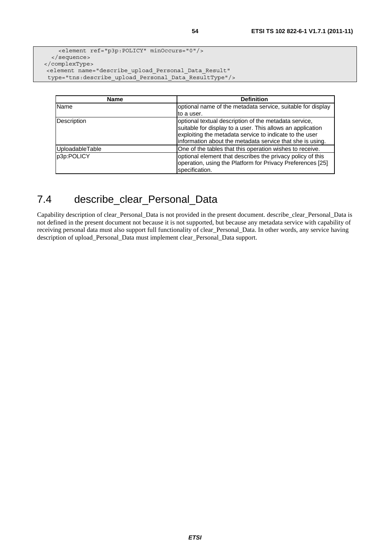```
 <element ref="p3p:POLICY" minOccurs="0"/> 
   </sequence> 
</complexType> 
 <element name="describe_upload_Personal_Data_Result"
```
type="tns:describe\_upload\_Personal\_Data\_ResultType"/>

| <b>Name</b>        | <b>Definition</b>                                                                                                                                                                                                                           |
|--------------------|---------------------------------------------------------------------------------------------------------------------------------------------------------------------------------------------------------------------------------------------|
| Name               | optional name of the metadata service, suitable for display                                                                                                                                                                                 |
|                    | to a user.                                                                                                                                                                                                                                  |
| <b>Description</b> | optional textual description of the metadata service,<br>suitable for display to a user. This allows an application<br>exploiting the metadata service to indicate to the user<br>information about the metadata service that she is using. |
| UploadableTable    | One of the tables that this operation wishes to receive.                                                                                                                                                                                    |
| p3p:POLICY         | optional element that describes the privacy policy of this<br>operation, using the Platform for Privacy Preferences [25]<br>specification.                                                                                                  |

## 7.4 describe\_clear\_Personal\_Data

Capability description of clear\_Personal\_Data is not provided in the present document. describe\_clear\_Personal\_Data is not defined in the present document not because it is not supported, but because any metadata service with capability of receiving personal data must also support full functionality of clear\_Personal\_Data. In other words, any service having description of upload\_Personal\_Data must implement clear\_Personal\_Data support.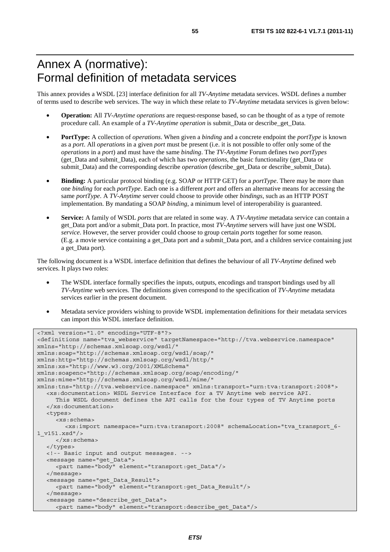# Annex A (normative): Formal definition of metadata services

This annex provides a WSDL [23] interface definition for all *TV-Anytime* metadata services. WSDL defines a number of terms used to describe web services. The way in which these relate to *TV-Anytime* metadata services is given below:

- **Operation:** All *TV-Anytime operations* are request-response based, so can be thought of as a type of remote procedure call. An example of a *TV-Anytime operation* is submit*\_*Data or describe*\_*get*\_*Data.
- **PortType:** A collection of *operations*. When given a *binding* and a concrete endpoint the *portType* is known as a *port*. All *operations* in a given *port* must be present (i.e. it is not possible to offer only some of the *operations* in a *port*) and must have the same *binding*. The *TV-Anytime* Forum defines two *portTypes* (get*\_*Data and submit*\_*Data), each of which has two *operations*, the basic functionality (get*\_*Data or submit*\_*Data) and the corresponding describe *operation* (describe\_get*\_*Data or describe\_submit*\_*Data).
- **Binding:** A particular protocol binding (e.g. SOAP or HTTP GET) for a *portType*. There may be more than one *binding* for each *portType*. Each one is a different *port* and offers an alternative means for accessing the same *portType*. A *TV-Anytime* server could choose to provide other *bindings*, such as an HTTP POST implementation. By mandating a SOAP *binding*, a minimum level of interoperability is guaranteed.
- **Service:** A family of WSDL *ports* that are related in some way. A *TV-Anytime* metadata service can contain a get\_Data port and/or a submit\_Data port. In practice, most *TV-Anytime* servers will have just one WSDL *service*. However, the server provider could choose to group certain *ports* together for some reason. (E.g. a movie service containing a get\_Data port and a submit\_Data port, and a children service containing just a get\_Data port).

The following document is a WSDL interface definition that defines the behaviour of all *TV-Anytime* defined web services. It plays two roles:

- The WSDL interface formally specifies the inputs, outputs, encodings and transport bindings used by all *TV-Anytime* web services. The definitions given correspond to the specification of *TV-Anytime* metadata services earlier in the present document.
- Metadata service providers wishing to provide WSDL implementation definitions for their metadata services can import this WSDL interface definition.

```
<?xml version="1.0" encoding="UTF-8"?> 
<definitions name="tva_webservice" targetNamespace="http://tva.webservice.namespace" 
xmlns="http://schemas.xmlsoap.org/wsdl/" 
xmlns:soap="http://schemas.xmlsoap.org/wsdl/soap/" 
xmlns:http="http://schemas.xmlsoap.org/wsdl/http/" 
xmlns:xs="http://www.w3.org/2001/XMLSchema" 
xmlns:soapenc="http://schemas.xmlsoap.org/soap/encoding/" 
xmlns:mime="http://schemas.xmlsoap.org/wsdl/mime/" 
xmlns:tns="http://tva.webservice.namespace" xmlns:transport="urn:tva:transport:2008"> 
    <xs:documentation> WSDL Service Interface for a TV Anytime web service API. 
      This WSDL document defines the API calls for the four types of TV Anytime ports 
   </xs:documentation> 
   <types> 
      <xs:schema> 
         <xs:import namespace="urn:tva:transport:2008" schemaLocation="tva_transport_6-
1_v151.xsd"/> 
      </xs:schema> 
   </types> 
   <!-- Basic input and output messages. --> 
   <message name="get_Data"> 
      <part name="body" element="transport:get_Data"/> 
   </message> 
   <message name="get_Data_Result"> 
      <part name="body" element="transport:get_Data_Result"/> 
   </message> 
    <message name="describe_get_Data"> 
      <part name="body" element="transport:describe_get_Data"/>
```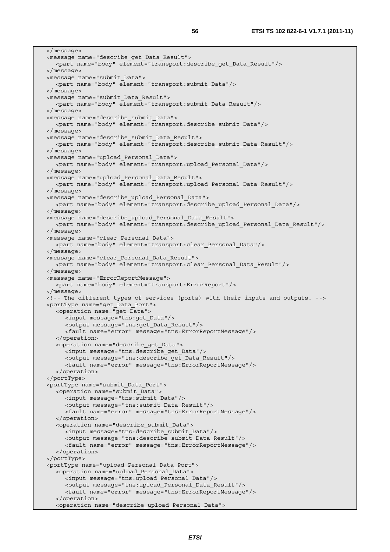</message> <message name="describe\_get\_Data\_Result"> <part name="body" element="transport:describe\_get\_Data\_Result"/> </message> <message name="submit\_Data"> <part name="body" element="transport:submit\_Data"/> </message> <message name="submit\_Data\_Result"> <part name="body" element="transport:submit\_Data\_Result"/> </message> <message name="describe\_submit\_Data"> <part name="body" element="transport:describe\_submit\_Data"/> </message> <message name="describe\_submit\_Data\_Result"> <part name="body" element="transport:describe\_submit\_Data\_Result"/> </message> <message name="upload\_Personal\_Data"> <part name="body" element="transport:upload\_Personal\_Data"/> </message> <message name="upload\_Personal\_Data\_Result"> <part name="body" element="transport:upload\_Personal\_Data\_Result"/> </message> <message name="describe\_upload\_Personal\_Data"> <part name="body" element="transport:describe\_upload\_Personal\_Data"/> </message> <message name="describe\_upload\_Personal\_Data\_Result"> <part name="body" element="transport:describe\_upload\_Personal\_Data\_Result"/> </message> <message name="clear\_Personal\_Data"> <part name="body" element="transport:clear\_Personal\_Data"/> </message> <message name="clear\_Personal\_Data\_Result"> <part name="body" element="transport:clear\_Personal\_Data\_Result"/> </message> <message name="ErrorReportMessage"> <part name="body" element="transport:ErrorReport"/> </message> <!-- The different types of services (ports) with their inputs and outputs. --> <portType name="get\_Data\_Port"> <operation name="get\_Data"> <input message="tns:get\_Data"/> <output message="tns:get\_Data\_Result"/> <fault name="error" message="tns:ErrorReportMessage"/> </operation> <operation name="describe\_get\_Data"> <input message="tns:describe\_get\_Data"/> <output message="tns:describe\_get\_Data\_Result"/> <fault name="error" message="tns:ErrorReportMessage"/> </operation> </portType> <portType name="submit\_Data\_Port"> <operation name="submit\_Data"> <input message="tns:submit\_Data"/> <output message="tns:submit\_Data\_Result"/> <fault name="error" message="tns:ErrorReportMessage"/> </operation> <operation name="describe\_submit\_Data"> <input message="tns:describe\_submit\_Data"/> <output message="tns:describe\_submit\_Data\_Result"/> <fault name="error" message="tns:ErrorReportMessage"/> </operation> </portType> <portType name="upload\_Personal\_Data\_Port"> <operation name="upload\_Personal\_Data"> <input message="tns:upload\_Personal\_Data"/> <output message="tns:upload\_Personal\_Data\_Result"/> <fault name="error" message="tns:ErrorReportMessage"/> </operation> <operation name="describe\_upload\_Personal\_Data">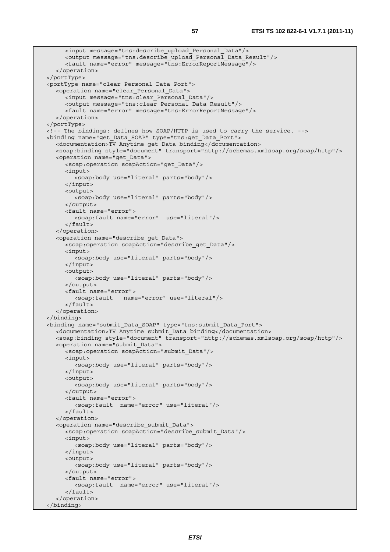```
 <input message="tns:describe_upload_Personal_Data"/> 
      <output message="tns:describe_upload_Personal_Data_Result"/> 
      <fault name="error" message="tns:ErrorReportMessage"/> 
    </operation> 
 </portType> 
 <portType name="clear_Personal_Data_Port"> 
    <operation name="clear_Personal_Data"> 
      <input message="tns:clear_Personal_Data"/> 
      <output message="tns:clear_Personal_Data_Result"/> 
      <fault name="error" message="tns:ErrorReportMessage"/> 
    </operation> 
 </portType> 
 <!-- The bindings: defines how SOAP/HTTP is used to carry the service. --> 
 <binding name="get_Data_SOAP" type="tns:get_Data_Port"> 
   <documentation>TV Anytime get_Data binding</documentation> 
   <soap:binding style="document" transport="http://schemas.xmlsoap.org/soap/http"/> 
    <operation name="get_Data"> 
      <soap:operation soapAction="get_Data"/> 
      <input> 
         <soap:body use="literal" parts="body"/> 
      </input> 
      <output> 
         <soap:body use="literal" parts="body"/> 
      </output> 
      <fault name="error"> 
         <soap:fault name="error" use="literal"/> 
      </fault> 
    </operation> 
    <operation name="describe_get_Data"> 
      <soap:operation soapAction="describe_get_Data"/> 
      <input> 
         <soap:body use="literal" parts="body"/> 
      </input> 
      <output> 
         <soap:body use="literal" parts="body"/> 
      </output> 
      <fault name="error"> 
         <soap:fault name="error" use="literal"/> 
      </fault> 
    </operation> 
 </binding> 
 <binding name="submit_Data_SOAP" type="tns:submit_Data_Port"> 
   <documentation>TV Anytime submit_Data binding</documentation> 
    <soap:binding style="document" transport="http://schemas.xmlsoap.org/soap/http"/> 
    <operation name="submit_Data"> 
      <soap:operation soapAction="submit_Data"/> 
      <input> 
         <soap:body use="literal" parts="body"/> 
      </input> 
      <output> 
         <soap:body use="literal" parts="body"/> 
      </output> 
      <fault name="error"> 
         <soap:fault name="error" use="literal"/> 
      </fault> 
    </operation> 
    <operation name="describe_submit_Data"> 
      <soap:operation soapAction="describe_submit_Data"/> 
      <input> 
         <soap:body use="literal" parts="body"/> 
      </input> 
      <output> 
         <soap:body use="literal" parts="body"/> 
      </output> 
      <fault name="error"> 
         <soap:fault name="error" use="literal"/> 
      </fault> 
    </operation> 
 </binding>
```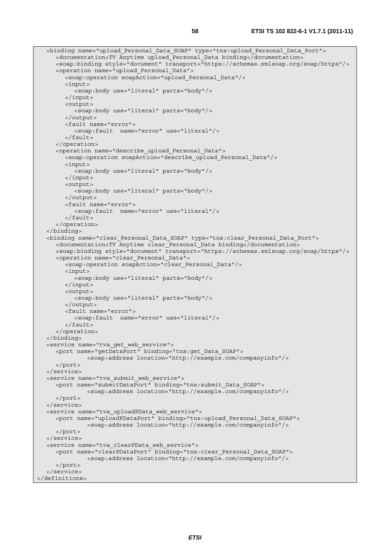```
 <binding name="upload_Personal_Data_SOAP" type="tns:upload_Personal_Data_Port"> 
      <documentation>TV Anytime upload_Personal_Data binding</documentation> 
      <soap:binding style="document" transport="https://schemas.xmlsoap.org/soap/https"/> 
      <operation name="upload_Personal_Data"> 
         <soap:operation soapAction="upload_Personal_Data"/> 
         <input> 
            <soap:body use="literal" parts="body"/> 
         </input> 
         <output> 
            <soap:body use="literal" parts="body"/> 
         </output> 
         <fault name="error"> 
            <soap:fault name="error" use="literal"/> 
         </fault> 
      </operation> 
      <operation name="describe_upload_Personal_Data"> 
         <soap:operation soapAction="describe_upload_Personal_Data"/> 
         <input> 
            <soap:body use="literal" parts="body"/> 
         </input> 
         <output> 
            <soap:body use="literal" parts="body"/> 
         </output> 
         <fault name="error"> 
            <soap:fault name="error" use="literal"/> 
         </fault> 
      </operation> 
   </binding> 
   <binding name="clear_Personal_Data_SOAP" type="tns:clear_Personal_Data_Port"> 
      <documentation>TV Anytime clear_Personal_Data binding</documentation> 
      <soap:binding style="document" transport="https://schemas.xmlsoap.org/soap/https"/> 
      <operation name="clear_Personal_Data"> 
         <soap:operation soapAction="clear_Personal_Data"/> 
         <input> 
           <soap:body use="literal" parts="body"/> 
         </input> 
         <output> 
            <soap:body use="literal" parts="body"/> 
         </output> 
         <fault name="error"> 
            <soap:fault name="error" use="literal"/> 
         </fault> 
      </operation> 
   </binding> 
   <service name="tva_get_web_service"> 
      <port name="getDataPort" binding="tns:get_Data_SOAP"> 
                <soap:address location="http://example.com/companyinfo"/> 
      </port> 
   </service> 
   <service name="tva_submit_web_service"> 
      <port name="submitDataPort" binding="tns:submit_Data_SOAP"> 
                <soap:address location="http://example.com/companyinfo"/> 
      </port> 
   </service> 
   <service name="tva_uploadPData_web_service"> 
      <port name="uploadPDataPort" binding="tns:upload_Personal_Data_SOAP"> 
                <soap:address location="http://example.com/companyinfo"/> 
      </port> 
   </service> 
   <service name="tva_clearPData_web_service"> 
      <port name="clearPDataPort" binding="tns:clear_Personal_Data_SOAP"> 
                <soap:address location="http://example.com/companyinfo"/> 
      </port> 
   </service> 
</definitions>
```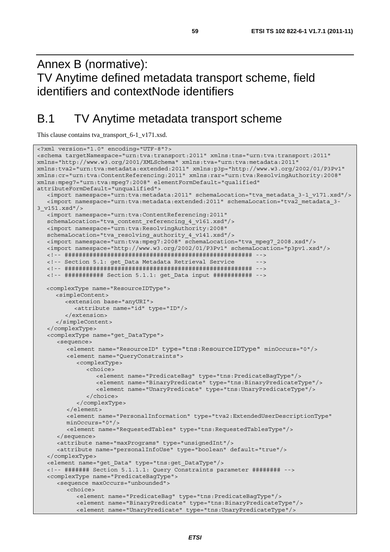Annex B (normative): TV Anytime defined metadata transport scheme, field identifiers and contextNode identifiers

# B.1 TV Anytime metadata transport scheme

This clause contains tva\_transport\_6-1\_v171.xsd.

```
<?xml version="1.0" encoding="UTF-8"?> 
<schema targetNamespace="urn:tva:transport:2011" xmlns:tns="urn:tva:transport:2011" 
xmlns="http://www.w3.org/2001/XMLSchema" xmlns:tva="urn:tva:metadata:2011" 
xmlns:tva2="urn:tva:metadata:extended:2011" xmlns:p3p="http://www.w3.org/2002/01/P3Pv1" 
xmlns:cr="urn:tva:ContentReferencing:2011" xmlns:rar="urn:tva:ResolvingAuthority:2008" 
xmlns:mpeg7="urn:tva:mpeg7:2008" elementFormDefault="qualified" 
attributeFormDefault="unqualified"> 
    <import namespace="urn:tva:metadata:2011" schemaLocation="tva_metadata_3-1_v171.xsd"/> 
    <import namespace="urn:tva:metadata:extended:2011" schemaLocation="tva2_metadata_3-
3_v151.xsd"/> 
   <import namespace="urn:tva:ContentReferencing:2011" 
   schemaLocation="tva_content_referencing_4_v161.xsd"/> 
    <import namespace="urn:tva:ResolvingAuthority:2008" 
    schemaLocation="tva_resolving_authority_4_v141.xsd"/> 
   <import namespace="urn:tva:mpeg7:2008" schemaLocation="tva_mpeg7_2008.xsd"/> 
   <import namespace="http://www.w3.org/2002/01/P3Pv1" schemaLocation="p3pv1.xsd"/> 
   <!-- ##################################################### --> 
   <!-- Section 5.1: get_Data Metadata Retrieval Service --> 
   <!-- ##################################################### --> 
   <!-- ########### Section 5.1.1: get_Data input ########### --> 
  <complexType name="ResourceIDType"> 
      <simpleContent> 
         <extension base="anyURI"> 
            <attribute name="id" type="ID"/> 
         </extension> 
      </simpleContent> 
    </complexType> 
    <complexType name="get_DataType"> 
       <sequence> 
         <element name="ResourceID" type="tns:ResourceIDType" minOccurs="0"/> 
         <element name="QueryConstraints"> 
            <complexType> 
               <choice> 
                  <element name="PredicateBag" type="tns:PredicateBagType"/> 
                  <element name="BinaryPredicate" type="tns:BinaryPredicateType"/> 
                  <element name="UnaryPredicate" type="tns:UnaryPredicateType"/> 
               </choice> 
            </complexType> 
         </element> 
         <element name="PersonalInformation" type="tva2:ExtendedUserDescriptionType" 
         minOccurs="0"/> 
         <element name="RequestedTables" type="tns:RequestedTablesType"/> 
      </sequence> 
      <attribute name="maxPrograms" type="unsignedInt"/> 
      <attribute name="personalInfoUse" type="boolean" default="true"/> 
    </complexType> 
    <element name="get_Data" type="tns:get_DataType"/> 
    <!-- ####### Section 5.1.1.1: Query Constraints parameter ######## --> 
    <complexType name="PredicateBagType"> 
      <sequence maxOccurs="unbounded"> 
         <choice> 
            <element name="PredicateBag" type="tns:PredicateBagType"/> 
            <element name="BinaryPredicate" type="tns:BinaryPredicateType"/> 
            <element name="UnaryPredicate" type="tns:UnaryPredicateType"/>
```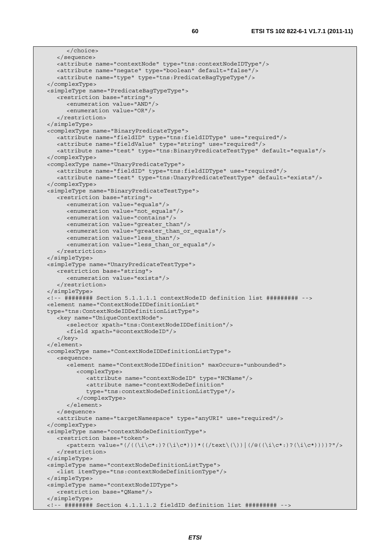```
 </choice> 
   </sequence> 
   <attribute name="contextNode" type="tns:contextNodeIDType"/> 
   <attribute name="negate" type="boolean" default="false"/> 
    <attribute name="type" type="tns:PredicateBagTypeType"/> 
 </complexType> 
 <simpleType name="PredicateBagTypeType"> 
   <restriction base="string"> 
      <enumeration value="AND"/> 
       <enumeration value="OR"/> 
    </restriction> 
 </simpleType> 
 <complexType name="BinaryPredicateType"> 
   <attribute name="fieldID" type="tns:fieldIDType" use="required"/> 
   <attribute name="fieldValue" type="string" use="required"/> 
    <attribute name="test" type="tns:BinaryPredicateTestType" default="equals"/> 
 </complexType> 
 <complexType name="UnaryPredicateType"> 
    <attribute name="fieldID" type="tns:fieldIDType" use="required"/> 
   <attribute name="test" type="tns:UnaryPredicateTestType" default="exists"/> 
 </complexType> 
 <simpleType name="BinaryPredicateTestType"> 
   <restriction base="string"> 
      <enumeration value="equals"/> 
      <enumeration value="not_equals"/> 
      <enumeration value="contains"/> 
      <enumeration value="greater_than"/> 
       <enumeration value="greater_than_or_equals"/> 
      <enumeration value="less_than"/> 
      <enumeration value="less_than_or_equals"/> 
    </restriction> 
 </simpleType> 
 <simpleType name="UnaryPredicateTestType"> 
   <restriction base="string"> 
      <enumeration value="exists"/> 
    </restriction> 
 </simpleType> 
 <!-- ######## Section 5.1.1.1.1 contextNodeID definition list ######### --> 
 <element name="ContextNodeIDDefinitionList" 
 type="tns:ContextNodeIDDefinitionListType"> 
    <key name="UniqueContextNode"> 
      <selector xpath="tns:ContextNodeIDDefinition"/> 
       <field xpath="@contextNodeID"/> 
    </key> 
 </element> 
 <complexType name="ContextNodeIDDefinitionListType"> 
    <sequence> 
       <element name="ContextNodeIDDefinition" maxOccurs="unbounded"> 
          <complexType> 
             <attribute name="contextNodeID" type="NCName"/> 
            <attribute name="contextNodeDefinition" 
            type="tns:contextNodeDefinitionListType"/> 
          </complexType> 
       </element> 
   </sequence> 
    <attribute name="targetNamespace" type="anyURI" use="required"/> 
 </complexType> 
 <simpleType name="contextNodeDefinitionType"> 
    <restriction base="token"> 
      \langle <pattern value="(/((\i\c*:)?(\i\c*)))*((/text\(\))|(/@((\i\c*:)?(\i\c*))))?"/>
    </restriction> 
 </simpleType> 
 <simpleType name="contextNodeDefinitionListType"> 
   <list itemType="tns:contextNodeDefinitionType"/> 
 </simpleType> 
 <simpleType name="contextNodeIDType"> 
    <restriction base="QName"/> 
 </simpleType> 
 <!-- ######## Section 4.1.1.1.2 fieldID definition list ######### -->
```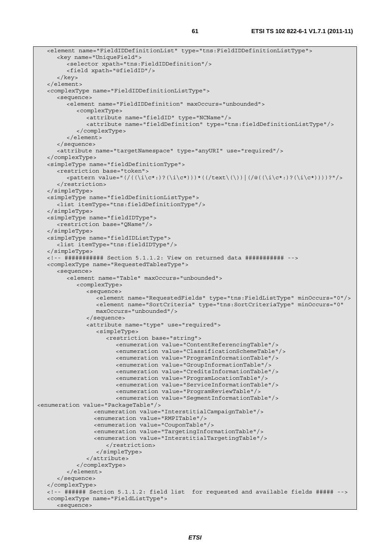```
 <element name="FieldIDDefinitionList" type="tns:FieldIDDefinitionListType"> 
      <key name="UniqueField"> 
         <selector xpath="tns:FieldIDDefinition"/> 
         <field xpath="@fieldID"/> 
       </key> 
   </element> 
   <complexType name="FieldIDDefinitionListType"> 
      <sequence> 
         <element name="FieldIDDefinition" maxOccurs="unbounded"> 
            <complexType> 
               <attribute name="fieldID" type="NCName"/> 
               <attribute name="fieldDefinition" type="tns:fieldDefinitionListType"/> 
            </complexType> 
         </element> 
      </sequence> 
      <attribute name="targetNamespace" type="anyURI" use="required"/> 
   </complexType> 
   <simpleType name="fieldDefinitionType"> 
      <restriction base="token"> 
         <pattern value="(/((\i\c*:)?(\i\c*)))*((/text\(\))|(/@((\i\c*:)?(\i\c*))))?"/> 
      </restriction> 
   </simpleType> 
   <simpleType name="fieldDefinitionListType"> 
      <list itemType="tns:fieldDefinitionType"/> 
   </simpleType> 
   <simpleType name="fieldIDType"> 
      <restriction base="QName"/> 
   </simpleType> 
   <simpleType name="fieldIDListType"> 
      <list itemType="tns:fieldIDType"/> 
   </simpleType> 
   <!-- ########### Section 5.1.1.2: View on returned data ########### --> 
   <complexType name="RequestedTablesType"> 
      <sequence> 
         <element name="Table" maxOccurs="unbounded"> 
            <complexType> 
               <sequence> 
                  <element name="RequestedFields" type="tns:FieldListType" minOccurs="0"/> 
                  <element name="SortCriteria" type="tns:SortCriteriaType" minOccurs="0" 
                  maxOccurs="unbounded"/> 
               </sequence> 
               <attribute name="type" use="required"> 
                  <simpleType> 
                     <restriction base="string"> 
                        <enumeration value="ContentReferencingTable"/> 
                        <enumeration value="ClassificationSchemeTable"/> 
                        <enumeration value="ProgramInformationTable"/> 
                        <enumeration value="GroupInformationTable"/> 
                        <enumeration value="CreditsInformationTable"/> 
                        <enumeration value="ProgramLocationTable"/> 
                        <enumeration value="ServiceInformationTable"/> 
                        <enumeration value="ProgramReviewTable"/> 
                        <enumeration value="SegmentInformationTable"/> 
<enumeration value="PackageTable"/> 
                  <enumeration value="InterstitialCampaignTable"/> 
                  <enumeration value="RMPITable"/> 
                  <enumeration value="CouponTable"/> 
                  <enumeration value="TargetingInformationTable"/> 
                  <enumeration value="InterstitialTargetingTable"/> 
                     </restriction> 
                  </simpleType> 
               </attribute> 
            </complexType> 
         </element> 
      </sequence> 
   </complexType> 
   <!-- ###### Section 5.1.1.2: field list for requested and available fields ##### --> 
   <complexType name="FieldListType"> 
      <sequence>
```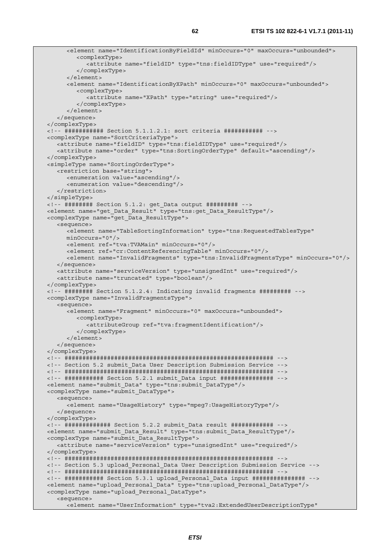<element name="IdentificationByFieldId" minOccurs="0" maxOccurs="unbounded"> <complexType> <attribute name="fieldID" type="tns:fieldIDType" use="required"/> </complexType> </element> <element name="IdentificationByXPath" minOccurs="0" maxOccurs="unbounded"> <complexType> <attribute name="XPath" type="string" use="required"/> </complexType> </element> </sequence> </complexType> <!-- ########### Section 5.1.1.2.1: sort criteria ########### --> <complexType name="SortCriteriaType"> <attribute name="fieldID" type="tns:fieldIDType" use="required"/> <attribute name="order" type="tns:SortingOrderType" default="ascending"/> </complexType> <simpleType name="SortingOrderType"> <restriction base="string"> <enumeration value="ascending"/> <enumeration value="descending"/> </restriction> </simpleType> <!-- ######## Section 5.1.2: get\_Data output ######### --> <element name="get\_Data\_Result" type="tns:get\_Data\_ResultType"/> <complexType name="get\_Data\_ResultType"> <sequence> <element name="TableSortingInformation" type="tns:RequestedTablesType" minOccurs="0"/> <element ref="tva:TVAMain" minOccurs="0"/> <element ref="cr:ContentReferencingTable" minOccurs="0"/> <element name="InvalidFragments" type="tns:InvalidFragmentsType" minOccurs="0"/> </sequence> <attribute name="serviceVersion" type="unsignedInt" use="required"/> <attribute name="truncated" type="boolean"/> </complexType> <!-- ######## Section 5.1.2.4: Indicating invalid fragments ######### --> <complexType name="InvalidFragmentsType"> <sequence> <element name="Fragment" minOccurs="0" maxOccurs="unbounded"> <complexType> <attributeGroup ref="tva:fragmentIdentification"/> </complexType> </element> </sequence> </complexType> <!-- ########################################################### --> <!-- Section 5.2 submit\_Data User Description Submission Service --> <!-- ########################################################### --> <!-- ########### Section 5.2.1 submit\_Data input ############### --> <element name="submit\_Data" type="tns:submit\_DataType"/> <complexType name="submit\_DataType"> <sequence> <element name="UsageHistory" type="mpeg7:UsageHistoryType"/> </sequence> </complexType> <!-- ############# Section 5.2.2 submit\_Data result ############ --> <element name="submit\_Data\_Result" type="tns:submit\_Data\_ResultType"/> <complexType name="submit\_Data\_ResultType"> <attribute name="serviceVersion" type="unsignedInt" use="required"/> </complexType> <!-- ########################################################### --> <!-- Section 5.3 upload\_Personal\_Data User Description Submission Service --> <!-- ########################################################### --> <!-- ########### Section 5.3.1 upload\_Personal\_Data input ############### --> <element name="upload\_Personal\_Data" type="tns:upload\_Personal\_DataType"/> <complexType name="upload\_Personal\_DataType"> <sequence> <element name="UserInformation" type="tva2:ExtendedUserDescriptionType"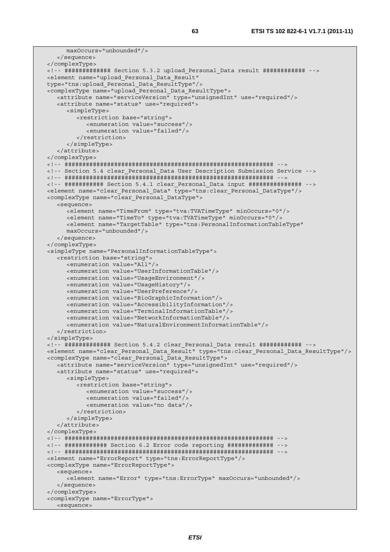```
 maxOccurs="unbounded"/> 
    </sequence> 
 </complexType> 
 <!-- ############# Section 5.3.2 upload_Personal_Data result ############ --> 
 <element name="upload_Personal_Data_Result" 
 type="tns:upload_Personal_Data_ResultType"/> 
 <complexType name="upload_Personal_Data_ResultType"> 
   <attribute name="serviceVersion" type="unsignedInt" use="required"/> 
   <attribute name="status" use="required"> 
      <simpleType> 
          <restriction base="string"> 
            <enumeration value="success"/> 
             <enumeration value="failed"/> 
          </restriction> 
       </simpleType> 
    </attribute> 
 </complexType> 
 <!-- ########################################################### --> 
 <!-- Section 5.4 clear_Personal_Data User Description Submission Service --> 
 <!-- ########################################################### --> 
 <!-- ########### Section 5.4.1 clear_Personal_Data input ############### --> 
 <element name="clear_Personal_Data" type="tns:clear_Personal_DataType"/> 
 <complexType name="clear_Personal_DataType"> 
   <sequence> 
       <element name="TimeFrom" type="tva:TVATimeType" minOccurs="0"/> 
       <element name="TimeTo" type="tva:TVATimeType" minOccurs="0"/> 
       <element name="TargetTable" type="tns:PersonalInformationTableType" 
       maxOccurs="unbounded"/> 
   </sequence> 
 </complexType> 
 <simpleType name="PersonalInformationTableType"> 
   <restriction base="string"> 
      <enumeration value="All"/> 
       <enumeration value="UserInformationTable"/> 
      <enumeration value="UsageEnvironment"/> 
      <enumeration value="UsageHistory"/> 
      <enumeration value="UserPreference"/> 
      <enumeration value="BioGraphicInformation"/> 
       <enumeration value="AccessibilityInformation"/> 
      <enumeration value="TerminalInformationTable"/> 
       <enumeration value="NetworkInformationTable"/> 
       <enumeration value="NaturalEnvironmentInformationTable"/> 
    </restriction> 
 </simpleType> 
 <!-- ############# Section 5.4.2 clear_Personal_Data result ############ --> 
 <element name="clear_Personal_Data_Result" type="tns:clear_Personal_Data_ResultType"/> 
 <complexType name="clear_Personal_Data_ResultType"> 
   <attribute name="serviceVersion" type="unsignedInt" use="required"/> 
   <attribute name="status" use="required"> 
       <simpleType> 
          <restriction base="string"> 
             <enumeration value="success"/> 
            <enumeration value="failed"/> 
             <enumeration value="no data"/> 
          </restriction> 
      </simpleType> 
   </attribute> 
 </complexType> 
 <!-- ########################################################### --> 
 <!-- ############ Section 6.2 Error code reporting ############# --> 
 <!-- ########################################################### --> 
 <element name="ErrorReport" type="tns:ErrorReportType"/> 
 <complexType name="ErrorReportType"> 
   <sequence> 
       <element name="Error" type="tns:ErrorType" maxOccurs="unbounded"/> 
    </sequence> 
 </complexType> 
 <complexType name="ErrorType"> 
   <sequence>
```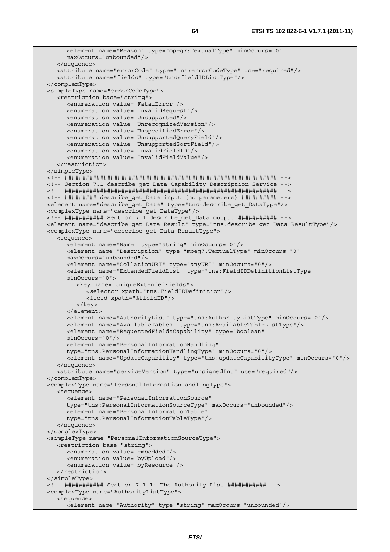```
 <element name="Reason" type="mpeg7:TextualType" minOccurs="0" 
      maxOccurs="unbounded"/> 
   </sequence> 
   <attribute name="errorCode" type="tns:errorCodeType" use="required"/> 
    <attribute name="fields" type="tns:fieldIDListType"/> 
 </complexType> 
 <simpleType name="errorCodeType"> 
    <restriction base="string"> 
      <enumeration value="FatalError"/> 
      <enumeration value="InvalidRequest"/> 
      <enumeration value="Unsupported"/> 
       <enumeration value="UnrecognizedVersion"/> 
      <enumeration value="UnspecifiedError"/> 
      <enumeration value="UnsupportedQueryField"/> 
      <enumeration value="UnsupportedSortField"/> 
      <enumeration value="InvalidFieldID"/> 
       <enumeration value="InvalidFieldValue"/> 
    </restriction> 
 </simpleType> 
 <!-- ############################################################ --> 
 <!-- Section 7.1 describe_get_Data Capability Description Service --> 
 <!-- ############################################################ --> 
 <!-- ######### describe_get_Data input (no parameters) ########## --> 
 <element name="describe_get_Data" type="tns:describe_get_DataType"/> 
 <complexType name="describe_get_DataType"/> 
 <!-- ########### Section 7.1 describe_get_Data output ########### --> 
 <element name="describe_get_Data_Result" type="tns:describe_get_Data_ResultType"/> 
 <complexType name="describe_get_Data_ResultType"> 
    <sequence> 
       <element name="Name" type="string" minOccurs="0"/> 
       <element name="Description" type="mpeg7:TextualType" minOccurs="0" 
      maxOccurs="unbounded"/> 
      <element name="CollationURI" type="anyURI" minOccurs="0"/> 
       <element name="ExtendedFieldList" type="tns:FieldIDDefinitionListType" 
      minOccurs="0"> 
          <key name="UniqueExtendedFields"> 
            <selector xpath="tns:FieldIDDefinition"/> 
            <field xpath="@fieldID"/> 
          </key> 
       </element> 
       <element name="AuthorityList" type="tns:AuthorityListType" minOccurs="0"/> 
      <element name="AvailableTables" type="tns:AvailableTableListType"/> 
       <element name="RequestedFieldsCapability" type="boolean" 
      minOccurs="0"/> 
       <element name="PersonalInformationHandling" 
      type="tns:PersonalInformationHandlingType" minOccurs="0"/> 
       <element name="UpdateCapability" type="tns:updateCapabilityType" minOccurs="0"/> 
    </sequence> 
    <attribute name="serviceVersion" type="unsignedInt" use="required"/> 
 </complexType> 
 <complexType name="PersonalInformationHandlingType"> 
    <sequence> 
      <element name="PersonalInformationSource" 
      type="tns:PersonalInformationSourceType" maxOccurs="unbounded"/> 
       <element name="PersonalInformationTable" 
       type="tns:PersonalInformationTableType"/> 
   </sequence> 
 </complexType> 
 <simpleType name="PersonalInformationSourceType"> 
    <restriction base="string"> 
       <enumeration value="embedded"/> 
      <enumeration value="byUpload"/> 
      <enumeration value="byResource"/> 
    </restriction> 
 </simpleType> 
 <!-- ########### Section 7.1.1: The Authority List ########### --> 
 <complexType name="AuthorityListType"> 
    <sequence> 
     <element name="Authority" type="string" maxOccurs="unbounded"/>
```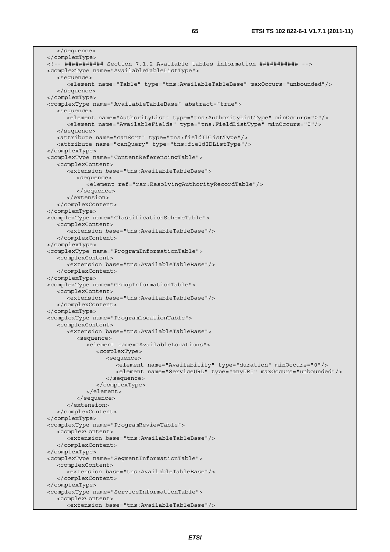</sequence> </complexType> <!-- ########### Section 7.1.2 Available tables information ########### --> <complexType name="AvailableTableListType"> <sequence> <element name="Table" type="tns:AvailableTableBase" maxOccurs="unbounded"/> </sequence> </complexType> <complexType name="AvailableTableBase" abstract="true"> <sequence> <element name="AuthorityList" type="tns:AuthorityListType" minOccurs="0"/> <element name="AvailableFields" type="tns:FieldListType" minOccurs="0"/> </sequence> <attribute name="canSort" type="tns:fieldIDListType"/> <attribute name="canQuery" type="tns:fieldIDListType"/> </complexType> <complexType name="ContentReferencingTable"> <complexContent> <extension base="tns:AvailableTableBase"> <sequence> <element ref="rar:ResolvingAuthorityRecordTable"/> </sequence> </extension> </complexContent> </complexType> <complexType name="ClassificationSchemeTable"> <complexContent> <extension base="tns:AvailableTableBase"/> </complexContent> </complexType> <complexType name="ProgramInformationTable"> <complexContent> <extension base="tns:AvailableTableBase"/> </complexContent> </complexType> <complexType name="GroupInformationTable"> <complexContent> <extension base="tns:AvailableTableBase"/> </complexContent> </complexType> <complexType name="ProgramLocationTable"> <complexContent> <extension base="tns:AvailableTableBase"> <sequence> <element name="AvailableLocations"> <complexType> <sequence> <element name="Availability" type="duration" minOccurs="0"/> <element name="ServiceURL" type="anyURI" maxOccurs="unbounded"/> </sequence> </complexType> </element> </sequence> </extension> </complexContent> </complexType> <complexType name="ProgramReviewTable"> <complexContent> <extension base="tns:AvailableTableBase"/> </complexContent> </complexType> <complexType name="SegmentInformationTable"> <complexContent> <extension base="tns:AvailableTableBase"/> </complexContent> </complexType> <complexType name="ServiceInformationTable"> <complexContent> <extension base="tns:AvailableTableBase"/>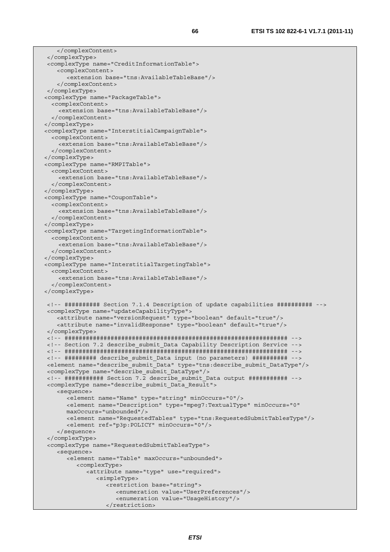```
 </complexContent> 
 </complexType> 
 <complexType name="CreditInformationTable"> 
    <complexContent> 
       <extension base="tns:AvailableTableBase"/> 
     </complexContent> 
 </complexType> 
 <complexType name="PackageTable"> 
   <complexContent> 
     <extension base="tns:AvailableTableBase"/> 
   </complexContent> 
 </complexType> 
 <complexType name="InterstitialCampaignTable"> 
   <complexContent> 
     <extension base="tns:AvailableTableBase"/> 
   </complexContent> 
 </complexType> 
 <complexType name="RMPITable"> 
   <complexContent> 
     <extension base="tns:AvailableTableBase"/> 
   </complexContent> 
 </complexType> 
 <complexType name="CouponTable"> 
   <complexContent> 
     <extension base="tns:AvailableTableBase"/> 
   </complexContent> 
 </complexType> 
 <complexType name="TargetingInformationTable"> 
   <complexContent> 
     <extension base="tns:AvailableTableBase"/> 
   </complexContent> 
 </complexType> 
 <complexType name="InterstitialTargetingTable"> 
   <complexContent> 
     <extension base="tns:AvailableTableBase"/> 
   </complexContent> 
 </complexType> 
 <!-- ########## Section 7.1.4 Description of update capabilities ########## --> 
 <complexType name="updateCapabilityType"> 
    <attribute name="versionRequest" type="boolean" default="true"/> 
    <attribute name="invalidResponse" type="boolean" default="true"/> 
 </complexType> 
 <!-- ############################################################### --> 
 <!-- Section 7.2 describe_submit_Data Capability Description Service --> 
 <!-- ############################################################### --> 
 <!-- ######### describe_submit_Data input (no parameters) ########## --> 
 <element name="describe_submit_Data" type="tns:describe_submit_DataType"/> 
 <complexType name="describe_submit_DataType"/> 
 <!-- ########### Section 7.2 describe_submit_Data output ########### --> 
 <complexType name="describe_submit_Data_Result"> 
    <sequence> 
       <element name="Name" type="string" minOccurs="0"/> 
       <element name="Description" type="mpeg7:TextualType" minOccurs="0" 
       maxOccurs="unbounded"/> 
       <element name="RequestedTables" type="tns:RequestedSubmitTablesType"/> 
       <element ref="p3p:POLICY" minOccurs="0"/> 
     </sequence> 
 </complexType> 
 <complexType name="RequestedSubmitTablesType"> 
     <sequence> 
       <element name="Table" maxOccurs="unbounded"> 
          <complexType> 
             <attribute name="type" use="required"> 
                <simpleType> 
                   <restriction base="string"> 
                      <enumeration value="UserPreferences"/> 
                      <enumeration value="UsageHistory"/> 
                   </restriction>
```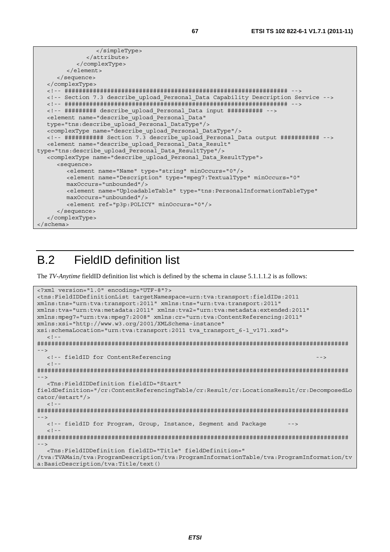```
 </simpleType> 
               </attribute> 
            </complexType> 
        \geq/element>
      </sequence> 
   </complexType> 
   <!-- ############################################################### --> 
   <!-- Section 7.3 describe_upload_Personal_Data Capability Description Service --> 
   <!-- ############################################################### --> 
   <!-- ######### describe_upload_Personal_Data input ########## --> 
   <element name="describe_upload_Personal_Data" 
   type="tns:describe_upload_Personal_DataType"/> 
   <complexType name="describe_upload_Personal_DataType"/> 
   <!-- ########### Section 7.3 describe_upload_Personal_Data output ########### --> 
   <element name="describe_upload_Personal_Data_Result" 
type="tns:describe_upload_Personal_Data_ResultType"/> 
   <complexType name="describe_upload_Personal_Data_ResultType"> 
      <sequence> 
         <element name="Name" type="string" minOccurs="0"/> 
         <element name="Description" type="mpeg7:TextualType" minOccurs="0" 
         maxOccurs="unbounded"/> 
         <element name="UploadableTable" type="tns:PersonalInformationTableType" 
         maxOccurs="unbounded"/> 
         <element ref="p3p:POLICY" minOccurs="0"/> 
      </sequence> 
   </complexType> 
</schema>
```
# B.2 FieldID definition list

The *TV-Anytime* fieldID definition list which is defined by the schema in clause 5.1.1.1.2 is as follows:

```
<?xml version="1.0" encoding="UTF-8"?> 
<tns:FieldIDDefinitionList targetNamespace=urn:tva:transport:fieldIDs:2011 
xmlns:tns="urn:tva:transport:2011" xmlns:tns="urn:tva:transport:2011" 
xmlns:tva="urn:tva:metadata:2011" xmlns:tva2="urn:tva:metadata:extended:2011" 
xmlns:mpeg7="urn:tva:mpeg7:2008" xmlns:cr="urn:tva:ContentReferencing:2011" 
xmlns:xsi="http://www.w3.org/2001/XMLSchema-instance" 
xsi:schemaLocation="urn:tva:transport:2011 tva_transport_6-1_v171.xsd"> 
  \leq ! -######################################################################################## 
--> 
   <!-- fieldID for ContentReferencing --> 
  <! --
######################################################################################## 
--> 
   <Tns:FieldIDDefinition fieldID="Start" 
fieldDefinition="/cr:ContentReferencingTable/cr:Result/cr:LocationsResult/cr:DecomposedLo
cator/@start"/> 
  \geq 1 -######################################################################################## 
--> 
  <!-- fieldID for Program, Group, Instance, Segment and Package
  \leq ! -
######################################################################################## 
--> 
   <Tns:FieldIDDefinition fieldID="Title" fieldDefinition=" 
/tva:TVAMain/tva:ProgramDescription/tva:ProgramInformationTable/tva:ProgramInformation/tv
a:BasicDescription/tva:Title/text()
```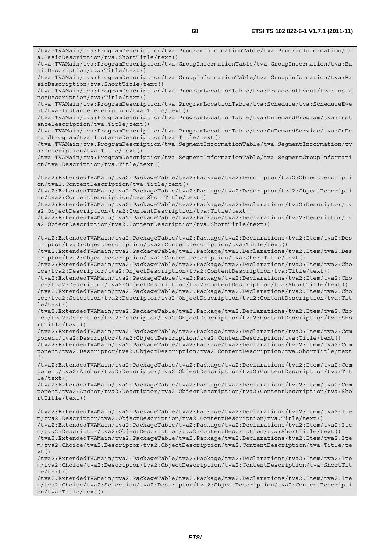/tva:TVAMain/tva:ProgramDescription/tva:ProgramInformationTable/tva:ProgramInformation/tv a:BasicDescription/tva:ShortTitle/text() /tva:TVAMain/tva:ProgramDescription/tva:GroupInformationTable/tva:GroupInformation/tva:Ba sicDescription/tva:Title/text() /tva:TVAMain/tva:ProgramDescription/tva:GroupInformationTable/tva:GroupInformation/tva:Ba sicDescription/tva:ShortTitle/text() /tva:TVAMain/tva:ProgramDescription/tva:ProgramLocationTable/tva:BroadcastEvent/tva:Insta nceDescription/tva:Title/text() /tva:TVAMain/tva:ProgramDescription/tva:ProgramLocationTable/tva:Schedule/tva:ScheduleEve nt/tva:InstanceDescription/tva:Title/text() /tva:TVAMain/tva:ProgramDescription/tva:ProgramLocationTable/tva:OnDemandProgram/tva:Inst anceDescription/tva:Title/text() /tva:TVAMain/tva:ProgramDescription/tva:ProgramLocationTable/tva:OnDemandService/tva:OnDe mandProgram/tva:InstanceDescription/tva:Title/text() /tva:TVAMain/tva:ProgramDescription/tva:SegmentInformationTable/tva:SegmentInformation/tv a:Description/tva:Title/text() /tva:TVAMain/tva:ProgramDescription/tva:SegmentInformationTable/tva:SegmentGroupInformati on/tva:Description/tva:Title/text() /tva2:ExtendedTVAMain/tva2:PackageTable/tva2:Package/tva2:Descriptor/tva2:ObjectDescripti on/tva2:ContentDescription/tva:Title/text() /tva2:ExtendedTVAMain/tva2:PackageTable/tva2:Package/tva2:Descriptor/tva2:ObjectDescripti on/tva2:ContentDescription/tva:ShortTitle/text() /tva2:ExtendedTVAMain/tva2:PackageTable/tva2:Package/tva2:Declarations/tva2:Descriptor/tv a2:ObjectDescription/tva2:ContentDescription/tva:Title/text() /tva2:ExtendedTVAMain/tva2:PackageTable/tva2:Package/tva2:Declarations/tva2:Descriptor/tv a2:ObjectDescription/tva2:ContentDescription/tva:ShortTitle/text() /tva2:ExtendedTVAMain/tva2:PackageTable/tva2:Package/tva2:Declarations/tva2:Item/tva2:Des criptor/tva2:ObjectDescription/tva2:ContentDescription/tva:Title/text() /tva2:ExtendedTVAMain/tva2:PackageTable/tva2:Package/tva2:Declarations/tva2:Item/tva2:Des criptor/tva2:ObjectDescription/tva2:ContentDescription/tva:ShortTitle/text() /tva2:ExtendedTVAMain/tva2:PackageTable/tva2:Package/tva2:Declarations/tva2:Item/tva2:Cho ice/tva2:Descriptor/tva2:ObjectDescription/tva2:ContentDescription/tva:Title/text() /tva2:ExtendedTVAMain/tva2:PackageTable/tva2:Package/tva2:Declarations/tva2:Item/tva2:Cho ice/tva2:Descriptor/tva2:ObjectDescription/tva2:ContentDescription/tva:ShortTitle/text() /tva2:ExtendedTVAMain/tva2:PackageTable/tva2:Package/tva2:Declarations/tva2:Item/tva2:Cho ice/tva2:Selection/tva2:Descriptor/tva2:ObjectDescription/tva2:ContentDescription/tva:Tit le/text() /tva2:ExtendedTVAMain/tva2:PackageTable/tva2:Package/tva2:Declarations/tva2:Item/tva2:Cho ice/tva2:Selection/tva2:Descriptor/tva2:ObjectDescription/tva2:ContentDescription/tva:Sho rtTitle/text() /tva2:ExtendedTVAMain/tva2:PackageTable/tva2:Package/tva2:Declarations/tva2:Item/tva2:Com ponent/tva2:Descriptor/tva2:ObjectDescription/tva2:ContentDescription/tva:Title/text() /tva2:ExtendedTVAMain/tva2:PackageTable/tva2:Package/tva2:Declarations/tva2:Item/tva2:Com ponent/tva2:Descriptor/tva2:ObjectDescription/tva2:ContentDescription/tva:ShortTitle/text () /tva2:ExtendedTVAMain/tva2:PackageTable/tva2:Package/tva2:Declarations/tva2:Item/tva2:Com ponent/tva2:Anchor/tva2:Descriptor/tva2:ObjectDescription/tva2:ContentDescription/tva:Tit  $le/text()$ /tva2:ExtendedTVAMain/tva2:PackageTable/tva2:Package/tva2:Declarations/tva2:Item/tva2:Com ponent/tva2:Anchor/tva2:Descriptor/tva2:ObjectDescription/tva2:ContentDescription/tva:Sho rtTitle/text() /tva2:ExtendedTVAMain/tva2:PackageTable/tva2:Package/tva2:Declarations/tva2:Item/tva2:Ite m/tva2:Descriptor/tva2:ObjectDescription/tva2:ContentDescription/tva:Title/text() /tva2:ExtendedTVAMain/tva2:PackageTable/tva2:Package/tva2:Declarations/tva2:Item/tva2:Ite m/tva2:Descriptor/tva2:ObjectDescription/tva2:ContentDescription/tva:ShortTitle/text() /tva2:ExtendedTVAMain/tva2:PackageTable/tva2:Package/tva2:Declarations/tva2:Item/tva2:Ite m/tva2:Choice/tva2:Descriptor/tva2:ObjectDescription/tva2:ContentDescription/tva:Title/te  $xt()$ /tva2:ExtendedTVAMain/tva2:PackageTable/tva2:Package/tva2:Declarations/tva2:Item/tva2:Ite m/tva2:Choice/tva2:Descriptor/tva2:ObjectDescription/tva2:ContentDescription/tva:ShortTit le/text() /tva2:ExtendedTVAMain/tva2:PackageTable/tva2:Package/tva2:Declarations/tva2:Item/tva2:Ite m/tva2:Choice/tva2:Selection/tva2:Descriptor/tva2:ObjectDescription/tva2:ContentDescripti

on/tva:Title/text()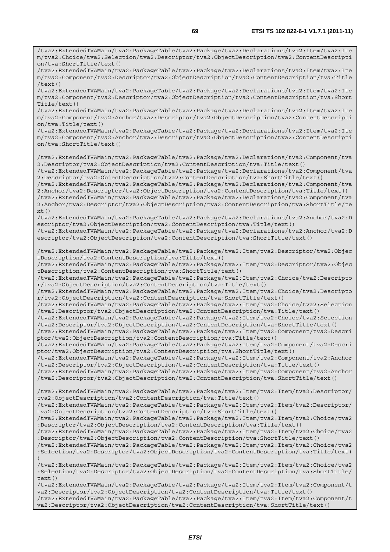/tva2:ExtendedTVAMain/tva2:PackageTable/tva2:Package/tva2:Declarations/tva2:Item/tva2:Ite m/tva2:Choice/tva2:Selection/tva2:Descriptor/tva2:ObjectDescription/tva2:ContentDescripti

on/tva:ShortTitle/text() /tva2:ExtendedTVAMain/tva2:PackageTable/tva2:Package/tva2:Declarations/tva2:Item/tva2:Ite m/tva2:Component/tva2:Descriptor/tva2:ObjectDescription/tva2:ContentDescription/tva:Title /text() /tva2:ExtendedTVAMain/tva2:PackageTable/tva2:Package/tva2:Declarations/tva2:Item/tva2:Ite m/tva2:Component/tva2:Descriptor/tva2:ObjectDescription/tva2:ContentDescription/tva:Short Title/text() /tva2:ExtendedTVAMain/tva2:PackageTable/tva2:Package/tva2:Declarations/tva2:Item/tva2:Ite m/tva2:Component/tva2:Anchor/tva2:Descriptor/tva2:ObjectDescription/tva2:ContentDescripti on/tva:Title/text() /tva2:ExtendedTVAMain/tva2:PackageTable/tva2:Package/tva2:Declarations/tva2:Item/tva2:Ite m/tva2:Component/tva2:Anchor/tva2:Descriptor/tva2:ObjectDescription/tva2:ContentDescripti on/tva:ShortTitle/text() /tva2:ExtendedTVAMain/tva2:PackageTable/tva2:Package/tva2:Declarations/tva2:Component/tva 2:Descriptor/tva2:ObjectDescription/tva2:ContentDescription/tva:Title/text() /tva2:ExtendedTVAMain/tva2:PackageTable/tva2:Package/tva2:Declarations/tva2:Component/tva 2:Descriptor/tva2:ObjectDescription/tva2:ContentDescription/tva:ShortTitle/text() /tva2:ExtendedTVAMain/tva2:PackageTable/tva2:Package/tva2:Declarations/tva2:Component/tva 2:Anchor/tva2:Descriptor/tva2:ObjectDescription/tva2:ContentDescription/tva:Title/text() /tva2:ExtendedTVAMain/tva2:PackageTable/tva2:Package/tva2:Declarations/tva2:Component/tva 2:Anchor/tva2:Descriptor/tva2:ObjectDescription/tva2:ContentDescription/tva:ShortTitle/te xt() /tva2:ExtendedTVAMain/tva2:PackageTable/tva2:Package/tva2:Declarations/tva2:Anchor/tva2:D escriptor/tva2:ObjectDescription/tva2:ContentDescription/tva:Title/text() /tva2:ExtendedTVAMain/tva2:PackageTable/tva2:Package/tva2:Declarations/tva2:Anchor/tva2:D escriptor/tva2:ObjectDescription/tva2:ContentDescription/tva:ShortTitle/text() /tva2:ExtendedTVAMain/tva2:PackageTable/tva2:Package/tva2:Item/tva2:Descriptor/tva2:Objec tDescription/tva2:ContentDescription/tva:Title/text() /tva2:ExtendedTVAMain/tva2:PackageTable/tva2:Package/tva2:Item/tva2:Descriptor/tva2:Objec tDescription/tva2:ContentDescription/tva:ShortTitle/text() /tva2:ExtendedTVAMain/tva2:PackageTable/tva2:Package/tva2:Item/tva2:Choice/tva2:Descripto r/tva2:ObjectDescription/tva2:ContentDescription/tva:Title/text() /tva2:ExtendedTVAMain/tva2:PackageTable/tva2:Package/tva2:Item/tva2:Choice/tva2:Descripto r/tva2:ObjectDescription/tva2:ContentDescription/tva:ShortTitle/text() /tva2:ExtendedTVAMain/tva2:PackageTable/tva2:Package/tva2:Item/tva2:Choice/tva2:Selection /tva2:Descriptor/tva2:ObjectDescription/tva2:ContentDescription/tva:Title/text() /tva2:ExtendedTVAMain/tva2:PackageTable/tva2:Package/tva2:Item/tva2:Choice/tva2:Selection /tva2:Descriptor/tva2:ObjectDescription/tva2:ContentDescription/tva:ShortTitle/text() /tva2:ExtendedTVAMain/tva2:PackageTable/tva2:Package/tva2:Item/tva2:Component/tva2:Descri ptor/tva2:ObjectDescription/tva2:ContentDescription/tva:Title/text() /tva2:ExtendedTVAMain/tva2:PackageTable/tva2:Package/tva2:Item/tva2:Component/tva2:Descri ptor/tva2:ObjectDescription/tva2:ContentDescription/tva:ShortTitle/text() /tva2:ExtendedTVAMain/tva2:PackageTable/tva2:Package/tva2:Item/tva2:Component/tva2:Anchor /tva2:Descriptor/tva2:ObjectDescription/tva2:ContentDescription/tva:Title/text() /tva2:ExtendedTVAMain/tva2:PackageTable/tva2:Package/tva2:Item/tva2:Component/tva2:Anchor /tva2:Descriptor/tva2:ObjectDescription/tva2:ContentDescription/tva:ShortTitle/text() /tva2:ExtendedTVAMain/tva2:PackageTable/tva2:Package/tva2:Item/tva2:Item/tva2:Descriptor/ tva2:ObjectDescription/tva2:ContentDescription/tva:Title/text() /tva2:ExtendedTVAMain/tva2:PackageTable/tva2:Package/tva2:Item/tva2:Item/tva2:Descriptor/ tva2:ObjectDescription/tva2:ContentDescription/tva:ShortTitle/text() /tva2:ExtendedTVAMain/tva2:PackageTable/tva2:Package/tva2:Item/tva2:Item/tva2:Choice/tva2 :Descriptor/tva2:ObjectDescription/tva2:ContentDescription/tva:Title/text() /tva2:ExtendedTVAMain/tva2:PackageTable/tva2:Package/tva2:Item/tva2:Item/tva2:Choice/tva2 :Descriptor/tva2:ObjectDescription/tva2:ContentDescription/tva:ShortTitle/text() /tva2:ExtendedTVAMain/tva2:PackageTable/tva2:Package/tva2:Item/tva2:Item/tva2:Choice/tva2 :Selection/tva2:Descriptor/tva2:ObjectDescription/tva2:ContentDescription/tva:Title/text( )

/tva2:ExtendedTVAMain/tva2:PackageTable/tva2:Package/tva2:Item/tva2:Item/tva2:Choice/tva2 :Selection/tva2:Descriptor/tva2:ObjectDescription/tva2:ContentDescription/tva:ShortTitle/ text()

/tva2:ExtendedTVAMain/tva2:PackageTable/tva2:Package/tva2:Item/tva2:Item/tva2:Component/t va2:Descriptor/tva2:ObjectDescription/tva2:ContentDescription/tva:Title/text() /tva2:ExtendedTVAMain/tva2:PackageTable/tva2:Package/tva2:Item/tva2:Item/tva2:Component/t va2:Descriptor/tva2:ObjectDescription/tva2:ContentDescription/tva:ShortTitle/text()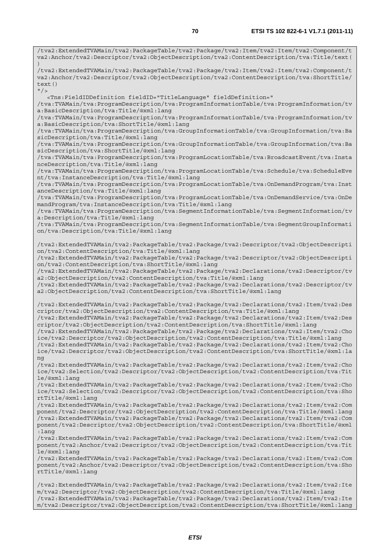/tva2:ExtendedTVAMain/tva2:PackageTable/tva2:Package/tva2:Item/tva2:Item/tva2:Component/t va2:Anchor/tva2:Descriptor/tva2:ObjectDescription/tva2:ContentDescription/tva:Title/text( ) /tva2:ExtendedTVAMain/tva2:PackageTable/tva2:Package/tva2:Item/tva2:Item/tva2:Component/t va2:Anchor/tva2:Descriptor/tva2:ObjectDescription/tva2:ContentDescription/tva:ShortTitle/ text()  $''$ /> <Tns:FieldIDDefinition fieldID="TitleLanguage" fieldDefinition=" /tva:TVAMain/tva:ProgramDescription/tva:ProgramInformationTable/tva:ProgramInformation/tv a:BasicDescription/tva:Title/@xml:lang /tva:TVAMain/tva:ProgramDescription/tva:ProgramInformationTable/tva:ProgramInformation/tv a:BasicDescription/tva:ShortTitle/@xml:lang /tva:TVAMain/tva:ProgramDescription/tva:GroupInformationTable/tva:GroupInformation/tva:Ba sicDescription/tva:Title/@xml:lang /tva:TVAMain/tva:ProgramDescription/tva:GroupInformationTable/tva:GroupInformation/tva:Ba sicDescription/tva:ShortTitle/@xml:lang /tva:TVAMain/tva:ProgramDescription/tva:ProgramLocationTable/tva:BroadcastEvent/tva:Insta nceDescription/tva:Title/@xml:lang /tva:TVAMain/tva:ProgramDescription/tva:ProgramLocationTable/tva:Schedule/tva:ScheduleEve nt/tva:InstanceDescription/tva:Title/@xml:lang /tva:TVAMain/tva:ProgramDescription/tva:ProgramLocationTable/tva:OnDemandProgram/tva:Inst anceDescription/tva:Title/@xml:lang /tva:TVAMain/tva:ProgramDescription/tva:ProgramLocationTable/tva:OnDemandService/tva:OnDe mandProgram/tva:InstanceDescription/tva:Title/@xml:lang /tva:TVAMain/tva:ProgramDescription/tva:SegmentInformationTable/tva:SegmentInformation/tv a:Description/tva:Title/@xml:lang /tva:TVAMain/tva:ProgramDescription/tva:SegmentInformationTable/tva:SegmentGroupInformati on/tva:Description/tva:Title/@xml:lang /tva2:ExtendedTVAMain/tva2:PackageTable/tva2:Package/tva2:Descriptor/tva2:ObjectDescripti on/tva2:ContentDescription/tva:Title/@xml:lang /tva2:ExtendedTVAMain/tva2:PackageTable/tva2:Package/tva2:Descriptor/tva2:ObjectDescripti on/tva2:ContentDescription/tva:ShortTitle/@xml:lang /tva2:ExtendedTVAMain/tva2:PackageTable/tva2:Package/tva2:Declarations/tva2:Descriptor/tv a2:ObjectDescription/tva2:ContentDescription/tva:Title/@xml:lang /tva2:ExtendedTVAMain/tva2:PackageTable/tva2:Package/tva2:Declarations/tva2:Descriptor/tv a2:ObjectDescription/tva2:ContentDescription/tva:ShortTitle/@xml:lang /tva2:ExtendedTVAMain/tva2:PackageTable/tva2:Package/tva2:Declarations/tva2:Item/tva2:Des criptor/tva2:ObjectDescription/tva2:ContentDescription/tva:Title/@xml:lang /tva2:ExtendedTVAMain/tva2:PackageTable/tva2:Package/tva2:Declarations/tva2:Item/tva2:Des criptor/tva2:ObjectDescription/tva2:ContentDescription/tva:ShortTitle/@xml:lang /tva2:ExtendedTVAMain/tva2:PackageTable/tva2:Package/tva2:Declarations/tva2:Item/tva2:Cho ice/tva2:Descriptor/tva2:ObjectDescription/tva2:ContentDescription/tva:Title/@xml:lang /tva2:ExtendedTVAMain/tva2:PackageTable/tva2:Package/tva2:Declarations/tva2:Item/tva2:Cho ice/tva2:Descriptor/tva2:ObjectDescription/tva2:ContentDescription/tva:ShortTitle/@xml:la ng /tva2:ExtendedTVAMain/tva2:PackageTable/tva2:Package/tva2:Declarations/tva2:Item/tva2:Cho ice/tva2:Selection/tva2:Descriptor/tva2:ObjectDescription/tva2:ContentDescription/tva:Tit le/@xml:lang /tva2:ExtendedTVAMain/tva2:PackageTable/tva2:Package/tva2:Declarations/tva2:Item/tva2:Cho ice/tva2:Selection/tva2:Descriptor/tva2:ObjectDescription/tva2:ContentDescription/tva:Sho rtTitle/@xml:lang /tva2:ExtendedTVAMain/tva2:PackageTable/tva2:Package/tva2:Declarations/tva2:Item/tva2:Com ponent/tva2:Descriptor/tva2:ObjectDescription/tva2:ContentDescription/tva:Title/@xml:lang /tva2:ExtendedTVAMain/tva2:PackageTable/tva2:Package/tva2:Declarations/tva2:Item/tva2:Com ponent/tva2:Descriptor/tva2:ObjectDescription/tva2:ContentDescription/tva:ShortTitle/@xml :lang /tva2:ExtendedTVAMain/tva2:PackageTable/tva2:Package/tva2:Declarations/tva2:Item/tva2:Com ponent/tva2:Anchor/tva2:Descriptor/tva2:ObjectDescription/tva2:ContentDescription/tva:Tit le/@xml:lang /tva2:ExtendedTVAMain/tva2:PackageTable/tva2:Package/tva2:Declarations/tva2:Item/tva2:Com ponent/tva2:Anchor/tva2:Descriptor/tva2:ObjectDescription/tva2:ContentDescription/tva:Sho rtTitle/@xml:lang /tva2:ExtendedTVAMain/tva2:PackageTable/tva2:Package/tva2:Declarations/tva2:Item/tva2:Ite m/tva2:Descriptor/tva2:ObjectDescription/tva2:ContentDescription/tva:Title/@xml:lang /tva2:ExtendedTVAMain/tva2:PackageTable/tva2:Package/tva2:Declarations/tva2:Item/tva2:Ite

m/tva2:Descriptor/tva2:ObjectDescription/tva2:ContentDescription/tva:ShortTitle/@xml:lang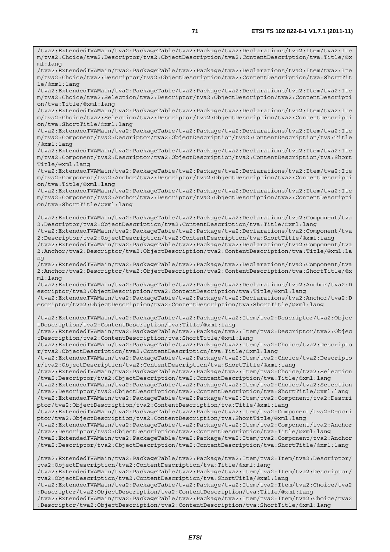/tva2:ExtendedTVAMain/tva2:PackageTable/tva2:Package/tva2:Declarations/tva2:Item/tva2:Ite m/tva2:Choice/tva2:Descriptor/tva2:ObjectDescription/tva2:ContentDescription/tva:Title/@x ml:lang /tva2:ExtendedTVAMain/tva2:PackageTable/tva2:Package/tva2:Declarations/tva2:Item/tva2:Ite m/tva2:Choice/tva2:Descriptor/tva2:ObjectDescription/tva2:ContentDescription/tva:ShortTit le/@xml:lang /tva2:ExtendedTVAMain/tva2:PackageTable/tva2:Package/tva2:Declarations/tva2:Item/tva2:Ite m/tva2:Choice/tva2:Selection/tva2:Descriptor/tva2:ObjectDescription/tva2:ContentDescripti on/tva:Title/@xml:lang /tva2:ExtendedTVAMain/tva2:PackageTable/tva2:Package/tva2:Declarations/tva2:Item/tva2:Ite m/tva2:Choice/tva2:Selection/tva2:Descriptor/tva2:ObjectDescription/tva2:ContentDescripti on/tva:ShortTitle/@xml:lang /tva2:ExtendedTVAMain/tva2:PackageTable/tva2:Package/tva2:Declarations/tva2:Item/tva2:Ite m/tva2:Component/tva2:Descriptor/tva2:ObjectDescription/tva2:ContentDescription/tva:Title /@xml:lang /tva2:ExtendedTVAMain/tva2:PackageTable/tva2:Package/tva2:Declarations/tva2:Item/tva2:Ite m/tva2:Component/tva2:Descriptor/tva2:ObjectDescription/tva2:ContentDescription/tva:Short Title/@xml:lang /tva2:ExtendedTVAMain/tva2:PackageTable/tva2:Package/tva2:Declarations/tva2:Item/tva2:Ite m/tva2:Component/tva2:Anchor/tva2:Descriptor/tva2:ObjectDescription/tva2:ContentDescripti on/tva:Title/@xml:lang /tva2:ExtendedTVAMain/tva2:PackageTable/tva2:Package/tva2:Declarations/tva2:Item/tva2:Ite m/tva2:Component/tva2:Anchor/tva2:Descriptor/tva2:ObjectDescription/tva2:ContentDescripti on/tva:ShortTitle/@xml:lang /tva2:ExtendedTVAMain/tva2:PackageTable/tva2:Package/tva2:Declarations/tva2:Component/tva 2:Descriptor/tva2:ObjectDescription/tva2:ContentDescription/tva:Title/@xml:lang /tva2:ExtendedTVAMain/tva2:PackageTable/tva2:Package/tva2:Declarations/tva2:Component/tva 2:Descriptor/tva2:ObjectDescription/tva2:ContentDescription/tva:ShortTitle/@xml:lang /tva2:ExtendedTVAMain/tva2:PackageTable/tva2:Package/tva2:Declarations/tva2:Component/tva 2:Anchor/tva2:Descriptor/tva2:ObjectDescription/tva2:ContentDescription/tva:Title/@xml:la ng /tva2:ExtendedTVAMain/tva2:PackageTable/tva2:Package/tva2:Declarations/tva2:Component/tva 2:Anchor/tva2:Descriptor/tva2:ObjectDescription/tva2:ContentDescription/tva:ShortTitle/@x ml:lang /tva2:ExtendedTVAMain/tva2:PackageTable/tva2:Package/tva2:Declarations/tva2:Anchor/tva2:D escriptor/tva2:ObjectDescription/tva2:ContentDescription/tva:Title/@xml:lang /tva2:ExtendedTVAMain/tva2:PackageTable/tva2:Package/tva2:Declarations/tva2:Anchor/tva2:D escriptor/tva2:ObjectDescription/tva2:ContentDescription/tva:ShortTitle/@xml:lang /tva2:ExtendedTVAMain/tva2:PackageTable/tva2:Package/tva2:Item/tva2:Descriptor/tva2:Objec tDescription/tva2:ContentDescription/tva:Title/@xml:lang /tva2:ExtendedTVAMain/tva2:PackageTable/tva2:Package/tva2:Item/tva2:Descriptor/tva2:Objec tDescription/tva2:ContentDescription/tva:ShortTitle/@xml:lang /tva2:ExtendedTVAMain/tva2:PackageTable/tva2:Package/tva2:Item/tva2:Choice/tva2:Descripto r/tva2:ObjectDescription/tva2:ContentDescription/tva:Title/@xml:lang /tva2:ExtendedTVAMain/tva2:PackageTable/tva2:Package/tva2:Item/tva2:Choice/tva2:Descripto r/tva2:ObjectDescription/tva2:ContentDescription/tva:ShortTitle/@xml:lang /tva2:ExtendedTVAMain/tva2:PackageTable/tva2:Package/tva2:Item/tva2:Choice/tva2:Selection /tva2:Descriptor/tva2:ObjectDescription/tva2:ContentDescription/tva:Title/@xml:lang /tva2:ExtendedTVAMain/tva2:PackageTable/tva2:Package/tva2:Item/tva2:Choice/tva2:Selection /tva2:Descriptor/tva2:ObjectDescription/tva2:ContentDescription/tva:ShortTitle/@xml:lang /tva2:ExtendedTVAMain/tva2:PackageTable/tva2:Package/tva2:Item/tva2:Component/tva2:Descri ptor/tva2:ObjectDescription/tva2:ContentDescription/tva:Title/@xml:lang /tva2:ExtendedTVAMain/tva2:PackageTable/tva2:Package/tva2:Item/tva2:Component/tva2:Descri ptor/tva2:ObjectDescription/tva2:ContentDescription/tva:ShortTitle/@xml:lang /tva2:ExtendedTVAMain/tva2:PackageTable/tva2:Package/tva2:Item/tva2:Component/tva2:Anchor /tva2:Descriptor/tva2:ObjectDescription/tva2:ContentDescription/tva:Title/@xml:lang /tva2:ExtendedTVAMain/tva2:PackageTable/tva2:Package/tva2:Item/tva2:Component/tva2:Anchor /tva2:Descriptor/tva2:ObjectDescription/tva2:ContentDescription/tva:ShortTitle/@xml:lang /tva2:ExtendedTVAMain/tva2:PackageTable/tva2:Package/tva2:Item/tva2:Item/tva2:Descriptor/ tva2:ObjectDescription/tva2:ContentDescription/tva:Title/@xml:lang /tva2:ExtendedTVAMain/tva2:PackageTable/tva2:Package/tva2:Item/tva2:Item/tva2:Descriptor/ tva2:ObjectDescription/tva2:ContentDescription/tva:ShortTitle/@xml:lang /tva2:ExtendedTVAMain/tva2:PackageTable/tva2:Package/tva2:Item/tva2:Item/tva2:Choice/tva2 :Descriptor/tva2:ObjectDescription/tva2:ContentDescription/tva:Title/@xml:lang /tva2:ExtendedTVAMain/tva2:PackageTable/tva2:Package/tva2:Item/tva2:Item/tva2:Choice/tva2 :Descriptor/tva2:ObjectDescription/tva2:ContentDescription/tva:ShortTitle/@xml:lang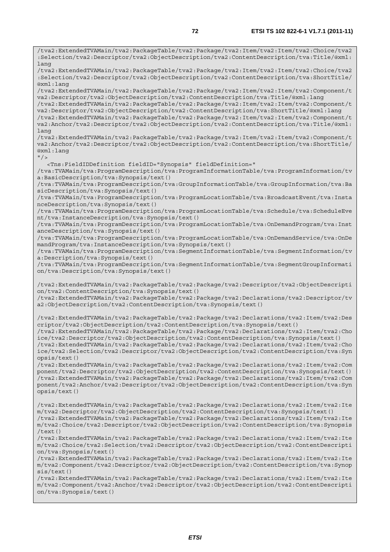/tva2:ExtendedTVAMain/tva2:PackageTable/tva2:Package/tva2:Item/tva2:Item/tva2:Choice/tva2 :Selection/tva2:Descriptor/tva2:ObjectDescription/tva2:ContentDescription/tva:Title/@xml: lang /tva2:ExtendedTVAMain/tva2:PackageTable/tva2:Package/tva2:Item/tva2:Item/tva2:Choice/tva2 :Selection/tva2:Descriptor/tva2:ObjectDescription/tva2:ContentDescription/tva:ShortTitle/ @xml:lang /tva2:ExtendedTVAMain/tva2:PackageTable/tva2:Package/tva2:Item/tva2:Item/tva2:Component/t va2:Descriptor/tva2:ObjectDescription/tva2:ContentDescription/tva:Title/@xml:lang /tva2:ExtendedTVAMain/tva2:PackageTable/tva2:Package/tva2:Item/tva2:Item/tva2:Component/t va2:Descriptor/tva2:ObjectDescription/tva2:ContentDescription/tva:ShortTitle/@xml:lang /tva2:ExtendedTVAMain/tva2:PackageTable/tva2:Package/tva2:Item/tva2:Item/tva2:Component/t va2:Anchor/tva2:Descriptor/tva2:ObjectDescription/tva2:ContentDescription/tva:Title/@xml: lang /tva2:ExtendedTVAMain/tva2:PackageTable/tva2:Package/tva2:Item/tva2:Item/tva2:Component/t va2:Anchor/tva2:Descriptor/tva2:ObjectDescription/tva2:ContentDescription/tva:ShortTitle/ @xml:lang  $"$  /> <Tns:FieldIDDefinition fieldID="Synopsis" fieldDefinition=" /tva:TVAMain/tva:ProgramDescription/tva:ProgramInformationTable/tva:ProgramInformation/tv a:BasicDescription/tva:Synopsis/text() /tva:TVAMain/tva:ProgramDescription/tva:GroupInformationTable/tva:GroupInformation/tva:Ba sicDescription/tva:Synopsis/text() /tva:TVAMain/tva:ProgramDescription/tva:ProgramLocationTable/tva:BroadcastEvent/tva:Insta nceDescription/tva:Synopsis/text() /tva:TVAMain/tva:ProgramDescription/tva:ProgramLocationTable/tva:Schedule/tva:ScheduleEve nt/tva:InstanceDescription/tva:Synopsis/text() /tva:TVAMain/tva:ProgramDescription/tva:ProgramLocationTable/tva:OnDemandProgram/tva:Inst anceDescription/tva:Synopsis/text() /tva:TVAMain/tva:ProgramDescription/tva:ProgramLocationTable/tva:OnDemandService/tva:OnDe mandProgram/tva:InstanceDescription/tva:Synopsis/text() /tva:TVAMain/tva:ProgramDescription/tva:SegmentInformationTable/tva:SegmentInformation/tv a:Description/tva:Synopsis/text() /tva:TVAMain/tva:ProgramDescription/tva:SegmentInformationTable/tva:SegmentGroupInformati on/tva:Description/tva:Synopsis/text() /tva2:ExtendedTVAMain/tva2:PackageTable/tva2:Package/tva2:Descriptor/tva2:ObjectDescripti on/tva2:ContentDescription/tva:Synopsis/text() /tva2:ExtendedTVAMain/tva2:PackageTable/tva2:Package/tva2:Declarations/tva2:Descriptor/tv a2:ObjectDescription/tva2:ContentDescription/tva:Synopsis/text() /tva2:ExtendedTVAMain/tva2:PackageTable/tva2:Package/tva2:Declarations/tva2:Item/tva2:Des criptor/tva2:ObjectDescription/tva2:ContentDescription/tva:Synopsis/text() /tva2:ExtendedTVAMain/tva2:PackageTable/tva2:Package/tva2:Declarations/tva2:Item/tva2:Cho ice/tva2:Descriptor/tva2:ObjectDescription/tva2:ContentDescription/tva:Synopsis/text() /tva2:ExtendedTVAMain/tva2:PackageTable/tva2:Package/tva2:Declarations/tva2:Item/tva2:Cho ice/tva2:Selection/tva2:Descriptor/tva2:ObjectDescription/tva2:ContentDescription/tva:Syn opsis/text() /tva2:ExtendedTVAMain/tva2:PackageTable/tva2:Package/tva2:Declarations/tva2:Item/tva2:Com ponent/tva2:Descriptor/tva2:ObjectDescription/tva2:ContentDescription/tva:Synopsis/text() /tva2:ExtendedTVAMain/tva2:PackageTable/tva2:Package/tva2:Declarations/tva2:Item/tva2:Com ponent/tva2:Anchor/tva2:Descriptor/tva2:ObjectDescription/tva2:ContentDescription/tva:Syn opsis/text() /tva2:ExtendedTVAMain/tva2:PackageTable/tva2:Package/tva2:Declarations/tva2:Item/tva2:Ite m/tva2:Descriptor/tva2:ObjectDescription/tva2:ContentDescription/tva:Synopsis/text() /tva2:ExtendedTVAMain/tva2:PackageTable/tva2:Package/tva2:Declarations/tva2:Item/tva2:Ite m/tva2:Choice/tva2:Descriptor/tva2:ObjectDescription/tva2:ContentDescription/tva:Synopsis /text() /tva2:ExtendedTVAMain/tva2:PackageTable/tva2:Package/tva2:Declarations/tva2:Item/tva2:Ite m/tva2:Choice/tva2:Selection/tva2:Descriptor/tva2:ObjectDescription/tva2:ContentDescripti on/tva:Synopsis/text() /tva2:ExtendedTVAMain/tva2:PackageTable/tva2:Package/tva2:Declarations/tva2:Item/tva2:Ite m/tva2:Component/tva2:Descriptor/tva2:ObjectDescription/tva2:ContentDescription/tva:Synop sis/text() /tva2:ExtendedTVAMain/tva2:PackageTable/tva2:Package/tva2:Declarations/tva2:Item/tva2:Ite m/tva2:Component/tva2:Anchor/tva2:Descriptor/tva2:ObjectDescription/tva2:ContentDescripti

```
on/tva:Synopsis/text()
```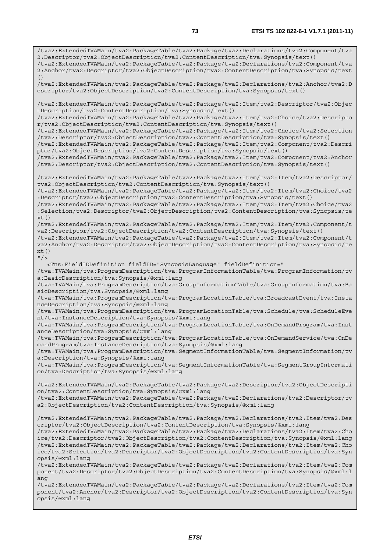/tva2:ExtendedTVAMain/tva2:PackageTable/tva2:Package/tva2:Declarations/tva2:Component/tva 2:Descriptor/tva2:ObjectDescription/tva2:ContentDescription/tva:Synopsis/text() /tva2:ExtendedTVAMain/tva2:PackageTable/tva2:Package/tva2:Declarations/tva2:Component/tva 2:Anchor/tva2:Descriptor/tva2:ObjectDescription/tva2:ContentDescription/tva:Synopsis/text  $($ ) /tva2:ExtendedTVAMain/tva2:PackageTable/tva2:Package/tva2:Declarations/tva2:Anchor/tva2:D escriptor/tva2:ObjectDescription/tva2:ContentDescription/tva:Synopsis/text() /tva2:ExtendedTVAMain/tva2:PackageTable/tva2:Package/tva2:Item/tva2:Descriptor/tva2:Objec tDescription/tva2:ContentDescription/tva:Synopsis/text() /tva2:ExtendedTVAMain/tva2:PackageTable/tva2:Package/tva2:Item/tva2:Choice/tva2:Descripto r/tva2:ObjectDescription/tva2:ContentDescription/tva:Synopsis/text() /tva2:ExtendedTVAMain/tva2:PackageTable/tva2:Package/tva2:Item/tva2:Choice/tva2:Selection /tva2:Descriptor/tva2:ObjectDescription/tva2:ContentDescription/tva:Synopsis/text() /tva2:ExtendedTVAMain/tva2:PackageTable/tva2:Package/tva2:Item/tva2:Component/tva2:Descri ptor/tva2:ObjectDescription/tva2:ContentDescription/tva:Synopsis/text() /tva2:ExtendedTVAMain/tva2:PackageTable/tva2:Package/tva2:Item/tva2:Component/tva2:Anchor /tva2:Descriptor/tva2:ObjectDescription/tva2:ContentDescription/tva:Synopsis/text() /tva2:ExtendedTVAMain/tva2:PackageTable/tva2:Package/tva2:Item/tva2:Item/tva2:Descriptor/ tva2:ObjectDescription/tva2:ContentDescription/tva:Synopsis/text() /tva2:ExtendedTVAMain/tva2:PackageTable/tva2:Package/tva2:Item/tva2:Item/tva2:Choice/tva2 :Descriptor/tva2:ObjectDescription/tva2:ContentDescription/tva:Synopsis/text() /tva2:ExtendedTVAMain/tva2:PackageTable/tva2:Package/tva2:Item/tva2:Item/tva2:Choice/tva2 :Selection/tva2:Descriptor/tva2:ObjectDescription/tva2:ContentDescription/tva:Synopsis/te  $xt()$ /tva2:ExtendedTVAMain/tva2:PackageTable/tva2:Package/tva2:Item/tva2:Item/tva2:Component/t va2:Descriptor/tva2:ObjectDescription/tva2:ContentDescription/tva:Synopsis/text() /tva2:ExtendedTVAMain/tva2:PackageTable/tva2:Package/tva2:Item/tva2:Item/tva2:Component/t va2:Anchor/tva2:Descriptor/tva2:ObjectDescription/tva2:ContentDescription/tva:Synopsis/te  $xt()$  $"$  /> <Tns:FieldIDDefinition fieldID="SynopsisLanguage" fieldDefinition=" /tva:TVAMain/tva:ProgramDescription/tva:ProgramInformationTable/tva:ProgramInformation/tv a:BasicDescription/tva:Synopsis/@xml:lang /tva:TVAMain/tva:ProgramDescription/tva:GroupInformationTable/tva:GroupInformation/tva:Ba sicDescription/tva:Synopsis/@xml:lang /tva:TVAMain/tva:ProgramDescription/tva:ProgramLocationTable/tva:BroadcastEvent/tva:Insta nceDescription/tva:Synopsis/@xml:lang /tva:TVAMain/tva:ProgramDescription/tva:ProgramLocationTable/tva:Schedule/tva:ScheduleEve nt/tva:InstanceDescription/tva:Synopsis/@xml:lang /tva:TVAMain/tva:ProgramDescription/tva:ProgramLocationTable/tva:OnDemandProgram/tva:Inst anceDescription/tva:Synopsis/@xml:lang /tva:TVAMain/tva:ProgramDescription/tva:ProgramLocationTable/tva:OnDemandService/tva:OnDe mandProgram/tva:InstanceDescription/tva:Synopsis/@xml:lang /tva:TVAMain/tva:ProgramDescription/tva:SegmentInformationTable/tva:SegmentInformation/tv a:Description/tva:Synopsis/@xml:lang /tva:TVAMain/tva:ProgramDescription/tva:SegmentInformationTable/tva:SegmentGroupInformati on/tva:Description/tva:Synopsis/@xml:lang /tva2:ExtendedTVAMain/tva2:PackageTable/tva2:Package/tva2:Descriptor/tva2:ObjectDescripti on/tva2:ContentDescription/tva:Synopsis/@xml:lang /tva2:ExtendedTVAMain/tva2:PackageTable/tva2:Package/tva2:Declarations/tva2:Descriptor/tv a2:ObjectDescription/tva2:ContentDescription/tva:Synopsis/@xml:lang /tva2:ExtendedTVAMain/tva2:PackageTable/tva2:Package/tva2:Declarations/tva2:Item/tva2:Des criptor/tva2:ObjectDescription/tva2:ContentDescription/tva:Synopsis/@xml:lang /tva2:ExtendedTVAMain/tva2:PackageTable/tva2:Package/tva2:Declarations/tva2:Item/tva2:Cho ice/tva2:Descriptor/tva2:ObjectDescription/tva2:ContentDescription/tva:Synopsis/@xml:lang /tva2:ExtendedTVAMain/tva2:PackageTable/tva2:Package/tva2:Declarations/tva2:Item/tva2:Cho ice/tva2:Selection/tva2:Descriptor/tva2:ObjectDescription/tva2:ContentDescription/tva:Syn opsis/@xml:lang /tva2:ExtendedTVAMain/tva2:PackageTable/tva2:Package/tva2:Declarations/tva2:Item/tva2:Com ponent/tva2:Descriptor/tva2:ObjectDescription/tva2:ContentDescription/tva:Synopsis/@xml:l ang /tva2:ExtendedTVAMain/tva2:PackageTable/tva2:Package/tva2:Declarations/tva2:Item/tva2:Com ponent/tva2:Anchor/tva2:Descriptor/tva2:ObjectDescription/tva2:ContentDescription/tva:Syn opsis/@xml:lang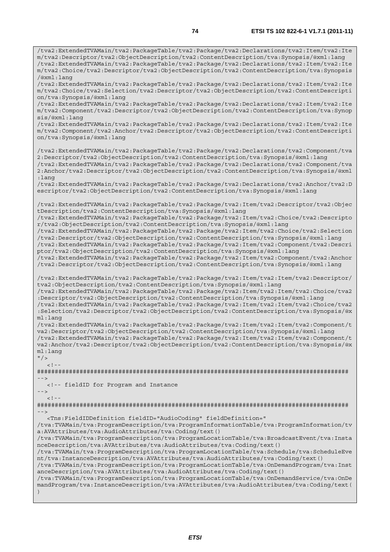/tva2:ExtendedTVAMain/tva2:PackageTable/tva2:Package/tva2:Declarations/tva2:Item/tva2:Ite m/tva2:Descriptor/tva2:ObjectDescription/tva2:ContentDescription/tva:Synopsis/@xml:lang /tva2:ExtendedTVAMain/tva2:PackageTable/tva2:Package/tva2:Declarations/tva2:Item/tva2:Ite m/tva2:Choice/tva2:Descriptor/tva2:ObjectDescription/tva2:ContentDescription/tva:Synopsis /@xml:lang /tva2:ExtendedTVAMain/tva2:PackageTable/tva2:Package/tva2:Declarations/tva2:Item/tva2:Ite m/tva2:Choice/tva2:Selection/tva2:Descriptor/tva2:ObjectDescription/tva2:ContentDescripti on/tva:Synopsis/@xml:lang /tva2:ExtendedTVAMain/tva2:PackageTable/tva2:Package/tva2:Declarations/tva2:Item/tva2:Ite m/tva2:Component/tva2:Descriptor/tva2:ObjectDescription/tva2:ContentDescription/tva:Synop sis/@xml:lang /tva2:ExtendedTVAMain/tva2:PackageTable/tva2:Package/tva2:Declarations/tva2:Item/tva2:Ite m/tva2:Component/tva2:Anchor/tva2:Descriptor/tva2:ObjectDescription/tva2:ContentDescripti on/tva:Synopsis/@xml:lang /tva2:ExtendedTVAMain/tva2:PackageTable/tva2:Package/tva2:Declarations/tva2:Component/tva 2:Descriptor/tva2:ObjectDescription/tva2:ContentDescription/tva:Synopsis/@xml:lang /tva2:ExtendedTVAMain/tva2:PackageTable/tva2:Package/tva2:Declarations/tva2:Component/tva 2:Anchor/tva2:Descriptor/tva2:ObjectDescription/tva2:ContentDescription/tva:Synopsis/@xml :lang /tva2:ExtendedTVAMain/tva2:PackageTable/tva2:Package/tva2:Declarations/tva2:Anchor/tva2:D escriptor/tva2:ObjectDescription/tva2:ContentDescription/tva:Synopsis/@xml:lang /tva2:ExtendedTVAMain/tva2:PackageTable/tva2:Package/tva2:Item/tva2:Descriptor/tva2:Objec tDescription/tva2:ContentDescription/tva:Synopsis/@xml:lang /tva2:ExtendedTVAMain/tva2:PackageTable/tva2:Package/tva2:Item/tva2:Choice/tva2:Descripto r/tva2:ObjectDescription/tva2:ContentDescription/tva:Synopsis/@xml:lang /tva2:ExtendedTVAMain/tva2:PackageTable/tva2:Package/tva2:Item/tva2:Choice/tva2:Selection /tva2:Descriptor/tva2:ObjectDescription/tva2:ContentDescription/tva:Synopsis/@xml:lang /tva2:ExtendedTVAMain/tva2:PackageTable/tva2:Package/tva2:Item/tva2:Component/tva2:Descri ptor/tva2:ObjectDescription/tva2:ContentDescription/tva:Synopsis/@xml:lang /tva2:ExtendedTVAMain/tva2:PackageTable/tva2:Package/tva2:Item/tva2:Component/tva2:Anchor /tva2:Descriptor/tva2:ObjectDescription/tva2:ContentDescription/tva:Synopsis/@xml:lang /tva2:ExtendedTVAMain/tva2:PackageTable/tva2:Package/tva2:Item/tva2:Item/tva2:Descriptor/ tva2:ObjectDescription/tva2:ContentDescription/tva:Synopsis/@xml:lang /tva2:ExtendedTVAMain/tva2:PackageTable/tva2:Package/tva2:Item/tva2:Item/tva2:Choice/tva2 :Descriptor/tva2:ObjectDescription/tva2:ContentDescription/tva:Synopsis/@xml:lang /tva2:ExtendedTVAMain/tva2:PackageTable/tva2:Package/tva2:Item/tva2:Item/tva2:Choice/tva2 :Selection/tva2:Descriptor/tva2:ObjectDescription/tva2:ContentDescription/tva:Synopsis/@x ml:lang /tva2:ExtendedTVAMain/tva2:PackageTable/tva2:Package/tva2:Item/tva2:Item/tva2:Component/t va2:Descriptor/tva2:ObjectDescription/tva2:ContentDescription/tva:Synopsis/@xml:lang /tva2:ExtendedTVAMain/tva2:PackageTable/tva2:Package/tva2:Item/tva2:Item/tva2:Component/t va2:Anchor/tva2:Descriptor/tva2:ObjectDescription/tva2:ContentDescription/tva:Synopsis/@x ml:lang  $"$  / >  $\lt$  ! -######################################################################################## --> <!-- fieldID for Program and Instance -->  $<$ ! --######################################################################################## --> <Tns:FieldIDDefinition fieldID="AudioCoding" fieldDefinition=" /tva:TVAMain/tva:ProgramDescription/tva:ProgramInformationTable/tva:ProgramInformation/tv a:AVAttributes/tva:AudioAttributes/tva:Coding/text() /tva:TVAMain/tva:ProgramDescription/tva:ProgramLocationTable/tva:BroadcastEvent/tva:Insta nceDescription/tva:AVAttributes/tva:AudioAttributes/tva:Coding/text() /tva:TVAMain/tva:ProgramDescription/tva:ProgramLocationTable/tva:Schedule/tva:ScheduleEve nt/tva:InstanceDescription/tva:AVAttributes/tva:AudioAttributes/tva:Coding/text() /tva:TVAMain/tva:ProgramDescription/tva:ProgramLocationTable/tva:OnDemandProgram/tva:Inst anceDescription/tva:AVAttributes/tva:AudioAttributes/tva:Coding/text() /tva:TVAMain/tva:ProgramDescription/tva:ProgramLocationTable/tva:OnDemandService/tva:OnDe mandProgram/tva:InstanceDescription/tva:AVAttributes/tva:AudioAttributes/tva:Coding/text( )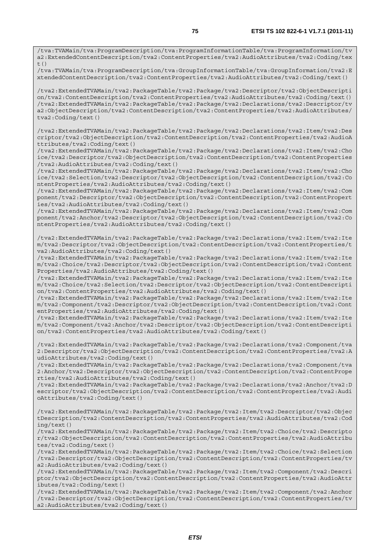/tva:TVAMain/tva:ProgramDescription/tva:ProgramInformationTable/tva:ProgramInformation/tv a2:ExtendedContentDescription/tva2:ContentProperties/tva2:AudioAttributes/tva2:Coding/tex  $t()$ 

/tva:TVAMain/tva:ProgramDescription/tva:GroupInformationTable/tva:GroupInformation/tva2:E xtendedContentDescription/tva2:ContentProperties/tva2:AudioAttributes/tva2:Coding/text()

/tva2:ExtendedTVAMain/tva2:PackageTable/tva2:Package/tva2:Descriptor/tva2:ObjectDescripti on/tva2:ContentDescription/tva2:ContentProperties/tva2:AudioAttributes/tva2:Coding/text() /tva2:ExtendedTVAMain/tva2:PackageTable/tva2:Package/tva2:Declarations/tva2:Descriptor/tv a2:ObjectDescription/tva2:ContentDescription/tva2:ContentProperties/tva2:AudioAttributes/ tva2:Coding/text()

/tva2:ExtendedTVAMain/tva2:PackageTable/tva2:Package/tva2:Declarations/tva2:Item/tva2:Des criptor/tva2:ObjectDescription/tva2:ContentDescription/tva2:ContentProperties/tva2:AudioA ttributes/tva2:Coding/text()

/tva2:ExtendedTVAMain/tva2:PackageTable/tva2:Package/tva2:Declarations/tva2:Item/tva2:Cho ice/tva2:Descriptor/tva2:ObjectDescription/tva2:ContentDescription/tva2:ContentProperties /tva2:AudioAttributes/tva2:Coding/text()

/tva2:ExtendedTVAMain/tva2:PackageTable/tva2:Package/tva2:Declarations/tva2:Item/tva2:Cho ice/tva2:Selection/tva2:Descriptor/tva2:ObjectDescription/tva2:ContentDescription/tva2:Co ntentProperties/tva2:AudioAttributes/tva2:Coding/text()

/tva2:ExtendedTVAMain/tva2:PackageTable/tva2:Package/tva2:Declarations/tva2:Item/tva2:Com ponent/tva2:Descriptor/tva2:ObjectDescription/tva2:ContentDescription/tva2:ContentPropert ies/tva2:AudioAttributes/tva2:Coding/text()

/tva2:ExtendedTVAMain/tva2:PackageTable/tva2:Package/tva2:Declarations/tva2:Item/tva2:Com ponent/tva2:Anchor/tva2:Descriptor/tva2:ObjectDescription/tva2:ContentDescription/tva2:Co ntentProperties/tva2:AudioAttributes/tva2:Coding/text()

/tva2:ExtendedTVAMain/tva2:PackageTable/tva2:Package/tva2:Declarations/tva2:Item/tva2:Ite m/tva2:Descriptor/tva2:ObjectDescription/tva2:ContentDescription/tva2:ContentProperties/t va2:AudioAttributes/tva2:Coding/text()

/tva2:ExtendedTVAMain/tva2:PackageTable/tva2:Package/tva2:Declarations/tva2:Item/tva2:Ite m/tva2:Choice/tva2:Descriptor/tva2:ObjectDescription/tva2:ContentDescription/tva2:Content Properties/tva2:AudioAttributes/tva2:Coding/text()

/tva2:ExtendedTVAMain/tva2:PackageTable/tva2:Package/tva2:Declarations/tva2:Item/tva2:Ite m/tva2:Choice/tva2:Selection/tva2:Descriptor/tva2:ObjectDescription/tva2:ContentDescripti on/tva2:ContentProperties/tva2:AudioAttributes/tva2:Coding/text()

/tva2:ExtendedTVAMain/tva2:PackageTable/tva2:Package/tva2:Declarations/tva2:Item/tva2:Ite m/tva2:Component/tva2:Descriptor/tva2:ObjectDescription/tva2:ContentDescription/tva2:Cont entProperties/tva2:AudioAttributes/tva2:Coding/text()

/tva2:ExtendedTVAMain/tva2:PackageTable/tva2:Package/tva2:Declarations/tva2:Item/tva2:Ite m/tva2:Component/tva2:Anchor/tva2:Descriptor/tva2:ObjectDescription/tva2:ContentDescripti on/tva2:ContentProperties/tva2:AudioAttributes/tva2:Coding/text()

/tva2:ExtendedTVAMain/tva2:PackageTable/tva2:Package/tva2:Declarations/tva2:Component/tva 2:Descriptor/tva2:ObjectDescription/tva2:ContentDescription/tva2:ContentProperties/tva2:A udioAttributes/tva2:Coding/text()

/tva2:ExtendedTVAMain/tva2:PackageTable/tva2:Package/tva2:Declarations/tva2:Component/tva 2:Anchor/tva2:Descriptor/tva2:ObjectDescription/tva2:ContentDescription/tva2:ContentPrope rties/tva2:AudioAttributes/tva2:Coding/text()

/tva2:ExtendedTVAMain/tva2:PackageTable/tva2:Package/tva2:Declarations/tva2:Anchor/tva2:D escriptor/tva2:ObjectDescription/tva2:ContentDescription/tva2:ContentProperties/tva2:Audi oAttributes/tva2:Coding/text()

/tva2:ExtendedTVAMain/tva2:PackageTable/tva2:Package/tva2:Item/tva2:Descriptor/tva2:Objec tDescription/tva2:ContentDescription/tva2:ContentProperties/tva2:AudioAttributes/tva2:Cod ing/text()

/tva2:ExtendedTVAMain/tva2:PackageTable/tva2:Package/tva2:Item/tva2:Choice/tva2:Descripto r/tva2:ObjectDescription/tva2:ContentDescription/tva2:ContentProperties/tva2:AudioAttribu tes/tva2:Coding/text()

/tva2:ExtendedTVAMain/tva2:PackageTable/tva2:Package/tva2:Item/tva2:Choice/tva2:Selection /tva2:Descriptor/tva2:ObjectDescription/tva2:ContentDescription/tva2:ContentProperties/tv a2:AudioAttributes/tva2:Coding/text()

/tva2:ExtendedTVAMain/tva2:PackageTable/tva2:Package/tva2:Item/tva2:Component/tva2:Descri ptor/tva2:ObjectDescription/tva2:ContentDescription/tva2:ContentProperties/tva2:AudioAttr ibutes/tva2:Coding/text()

/tva2:ExtendedTVAMain/tva2:PackageTable/tva2:Package/tva2:Item/tva2:Component/tva2:Anchor /tva2:Descriptor/tva2:ObjectDescription/tva2:ContentDescription/tva2:ContentProperties/tv a2:AudioAttributes/tva2:Coding/text()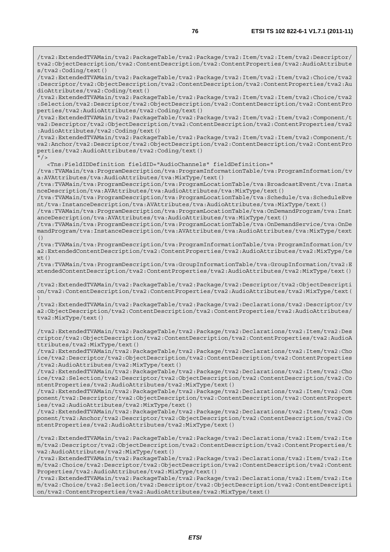/tva2:ExtendedTVAMain/tva2:PackageTable/tva2:Package/tva2:Item/tva2:Item/tva2:Descriptor/ tva2:ObjectDescription/tva2:ContentDescription/tva2:ContentProperties/tva2:AudioAttribute s/tva2:Coding/text()

/tva2:ExtendedTVAMain/tva2:PackageTable/tva2:Package/tva2:Item/tva2:Item/tva2:Choice/tva2 :Descriptor/tva2:ObjectDescription/tva2:ContentDescription/tva2:ContentProperties/tva2:Au dioAttributes/tva2:Coding/text()

/tva2:ExtendedTVAMain/tva2:PackageTable/tva2:Package/tva2:Item/tva2:Item/tva2:Choice/tva2 :Selection/tva2:Descriptor/tva2:ObjectDescription/tva2:ContentDescription/tva2:ContentPro perties/tva2:AudioAttributes/tva2:Coding/text()

/tva2:ExtendedTVAMain/tva2:PackageTable/tva2:Package/tva2:Item/tva2:Item/tva2:Component/t va2:Descriptor/tva2:ObjectDescription/tva2:ContentDescription/tva2:ContentProperties/tva2 :AudioAttributes/tva2:Coding/text()

/tva2:ExtendedTVAMain/tva2:PackageTable/tva2:Package/tva2:Item/tva2:Item/tva2:Component/t va2:Anchor/tva2:Descriptor/tva2:ObjectDescription/tva2:ContentDescription/tva2:ContentPro perties/tva2:AudioAttributes/tva2:Coding/text()

 $"$  / >

<Tns:FieldIDDefinition fieldID="AudioChannels" fieldDefinition="

/tva:TVAMain/tva:ProgramDescription/tva:ProgramInformationTable/tva:ProgramInformation/tv a:AVAttributes/tva:AudioAttributes/tva:MixType/text()

/tva:TVAMain/tva:ProgramDescription/tva:ProgramLocationTable/tva:BroadcastEvent/tva:Insta nceDescription/tva:AVAttributes/tva:AudioAttributes/tva:MixType/text()

/tva:TVAMain/tva:ProgramDescription/tva:ProgramLocationTable/tva:Schedule/tva:ScheduleEve nt/tva:InstanceDescription/tva:AVAttributes/tva:AudioAttributes/tva:MixType/text()

/tva:TVAMain/tva:ProgramDescription/tva:ProgramLocationTable/tva:OnDemandProgram/tva:Inst anceDescription/tva:AVAttributes/tva:AudioAttributes/tva:MixType/text()

/tva:TVAMain/tva:ProgramDescription/tva:ProgramLocationTable/tva:OnDemandService/tva:OnDe mandProgram/tva:InstanceDescription/tva:AVAttributes/tva:AudioAttributes/tva:MixType/text ()

/tva:TVAMain/tva:ProgramDescription/tva:ProgramInformationTable/tva:ProgramInformation/tv a2:ExtendedContentDescription/tva2:ContentProperties/tva2:AudioAttributes/tva2:MixType/te  $xt()$ 

/tva:TVAMain/tva:ProgramDescription/tva:GroupInformationTable/tva:GroupInformation/tva2:E xtendedContentDescription/tva2:ContentProperties/tva2:AudioAttributes/tva2:MixType/text()

/tva2:ExtendedTVAMain/tva2:PackageTable/tva2:Package/tva2:Descriptor/tva2:ObjectDescripti on/tva2:ContentDescription/tva2:ContentProperties/tva2:AudioAttributes/tva2:MixType/text( )

/tva2:ExtendedTVAMain/tva2:PackageTable/tva2:Package/tva2:Declarations/tva2:Descriptor/tv a2:ObjectDescription/tva2:ContentDescription/tva2:ContentProperties/tva2:AudioAttributes/ tva2:MixType/text()

/tva2:ExtendedTVAMain/tva2:PackageTable/tva2:Package/tva2:Declarations/tva2:Item/tva2:Des criptor/tva2:ObjectDescription/tva2:ContentDescription/tva2:ContentProperties/tva2:AudioA ttributes/tva2:MixType/text()

/tva2:ExtendedTVAMain/tva2:PackageTable/tva2:Package/tva2:Declarations/tva2:Item/tva2:Cho ice/tva2:Descriptor/tva2:ObjectDescription/tva2:ContentDescription/tva2:ContentProperties /tva2:AudioAttributes/tva2:MixType/text()

/tva2:ExtendedTVAMain/tva2:PackageTable/tva2:Package/tva2:Declarations/tva2:Item/tva2:Cho ice/tva2:Selection/tva2:Descriptor/tva2:ObjectDescription/tva2:ContentDescription/tva2:Co ntentProperties/tva2:AudioAttributes/tva2:MixType/text()

/tva2:ExtendedTVAMain/tva2:PackageTable/tva2:Package/tva2:Declarations/tva2:Item/tva2:Com ponent/tva2:Descriptor/tva2:ObjectDescription/tva2:ContentDescription/tva2:ContentPropert ies/tva2:AudioAttributes/tva2:MixType/text()

/tva2:ExtendedTVAMain/tva2:PackageTable/tva2:Package/tva2:Declarations/tva2:Item/tva2:Com ponent/tva2:Anchor/tva2:Descriptor/tva2:ObjectDescription/tva2:ContentDescription/tva2:Co ntentProperties/tva2:AudioAttributes/tva2:MixType/text()

/tva2:ExtendedTVAMain/tva2:PackageTable/tva2:Package/tva2:Declarations/tva2:Item/tva2:Ite m/tva2:Descriptor/tva2:ObjectDescription/tva2:ContentDescription/tva2:ContentProperties/t va2:AudioAttributes/tva2:MixType/text()

/tva2:ExtendedTVAMain/tva2:PackageTable/tva2:Package/tva2:Declarations/tva2:Item/tva2:Ite m/tva2:Choice/tva2:Descriptor/tva2:ObjectDescription/tva2:ContentDescription/tva2:Content Properties/tva2:AudioAttributes/tva2:MixType/text()

/tva2:ExtendedTVAMain/tva2:PackageTable/tva2:Package/tva2:Declarations/tva2:Item/tva2:Ite m/tva2:Choice/tva2:Selection/tva2:Descriptor/tva2:ObjectDescription/tva2:ContentDescripti on/tva2:ContentProperties/tva2:AudioAttributes/tva2:MixType/text()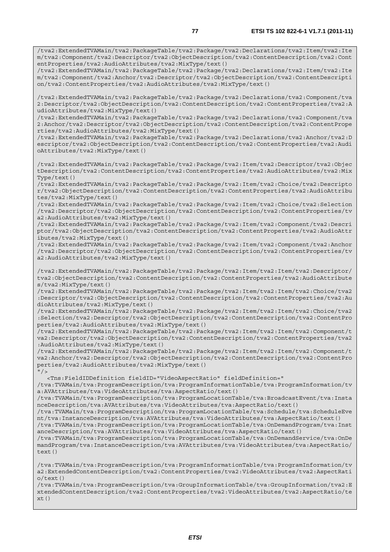/tva2:ExtendedTVAMain/tva2:PackageTable/tva2:Package/tva2:Declarations/tva2:Item/tva2:Ite m/tva2:Component/tva2:Anchor/tva2:Descriptor/tva2:ObjectDescription/tva2:ContentDescripti on/tva2:ContentProperties/tva2:AudioAttributes/tva2:MixType/text()

/tva2:ExtendedTVAMain/tva2:PackageTable/tva2:Package/tva2:Declarations/tva2:Component/tva 2:Descriptor/tva2:ObjectDescription/tva2:ContentDescription/tva2:ContentProperties/tva2:A udioAttributes/tva2:MixType/text()

/tva2:ExtendedTVAMain/tva2:PackageTable/tva2:Package/tva2:Declarations/tva2:Component/tva 2:Anchor/tva2:Descriptor/tva2:ObjectDescription/tva2:ContentDescription/tva2:ContentPrope rties/tva2:AudioAttributes/tva2:MixType/text()

/tva2:ExtendedTVAMain/tva2:PackageTable/tva2:Package/tva2:Declarations/tva2:Anchor/tva2:D escriptor/tva2:ObjectDescription/tva2:ContentDescription/tva2:ContentProperties/tva2:Audi oAttributes/tva2:MixType/text()

/tva2:ExtendedTVAMain/tva2:PackageTable/tva2:Package/tva2:Item/tva2:Descriptor/tva2:Objec tDescription/tva2:ContentDescription/tva2:ContentProperties/tva2:AudioAttributes/tva2:Mix Type/text()

/tva2:ExtendedTVAMain/tva2:PackageTable/tva2:Package/tva2:Item/tva2:Choice/tva2:Descripto r/tva2:ObjectDescription/tva2:ContentDescription/tva2:ContentProperties/tva2:AudioAttribu tes/tva2:MixType/text()

/tva2:ExtendedTVAMain/tva2:PackageTable/tva2:Package/tva2:Item/tva2:Choice/tva2:Selection /tva2:Descriptor/tva2:ObjectDescription/tva2:ContentDescription/tva2:ContentProperties/tv a2:AudioAttributes/tva2:MixType/text()

/tva2:ExtendedTVAMain/tva2:PackageTable/tva2:Package/tva2:Item/tva2:Component/tva2:Descri ptor/tva2:ObjectDescription/tva2:ContentDescription/tva2:ContentProperties/tva2:AudioAttr ibutes/tva2:MixType/text()

/tva2:ExtendedTVAMain/tva2:PackageTable/tva2:Package/tva2:Item/tva2:Component/tva2:Anchor /tva2:Descriptor/tva2:ObjectDescription/tva2:ContentDescription/tva2:ContentProperties/tv a2:AudioAttributes/tva2:MixType/text()

/tva2:ExtendedTVAMain/tva2:PackageTable/tva2:Package/tva2:Item/tva2:Item/tva2:Descriptor/ tva2:ObjectDescription/tva2:ContentDescription/tva2:ContentProperties/tva2:AudioAttribute s/tva2:MixType/text()

/tva2:ExtendedTVAMain/tva2:PackageTable/tva2:Package/tva2:Item/tva2:Item/tva2:Choice/tva2 :Descriptor/tva2:ObjectDescription/tva2:ContentDescription/tva2:ContentProperties/tva2:Au dioAttributes/tva2:MixType/text()

/tva2:ExtendedTVAMain/tva2:PackageTable/tva2:Package/tva2:Item/tva2:Item/tva2:Choice/tva2 :Selection/tva2:Descriptor/tva2:ObjectDescription/tva2:ContentDescription/tva2:ContentPro perties/tva2:AudioAttributes/tva2:MixType/text()

/tva2:ExtendedTVAMain/tva2:PackageTable/tva2:Package/tva2:Item/tva2:Item/tva2:Component/t va2:Descriptor/tva2:ObjectDescription/tva2:ContentDescription/tva2:ContentProperties/tva2 :AudioAttributes/tva2:MixType/text()

/tva2:ExtendedTVAMain/tva2:PackageTable/tva2:Package/tva2:Item/tva2:Item/tva2:Component/t va2:Anchor/tva2:Descriptor/tva2:ObjectDescription/tva2:ContentDescription/tva2:ContentPro perties/tva2:AudioAttributes/tva2:MixType/text()  $''$ />

<Tns:FieldIDDefinition fieldID="VideoAspectRatio" fieldDefinition="

/tva:TVAMain/tva:ProgramDescription/tva:ProgramInformationTable/tva:ProgramInformation/tv a:AVAttributes/tva:VideoAttributes/tva:AspectRatio/text()

/tva:TVAMain/tva:ProgramDescription/tva:ProgramLocationTable/tva:BroadcastEvent/tva:Insta nceDescription/tva:AVAttributes/tva:VideoAttributes/tva:AspectRatio/text()

/tva:TVAMain/tva:ProgramDescription/tva:ProgramLocationTable/tva:Schedule/tva:ScheduleEve nt/tva:InstanceDescription/tva:AVAttributes/tva:VideoAttributes/tva:AspectRatio/text()

/tva:TVAMain/tva:ProgramDescription/tva:ProgramLocationTable/tva:OnDemandProgram/tva:Inst anceDescription/tva:AVAttributes/tva:VideoAttributes/tva:AspectRatio/text()

/tva:TVAMain/tva:ProgramDescription/tva:ProgramLocationTable/tva:OnDemandService/tva:OnDe mandProgram/tva:InstanceDescription/tva:AVAttributes/tva:VideoAttributes/tva:AspectRatio/ text()

/tva:TVAMain/tva:ProgramDescription/tva:ProgramInformationTable/tva:ProgramInformation/tv a2:ExtendedContentDescription/tva2:ContentProperties/tva2:VideoAttributes/tva2:AspectRati o/text()

/tva:TVAMain/tva:ProgramDescription/tva:GroupInformationTable/tva:GroupInformation/tva2:E xtendedContentDescription/tva2:ContentProperties/tva2:VideoAttributes/tva2:AspectRatio/te xt()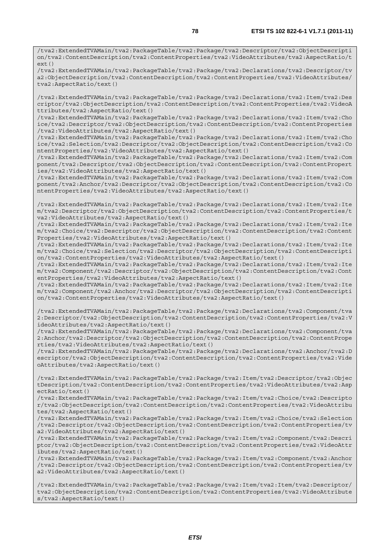/tva2:ExtendedTVAMain/tva2:PackageTable/tva2:Package/tva2:Descriptor/tva2:ObjectDescripti on/tva2:ContentDescription/tva2:ContentProperties/tva2:VideoAttributes/tva2:AspectRatio/t ext()

/tva2:ExtendedTVAMain/tva2:PackageTable/tva2:Package/tva2:Declarations/tva2:Descriptor/tv a2:ObjectDescription/tva2:ContentDescription/tva2:ContentProperties/tva2:VideoAttributes/ tva2:AspectRatio/text()

/tva2:ExtendedTVAMain/tva2:PackageTable/tva2:Package/tva2:Declarations/tva2:Item/tva2:Des criptor/tva2:ObjectDescription/tva2:ContentDescription/tva2:ContentProperties/tva2:VideoA ttributes/tva2:AspectRatio/text()

/tva2:ExtendedTVAMain/tva2:PackageTable/tva2:Package/tva2:Declarations/tva2:Item/tva2:Cho ice/tva2:Descriptor/tva2:ObjectDescription/tva2:ContentDescription/tva2:ContentProperties /tva2:VideoAttributes/tva2:AspectRatio/text()

/tva2:ExtendedTVAMain/tva2:PackageTable/tva2:Package/tva2:Declarations/tva2:Item/tva2:Cho ice/tva2:Selection/tva2:Descriptor/tva2:ObjectDescription/tva2:ContentDescription/tva2:Co ntentProperties/tva2:VideoAttributes/tva2:AspectRatio/text()

/tva2:ExtendedTVAMain/tva2:PackageTable/tva2:Package/tva2:Declarations/tva2:Item/tva2:Com ponent/tva2:Descriptor/tva2:ObjectDescription/tva2:ContentDescription/tva2:ContentPropert ies/tva2:VideoAttributes/tva2:AspectRatio/text()

/tva2:ExtendedTVAMain/tva2:PackageTable/tva2:Package/tva2:Declarations/tva2:Item/tva2:Com ponent/tva2:Anchor/tva2:Descriptor/tva2:ObjectDescription/tva2:ContentDescription/tva2:Co ntentProperties/tva2:VideoAttributes/tva2:AspectRatio/text()

/tva2:ExtendedTVAMain/tva2:PackageTable/tva2:Package/tva2:Declarations/tva2:Item/tva2:Ite m/tva2:Descriptor/tva2:ObjectDescription/tva2:ContentDescription/tva2:ContentProperties/t va2:VideoAttributes/tva2:AspectRatio/text()

/tva2:ExtendedTVAMain/tva2:PackageTable/tva2:Package/tva2:Declarations/tva2:Item/tva2:Ite m/tva2:Choice/tva2:Descriptor/tva2:ObjectDescription/tva2:ContentDescription/tva2:Content Properties/tva2:VideoAttributes/tva2:AspectRatio/text()

/tva2:ExtendedTVAMain/tva2:PackageTable/tva2:Package/tva2:Declarations/tva2:Item/tva2:Ite m/tva2:Choice/tva2:Selection/tva2:Descriptor/tva2:ObjectDescription/tva2:ContentDescripti on/tva2:ContentProperties/tva2:VideoAttributes/tva2:AspectRatio/text()

/tva2:ExtendedTVAMain/tva2:PackageTable/tva2:Package/tva2:Declarations/tva2:Item/tva2:Ite m/tva2:Component/tva2:Descriptor/tva2:ObjectDescription/tva2:ContentDescription/tva2:Cont entProperties/tva2:VideoAttributes/tva2:AspectRatio/text()

/tva2:ExtendedTVAMain/tva2:PackageTable/tva2:Package/tva2:Declarations/tva2:Item/tva2:Ite m/tva2:Component/tva2:Anchor/tva2:Descriptor/tva2:ObjectDescription/tva2:ContentDescripti on/tva2:ContentProperties/tva2:VideoAttributes/tva2:AspectRatio/text()

/tva2:ExtendedTVAMain/tva2:PackageTable/tva2:Package/tva2:Declarations/tva2:Component/tva 2:Descriptor/tva2:ObjectDescription/tva2:ContentDescription/tva2:ContentProperties/tva2:V ideoAttributes/tva2:AspectRatio/text()

/tva2:ExtendedTVAMain/tva2:PackageTable/tva2:Package/tva2:Declarations/tva2:Component/tva 2:Anchor/tva2:Descriptor/tva2:ObjectDescription/tva2:ContentDescription/tva2:ContentPrope rties/tva2:VideoAttributes/tva2:AspectRatio/text()

/tva2:ExtendedTVAMain/tva2:PackageTable/tva2:Package/tva2:Declarations/tva2:Anchor/tva2:D escriptor/tva2:ObjectDescription/tva2:ContentDescription/tva2:ContentProperties/tva2:Vide oAttributes/tva2:AspectRatio/text()

/tva2:ExtendedTVAMain/tva2:PackageTable/tva2:Package/tva2:Item/tva2:Descriptor/tva2:Objec tDescription/tva2:ContentDescription/tva2:ContentProperties/tva2:VideoAttributes/tva2:Asp ectRatio/text()

/tva2:ExtendedTVAMain/tva2:PackageTable/tva2:Package/tva2:Item/tva2:Choice/tva2:Descripto r/tva2:ObjectDescription/tva2:ContentDescription/tva2:ContentProperties/tva2:VideoAttribu tes/tva2:AspectRatio/text()

/tva2:ExtendedTVAMain/tva2:PackageTable/tva2:Package/tva2:Item/tva2:Choice/tva2:Selection /tva2:Descriptor/tva2:ObjectDescription/tva2:ContentDescription/tva2:ContentProperties/tv a2:VideoAttributes/tva2:AspectRatio/text()

/tva2:ExtendedTVAMain/tva2:PackageTable/tva2:Package/tva2:Item/tva2:Component/tva2:Descri ptor/tva2:ObjectDescription/tva2:ContentDescription/tva2:ContentProperties/tva2:VideoAttr ibutes/tva2:AspectRatio/text()

/tva2:ExtendedTVAMain/tva2:PackageTable/tva2:Package/tva2:Item/tva2:Component/tva2:Anchor /tva2:Descriptor/tva2:ObjectDescription/tva2:ContentDescription/tva2:ContentProperties/tv a2:VideoAttributes/tva2:AspectRatio/text()

/tva2:ExtendedTVAMain/tva2:PackageTable/tva2:Package/tva2:Item/tva2:Item/tva2:Descriptor/ tva2:ObjectDescription/tva2:ContentDescription/tva2:ContentProperties/tva2:VideoAttribute s/tva2:AspectRatio/text()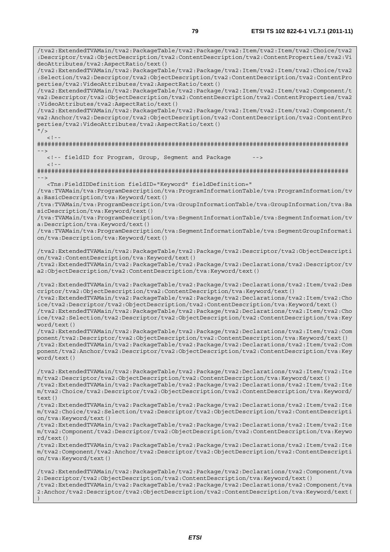/tva2:ExtendedTVAMain/tva2:PackageTable/tva2:Package/tva2:Item/tva2:Item/tva2:Choice/tva2 :Descriptor/tva2:ObjectDescription/tva2:ContentDescription/tva2:ContentProperties/tva2:Vi deoAttributes/tva2:AspectRatio/text() /tva2:ExtendedTVAMain/tva2:PackageTable/tva2:Package/tva2:Item/tva2:Item/tva2:Choice/tva2 :Selection/tva2:Descriptor/tva2:ObjectDescription/tva2:ContentDescription/tva2:ContentPro perties/tva2:VideoAttributes/tva2:AspectRatio/text() /tva2:ExtendedTVAMain/tva2:PackageTable/tva2:Package/tva2:Item/tva2:Item/tva2:Component/t va2:Descriptor/tva2:ObjectDescription/tva2:ContentDescription/tva2:ContentProperties/tva2 :VideoAttributes/tva2:AspectRatio/text() /tva2:ExtendedTVAMain/tva2:PackageTable/tva2:Package/tva2:Item/tva2:Item/tva2:Component/t va2:Anchor/tva2:Descriptor/tva2:ObjectDescription/tva2:ContentDescription/tva2:ContentPro perties/tva2:VideoAttributes/tva2:AspectRatio/text()  $\frac{1}{2}$  $-1$ ######################################################################################## --> <!-- fieldID for Program, Group, Segment and Package  $<$ ! --######################################################################################## --> <Tns:FieldIDDefinition fieldID="Keyword" fieldDefinition=" /tva:TVAMain/tva:ProgramDescription/tva:ProgramInformationTable/tva:ProgramInformation/tv a:BasicDescription/tva:Keyword/text() /tva:TVAMain/tva:ProgramDescription/tva:GroupInformationTable/tva:GroupInformation/tva:Ba sicDescription/tva:Keyword/text() /tva:TVAMain/tva:ProgramDescription/tva:SegmentInformationTable/tva:SegmentInformation/tv a:Description/tva:Keyword/text() /tva:TVAMain/tva:ProgramDescription/tva:SegmentInformationTable/tva:SegmentGroupInformati on/tva:Description/tva:Keyword/text() /tva2:ExtendedTVAMain/tva2:PackageTable/tva2:Package/tva2:Descriptor/tva2:ObjectDescripti on/tva2:ContentDescription/tva:Keyword/text() /tva2:ExtendedTVAMain/tva2:PackageTable/tva2:Package/tva2:Declarations/tva2:Descriptor/tv a2:ObjectDescription/tva2:ContentDescription/tva:Keyword/text() /tva2:ExtendedTVAMain/tva2:PackageTable/tva2:Package/tva2:Declarations/tva2:Item/tva2:Des criptor/tva2:ObjectDescription/tva2:ContentDescription/tva:Keyword/text() /tva2:ExtendedTVAMain/tva2:PackageTable/tva2:Package/tva2:Declarations/tva2:Item/tva2:Cho ice/tva2:Descriptor/tva2:ObjectDescription/tva2:ContentDescription/tva:Keyword/text() /tva2:ExtendedTVAMain/tva2:PackageTable/tva2:Package/tva2:Declarations/tva2:Item/tva2:Cho ice/tva2:Selection/tva2:Descriptor/tva2:ObjectDescription/tva2:ContentDescription/tva:Key word/text() /tva2:ExtendedTVAMain/tva2:PackageTable/tva2:Package/tva2:Declarations/tva2:Item/tva2:Com ponent/tva2:Descriptor/tva2:ObjectDescription/tva2:ContentDescription/tva:Keyword/text() /tva2:ExtendedTVAMain/tva2:PackageTable/tva2:Package/tva2:Declarations/tva2:Item/tva2:Com ponent/tva2:Anchor/tva2:Descriptor/tva2:ObjectDescription/tva2:ContentDescription/tva:Key word/text() /tva2:ExtendedTVAMain/tva2:PackageTable/tva2:Package/tva2:Declarations/tva2:Item/tva2:Ite m/tva2:Descriptor/tva2:ObjectDescription/tva2:ContentDescription/tva:Keyword/text() /tva2:ExtendedTVAMain/tva2:PackageTable/tva2:Package/tva2:Declarations/tva2:Item/tva2:Ite m/tva2:Choice/tva2:Descriptor/tva2:ObjectDescription/tva2:ContentDescription/tva:Keyword/ text() /tva2:ExtendedTVAMain/tva2:PackageTable/tva2:Package/tva2:Declarations/tva2:Item/tva2:Ite m/tva2:Choice/tva2:Selection/tva2:Descriptor/tva2:ObjectDescription/tva2:ContentDescripti on/tva:Keyword/text() /tva2:ExtendedTVAMain/tva2:PackageTable/tva2:Package/tva2:Declarations/tva2:Item/tva2:Ite m/tva2:Component/tva2:Descriptor/tva2:ObjectDescription/tva2:ContentDescription/tva:Keywo rd/text() /tva2:ExtendedTVAMain/tva2:PackageTable/tva2:Package/tva2:Declarations/tva2:Item/tva2:Ite m/tva2:Component/tva2:Anchor/tva2:Descriptor/tva2:ObjectDescription/tva2:ContentDescripti on/tva:Keyword/text() /tva2:ExtendedTVAMain/tva2:PackageTable/tva2:Package/tva2:Declarations/tva2:Component/tva 2:Descriptor/tva2:ObjectDescription/tva2:ContentDescription/tva:Keyword/text() /tva2:ExtendedTVAMain/tva2:PackageTable/tva2:Package/tva2:Declarations/tva2:Component/tva 2:Anchor/tva2:Descriptor/tva2:ObjectDescription/tva2:ContentDescription/tva:Keyword/text(

)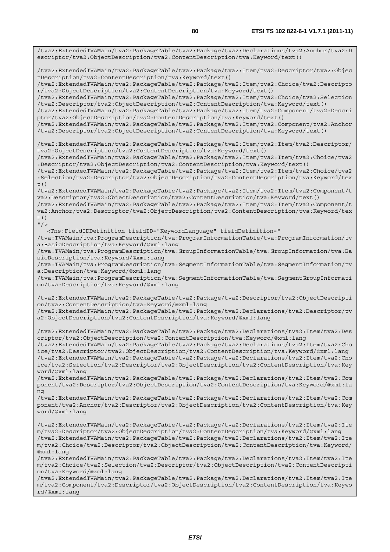/tva2:ExtendedTVAMain/tva2:PackageTable/tva2:Package/tva2:Declarations/tva2:Anchor/tva2:D escriptor/tva2:ObjectDescription/tva2:ContentDescription/tva:Keyword/text() /tva2:ExtendedTVAMain/tva2:PackageTable/tva2:Package/tva2:Item/tva2:Descriptor/tva2:Objec tDescription/tva2:ContentDescription/tva:Keyword/text() /tva2:ExtendedTVAMain/tva2:PackageTable/tva2:Package/tva2:Item/tva2:Choice/tva2:Descripto r/tva2:ObjectDescription/tva2:ContentDescription/tva:Keyword/text() /tva2:ExtendedTVAMain/tva2:PackageTable/tva2:Package/tva2:Item/tva2:Choice/tva2:Selection /tva2:Descriptor/tva2:ObjectDescription/tva2:ContentDescription/tva:Keyword/text() /tva2:ExtendedTVAMain/tva2:PackageTable/tva2:Package/tva2:Item/tva2:Component/tva2:Descri ptor/tva2:ObjectDescription/tva2:ContentDescription/tva:Keyword/text() /tva2:ExtendedTVAMain/tva2:PackageTable/tva2:Package/tva2:Item/tva2:Component/tva2:Anchor /tva2:Descriptor/tva2:ObjectDescription/tva2:ContentDescription/tva:Keyword/text() /tva2:ExtendedTVAMain/tva2:PackageTable/tva2:Package/tva2:Item/tva2:Item/tva2:Descriptor/ tva2:ObjectDescription/tva2:ContentDescription/tva:Keyword/text() /tva2:ExtendedTVAMain/tva2:PackageTable/tva2:Package/tva2:Item/tva2:Item/tva2:Choice/tva2 :Descriptor/tva2:ObjectDescription/tva2:ContentDescription/tva:Keyword/text() /tva2:ExtendedTVAMain/tva2:PackageTable/tva2:Package/tva2:Item/tva2:Item/tva2:Choice/tva2 :Selection/tva2:Descriptor/tva2:ObjectDescription/tva2:ContentDescription/tva:Keyword/tex t() /tva2:ExtendedTVAMain/tva2:PackageTable/tva2:Package/tva2:Item/tva2:Item/tva2:Component/t va2:Descriptor/tva2:ObjectDescription/tva2:ContentDescription/tva:Keyword/text() /tva2:ExtendedTVAMain/tva2:PackageTable/tva2:Package/tva2:Item/tva2:Item/tva2:Component/t va2:Anchor/tva2:Descriptor/tva2:ObjectDescription/tva2:ContentDescription/tva:Keyword/tex t()  $''$  / > <Tns:FieldIDDefinition fieldID="KeywordLanguage" fieldDefinition=" /tva:TVAMain/tva:ProgramDescription/tva:ProgramInformationTable/tva:ProgramInformation/tv a:BasicDescription/tva:Keyword/@xml:lang /tva:TVAMain/tva:ProgramDescription/tva:GroupInformationTable/tva:GroupInformation/tva:Ba sicDescription/tva:Keyword/@xml:lang /tva:TVAMain/tva:ProgramDescription/tva:SegmentInformationTable/tva:SegmentInformation/tv a:Description/tva:Keyword/@xml:lang /tva:TVAMain/tva:ProgramDescription/tva:SegmentInformationTable/tva:SegmentGroupInformati on/tva:Description/tva:Keyword/@xml:lang /tva2:ExtendedTVAMain/tva2:PackageTable/tva2:Package/tva2:Descriptor/tva2:ObjectDescripti on/tva2:ContentDescription/tva:Keyword/@xml:lang /tva2:ExtendedTVAMain/tva2:PackageTable/tva2:Package/tva2:Declarations/tva2:Descriptor/tv a2:ObjectDescription/tva2:ContentDescription/tva:Keyword/@xml:lang /tva2:ExtendedTVAMain/tva2:PackageTable/tva2:Package/tva2:Declarations/tva2:Item/tva2:Des criptor/tva2:ObjectDescription/tva2:ContentDescription/tva:Keyword/@xml:lang /tva2:ExtendedTVAMain/tva2:PackageTable/tva2:Package/tva2:Declarations/tva2:Item/tva2:Cho ice/tva2:Descriptor/tva2:ObjectDescription/tva2:ContentDescription/tva:Keyword/@xml:lang /tva2:ExtendedTVAMain/tva2:PackageTable/tva2:Package/tva2:Declarations/tva2:Item/tva2:Cho ice/tva2:Selection/tva2:Descriptor/tva2:ObjectDescription/tva2:ContentDescription/tva:Key word/@xml:lang /tva2:ExtendedTVAMain/tva2:PackageTable/tva2:Package/tva2:Declarations/tva2:Item/tva2:Com ponent/tva2:Descriptor/tva2:ObjectDescription/tva2:ContentDescription/tva:Keyword/@xml:la ng /tva2:ExtendedTVAMain/tva2:PackageTable/tva2:Package/tva2:Declarations/tva2:Item/tva2:Com ponent/tva2:Anchor/tva2:Descriptor/tva2:ObjectDescription/tva2:ContentDescription/tva:Key word/@xml:lang /tva2:ExtendedTVAMain/tva2:PackageTable/tva2:Package/tva2:Declarations/tva2:Item/tva2:Ite m/tva2:Descriptor/tva2:ObjectDescription/tva2:ContentDescription/tva:Keyword/@xml:lang /tva2:ExtendedTVAMain/tva2:PackageTable/tva2:Package/tva2:Declarations/tva2:Item/tva2:Ite m/tva2:Choice/tva2:Descriptor/tva2:ObjectDescription/tva2:ContentDescription/tva:Keyword/ @xml:lang /tva2:ExtendedTVAMain/tva2:PackageTable/tva2:Package/tva2:Declarations/tva2:Item/tva2:Ite m/tva2:Choice/tva2:Selection/tva2:Descriptor/tva2:ObjectDescription/tva2:ContentDescripti on/tva:Keyword/@xml:lang /tva2:ExtendedTVAMain/tva2:PackageTable/tva2:Package/tva2:Declarations/tva2:Item/tva2:Ite m/tva2:Component/tva2:Descriptor/tva2:ObjectDescription/tva2:ContentDescription/tva:Keywo

*ETSI* 

rd/@xml:lang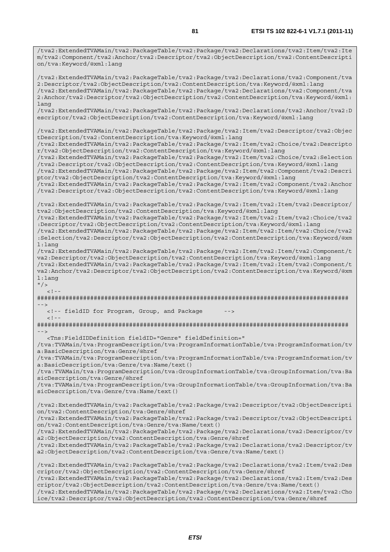/tva2:ExtendedTVAMain/tva2:PackageTable/tva2:Package/tva2:Declarations/tva2:Item/tva2:Ite m/tva2:Component/tva2:Anchor/tva2:Descriptor/tva2:ObjectDescription/tva2:ContentDescripti on/tva:Keyword/@xml:lang

/tva2:ExtendedTVAMain/tva2:PackageTable/tva2:Package/tva2:Declarations/tva2:Component/tva 2:Descriptor/tva2:ObjectDescription/tva2:ContentDescription/tva:Keyword/@xml:lang /tva2:ExtendedTVAMain/tva2:PackageTable/tva2:Package/tva2:Declarations/tva2:Component/tva 2:Anchor/tva2:Descriptor/tva2:ObjectDescription/tva2:ContentDescription/tva:Keyword/@xml: lang

/tva2:ExtendedTVAMain/tva2:PackageTable/tva2:Package/tva2:Declarations/tva2:Anchor/tva2:D escriptor/tva2:ObjectDescription/tva2:ContentDescription/tva:Keyword/@xml:lang

/tva2:ExtendedTVAMain/tva2:PackageTable/tva2:Package/tva2:Item/tva2:Descriptor/tva2:Objec tDescription/tva2:ContentDescription/tva:Keyword/@xml:lang

/tva2:ExtendedTVAMain/tva2:PackageTable/tva2:Package/tva2:Item/tva2:Choice/tva2:Descripto r/tva2:ObjectDescription/tva2:ContentDescription/tva:Keyword/@xml:lang

/tva2:ExtendedTVAMain/tva2:PackageTable/tva2:Package/tva2:Item/tva2:Choice/tva2:Selection /tva2:Descriptor/tva2:ObjectDescription/tva2:ContentDescription/tva:Keyword/@xml:lang /tva2:ExtendedTVAMain/tva2:PackageTable/tva2:Package/tva2:Item/tva2:Component/tva2:Descri

ptor/tva2:ObjectDescription/tva2:ContentDescription/tva:Keyword/@xml:lang

/tva2:ExtendedTVAMain/tva2:PackageTable/tva2:Package/tva2:Item/tva2:Component/tva2:Anchor /tva2:Descriptor/tva2:ObjectDescription/tva2:ContentDescription/tva:Keyword/@xml:lang

/tva2:ExtendedTVAMain/tva2:PackageTable/tva2:Package/tva2:Item/tva2:Item/tva2:Descriptor/ tva2:ObjectDescription/tva2:ContentDescription/tva:Keyword/@xml:lang

/tva2:ExtendedTVAMain/tva2:PackageTable/tva2:Package/tva2:Item/tva2:Item/tva2:Choice/tva2 :Descriptor/tva2:ObjectDescription/tva2:ContentDescription/tva:Keyword/@xml:lang

/tva2:ExtendedTVAMain/tva2:PackageTable/tva2:Package/tva2:Item/tva2:Item/tva2:Choice/tva2 :Selection/tva2:Descriptor/tva2:ObjectDescription/tva2:ContentDescription/tva:Keyword/@xm l:lang

/tva2:ExtendedTVAMain/tva2:PackageTable/tva2:Package/tva2:Item/tva2:Item/tva2:Component/t va2:Descriptor/tva2:ObjectDescription/tva2:ContentDescription/tva:Keyword/@xml:lang /tva2:ExtendedTVAMain/tva2:PackageTable/tva2:Package/tva2:Item/tva2:Item/tva2:Component/t va2:Anchor/tva2:Descriptor/tva2:ObjectDescription/tva2:ContentDescription/tva:Keyword/@xm l:lang

 $"$  />  $\leq$  !  $-$ 

######################################################################################## -->

 <!-- fieldID for Program, Group, and Package -->  $<$ ! - -

######################################################################################## -->

<Tns:FieldIDDefinition fieldID="Genre" fieldDefinition="

/tva:TVAMain/tva:ProgramDescription/tva:ProgramInformationTable/tva:ProgramInformation/tv a:BasicDescription/tva:Genre/@href

/tva:TVAMain/tva:ProgramDescription/tva:ProgramInformationTable/tva:ProgramInformation/tv a:BasicDescription/tva:Genre/tva:Name/text()

/tva:TVAMain/tva:ProgramDescription/tva:GroupInformationTable/tva:GroupInformation/tva:Ba sicDescription/tva:Genre/@href

/tva:TVAMain/tva:ProgramDescription/tva:GroupInformationTable/tva:GroupInformation/tva:Ba sicDescription/tva:Genre/tva:Name/text()

/tva2:ExtendedTVAMain/tva2:PackageTable/tva2:Package/tva2:Descriptor/tva2:ObjectDescripti on/tva2:ContentDescription/tva:Genre/@href

/tva2:ExtendedTVAMain/tva2:PackageTable/tva2:Package/tva2:Descriptor/tva2:ObjectDescripti on/tva2:ContentDescription/tva:Genre/tva:Name/text()

/tva2:ExtendedTVAMain/tva2:PackageTable/tva2:Package/tva2:Declarations/tva2:Descriptor/tv a2:ObjectDescription/tva2:ContentDescription/tva:Genre/@href

/tva2:ExtendedTVAMain/tva2:PackageTable/tva2:Package/tva2:Declarations/tva2:Descriptor/tv a2:ObjectDescription/tva2:ContentDescription/tva:Genre/tva:Name/text()

/tva2:ExtendedTVAMain/tva2:PackageTable/tva2:Package/tva2:Declarations/tva2:Item/tva2:Des criptor/tva2:ObjectDescription/tva2:ContentDescription/tva:Genre/@href /tva2:ExtendedTVAMain/tva2:PackageTable/tva2:Package/tva2:Declarations/tva2:Item/tva2:Des criptor/tva2:ObjectDescription/tva2:ContentDescription/tva:Genre/tva:Name/text() /tva2:ExtendedTVAMain/tva2:PackageTable/tva2:Package/tva2:Declarations/tva2:Item/tva2:Cho

ice/tva2:Descriptor/tva2:ObjectDescription/tva2:ContentDescription/tva:Genre/@href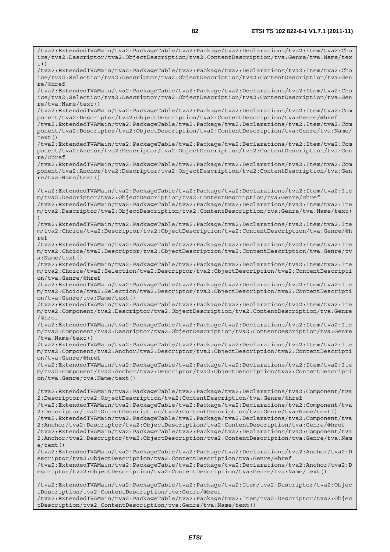/tva2:ExtendedTVAMain/tva2:PackageTable/tva2:Package/tva2:Declarations/tva2:Item/tva2:Cho ice/tva2:Descriptor/tva2:ObjectDescription/tva2:ContentDescription/tva:Genre/tva:Name/tex  $t()$ /tva2:ExtendedTVAMain/tva2:PackageTable/tva2:Package/tva2:Declarations/tva2:Item/tva2:Cho ice/tva2:Selection/tva2:Descriptor/tva2:ObjectDescription/tva2:ContentDescription/tva:Gen re/@href /tva2:ExtendedTVAMain/tva2:PackageTable/tva2:Package/tva2:Declarations/tva2:Item/tva2:Cho ice/tva2:Selection/tva2:Descriptor/tva2:ObjectDescription/tva2:ContentDescription/tva:Gen re/tva:Name/text() /tva2:ExtendedTVAMain/tva2:PackageTable/tva2:Package/tva2:Declarations/tva2:Item/tva2:Com ponent/tva2:Descriptor/tva2:ObjectDescription/tva2:ContentDescription/tva:Genre/@href /tva2:ExtendedTVAMain/tva2:PackageTable/tva2:Package/tva2:Declarations/tva2:Item/tva2:Com ponent/tva2:Descriptor/tva2:ObjectDescription/tva2:ContentDescription/tva:Genre/tva:Name/ text() /tva2:ExtendedTVAMain/tva2:PackageTable/tva2:Package/tva2:Declarations/tva2:Item/tva2:Com ponent/tva2:Anchor/tva2:Descriptor/tva2:ObjectDescription/tva2:ContentDescription/tva:Gen re/@href /tva2:ExtendedTVAMain/tva2:PackageTable/tva2:Package/tva2:Declarations/tva2:Item/tva2:Com ponent/tva2:Anchor/tva2:Descriptor/tva2:ObjectDescription/tva2:ContentDescription/tva:Gen re/tva:Name/text() /tva2:ExtendedTVAMain/tva2:PackageTable/tva2:Package/tva2:Declarations/tva2:Item/tva2:Ite m/tva2:Descriptor/tva2:ObjectDescription/tva2:ContentDescription/tva:Genre/@href /tva2:ExtendedTVAMain/tva2:PackageTable/tva2:Package/tva2:Declarations/tva2:Item/tva2:Ite m/tva2:Descriptor/tva2:ObjectDescription/tva2:ContentDescription/tva:Genre/tva:Name/text( ) /tva2:ExtendedTVAMain/tva2:PackageTable/tva2:Package/tva2:Declarations/tva2:Item/tva2:Ite m/tva2:Choice/tva2:Descriptor/tva2:ObjectDescription/tva2:ContentDescription/tva:Genre/@h ref /tva2:ExtendedTVAMain/tva2:PackageTable/tva2:Package/tva2:Declarations/tva2:Item/tva2:Ite m/tva2:Choice/tva2:Descriptor/tva2:ObjectDescription/tva2:ContentDescription/tva:Genre/tv a:Name/text() /tva2:ExtendedTVAMain/tva2:PackageTable/tva2:Package/tva2:Declarations/tva2:Item/tva2:Ite m/tva2:Choice/tva2:Selection/tva2:Descriptor/tva2:ObjectDescription/tva2:ContentDescripti on/tva:Genre/@href /tva2:ExtendedTVAMain/tva2:PackageTable/tva2:Package/tva2:Declarations/tva2:Item/tva2:Ite m/tva2:Choice/tva2:Selection/tva2:Descriptor/tva2:ObjectDescription/tva2:ContentDescripti on/tva:Genre/tva:Name/text() /tva2:ExtendedTVAMain/tva2:PackageTable/tva2:Package/tva2:Declarations/tva2:Item/tva2:Ite m/tva2:Component/tva2:Descriptor/tva2:ObjectDescription/tva2:ContentDescription/tva:Genre /@href /tva2:ExtendedTVAMain/tva2:PackageTable/tva2:Package/tva2:Declarations/tva2:Item/tva2:Ite m/tva2:Component/tva2:Descriptor/tva2:ObjectDescription/tva2:ContentDescription/tva:Genre /tva:Name/text() /tva2:ExtendedTVAMain/tva2:PackageTable/tva2:Package/tva2:Declarations/tva2:Item/tva2:Ite m/tva2:Component/tva2:Anchor/tva2:Descriptor/tva2:ObjectDescription/tva2:ContentDescripti on/tva:Genre/@href /tva2:ExtendedTVAMain/tva2:PackageTable/tva2:Package/tva2:Declarations/tva2:Item/tva2:Ite m/tva2:Component/tva2:Anchor/tva2:Descriptor/tva2:ObjectDescription/tva2:ContentDescripti on/tva:Genre/tva:Name/text() /tva2:ExtendedTVAMain/tva2:PackageTable/tva2:Package/tva2:Declarations/tva2:Component/tva 2:Descriptor/tva2:ObjectDescription/tva2:ContentDescription/tva:Genre/@href /tva2:ExtendedTVAMain/tva2:PackageTable/tva2:Package/tva2:Declarations/tva2:Component/tva 2:Descriptor/tva2:ObjectDescription/tva2:ContentDescription/tva:Genre/tva:Name/text() /tva2:ExtendedTVAMain/tva2:PackageTable/tva2:Package/tva2:Declarations/tva2:Component/tva 2:Anchor/tva2:Descriptor/tva2:ObjectDescription/tva2:ContentDescription/tva:Genre/@href /tva2:ExtendedTVAMain/tva2:PackageTable/tva2:Package/tva2:Declarations/tva2:Component/tva 2:Anchor/tva2:Descriptor/tva2:ObjectDescription/tva2:ContentDescription/tva:Genre/tva:Nam e/text() /tva2:ExtendedTVAMain/tva2:PackageTable/tva2:Package/tva2:Declarations/tva2:Anchor/tva2:D escriptor/tva2:ObjectDescription/tva2:ContentDescription/tva:Genre/@href /tva2:ExtendedTVAMain/tva2:PackageTable/tva2:Package/tva2:Declarations/tva2:Anchor/tva2:D escriptor/tva2:ObjectDescription/tva2:ContentDescription/tva:Genre/tva:Name/text() /tva2:ExtendedTVAMain/tva2:PackageTable/tva2:Package/tva2:Item/tva2:Descriptor/tva2:Objec tDescription/tva2:ContentDescription/tva:Genre/@href

/tva2:ExtendedTVAMain/tva2:PackageTable/tva2:Package/tva2:Item/tva2:Descriptor/tva2:Objec tDescription/tva2:ContentDescription/tva:Genre/tva:Name/text()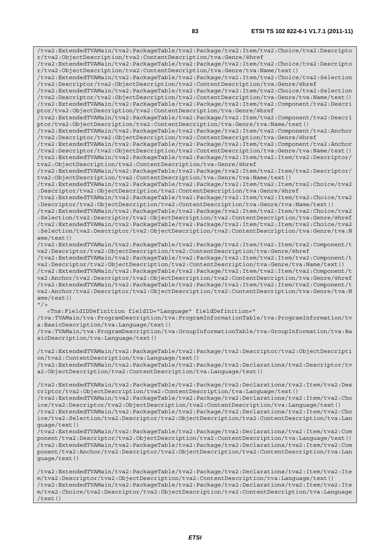/tva2:ExtendedTVAMain/tva2:PackageTable/tva2:Package/tva2:Item/tva2:Choice/tva2:Descripto r/tva2:ObjectDescription/tva2:ContentDescription/tva:Genre/@href /tva2:ExtendedTVAMain/tva2:PackageTable/tva2:Package/tva2:Item/tva2:Choice/tva2:Descripto r/tva2:ObjectDescription/tva2:ContentDescription/tva:Genre/tva:Name/text() /tva2:ExtendedTVAMain/tva2:PackageTable/tva2:Package/tva2:Item/tva2:Choice/tva2:Selection /tva2:Descriptor/tva2:ObjectDescription/tva2:ContentDescription/tva:Genre/@href /tva2:ExtendedTVAMain/tva2:PackageTable/tva2:Package/tva2:Item/tva2:Choice/tva2:Selection /tva2:Descriptor/tva2:ObjectDescription/tva2:ContentDescription/tva:Genre/tva:Name/text() /tva2:ExtendedTVAMain/tva2:PackageTable/tva2:Package/tva2:Item/tva2:Component/tva2:Descri ptor/tva2:ObjectDescription/tva2:ContentDescription/tva:Genre/@href /tva2:ExtendedTVAMain/tva2:PackageTable/tva2:Package/tva2:Item/tva2:Component/tva2:Descri ptor/tva2:ObjectDescription/tva2:ContentDescription/tva:Genre/tva:Name/text() /tva2:ExtendedTVAMain/tva2:PackageTable/tva2:Package/tva2:Item/tva2:Component/tva2:Anchor /tva2:Descriptor/tva2:ObjectDescription/tva2:ContentDescription/tva:Genre/@href /tva2:ExtendedTVAMain/tva2:PackageTable/tva2:Package/tva2:Item/tva2:Component/tva2:Anchor /tva2:Descriptor/tva2:ObjectDescription/tva2:ContentDescription/tva:Genre/tva:Name/text() /tva2:ExtendedTVAMain/tva2:PackageTable/tva2:Package/tva2:Item/tva2:Item/tva2:Descriptor/ tva2:ObjectDescription/tva2:ContentDescription/tva:Genre/@href /tva2:ExtendedTVAMain/tva2:PackageTable/tva2:Package/tva2:Item/tva2:Item/tva2:Descriptor/ tva2:ObjectDescription/tva2:ContentDescription/tva:Genre/tva:Name/text() /tva2:ExtendedTVAMain/tva2:PackageTable/tva2:Package/tva2:Item/tva2:Item/tva2:Choice/tva2 :Descriptor/tva2:ObjectDescription/tva2:ContentDescription/tva:Genre/@href /tva2:ExtendedTVAMain/tva2:PackageTable/tva2:Package/tva2:Item/tva2:Item/tva2:Choice/tva2 :Descriptor/tva2:ObjectDescription/tva2:ContentDescription/tva:Genre/tva:Name/text() /tva2:ExtendedTVAMain/tva2:PackageTable/tva2:Package/tva2:Item/tva2:Item/tva2:Choice/tva2 :Selection/tva2:Descriptor/tva2:ObjectDescription/tva2:ContentDescription/tva:Genre/@href /tva2:ExtendedTVAMain/tva2:PackageTable/tva2:Package/tva2:Item/tva2:Item/tva2:Choice/tva2 :Selection/tva2:Descriptor/tva2:ObjectDescription/tva2:ContentDescription/tva:Genre/tva:N ame/text() /tva2:ExtendedTVAMain/tva2:PackageTable/tva2:Package/tva2:Item/tva2:Item/tva2:Component/t va2:Descriptor/tva2:ObjectDescription/tva2:ContentDescription/tva:Genre/@href /tva2:ExtendedTVAMain/tva2:PackageTable/tva2:Package/tva2:Item/tva2:Item/tva2:Component/t va2:Descriptor/tva2:ObjectDescription/tva2:ContentDescription/tva:Genre/tva:Name/text() /tva2:ExtendedTVAMain/tva2:PackageTable/tva2:Package/tva2:Item/tva2:Item/tva2:Component/t va2:Anchor/tva2:Descriptor/tva2:ObjectDescription/tva2:ContentDescription/tva:Genre/@href /tva2:ExtendedTVAMain/tva2:PackageTable/tva2:Package/tva2:Item/tva2:Item/tva2:Component/t va2:Anchor/tva2:Descriptor/tva2:ObjectDescription/tva2:ContentDescription/tva:Genre/tva:N ame/text()  $"$ /> <Tns:FieldIDDefinition fieldID="Language" fieldDefinition=" /tva:TVAMain/tva:ProgramDescription/tva:ProgramInformationTable/tva:ProgramInformation/tv a:BasicDescription/tva:Language/text() /tva:TVAMain/tva:ProgramDescription/tva:GroupInformationTable/tva:GroupInformation/tva:Ba sicDescription/tva:Language/text() /tva2:ExtendedTVAMain/tva2:PackageTable/tva2:Package/tva2:Descriptor/tva2:ObjectDescripti on/tva2:ContentDescription/tva:Language/text() /tva2:ExtendedTVAMain/tva2:PackageTable/tva2:Package/tva2:Declarations/tva2:Descriptor/tv a2:ObjectDescription/tva2:ContentDescription/tva:Language/text() /tva2:ExtendedTVAMain/tva2:PackageTable/tva2:Package/tva2:Declarations/tva2:Item/tva2:Des criptor/tva2:ObjectDescription/tva2:ContentDescription/tva:Language/text() /tva2:ExtendedTVAMain/tva2:PackageTable/tva2:Package/tva2:Declarations/tva2:Item/tva2:Cho ice/tva2:Descriptor/tva2:ObjectDescription/tva2:ContentDescription/tva:Language/text() /tva2:ExtendedTVAMain/tva2:PackageTable/tva2:Package/tva2:Declarations/tva2:Item/tva2:Cho ice/tva2:Selection/tva2:Descriptor/tva2:ObjectDescription/tva2:ContentDescription/tva:Lan guage/text() /tva2:ExtendedTVAMain/tva2:PackageTable/tva2:Package/tva2:Declarations/tva2:Item/tva2:Com ponent/tva2:Descriptor/tva2:ObjectDescription/tva2:ContentDescription/tva:Language/text() /tva2:ExtendedTVAMain/tva2:PackageTable/tva2:Package/tva2:Declarations/tva2:Item/tva2:Com ponent/tva2:Anchor/tva2:Descriptor/tva2:ObjectDescription/tva2:ContentDescription/tva:Lan guage/text() /tva2:ExtendedTVAMain/tva2:PackageTable/tva2:Package/tva2:Declarations/tva2:Item/tva2:Ite

m/tva2:Descriptor/tva2:ObjectDescription/tva2:ContentDescription/tva:Language/text() /tva2:ExtendedTVAMain/tva2:PackageTable/tva2:Package/tva2:Declarations/tva2:Item/tva2:Ite m/tva2:Choice/tva2:Descriptor/tva2:ObjectDescription/tva2:ContentDescription/tva:Language /text()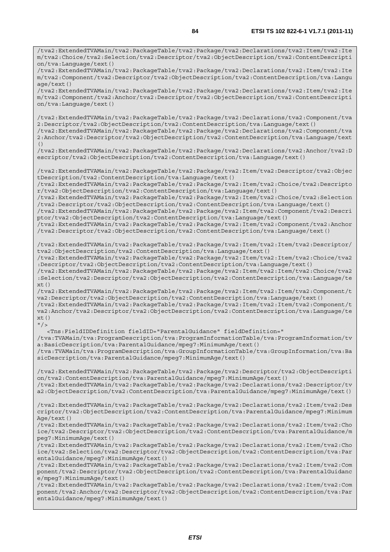/tva2:ExtendedTVAMain/tva2:PackageTable/tva2:Package/tva2:Declarations/tva2:Item/tva2:Ite m/tva2:Choice/tva2:Selection/tva2:Descriptor/tva2:ObjectDescription/tva2:ContentDescripti on/tva:Language/text() /tva2:ExtendedTVAMain/tva2:PackageTable/tva2:Package/tva2:Declarations/tva2:Item/tva2:Ite m/tva2:Component/tva2:Descriptor/tva2:ObjectDescription/tva2:ContentDescription/tva:Langu age/text() /tva2:ExtendedTVAMain/tva2:PackageTable/tva2:Package/tva2:Declarations/tva2:Item/tva2:Ite m/tva2:Component/tva2:Anchor/tva2:Descriptor/tva2:ObjectDescription/tva2:ContentDescripti on/tva:Language/text() /tva2:ExtendedTVAMain/tva2:PackageTable/tva2:Package/tva2:Declarations/tva2:Component/tva 2:Descriptor/tva2:ObjectDescription/tva2:ContentDescription/tva:Language/text() /tva2:ExtendedTVAMain/tva2:PackageTable/tva2:Package/tva2:Declarations/tva2:Component/tva 2:Anchor/tva2:Descriptor/tva2:ObjectDescription/tva2:ContentDescription/tva:Language/text () /tva2:ExtendedTVAMain/tva2:PackageTable/tva2:Package/tva2:Declarations/tva2:Anchor/tva2:D escriptor/tva2:ObjectDescription/tva2:ContentDescription/tva:Language/text() /tva2:ExtendedTVAMain/tva2:PackageTable/tva2:Package/tva2:Item/tva2:Descriptor/tva2:Objec tDescription/tva2:ContentDescription/tva:Language/text() /tva2:ExtendedTVAMain/tva2:PackageTable/tva2:Package/tva2:Item/tva2:Choice/tva2:Descripto r/tva2:ObjectDescription/tva2:ContentDescription/tva:Language/text() /tva2:ExtendedTVAMain/tva2:PackageTable/tva2:Package/tva2:Item/tva2:Choice/tva2:Selection /tva2:Descriptor/tva2:ObjectDescription/tva2:ContentDescription/tva:Language/text() /tva2:ExtendedTVAMain/tva2:PackageTable/tva2:Package/tva2:Item/tva2:Component/tva2:Descri ptor/tva2:ObjectDescription/tva2:ContentDescription/tva:Language/text() /tva2:ExtendedTVAMain/tva2:PackageTable/tva2:Package/tva2:Item/tva2:Component/tva2:Anchor /tva2:Descriptor/tva2:ObjectDescription/tva2:ContentDescription/tva:Language/text() /tva2:ExtendedTVAMain/tva2:PackageTable/tva2:Package/tva2:Item/tva2:Item/tva2:Descriptor/ tva2:ObjectDescription/tva2:ContentDescription/tva:Language/text() /tva2:ExtendedTVAMain/tva2:PackageTable/tva2:Package/tva2:Item/tva2:Item/tva2:Choice/tva2 :Descriptor/tva2:ObjectDescription/tva2:ContentDescription/tva:Language/text() /tva2:ExtendedTVAMain/tva2:PackageTable/tva2:Package/tva2:Item/tva2:Item/tva2:Choice/tva2 :Selection/tva2:Descriptor/tva2:ObjectDescription/tva2:ContentDescription/tva:Language/te  $xt()$ /tva2:ExtendedTVAMain/tva2:PackageTable/tva2:Package/tva2:Item/tva2:Item/tva2:Component/t va2:Descriptor/tva2:ObjectDescription/tva2:ContentDescription/tva:Language/text() /tva2:ExtendedTVAMain/tva2:PackageTable/tva2:Package/tva2:Item/tva2:Item/tva2:Component/t va2:Anchor/tva2:Descriptor/tva2:ObjectDescription/tva2:ContentDescription/tva:Language/te xt()  $''$  / > <Tns:FieldIDDefinition fieldID="ParentalGuidance" fieldDefinition=" /tva:TVAMain/tva:ProgramDescription/tva:ProgramInformationTable/tva:ProgramInformation/tv a:BasicDescription/tva:ParentalGuidance/mpeg7:MinimumAge/text() /tva:TVAMain/tva:ProgramDescription/tva:GroupInformationTable/tva:GroupInformation/tva:Ba sicDescription/tva:ParentalGuidance/mpeg7:MinimumAge/text() /tva2:ExtendedTVAMain/tva2:PackageTable/tva2:Package/tva2:Descriptor/tva2:ObjectDescripti on/tva2:ContentDescription/tva:ParentalGuidance/mpeg7:MinimumAge/text() /tva2:ExtendedTVAMain/tva2:PackageTable/tva2:Package/tva2:Declarations/tva2:Descriptor/tv a2:ObjectDescription/tva2:ContentDescription/tva:ParentalGuidance/mpeg7:MinimumAge/text() /tva2:ExtendedTVAMain/tva2:PackageTable/tva2:Package/tva2:Declarations/tva2:Item/tva2:Des criptor/tva2:ObjectDescription/tva2:ContentDescription/tva:ParentalGuidance/mpeg7:Minimum Age/text() /tva2:ExtendedTVAMain/tva2:PackageTable/tva2:Package/tva2:Declarations/tva2:Item/tva2:Cho ice/tva2:Descriptor/tva2:ObjectDescription/tva2:ContentDescription/tva:ParentalGuidance/m peg7:MinimumAge/text() /tva2:ExtendedTVAMain/tva2:PackageTable/tva2:Package/tva2:Declarations/tva2:Item/tva2:Cho ice/tva2:Selection/tva2:Descriptor/tva2:ObjectDescription/tva2:ContentDescription/tva:Par entalGuidance/mpeg7:MinimumAge/text() /tva2:ExtendedTVAMain/tva2:PackageTable/tva2:Package/tva2:Declarations/tva2:Item/tva2:Com ponent/tva2:Descriptor/tva2:ObjectDescription/tva2:ContentDescription/tva:ParentalGuidanc e/mpeg7:MinimumAge/text() /tva2:ExtendedTVAMain/tva2:PackageTable/tva2:Package/tva2:Declarations/tva2:Item/tva2:Com ponent/tva2:Anchor/tva2:Descriptor/tva2:ObjectDescription/tva2:ContentDescription/tva:Par

entalGuidance/mpeg7:MinimumAge/text()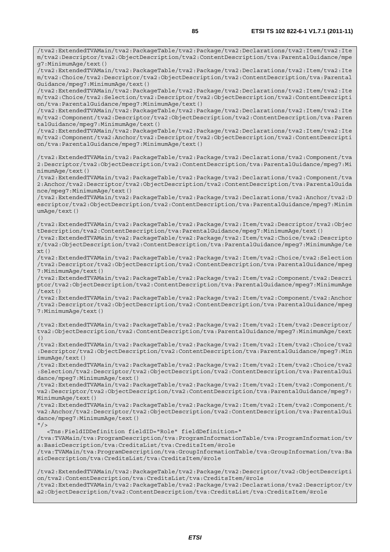/tva2:ExtendedTVAMain/tva2:PackageTable/tva2:Package/tva2:Declarations/tva2:Item/tva2:Ite m/tva2:Descriptor/tva2:ObjectDescription/tva2:ContentDescription/tva:ParentalGuidance/mpe g7:MinimumAge/text() /tva2:ExtendedTVAMain/tva2:PackageTable/tva2:Package/tva2:Declarations/tva2:Item/tva2:Ite m/tva2:Choice/tva2:Descriptor/tva2:ObjectDescription/tva2:ContentDescription/tva:Parental Guidance/mpeg7:MinimumAge/text() /tva2:ExtendedTVAMain/tva2:PackageTable/tva2:Package/tva2:Declarations/tva2:Item/tva2:Ite m/tva2:Choice/tva2:Selection/tva2:Descriptor/tva2:ObjectDescription/tva2:ContentDescripti on/tva:ParentalGuidance/mpeg7:MinimumAge/text() /tva2:ExtendedTVAMain/tva2:PackageTable/tva2:Package/tva2:Declarations/tva2:Item/tva2:Ite m/tva2:Component/tva2:Descriptor/tva2:ObjectDescription/tva2:ContentDescription/tva:Paren talGuidance/mpeg7:MinimumAge/text() /tva2:ExtendedTVAMain/tva2:PackageTable/tva2:Package/tva2:Declarations/tva2:Item/tva2:Ite m/tva2:Component/tva2:Anchor/tva2:Descriptor/tva2:ObjectDescription/tva2:ContentDescripti on/tva:ParentalGuidance/mpeg7:MinimumAge/text() /tva2:ExtendedTVAMain/tva2:PackageTable/tva2:Package/tva2:Declarations/tva2:Component/tva 2:Descriptor/tva2:ObjectDescription/tva2:ContentDescription/tva:ParentalGuidance/mpeg7:Mi nimumAge/text() /tva2:ExtendedTVAMain/tva2:PackageTable/tva2:Package/tva2:Declarations/tva2:Component/tva 2:Anchor/tva2:Descriptor/tva2:ObjectDescription/tva2:ContentDescription/tva:ParentalGuida nce/mpeg7:MinimumAge/text() /tva2:ExtendedTVAMain/tva2:PackageTable/tva2:Package/tva2:Declarations/tva2:Anchor/tva2:D escriptor/tva2:ObjectDescription/tva2:ContentDescription/tva:ParentalGuidance/mpeg7:Minim umAge/text() /tva2:ExtendedTVAMain/tva2:PackageTable/tva2:Package/tva2:Item/tva2:Descriptor/tva2:Objec tDescription/tva2:ContentDescription/tva:ParentalGuidance/mpeg7:MinimumAge/text() /tva2:ExtendedTVAMain/tva2:PackageTable/tva2:Package/tva2:Item/tva2:Choice/tva2:Descripto r/tva2:ObjectDescription/tva2:ContentDescription/tva:ParentalGuidance/mpeg7:MinimumAge/te  $xt()$ /tva2:ExtendedTVAMain/tva2:PackageTable/tva2:Package/tva2:Item/tva2:Choice/tva2:Selection /tva2:Descriptor/tva2:ObjectDescription/tva2:ContentDescription/tva:ParentalGuidance/mpeg 7:MinimumAge/text() /tva2:ExtendedTVAMain/tva2:PackageTable/tva2:Package/tva2:Item/tva2:Component/tva2:Descri ptor/tva2:ObjectDescription/tva2:ContentDescription/tva:ParentalGuidance/mpeg7:MinimumAge /text() /tva2:ExtendedTVAMain/tva2:PackageTable/tva2:Package/tva2:Item/tva2:Component/tva2:Anchor /tva2:Descriptor/tva2:ObjectDescription/tva2:ContentDescription/tva:ParentalGuidance/mpeg 7:MinimumAge/text() /tva2:ExtendedTVAMain/tva2:PackageTable/tva2:Package/tva2:Item/tva2:Item/tva2:Descriptor/ tva2:ObjectDescription/tva2:ContentDescription/tva:ParentalGuidance/mpeg7:MinimumAge/text  $( )$ /tva2:ExtendedTVAMain/tva2:PackageTable/tva2:Package/tva2:Item/tva2:Item/tva2:Choice/tva2 :Descriptor/tva2:ObjectDescription/tva2:ContentDescription/tva:ParentalGuidance/mpeg7:Min imumAge/text() /tva2:ExtendedTVAMain/tva2:PackageTable/tva2:Package/tva2:Item/tva2:Item/tva2:Choice/tva2 :Selection/tva2:Descriptor/tva2:ObjectDescription/tva2:ContentDescription/tva:ParentalGui

dance/mpeg7:MinimumAge/text() /tva2:ExtendedTVAMain/tva2:PackageTable/tva2:Package/tva2:Item/tva2:Item/tva2:Component/t va2:Descriptor/tva2:ObjectDescription/tva2:ContentDescription/tva:ParentalGuidance/mpeg7: MinimumAge/text()

/tva2:ExtendedTVAMain/tva2:PackageTable/tva2:Package/tva2:Item/tva2:Item/tva2:Component/t va2:Anchor/tva2:Descriptor/tva2:ObjectDescription/tva2:ContentDescription/tva:ParentalGui dance/mpeg7:MinimumAge/text()

 $"$  /> <Tns:FieldIDDefinition fieldID="Role" fieldDefinition=" /tva:TVAMain/tva:ProgramDescription/tva:ProgramInformationTable/tva:ProgramInformation/tv a:BasicDescription/tva:CreditsList/tva:CreditsItem/@role /tva:TVAMain/tva:ProgramDescription/tva:GroupInformationTable/tva:GroupInformation/tva:Ba sicDescription/tva:CreditsList/tva:CreditsItem/@role

/tva2:ExtendedTVAMain/tva2:PackageTable/tva2:Package/tva2:Descriptor/tva2:ObjectDescripti on/tva2:ContentDescription/tva:CreditsList/tva:CreditsItem/@role /tva2:ExtendedTVAMain/tva2:PackageTable/tva2:Package/tva2:Declarations/tva2:Descriptor/tv a2:ObjectDescription/tva2:ContentDescription/tva:CreditsList/tva:CreditsItem/@role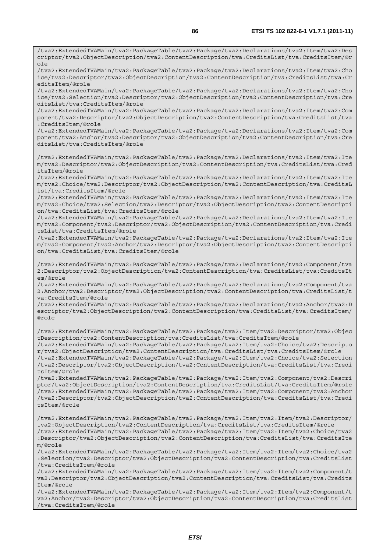criptor/tva2:ObjectDescription/tva2:ContentDescription/tva:CreditsList/tva:CreditsItem/@r ole /tva2:ExtendedTVAMain/tva2:PackageTable/tva2:Package/tva2:Declarations/tva2:Item/tva2:Cho ice/tva2:Descriptor/tva2:ObjectDescription/tva2:ContentDescription/tva:CreditsList/tva:Cr editsItem/@role /tva2:ExtendedTVAMain/tva2:PackageTable/tva2:Package/tva2:Declarations/tva2:Item/tva2:Cho ice/tva2:Selection/tva2:Descriptor/tva2:ObjectDescription/tva2:ContentDescription/tva:Cre ditsList/tva:CreditsItem/@role /tva2:ExtendedTVAMain/tva2:PackageTable/tva2:Package/tva2:Declarations/tva2:Item/tva2:Com ponent/tva2:Descriptor/tva2:ObjectDescription/tva2:ContentDescription/tva:CreditsList/tva :CreditsItem/@role /tva2:ExtendedTVAMain/tva2:PackageTable/tva2:Package/tva2:Declarations/tva2:Item/tva2:Com ponent/tva2:Anchor/tva2:Descriptor/tva2:ObjectDescription/tva2:ContentDescription/tva:Cre ditsList/tva:CreditsItem/@role /tva2:ExtendedTVAMain/tva2:PackageTable/tva2:Package/tva2:Declarations/tva2:Item/tva2:Ite m/tva2:Descriptor/tva2:ObjectDescription/tva2:ContentDescription/tva:CreditsList/tva:Cred itsItem/@role /tva2:ExtendedTVAMain/tva2:PackageTable/tva2:Package/tva2:Declarations/tva2:Item/tva2:Ite m/tva2:Choice/tva2:Descriptor/tva2:ObjectDescription/tva2:ContentDescription/tva:CreditsL ist/tva:CreditsItem/@role /tva2:ExtendedTVAMain/tva2:PackageTable/tva2:Package/tva2:Declarations/tva2:Item/tva2:Ite m/tva2:Choice/tva2:Selection/tva2:Descriptor/tva2:ObjectDescription/tva2:ContentDescripti on/tva:CreditsList/tva:CreditsItem/@role /tva2:ExtendedTVAMain/tva2:PackageTable/tva2:Package/tva2:Declarations/tva2:Item/tva2:Ite m/tva2:Component/tva2:Descriptor/tva2:ObjectDescription/tva2:ContentDescription/tva:Credi tsList/tva:CreditsItem/@role /tva2:ExtendedTVAMain/tva2:PackageTable/tva2:Package/tva2:Declarations/tva2:Item/tva2:Ite m/tva2:Component/tva2:Anchor/tva2:Descriptor/tva2:ObjectDescription/tva2:ContentDescripti on/tva:CreditsList/tva:CreditsItem/@role /tva2:ExtendedTVAMain/tva2:PackageTable/tva2:Package/tva2:Declarations/tva2:Component/tva 2:Descriptor/tva2:ObjectDescription/tva2:ContentDescription/tva:CreditsList/tva:CreditsIt em/@role /tva2:ExtendedTVAMain/tva2:PackageTable/tva2:Package/tva2:Declarations/tva2:Component/tva 2:Anchor/tva2:Descriptor/tva2:ObjectDescription/tva2:ContentDescription/tva:CreditsList/t va:CreditsItem/@role /tva2:ExtendedTVAMain/tva2:PackageTable/tva2:Package/tva2:Declarations/tva2:Anchor/tva2:D escriptor/tva2:ObjectDescription/tva2:ContentDescription/tva:CreditsList/tva:CreditsItem/ @role /tva2:ExtendedTVAMain/tva2:PackageTable/tva2:Package/tva2:Item/tva2:Descriptor/tva2:Objec tDescription/tva2:ContentDescription/tva:CreditsList/tva:CreditsItem/@role /tva2:ExtendedTVAMain/tva2:PackageTable/tva2:Package/tva2:Item/tva2:Choice/tva2:Descripto r/tva2:ObjectDescription/tva2:ContentDescription/tva:CreditsList/tva:CreditsItem/@role /tva2:ExtendedTVAMain/tva2:PackageTable/tva2:Package/tva2:Item/tva2:Choice/tva2:Selection /tva2:Descriptor/tva2:ObjectDescription/tva2:ContentDescription/tva:CreditsList/tva:Credi tsItem/@role /tva2:ExtendedTVAMain/tva2:PackageTable/tva2:Package/tva2:Item/tva2:Component/tva2:Descri ptor/tva2:ObjectDescription/tva2:ContentDescription/tva:CreditsList/tva:CreditsItem/@role /tva2:ExtendedTVAMain/tva2:PackageTable/tva2:Package/tva2:Item/tva2:Component/tva2:Anchor /tva2:Descriptor/tva2:ObjectDescription/tva2:ContentDescription/tva:CreditsList/tva:Credi

tsItem/@role

/tva2:ExtendedTVAMain/tva2:PackageTable/tva2:Package/tva2:Item/tva2:Item/tva2:Descriptor/ tva2:ObjectDescription/tva2:ContentDescription/tva:CreditsList/tva:CreditsItem/@role /tva2:ExtendedTVAMain/tva2:PackageTable/tva2:Package/tva2:Item/tva2:Item/tva2:Choice/tva2 :Descriptor/tva2:ObjectDescription/tva2:ContentDescription/tva:CreditsList/tva:CreditsIte m/@role

/tva2:ExtendedTVAMain/tva2:PackageTable/tva2:Package/tva2:Item/tva2:Item/tva2:Choice/tva2 :Selection/tva2:Descriptor/tva2:ObjectDescription/tva2:ContentDescription/tva:CreditsList /tva:CreditsItem/@role

/tva2:ExtendedTVAMain/tva2:PackageTable/tva2:Package/tva2:Item/tva2:Item/tva2:Component/t va2:Descriptor/tva2:ObjectDescription/tva2:ContentDescription/tva:CreditsList/tva:Credits Item/@role

/tva2:ExtendedTVAMain/tva2:PackageTable/tva2:Package/tva2:Item/tva2:Item/tva2:Component/t va2:Anchor/tva2:Descriptor/tva2:ObjectDescription/tva2:ContentDescription/tva:CreditsList /tva:CreditsItem/@role

/tva2:ExtendedTVAMain/tva2:PackageTable/tva2:Package/tva2:Declarations/tva2:Item/tva2:Des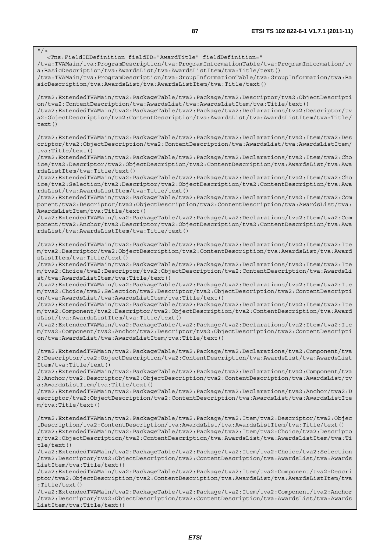$\frac{1}{\sqrt{}}$  <Tns:FieldIDDefinition fieldID="AwardTitle" fieldDefinition=" /tva:TVAMain/tva:ProgramDescription/tva:ProgramInformationTable/tva:ProgramInformation/tv a:BasicDescription/tva:AwardsList/tva:AwardsListItem/tva:Title/text() /tva:TVAMain/tva:ProgramDescription/tva:GroupInformationTable/tva:GroupInformation/tva:Ba sicDescription/tva:AwardsList/tva:AwardsListItem/tva:Title/text() /tva2:ExtendedTVAMain/tva2:PackageTable/tva2:Package/tva2:Descriptor/tva2:ObjectDescripti on/tva2:ContentDescription/tva:AwardsList/tva:AwardsListItem/tva:Title/text() /tva2:ExtendedTVAMain/tva2:PackageTable/tva2:Package/tva2:Declarations/tva2:Descriptor/tv a2:ObjectDescription/tva2:ContentDescription/tva:AwardsList/tva:AwardsListItem/tva:Title/ text() /tva2:ExtendedTVAMain/tva2:PackageTable/tva2:Package/tva2:Declarations/tva2:Item/tva2:Des criptor/tva2:ObjectDescription/tva2:ContentDescription/tva:AwardsList/tva:AwardsListItem/ tva:Title/text() /tva2:ExtendedTVAMain/tva2:PackageTable/tva2:Package/tva2:Declarations/tva2:Item/tva2:Cho ice/tva2:Descriptor/tva2:ObjectDescription/tva2:ContentDescription/tva:AwardsList/tva:Awa rdsListItem/tva:Title/text() /tva2:ExtendedTVAMain/tva2:PackageTable/tva2:Package/tva2:Declarations/tva2:Item/tva2:Cho ice/tva2:Selection/tva2:Descriptor/tva2:ObjectDescription/tva2:ContentDescription/tva:Awa rdsList/tva:AwardsListItem/tva:Title/text() /tva2:ExtendedTVAMain/tva2:PackageTable/tva2:Package/tva2:Declarations/tva2:Item/tva2:Com ponent/tva2:Descriptor/tva2:ObjectDescription/tva2:ContentDescription/tva:AwardsList/tva: AwardsListItem/tva:Title/text() /tva2:ExtendedTVAMain/tva2:PackageTable/tva2:Package/tva2:Declarations/tva2:Item/tva2:Com ponent/tva2:Anchor/tva2:Descriptor/tva2:ObjectDescription/tva2:ContentDescription/tva:Awa rdsList/tva:AwardsListItem/tva:Title/text() /tva2:ExtendedTVAMain/tva2:PackageTable/tva2:Package/tva2:Declarations/tva2:Item/tva2:Ite m/tva2:Descriptor/tva2:ObjectDescription/tva2:ContentDescription/tva:AwardsList/tva:Award sListItem/tva:Title/text() /tva2:ExtendedTVAMain/tva2:PackageTable/tva2:Package/tva2:Declarations/tva2:Item/tva2:Ite m/tva2:Choice/tva2:Descriptor/tva2:ObjectDescription/tva2:ContentDescription/tva:AwardsLi st/tva:AwardsListItem/tva:Title/text() /tva2:ExtendedTVAMain/tva2:PackageTable/tva2:Package/tva2:Declarations/tva2:Item/tva2:Ite m/tva2:Choice/tva2:Selection/tva2:Descriptor/tva2:ObjectDescription/tva2:ContentDescripti on/tva:AwardsList/tva:AwardsListItem/tva:Title/text() /tva2:ExtendedTVAMain/tva2:PackageTable/tva2:Package/tva2:Declarations/tva2:Item/tva2:Ite m/tva2:Component/tva2:Descriptor/tva2:ObjectDescription/tva2:ContentDescription/tva:Award sList/tva:AwardsListItem/tva:Title/text() /tva2:ExtendedTVAMain/tva2:PackageTable/tva2:Package/tva2:Declarations/tva2:Item/tva2:Ite m/tva2:Component/tva2:Anchor/tva2:Descriptor/tva2:ObjectDescription/tva2:ContentDescripti on/tva:AwardsList/tva:AwardsListItem/tva:Title/text() /tva2:ExtendedTVAMain/tva2:PackageTable/tva2:Package/tva2:Declarations/tva2:Component/tva 2:Descriptor/tva2:ObjectDescription/tva2:ContentDescription/tva:AwardsList/tva:AwardsList Item/tva:Title/text() /tva2:ExtendedTVAMain/tva2:PackageTable/tva2:Package/tva2:Declarations/tva2:Component/tva 2:Anchor/tva2:Descriptor/tva2:ObjectDescription/tva2:ContentDescription/tva:AwardsList/tv a:AwardsListItem/tva:Title/text() /tva2:ExtendedTVAMain/tva2:PackageTable/tva2:Package/tva2:Declarations/tva2:Anchor/tva2:D escriptor/tva2:ObjectDescription/tva2:ContentDescription/tva:AwardsList/tva:AwardsListIte m/tva:Title/text() /tva2:ExtendedTVAMain/tva2:PackageTable/tva2:Package/tva2:Item/tva2:Descriptor/tva2:Objec tDescription/tva2:ContentDescription/tva:AwardsList/tva:AwardsListItem/tva:Title/text() /tva2:ExtendedTVAMain/tva2:PackageTable/tva2:Package/tva2:Item/tva2:Choice/tva2:Descripto r/tva2:ObjectDescription/tva2:ContentDescription/tva:AwardsList/tva:AwardsListItem/tva:Ti tle/text() /tva2:ExtendedTVAMain/tva2:PackageTable/tva2:Package/tva2:Item/tva2:Choice/tva2:Selection /tva2:Descriptor/tva2:ObjectDescription/tva2:ContentDescription/tva:AwardsList/tva:Awards ListItem/tva:Title/text() /tva2:ExtendedTVAMain/tva2:PackageTable/tva2:Package/tva2:Item/tva2:Component/tva2:Descri

ptor/tva2:ObjectDescription/tva2:ContentDescription/tva:AwardsList/tva:AwardsListItem/tva :Title/text()

/tva2:ExtendedTVAMain/tva2:PackageTable/tva2:Package/tva2:Item/tva2:Component/tva2:Anchor /tva2:Descriptor/tva2:ObjectDescription/tva2:ContentDescription/tva:AwardsList/tva:Awards ListItem/tva:Title/text()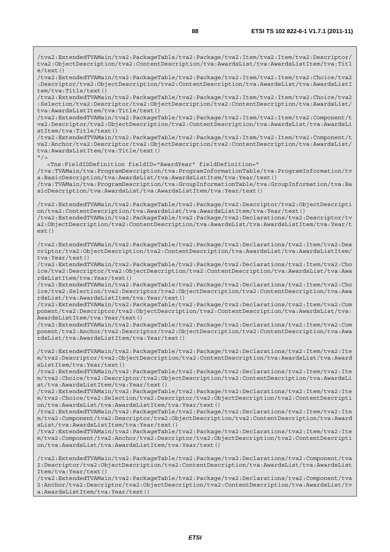/tva2:ExtendedTVAMain/tva2:PackageTable/tva2:Package/tva2:Item/tva2:Item/tva2:Descriptor/ tva2:ObjectDescription/tva2:ContentDescription/tva:AwardsList/tva:AwardsListItem/tva:Titl e/text()

/tva2:ExtendedTVAMain/tva2:PackageTable/tva2:Package/tva2:Item/tva2:Item/tva2:Choice/tva2 :Descriptor/tva2:ObjectDescription/tva2:ContentDescription/tva:AwardsList/tva:AwardsListI tem/tva:Title/text()

/tva2:ExtendedTVAMain/tva2:PackageTable/tva2:Package/tva2:Item/tva2:Item/tva2:Choice/tva2 :Selection/tva2:Descriptor/tva2:ObjectDescription/tva2:ContentDescription/tva:AwardsList/ tva:AwardsListItem/tva:Title/text()

/tva2:ExtendedTVAMain/tva2:PackageTable/tva2:Package/tva2:Item/tva2:Item/tva2:Component/t va2:Descriptor/tva2:ObjectDescription/tva2:ContentDescription/tva:AwardsList/tva:AwardsLi stItem/tva:Title/text()

/tva2:ExtendedTVAMain/tva2:PackageTable/tva2:Package/tva2:Item/tva2:Item/tva2:Component/t va2:Anchor/tva2:Descriptor/tva2:ObjectDescription/tva2:ContentDescription/tva:AwardsList/ tva:AwardsListItem/tva:Title/text()

 $"$  / >

<Tns:FieldIDDefinition fieldID="AwardYear" fieldDefinition="

/tva:TVAMain/tva:ProgramDescription/tva:ProgramInformationTable/tva:ProgramInformation/tv a:BasicDescription/tva:AwardsList/tva:AwardsListItem/tva:Year/text()

/tva:TVAMain/tva:ProgramDescription/tva:GroupInformationTable/tva:GroupInformation/tva:Ba sicDescription/tva:AwardsList/tva:AwardsListItem/tva:Year/text()

/tva2:ExtendedTVAMain/tva2:PackageTable/tva2:Package/tva2:Descriptor/tva2:ObjectDescripti on/tva2:ContentDescription/tva:AwardsList/tva:AwardsListItem/tva:Year/text() /tva2:ExtendedTVAMain/tva2:PackageTable/tva2:Package/tva2:Declarations/tva2:Descriptor/tv a2:ObjectDescription/tva2:ContentDescription/tva:AwardsList/tva:AwardsListItem/tva:Year/t  $ext()$ 

/tva2:ExtendedTVAMain/tva2:PackageTable/tva2:Package/tva2:Declarations/tva2:Item/tva2:Des criptor/tva2:ObjectDescription/tva2:ContentDescription/tva:AwardsList/tva:AwardsListItem/ tva:Year/text()

/tva2:ExtendedTVAMain/tva2:PackageTable/tva2:Package/tva2:Declarations/tva2:Item/tva2:Cho ice/tva2:Descriptor/tva2:ObjectDescription/tva2:ContentDescription/tva:AwardsList/tva:Awa rdsListItem/tva:Year/text()

/tva2:ExtendedTVAMain/tva2:PackageTable/tva2:Package/tva2:Declarations/tva2:Item/tva2:Cho ice/tva2:Selection/tva2:Descriptor/tva2:ObjectDescription/tva2:ContentDescription/tva:Awa rdsList/tva:AwardsListItem/tva:Year/text()

/tva2:ExtendedTVAMain/tva2:PackageTable/tva2:Package/tva2:Declarations/tva2:Item/tva2:Com ponent/tva2:Descriptor/tva2:ObjectDescription/tva2:ContentDescription/tva:AwardsList/tva: AwardsListItem/tva:Year/text()

/tva2:ExtendedTVAMain/tva2:PackageTable/tva2:Package/tva2:Declarations/tva2:Item/tva2:Com ponent/tva2:Anchor/tva2:Descriptor/tva2:ObjectDescription/tva2:ContentDescription/tva:Awa rdsList/tva:AwardsListItem/tva:Year/text()

/tva2:ExtendedTVAMain/tva2:PackageTable/tva2:Package/tva2:Declarations/tva2:Item/tva2:Ite m/tva2:Descriptor/tva2:ObjectDescription/tva2:ContentDescription/tva:AwardsList/tva:Award sListItem/tva:Year/text()

/tva2:ExtendedTVAMain/tva2:PackageTable/tva2:Package/tva2:Declarations/tva2:Item/tva2:Ite m/tva2:Choice/tva2:Descriptor/tva2:ObjectDescription/tva2:ContentDescription/tva:AwardsLi st/tva:AwardsListItem/tva:Year/text()

/tva2:ExtendedTVAMain/tva2:PackageTable/tva2:Package/tva2:Declarations/tva2:Item/tva2:Ite m/tva2:Choice/tva2:Selection/tva2:Descriptor/tva2:ObjectDescription/tva2:ContentDescripti on/tva:AwardsList/tva:AwardsListItem/tva:Year/text()

/tva2:ExtendedTVAMain/tva2:PackageTable/tva2:Package/tva2:Declarations/tva2:Item/tva2:Ite m/tva2:Component/tva2:Descriptor/tva2:ObjectDescription/tva2:ContentDescription/tva:Award sList/tva:AwardsListItem/tva:Year/text()

/tva2:ExtendedTVAMain/tva2:PackageTable/tva2:Package/tva2:Declarations/tva2:Item/tva2:Ite m/tva2:Component/tva2:Anchor/tva2:Descriptor/tva2:ObjectDescription/tva2:ContentDescripti on/tva:AwardsList/tva:AwardsListItem/tva:Year/text()

/tva2:ExtendedTVAMain/tva2:PackageTable/tva2:Package/tva2:Declarations/tva2:Component/tva 2:Descriptor/tva2:ObjectDescription/tva2:ContentDescription/tva:AwardsList/tva:AwardsList Item/tva:Year/text()

/tva2:ExtendedTVAMain/tva2:PackageTable/tva2:Package/tva2:Declarations/tva2:Component/tva 2:Anchor/tva2:Descriptor/tva2:ObjectDescription/tva2:ContentDescription/tva:AwardsList/tv a:AwardsListItem/tva:Year/text()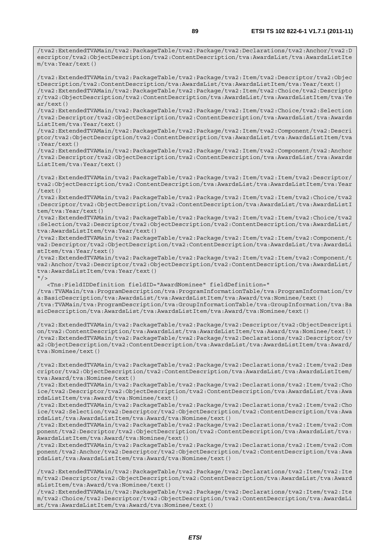/tva2:ExtendedTVAMain/tva2:PackageTable/tva2:Package/tva2:Declarations/tva2:Anchor/tva2:D escriptor/tva2:ObjectDescription/tva2:ContentDescription/tva:AwardsList/tva:AwardsListIte m/tva:Year/text()

/tva2:ExtendedTVAMain/tva2:PackageTable/tva2:Package/tva2:Item/tva2:Descriptor/tva2:Objec tDescription/tva2:ContentDescription/tva:AwardsList/tva:AwardsListItem/tva:Year/text() /tva2:ExtendedTVAMain/tva2:PackageTable/tva2:Package/tva2:Item/tva2:Choice/tva2:Descripto r/tva2:ObjectDescription/tva2:ContentDescription/tva:AwardsList/tva:AwardsListItem/tva:Ye ar/text()

/tva2:ExtendedTVAMain/tva2:PackageTable/tva2:Package/tva2:Item/tva2:Choice/tva2:Selection /tva2:Descriptor/tva2:ObjectDescription/tva2:ContentDescription/tva:AwardsList/tva:Awards ListItem/tva:Year/text()

/tva2:ExtendedTVAMain/tva2:PackageTable/tva2:Package/tva2:Item/tva2:Component/tva2:Descri ptor/tva2:ObjectDescription/tva2:ContentDescription/tva:AwardsList/tva:AwardsListItem/tva :Year/text()

/tva2:ExtendedTVAMain/tva2:PackageTable/tva2:Package/tva2:Item/tva2:Component/tva2:Anchor /tva2:Descriptor/tva2:ObjectDescription/tva2:ContentDescription/tva:AwardsList/tva:Awards ListItem/tva:Year/text()

/tva2:ExtendedTVAMain/tva2:PackageTable/tva2:Package/tva2:Item/tva2:Item/tva2:Descriptor/ tva2:ObjectDescription/tva2:ContentDescription/tva:AwardsList/tva:AwardsListItem/tva:Year /text()

/tva2:ExtendedTVAMain/tva2:PackageTable/tva2:Package/tva2:Item/tva2:Item/tva2:Choice/tva2 :Descriptor/tva2:ObjectDescription/tva2:ContentDescription/tva:AwardsList/tva:AwardsListI tem/tva:Year/text()

/tva2:ExtendedTVAMain/tva2:PackageTable/tva2:Package/tva2:Item/tva2:Item/tva2:Choice/tva2 :Selection/tva2:Descriptor/tva2:ObjectDescription/tva2:ContentDescription/tva:AwardsList/ tva:AwardsListItem/tva:Year/text()

/tva2:ExtendedTVAMain/tva2:PackageTable/tva2:Package/tva2:Item/tva2:Item/tva2:Component/t va2:Descriptor/tva2:ObjectDescription/tva2:ContentDescription/tva:AwardsList/tva:AwardsLi stItem/tva:Year/text()

/tva2:ExtendedTVAMain/tva2:PackageTable/tva2:Package/tva2:Item/tva2:Item/tva2:Component/t va2:Anchor/tva2:Descriptor/tva2:ObjectDescription/tva2:ContentDescription/tva:AwardsList/ tva:AwardsListItem/tva:Year/text()

 $"$  / >

<Tns:FieldIDDefinition fieldID="AwardNominee" fieldDefinition="

/tva:TVAMain/tva:ProgramDescription/tva:ProgramInformationTable/tva:ProgramInformation/tv a:BasicDescription/tva:AwardsList/tva:AwardsListItem/tva:Award/tva:Nominee/text() /tva:TVAMain/tva:ProgramDescription/tva:GroupInformationTable/tva:GroupInformation/tva:Ba sicDescription/tva:AwardsList/tva:AwardsListItem/tva:Award/tva:Nominee/text()

/tva2:ExtendedTVAMain/tva2:PackageTable/tva2:Package/tva2:Descriptor/tva2:ObjectDescripti on/tva2:ContentDescription/tva:AwardsList/tva:AwardsListItem/tva:Award/tva:Nominee/text() /tva2:ExtendedTVAMain/tva2:PackageTable/tva2:Package/tva2:Declarations/tva2:Descriptor/tv a2:ObjectDescription/tva2:ContentDescription/tva:AwardsList/tva:AwardsListItem/tva:Award/ tva:Nominee/text()

/tva2:ExtendedTVAMain/tva2:PackageTable/tva2:Package/tva2:Declarations/tva2:Item/tva2:Des criptor/tva2:ObjectDescription/tva2:ContentDescription/tva:AwardsList/tva:AwardsListItem/ tva:Award/tva:Nominee/text()

/tva2:ExtendedTVAMain/tva2:PackageTable/tva2:Package/tva2:Declarations/tva2:Item/tva2:Cho ice/tva2:Descriptor/tva2:ObjectDescription/tva2:ContentDescription/tva:AwardsList/tva:Awa rdsListItem/tva:Award/tva:Nominee/text()

/tva2:ExtendedTVAMain/tva2:PackageTable/tva2:Package/tva2:Declarations/tva2:Item/tva2:Cho ice/tva2:Selection/tva2:Descriptor/tva2:ObjectDescription/tva2:ContentDescription/tva:Awa rdsList/tva:AwardsListItem/tva:Award/tva:Nominee/text()

/tva2:ExtendedTVAMain/tva2:PackageTable/tva2:Package/tva2:Declarations/tva2:Item/tva2:Com ponent/tva2:Descriptor/tva2:ObjectDescription/tva2:ContentDescription/tva:AwardsList/tva: AwardsListItem/tva:Award/tva:Nominee/text()

/tva2:ExtendedTVAMain/tva2:PackageTable/tva2:Package/tva2:Declarations/tva2:Item/tva2:Com ponent/tva2:Anchor/tva2:Descriptor/tva2:ObjectDescription/tva2:ContentDescription/tva:Awa rdsList/tva:AwardsListItem/tva:Award/tva:Nominee/text()

/tva2:ExtendedTVAMain/tva2:PackageTable/tva2:Package/tva2:Declarations/tva2:Item/tva2:Ite m/tva2:Descriptor/tva2:ObjectDescription/tva2:ContentDescription/tva:AwardsList/tva:Award sListItem/tva:Award/tva:Nominee/text()

/tva2:ExtendedTVAMain/tva2:PackageTable/tva2:Package/tva2:Declarations/tva2:Item/tva2:Ite m/tva2:Choice/tva2:Descriptor/tva2:ObjectDescription/tva2:ContentDescription/tva:AwardsLi st/tva:AwardsListItem/tva:Award/tva:Nominee/text()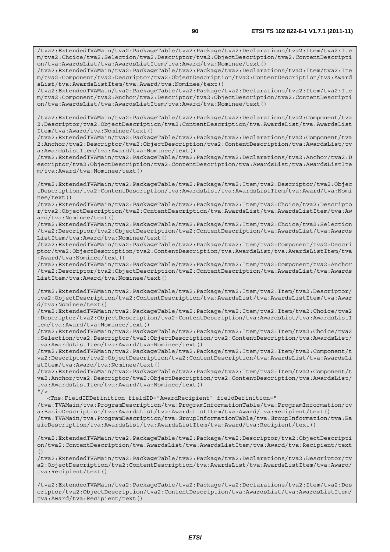/tva2:ExtendedTVAMain/tva2:PackageTable/tva2:Package/tva2:Declarations/tva2:Item/tva2:Ite m/tva2:Choice/tva2:Selection/tva2:Descriptor/tva2:ObjectDescription/tva2:ContentDescripti on/tva:AwardsList/tva:AwardsListItem/tva:Award/tva:Nominee/text()

/tva2:ExtendedTVAMain/tva2:PackageTable/tva2:Package/tva2:Declarations/tva2:Item/tva2:Ite m/tva2:Component/tva2:Descriptor/tva2:ObjectDescription/tva2:ContentDescription/tva:Award sList/tva:AwardsListItem/tva:Award/tva:Nominee/text()

/tva2:ExtendedTVAMain/tva2:PackageTable/tva2:Package/tva2:Declarations/tva2:Item/tva2:Ite m/tva2:Component/tva2:Anchor/tva2:Descriptor/tva2:ObjectDescription/tva2:ContentDescripti on/tva:AwardsList/tva:AwardsListItem/tva:Award/tva:Nominee/text()

/tva2:ExtendedTVAMain/tva2:PackageTable/tva2:Package/tva2:Declarations/tva2:Component/tva 2:Descriptor/tva2:ObjectDescription/tva2:ContentDescription/tva:AwardsList/tva:AwardsList Item/tva:Award/tva:Nominee/text()

/tva2:ExtendedTVAMain/tva2:PackageTable/tva2:Package/tva2:Declarations/tva2:Component/tva 2:Anchor/tva2:Descriptor/tva2:ObjectDescription/tva2:ContentDescription/tva:AwardsList/tv a:AwardsListItem/tva:Award/tva:Nominee/text()

/tva2:ExtendedTVAMain/tva2:PackageTable/tva2:Package/tva2:Declarations/tva2:Anchor/tva2:D escriptor/tva2:ObjectDescription/tva2:ContentDescription/tva:AwardsList/tva:AwardsListIte m/tva:Award/tva:Nominee/text()

/tva2:ExtendedTVAMain/tva2:PackageTable/tva2:Package/tva2:Item/tva2:Descriptor/tva2:Objec tDescription/tva2:ContentDescription/tva:AwardsList/tva:AwardsListItem/tva:Award/tva:Nomi nee/text()

/tva2:ExtendedTVAMain/tva2:PackageTable/tva2:Package/tva2:Item/tva2:Choice/tva2:Descripto r/tva2:ObjectDescription/tva2:ContentDescription/tva:AwardsList/tva:AwardsListItem/tva:Aw ard/tva:Nominee/text()

/tva2:ExtendedTVAMain/tva2:PackageTable/tva2:Package/tva2:Item/tva2:Choice/tva2:Selection /tva2:Descriptor/tva2:ObjectDescription/tva2:ContentDescription/tva:AwardsList/tva:Awards ListItem/tva:Award/tva:Nominee/text()

/tva2:ExtendedTVAMain/tva2:PackageTable/tva2:Package/tva2:Item/tva2:Component/tva2:Descri ptor/tva2:ObjectDescription/tva2:ContentDescription/tva:AwardsList/tva:AwardsListItem/tva :Award/tva:Nominee/text()

/tva2:ExtendedTVAMain/tva2:PackageTable/tva2:Package/tva2:Item/tva2:Component/tva2:Anchor /tva2:Descriptor/tva2:ObjectDescription/tva2:ContentDescription/tva:AwardsList/tva:Awards ListItem/tva:Award/tva:Nominee/text()

/tva2:ExtendedTVAMain/tva2:PackageTable/tva2:Package/tva2:Item/tva2:Item/tva2:Descriptor/ tva2:ObjectDescription/tva2:ContentDescription/tva:AwardsList/tva:AwardsListItem/tva:Awar d/tva:Nominee/text()

/tva2:ExtendedTVAMain/tva2:PackageTable/tva2:Package/tva2:Item/tva2:Item/tva2:Choice/tva2 :Descriptor/tva2:ObjectDescription/tva2:ContentDescription/tva:AwardsList/tva:AwardsListI tem/tva:Award/tva:Nominee/text()

/tva2:ExtendedTVAMain/tva2:PackageTable/tva2:Package/tva2:Item/tva2:Item/tva2:Choice/tva2 :Selection/tva2:Descriptor/tva2:ObjectDescription/tva2:ContentDescription/tva:AwardsList/ tva:AwardsListItem/tva:Award/tva:Nominee/text()

/tva2:ExtendedTVAMain/tva2:PackageTable/tva2:Package/tva2:Item/tva2:Item/tva2:Component/t va2:Descriptor/tva2:ObjectDescription/tva2:ContentDescription/tva:AwardsList/tva:AwardsLi stItem/tva:Award/tva:Nominee/text()

/tva2:ExtendedTVAMain/tva2:PackageTable/tva2:Package/tva2:Item/tva2:Item/tva2:Component/t va2:Anchor/tva2:Descriptor/tva2:ObjectDescription/tva2:ContentDescription/tva:AwardsList/ tva:AwardsListItem/tva:Award/tva:Nominee/text()  $"$  />

<Tns:FieldIDDefinition fieldID="AwardRecipient" fieldDefinition="

/tva:TVAMain/tva:ProgramDescription/tva:ProgramInformationTable/tva:ProgramInformation/tv a:BasicDescription/tva:AwardsList/tva:AwardsListItem/tva:Award/tva:Recipient/text() /tva:TVAMain/tva:ProgramDescription/tva:GroupInformationTable/tva:GroupInformation/tva:Ba sicDescription/tva:AwardsList/tva:AwardsListItem/tva:Award/tva:Recipient/text()

/tva2:ExtendedTVAMain/tva2:PackageTable/tva2:Package/tva2:Descriptor/tva2:ObjectDescripti on/tva2:ContentDescription/tva:AwardsList/tva:AwardsListItem/tva:Award/tva:Recipient/text  $( )$ 

/tva2:ExtendedTVAMain/tva2:PackageTable/tva2:Package/tva2:Declarations/tva2:Descriptor/tv a2:ObjectDescription/tva2:ContentDescription/tva:AwardsList/tva:AwardsListItem/tva:Award/ tva:Recipient/text()

/tva2:ExtendedTVAMain/tva2:PackageTable/tva2:Package/tva2:Declarations/tva2:Item/tva2:Des criptor/tva2:ObjectDescription/tva2:ContentDescription/tva:AwardsList/tva:AwardsListItem/ tva:Award/tva:Recipient/text()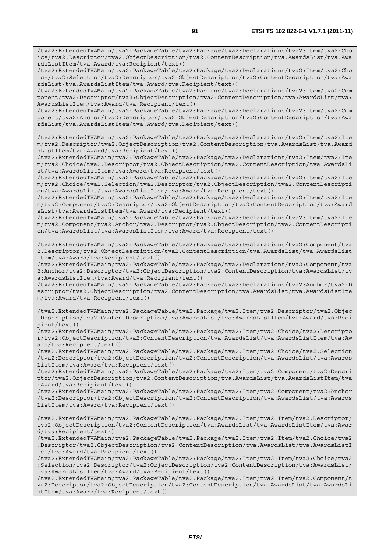/tva2:ExtendedTVAMain/tva2:PackageTable/tva2:Package/tva2:Declarations/tva2:Item/tva2:Cho ice/tva2:Descriptor/tva2:ObjectDescription/tva2:ContentDescription/tva:AwardsList/tva:Awa rdsListItem/tva:Award/tva:Recipient/text()

/tva2:ExtendedTVAMain/tva2:PackageTable/tva2:Package/tva2:Declarations/tva2:Item/tva2:Cho ice/tva2:Selection/tva2:Descriptor/tva2:ObjectDescription/tva2:ContentDescription/tva:Awa rdsList/tva:AwardsListItem/tva:Award/tva:Recipient/text()

/tva2:ExtendedTVAMain/tva2:PackageTable/tva2:Package/tva2:Declarations/tva2:Item/tva2:Com ponent/tva2:Descriptor/tva2:ObjectDescription/tva2:ContentDescription/tva:AwardsList/tva: AwardsListItem/tva:Award/tva:Recipient/text()

/tva2:ExtendedTVAMain/tva2:PackageTable/tva2:Package/tva2:Declarations/tva2:Item/tva2:Com ponent/tva2:Anchor/tva2:Descriptor/tva2:ObjectDescription/tva2:ContentDescription/tva:Awa rdsList/tva:AwardsListItem/tva:Award/tva:Recipient/text()

/tva2:ExtendedTVAMain/tva2:PackageTable/tva2:Package/tva2:Declarations/tva2:Item/tva2:Ite m/tva2:Descriptor/tva2:ObjectDescription/tva2:ContentDescription/tva:AwardsList/tva:Award sListItem/tva:Award/tva:Recipient/text()

/tva2:ExtendedTVAMain/tva2:PackageTable/tva2:Package/tva2:Declarations/tva2:Item/tva2:Ite m/tva2:Choice/tva2:Descriptor/tva2:ObjectDescription/tva2:ContentDescription/tva:AwardsLi st/tva:AwardsListItem/tva:Award/tva:Recipient/text()

/tva2:ExtendedTVAMain/tva2:PackageTable/tva2:Package/tva2:Declarations/tva2:Item/tva2:Ite m/tva2:Choice/tva2:Selection/tva2:Descriptor/tva2:ObjectDescription/tva2:ContentDescripti on/tva:AwardsList/tva:AwardsListItem/tva:Award/tva:Recipient/text()

/tva2:ExtendedTVAMain/tva2:PackageTable/tva2:Package/tva2:Declarations/tva2:Item/tva2:Ite m/tva2:Component/tva2:Descriptor/tva2:ObjectDescription/tva2:ContentDescription/tva:Award sList/tva:AwardsListItem/tva:Award/tva:Recipient/text()

/tva2:ExtendedTVAMain/tva2:PackageTable/tva2:Package/tva2:Declarations/tva2:Item/tva2:Ite m/tva2:Component/tva2:Anchor/tva2:Descriptor/tva2:ObjectDescription/tva2:ContentDescripti on/tva:AwardsList/tva:AwardsListItem/tva:Award/tva:Recipient/text()

/tva2:ExtendedTVAMain/tva2:PackageTable/tva2:Package/tva2:Declarations/tva2:Component/tva 2:Descriptor/tva2:ObjectDescription/tva2:ContentDescription/tva:AwardsList/tva:AwardsList Item/tva:Award/tva:Recipient/text()

/tva2:ExtendedTVAMain/tva2:PackageTable/tva2:Package/tva2:Declarations/tva2:Component/tva 2:Anchor/tva2:Descriptor/tva2:ObjectDescription/tva2:ContentDescription/tva:AwardsList/tv a:AwardsListItem/tva:Award/tva:Recipient/text()

/tva2:ExtendedTVAMain/tva2:PackageTable/tva2:Package/tva2:Declarations/tva2:Anchor/tva2:D escriptor/tva2:ObjectDescription/tva2:ContentDescription/tva:AwardsList/tva:AwardsListIte m/tva:Award/tva:Recipient/text()

/tva2:ExtendedTVAMain/tva2:PackageTable/tva2:Package/tva2:Item/tva2:Descriptor/tva2:Objec tDescription/tva2:ContentDescription/tva:AwardsList/tva:AwardsListItem/tva:Award/tva:Reci pient/text()

/tva2:ExtendedTVAMain/tva2:PackageTable/tva2:Package/tva2:Item/tva2:Choice/tva2:Descripto r/tva2:ObjectDescription/tva2:ContentDescription/tva:AwardsList/tva:AwardsListItem/tva:Aw ard/tva:Recipient/text()

/tva2:ExtendedTVAMain/tva2:PackageTable/tva2:Package/tva2:Item/tva2:Choice/tva2:Selection /tva2:Descriptor/tva2:ObjectDescription/tva2:ContentDescription/tva:AwardsList/tva:Awards ListItem/tva:Award/tva:Recipient/text()

/tva2:ExtendedTVAMain/tva2:PackageTable/tva2:Package/tva2:Item/tva2:Component/tva2:Descri ptor/tva2:ObjectDescription/tva2:ContentDescription/tva:AwardsList/tva:AwardsListItem/tva :Award/tva:Recipient/text()

/tva2:ExtendedTVAMain/tva2:PackageTable/tva2:Package/tva2:Item/tva2:Component/tva2:Anchor /tva2:Descriptor/tva2:ObjectDescription/tva2:ContentDescription/tva:AwardsList/tva:Awards ListItem/tva:Award/tva:Recipient/text()

/tva2:ExtendedTVAMain/tva2:PackageTable/tva2:Package/tva2:Item/tva2:Item/tva2:Descriptor/ tva2:ObjectDescription/tva2:ContentDescription/tva:AwardsList/tva:AwardsListItem/tva:Awar d/tva:Recipient/text()

/tva2:ExtendedTVAMain/tva2:PackageTable/tva2:Package/tva2:Item/tva2:Item/tva2:Choice/tva2 :Descriptor/tva2:ObjectDescription/tva2:ContentDescription/tva:AwardsList/tva:AwardsListI tem/tva:Award/tva:Recipient/text()

/tva2:ExtendedTVAMain/tva2:PackageTable/tva2:Package/tva2:Item/tva2:Item/tva2:Choice/tva2 :Selection/tva2:Descriptor/tva2:ObjectDescription/tva2:ContentDescription/tva:AwardsList/ tva:AwardsListItem/tva:Award/tva:Recipient/text()

/tva2:ExtendedTVAMain/tva2:PackageTable/tva2:Package/tva2:Item/tva2:Item/tva2:Component/t va2:Descriptor/tva2:ObjectDescription/tva2:ContentDescription/tva:AwardsList/tva:AwardsLi stItem/tva:Award/tva:Recipient/text()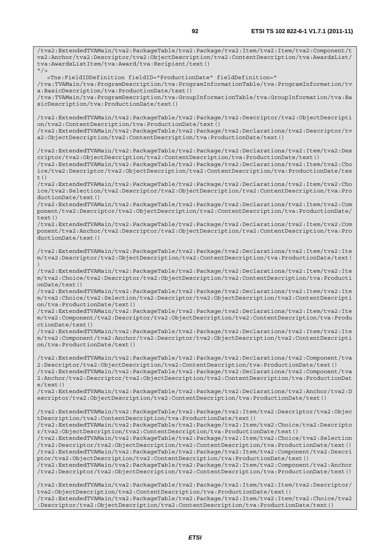/tva2:ExtendedTVAMain/tva2:PackageTable/tva2:Package/tva2:Item/tva2:Item/tva2:Component/t va2:Anchor/tva2:Descriptor/tva2:ObjectDescription/tva2:ContentDescription/tva:AwardsList/ tva:AwardsListItem/tva:Award/tva:Recipient/text()  $''$  / > <Tns:FieldIDDefinition fieldID="ProductionDate" fieldDefinition=" /tva:TVAMain/tva:ProgramDescription/tva:ProgramInformationTable/tva:ProgramInformation/tv a:BasicDescription/tva:ProductionDate/text() /tva:TVAMain/tva:ProgramDescription/tva:GroupInformationTable/tva:GroupInformation/tva:Ba sicDescription/tva:ProductionDate/text() /tva2:ExtendedTVAMain/tva2:PackageTable/tva2:Package/tva2:Descriptor/tva2:ObjectDescripti on/tva2:ContentDescription/tva:ProductionDate/text() /tva2:ExtendedTVAMain/tva2:PackageTable/tva2:Package/tva2:Declarations/tva2:Descriptor/tv a2:ObjectDescription/tva2:ContentDescription/tva:ProductionDate/text() /tva2:ExtendedTVAMain/tva2:PackageTable/tva2:Package/tva2:Declarations/tva2:Item/tva2:Des criptor/tva2:ObjectDescription/tva2:ContentDescription/tva:ProductionDate/text() /tva2:ExtendedTVAMain/tva2:PackageTable/tva2:Package/tva2:Declarations/tva2:Item/tva2:Cho ice/tva2:Descriptor/tva2:ObjectDescription/tva2:ContentDescription/tva:ProductionDate/tex t() /tva2:ExtendedTVAMain/tva2:PackageTable/tva2:Package/tva2:Declarations/tva2:Item/tva2:Cho ice/tva2:Selection/tva2:Descriptor/tva2:ObjectDescription/tva2:ContentDescription/tva:Pro ductionDate/text() /tva2:ExtendedTVAMain/tva2:PackageTable/tva2:Package/tva2:Declarations/tva2:Item/tva2:Com ponent/tva2:Descriptor/tva2:ObjectDescription/tva2:ContentDescription/tva:ProductionDate/ text() /tva2:ExtendedTVAMain/tva2:PackageTable/tva2:Package/tva2:Declarations/tva2:Item/tva2:Com ponent/tva2:Anchor/tva2:Descriptor/tva2:ObjectDescription/tva2:ContentDescription/tva:Pro ductionDate/text() /tva2:ExtendedTVAMain/tva2:PackageTable/tva2:Package/tva2:Declarations/tva2:Item/tva2:Ite m/tva2:Descriptor/tva2:ObjectDescription/tva2:ContentDescription/tva:ProductionDate/text( ) /tva2:ExtendedTVAMain/tva2:PackageTable/tva2:Package/tva2:Declarations/tva2:Item/tva2:Ite m/tva2:Choice/tva2:Descriptor/tva2:ObjectDescription/tva2:ContentDescription/tva:Producti onDate/text() /tva2:ExtendedTVAMain/tva2:PackageTable/tva2:Package/tva2:Declarations/tva2:Item/tva2:Ite m/tva2:Choice/tva2:Selection/tva2:Descriptor/tva2:ObjectDescription/tva2:ContentDescripti on/tva:ProductionDate/text() /tva2:ExtendedTVAMain/tva2:PackageTable/tva2:Package/tva2:Declarations/tva2:Item/tva2:Ite m/tva2:Component/tva2:Descriptor/tva2:ObjectDescription/tva2:ContentDescription/tva:Produ ctionDate/text() /tva2:ExtendedTVAMain/tva2:PackageTable/tva2:Package/tva2:Declarations/tva2:Item/tva2:Ite m/tva2:Component/tva2:Anchor/tva2:Descriptor/tva2:ObjectDescription/tva2:ContentDescripti on/tva:ProductionDate/text() /tva2:ExtendedTVAMain/tva2:PackageTable/tva2:Package/tva2:Declarations/tva2:Component/tva 2:Descriptor/tva2:ObjectDescription/tva2:ContentDescription/tva:ProductionDate/text() /tva2:ExtendedTVAMain/tva2:PackageTable/tva2:Package/tva2:Declarations/tva2:Component/tva 2:Anchor/tva2:Descriptor/tva2:ObjectDescription/tva2:ContentDescription/tva:ProductionDat e/text() /tva2:ExtendedTVAMain/tva2:PackageTable/tva2:Package/tva2:Declarations/tva2:Anchor/tva2:D escriptor/tva2:ObjectDescription/tva2:ContentDescription/tva:ProductionDate/text() /tva2:ExtendedTVAMain/tva2:PackageTable/tva2:Package/tva2:Item/tva2:Descriptor/tva2:Objec tDescription/tva2:ContentDescription/tva:ProductionDate/text() /tva2:ExtendedTVAMain/tva2:PackageTable/tva2:Package/tva2:Item/tva2:Choice/tva2:Descripto r/tva2:ObjectDescription/tva2:ContentDescription/tva:ProductionDate/text() /tva2:ExtendedTVAMain/tva2:PackageTable/tva2:Package/tva2:Item/tva2:Choice/tva2:Selection /tva2:Descriptor/tva2:ObjectDescription/tva2:ContentDescription/tva:ProductionDate/text() /tva2:ExtendedTVAMain/tva2:PackageTable/tva2:Package/tva2:Item/tva2:Component/tva2:Descri ptor/tva2:ObjectDescription/tva2:ContentDescription/tva:ProductionDate/text() /tva2:ExtendedTVAMain/tva2:PackageTable/tva2:Package/tva2:Item/tva2:Component/tva2:Anchor /tva2:Descriptor/tva2:ObjectDescription/tva2:ContentDescription/tva:ProductionDate/text() /tva2:ExtendedTVAMain/tva2:PackageTable/tva2:Package/tva2:Item/tva2:Item/tva2:Descriptor/ tva2:ObjectDescription/tva2:ContentDescription/tva:ProductionDate/text() /tva2:ExtendedTVAMain/tva2:PackageTable/tva2:Package/tva2:Item/tva2:Item/tva2:Choice/tva2 :Descriptor/tva2:ObjectDescription/tva2:ContentDescription/tva:ProductionDate/text()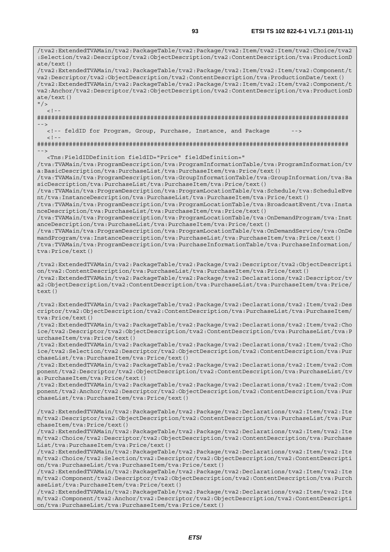/tva2:ExtendedTVAMain/tva2:PackageTable/tva2:Package/tva2:Item/tva2:Item/tva2:Choice/tva2 :Selection/tva2:Descriptor/tva2:ObjectDescription/tva2:ContentDescription/tva:ProductionD ate/text() /tva2:ExtendedTVAMain/tva2:PackageTable/tva2:Package/tva2:Item/tva2:Item/tva2:Component/t va2:Descriptor/tva2:ObjectDescription/tva2:ContentDescription/tva:ProductionDate/text() /tva2:ExtendedTVAMain/tva2:PackageTable/tva2:Package/tva2:Item/tva2:Item/tva2:Component/t va2:Anchor/tva2:Descriptor/tva2:ObjectDescription/tva2:ContentDescription/tva:ProductionD ate/text()  $''$  / >  $\lt$  ! -######################################################################################## --> <!-- feldID for Program, Group, Purchase, Instance, and Package  $<$ ! --######################################################################################## --> <Tns:FieldIDDefinition fieldID="Price" fieldDefinition=" /tva:TVAMain/tva:ProgramDescription/tva:ProgramInformationTable/tva:ProgramInformation/tv a:BasicDescription/tva:PurchaseList/tva:PurchaseItem/tva:Price/text() /tva:TVAMain/tva:ProgramDescription/tva:GroupInformationTable/tva:GroupInformation/tva:Ba sicDescription/tva:PurchaseList/tva:PurchaseItem/tva:Price/text() /tva:TVAMain/tva:ProgramDescription/tva:ProgramLocationTable/tva:Schedule/tva:ScheduleEve nt/tva:InstanceDescription/tva:PurchaseList/tva:PurchaseItem/tva:Price/text() /tva:TVAMain/tva:ProgramDescription/tva:ProgramLocationTable/tva:BroadcastEvent/tva:Insta nceDescription/tva:PurchaseList/tva:PurchaseItem/tva:Price/text() /tva:TVAMain/tva:ProgramDescription/tva:ProgramLocationTable/tva:OnDemandProgram/tva:Inst anceDescription/tva:PurchaseList/tva:PurchaseItem/tva:Price/text() /tva:TVAMain/tva:ProgramDescription/tva:ProgramLocationTable/tva:OnDemandService/tva:OnDe mandProgram/tva:InstanceDescription/tva:PurchaseList/tva:PurchaseItem/tva:Price/text() /tva:TVAMain/tva:ProgramDescription/tva:PurchaseInformationTable/tva:PurchaseInformation/ tva:Price/text() /tva2:ExtendedTVAMain/tva2:PackageTable/tva2:Package/tva2:Descriptor/tva2:ObjectDescripti on/tva2:ContentDescription/tva:PurchaseList/tva:PurchaseItem/tva:Price/text() /tva2:ExtendedTVAMain/tva2:PackageTable/tva2:Package/tva2:Declarations/tva2:Descriptor/tv a2:ObjectDescription/tva2:ContentDescription/tva:PurchaseList/tva:PurchaseItem/tva:Price/ text() /tva2:ExtendedTVAMain/tva2:PackageTable/tva2:Package/tva2:Declarations/tva2:Item/tva2:Des criptor/tva2:ObjectDescription/tva2:ContentDescription/tva:PurchaseList/tva:PurchaseItem/ tva:Price/text() /tva2:ExtendedTVAMain/tva2:PackageTable/tva2:Package/tva2:Declarations/tva2:Item/tva2:Cho ice/tva2:Descriptor/tva2:ObjectDescription/tva2:ContentDescription/tva:PurchaseList/tva:P urchaseItem/tva:Price/text() /tva2:ExtendedTVAMain/tva2:PackageTable/tva2:Package/tva2:Declarations/tva2:Item/tva2:Cho ice/tva2:Selection/tva2:Descriptor/tva2:ObjectDescription/tva2:ContentDescription/tva:Pur chaseList/tva:PurchaseItem/tva:Price/text() /tva2:ExtendedTVAMain/tva2:PackageTable/tva2:Package/tva2:Declarations/tva2:Item/tva2:Com ponent/tva2:Descriptor/tva2:ObjectDescription/tva2:ContentDescription/tva:PurchaseList/tv a:PurchaseItem/tva:Price/text() /tva2:ExtendedTVAMain/tva2:PackageTable/tva2:Package/tva2:Declarations/tva2:Item/tva2:Com ponent/tva2:Anchor/tva2:Descriptor/tva2:ObjectDescription/tva2:ContentDescription/tva:Pur chaseList/tva:PurchaseItem/tva:Price/text() /tva2:ExtendedTVAMain/tva2:PackageTable/tva2:Package/tva2:Declarations/tva2:Item/tva2:Ite m/tva2:Descriptor/tva2:ObjectDescription/tva2:ContentDescription/tva:PurchaseList/tva:Pur chaseItem/tva:Price/text() /tva2:ExtendedTVAMain/tva2:PackageTable/tva2:Package/tva2:Declarations/tva2:Item/tva2:Ite m/tva2:Choice/tva2:Descriptor/tva2:ObjectDescription/tva2:ContentDescription/tva:Purchase List/tva:PurchaseItem/tva:Price/text() /tva2:ExtendedTVAMain/tva2:PackageTable/tva2:Package/tva2:Declarations/tva2:Item/tva2:Ite m/tva2:Choice/tva2:Selection/tva2:Descriptor/tva2:ObjectDescription/tva2:ContentDescripti on/tva:PurchaseList/tva:PurchaseItem/tva:Price/text() /tva2:ExtendedTVAMain/tva2:PackageTable/tva2:Package/tva2:Declarations/tva2:Item/tva2:Ite m/tva2:Component/tva2:Descriptor/tva2:ObjectDescription/tva2:ContentDescription/tva:Purch aseList/tva:PurchaseItem/tva:Price/text() /tva2:ExtendedTVAMain/tva2:PackageTable/tva2:Package/tva2:Declarations/tva2:Item/tva2:Ite m/tva2:Component/tva2:Anchor/tva2:Descriptor/tva2:ObjectDescription/tva2:ContentDescripti on/tva:PurchaseList/tva:PurchaseItem/tva:Price/text()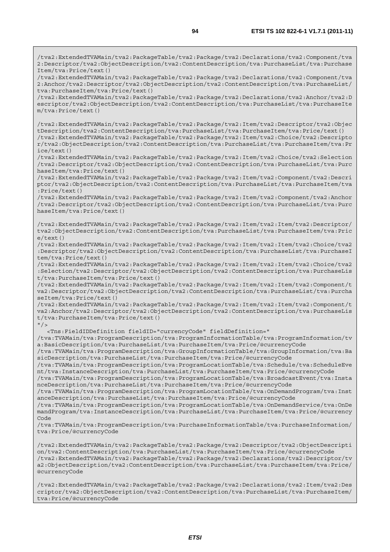/tva2:ExtendedTVAMain/tva2:PackageTable/tva2:Package/tva2:Declarations/tva2:Component/tva 2:Descriptor/tva2:ObjectDescription/tva2:ContentDescription/tva:PurchaseList/tva:Purchase Item/tva:Price/text()

/tva2:ExtendedTVAMain/tva2:PackageTable/tva2:Package/tva2:Declarations/tva2:Component/tva 2:Anchor/tva2:Descriptor/tva2:ObjectDescription/tva2:ContentDescription/tva:PurchaseList/ tva:PurchaseItem/tva:Price/text()

/tva2:ExtendedTVAMain/tva2:PackageTable/tva2:Package/tva2:Declarations/tva2:Anchor/tva2:D escriptor/tva2:ObjectDescription/tva2:ContentDescription/tva:PurchaseList/tva:PurchaseIte m/tva:Price/text()

/tva2:ExtendedTVAMain/tva2:PackageTable/tva2:Package/tva2:Item/tva2:Descriptor/tva2:Objec tDescription/tva2:ContentDescription/tva:PurchaseList/tva:PurchaseItem/tva:Price/text() /tva2:ExtendedTVAMain/tva2:PackageTable/tva2:Package/tva2:Item/tva2:Choice/tva2:Descripto r/tva2:ObjectDescription/tva2:ContentDescription/tva:PurchaseList/tva:PurchaseItem/tva:Pr ice/text()

/tva2:ExtendedTVAMain/tva2:PackageTable/tva2:Package/tva2:Item/tva2:Choice/tva2:Selection /tva2:Descriptor/tva2:ObjectDescription/tva2:ContentDescription/tva:PurchaseList/tva:Purc haseItem/tva:Price/text()

/tva2:ExtendedTVAMain/tva2:PackageTable/tva2:Package/tva2:Item/tva2:Component/tva2:Descri ptor/tva2:ObjectDescription/tva2:ContentDescription/tva:PurchaseList/tva:PurchaseItem/tva :Price/text()

/tva2:ExtendedTVAMain/tva2:PackageTable/tva2:Package/tva2:Item/tva2:Component/tva2:Anchor /tva2:Descriptor/tva2:ObjectDescription/tva2:ContentDescription/tva:PurchaseList/tva:Purc haseItem/tva:Price/text()

/tva2:ExtendedTVAMain/tva2:PackageTable/tva2:Package/tva2:Item/tva2:Item/tva2:Descriptor/ tva2:ObjectDescription/tva2:ContentDescription/tva:PurchaseList/tva:PurchaseItem/tva:Pric e/text()

/tva2:ExtendedTVAMain/tva2:PackageTable/tva2:Package/tva2:Item/tva2:Item/tva2:Choice/tva2 :Descriptor/tva2:ObjectDescription/tva2:ContentDescription/tva:PurchaseList/tva:PurchaseI tem/tva:Price/text()

/tva2:ExtendedTVAMain/tva2:PackageTable/tva2:Package/tva2:Item/tva2:Item/tva2:Choice/tva2 :Selection/tva2:Descriptor/tva2:ObjectDescription/tva2:ContentDescription/tva:PurchaseLis t/tva:PurchaseItem/tva:Price/text()

/tva2:ExtendedTVAMain/tva2:PackageTable/tva2:Package/tva2:Item/tva2:Item/tva2:Component/t va2:Descriptor/tva2:ObjectDescription/tva2:ContentDescription/tva:PurchaseList/tva:Purcha seItem/tva:Price/text()

/tva2:ExtendedTVAMain/tva2:PackageTable/tva2:Package/tva2:Item/tva2:Item/tva2:Component/t va2:Anchor/tva2:Descriptor/tva2:ObjectDescription/tva2:ContentDescription/tva:PurchaseLis t/tva:PurchaseItem/tva:Price/text()

 $"$  />

<Tns:FieldIDDefinition fieldID="currencyCode" fieldDefinition="

/tva:TVAMain/tva:ProgramDescription/tva:ProgramInformationTable/tva:ProgramInformation/tv a:BasicDescription/tva:PurchaseList/tva:PurchaseItem/tva:Price/@currencyCode

/tva:TVAMain/tva:ProgramDescription/tva:GroupInformationTable/tva:GroupInformation/tva:Ba sicDescription/tva:PurchaseList/tva:PurchaseItem/tva:Price/@currencyCode

/tva:TVAMain/tva:ProgramDescription/tva:ProgramLocationTable/tva:Schedule/tva:ScheduleEve nt/tva:InstanceDescription/tva:PurchaseList/tva:PurchaseItem/tva:Price/@currencyCode

/tva:TVAMain/tva:ProgramDescription/tva:ProgramLocationTable/tva:BroadcastEvent/tva:Insta nceDescription/tva:PurchaseList/tva:PurchaseItem/tva:Price/@currencyCode

/tva:TVAMain/tva:ProgramDescription/tva:ProgramLocationTable/tva:OnDemandProgram/tva:Inst anceDescription/tva:PurchaseList/tva:PurchaseItem/tva:Price/@currencyCode

/tva:TVAMain/tva:ProgramDescription/tva:ProgramLocationTable/tva:OnDemandService/tva:OnDe mandProgram/tva:InstanceDescription/tva:PurchaseList/tva:PurchaseItem/tva:Price/@currency Code

/tva:TVAMain/tva:ProgramDescription/tva:PurchaseInformationTable/tva:PurchaseInformation/ tva:Price/@currencyCode

/tva2:ExtendedTVAMain/tva2:PackageTable/tva2:Package/tva2:Descriptor/tva2:ObjectDescripti on/tva2:ContentDescription/tva:PurchaseList/tva:PurchaseItem/tva:Price/@currencyCode /tva2:ExtendedTVAMain/tva2:PackageTable/tva2:Package/tva2:Declarations/tva2:Descriptor/tv a2:ObjectDescription/tva2:ContentDescription/tva:PurchaseList/tva:PurchaseItem/tva:Price/ @currencyCode

/tva2:ExtendedTVAMain/tva2:PackageTable/tva2:Package/tva2:Declarations/tva2:Item/tva2:Des criptor/tva2:ObjectDescription/tva2:ContentDescription/tva:PurchaseList/tva:PurchaseItem/ tva:Price/@currencyCode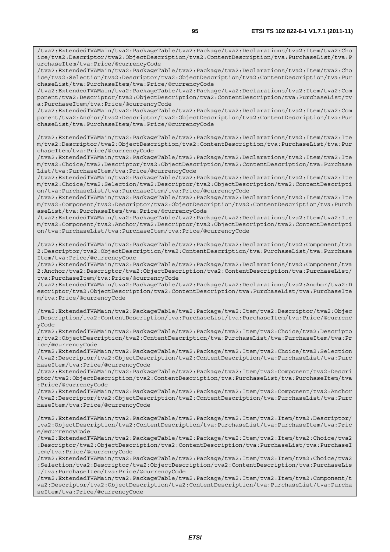/tva2:ExtendedTVAMain/tva2:PackageTable/tva2:Package/tva2:Declarations/tva2:Item/tva2:Cho ice/tva2:Descriptor/tva2:ObjectDescription/tva2:ContentDescription/tva:PurchaseList/tva:P urchaseItem/tva:Price/@currencyCode

/tva2:ExtendedTVAMain/tva2:PackageTable/tva2:Package/tva2:Declarations/tva2:Item/tva2:Cho ice/tva2:Selection/tva2:Descriptor/tva2:ObjectDescription/tva2:ContentDescription/tva:Pur chaseList/tva:PurchaseItem/tva:Price/@currencyCode

/tva2:ExtendedTVAMain/tva2:PackageTable/tva2:Package/tva2:Declarations/tva2:Item/tva2:Com ponent/tva2:Descriptor/tva2:ObjectDescription/tva2:ContentDescription/tva:PurchaseList/tv a:PurchaseItem/tva:Price/@currencyCode

/tva2:ExtendedTVAMain/tva2:PackageTable/tva2:Package/tva2:Declarations/tva2:Item/tva2:Com ponent/tva2:Anchor/tva2:Descriptor/tva2:ObjectDescription/tva2:ContentDescription/tva:Pur chaseList/tva:PurchaseItem/tva:Price/@currencyCode

/tva2:ExtendedTVAMain/tva2:PackageTable/tva2:Package/tva2:Declarations/tva2:Item/tva2:Ite m/tva2:Descriptor/tva2:ObjectDescription/tva2:ContentDescription/tva:PurchaseList/tva:Pur chaseItem/tva:Price/@currencyCode

/tva2:ExtendedTVAMain/tva2:PackageTable/tva2:Package/tva2:Declarations/tva2:Item/tva2:Ite m/tva2:Choice/tva2:Descriptor/tva2:ObjectDescription/tva2:ContentDescription/tva:Purchase List/tva:PurchaseItem/tva:Price/@currencyCode

/tva2:ExtendedTVAMain/tva2:PackageTable/tva2:Package/tva2:Declarations/tva2:Item/tva2:Ite m/tva2:Choice/tva2:Selection/tva2:Descriptor/tva2:ObjectDescription/tva2:ContentDescripti on/tva:PurchaseList/tva:PurchaseItem/tva:Price/@currencyCode

/tva2:ExtendedTVAMain/tva2:PackageTable/tva2:Package/tva2:Declarations/tva2:Item/tva2:Ite m/tva2:Component/tva2:Descriptor/tva2:ObjectDescription/tva2:ContentDescription/tva:Purch aseList/tva:PurchaseItem/tva:Price/@currencyCode

/tva2:ExtendedTVAMain/tva2:PackageTable/tva2:Package/tva2:Declarations/tva2:Item/tva2:Ite m/tva2:Component/tva2:Anchor/tva2:Descriptor/tva2:ObjectDescription/tva2:ContentDescripti on/tva:PurchaseList/tva:PurchaseItem/tva:Price/@currencyCode

/tva2:ExtendedTVAMain/tva2:PackageTable/tva2:Package/tva2:Declarations/tva2:Component/tva 2:Descriptor/tva2:ObjectDescription/tva2:ContentDescription/tva:PurchaseList/tva:Purchase Item/tva:Price/@currencyCode

/tva2:ExtendedTVAMain/tva2:PackageTable/tva2:Package/tva2:Declarations/tva2:Component/tva 2:Anchor/tva2:Descriptor/tva2:ObjectDescription/tva2:ContentDescription/tva:PurchaseList/ tva:PurchaseItem/tva:Price/@currencyCode

/tva2:ExtendedTVAMain/tva2:PackageTable/tva2:Package/tva2:Declarations/tva2:Anchor/tva2:D escriptor/tva2:ObjectDescription/tva2:ContentDescription/tva:PurchaseList/tva:PurchaseIte m/tva:Price/@currencyCode

/tva2:ExtendedTVAMain/tva2:PackageTable/tva2:Package/tva2:Item/tva2:Descriptor/tva2:Objec tDescription/tva2:ContentDescription/tva:PurchaseList/tva:PurchaseItem/tva:Price/@currenc yCode

/tva2:ExtendedTVAMain/tva2:PackageTable/tva2:Package/tva2:Item/tva2:Choice/tva2:Descripto r/tva2:ObjectDescription/tva2:ContentDescription/tva:PurchaseList/tva:PurchaseItem/tva:Pr ice/@currencyCode

/tva2:ExtendedTVAMain/tva2:PackageTable/tva2:Package/tva2:Item/tva2:Choice/tva2:Selection /tva2:Descriptor/tva2:ObjectDescription/tva2:ContentDescription/tva:PurchaseList/tva:Purc haseItem/tva:Price/@currencyCode

/tva2:ExtendedTVAMain/tva2:PackageTable/tva2:Package/tva2:Item/tva2:Component/tva2:Descri ptor/tva2:ObjectDescription/tva2:ContentDescription/tva:PurchaseList/tva:PurchaseItem/tva :Price/@currencyCode

/tva2:ExtendedTVAMain/tva2:PackageTable/tva2:Package/tva2:Item/tva2:Component/tva2:Anchor /tva2:Descriptor/tva2:ObjectDescription/tva2:ContentDescription/tva:PurchaseList/tva:Purc haseItem/tva:Price/@currencyCode

/tva2:ExtendedTVAMain/tva2:PackageTable/tva2:Package/tva2:Item/tva2:Item/tva2:Descriptor/ tva2:ObjectDescription/tva2:ContentDescription/tva:PurchaseList/tva:PurchaseItem/tva:Pric e/@currencyCode

/tva2:ExtendedTVAMain/tva2:PackageTable/tva2:Package/tva2:Item/tva2:Item/tva2:Choice/tva2 :Descriptor/tva2:ObjectDescription/tva2:ContentDescription/tva:PurchaseList/tva:PurchaseI tem/tva:Price/@currencyCode

/tva2:ExtendedTVAMain/tva2:PackageTable/tva2:Package/tva2:Item/tva2:Item/tva2:Choice/tva2 :Selection/tva2:Descriptor/tva2:ObjectDescription/tva2:ContentDescription/tva:PurchaseLis t/tva:PurchaseItem/tva:Price/@currencyCode

/tva2:ExtendedTVAMain/tva2:PackageTable/tva2:Package/tva2:Item/tva2:Item/tva2:Component/t va2:Descriptor/tva2:ObjectDescription/tva2:ContentDescription/tva:PurchaseList/tva:Purcha seItem/tva:Price/@currencyCode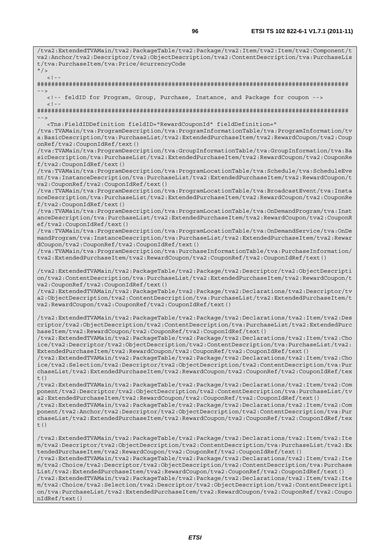t/tva:PurchaseItem/tva:Price/@currencyCode  $"$  />  $\geq 1$ ######################################################################################## --> <!-- feldID for Program, Group, Purchase, Instance, and Package for coupon -->  $\geq 1$   $-$ ######################################################################################## --> <Tns:FieldIDDefinition fieldID="RewardCouponId" fieldDefinition=" /tva:TVAMain/tva:ProgramDescription/tva:ProgramInformationTable/tva:ProgramInformation/tv a:BasicDescription/tva:PurchaseList/tva2:ExtendedPurchaseItem/tva2:RewardCoupon/tva2:Coup onRef/tva2:CouponIdRef/text() /tva:TVAMain/tva:ProgramDescription/tva:GroupInformationTable/tva:GroupInformation/tva:Ba sicDescription/tva:PurchaseList/tva2:ExtendedPurchaseItem/tva2:RewardCoupon/tva2:CouponRe f/tva2:CouponIdRef/text() /tva:TVAMain/tva:ProgramDescription/tva:ProgramLocationTable/tva:Schedule/tva:ScheduleEve nt/tva:InstanceDescription/tva:PurchaseList/tva2:ExtendedPurchaseItem/tva2:RewardCoupon/t va2:CouponRef/tva2:CouponIdRef/text() /tva:TVAMain/tva:ProgramDescription/tva:ProgramLocationTable/tva:BroadcastEvent/tva:Insta nceDescription/tva:PurchaseList/tva2:ExtendedPurchaseItem/tva2:RewardCoupon/tva2:CouponRe f/tva2:CouponIdRef/text() /tva:TVAMain/tva:ProgramDescription/tva:ProgramLocationTable/tva:OnDemandProgram/tva:Inst anceDescription/tva:PurchaseList/tva2:ExtendedPurchaseItem/tva2:RewardCoupon/tva2:CouponR ef/tva2:CouponIdRef/text() /tva:TVAMain/tva:ProgramDescription/tva:ProgramLocationTable/tva:OnDemandService/tva:OnDe mandProgram/tva:InstanceDescription/tva:PurchaseList/tva2:ExtendedPurchaseItem/tva2:Rewar dCoupon/tva2:CouponRef/tva2:CouponIdRef/text() /tva:TVAMain/tva:ProgramDescription/tva:PurchaseInformationTable/tva:PurchaseInformation/ tva2:ExtendedPurchaseItem/tva2:RewardCoupon/tva2:CouponRef/tva2:CouponIdRef/text() /tva2:ExtendedTVAMain/tva2:PackageTable/tva2:Package/tva2:Descriptor/tva2:ObjectDescripti on/tva2:ContentDescription/tva:PurchaseList/tva2:ExtendedPurchaseItem/tva2:RewardCoupon/t va2:CouponRef/tva2:CouponIdRef/text() /tva2:ExtendedTVAMain/tva2:PackageTable/tva2:Package/tva2:Declarations/tva2:Descriptor/tv a2:ObjectDescription/tva2:ContentDescription/tva:PurchaseList/tva2:ExtendedPurchaseItem/t va2:RewardCoupon/tva2:CouponRef/tva2:CouponIdRef/text() /tva2:ExtendedTVAMain/tva2:PackageTable/tva2:Package/tva2:Declarations/tva2:Item/tva2:Des criptor/tva2:ObjectDescription/tva2:ContentDescription/tva:PurchaseList/tva2:ExtendedPurc haseItem/tva2:RewardCoupon/tva2:CouponRef/tva2:CouponIdRef/text() /tva2:ExtendedTVAMain/tva2:PackageTable/tva2:Package/tva2:Declarations/tva2:Item/tva2:Cho ice/tva2:Descriptor/tva2:ObjectDescription/tva2:ContentDescription/tva:PurchaseList/tva2: ExtendedPurchaseItem/tva2:RewardCoupon/tva2:CouponRef/tva2:CouponIdRef/text() /tva2:ExtendedTVAMain/tva2:PackageTable/tva2:Package/tva2:Declarations/tva2:Item/tva2:Cho ice/tva2:Selection/tva2:Descriptor/tva2:ObjectDescription/tva2:ContentDescription/tva:Pur chaseList/tva2:ExtendedPurchaseItem/tva2:RewardCoupon/tva2:CouponRef/tva2:CouponIdRef/tex  $t()$ /tva2:ExtendedTVAMain/tva2:PackageTable/tva2:Package/tva2:Declarations/tva2:Item/tva2:Com ponent/tva2:Descriptor/tva2:ObjectDescription/tva2:ContentDescription/tva:PurchaseList/tv a2:ExtendedPurchaseItem/tva2:RewardCoupon/tva2:CouponRef/tva2:CouponIdRef/text() /tva2:ExtendedTVAMain/tva2:PackageTable/tva2:Package/tva2:Declarations/tva2:Item/tva2:Com ponent/tva2:Anchor/tva2:Descriptor/tva2:ObjectDescription/tva2:ContentDescription/tva:Pur chaseList/tva2:ExtendedPurchaseItem/tva2:RewardCoupon/tva2:CouponRef/tva2:CouponIdRef/tex  $t()$ /tva2:ExtendedTVAMain/tva2:PackageTable/tva2:Package/tva2:Declarations/tva2:Item/tva2:Ite m/tva2:Descriptor/tva2:ObjectDescription/tva2:ContentDescription/tva:PurchaseList/tva2:Ex tendedPurchaseItem/tva2:RewardCoupon/tva2:CouponRef/tva2:CouponIdRef/text() /tva2:ExtendedTVAMain/tva2:PackageTable/tva2:Package/tva2:Declarations/tva2:Item/tva2:Ite m/tva2:Choice/tva2:Descriptor/tva2:ObjectDescription/tva2:ContentDescription/tva:Purchase List/tva2:ExtendedPurchaseItem/tva2:RewardCoupon/tva2:CouponRef/tva2:CouponIdRef/text() /tva2:ExtendedTVAMain/tva2:PackageTable/tva2:Package/tva2:Declarations/tva2:Item/tva2:Ite m/tva2:Choice/tva2:Selection/tva2:Descriptor/tva2:ObjectDescription/tva2:ContentDescripti on/tva:PurchaseList/tva2:ExtendedPurchaseItem/tva2:RewardCoupon/tva2:CouponRef/tva2:Coupo nIdRef/text()

/tva2:ExtendedTVAMain/tva2:PackageTable/tva2:Package/tva2:Item/tva2:Item/tva2:Component/t va2:Anchor/tva2:Descriptor/tva2:ObjectDescription/tva2:ContentDescription/tva:PurchaseLis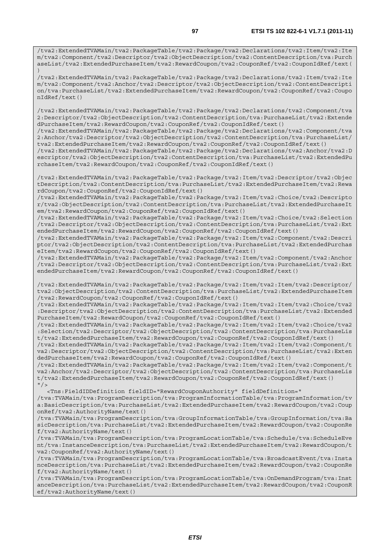/tva2:ExtendedTVAMain/tva2:PackageTable/tva2:Package/tva2:Declarations/tva2:Item/tva2:Ite m/tva2:Component/tva2:Descriptor/tva2:ObjectDescription/tva2:ContentDescription/tva:Purch aseList/tva2:ExtendedPurchaseItem/tva2:RewardCoupon/tva2:CouponRef/tva2:CouponIdRef/text( )

/tva2:ExtendedTVAMain/tva2:PackageTable/tva2:Package/tva2:Declarations/tva2:Item/tva2:Ite m/tva2:Component/tva2:Anchor/tva2:Descriptor/tva2:ObjectDescription/tva2:ContentDescripti on/tva:PurchaseList/tva2:ExtendedPurchaseItem/tva2:RewardCoupon/tva2:CouponRef/tva2:Coupo nIdRef/text()

/tva2:ExtendedTVAMain/tva2:PackageTable/tva2:Package/tva2:Declarations/tva2:Component/tva 2:Descriptor/tva2:ObjectDescription/tva2:ContentDescription/tva:PurchaseList/tva2:Extende dPurchaseItem/tva2:RewardCoupon/tva2:CouponRef/tva2:CouponIdRef/text()

/tva2:ExtendedTVAMain/tva2:PackageTable/tva2:Package/tva2:Declarations/tva2:Component/tva 2:Anchor/tva2:Descriptor/tva2:ObjectDescription/tva2:ContentDescription/tva:PurchaseList/ tva2:ExtendedPurchaseItem/tva2:RewardCoupon/tva2:CouponRef/tva2:CouponIdRef/text()

/tva2:ExtendedTVAMain/tva2:PackageTable/tva2:Package/tva2:Declarations/tva2:Anchor/tva2:D escriptor/tva2:ObjectDescription/tva2:ContentDescription/tva:PurchaseList/tva2:ExtendedPu rchaseItem/tva2:RewardCoupon/tva2:CouponRef/tva2:CouponIdRef/text()

/tva2:ExtendedTVAMain/tva2:PackageTable/tva2:Package/tva2:Item/tva2:Descriptor/tva2:Objec tDescription/tva2:ContentDescription/tva:PurchaseList/tva2:ExtendedPurchaseItem/tva2:Rewa rdCoupon/tva2:CouponRef/tva2:CouponIdRef/text()

/tva2:ExtendedTVAMain/tva2:PackageTable/tva2:Package/tva2:Item/tva2:Choice/tva2:Descripto r/tva2:ObjectDescription/tva2:ContentDescription/tva:PurchaseList/tva2:ExtendedPurchaseIt em/tva2:RewardCoupon/tva2:CouponRef/tva2:CouponIdRef/text()

/tva2:ExtendedTVAMain/tva2:PackageTable/tva2:Package/tva2:Item/tva2:Choice/tva2:Selection /tva2:Descriptor/tva2:ObjectDescription/tva2:ContentDescription/tva:PurchaseList/tva2:Ext endedPurchaseItem/tva2:RewardCoupon/tva2:CouponRef/tva2:CouponIdRef/text()

/tva2:ExtendedTVAMain/tva2:PackageTable/tva2:Package/tva2:Item/tva2:Component/tva2:Descri ptor/tva2:ObjectDescription/tva2:ContentDescription/tva:PurchaseList/tva2:ExtendedPurchas eItem/tva2:RewardCoupon/tva2:CouponRef/tva2:CouponIdRef/text()

/tva2:ExtendedTVAMain/tva2:PackageTable/tva2:Package/tva2:Item/tva2:Component/tva2:Anchor /tva2:Descriptor/tva2:ObjectDescription/tva2:ContentDescription/tva:PurchaseList/tva2:Ext endedPurchaseItem/tva2:RewardCoupon/tva2:CouponRef/tva2:CouponIdRef/text()

/tva2:ExtendedTVAMain/tva2:PackageTable/tva2:Package/tva2:Item/tva2:Item/tva2:Descriptor/ tva2:ObjectDescription/tva2:ContentDescription/tva:PurchaseList/tva2:ExtendedPurchaseItem /tva2:RewardCoupon/tva2:CouponRef/tva2:CouponIdRef/text()

/tva2:ExtendedTVAMain/tva2:PackageTable/tva2:Package/tva2:Item/tva2:Item/tva2:Choice/tva2 :Descriptor/tva2:ObjectDescription/tva2:ContentDescription/tva:PurchaseList/tva2:Extended PurchaseItem/tva2:RewardCoupon/tva2:CouponRef/tva2:CouponIdRef/text()

/tva2:ExtendedTVAMain/tva2:PackageTable/tva2:Package/tva2:Item/tva2:Item/tva2:Choice/tva2 :Selection/tva2:Descriptor/tva2:ObjectDescription/tva2:ContentDescription/tva:PurchaseLis t/tva2:ExtendedPurchaseItem/tva2:RewardCoupon/tva2:CouponRef/tva2:CouponIdRef/text()

/tva2:ExtendedTVAMain/tva2:PackageTable/tva2:Package/tva2:Item/tva2:Item/tva2:Component/t va2:Descriptor/tva2:ObjectDescription/tva2:ContentDescription/tva:PurchaseList/tva2:Exten dedPurchaseItem/tva2:RewardCoupon/tva2:CouponRef/tva2:CouponIdRef/text()

/tva2:ExtendedTVAMain/tva2:PackageTable/tva2:Package/tva2:Item/tva2:Item/tva2:Component/t va2:Anchor/tva2:Descriptor/tva2:ObjectDescription/tva2:ContentDescription/tva:PurchaseLis t/tva2:ExtendedPurchaseItem/tva2:RewardCoupon/tva2:CouponRef/tva2:CouponIdRef/text()  $"$  />

<Tns:FieldIDDefinition fieldID="RewardCouponAuthority" fieldDefinition="

/tva:TVAMain/tva:ProgramDescription/tva:ProgramInformationTable/tva:ProgramInformation/tv a:BasicDescription/tva:PurchaseList/tva2:ExtendedPurchaseItem/tva2:RewardCoupon/tva2:Coup onRef/tva2:AuthorityName/text()

/tva:TVAMain/tva:ProgramDescription/tva:GroupInformationTable/tva:GroupInformation/tva:Ba sicDescription/tva:PurchaseList/tva2:ExtendedPurchaseItem/tva2:RewardCoupon/tva2:CouponRe f/tva2:AuthorityName/text()

/tva:TVAMain/tva:ProgramDescription/tva:ProgramLocationTable/tva:Schedule/tva:ScheduleEve nt/tva:InstanceDescription/tva:PurchaseList/tva2:ExtendedPurchaseItem/tva2:RewardCoupon/t va2:CouponRef/tva2:AuthorityName/text()

/tva:TVAMain/tva:ProgramDescription/tva:ProgramLocationTable/tva:BroadcastEvent/tva:Insta nceDescription/tva:PurchaseList/tva2:ExtendedPurchaseItem/tva2:RewardCoupon/tva2:CouponRe f/tva2:AuthorityName/text()

/tva:TVAMain/tva:ProgramDescription/tva:ProgramLocationTable/tva:OnDemandProgram/tva:Inst anceDescription/tva:PurchaseList/tva2:ExtendedPurchaseItem/tva2:RewardCoupon/tva2:CouponR ef/tva2:AuthorityName/text()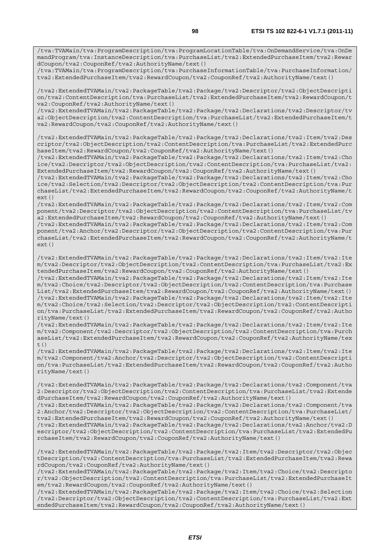/tva:TVAMain/tva:ProgramDescription/tva:ProgramLocationTable/tva:OnDemandService/tva:OnDe mandProgram/tva:InstanceDescription/tva:PurchaseList/tva2:ExtendedPurchaseItem/tva2:Rewar dCoupon/tva2:CouponRef/tva2:AuthorityName/text()

/tva:TVAMain/tva:ProgramDescription/tva:PurchaseInformationTable/tva:PurchaseInformation/ tva2:ExtendedPurchaseItem/tva2:RewardCoupon/tva2:CouponRef/tva2:AuthorityName/text()

/tva2:ExtendedTVAMain/tva2:PackageTable/tva2:Package/tva2:Descriptor/tva2:ObjectDescripti on/tva2:ContentDescription/tva:PurchaseList/tva2:ExtendedPurchaseItem/tva2:RewardCoupon/t va2:CouponRef/tva2:AuthorityName/text()

/tva2:ExtendedTVAMain/tva2:PackageTable/tva2:Package/tva2:Declarations/tva2:Descriptor/tv a2:ObjectDescription/tva2:ContentDescription/tva:PurchaseList/tva2:ExtendedPurchaseItem/t va2:RewardCoupon/tva2:CouponRef/tva2:AuthorityName/text()

/tva2:ExtendedTVAMain/tva2:PackageTable/tva2:Package/tva2:Declarations/tva2:Item/tva2:Des criptor/tva2:ObjectDescription/tva2:ContentDescription/tva:PurchaseList/tva2:ExtendedPurc haseItem/tva2:RewardCoupon/tva2:CouponRef/tva2:AuthorityName/text()

/tva2:ExtendedTVAMain/tva2:PackageTable/tva2:Package/tva2:Declarations/tva2:Item/tva2:Cho ice/tva2:Descriptor/tva2:ObjectDescription/tva2:ContentDescription/tva:PurchaseList/tva2: ExtendedPurchaseItem/tva2:RewardCoupon/tva2:CouponRef/tva2:AuthorityName/text()

/tva2:ExtendedTVAMain/tva2:PackageTable/tva2:Package/tva2:Declarations/tva2:Item/tva2:Cho ice/tva2:Selection/tva2:Descriptor/tva2:ObjectDescription/tva2:ContentDescription/tva:Pur chaseList/tva2:ExtendedPurchaseItem/tva2:RewardCoupon/tva2:CouponRef/tva2:AuthorityName/t ext()

/tva2:ExtendedTVAMain/tva2:PackageTable/tva2:Package/tva2:Declarations/tva2:Item/tva2:Com ponent/tva2:Descriptor/tva2:ObjectDescription/tva2:ContentDescription/tva:PurchaseList/tv a2:ExtendedPurchaseItem/tva2:RewardCoupon/tva2:CouponRef/tva2:AuthorityName/text()

/tva2:ExtendedTVAMain/tva2:PackageTable/tva2:Package/tva2:Declarations/tva2:Item/tva2:Com ponent/tva2:Anchor/tva2:Descriptor/tva2:ObjectDescription/tva2:ContentDescription/tva:Pur chaseList/tva2:ExtendedPurchaseItem/tva2:RewardCoupon/tva2:CouponRef/tva2:AuthorityName/t ext()

/tva2:ExtendedTVAMain/tva2:PackageTable/tva2:Package/tva2:Declarations/tva2:Item/tva2:Ite m/tva2:Descriptor/tva2:ObjectDescription/tva2:ContentDescription/tva:PurchaseList/tva2:Ex tendedPurchaseItem/tva2:RewardCoupon/tva2:CouponRef/tva2:AuthorityName/text()

/tva2:ExtendedTVAMain/tva2:PackageTable/tva2:Package/tva2:Declarations/tva2:Item/tva2:Ite m/tva2:Choice/tva2:Descriptor/tva2:ObjectDescription/tva2:ContentDescription/tva:Purchase List/tva2:ExtendedPurchaseItem/tva2:RewardCoupon/tva2:CouponRef/tva2:AuthorityName/text() /tva2:ExtendedTVAMain/tva2:PackageTable/tva2:Package/tva2:Declarations/tva2:Item/tva2:Ite m/tva2:Choice/tva2:Selection/tva2:Descriptor/tva2:ObjectDescription/tva2:ContentDescripti on/tva:PurchaseList/tva2:ExtendedPurchaseItem/tva2:RewardCoupon/tva2:CouponRef/tva2:Autho rityName/text()

/tva2:ExtendedTVAMain/tva2:PackageTable/tva2:Package/tva2:Declarations/tva2:Item/tva2:Ite m/tva2:Component/tva2:Descriptor/tva2:ObjectDescription/tva2:ContentDescription/tva:Purch aseList/tva2:ExtendedPurchaseItem/tva2:RewardCoupon/tva2:CouponRef/tva2:AuthorityName/tex  $+$ ()

/tva2:ExtendedTVAMain/tva2:PackageTable/tva2:Package/tva2:Declarations/tva2:Item/tva2:Ite m/tva2:Component/tva2:Anchor/tva2:Descriptor/tva2:ObjectDescription/tva2:ContentDescripti on/tva:PurchaseList/tva2:ExtendedPurchaseItem/tva2:RewardCoupon/tva2:CouponRef/tva2:Autho rityName/text()

/tva2:ExtendedTVAMain/tva2:PackageTable/tva2:Package/tva2:Declarations/tva2:Component/tva 2:Descriptor/tva2:ObjectDescription/tva2:ContentDescription/tva:PurchaseList/tva2:Extende dPurchaseItem/tva2:RewardCoupon/tva2:CouponRef/tva2:AuthorityName/text()

/tva2:ExtendedTVAMain/tva2:PackageTable/tva2:Package/tva2:Declarations/tva2:Component/tva 2:Anchor/tva2:Descriptor/tva2:ObjectDescription/tva2:ContentDescription/tva:PurchaseList/ tva2:ExtendedPurchaseItem/tva2:RewardCoupon/tva2:CouponRef/tva2:AuthorityName/text()

/tva2:ExtendedTVAMain/tva2:PackageTable/tva2:Package/tva2:Declarations/tva2:Anchor/tva2:D escriptor/tva2:ObjectDescription/tva2:ContentDescription/tva:PurchaseList/tva2:ExtendedPu rchaseItem/tva2:RewardCoupon/tva2:CouponRef/tva2:AuthorityName/text()

/tva2:ExtendedTVAMain/tva2:PackageTable/tva2:Package/tva2:Item/tva2:Descriptor/tva2:Objec tDescription/tva2:ContentDescription/tva:PurchaseList/tva2:ExtendedPurchaseItem/tva2:Rewa rdCoupon/tva2:CouponRef/tva2:AuthorityName/text()

/tva2:ExtendedTVAMain/tva2:PackageTable/tva2:Package/tva2:Item/tva2:Choice/tva2:Descripto r/tva2:ObjectDescription/tva2:ContentDescription/tva:PurchaseList/tva2:ExtendedPurchaseIt em/tva2:RewardCoupon/tva2:CouponRef/tva2:AuthorityName/text()

/tva2:ExtendedTVAMain/tva2:PackageTable/tva2:Package/tva2:Item/tva2:Choice/tva2:Selection /tva2:Descriptor/tva2:ObjectDescription/tva2:ContentDescription/tva:PurchaseList/tva2:Ext endedPurchaseItem/tva2:RewardCoupon/tva2:CouponRef/tva2:AuthorityName/text()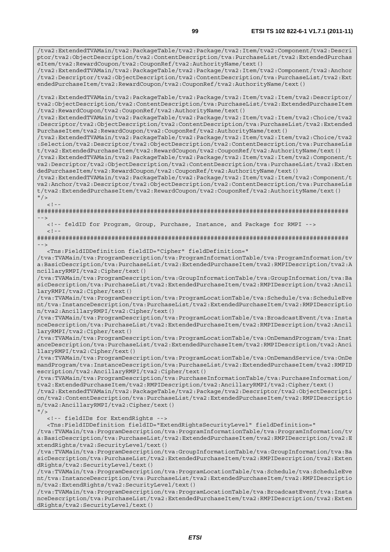/tva2:ExtendedTVAMain/tva2:PackageTable/tva2:Package/tva2:Item/tva2:Component/tva2:Descri ptor/tva2:ObjectDescription/tva2:ContentDescription/tva:PurchaseList/tva2:ExtendedPurchas eItem/tva2:RewardCoupon/tva2:CouponRef/tva2:AuthorityName/text()

/tva2:ExtendedTVAMain/tva2:PackageTable/tva2:Package/tva2:Item/tva2:Component/tva2:Anchor /tva2:Descriptor/tva2:ObjectDescription/tva2:ContentDescription/tva:PurchaseList/tva2:Ext endedPurchaseItem/tva2:RewardCoupon/tva2:CouponRef/tva2:AuthorityName/text()

/tva2:ExtendedTVAMain/tva2:PackageTable/tva2:Package/tva2:Item/tva2:Item/tva2:Descriptor/ tva2:ObjectDescription/tva2:ContentDescription/tva:PurchaseList/tva2:ExtendedPurchaseItem /tva2:RewardCoupon/tva2:CouponRef/tva2:AuthorityName/text()

/tva2:ExtendedTVAMain/tva2:PackageTable/tva2:Package/tva2:Item/tva2:Item/tva2:Choice/tva2 :Descriptor/tva2:ObjectDescription/tva2:ContentDescription/tva:PurchaseList/tva2:Extended PurchaseItem/tva2:RewardCoupon/tva2:CouponRef/tva2:AuthorityName/text()

/tva2:ExtendedTVAMain/tva2:PackageTable/tva2:Package/tva2:Item/tva2:Item/tva2:Choice/tva2 :Selection/tva2:Descriptor/tva2:ObjectDescription/tva2:ContentDescription/tva:PurchaseLis t/tva2:ExtendedPurchaseItem/tva2:RewardCoupon/tva2:CouponRef/tva2:AuthorityName/text()

/tva2:ExtendedTVAMain/tva2:PackageTable/tva2:Package/tva2:Item/tva2:Item/tva2:Component/t va2:Descriptor/tva2:ObjectDescription/tva2:ContentDescription/tva:PurchaseList/tva2:Exten dedPurchaseItem/tva2:RewardCoupon/tva2:CouponRef/tva2:AuthorityName/text()

/tva2:ExtendedTVAMain/tva2:PackageTable/tva2:Package/tva2:Item/tva2:Item/tva2:Component/t va2:Anchor/tva2:Descriptor/tva2:ObjectDescription/tva2:ContentDescription/tva:PurchaseLis t/tva2:ExtendedPurchaseItem/tva2:RewardCoupon/tva2:CouponRef/tva2:AuthorityName/text()  $"$  />

 $\langle$ !--

 $<$ ! --

######################################################################################## -->

<!-- feldID for Program, Group, Purchase, Instance, and Package for RMPI -->

######################################################################################## -->

<Tns:FieldIDDefinition fieldID="Cipher" fieldDefinition="

/tva:TVAMain/tva:ProgramDescription/tva:ProgramInformationTable/tva:ProgramInformation/tv a:BasicDescription/tva:PurchaseList/tva2:ExtendedPurchaseItem/tva2:RMPIDescription/tva2:A ncillaryRMPI/tva2:Cipher/text()

/tva:TVAMain/tva:ProgramDescription/tva:GroupInformationTable/tva:GroupInformation/tva:Ba sicDescription/tva:PurchaseList/tva2:ExtendedPurchaseItem/tva2:RMPIDescription/tva2:Ancil laryRMPI/tva2:Cipher/text()

/tva:TVAMain/tva:ProgramDescription/tva:ProgramLocationTable/tva:Schedule/tva:ScheduleEve nt/tva:InstanceDescription/tva:PurchaseList/tva2:ExtendedPurchaseItem/tva2:RMPIDescriptio n/tva2:AncillaryRMPI/tva2:Cipher/text()

/tva:TVAMain/tva:ProgramDescription/tva:ProgramLocationTable/tva:BroadcastEvent/tva:Insta nceDescription/tva:PurchaseList/tva2:ExtendedPurchaseItem/tva2:RMPIDescription/tva2:Ancil laryRMPI/tva2:Cipher/text()

/tva:TVAMain/tva:ProgramDescription/tva:ProgramLocationTable/tva:OnDemandProgram/tva:Inst anceDescription/tva:PurchaseList/tva2:ExtendedPurchaseItem/tva2:RMPIDescription/tva2:Anci llaryRMPI/tva2:Cipher/text()

/tva:TVAMain/tva:ProgramDescription/tva:ProgramLocationTable/tva:OnDemandService/tva:OnDe mandProgram/tva:InstanceDescription/tva:PurchaseList/tva2:ExtendedPurchaseItem/tva2:RMPID escription/tva2:AncillaryRMPI/tva2:Cipher/text()

/tva:TVAMain/tva:ProgramDescription/tva:PurchaseInformationTable/tva:PurchaseInformation/ tva2:ExtendedPurchaseItem/tva2:RMPIDescription/tva2:AncillaryRMPI/tva2:Cipher/text()

/tva2:ExtendedTVAMain/tva2:PackageTable/tva2:Package/tva2:Descriptor/tva2:ObjectDescripti on/tva2:ContentDescription/tva:PurchaseList/tva2:ExtendedPurchaseItem/tva2:RMPIDescriptio n/tva2:AncillaryRMPI/tva2:Cipher/text()

 $"$  /> <!-- fieldIDs for ExtendRights -->

<Tns:FieldIDDefinition fieldID="ExtendRightsSecurityLevel" fieldDefinition="

/tva:TVAMain/tva:ProgramDescription/tva:ProgramInformationTable/tva:ProgramInformation/tv a:BasicDescription/tva:PurchaseList/tva2:ExtendedPurchaseItem/tva2:RMPIDescription/tva2:E xtendRights/tva2:SecurityLevel/text()

/tva:TVAMain/tva:ProgramDescription/tva:GroupInformationTable/tva:GroupInformation/tva:Ba sicDescription/tva:PurchaseList/tva2:ExtendedPurchaseItem/tva2:RMPIDescription/tva2:Exten dRights/tva2:SecurityLevel/text()

/tva:TVAMain/tva:ProgramDescription/tva:ProgramLocationTable/tva:Schedule/tva:ScheduleEve nt/tva:InstanceDescription/tva:PurchaseList/tva2:ExtendedPurchaseItem/tva2:RMPIDescriptio n/tva2:ExtendRights/tva2:SecurityLevel/text()

/tva:TVAMain/tva:ProgramDescription/tva:ProgramLocationTable/tva:BroadcastEvent/tva:Insta nceDescription/tva:PurchaseList/tva2:ExtendedPurchaseItem/tva2:RMPIDescription/tva2:Exten dRights/tva2:SecurityLevel/text()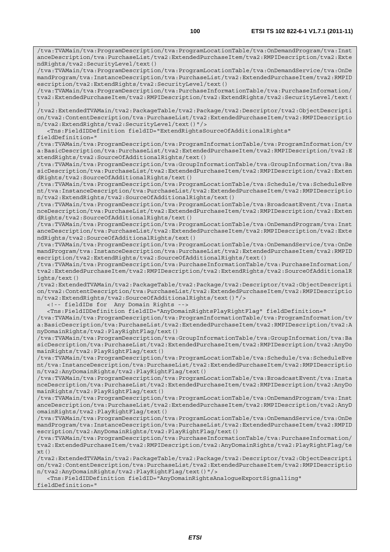/tva:TVAMain/tva:ProgramDescription/tva:ProgramLocationTable/tva:OnDemandProgram/tva:Inst anceDescription/tva:PurchaseList/tva2:ExtendedPurchaseItem/tva2:RMPIDescription/tva2:Exte ndRights/tva2:SecurityLevel/text()

/tva:TVAMain/tva:ProgramDescription/tva:ProgramLocationTable/tva:OnDemandService/tva:OnDe mandProgram/tva:InstanceDescription/tva:PurchaseList/tva2:ExtendedPurchaseItem/tva2:RMPID escription/tva2:ExtendRights/tva2:SecurityLevel/text()

/tva:TVAMain/tva:ProgramDescription/tva:PurchaseInformationTable/tva:PurchaseInformation/ tva2:ExtendedPurchaseItem/tva2:RMPIDescription/tva2:ExtendRights/tva2:SecurityLevel/text( )

/tva2:ExtendedTVAMain/tva2:PackageTable/tva2:Package/tva2:Descriptor/tva2:ObjectDescripti on/tva2:ContentDescription/tva:PurchaseList/tva2:ExtendedPurchaseItem/tva2:RMPIDescriptio n/tva2:ExtendRights/tva2:SecurityLevel/text()"/>

 <Tns:FieldIDDefinition fieldID="ExtendRightsSourceOfAdditionalRights" fieldDefinition="

/tva:TVAMain/tva:ProgramDescription/tva:ProgramInformationTable/tva:ProgramInformation/tv a:BasicDescription/tva:PurchaseList/tva2:ExtendedPurchaseItem/tva2:RMPIDescription/tva2:E xtendRights/tva2:SourceOfAdditionalRights/text()

/tva:TVAMain/tva:ProgramDescription/tva:GroupInformationTable/tva:GroupInformation/tva:Ba sicDescription/tva:PurchaseList/tva2:ExtendedPurchaseItem/tva2:RMPIDescription/tva2:Exten dRights/tva2:SourceOfAdditionalRights/text()

/tva:TVAMain/tva:ProgramDescription/tva:ProgramLocationTable/tva:Schedule/tva:ScheduleEve nt/tva:InstanceDescription/tva:PurchaseList/tva2:ExtendedPurchaseItem/tva2:RMPIDescriptio n/tva2:ExtendRights/tva2:SourceOfAdditionalRights/text()

/tva:TVAMain/tva:ProgramDescription/tva:ProgramLocationTable/tva:BroadcastEvent/tva:Insta nceDescription/tva:PurchaseList/tva2:ExtendedPurchaseItem/tva2:RMPIDescription/tva2:Exten dRights/tva2:SourceOfAdditionalRights/text()

/tva:TVAMain/tva:ProgramDescription/tva:ProgramLocationTable/tva:OnDemandProgram/tva:Inst anceDescription/tva:PurchaseList/tva2:ExtendedPurchaseItem/tva2:RMPIDescription/tva2:Exte ndRights/tva2:SourceOfAdditionalRights/text()

/tva:TVAMain/tva:ProgramDescription/tva:ProgramLocationTable/tva:OnDemandService/tva:OnDe mandProgram/tva:InstanceDescription/tva:PurchaseList/tva2:ExtendedPurchaseItem/tva2:RMPID escription/tva2:ExtendRights/tva2:SourceOfAdditionalRights/text()

/tva:TVAMain/tva:ProgramDescription/tva:PurchaseInformationTable/tva:PurchaseInformation/ tva2:ExtendedPurchaseItem/tva2:RMPIDescription/tva2:ExtendRights/tva2:SourceOfAdditionalR ights/text()

/tva2:ExtendedTVAMain/tva2:PackageTable/tva2:Package/tva2:Descriptor/tva2:ObjectDescripti on/tva2:ContentDescription/tva:PurchaseList/tva2:ExtendedPurchaseItem/tva2:RMPIDescriptio n/tva2:ExtendRights/tva2:SourceOfAdditionalRights/text()"/>

<!-- fieldIDs for Any Domain Rights -->

<Tns:FieldIDDefinition fieldID="AnyDomainRightsPlayRightFlag" fieldDefinition="

/tva:TVAMain/tva:ProgramDescription/tva:ProgramInformationTable/tva:ProgramInformation/tv a:BasicDescription/tva:PurchaseList/tva2:ExtendedPurchaseItem/tva2:RMPIDescription/tva2:A nyDomainRights/tva2:PlayRightFlag/text()

/tva:TVAMain/tva:ProgramDescription/tva:GroupInformationTable/tva:GroupInformation/tva:Ba sicDescription/tva:PurchaseList/tva2:ExtendedPurchaseItem/tva2:RMPIDescription/tva2:AnyDo mainRights/tva2:PlayRightFlag/text()

/tva:TVAMain/tva:ProgramDescription/tva:ProgramLocationTable/tva:Schedule/tva:ScheduleEve nt/tva:InstanceDescription/tva:PurchaseList/tva2:ExtendedPurchaseItem/tva2:RMPIDescriptio n/tva2:AnyDomainRights/tva2:PlayRightFlag/text()

/tva:TVAMain/tva:ProgramDescription/tva:ProgramLocationTable/tva:BroadcastEvent/tva:Insta nceDescription/tva:PurchaseList/tva2:ExtendedPurchaseItem/tva2:RMPIDescription/tva2:AnyDo mainRights/tva2:PlayRightFlag/text()

/tva:TVAMain/tva:ProgramDescription/tva:ProgramLocationTable/tva:OnDemandProgram/tva:Inst anceDescription/tva:PurchaseList/tva2:ExtendedPurchaseItem/tva2:RMPIDescription/tva2:AnyD omainRights/tva2:PlayRightFlag/text()

/tva:TVAMain/tva:ProgramDescription/tva:ProgramLocationTable/tva:OnDemandService/tva:OnDe mandProgram/tva:InstanceDescription/tva:PurchaseList/tva2:ExtendedPurchaseItem/tva2:RMPID escription/tva2:AnyDomainRights/tva2:PlayRightFlag/text()

/tva:TVAMain/tva:ProgramDescription/tva:PurchaseInformationTable/tva:PurchaseInformation/ tva2:ExtendedPurchaseItem/tva2:RMPIDescription/tva2:AnyDomainRights/tva2:PlayRightFlag/te  $xt()$ 

/tva2:ExtendedTVAMain/tva2:PackageTable/tva2:Package/tva2:Descriptor/tva2:ObjectDescripti on/tva2:ContentDescription/tva:PurchaseList/tva2:ExtendedPurchaseItem/tva2:RMPIDescriptio n/tva2:AnyDomainRights/tva2:PlayRightFlag/text()"/>

 <Tns:FieldIDDefinition fieldID="AnyDomainRightsAnalogueExportSignalling" fieldDefinition="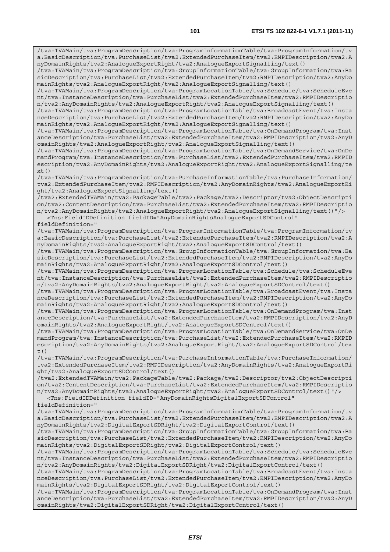/tva:TVAMain/tva:ProgramDescription/tva:ProgramInformationTable/tva:ProgramInformation/tv a:BasicDescription/tva:PurchaseList/tva2:ExtendedPurchaseItem/tva2:RMPIDescription/tva2:A

nyDomainRights/tva2:AnalogueExportRight/tva2:AnalogueExportSignalling/text()

/tva:TVAMain/tva:ProgramDescription/tva:GroupInformationTable/tva:GroupInformation/tva:Ba sicDescription/tva:PurchaseList/tva2:ExtendedPurchaseItem/tva2:RMPIDescription/tva2:AnyDo mainRights/tva2:AnalogueExportRight/tva2:AnalogueExportSignalling/text() /tva:TVAMain/tva:ProgramDescription/tva:ProgramLocationTable/tva:Schedule/tva:ScheduleEve nt/tva:InstanceDescription/tva:PurchaseList/tva2:ExtendedPurchaseItem/tva2:RMPIDescriptio n/tva2:AnyDomainRights/tva2:AnalogueExportRight/tva2:AnalogueExportSignalling/text() /tva:TVAMain/tva:ProgramDescription/tva:ProgramLocationTable/tva:BroadcastEvent/tva:Insta nceDescription/tva:PurchaseList/tva2:ExtendedPurchaseItem/tva2:RMPIDescription/tva2:AnyDo mainRights/tva2:AnalogueExportRight/tva2:AnalogueExportSignalling/text() /tva:TVAMain/tva:ProgramDescription/tva:ProgramLocationTable/tva:OnDemandProgram/tva:Inst anceDescription/tva:PurchaseList/tva2:ExtendedPurchaseItem/tva2:RMPIDescription/tva2:AnyD omainRights/tva2:AnalogueExportRight/tva2:AnalogueExportSignalling/text() /tva:TVAMain/tva:ProgramDescription/tva:ProgramLocationTable/tva:OnDemandService/tva:OnDe mandProgram/tva:InstanceDescription/tva:PurchaseList/tva2:ExtendedPurchaseItem/tva2:RMPID escription/tva2:AnyDomainRights/tva2:AnalogueExportRight/tva2:AnalogueExportSignalling/te  $xt()$ /tva:TVAMain/tva:ProgramDescription/tva:PurchaseInformationTable/tva:PurchaseInformation/ tva2:ExtendedPurchaseItem/tva2:RMPIDescription/tva2:AnyDomainRights/tva2:AnalogueExportRi ght/tva2:AnalogueExportSignalling/text() /tva2:ExtendedTVAMain/tva2:PackageTable/tva2:Package/tva2:Descriptor/tva2:ObjectDescripti on/tva2:ContentDescription/tva:PurchaseList/tva2:ExtendedPurchaseItem/tva2:RMPIDescriptio n/tva2:AnyDomainRights/tva2:AnalogueExportRight/tva2:AnalogueExportSignalling/text()"/> <Tns:FieldIDDefinition fieldID="AnyDomainRightsAnalogueExportSDControl" fieldDefinition=" /tva:TVAMain/tva:ProgramDescription/tva:ProgramInformationTable/tva:ProgramInformation/tv a:BasicDescription/tva:PurchaseList/tva2:ExtendedPurchaseItem/tva2:RMPIDescription/tva2:A nyDomainRights/tva2:AnalogueExportRight/tva2:AnalogueExportSDControl/text() /tva:TVAMain/tva:ProgramDescription/tva:GroupInformationTable/tva:GroupInformation/tva:Ba sicDescription/tva:PurchaseList/tva2:ExtendedPurchaseItem/tva2:RMPIDescription/tva2:AnyDo mainRights/tva2:AnalogueExportRight/tva2:AnalogueExportSDControl/text() /tva:TVAMain/tva:ProgramDescription/tva:ProgramLocationTable/tva:Schedule/tva:ScheduleEve nt/tva:InstanceDescription/tva:PurchaseList/tva2:ExtendedPurchaseItem/tva2:RMPIDescriptio n/tva2:AnyDomainRights/tva2:AnalogueExportRight/tva2:AnalogueExportSDControl/text() /tva:TVAMain/tva:ProgramDescription/tva:ProgramLocationTable/tva:BroadcastEvent/tva:Insta nceDescription/tva:PurchaseList/tva2:ExtendedPurchaseItem/tva2:RMPIDescription/tva2:AnyDo mainRights/tva2:AnalogueExportRight/tva2:AnalogueExportSDControl/text() /tva:TVAMain/tva:ProgramDescription/tva:ProgramLocationTable/tva:OnDemandProgram/tva:Inst anceDescription/tva:PurchaseList/tva2:ExtendedPurchaseItem/tva2:RMPIDescription/tva2:AnyD omainRights/tva2:AnalogueExportRight/tva2:AnalogueExportSDControl/text() /tva:TVAMain/tva:ProgramDescription/tva:ProgramLocationTable/tva:OnDemandService/tva:OnDe mandProgram/tva:InstanceDescription/tva:PurchaseList/tva2:ExtendedPurchaseItem/tva2:RMPID escription/tva2:AnyDomainRights/tva2:AnalogueExportRight/tva2:AnalogueExportSDControl/tex t() /tva:TVAMain/tva:ProgramDescription/tva:PurchaseInformationTable/tva:PurchaseInformation/ tva2:ExtendedPurchaseItem/tva2:RMPIDescription/tva2:AnyDomainRights/tva2:AnalogueExportRi ght/tva2:AnalogueExportSDControl/text() /tva2:ExtendedTVAMain/tva2:PackageTable/tva2:Package/tva2:Descriptor/tva2:ObjectDescripti on/tva2:ContentDescription/tva:PurchaseList/tva2:ExtendedPurchaseItem/tva2:RMPIDescriptio n/tva2:AnyDomainRights/tva2:AnalogueExportRight/tva2:AnalogueExportSDControl/text()"/> <Tns:FieldIDDefinition fieldID="AnyDomainRightsDigitalExportSDControl" fieldDefinition=" /tva:TVAMain/tva:ProgramDescription/tva:ProgramInformationTable/tva:ProgramInformation/tv a:BasicDescription/tva:PurchaseList/tva2:ExtendedPurchaseItem/tva2:RMPIDescription/tva2:A nyDomainRights/tva2:DigitalExportSDRight/tva2:DigitalExportControl/text() /tva:TVAMain/tva:ProgramDescription/tva:GroupInformationTable/tva:GroupInformation/tva:Ba sicDescription/tva:PurchaseList/tva2:ExtendedPurchaseItem/tva2:RMPIDescription/tva2:AnyDo mainRights/tva2:DigitalExportSDRight/tva2:DigitalExportControl/text() /tva:TVAMain/tva:ProgramDescription/tva:ProgramLocationTable/tva:Schedule/tva:ScheduleEve nt/tva:InstanceDescription/tva:PurchaseList/tva2:ExtendedPurchaseItem/tva2:RMPIDescriptio n/tva2:AnyDomainRights/tva2:DigitalExportSDRight/tva2:DigitalExportControl/text() /tva:TVAMain/tva:ProgramDescription/tva:ProgramLocationTable/tva:BroadcastEvent/tva:Insta nceDescription/tva:PurchaseList/tva2:ExtendedPurchaseItem/tva2:RMPIDescription/tva2:AnyDo mainRights/tva2:DigitalExportSDRight/tva2:DigitalExportControl/text() /tva:TVAMain/tva:ProgramDescription/tva:ProgramLocationTable/tva:OnDemandProgram/tva:Inst anceDescription/tva:PurchaseList/tva2:ExtendedPurchaseItem/tva2:RMPIDescription/tva2:AnyD omainRights/tva2:DigitalExportSDRight/tva2:DigitalExportControl/text()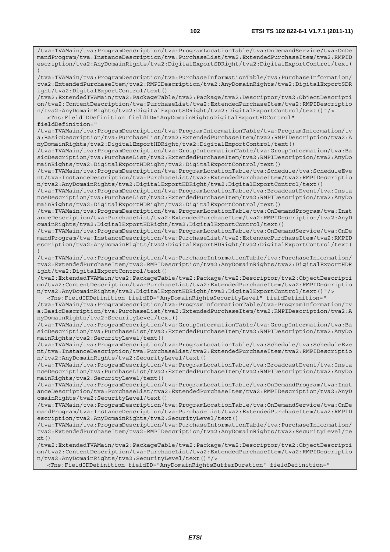/tva:TVAMain/tva:ProgramDescription/tva:ProgramLocationTable/tva:OnDemandService/tva:OnDe mandProgram/tva:InstanceDescription/tva:PurchaseList/tva2:ExtendedPurchaseItem/tva2:RMPID escription/tva2:AnyDomainRights/tva2:DigitalExportSDRight/tva2:DigitalExportControl/text( ) /tva:TVAMain/tva:ProgramDescription/tva:PurchaseInformationTable/tva:PurchaseInformation/ tva2:ExtendedPurchaseItem/tva2:RMPIDescription/tva2:AnyDomainRights/tva2:DigitalExportSDR ight/tva2:DigitalExportControl/text() /tva2:ExtendedTVAMain/tva2:PackageTable/tva2:Package/tva2:Descriptor/tva2:ObjectDescripti on/tva2:ContentDescription/tva:PurchaseList/tva2:ExtendedPurchaseItem/tva2:RMPIDescriptio n/tva2:AnyDomainRights/tva2:DigitalExportSDRight/tva2:DigitalExportControl/text()"/> <Tns:FieldIDDefinition fieldID="AnyDomainRightsDigitalExportHDControl" fieldDefinition=" /tva:TVAMain/tva:ProgramDescription/tva:ProgramInformationTable/tva:ProgramInformation/tv a:BasicDescription/tva:PurchaseList/tva2:ExtendedPurchaseItem/tva2:RMPIDescription/tva2:A nyDomainRights/tva2:DigitalExportHDRight/tva2:DigitalExportControl/text() /tva:TVAMain/tva:ProgramDescription/tva:GroupInformationTable/tva:GroupInformation/tva:Ba sicDescription/tva:PurchaseList/tva2:ExtendedPurchaseItem/tva2:RMPIDescription/tva2:AnyDo mainRights/tva2:DigitalExportHDRight/tva2:DigitalExportControl/text() /tva:TVAMain/tva:ProgramDescription/tva:ProgramLocationTable/tva:Schedule/tva:ScheduleEve nt/tva:InstanceDescription/tva:PurchaseList/tva2:ExtendedPurchaseItem/tva2:RMPIDescriptio n/tva2:AnyDomainRights/tva2:DigitalExportHDRight/tva2:DigitalExportControl/text() /tva:TVAMain/tva:ProgramDescription/tva:ProgramLocationTable/tva:BroadcastEvent/tva:Insta nceDescription/tva:PurchaseList/tva2:ExtendedPurchaseItem/tva2:RMPIDescription/tva2:AnyDo mainRights/tva2:DigitalExportHDRight/tva2:DigitalExportControl/text() /tva:TVAMain/tva:ProgramDescription/tva:ProgramLocationTable/tva:OnDemandProgram/tva:Inst anceDescription/tva:PurchaseList/tva2:ExtendedPurchaseItem/tva2:RMPIDescription/tva2:AnyD omainRights/tva2:DigitalExportHDRight/tva2:DigitalExportControl/text() /tva:TVAMain/tva:ProgramDescription/tva:ProgramLocationTable/tva:OnDemandService/tva:OnDe mandProgram/tva:InstanceDescription/tva:PurchaseList/tva2:ExtendedPurchaseItem/tva2:RMPID escription/tva2:AnyDomainRights/tva2:DigitalExportHDRight/tva2:DigitalExportControl/text( ) /tva:TVAMain/tva:ProgramDescription/tva:PurchaseInformationTable/tva:PurchaseInformation/ tva2:ExtendedPurchaseItem/tva2:RMPIDescription/tva2:AnyDomainRights/tva2:DigitalExportHDR ight/tva2:DigitalExportControl/text() /tva2:ExtendedTVAMain/tva2:PackageTable/tva2:Package/tva2:Descriptor/tva2:ObjectDescripti on/tva2:ContentDescription/tva:PurchaseList/tva2:ExtendedPurchaseItem/tva2:RMPIDescriptio n/tva2:AnyDomainRights/tva2:DigitalExportHDRight/tva2:DigitalExportControl/text()"/> <Tns:FieldIDDefinition fieldID="AnyDomainRightsSecurityLevel" fieldDefinition=" /tva:TVAMain/tva:ProgramDescription/tva:ProgramInformationTable/tva:ProgramInformation/tv a:BasicDescription/tva:PurchaseList/tva2:ExtendedPurchaseItem/tva2:RMPIDescription/tva2:A nyDomainRights/tva2:SecurityLevel/text() /tva:TVAMain/tva:ProgramDescription/tva:GroupInformationTable/tva:GroupInformation/tva:Ba sicDescription/tva:PurchaseList/tva2:ExtendedPurchaseItem/tva2:RMPIDescription/tva2:AnyDo mainRights/tva2:SecurityLevel/text() /tva:TVAMain/tva:ProgramDescription/tva:ProgramLocationTable/tva:Schedule/tva:ScheduleEve nt/tva:InstanceDescription/tva:PurchaseList/tva2:ExtendedPurchaseItem/tva2:RMPIDescriptio n/tva2:AnyDomainRights/tva2:SecurityLevel/text() /tva:TVAMain/tva:ProgramDescription/tva:ProgramLocationTable/tva:BroadcastEvent/tva:Insta nceDescription/tva:PurchaseList/tva2:ExtendedPurchaseItem/tva2:RMPIDescription/tva2:AnyDo mainRights/tva2:SecurityLevel/text() /tva:TVAMain/tva:ProgramDescription/tva:ProgramLocationTable/tva:OnDemandProgram/tva:Inst anceDescription/tva:PurchaseList/tva2:ExtendedPurchaseItem/tva2:RMPIDescription/tva2:AnyD omainRights/tva2:SecurityLevel/text() /tva:TVAMain/tva:ProgramDescription/tva:ProgramLocationTable/tva:OnDemandService/tva:OnDe mandProgram/tva:InstanceDescription/tva:PurchaseList/tva2:ExtendedPurchaseItem/tva2:RMPID escription/tva2:AnyDomainRights/tva2:SecurityLevel/text() /tva:TVAMain/tva:ProgramDescription/tva:PurchaseInformationTable/tva:PurchaseInformation/ tva2:ExtendedPurchaseItem/tva2:RMPIDescription/tva2:AnyDomainRights/tva2:SecurityLevel/te  $xt()$ /tva2:ExtendedTVAMain/tva2:PackageTable/tva2:Package/tva2:Descriptor/tva2:ObjectDescripti

on/tva2:ContentDescription/tva:PurchaseList/tva2:ExtendedPurchaseItem/tva2:RMPIDescriptio n/tva2:AnyDomainRights/tva2:SecurityLevel/text()"/>

<Tns:FieldIDDefinition fieldID="AnyDomainRightsBufferDuration" fieldDefinition="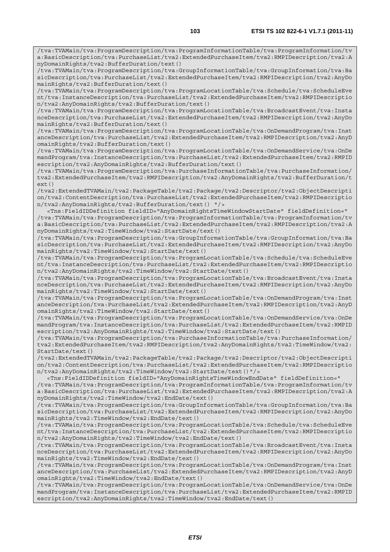/tva:TVAMain/tva:ProgramDescription/tva:ProgramInformationTable/tva:ProgramInformation/tv a:BasicDescription/tva:PurchaseList/tva2:ExtendedPurchaseItem/tva2:RMPIDescription/tva2:A nyDomainRights/tva2:BufferDuration/text()

/tva:TVAMain/tva:ProgramDescription/tva:GroupInformationTable/tva:GroupInformation/tva:Ba sicDescription/tva:PurchaseList/tva2:ExtendedPurchaseItem/tva2:RMPIDescription/tva2:AnyDo mainRights/tva2:BufferDuration/text()

/tva:TVAMain/tva:ProgramDescription/tva:ProgramLocationTable/tva:Schedule/tva:ScheduleEve nt/tva:InstanceDescription/tva:PurchaseList/tva2:ExtendedPurchaseItem/tva2:RMPIDescriptio n/tva2:AnyDomainRights/tva2:BufferDuration/text()

/tva:TVAMain/tva:ProgramDescription/tva:ProgramLocationTable/tva:BroadcastEvent/tva:Insta nceDescription/tva:PurchaseList/tva2:ExtendedPurchaseItem/tva2:RMPIDescription/tva2:AnyDo mainRights/tva2:BufferDuration/text()

/tva:TVAMain/tva:ProgramDescription/tva:ProgramLocationTable/tva:OnDemandProgram/tva:Inst anceDescription/tva:PurchaseList/tva2:ExtendedPurchaseItem/tva2:RMPIDescription/tva2:AnyD omainRights/tva2:BufferDuration/text()

/tva:TVAMain/tva:ProgramDescription/tva:ProgramLocationTable/tva:OnDemandService/tva:OnDe mandProgram/tva:InstanceDescription/tva:PurchaseList/tva2:ExtendedPurchaseItem/tva2:RMPID escription/tva2:AnyDomainRights/tva2:BufferDuration/text()

/tva:TVAMain/tva:ProgramDescription/tva:PurchaseInformationTable/tva:PurchaseInformation/ tva2:ExtendedPurchaseItem/tva2:RMPIDescription/tva2:AnyDomainRights/tva2:BufferDuration/t ext()

/tva2:ExtendedTVAMain/tva2:PackageTable/tva2:Package/tva2:Descriptor/tva2:ObjectDescripti on/tva2:ContentDescription/tva:PurchaseList/tva2:ExtendedPurchaseItem/tva2:RMPIDescriptio n/tva2:AnyDomainRights/tva2:BufferDuration/text() "/>

 <Tns:FieldIDDefinition fieldID="AnyDomainRightsTimeWindowStartDate" fieldDefinition=" /tva:TVAMain/tva:ProgramDescription/tva:ProgramInformationTable/tva:ProgramInformation/tv a:BasicDescription/tva:PurchaseList/tva2:ExtendedPurchaseItem/tva2:RMPIDescription/tva2:A nyDomainRights/tva2:TimeWindow/tva2:StartDate/text()

/tva:TVAMain/tva:ProgramDescription/tva:GroupInformationTable/tva:GroupInformation/tva:Ba sicDescription/tva:PurchaseList/tva2:ExtendedPurchaseItem/tva2:RMPIDescription/tva2:AnyDo mainRights/tva2:TimeWindow/tva2:StartDate/text()

/tva:TVAMain/tva:ProgramDescription/tva:ProgramLocationTable/tva:Schedule/tva:ScheduleEve nt/tva:InstanceDescription/tva:PurchaseList/tva2:ExtendedPurchaseItem/tva2:RMPIDescriptio n/tva2:AnyDomainRights/tva2:TimeWindow/tva2:StartDate/text()

/tva:TVAMain/tva:ProgramDescription/tva:ProgramLocationTable/tva:BroadcastEvent/tva:Insta nceDescription/tva:PurchaseList/tva2:ExtendedPurchaseItem/tva2:RMPIDescription/tva2:AnyDo mainRights/tva2:TimeWindow/tva2:StartDate/text()

/tva:TVAMain/tva:ProgramDescription/tva:ProgramLocationTable/tva:OnDemandProgram/tva:Inst anceDescription/tva:PurchaseList/tva2:ExtendedPurchaseItem/tva2:RMPIDescription/tva2:AnyD omainRights/tva2:TimeWindow/tva2:StartDate/text()

/tva:TVAMain/tva:ProgramDescription/tva:ProgramLocationTable/tva:OnDemandService/tva:OnDe mandProgram/tva:InstanceDescription/tva:PurchaseList/tva2:ExtendedPurchaseItem/tva2:RMPID escription/tva2:AnyDomainRights/tva2:TimeWindow/tva2:StartDate/text()

/tva:TVAMain/tva:ProgramDescription/tva:PurchaseInformationTable/tva:PurchaseInformation/ tva2:ExtendedPurchaseItem/tva2:RMPIDescription/tva2:AnyDomainRights/tva2:TimeWindow/tva2: StartDate/text()

/tva2:ExtendedTVAMain/tva2:PackageTable/tva2:Package/tva2:Descriptor/tva2:ObjectDescripti on/tva2:ContentDescription/tva:PurchaseList/tva2:ExtendedPurchaseItem/tva2:RMPIDescriptio n/tva2:AnyDomainRights/tva2:TimeWindow/tva2:StartDate/text()"/>

 <Tns:FieldIDDefinition fieldID="AnyDomainRightsTimeWindowEndDate" fieldDefinition=" /tva:TVAMain/tva:ProgramDescription/tva:ProgramInformationTable/tva:ProgramInformation/tv a:BasicDescription/tva:PurchaseList/tva2:ExtendedPurchaseItem/tva2:RMPIDescription/tva2:A nyDomainRights/tva2:TimeWindow/tva2:EndDate/text()

/tva:TVAMain/tva:ProgramDescription/tva:GroupInformationTable/tva:GroupInformation/tva:Ba sicDescription/tva:PurchaseList/tva2:ExtendedPurchaseItem/tva2:RMPIDescription/tva2:AnyDo mainRights/tva2:TimeWindow/tva2:EndDate/text()

/tva:TVAMain/tva:ProgramDescription/tva:ProgramLocationTable/tva:Schedule/tva:ScheduleEve nt/tva:InstanceDescription/tva:PurchaseList/tva2:ExtendedPurchaseItem/tva2:RMPIDescriptio n/tva2:AnyDomainRights/tva2:TimeWindow/tva2:EndDate/text()

/tva:TVAMain/tva:ProgramDescription/tva:ProgramLocationTable/tva:BroadcastEvent/tva:Insta nceDescription/tva:PurchaseList/tva2:ExtendedPurchaseItem/tva2:RMPIDescription/tva2:AnyDo mainRights/tva2:TimeWindow/tva2:EndDate/text()

/tva:TVAMain/tva:ProgramDescription/tva:ProgramLocationTable/tva:OnDemandProgram/tva:Inst anceDescription/tva:PurchaseList/tva2:ExtendedPurchaseItem/tva2:RMPIDescription/tva2:AnyD omainRights/tva2:TimeWindow/tva2:EndDate/text()

/tva:TVAMain/tva:ProgramDescription/tva:ProgramLocationTable/tva:OnDemandService/tva:OnDe mandProgram/tva:InstanceDescription/tva:PurchaseList/tva2:ExtendedPurchaseItem/tva2:RMPID escription/tva2:AnyDomainRights/tva2:TimeWindow/tva2:EndDate/text()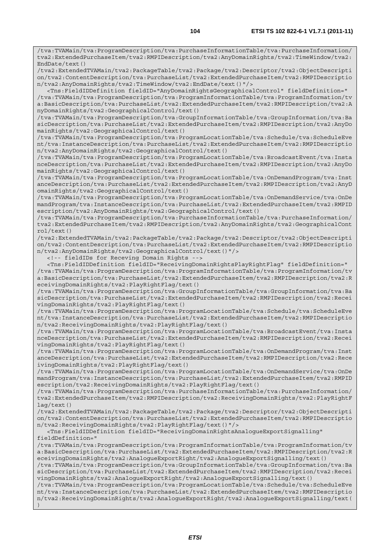/tva:TVAMain/tva:ProgramDescription/tva:PurchaseInformationTable/tva:PurchaseInformation/ tva2:ExtendedPurchaseItem/tva2:RMPIDescription/tva2:AnyDomainRights/tva2:TimeWindow/tva2: EndDate/text()

/tva2:ExtendedTVAMain/tva2:PackageTable/tva2:Package/tva2:Descriptor/tva2:ObjectDescripti on/tva2:ContentDescription/tva:PurchaseList/tva2:ExtendedPurchaseItem/tva2:RMPIDescriptio n/tva2:AnyDomainRights/tva2:TimeWindow/tva2:EndDate/text()"/>

 <Tns:FieldIDDefinition fieldID="AnyDomainRightsGeographicalControl" fieldDefinition=" /tva:TVAMain/tva:ProgramDescription/tva:ProgramInformationTable/tva:ProgramInformation/tv a:BasicDescription/tva:PurchaseList/tva2:ExtendedPurchaseItem/tva2:RMPIDescription/tva2:A nyDomainRights/tva2:GeographicalControl/text()

/tva:TVAMain/tva:ProgramDescription/tva:GroupInformationTable/tva:GroupInformation/tva:Ba sicDescription/tva:PurchaseList/tva2:ExtendedPurchaseItem/tva2:RMPIDescription/tva2:AnyDo mainRights/tva2:GeographicalControl/text()

/tva:TVAMain/tva:ProgramDescription/tva:ProgramLocationTable/tva:Schedule/tva:ScheduleEve nt/tva:InstanceDescription/tva:PurchaseList/tva2:ExtendedPurchaseItem/tva2:RMPIDescriptio n/tva2:AnyDomainRights/tva2:GeographicalControl/text()

/tva:TVAMain/tva:ProgramDescription/tva:ProgramLocationTable/tva:BroadcastEvent/tva:Insta nceDescription/tva:PurchaseList/tva2:ExtendedPurchaseItem/tva2:RMPIDescription/tva2:AnyDo mainRights/tva2:GeographicalControl/text()

/tva:TVAMain/tva:ProgramDescription/tva:ProgramLocationTable/tva:OnDemandProgram/tva:Inst anceDescription/tva:PurchaseList/tva2:ExtendedPurchaseItem/tva2:RMPIDescription/tva2:AnyD omainRights/tva2:GeographicalControl/text()

/tva:TVAMain/tva:ProgramDescription/tva:ProgramLocationTable/tva:OnDemandService/tva:OnDe mandProgram/tva:InstanceDescription/tva:PurchaseList/tva2:ExtendedPurchaseItem/tva2:RMPID escription/tva2:AnyDomainRights/tva2:GeographicalControl/text()

/tva:TVAMain/tva:ProgramDescription/tva:PurchaseInformationTable/tva:PurchaseInformation/ tva2:ExtendedPurchaseItem/tva2:RMPIDescription/tva2:AnyDomainRights/tva2:GeographicalCont rol/text()

/tva2:ExtendedTVAMain/tva2:PackageTable/tva2:Package/tva2:Descriptor/tva2:ObjectDescripti on/tva2:ContentDescription/tva:PurchaseList/tva2:ExtendedPurchaseItem/tva2:RMPIDescriptio n/tva2:AnyDomainRights/tva2:GeographicalControl/text()"/>

<!-- fieldIDs for Receving Domain Rights -->

 <Tns:FieldIDDefinition fieldID="ReceivingDomainRightsPlayRightFlag" fieldDefinition=" /tva:TVAMain/tva:ProgramDescription/tva:ProgramInformationTable/tva:ProgramInformation/tv a:BasicDescription/tva:PurchaseList/tva2:ExtendedPurchaseItem/tva2:RMPIDescription/tva2:R eceivingDomainRights/tva2:PlayRightFlag/text()

/tva:TVAMain/tva:ProgramDescription/tva:GroupInformationTable/tva:GroupInformation/tva:Ba sicDescription/tva:PurchaseList/tva2:ExtendedPurchaseItem/tva2:RMPIDescription/tva2:Recei vingDomainRights/tva2:PlayRightFlag/text()

/tva:TVAMain/tva:ProgramDescription/tva:ProgramLocationTable/tva:Schedule/tva:ScheduleEve nt/tva:InstanceDescription/tva:PurchaseList/tva2:ExtendedPurchaseItem/tva2:RMPIDescriptio n/tva2:ReceivingDomainRights/tva2:PlayRightFlag/text()

/tva:TVAMain/tva:ProgramDescription/tva:ProgramLocationTable/tva:BroadcastEvent/tva:Insta nceDescription/tva:PurchaseList/tva2:ExtendedPurchaseItem/tva2:RMPIDescription/tva2:Recei vingDomainRights/tva2:PlayRightFlag/text()

/tva:TVAMain/tva:ProgramDescription/tva:ProgramLocationTable/tva:OnDemandProgram/tva:Inst anceDescription/tva:PurchaseList/tva2:ExtendedPurchaseItem/tva2:RMPIDescription/tva2:Rece ivingDomainRights/tva2:PlayRightFlag/text()

/tva:TVAMain/tva:ProgramDescription/tva:ProgramLocationTable/tva:OnDemandService/tva:OnDe mandProgram/tva:InstanceDescription/tva:PurchaseList/tva2:ExtendedPurchaseItem/tva2:RMPID escription/tva2:ReceivingDomainRights/tva2:PlayRightFlag/text()

/tva:TVAMain/tva:ProgramDescription/tva:PurchaseInformationTable/tva:PurchaseInformation/ tva2:ExtendedPurchaseItem/tva2:RMPIDescription/tva2:ReceivingDomainRights/tva2:PlayRightF lag/text()

/tva2:ExtendedTVAMain/tva2:PackageTable/tva2:Package/tva2:Descriptor/tva2:ObjectDescripti on/tva2:ContentDescription/tva:PurchaseList/tva2:ExtendedPurchaseItem/tva2:RMPIDescriptio n/tva2:ReceivingDomainRights/tva2:PlayRightFlag/text()"/>

 <Tns:FieldIDDefinition fieldID="ReceivingDomainRightsAnalogueExportSignalling" fieldDefinition="

/tva:TVAMain/tva:ProgramDescription/tva:ProgramInformationTable/tva:ProgramInformation/tv a:BasicDescription/tva:PurchaseList/tva2:ExtendedPurchaseItem/tva2:RMPIDescription/tva2:R eceivingDomainRights/tva2:AnalogueExportRight/tva2:AnalogueExportSignalling/text()

/tva:TVAMain/tva:ProgramDescription/tva:GroupInformationTable/tva:GroupInformation/tva:Ba sicDescription/tva:PurchaseList/tva2:ExtendedPurchaseItem/tva2:RMPIDescription/tva2:Recei vingDomainRights/tva2:AnalogueExportRight/tva2:AnalogueExportSignalling/text()

/tva:TVAMain/tva:ProgramDescription/tva:ProgramLocationTable/tva:Schedule/tva:ScheduleEve nt/tva:InstanceDescription/tva:PurchaseList/tva2:ExtendedPurchaseItem/tva2:RMPIDescriptio n/tva2:ReceivingDomainRights/tva2:AnalogueExportRight/tva2:AnalogueExportSignalling/text( )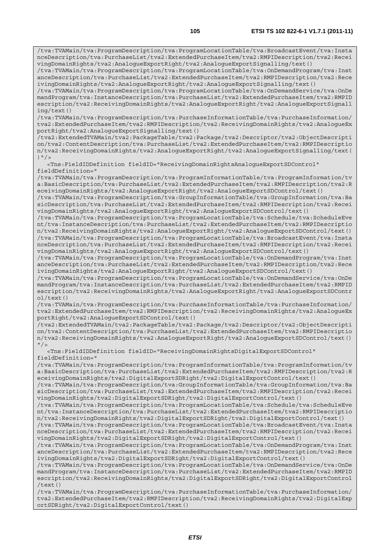/tva:TVAMain/tva:ProgramDescription/tva:ProgramLocationTable/tva:BroadcastEvent/tva:Insta nceDescription/tva:PurchaseList/tva2:ExtendedPurchaseItem/tva2:RMPIDescription/tva2:Recei vingDomainRights/tva2:AnalogueExportRight/tva2:AnalogueExportSignalling/text()

/tva:TVAMain/tva:ProgramDescription/tva:ProgramLocationTable/tva:OnDemandProgram/tva:Inst anceDescription/tva:PurchaseList/tva2:ExtendedPurchaseItem/tva2:RMPIDescription/tva2:Rece ivingDomainRights/tva2:AnalogueExportRight/tva2:AnalogueExportSignalling/text()

/tva:TVAMain/tva:ProgramDescription/tva:ProgramLocationTable/tva:OnDemandService/tva:OnDe mandProgram/tva:InstanceDescription/tva:PurchaseList/tva2:ExtendedPurchaseItem/tva2:RMPID escription/tva2:ReceivingDomainRights/tva2:AnalogueExportRight/tva2:AnalogueExportSignall ing/text()

/tva:TVAMain/tva:ProgramDescription/tva:PurchaseInformationTable/tva:PurchaseInformation/ tva2:ExtendedPurchaseItem/tva2:RMPIDescription/tva2:ReceivingDomainRights/tva2:AnalogueEx portRight/tva2:AnalogueExportSignalling/text()

/tva2:ExtendedTVAMain/tva2:PackageTable/tva2:Package/tva2:Descriptor/tva2:ObjectDescripti on/tva2:ContentDescription/tva:PurchaseList/tva2:ExtendedPurchaseItem/tva2:RMPIDescriptio n/tva2:ReceivingDomainRights/tva2:AnalogueExportRight/tva2:AnalogueExportSignalling/text( )  $''$  / >

 <Tns:FieldIDDefinition fieldID="ReceivingDomainRightsAnalogueExportSDControl" fieldDefinition="

/tva:TVAMain/tva:ProgramDescription/tva:ProgramInformationTable/tva:ProgramInformation/tv a:BasicDescription/tva:PurchaseList/tva2:ExtendedPurchaseItem/tva2:RMPIDescription/tva2:R eceivingDomainRights/tva2:AnalogueExportRight/tva2:AnalogueExportSDControl/text()

/tva:TVAMain/tva:ProgramDescription/tva:GroupInformationTable/tva:GroupInformation/tva:Ba sicDescription/tva:PurchaseList/tva2:ExtendedPurchaseItem/tva2:RMPIDescription/tva2:Recei vingDomainRights/tva2:AnalogueExportRight/tva2:AnalogueExportSDControl/text()

/tva:TVAMain/tva:ProgramDescription/tva:ProgramLocationTable/tva:Schedule/tva:ScheduleEve nt/tva:InstanceDescription/tva:PurchaseList/tva2:ExtendedPurchaseItem/tva2:RMPIDescriptio n/tva2:ReceivingDomainRights/tva2:AnalogueExportRight/tva2:AnalogueExportSDControl/text() /tva:TVAMain/tva:ProgramDescription/tva:ProgramLocationTable/tva:BroadcastEvent/tva:Insta nceDescription/tva:PurchaseList/tva2:ExtendedPurchaseItem/tva2:RMPIDescription/tva2:Recei vingDomainRights/tva2:AnalogueExportRight/tva2:AnalogueExportSDControl/text()

/tva:TVAMain/tva:ProgramDescription/tva:ProgramLocationTable/tva:OnDemandProgram/tva:Inst anceDescription/tva:PurchaseList/tva2:ExtendedPurchaseItem/tva2:RMPIDescription/tva2:Rece ivingDomainRights/tva2:AnalogueExportRight/tva2:AnalogueExportSDControl/text()

/tva:TVAMain/tva:ProgramDescription/tva:ProgramLocationTable/tva:OnDemandService/tva:OnDe mandProgram/tva:InstanceDescription/tva:PurchaseList/tva2:ExtendedPurchaseItem/tva2:RMPID escription/tva2:ReceivingDomainRights/tva2:AnalogueExportRight/tva2:AnalogueExportSDContr ol/text()

/tva:TVAMain/tva:ProgramDescription/tva:PurchaseInformationTable/tva:PurchaseInformation/ tva2:ExtendedPurchaseItem/tva2:RMPIDescription/tva2:ReceivingDomainRights/tva2:AnalogueEx portRight/tva2:AnalogueExportSDControl/text()

/tva2:ExtendedTVAMain/tva2:PackageTable/tva2:Package/tva2:Descriptor/tva2:ObjectDescripti on/tva2:ContentDescription/tva:PurchaseList/tva2:ExtendedPurchaseItem/tva2:RMPIDescriptio n/tva2:ReceivingDomainRights/tva2:AnalogueExportRight/tva2:AnalogueExportSDControl/text()  $"$  />

 <Tns:FieldIDDefinition fieldID="ReceivingDomainRightsDigitalExportSDControl" fieldDefinition="

/tva:TVAMain/tva:ProgramDescription/tva:ProgramInformationTable/tva:ProgramInformation/tv a:BasicDescription/tva:PurchaseList/tva2:ExtendedPurchaseItem/tva2:RMPIDescription/tva2:R eceivingDomainRights/tva2:DigitalExportSDRight/tva2:DigitalExportControl/text()

/tva:TVAMain/tva:ProgramDescription/tva:GroupInformationTable/tva:GroupInformation/tva:Ba sicDescription/tva:PurchaseList/tva2:ExtendedPurchaseItem/tva2:RMPIDescription/tva2:Recei vingDomainRights/tva2:DigitalExportSDRight/tva2:DigitalExportControl/text()

/tva:TVAMain/tva:ProgramDescription/tva:ProgramLocationTable/tva:Schedule/tva:ScheduleEve nt/tva:InstanceDescription/tva:PurchaseList/tva2:ExtendedPurchaseItem/tva2:RMPIDescriptio n/tva2:ReceivingDomainRights/tva2:DigitalExportSDRight/tva2:DigitalExportControl/text()

/tva:TVAMain/tva:ProgramDescription/tva:ProgramLocationTable/tva:BroadcastEvent/tva:Insta nceDescription/tva:PurchaseList/tva2:ExtendedPurchaseItem/tva2:RMPIDescription/tva2:Recei vingDomainRights/tva2:DigitalExportSDRight/tva2:DigitalExportControl/text()

/tva:TVAMain/tva:ProgramDescription/tva:ProgramLocationTable/tva:OnDemandProgram/tva:Inst anceDescription/tva:PurchaseList/tva2:ExtendedPurchaseItem/tva2:RMPIDescription/tva2:Rece ivingDomainRights/tva2:DigitalExportSDRight/tva2:DigitalExportControl/text()

/tva:TVAMain/tva:ProgramDescription/tva:ProgramLocationTable/tva:OnDemandService/tva:OnDe mandProgram/tva:InstanceDescription/tva:PurchaseList/tva2:ExtendedPurchaseItem/tva2:RMPID escription/tva2:ReceivingDomainRights/tva2:DigitalExportSDRight/tva2:DigitalExportControl /text()

/tva:TVAMain/tva:ProgramDescription/tva:PurchaseInformationTable/tva:PurchaseInformation/ tva2:ExtendedPurchaseItem/tva2:RMPIDescription/tva2:ReceivingDomainRights/tva2:DigitalExp ortSDRight/tva2:DigitalExportControl/text()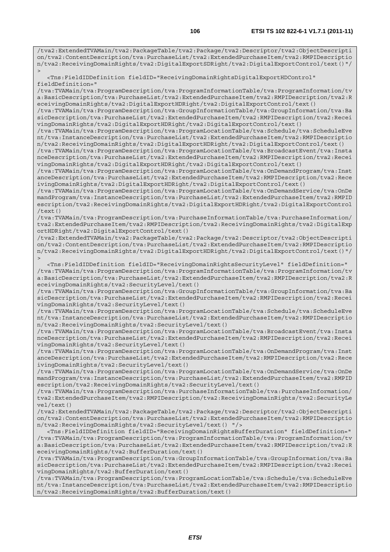/tva2:ExtendedTVAMain/tva2:PackageTable/tva2:Package/tva2:Descriptor/tva2:ObjectDescripti on/tva2:ContentDescription/tva:PurchaseList/tva2:ExtendedPurchaseItem/tva2:RMPIDescriptio n/tva2:ReceivingDomainRights/tva2:DigitalExportSDRight/tva2:DigitalExportControl/text()"/  $\overline{\phantom{a}}$ 

 <Tns:FieldIDDefinition fieldID="ReceivingDomainRightsDigitalExportHDControl" fieldDefinition="

/tva:TVAMain/tva:ProgramDescription/tva:ProgramInformationTable/tva:ProgramInformation/tv a:BasicDescription/tva:PurchaseList/tva2:ExtendedPurchaseItem/tva2:RMPIDescription/tva2:R eceivingDomainRights/tva2:DigitalExportHDRight/tva2:DigitalExportControl/text()

/tva:TVAMain/tva:ProgramDescription/tva:GroupInformationTable/tva:GroupInformation/tva:Ba sicDescription/tva:PurchaseList/tva2:ExtendedPurchaseItem/tva2:RMPIDescription/tva2:Recei vingDomainRights/tva2:DigitalExportHDRight/tva2:DigitalExportControl/text()

/tva:TVAMain/tva:ProgramDescription/tva:ProgramLocationTable/tva:Schedule/tva:ScheduleEve nt/tva:InstanceDescription/tva:PurchaseList/tva2:ExtendedPurchaseItem/tva2:RMPIDescriptio n/tva2:ReceivingDomainRights/tva2:DigitalExportHDRight/tva2:DigitalExportControl/text()

/tva:TVAMain/tva:ProgramDescription/tva:ProgramLocationTable/tva:BroadcastEvent/tva:Insta nceDescription/tva:PurchaseList/tva2:ExtendedPurchaseItem/tva2:RMPIDescription/tva2:Recei vingDomainRights/tva2:DigitalExportHDRight/tva2:DigitalExportControl/text()

/tva:TVAMain/tva:ProgramDescription/tva:ProgramLocationTable/tva:OnDemandProgram/tva:Inst anceDescription/tva:PurchaseList/tva2:ExtendedPurchaseItem/tva2:RMPIDescription/tva2:Rece ivingDomainRights/tva2:DigitalExportHDRight/tva2:DigitalExportControl/text()

/tva:TVAMain/tva:ProgramDescription/tva:ProgramLocationTable/tva:OnDemandService/tva:OnDe mandProgram/tva:InstanceDescription/tva:PurchaseList/tva2:ExtendedPurchaseItem/tva2:RMPID escription/tva2:ReceivingDomainRights/tva2:DigitalExportHDRight/tva2:DigitalExportControl /text()

/tva:TVAMain/tva:ProgramDescription/tva:PurchaseInformationTable/tva:PurchaseInformation/ tva2:ExtendedPurchaseItem/tva2:RMPIDescription/tva2:ReceivingDomainRights/tva2:DigitalExp ortHDRight/tva2:DigitalExportControl/text()

/tva2:ExtendedTVAMain/tva2:PackageTable/tva2:Package/tva2:Descriptor/tva2:ObjectDescripti on/tva2:ContentDescription/tva:PurchaseList/tva2:ExtendedPurchaseItem/tva2:RMPIDescriptio n/tva2:ReceivingDomainRights/tva2:DigitalExportHDRight/tva2:DigitalExportControl/text()"/  $\overline{\phantom{a}}$ 

 <Tns:FieldIDDefinition fieldID="ReceivingDomainRightsSecurityLevel" fieldDefinition=" /tva:TVAMain/tva:ProgramDescription/tva:ProgramInformationTable/tva:ProgramInformation/tv a:BasicDescription/tva:PurchaseList/tva2:ExtendedPurchaseItem/tva2:RMPIDescription/tva2:R eceivingDomainRights/tva2:SecurityLevel/text()

/tva:TVAMain/tva:ProgramDescription/tva:GroupInformationTable/tva:GroupInformation/tva:Ba sicDescription/tva:PurchaseList/tva2:ExtendedPurchaseItem/tva2:RMPIDescription/tva2:Recei vingDomainRights/tva2:SecurityLevel/text()

/tva:TVAMain/tva:ProgramDescription/tva:ProgramLocationTable/tva:Schedule/tva:ScheduleEve nt/tva:InstanceDescription/tva:PurchaseList/tva2:ExtendedPurchaseItem/tva2:RMPIDescriptio n/tva2:ReceivingDomainRights/tva2:SecurityLevel/text()

/tva:TVAMain/tva:ProgramDescription/tva:ProgramLocationTable/tva:BroadcastEvent/tva:Insta nceDescription/tva:PurchaseList/tva2:ExtendedPurchaseItem/tva2:RMPIDescription/tva2:Recei vingDomainRights/tva2:SecurityLevel/text()

/tva:TVAMain/tva:ProgramDescription/tva:ProgramLocationTable/tva:OnDemandProgram/tva:Inst anceDescription/tva:PurchaseList/tva2:ExtendedPurchaseItem/tva2:RMPIDescription/tva2:Rece ivingDomainRights/tva2:SecurityLevel/text()

/tva:TVAMain/tva:ProgramDescription/tva:ProgramLocationTable/tva:OnDemandService/tva:OnDe mandProgram/tva:InstanceDescription/tva:PurchaseList/tva2:ExtendedPurchaseItem/tva2:RMPID escription/tva2:ReceivingDomainRights/tva2:SecurityLevel/text()

/tva:TVAMain/tva:ProgramDescription/tva:PurchaseInformationTable/tva:PurchaseInformation/ tva2:ExtendedPurchaseItem/tva2:RMPIDescription/tva2:ReceivingDomainRights/tva2:SecurityLe vel/text()

/tva2:ExtendedTVAMain/tva2:PackageTable/tva2:Package/tva2:Descriptor/tva2:ObjectDescripti on/tva2:ContentDescription/tva:PurchaseList/tva2:ExtendedPurchaseItem/tva2:RMPIDescriptio n/tva2:ReceivingDomainRights/tva2:SecurityLevel/text() "/>

 <Tns:FieldIDDefinition fieldID="ReceivingDomainRightsBufferDuration" fieldDefinition=" /tva:TVAMain/tva:ProgramDescription/tva:ProgramInformationTable/tva:ProgramInformation/tv a:BasicDescription/tva:PurchaseList/tva2:ExtendedPurchaseItem/tva2:RMPIDescription/tva2:R eceivingDomainRights/tva2:BufferDuration/text()

/tva:TVAMain/tva:ProgramDescription/tva:GroupInformationTable/tva:GroupInformation/tva:Ba sicDescription/tva:PurchaseList/tva2:ExtendedPurchaseItem/tva2:RMPIDescription/tva2:Recei vingDomainRights/tva2:BufferDuration/text()

/tva:TVAMain/tva:ProgramDescription/tva:ProgramLocationTable/tva:Schedule/tva:ScheduleEve nt/tva:InstanceDescription/tva:PurchaseList/tva2:ExtendedPurchaseItem/tva2:RMPIDescriptio n/tva2:ReceivingDomainRights/tva2:BufferDuration/text()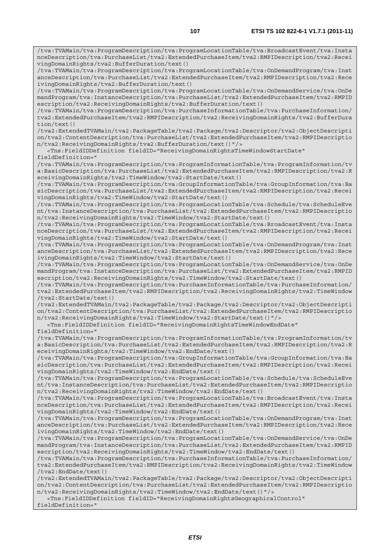/tva:TVAMain/tva:ProgramDescription/tva:ProgramLocationTable/tva:BroadcastEvent/tva:Insta nceDescription/tva:PurchaseList/tva2:ExtendedPurchaseItem/tva2:RMPIDescription/tva2:Recei vingDomainRights/tva2:BufferDuration/text() /tva:TVAMain/tva:ProgramDescription/tva:ProgramLocationTable/tva:OnDemandProgram/tva:Inst anceDescription/tva:PurchaseList/tva2:ExtendedPurchaseItem/tva2:RMPIDescription/tva2:Rece ivingDomainRights/tva2:BufferDuration/text() /tva:TVAMain/tva:ProgramDescription/tva:ProgramLocationTable/tva:OnDemandService/tva:OnDe mandProgram/tva:InstanceDescription/tva:PurchaseList/tva2:ExtendedPurchaseItem/tva2:RMPID

escription/tva2:ReceivingDomainRights/tva2:BufferDuration/text() /tva:TVAMain/tva:ProgramDescription/tva:PurchaseInformationTable/tva:PurchaseInformation/

tva2:ExtendedPurchaseItem/tva2:RMPIDescription/tva2:ReceivingDomainRights/tva2:BufferDura tion/text() /tva2:ExtendedTVAMain/tva2:PackageTable/tva2:Package/tva2:Descriptor/tva2:ObjectDescripti

on/tva2:ContentDescription/tva:PurchaseList/tva2:ExtendedPurchaseItem/tva2:RMPIDescriptio n/tva2:ReceivingDomainRights/tva2:BufferDuration/text()"/>

<Tns:FieldIDDefinition fieldID="ReceivingDomainRightsTimeWindowStartDate"

fieldDefinition="

/tva:TVAMain/tva:ProgramDescription/tva:ProgramInformationTable/tva:ProgramInformation/tv a:BasicDescription/tva:PurchaseList/tva2:ExtendedPurchaseItem/tva2:RMPIDescription/tva2:R eceivingDomainRights/tva2:TimeWindow/tva2:StartDate/text()

/tva:TVAMain/tva:ProgramDescription/tva:GroupInformationTable/tva:GroupInformation/tva:Ba sicDescription/tva:PurchaseList/tva2:ExtendedPurchaseItem/tva2:RMPIDescription/tva2:Recei vingDomainRights/tva2:TimeWindow/tva2:StartDate/text()

/tva:TVAMain/tva:ProgramDescription/tva:ProgramLocationTable/tva:Schedule/tva:ScheduleEve nt/tva:InstanceDescription/tva:PurchaseList/tva2:ExtendedPurchaseItem/tva2:RMPIDescriptio n/tva2:ReceivingDomainRights/tva2:TimeWindow/tva2:StartDate/text()

/tva:TVAMain/tva:ProgramDescription/tva:ProgramLocationTable/tva:BroadcastEvent/tva:Insta nceDescription/tva:PurchaseList/tva2:ExtendedPurchaseItem/tva2:RMPIDescription/tva2:Recei vingDomainRights/tva2:TimeWindow/tva2:StartDate/text()

/tva:TVAMain/tva:ProgramDescription/tva:ProgramLocationTable/tva:OnDemandProgram/tva:Inst anceDescription/tva:PurchaseList/tva2:ExtendedPurchaseItem/tva2:RMPIDescription/tva2:Rece ivingDomainRights/tva2:TimeWindow/tva2:StartDate/text()

/tva:TVAMain/tva:ProgramDescription/tva:ProgramLocationTable/tva:OnDemandService/tva:OnDe mandProgram/tva:InstanceDescription/tva:PurchaseList/tva2:ExtendedPurchaseItem/tva2:RMPID escription/tva2:ReceivingDomainRights/tva2:TimeWindow/tva2:StartDate/text()

/tva:TVAMain/tva:ProgramDescription/tva:PurchaseInformationTable/tva:PurchaseInformation/ tva2:ExtendedPurchaseItem/tva2:RMPIDescription/tva2:ReceivingDomainRights/tva2:TimeWindow /tva2:StartDate/text()

/tva2:ExtendedTVAMain/tva2:PackageTable/tva2:Package/tva2:Descriptor/tva2:ObjectDescripti on/tva2:ContentDescription/tva:PurchaseList/tva2:ExtendedPurchaseItem/tva2:RMPIDescriptio n/tva2:ReceivingDomainRights/tva2:TimeWindow/tva2:StartDate/text()"/>

<Tns:FieldIDDefinition fieldID="ReceivingDomainRightsTimeWindowEndDate"

fieldDefinition="

/tva:TVAMain/tva:ProgramDescription/tva:ProgramInformationTable/tva:ProgramInformation/tv a:BasicDescription/tva:PurchaseList/tva2:ExtendedPurchaseItem/tva2:RMPIDescription/tva2:R eceivingDomainRights/tva2:TimeWindow/tva2:EndDate/text()

/tva:TVAMain/tva:ProgramDescription/tva:GroupInformationTable/tva:GroupInformation/tva:Ba sicDescription/tva:PurchaseList/tva2:ExtendedPurchaseItem/tva2:RMPIDescription/tva2:Recei vingDomainRights/tva2:TimeWindow/tva2:EndDate/text()

/tva:TVAMain/tva:ProgramDescription/tva:ProgramLocationTable/tva:Schedule/tva:ScheduleEve nt/tva:InstanceDescription/tva:PurchaseList/tva2:ExtendedPurchaseItem/tva2:RMPIDescriptio n/tva2:ReceivingDomainRights/tva2:TimeWindow/tva2:EndDate/text()

/tva:TVAMain/tva:ProgramDescription/tva:ProgramLocationTable/tva:BroadcastEvent/tva:Insta nceDescription/tva:PurchaseList/tva2:ExtendedPurchaseItem/tva2:RMPIDescription/tva2:Recei vingDomainRights/tva2:TimeWindow/tva2:EndDate/text()

/tva:TVAMain/tva:ProgramDescription/tva:ProgramLocationTable/tva:OnDemandProgram/tva:Inst anceDescription/tva:PurchaseList/tva2:ExtendedPurchaseItem/tva2:RMPIDescription/tva2:Rece ivingDomainRights/tva2:TimeWindow/tva2:EndDate/text()

/tva:TVAMain/tva:ProgramDescription/tva:ProgramLocationTable/tva:OnDemandService/tva:OnDe mandProgram/tva:InstanceDescription/tva:PurchaseList/tva2:ExtendedPurchaseItem/tva2:RMPID escription/tva2:ReceivingDomainRights/tva2:TimeWindow/tva2:EndDate/text()

/tva:TVAMain/tva:ProgramDescription/tva:PurchaseInformationTable/tva:PurchaseInformation/ tva2:ExtendedPurchaseItem/tva2:RMPIDescription/tva2:ReceivingDomainRights/tva2:TimeWindow /tva2:EndDate/text()

/tva2:ExtendedTVAMain/tva2:PackageTable/tva2:Package/tva2:Descriptor/tva2:ObjectDescripti on/tva2:ContentDescription/tva:PurchaseList/tva2:ExtendedPurchaseItem/tva2:RMPIDescriptio n/tva2:ReceivingDomainRights/tva2:TimeWindow/tva2:EndDate/text()"/>

 <Tns:FieldIDDefinition fieldID="ReceivingDomainRightsGeographicalControl" fieldDefinition="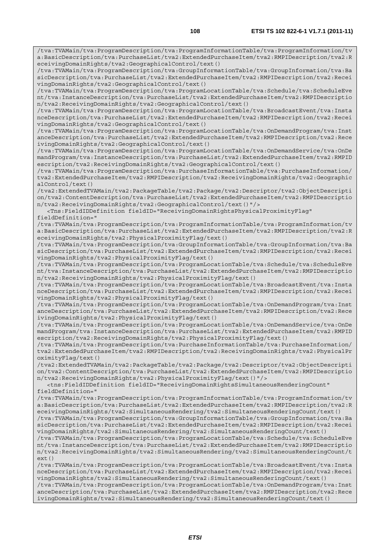/tva:TVAMain/tva:ProgramDescription/tva:ProgramInformationTable/tva:ProgramInformation/tv a:BasicDescription/tva:PurchaseList/tva2:ExtendedPurchaseItem/tva2:RMPIDescription/tva2:R eceivingDomainRights/tva2:GeographicalControl/text() /tva:TVAMain/tva:ProgramDescription/tva:GroupInformationTable/tva:GroupInformation/tva:Ba sicDescription/tva:PurchaseList/tva2:ExtendedPurchaseItem/tva2:RMPIDescription/tva2:Recei vingDomainRights/tva2:GeographicalControl/text() /tva:TVAMain/tva:ProgramDescription/tva:ProgramLocationTable/tva:Schedule/tva:ScheduleEve nt/tva:InstanceDescription/tva:PurchaseList/tva2:ExtendedPurchaseItem/tva2:RMPIDescriptio n/tva2:ReceivingDomainRights/tva2:GeographicalControl/text() /tva:TVAMain/tva:ProgramDescription/tva:ProgramLocationTable/tva:BroadcastEvent/tva:Insta nceDescription/tva:PurchaseList/tva2:ExtendedPurchaseItem/tva2:RMPIDescription/tva2:Recei vingDomainRights/tva2:GeographicalControl/text() /tva:TVAMain/tva:ProgramDescription/tva:ProgramLocationTable/tva:OnDemandProgram/tva:Inst anceDescription/tva:PurchaseList/tva2:ExtendedPurchaseItem/tva2:RMPIDescription/tva2:Rece ivingDomainRights/tva2:GeographicalControl/text() /tva:TVAMain/tva:ProgramDescription/tva:ProgramLocationTable/tva:OnDemandService/tva:OnDe mandProgram/tva:InstanceDescription/tva:PurchaseList/tva2:ExtendedPurchaseItem/tva2:RMPID escription/tva2:ReceivingDomainRights/tva2:GeographicalControl/text() /tva:TVAMain/tva:ProgramDescription/tva:PurchaseInformationTable/tva:PurchaseInformation/ tva2:ExtendedPurchaseItem/tva2:RMPIDescription/tva2:ReceivingDomainRights/tva2:Geographic alControl/text() /tva2:ExtendedTVAMain/tva2:PackageTable/tva2:Package/tva2:Descriptor/tva2:ObjectDescripti on/tva2:ContentDescription/tva:PurchaseList/tva2:ExtendedPurchaseItem/tva2:RMPIDescriptio n/tva2:ReceivingDomainRights/tva2:GeographicalControl/text()"/> <Tns:FieldIDDefinition fieldID="ReceivingDomainRightsPhysicalProximityFlag" fieldDefinition=" /tva:TVAMain/tva:ProgramDescription/tva:ProgramInformationTable/tva:ProgramInformation/tv a:BasicDescription/tva:PurchaseList/tva2:ExtendedPurchaseItem/tva2:RMPIDescription/tva2:R eceivingDomainRights/tva2:PhysicalProximityFlag/text() /tva:TVAMain/tva:ProgramDescription/tva:GroupInformationTable/tva:GroupInformation/tva:Ba sicDescription/tva:PurchaseList/tva2:ExtendedPurchaseItem/tva2:RMPIDescription/tva2:Recei vingDomainRights/tva2:PhysicalProximityFlag/text() /tva:TVAMain/tva:ProgramDescription/tva:ProgramLocationTable/tva:Schedule/tva:ScheduleEve nt/tva:InstanceDescription/tva:PurchaseList/tva2:ExtendedPurchaseItem/tva2:RMPIDescriptio n/tva2:ReceivingDomainRights/tva2:PhysicalProximityFlag/text() /tva:TVAMain/tva:ProgramDescription/tva:ProgramLocationTable/tva:BroadcastEvent/tva:Insta nceDescription/tva:PurchaseList/tva2:ExtendedPurchaseItem/tva2:RMPIDescription/tva2:Recei vingDomainRights/tva2:PhysicalProximityFlag/text() /tva:TVAMain/tva:ProgramDescription/tva:ProgramLocationTable/tva:OnDemandProgram/tva:Inst anceDescription/tva:PurchaseList/tva2:ExtendedPurchaseItem/tva2:RMPIDescription/tva2:Rece ivingDomainRights/tva2:PhysicalProximityFlag/text() /tva:TVAMain/tva:ProgramDescription/tva:ProgramLocationTable/tva:OnDemandService/tva:OnDe mandProgram/tva:InstanceDescription/tva:PurchaseList/tva2:ExtendedPurchaseItem/tva2:RMPID escription/tva2:ReceivingDomainRights/tva2:PhysicalProximityFlag/text() /tva:TVAMain/tva:ProgramDescription/tva:PurchaseInformationTable/tva:PurchaseInformation/ tva2:ExtendedPurchaseItem/tva2:RMPIDescription/tva2:ReceivingDomainRights/tva2:PhysicalPr oximityFlag/text() /tva2:ExtendedTVAMain/tva2:PackageTable/tva2:Package/tva2:Descriptor/tva2:ObjectDescripti on/tva2:ContentDescription/tva:PurchaseList/tva2:ExtendedPurchaseItem/tva2:RMPIDescriptio n/tva2:ReceivingDomainRights/tva2:PhysicalProximityFlag/text()"/> <tns:FieldIDDefinition fieldID="ReceivingDomainRightsSimultaneousRenderingCount" fieldDefinition=" /tva:TVAMain/tva:ProgramDescription/tva:ProgramInformationTable/tva:ProgramInformation/tv a:BasicDescription/tva:PurchaseList/tva2:ExtendedPurchaseItem/tva2:RMPIDescription/tva2:R eceivingDomainRights/tva2:SimultaneousRendering/tva2:SimultaneousRenderingCount/text() /tva:TVAMain/tva:ProgramDescription/tva:GroupInformationTable/tva:GroupInformation/tva:Ba sicDescription/tva:PurchaseList/tva2:ExtendedPurchaseItem/tva2:RMPIDescription/tva2:Recei vingDomainRights/tva2:SimultaneousRendering/tva2:SimultaneousRenderingCount/text() /tva:TVAMain/tva:ProgramDescription/tva:ProgramLocationTable/tva:Schedule/tva:ScheduleEve nt/tva:InstanceDescription/tva:PurchaseList/tva2:ExtendedPurchaseItem/tva2:RMPIDescriptio n/tva2:ReceivingDomainRights/tva2:SimultaneousRendering/tva2:SimultaneousRenderingCount/t ext() /tva:TVAMain/tva:ProgramDescription/tva:ProgramLocationTable/tva:BroadcastEvent/tva:Insta nceDescription/tva:PurchaseList/tva2:ExtendedPurchaseItem/tva2:RMPIDescription/tva2:Recei vingDomainRights/tva2:SimultaneousRendering/tva2:SimultaneousRenderingCount/text()

/tva:TVAMain/tva:ProgramDescription/tva:ProgramLocationTable/tva:OnDemandProgram/tva:Inst anceDescription/tva:PurchaseList/tva2:ExtendedPurchaseItem/tva2:RMPIDescription/tva2:Rece ivingDomainRights/tva2:SimultaneousRendering/tva2:SimultaneousRenderingCount/text()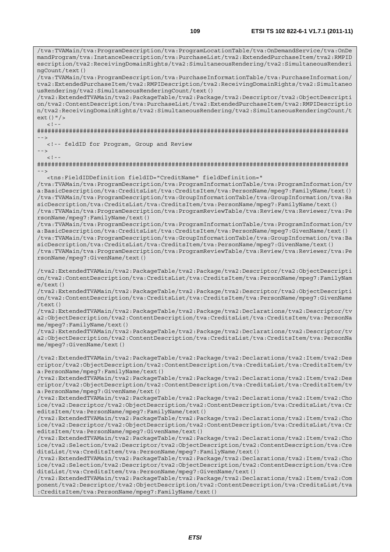/tva:TVAMain/tva:ProgramDescription/tva:ProgramLocationTable/tva:OnDemandService/tva:OnDe mandProgram/tva:InstanceDescription/tva:PurchaseList/tva2:ExtendedPurchaseItem/tva2:RMPID escription/tva2:ReceivingDomainRights/tva2:SimultaneousRendering/tva2:SimultaneousRenderi

*ETSI*  ngCount/text() /tva:TVAMain/tva:ProgramDescription/tva:PurchaseInformationTable/tva:PurchaseInformation/ tva2:ExtendedPurchaseItem/tva2:RMPIDescription/tva2:ReceivingDomainRights/tva2:Simultaneo usRendering/tva2:SimultaneousRenderingCount/text() /tva2:ExtendedTVAMain/tva2:PackageTable/tva2:Package/tva2:Descriptor/tva2:ObjectDescripti on/tva2:ContentDescription/tva:PurchaseList/tva2:ExtendedPurchaseItem/tva2:RMPIDescriptio n/tva2:ReceivingDomainRights/tva2:SimultaneousRendering/tva2:SimultaneousRenderingCount/t ext()"/>  $\lt$  !  $-$ ######################################################################################## --> <!-- feldID for Program, Group and Review -->  $<$ ! --######################################################################################## --> <tns:FieldIDDefinition fieldID="CreditName" fieldDefinition=" /tva:TVAMain/tva:ProgramDescription/tva:ProgramInformationTable/tva:ProgramInformation/tv a:BasicDescription/tva:CreditsList/tva:CreditsItem/tva:PersonName/mpeg7:FamilyName/text() /tva:TVAMain/tva:ProgramDescription/tva:GroupInformationTable/tva:GroupInformation/tva:Ba sicDescription/tva:CreditsList/tva:CreditsItem/tva:PersonName/mpeg7:FamilyName/text() /tva:TVAMain/tva:ProgramDescription/tva:ProgramReviewTable/tva:Review/tva:Reviewer/tva:Pe rsonName/mpeg7:FamilyName/text() /tva:TVAMain/tva:ProgramDescription/tva:ProgramInformationTable/tva:ProgramInformation/tv a:BasicDescription/tva:CreditsList/tva:CreditsItem/tva:PersonName/mpeg7:GivenName/text() /tva:TVAMain/tva:ProgramDescription/tva:GroupInformationTable/tva:GroupInformation/tva:Ba sicDescription/tva:CreditsList/tva:CreditsItem/tva:PersonName/mpeg7:GivenName/text() /tva:TVAMain/tva:ProgramDescription/tva:ProgramReviewTable/tva:Review/tva:Reviewer/tva:Pe rsonName/mpeg7:GivenName/text() /tva2:ExtendedTVAMain/tva2:PackageTable/tva2:Package/tva2:Descriptor/tva2:ObjectDescripti on/tva2:ContentDescription/tva:CreditsList/tva:CreditsItem/tva:PersonName/mpeg7:FamilyNam e/text() /tva2:ExtendedTVAMain/tva2:PackageTable/tva2:Package/tva2:Descriptor/tva2:ObjectDescripti on/tva2:ContentDescription/tva:CreditsList/tva:CreditsItem/tva:PersonName/mpeg7:GivenName  $/$ text $()$ /tva2:ExtendedTVAMain/tva2:PackageTable/tva2:Package/tva2:Declarations/tva2:Descriptor/tv a2:ObjectDescription/tva2:ContentDescription/tva:CreditsList/tva:CreditsItem/tva:PersonNa me/mpeg7:FamilyName/text() /tva2:ExtendedTVAMain/tva2:PackageTable/tva2:Package/tva2:Declarations/tva2:Descriptor/tv a2:ObjectDescription/tva2:ContentDescription/tva:CreditsList/tva:CreditsItem/tva:PersonNa me/mpeg7:GivenName/text() /tva2:ExtendedTVAMain/tva2:PackageTable/tva2:Package/tva2:Declarations/tva2:Item/tva2:Des criptor/tva2:ObjectDescription/tva2:ContentDescription/tva:CreditsList/tva:CreditsItem/tv a:PersonName/mpeg7:FamilyName/text() /tva2:ExtendedTVAMain/tva2:PackageTable/tva2:Package/tva2:Declarations/tva2:Item/tva2:Des criptor/tva2:ObjectDescription/tva2:ContentDescription/tva:CreditsList/tva:CreditsItem/tv a:PersonName/mpeg7:GivenName/text() /tva2:ExtendedTVAMain/tva2:PackageTable/tva2:Package/tva2:Declarations/tva2:Item/tva2:Cho ice/tva2:Descriptor/tva2:ObjectDescription/tva2:ContentDescription/tva:CreditsList/tva:Cr editsItem/tva:PersonName/mpeg7:FamilyName/text() /tva2:ExtendedTVAMain/tva2:PackageTable/tva2:Package/tva2:Declarations/tva2:Item/tva2:Cho ice/tva2:Descriptor/tva2:ObjectDescription/tva2:ContentDescription/tva:CreditsList/tva:Cr editsItem/tva:PersonName/mpeg7:GivenName/text() /tva2:ExtendedTVAMain/tva2:PackageTable/tva2:Package/tva2:Declarations/tva2:Item/tva2:Cho ice/tva2:Selection/tva2:Descriptor/tva2:ObjectDescription/tva2:ContentDescription/tva:Cre ditsList/tva:CreditsItem/tva:PersonName/mpeg7:FamilyName/text() /tva2:ExtendedTVAMain/tva2:PackageTable/tva2:Package/tva2:Declarations/tva2:Item/tva2:Cho ice/tva2:Selection/tva2:Descriptor/tva2:ObjectDescription/tva2:ContentDescription/tva:Cre ditsList/tva:CreditsItem/tva:PersonName/mpeg7:GivenName/text() /tva2:ExtendedTVAMain/tva2:PackageTable/tva2:Package/tva2:Declarations/tva2:Item/tva2:Com ponent/tva2:Descriptor/tva2:ObjectDescription/tva2:ContentDescription/tva:CreditsList/tva :CreditsItem/tva:PersonName/mpeg7:FamilyName/text()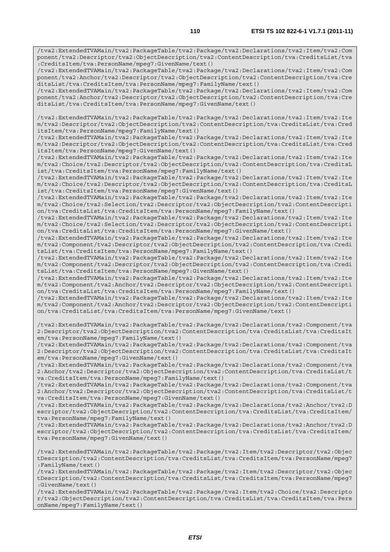/tva2:ExtendedTVAMain/tva2:PackageTable/tva2:Package/tva2:Declarations/tva2:Item/tva2:Com ponent/tva2:Descriptor/tva2:ObjectDescription/tva2:ContentDescription/tva:CreditsList/tva :CreditsItem/tva:PersonName/mpeg7:GivenName/text()

/tva2:ExtendedTVAMain/tva2:PackageTable/tva2:Package/tva2:Declarations/tva2:Item/tva2:Com ponent/tva2:Anchor/tva2:Descriptor/tva2:ObjectDescription/tva2:ContentDescription/tva:Cre ditsList/tva:CreditsItem/tva:PersonName/mpeg7:FamilyName/text()

/tva2:ExtendedTVAMain/tva2:PackageTable/tva2:Package/tva2:Declarations/tva2:Item/tva2:Com ponent/tva2:Anchor/tva2:Descriptor/tva2:ObjectDescription/tva2:ContentDescription/tva:Cre ditsList/tva:CreditsItem/tva:PersonName/mpeg7:GivenName/text()

/tva2:ExtendedTVAMain/tva2:PackageTable/tva2:Package/tva2:Declarations/tva2:Item/tva2:Ite m/tva2:Descriptor/tva2:ObjectDescription/tva2:ContentDescription/tva:CreditsList/tva:Cred itsItem/tva:PersonName/mpeg7:FamilyName/text()

/tva2:ExtendedTVAMain/tva2:PackageTable/tva2:Package/tva2:Declarations/tva2:Item/tva2:Ite m/tva2:Descriptor/tva2:ObjectDescription/tva2:ContentDescription/tva:CreditsList/tva:Cred itsItem/tva:PersonName/mpeg7:GivenName/text()

/tva2:ExtendedTVAMain/tva2:PackageTable/tva2:Package/tva2:Declarations/tva2:Item/tva2:Ite m/tva2:Choice/tva2:Descriptor/tva2:ObjectDescription/tva2:ContentDescription/tva:CreditsL ist/tva:CreditsItem/tva:PersonName/mpeg7:FamilyName/text()

/tva2:ExtendedTVAMain/tva2:PackageTable/tva2:Package/tva2:Declarations/tva2:Item/tva2:Ite m/tva2:Choice/tva2:Descriptor/tva2:ObjectDescription/tva2:ContentDescription/tva:CreditsL ist/tva:CreditsItem/tva:PersonName/mpeg7:GivenName/text()

/tva2:ExtendedTVAMain/tva2:PackageTable/tva2:Package/tva2:Declarations/tva2:Item/tva2:Ite m/tva2:Choice/tva2:Selection/tva2:Descriptor/tva2:ObjectDescription/tva2:ContentDescripti on/tva:CreditsList/tva:CreditsItem/tva:PersonName/mpeg7:FamilyName/text()

/tva2:ExtendedTVAMain/tva2:PackageTable/tva2:Package/tva2:Declarations/tva2:Item/tva2:Ite m/tva2:Choice/tva2:Selection/tva2:Descriptor/tva2:ObjectDescription/tva2:ContentDescripti on/tva:CreditsList/tva:CreditsItem/tva:PersonName/mpeg7:GivenName/text()

/tva2:ExtendedTVAMain/tva2:PackageTable/tva2:Package/tva2:Declarations/tva2:Item/tva2:Ite m/tva2:Component/tva2:Descriptor/tva2:ObjectDescription/tva2:ContentDescription/tva:Credi tsList/tva:CreditsItem/tva:PersonName/mpeg7:FamilyName/text()

/tva2:ExtendedTVAMain/tva2:PackageTable/tva2:Package/tva2:Declarations/tva2:Item/tva2:Ite m/tva2:Component/tva2:Descriptor/tva2:ObjectDescription/tva2:ContentDescription/tva:Credi tsList/tva:CreditsItem/tva:PersonName/mpeg7:GivenName/text()

/tva2:ExtendedTVAMain/tva2:PackageTable/tva2:Package/tva2:Declarations/tva2:Item/tva2:Ite m/tva2:Component/tva2:Anchor/tva2:Descriptor/tva2:ObjectDescription/tva2:ContentDescripti on/tva:CreditsList/tva:CreditsItem/tva:PersonName/mpeg7:FamilyName/text()

/tva2:ExtendedTVAMain/tva2:PackageTable/tva2:Package/tva2:Declarations/tva2:Item/tva2:Ite m/tva2:Component/tva2:Anchor/tva2:Descriptor/tva2:ObjectDescription/tva2:ContentDescripti on/tva:CreditsList/tva:CreditsItem/tva:PersonName/mpeg7:GivenName/text()

/tva2:ExtendedTVAMain/tva2:PackageTable/tva2:Package/tva2:Declarations/tva2:Component/tva 2:Descriptor/tva2:ObjectDescription/tva2:ContentDescription/tva:CreditsList/tva:CreditsIt em/tva:PersonName/mpeg7:FamilyName/text()

/tva2:ExtendedTVAMain/tva2:PackageTable/tva2:Package/tva2:Declarations/tva2:Component/tva 2:Descriptor/tva2:ObjectDescription/tva2:ContentDescription/tva:CreditsList/tva:CreditsIt em/tva:PersonName/mpeg7:GivenName/text()

/tva2:ExtendedTVAMain/tva2:PackageTable/tva2:Package/tva2:Declarations/tva2:Component/tva 2:Anchor/tva2:Descriptor/tva2:ObjectDescription/tva2:ContentDescription/tva:CreditsList/t va:CreditsItem/tva:PersonName/mpeg7:FamilyName/text()

/tva2:ExtendedTVAMain/tva2:PackageTable/tva2:Package/tva2:Declarations/tva2:Component/tva 2:Anchor/tva2:Descriptor/tva2:ObjectDescription/tva2:ContentDescription/tva:CreditsList/t va:CreditsItem/tva:PersonName/mpeg7:GivenName/text()

/tva2:ExtendedTVAMain/tva2:PackageTable/tva2:Package/tva2:Declarations/tva2:Anchor/tva2:D escriptor/tva2:ObjectDescription/tva2:ContentDescription/tva:CreditsList/tva:CreditsItem/ tva:PersonName/mpeg7:FamilyName/text()

/tva2:ExtendedTVAMain/tva2:PackageTable/tva2:Package/tva2:Declarations/tva2:Anchor/tva2:D escriptor/tva2:ObjectDescription/tva2:ContentDescription/tva:CreditsList/tva:CreditsItem/ tva:PersonName/mpeg7:GivenName/text()

/tva2:ExtendedTVAMain/tva2:PackageTable/tva2:Package/tva2:Item/tva2:Descriptor/tva2:Objec tDescription/tva2:ContentDescription/tva:CreditsList/tva:CreditsItem/tva:PersonName/mpeg7 :FamilyName/text()

/tva2:ExtendedTVAMain/tva2:PackageTable/tva2:Package/tva2:Item/tva2:Descriptor/tva2:Objec tDescription/tva2:ContentDescription/tva:CreditsList/tva:CreditsItem/tva:PersonName/mpeg7 :GivenName/text()

/tva2:ExtendedTVAMain/tva2:PackageTable/tva2:Package/tva2:Item/tva2:Choice/tva2:Descripto r/tva2:ObjectDescription/tva2:ContentDescription/tva:CreditsList/tva:CreditsItem/tva:Pers onName/mpeg7:FamilyName/text()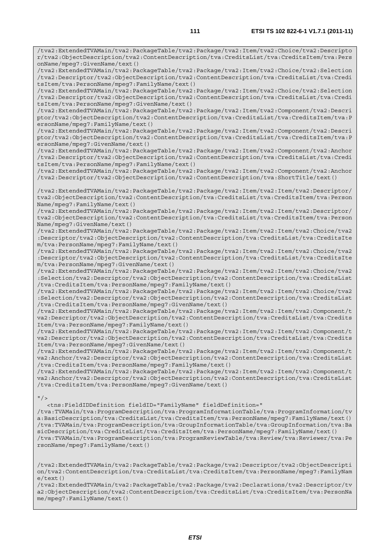/tva2:ExtendedTVAMain/tva2:PackageTable/tva2:Package/tva2:Item/tva2:Choice/tva2:Descripto r/tva2:ObjectDescription/tva2:ContentDescription/tva:CreditsList/tva:CreditsItem/tva:Pers

/tva2:ExtendedTVAMain/tva2:PackageTable/tva2:Package/tva2:Item/tva2:Choice/tva2:Selection

onName/mpeg7:GivenName/text()

/tva2:Descriptor/tva2:ObjectDescription/tva2:ContentDescription/tva:CreditsList/tva:Credi tsItem/tva:PersonName/mpeg7:FamilyName/text() /tva2:ExtendedTVAMain/tva2:PackageTable/tva2:Package/tva2:Item/tva2:Choice/tva2:Selection /tva2:Descriptor/tva2:ObjectDescription/tva2:ContentDescription/tva:CreditsList/tva:Credi tsItem/tva:PersonName/mpeg7:GivenName/text() /tva2:ExtendedTVAMain/tva2:PackageTable/tva2:Package/tva2:Item/tva2:Component/tva2:Descri ptor/tva2:ObjectDescription/tva2:ContentDescription/tva:CreditsList/tva:CreditsItem/tva:P ersonName/mpeg7:FamilyName/text() /tva2:ExtendedTVAMain/tva2:PackageTable/tva2:Package/tva2:Item/tva2:Component/tva2:Descri ptor/tva2:ObjectDescription/tva2:ContentDescription/tva:CreditsList/tva:CreditsItem/tva:P ersonName/mpeg7:GivenName/text() /tva2:ExtendedTVAMain/tva2:PackageTable/tva2:Package/tva2:Item/tva2:Component/tva2:Anchor /tva2:Descriptor/tva2:ObjectDescription/tva2:ContentDescription/tva:CreditsList/tva:Credi tsItem/tva:PersonName/mpeg7:FamilyName/text() /tva2:ExtendedTVAMain/tva2:PackageTable/tva2:Package/tva2:Item/tva2:Component/tva2:Anchor /tva2:Descriptor/tva2:ObjectDescription/tva2:ContentDescription/tva:ShortTitle/text() /tva2:ExtendedTVAMain/tva2:PackageTable/tva2:Package/tva2:Item/tva2:Item/tva2:Descriptor/ tva2:ObjectDescription/tva2:ContentDescription/tva:CreditsList/tva:CreditsItem/tva:Person Name/mpeg7:FamilyName/text() /tva2:ExtendedTVAMain/tva2:PackageTable/tva2:Package/tva2:Item/tva2:Item/tva2:Descriptor/ tva2:ObjectDescription/tva2:ContentDescription/tva:CreditsList/tva:CreditsItem/tva:Person Name/mpeg7:GivenName/text() /tva2:ExtendedTVAMain/tva2:PackageTable/tva2:Package/tva2:Item/tva2:Item/tva2:Choice/tva2 :Descriptor/tva2:ObjectDescription/tva2:ContentDescription/tva:CreditsList/tva:CreditsIte m/tva:PersonName/mpeg7:FamilyName/text() /tva2:ExtendedTVAMain/tva2:PackageTable/tva2:Package/tva2:Item/tva2:Item/tva2:Choice/tva2 :Descriptor/tva2:ObjectDescription/tva2:ContentDescription/tva:CreditsList/tva:CreditsIte m/tva:PersonName/mpeg7:GivenName/text() /tva2:ExtendedTVAMain/tva2:PackageTable/tva2:Package/tva2:Item/tva2:Item/tva2:Choice/tva2 :Selection/tva2:Descriptor/tva2:ObjectDescription/tva2:ContentDescription/tva:CreditsList /tva:CreditsItem/tva:PersonName/mpeg7:FamilyName/text() /tva2:ExtendedTVAMain/tva2:PackageTable/tva2:Package/tva2:Item/tva2:Item/tva2:Choice/tva2 :Selection/tva2:Descriptor/tva2:ObjectDescription/tva2:ContentDescription/tva:CreditsList /tva:CreditsItem/tva:PersonName/mpeg7:GivenName/text() /tva2:ExtendedTVAMain/tva2:PackageTable/tva2:Package/tva2:Item/tva2:Item/tva2:Component/t va2:Descriptor/tva2:ObjectDescription/tva2:ContentDescription/tva:CreditsList/tva:Credits Item/tva:PersonName/mpeg7:FamilyName/text() /tva2:ExtendedTVAMain/tva2:PackageTable/tva2:Package/tva2:Item/tva2:Item/tva2:Component/t va2:Descriptor/tva2:ObjectDescription/tva2:ContentDescription/tva:CreditsList/tva:Credits Item/tva:PersonName/mpeg7:GivenName/text() /tva2:ExtendedTVAMain/tva2:PackageTable/tva2:Package/tva2:Item/tva2:Item/tva2:Component/t va2:Anchor/tva2:Descriptor/tva2:ObjectDescription/tva2:ContentDescription/tva:CreditsList /tva:CreditsItem/tva:PersonName/mpeg7:FamilyName/text() /tva2:ExtendedTVAMain/tva2:PackageTable/tva2:Package/tva2:Item/tva2:Item/tva2:Component/t va2:Anchor/tva2:Descriptor/tva2:ObjectDescription/tva2:ContentDescription/tva:CreditsList /tva:CreditsItem/tva:PersonName/mpeg7:GivenName/text()  $"$ /> <tns:FieldIDDefinition fieldID="FamilyName" fieldDefinition=" /tva:TVAMain/tva:ProgramDescription/tva:ProgramInformationTable/tva:ProgramInformation/tv

a:BasicDescription/tva:CreditsList/tva:CreditsItem/tva:PersonName/mpeg7:FamilyName/text() /tva:TVAMain/tva:ProgramDescription/tva:GroupInformationTable/tva:GroupInformation/tva:Ba sicDescription/tva:CreditsList/tva:CreditsItem/tva:PersonName/mpeg7:FamilyName/text() /tva:TVAMain/tva:ProgramDescription/tva:ProgramReviewTable/tva:Review/tva:Reviewer/tva:Pe rsonName/mpeg7:FamilyName/text()

/tva2:ExtendedTVAMain/tva2:PackageTable/tva2:Package/tva2:Descriptor/tva2:ObjectDescripti on/tva2:ContentDescription/tva:CreditsList/tva:CreditsItem/tva:PersonName/mpeg7:FamilyNam e/text()

/tva2:ExtendedTVAMain/tva2:PackageTable/tva2:Package/tva2:Declarations/tva2:Descriptor/tv a2:ObjectDescription/tva2:ContentDescription/tva:CreditsList/tva:CreditsItem/tva:PersonNa me/mpeg7:FamilyName/text()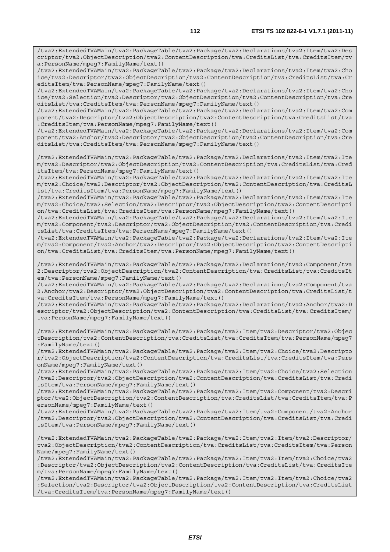/tva2:ExtendedTVAMain/tva2:PackageTable/tva2:Package/tva2:Declarations/tva2:Item/tva2:Des criptor/tva2:ObjectDescription/tva2:ContentDescription/tva:CreditsList/tva:CreditsItem/tv a:PersonName/mpeg7:FamilyName/text()

/tva2:ExtendedTVAMain/tva2:PackageTable/tva2:Package/tva2:Declarations/tva2:Item/tva2:Cho ice/tva2:Descriptor/tva2:ObjectDescription/tva2:ContentDescription/tva:CreditsList/tva:Cr editsItem/tva:PersonName/mpeg7:FamilyName/text()

/tva2:ExtendedTVAMain/tva2:PackageTable/tva2:Package/tva2:Declarations/tva2:Item/tva2:Cho ice/tva2:Selection/tva2:Descriptor/tva2:ObjectDescription/tva2:ContentDescription/tva:Cre ditsList/tva:CreditsItem/tva:PersonName/mpeg7:FamilyName/text()

/tva2:ExtendedTVAMain/tva2:PackageTable/tva2:Package/tva2:Declarations/tva2:Item/tva2:Com ponent/tva2:Descriptor/tva2:ObjectDescription/tva2:ContentDescription/tva:CreditsList/tva :CreditsItem/tva:PersonName/mpeg7:FamilyName/text()

/tva2:ExtendedTVAMain/tva2:PackageTable/tva2:Package/tva2:Declarations/tva2:Item/tva2:Com ponent/tva2:Anchor/tva2:Descriptor/tva2:ObjectDescription/tva2:ContentDescription/tva:Cre ditsList/tva:CreditsItem/tva:PersonName/mpeg7:FamilyName/text()

/tva2:ExtendedTVAMain/tva2:PackageTable/tva2:Package/tva2:Declarations/tva2:Item/tva2:Ite m/tva2:Descriptor/tva2:ObjectDescription/tva2:ContentDescription/tva:CreditsList/tva:Cred itsItem/tva:PersonName/mpeg7:FamilyName/text()

/tva2:ExtendedTVAMain/tva2:PackageTable/tva2:Package/tva2:Declarations/tva2:Item/tva2:Ite m/tva2:Choice/tva2:Descriptor/tva2:ObjectDescription/tva2:ContentDescription/tva:CreditsL ist/tva:CreditsItem/tva:PersonName/mpeg7:FamilyName/text()

/tva2:ExtendedTVAMain/tva2:PackageTable/tva2:Package/tva2:Declarations/tva2:Item/tva2:Ite m/tva2:Choice/tva2:Selection/tva2:Descriptor/tva2:ObjectDescription/tva2:ContentDescripti on/tva:CreditsList/tva:CreditsItem/tva:PersonName/mpeg7:FamilyName/text()

/tva2:ExtendedTVAMain/tva2:PackageTable/tva2:Package/tva2:Declarations/tva2:Item/tva2:Ite m/tva2:Component/tva2:Descriptor/tva2:ObjectDescription/tva2:ContentDescription/tva:Credi tsList/tva:CreditsItem/tva:PersonName/mpeg7:FamilyName/text()

/tva2:ExtendedTVAMain/tva2:PackageTable/tva2:Package/tva2:Declarations/tva2:Item/tva2:Ite m/tva2:Component/tva2:Anchor/tva2:Descriptor/tva2:ObjectDescription/tva2:ContentDescripti on/tva:CreditsList/tva:CreditsItem/tva:PersonName/mpeg7:FamilyName/text()

/tva2:ExtendedTVAMain/tva2:PackageTable/tva2:Package/tva2:Declarations/tva2:Component/tva 2:Descriptor/tva2:ObjectDescription/tva2:ContentDescription/tva:CreditsList/tva:CreditsIt em/tva:PersonName/mpeg7:FamilyName/text()

/tva2:ExtendedTVAMain/tva2:PackageTable/tva2:Package/tva2:Declarations/tva2:Component/tva 2:Anchor/tva2:Descriptor/tva2:ObjectDescription/tva2:ContentDescription/tva:CreditsList/t va:CreditsItem/tva:PersonName/mpeg7:FamilyName/text()

/tva2:ExtendedTVAMain/tva2:PackageTable/tva2:Package/tva2:Declarations/tva2:Anchor/tva2:D escriptor/tva2:ObjectDescription/tva2:ContentDescription/tva:CreditsList/tva:CreditsItem/ tva:PersonName/mpeg7:FamilyName/text()

/tva2:ExtendedTVAMain/tva2:PackageTable/tva2:Package/tva2:Item/tva2:Descriptor/tva2:Objec tDescription/tva2:ContentDescription/tva:CreditsList/tva:CreditsItem/tva:PersonName/mpeg7 :FamilyName/text()

/tva2:ExtendedTVAMain/tva2:PackageTable/tva2:Package/tva2:Item/tva2:Choice/tva2:Descripto r/tva2:ObjectDescription/tva2:ContentDescription/tva:CreditsList/tva:CreditsItem/tva:Pers onName/mpeg7:FamilyName/text()

/tva2:ExtendedTVAMain/tva2:PackageTable/tva2:Package/tva2:Item/tva2:Choice/tva2:Selection /tva2:Descriptor/tva2:ObjectDescription/tva2:ContentDescription/tva:CreditsList/tva:Credi tsItem/tva:PersonName/mpeg7:FamilyName/text()

/tva2:ExtendedTVAMain/tva2:PackageTable/tva2:Package/tva2:Item/tva2:Component/tva2:Descri ptor/tva2:ObjectDescription/tva2:ContentDescription/tva:CreditsList/tva:CreditsItem/tva:P ersonName/mpeg7:FamilyName/text()

/tva2:ExtendedTVAMain/tva2:PackageTable/tva2:Package/tva2:Item/tva2:Component/tva2:Anchor /tva2:Descriptor/tva2:ObjectDescription/tva2:ContentDescription/tva:CreditsList/tva:Credi tsItem/tva:PersonName/mpeg7:FamilyName/text()

/tva2:ExtendedTVAMain/tva2:PackageTable/tva2:Package/tva2:Item/tva2:Item/tva2:Descriptor/ tva2:ObjectDescription/tva2:ContentDescription/tva:CreditsList/tva:CreditsItem/tva:Person Name/mpeg7:FamilyName/text()

/tva2:ExtendedTVAMain/tva2:PackageTable/tva2:Package/tva2:Item/tva2:Item/tva2:Choice/tva2 :Descriptor/tva2:ObjectDescription/tva2:ContentDescription/tva:CreditsList/tva:CreditsIte m/tva:PersonName/mpeg7:FamilyName/text()

/tva2:ExtendedTVAMain/tva2:PackageTable/tva2:Package/tva2:Item/tva2:Item/tva2:Choice/tva2 :Selection/tva2:Descriptor/tva2:ObjectDescription/tva2:ContentDescription/tva:CreditsList /tva:CreditsItem/tva:PersonName/mpeg7:FamilyName/text()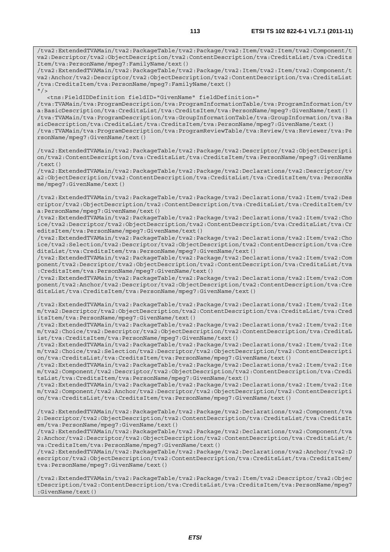/tva2:ExtendedTVAMain/tva2:PackageTable/tva2:Package/tva2:Item/tva2:Item/tva2:Component/t va2:Descriptor/tva2:ObjectDescription/tva2:ContentDescription/tva:CreditsList/tva:Credits Item/tva:PersonName/mpeg7:FamilyName/text() /tva2:ExtendedTVAMain/tva2:PackageTable/tva2:Package/tva2:Item/tva2:Item/tva2:Component/t va2:Anchor/tva2:Descriptor/tva2:ObjectDescription/tva2:ContentDescription/tva:CreditsList /tva:CreditsItem/tva:PersonName/mpeg7:FamilyName/text()  $''$ /> <tns:FieldIDDefinition fieldID="GivenName" fieldDefinition=" /tva:TVAMain/tva:ProgramDescription/tva:ProgramInformationTable/tva:ProgramInformation/tv a:BasicDescription/tva:CreditsList/tva:CreditsItem/tva:PersonName/mpeg7:GivenName/text() /tva:TVAMain/tva:ProgramDescription/tva:GroupInformationTable/tva:GroupInformation/tva:Ba sicDescription/tva:CreditsList/tva:CreditsItem/tva:PersonName/mpeg7:GivenName/text() /tva:TVAMain/tva:ProgramDescription/tva:ProgramReviewTable/tva:Review/tva:Reviewer/tva:Pe rsonName/mpeg7:GivenName/text() /tva2:ExtendedTVAMain/tva2:PackageTable/tva2:Package/tva2:Descriptor/tva2:ObjectDescripti on/tva2:ContentDescription/tva:CreditsList/tva:CreditsItem/tva:PersonName/mpeg7:GivenName  $/$ text $()$ /tva2:ExtendedTVAMain/tva2:PackageTable/tva2:Package/tva2:Declarations/tva2:Descriptor/tv a2:ObjectDescription/tva2:ContentDescription/tva:CreditsList/tva:CreditsItem/tva:PersonNa me/mpeg7:GivenName/text() /tva2:ExtendedTVAMain/tva2:PackageTable/tva2:Package/tva2:Declarations/tva2:Item/tva2:Des criptor/tva2:ObjectDescription/tva2:ContentDescription/tva:CreditsList/tva:CreditsItem/tv a:PersonName/mpeg7:GivenName/text() /tva2:ExtendedTVAMain/tva2:PackageTable/tva2:Package/tva2:Declarations/tva2:Item/tva2:Cho ice/tva2:Descriptor/tva2:ObjectDescription/tva2:ContentDescription/tva:CreditsList/tva:Cr editsItem/tva:PersonName/mpeg7:GivenName/text() /tva2:ExtendedTVAMain/tva2:PackageTable/tva2:Package/tva2:Declarations/tva2:Item/tva2:Cho ice/tva2:Selection/tva2:Descriptor/tva2:ObjectDescription/tva2:ContentDescription/tva:Cre ditsList/tva:CreditsItem/tva:PersonName/mpeg7:GivenName/text() /tva2:ExtendedTVAMain/tva2:PackageTable/tva2:Package/tva2:Declarations/tva2:Item/tva2:Com ponent/tva2:Descriptor/tva2:ObjectDescription/tva2:ContentDescription/tva:CreditsList/tva :CreditsItem/tva:PersonName/mpeg7:GivenName/text() /tva2:ExtendedTVAMain/tva2:PackageTable/tva2:Package/tva2:Declarations/tva2:Item/tva2:Com ponent/tva2:Anchor/tva2:Descriptor/tva2:ObjectDescription/tva2:ContentDescription/tva:Cre ditsList/tva:CreditsItem/tva:PersonName/mpeg7:GivenName/text() /tva2:ExtendedTVAMain/tva2:PackageTable/tva2:Package/tva2:Declarations/tva2:Item/tva2:Ite m/tva2:Descriptor/tva2:ObjectDescription/tva2:ContentDescription/tva:CreditsList/tva:Cred itsItem/tva:PersonName/mpeg7:GivenName/text() /tva2:ExtendedTVAMain/tva2:PackageTable/tva2:Package/tva2:Declarations/tva2:Item/tva2:Ite m/tva2:Choice/tva2:Descriptor/tva2:ObjectDescription/tva2:ContentDescription/tva:CreditsL ist/tva:CreditsItem/tva:PersonName/mpeg7:GivenName/text() /tva2:ExtendedTVAMain/tva2:PackageTable/tva2:Package/tva2:Declarations/tva2:Item/tva2:Ite m/tva2:Choice/tva2:Selection/tva2:Descriptor/tva2:ObjectDescription/tva2:ContentDescripti on/tva:CreditsList/tva:CreditsItem/tva:PersonName/mpeg7:GivenName/text() /tva2:ExtendedTVAMain/tva2:PackageTable/tva2:Package/tva2:Declarations/tva2:Item/tva2:Ite m/tva2:Component/tva2:Descriptor/tva2:ObjectDescription/tva2:ContentDescription/tva:Credi tsList/tva:CreditsItem/tva:PersonName/mpeg7:GivenName/text() /tva2:ExtendedTVAMain/tva2:PackageTable/tva2:Package/tva2:Declarations/tva2:Item/tva2:Ite m/tva2:Component/tva2:Anchor/tva2:Descriptor/tva2:ObjectDescription/tva2:ContentDescripti on/tva:CreditsList/tva:CreditsItem/tva:PersonName/mpeg7:GivenName/text() /tva2:ExtendedTVAMain/tva2:PackageTable/tva2:Package/tva2:Declarations/tva2:Component/tva 2:Descriptor/tva2:ObjectDescription/tva2:ContentDescription/tva:CreditsList/tva:CreditsIt em/tva:PersonName/mpeg7:GivenName/text()

/tva2:ExtendedTVAMain/tva2:PackageTable/tva2:Package/tva2:Declarations/tva2:Component/tva 2:Anchor/tva2:Descriptor/tva2:ObjectDescription/tva2:ContentDescription/tva:CreditsList/t va:CreditsItem/tva:PersonName/mpeg7:GivenName/text()

/tva2:ExtendedTVAMain/tva2:PackageTable/tva2:Package/tva2:Declarations/tva2:Anchor/tva2:D escriptor/tva2:ObjectDescription/tva2:ContentDescription/tva:CreditsList/tva:CreditsItem/ tva:PersonName/mpeg7:GivenName/text()

/tva2:ExtendedTVAMain/tva2:PackageTable/tva2:Package/tva2:Item/tva2:Descriptor/tva2:Objec tDescription/tva2:ContentDescription/tva:CreditsList/tva:CreditsItem/tva:PersonName/mpeg7 :GivenName/text()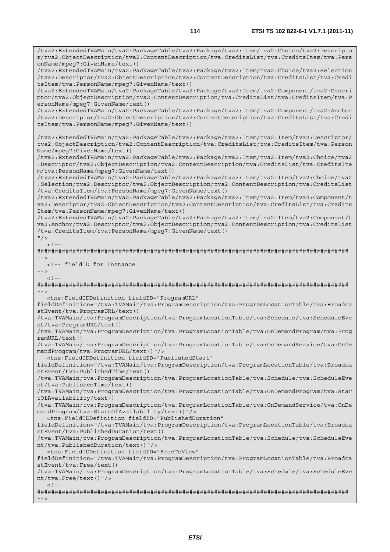/tva2:ExtendedTVAMain/tva2:PackageTable/tva2:Package/tva2:Item/tva2:Choice/tva2:Descripto r/tva2:ObjectDescription/tva2:ContentDescription/tva:CreditsList/tva:CreditsItem/tva:Pers

onName/mpeg7:GivenName/text() /tva2:ExtendedTVAMain/tva2:PackageTable/tva2:Package/tva2:Item/tva2:Choice/tva2:Selection /tva2:Descriptor/tva2:ObjectDescription/tva2:ContentDescription/tva:CreditsList/tva:Credi tsItem/tva:PersonName/mpeg7:GivenName/text() /tva2:ExtendedTVAMain/tva2:PackageTable/tva2:Package/tva2:Item/tva2:Component/tva2:Descri ptor/tva2:ObjectDescription/tva2:ContentDescription/tva:CreditsList/tva:CreditsItem/tva:P ersonName/mpeg7:GivenName/text() /tva2:ExtendedTVAMain/tva2:PackageTable/tva2:Package/tva2:Item/tva2:Component/tva2:Anchor /tva2:Descriptor/tva2:ObjectDescription/tva2:ContentDescription/tva:CreditsList/tva:Credi tsItem/tva:PersonName/mpeg7:GivenName/text() /tva2:ExtendedTVAMain/tva2:PackageTable/tva2:Package/tva2:Item/tva2:Item/tva2:Descriptor/ tva2:ObjectDescription/tva2:ContentDescription/tva:CreditsList/tva:CreditsItem/tva:Person Name/mpeg7:GivenName/text() /tva2:ExtendedTVAMain/tva2:PackageTable/tva2:Package/tva2:Item/tva2:Item/tva2:Choice/tva2 :Descriptor/tva2:ObjectDescription/tva2:ContentDescription/tva:CreditsList/tva:CreditsIte m/tva:PersonName/mpeg7:GivenName/text() /tva2:ExtendedTVAMain/tva2:PackageTable/tva2:Package/tva2:Item/tva2:Item/tva2:Choice/tva2 :Selection/tva2:Descriptor/tva2:ObjectDescription/tva2:ContentDescription/tva:CreditsList /tva:CreditsItem/tva:PersonName/mpeg7:GivenName/text() /tva2:ExtendedTVAMain/tva2:PackageTable/tva2:Package/tva2:Item/tva2:Item/tva2:Component/t va2:Descriptor/tva2:ObjectDescription/tva2:ContentDescription/tva:CreditsList/tva:Credits Item/tva:PersonName/mpeg7:GivenName/text() /tva2:ExtendedTVAMain/tva2:PackageTable/tva2:Package/tva2:Item/tva2:Item/tva2:Component/t va2:Anchor/tva2:Descriptor/tva2:ObjectDescription/tva2:ContentDescription/tva:CreditsList /tva:CreditsItem/tva:PersonName/mpeg7:GivenName/text()  $"$ />  $<$ ! --######################################################################################## --> <!-- fieldID for Instance -->  $\leq$ ! ######################################################################################## --> <tns:FieldIDDefinition fieldID="ProgramURL" fieldDefinition="/tva:TVAMain/tva:ProgramDescription/tva:ProgramLocationTable/tva:Broadca stEvent/tva:ProgramURL/text() /tva:TVAMain/tva:ProgramDescription/tva:ProgramLocationTable/tva:Schedule/tva:ScheduleEve nt/tva:ProgramURL/text() /tva:TVAMain/tva:ProgramDescription/tva:ProgramLocationTable/tva:OnDemandProgram/tva:Prog ramURL/text() /tva:TVAMain/tva:ProgramDescription/tva:ProgramLocationTable/tva:OnDemandService/tva:OnDe mandProgram/tva:ProgramURL/text()"/> <tns:FieldIDDefinition fieldID="PublishedStart" fieldDefinition="/tva:TVAMain/tva:ProgramDescription/tva:ProgramLocationTable/tva:Broadca stEvent/tva:PublishedTime/text() /tva:TVAMain/tva:ProgramDescription/tva:ProgramLocationTable/tva:Schedule/tva:ScheduleEve nt/tva:PublishedTime/text() /tva:TVAMain/tva:ProgramDescription/tva:ProgramLocationTable/tva:OnDemandProgram/tva:Star tOfAvailability/text() /tva:TVAMain/tva:ProgramDescription/tva:ProgramLocationTable/tva:OnDemandService/tva:OnDe mandProgram/tva:StartOfAvailability/text()"/> <tns:FieldIDDefinition fieldID="PublishedDuration" fieldDefinition="/tva:TVAMain/tva:ProgramDescription/tva:ProgramLocationTable/tva:Broadca stEvent/tva:PublishedDuration/text() /tva:TVAMain/tva:ProgramDescription/tva:ProgramLocationTable/tva:Schedule/tva:ScheduleEve nt/tva:PublishedDuration/text()"/> <tns:FieldIDDefinition fieldID="FreeToView" fieldDefinition="/tva:TVAMain/tva:ProgramDescription/tva:ProgramLocationTable/tva:Broadca stEvent/tva:Free/text() /tva:TVAMain/tva:ProgramDescription/tva:ProgramLocationTable/tva:Schedule/tva:ScheduleEve nt/tva:Free/text()"/>  $-1-$ ########################################################################################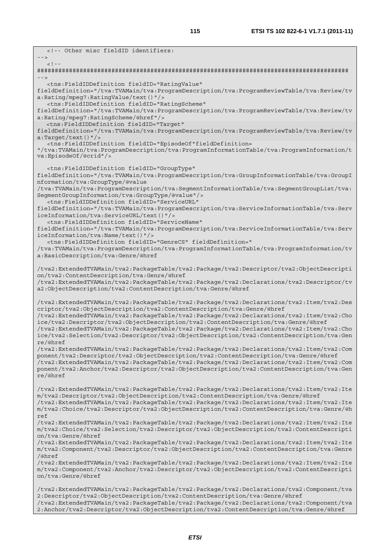<!-- Other misc fieldID identifiers: -->  $\lt$  !  $-$ ######################################################################################## --> <tns:FieldIDDefinition fieldID="RatingValue" fieldDefinition="/tva:TVAMain/tva:ProgramDescription/tva:ProgramReviewTable/tva:Review/tv a:Rating/mpeg7:RatingValue/text()"/> <tns:FieldIDDefinition fieldID="RatingScheme" fieldDefinition="/tva:TVAMain/tva:ProgramDescription/tva:ProgramReviewTable/tva:Review/tv a:Rating/mpeg7:RatingScheme/@href"/> <tns:FieldIDDefinition fieldID="Target" fieldDefinition="/tva:TVAMain/tva:ProgramDescription/tva:ProgramReviewTable/tva:Review/tv a:Target/text()"/> <tns:FieldIDDefinition fieldID="EpisodeOf"fieldDefinition= "/tva:TVAMain/tva:ProgramDescription/tva:ProgramInformationTable/tva:ProgramInformation/t va:EpisodeOf/@crid"/> <tns:FieldIDDefinition fieldID="GroupType" fieldDefinition="/tva:TVAMain/tva:ProgramDescription/tva:GroupInformationTable/tva:GroupI nformation/tva:GroupType/@value /tva:TVAMain/tva:ProgramDescription/tva:SegmentInformationTable/tva:SegmentGroupList/tva: SegmentGroupInformation/tva:GroupType/@value"/> <tns:FieldIDDefinition fieldID="ServiceURL" fieldDefinition="/tva:TVAMain/tva:ProgramDescription/tva:ServiceInformationTable/tva:Serv iceInformation/tva:ServiceURL/text()"/> <tns:FieldIDDefinition fieldID="ServiceName" fieldDefinition="/tva:TVAMain/tva:ProgramDescription/tva:ServiceInformationTable/tva:Serv iceInformation/tva:Name/text()"/> <tns:FieldIDDefinition fieldID="GenreCS" fieldDefinition=" /tva:TVAMain/tva:ProgramDescription/tva:ProgramInformationTable/tva:ProgramInformation/tv a:BasicDescription/tva:Genre/@href /tva2:ExtendedTVAMain/tva2:PackageTable/tva2:Package/tva2:Descriptor/tva2:ObjectDescripti on/tva2:ContentDescription/tva:Genre/@href /tva2:ExtendedTVAMain/tva2:PackageTable/tva2:Package/tva2:Declarations/tva2:Descriptor/tv a2:ObjectDescription/tva2:ContentDescription/tva:Genre/@href /tva2:ExtendedTVAMain/tva2:PackageTable/tva2:Package/tva2:Declarations/tva2:Item/tva2:Des criptor/tva2:ObjectDescription/tva2:ContentDescription/tva:Genre/@href /tva2:ExtendedTVAMain/tva2:PackageTable/tva2:Package/tva2:Declarations/tva2:Item/tva2:Cho ice/tva2:Descriptor/tva2:ObjectDescription/tva2:ContentDescription/tva:Genre/@href /tva2:ExtendedTVAMain/tva2:PackageTable/tva2:Package/tva2:Declarations/tva2:Item/tva2:Cho ice/tva2:Selection/tva2:Descriptor/tva2:ObjectDescription/tva2:ContentDescription/tva:Gen re/@href /tva2:ExtendedTVAMain/tva2:PackageTable/tva2:Package/tva2:Declarations/tva2:Item/tva2:Com ponent/tva2:Descriptor/tva2:ObjectDescription/tva2:ContentDescription/tva:Genre/@href /tva2:ExtendedTVAMain/tva2:PackageTable/tva2:Package/tva2:Declarations/tva2:Item/tva2:Com ponent/tva2:Anchor/tva2:Descriptor/tva2:ObjectDescription/tva2:ContentDescription/tva:Gen re/@href /tva2:ExtendedTVAMain/tva2:PackageTable/tva2:Package/tva2:Declarations/tva2:Item/tva2:Ite m/tva2:Descriptor/tva2:ObjectDescription/tva2:ContentDescription/tva:Genre/@href /tva2:ExtendedTVAMain/tva2:PackageTable/tva2:Package/tva2:Declarations/tva2:Item/tva2:Ite m/tva2:Choice/tva2:Descriptor/tva2:ObjectDescription/tva2:ContentDescription/tva:Genre/@h ref /tva2:ExtendedTVAMain/tva2:PackageTable/tva2:Package/tva2:Declarations/tva2:Item/tva2:Ite m/tva2:Choice/tva2:Selection/tva2:Descriptor/tva2:ObjectDescription/tva2:ContentDescripti on/tva:Genre/@href /tva2:ExtendedTVAMain/tva2:PackageTable/tva2:Package/tva2:Declarations/tva2:Item/tva2:Ite m/tva2:Component/tva2:Descriptor/tva2:ObjectDescription/tva2:ContentDescription/tva:Genre /@href /tva2:ExtendedTVAMain/tva2:PackageTable/tva2:Package/tva2:Declarations/tva2:Item/tva2:Ite m/tva2:Component/tva2:Anchor/tva2:Descriptor/tva2:ObjectDescription/tva2:ContentDescripti on/tva:Genre/@href /tva2:ExtendedTVAMain/tva2:PackageTable/tva2:Package/tva2:Declarations/tva2:Component/tva 2:Descriptor/tva2:ObjectDescription/tva2:ContentDescription/tva:Genre/@href /tva2:ExtendedTVAMain/tva2:PackageTable/tva2:Package/tva2:Declarations/tva2:Component/tva 2:Anchor/tva2:Descriptor/tva2:ObjectDescription/tva2:ContentDescription/tva:Genre/@href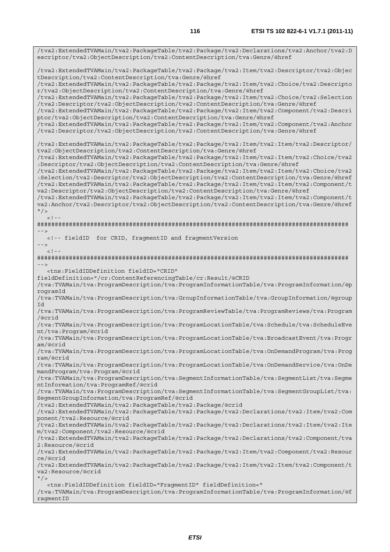/tva2:ExtendedTVAMain/tva2:PackageTable/tva2:Package/tva2:Declarations/tva2:Anchor/tva2:D escriptor/tva2:ObjectDescription/tva2:ContentDescription/tva:Genre/@href /tva2:ExtendedTVAMain/tva2:PackageTable/tva2:Package/tva2:Item/tva2:Descriptor/tva2:Objec tDescription/tva2:ContentDescription/tva:Genre/@href /tva2:ExtendedTVAMain/tva2:PackageTable/tva2:Package/tva2:Item/tva2:Choice/tva2:Descripto r/tva2:ObjectDescription/tva2:ContentDescription/tva:Genre/@href /tva2:ExtendedTVAMain/tva2:PackageTable/tva2:Package/tva2:Item/tva2:Choice/tva2:Selection /tva2:Descriptor/tva2:ObjectDescription/tva2:ContentDescription/tva:Genre/@href /tva2:ExtendedTVAMain/tva2:PackageTable/tva2:Package/tva2:Item/tva2:Component/tva2:Descri ptor/tva2:ObjectDescription/tva2:ContentDescription/tva:Genre/@href /tva2:ExtendedTVAMain/tva2:PackageTable/tva2:Package/tva2:Item/tva2:Component/tva2:Anchor /tva2:Descriptor/tva2:ObjectDescription/tva2:ContentDescription/tva:Genre/@href /tva2:ExtendedTVAMain/tva2:PackageTable/tva2:Package/tva2:Item/tva2:Item/tva2:Descriptor/ tva2:ObjectDescription/tva2:ContentDescription/tva:Genre/@href /tva2:ExtendedTVAMain/tva2:PackageTable/tva2:Package/tva2:Item/tva2:Item/tva2:Choice/tva2 :Descriptor/tva2:ObjectDescription/tva2:ContentDescription/tva:Genre/@href /tva2:ExtendedTVAMain/tva2:PackageTable/tva2:Package/tva2:Item/tva2:Item/tva2:Choice/tva2 :Selection/tva2:Descriptor/tva2:ObjectDescription/tva2:ContentDescription/tva:Genre/@href /tva2:ExtendedTVAMain/tva2:PackageTable/tva2:Package/tva2:Item/tva2:Item/tva2:Component/t va2:Descriptor/tva2:ObjectDescription/tva2:ContentDescription/tva:Genre/@href /tva2:ExtendedTVAMain/tva2:PackageTable/tva2:Package/tva2:Item/tva2:Item/tva2:Component/t va2:Anchor/tva2:Descriptor/tva2:ObjectDescription/tva2:ContentDescription/tva:Genre/@href  $"$  / >  $\lt$  ! --######################################################################################## --> <!-- fieldID for CRID, fragmentID and fragmentVersion -->  $<$ ! --######################################################################################## --> <tns:FieldIDDefinition fieldID="CRID" fieldDefinition="/cr:ContentReferencingTable/cr:Result/@CRID /tva:TVAMain/tva:ProgramDescription/tva:ProgramInformationTable/tva:ProgramInformation/@p rogramId /tva:TVAMain/tva:ProgramDescription/tva:GroupInformationTable/tva:GroupInformation/@group Id /tva:TVAMain/tva:ProgramDescription/tva:ProgramReviewTable/tva:ProgramReviews/tva:Program /@crid /tva:TVAMain/tva:ProgramDescription/tva:ProgramLocationTable/tva:Schedule/tva:ScheduleEve nt/tva:Program/@crid /tva:TVAMain/tva:ProgramDescription/tva:ProgramLocationTable/tva:BroadcastEvent/tva:Progr am/@crid /tva:TVAMain/tva:ProgramDescription/tva:ProgramLocationTable/tva:OnDemandProgram/tva:Prog ram/@crid /tva:TVAMain/tva:ProgramDescription/tva:ProgramLocationTable/tva:OnDemandService/tva:OnDe mandProgram/tva:Program/@crid /tva:TVAMain/tva:ProgramDescription/tva:SegmentInformationTable/tva:SegmentList/tva:Segme ntInformation/tva:ProgramRef/@crid /tva:TVAMain/tva:ProgramDescription/tva:SegmentInformationTable/tva:SegmentGroupList/tva: SegmentGroupInformation/tva:ProgramRef/@crid /tva2:ExtendedTVAMain/tva2:PackageTable/tva2:Package/@crid /tva2:ExtendedTVAMain/tva2:PackageTable/tva2:Package/tva2:Declarations/tva2:Item/tva2:Com ponent/tva2:Resource/@crid /tva2:ExtendedTVAMain/tva2:PackageTable/tva2:Package/tva2:Declarations/tva2:Item/tva2:Ite m/tva2:Component/tva2:Resource/@crid /tva2:ExtendedTVAMain/tva2:PackageTable/tva2:Package/tva2:Declarations/tva2:Component/tva 2:Resource/@crid /tva2:ExtendedTVAMain/tva2:PackageTable/tva2:Package/tva2:Item/tva2:Component/tva2:Resour ce/@crid /tva2:ExtendedTVAMain/tva2:PackageTable/tva2:Package/tva2:Item/tva2:Item/tva2:Component/t va2:Resource/@crid  $''$  / > <tns:FieldIDDefinition fieldID="FragmentID" fieldDefinition=" /tva:TVAMain/tva:ProgramDescription/tva:ProgramInformationTable/tva:ProgramInformation/@f ragmentID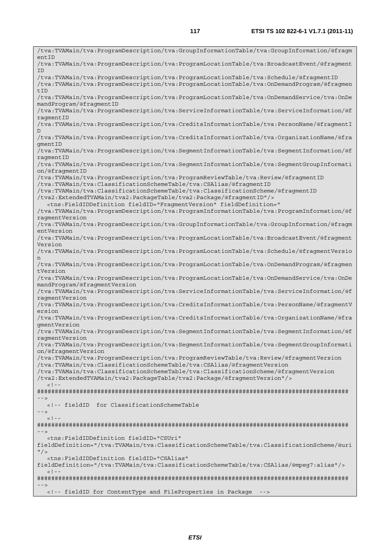/tva:TVAMain/tva:ProgramDescription/tva:GroupInformationTable/tva:GroupInformation/@fragm  $entID$ /tva:TVAMain/tva:ProgramDescription/tva:ProgramLocationTable/tva:BroadcastEvent/@fragment ID /tva:TVAMain/tva:ProgramDescription/tva:ProgramLocationTable/tva:Schedule/@fragmentID /tva:TVAMain/tva:ProgramDescription/tva:ProgramLocationTable/tva:OnDemandProgram/@fragmen tTD /tva:TVAMain/tva:ProgramDescription/tva:ProgramLocationTable/tva:OnDemandService/tva:OnDe mandProgram/@fragmentID /tva:TVAMain/tva:ProgramDescription/tva:ServiceInformationTable/tva:ServiceInformation/@f ragmentID /tva:TVAMain/tva:ProgramDescription/tva:CreditsInformationTable/tva:PersonName/@fragmentI  $D$ /tva:TVAMain/tva:ProgramDescription/tva:CreditsInformationTable/tva:OrganizationName/@fra gmentID /tva:TVAMain/tva:ProgramDescription/tva:SegmentInformationTable/tva:SegmentInformation/@f ragmentID /tva:TVAMain/tva:ProgramDescription/tva:SegmentInformationTable/tva:SegmentGroupInformati on/@fragmentID /tva:TVAMain/tva:ProgramDescription/tva:ProgramReviewTable/tva:Review/@fragmentID /tva:TVAMain/tva:ClassificationSchemeTable/tva:CSAlias/@fragmentID /tva:TVAMain/tva:ClassificationSchemeTable/tva:ClassificationScheme/@fragmentID /tva2:ExtendedTVAMain/tva2:PackageTable/tva2:Package/@fragmentID"/> <tns:FieldIDDefinition fieldID="FragmentVersion" fieldDefinition=" /tva:TVAMain/tva:ProgramDescription/tva:ProgramInformationTable/tva:ProgramInformation/@f ragmentVersion /tva:TVAMain/tva:ProgramDescription/tva:GroupInformationTable/tva:GroupInformation/@fragm entVersion /tva:TVAMain/tva:ProgramDescription/tva:ProgramLocationTable/tva:BroadcastEvent/@fragment Version /tva:TVAMain/tva:ProgramDescription/tva:ProgramLocationTable/tva:Schedule/@fragmentVersio n /tva:TVAMain/tva:ProgramDescription/tva:ProgramLocationTable/tva:OnDemandProgram/@fragmen tVersion /tva:TVAMain/tva:ProgramDescription/tva:ProgramLocationTable/tva:OnDemandService/tva:OnDe mandProgram/@fragmentVersion /tva:TVAMain/tva:ProgramDescription/tva:ServiceInformationTable/tva:ServiceInformation/@f ragmentVersion /tva:TVAMain/tva:ProgramDescription/tva:CreditsInformationTable/tva:PersonName/@fragmentV ersion /tva:TVAMain/tva:ProgramDescription/tva:CreditsInformationTable/tva:OrganizationName/@fra gmentVersion /tva:TVAMain/tva:ProgramDescription/tva:SegmentInformationTable/tva:SegmentInformation/@f ragmentVersion /tva:TVAMain/tva:ProgramDescription/tva:SegmentInformationTable/tva:SegmentGroupInformati on/@fragmentVersion /tva:TVAMain/tva:ProgramDescription/tva:ProgramReviewTable/tva:Review/@fragmentVersion /tva:TVAMain/tva:ClassificationSchemeTable/tva:CSAlias/@fragmentVersion /tva:TVAMain/tva:ClassificationSchemeTable/tva:ClassificationScheme/@fragmentVersion /tva2:ExtendedTVAMain/tva2:PackageTable/tva2:Package/@fragmentVersion"/>  $<$ ! --######################################################################################## --> <!-- fieldID for ClassificationSchemeTable -->  $<$ ! --######################################################################################## --> <tns:FieldIDDefinition fieldID="CSUri" fieldDefinition="/tva:TVAMain/tva:ClassificationSchemeTable/tva:ClassificationScheme/@uri  $"$  /> <tns:FieldIDDefinition fieldID="CSAlias" fieldDefinition="/tva:TVAMain/tva:ClassificationSchemeTable/tva:CSAlias/@mpeg7:alias"/>  $\geq$   $\perp$   $\perp$ ######################################################################################## --> <!-- fieldID for ContentType and FileProperties in Package -->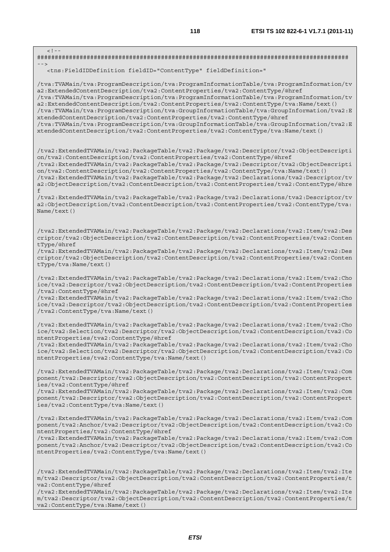$-1-$ ######################################################################################## --> <tns:FieldIDDefinition fieldID="ContentType" fieldDefinition=" /tva:TVAMain/tva:ProgramDescription/tva:ProgramInformationTable/tva:ProgramInformation/tv a2:ExtendedContentDescription/tva2:ContentProperties/tva2:ContentType/@href /tva:TVAMain/tva:ProgramDescription/tva:ProgramInformationTable/tva:ProgramInformation/tv a2:ExtendedContentDescription/tva2:ContentProperties/tva2:ContentType/tva:Name/text() /tva:TVAMain/tva:ProgramDescription/tva:GroupInformationTable/tva:GroupInformation/tva2:E xtendedContentDescription/tva2:ContentProperties/tva2:ContentType/@href /tva:TVAMain/tva:ProgramDescription/tva:GroupInformationTable/tva:GroupInformation/tva2:E xtendedContentDescription/tva2:ContentProperties/tva2:ContentType/tva:Name/text() /tva2:ExtendedTVAMain/tva2:PackageTable/tva2:Package/tva2:Descriptor/tva2:ObjectDescripti on/tva2:ContentDescription/tva2:ContentProperties/tva2:ContentType/@href /tva2:ExtendedTVAMain/tva2:PackageTable/tva2:Package/tva2:Descriptor/tva2:ObjectDescripti on/tva2:ContentDescription/tva2:ContentProperties/tva2:ContentType/tva:Name/text() /tva2:ExtendedTVAMain/tva2:PackageTable/tva2:Package/tva2:Declarations/tva2:Descriptor/tv a2:ObjectDescription/tva2:ContentDescription/tva2:ContentProperties/tva2:ContentType/@hre f /tva2:ExtendedTVAMain/tva2:PackageTable/tva2:Package/tva2:Declarations/tva2:Descriptor/tv a2:ObjectDescription/tva2:ContentDescription/tva2:ContentProperties/tva2:ContentType/tva: Name/text() /tva2:ExtendedTVAMain/tva2:PackageTable/tva2:Package/tva2:Declarations/tva2:Item/tva2:Des criptor/tva2:ObjectDescription/tva2:ContentDescription/tva2:ContentProperties/tva2:Conten tType/@href /tva2:ExtendedTVAMain/tva2:PackageTable/tva2:Package/tva2:Declarations/tva2:Item/tva2:Des criptor/tva2:ObjectDescription/tva2:ContentDescription/tva2:ContentProperties/tva2:Conten tType/tva:Name/text() /tva2:ExtendedTVAMain/tva2:PackageTable/tva2:Package/tva2:Declarations/tva2:Item/tva2:Cho ice/tva2:Descriptor/tva2:ObjectDescription/tva2:ContentDescription/tva2:ContentProperties /tva2:ContentType/@href /tva2:ExtendedTVAMain/tva2:PackageTable/tva2:Package/tva2:Declarations/tva2:Item/tva2:Cho ice/tva2:Descriptor/tva2:ObjectDescription/tva2:ContentDescription/tva2:ContentProperties /tva2:ContentType/tva:Name/text() /tva2:ExtendedTVAMain/tva2:PackageTable/tva2:Package/tva2:Declarations/tva2:Item/tva2:Cho ice/tva2:Selection/tva2:Descriptor/tva2:ObjectDescription/tva2:ContentDescription/tva2:Co ntentProperties/tva2:ContentType/@href /tva2:ExtendedTVAMain/tva2:PackageTable/tva2:Package/tva2:Declarations/tva2:Item/tva2:Cho ice/tva2:Selection/tva2:Descriptor/tva2:ObjectDescription/tva2:ContentDescription/tva2:Co ntentProperties/tva2:ContentType/tva:Name/text() /tva2:ExtendedTVAMain/tva2:PackageTable/tva2:Package/tva2:Declarations/tva2:Item/tva2:Com ponent/tva2:Descriptor/tva2:ObjectDescription/tva2:ContentDescription/tva2:ContentPropert ies/tva2:ContentType/@href /tva2:ExtendedTVAMain/tva2:PackageTable/tva2:Package/tva2:Declarations/tva2:Item/tva2:Com ponent/tva2:Descriptor/tva2:ObjectDescription/tva2:ContentDescription/tva2:ContentPropert ies/tva2:ContentType/tva:Name/text() /tva2:ExtendedTVAMain/tva2:PackageTable/tva2:Package/tva2:Declarations/tva2:Item/tva2:Com ponent/tva2:Anchor/tva2:Descriptor/tva2:ObjectDescription/tva2:ContentDescription/tva2:Co ntentProperties/tva2:ContentType/@href /tva2:ExtendedTVAMain/tva2:PackageTable/tva2:Package/tva2:Declarations/tva2:Item/tva2:Com ponent/tva2:Anchor/tva2:Descriptor/tva2:ObjectDescription/tva2:ContentDescription/tva2:Co ntentProperties/tva2:ContentType/tva:Name/text() /tva2:ExtendedTVAMain/tva2:PackageTable/tva2:Package/tva2:Declarations/tva2:Item/tva2:Ite m/tva2:Descriptor/tva2:ObjectDescription/tva2:ContentDescription/tva2:ContentProperties/t va2:ContentType/@href

/tva2:ExtendedTVAMain/tva2:PackageTable/tva2:Package/tva2:Declarations/tva2:Item/tva2:Ite m/tva2:Descriptor/tva2:ObjectDescription/tva2:ContentDescription/tva2:ContentProperties/t va2:ContentType/tva:Name/text()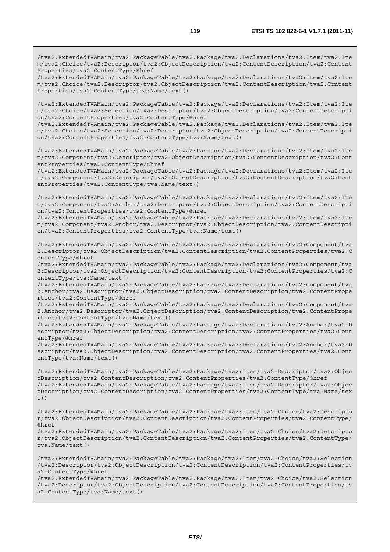/tva2:ExtendedTVAMain/tva2:PackageTable/tva2:Package/tva2:Declarations/tva2:Item/tva2:Ite m/tva2:Choice/tva2:Descriptor/tva2:ObjectDescription/tva2:ContentDescription/tva2:Content Properties/tva2:ContentType/@href

/tva2:ExtendedTVAMain/tva2:PackageTable/tva2:Package/tva2:Declarations/tva2:Item/tva2:Ite m/tva2:Choice/tva2:Descriptor/tva2:ObjectDescription/tva2:ContentDescription/tva2:Content Properties/tva2:ContentType/tva:Name/text()

/tva2:ExtendedTVAMain/tva2:PackageTable/tva2:Package/tva2:Declarations/tva2:Item/tva2:Ite m/tva2:Choice/tva2:Selection/tva2:Descriptor/tva2:ObjectDescription/tva2:ContentDescripti on/tva2:ContentProperties/tva2:ContentType/@href

/tva2:ExtendedTVAMain/tva2:PackageTable/tva2:Package/tva2:Declarations/tva2:Item/tva2:Ite m/tva2:Choice/tva2:Selection/tva2:Descriptor/tva2:ObjectDescription/tva2:ContentDescripti on/tva2:ContentProperties/tva2:ContentType/tva:Name/text()

/tva2:ExtendedTVAMain/tva2:PackageTable/tva2:Package/tva2:Declarations/tva2:Item/tva2:Ite m/tva2:Component/tva2:Descriptor/tva2:ObjectDescription/tva2:ContentDescription/tva2:Cont entProperties/tva2:ContentType/@href

/tva2:ExtendedTVAMain/tva2:PackageTable/tva2:Package/tva2:Declarations/tva2:Item/tva2:Ite m/tva2:Component/tva2:Descriptor/tva2:ObjectDescription/tva2:ContentDescription/tva2:Cont entProperties/tva2:ContentType/tva:Name/text()

/tva2:ExtendedTVAMain/tva2:PackageTable/tva2:Package/tva2:Declarations/tva2:Item/tva2:Ite m/tva2:Component/tva2:Anchor/tva2:Descriptor/tva2:ObjectDescription/tva2:ContentDescripti on/tva2:ContentProperties/tva2:ContentType/@href

/tva2:ExtendedTVAMain/tva2:PackageTable/tva2:Package/tva2:Declarations/tva2:Item/tva2:Ite m/tva2:Component/tva2:Anchor/tva2:Descriptor/tva2:ObjectDescription/tva2:ContentDescripti on/tva2:ContentProperties/tva2:ContentType/tva:Name/text()

/tva2:ExtendedTVAMain/tva2:PackageTable/tva2:Package/tva2:Declarations/tva2:Component/tva 2:Descriptor/tva2:ObjectDescription/tva2:ContentDescription/tva2:ContentProperties/tva2:C ontentType/@href

/tva2:ExtendedTVAMain/tva2:PackageTable/tva2:Package/tva2:Declarations/tva2:Component/tva 2:Descriptor/tva2:ObjectDescription/tva2:ContentDescription/tva2:ContentProperties/tva2:C ontentType/tva:Name/text()

/tva2:ExtendedTVAMain/tva2:PackageTable/tva2:Package/tva2:Declarations/tva2:Component/tva 2:Anchor/tva2:Descriptor/tva2:ObjectDescription/tva2:ContentDescription/tva2:ContentPrope rties/tva2:ContentType/@href

/tva2:ExtendedTVAMain/tva2:PackageTable/tva2:Package/tva2:Declarations/tva2:Component/tva 2:Anchor/tva2:Descriptor/tva2:ObjectDescription/tva2:ContentDescription/tva2:ContentPrope rties/tva2:ContentType/tva:Name/text()

/tva2:ExtendedTVAMain/tva2:PackageTable/tva2:Package/tva2:Declarations/tva2:Anchor/tva2:D escriptor/tva2:ObjectDescription/tva2:ContentDescription/tva2:ContentProperties/tva2:Cont entType/@href

/tva2:ExtendedTVAMain/tva2:PackageTable/tva2:Package/tva2:Declarations/tva2:Anchor/tva2:D escriptor/tva2:ObjectDescription/tva2:ContentDescription/tva2:ContentProperties/tva2:Cont entType/tva:Name/text()

/tva2:ExtendedTVAMain/tva2:PackageTable/tva2:Package/tva2:Item/tva2:Descriptor/tva2:Objec tDescription/tva2:ContentDescription/tva2:ContentProperties/tva2:ContentType/@href /tva2:ExtendedTVAMain/tva2:PackageTable/tva2:Package/tva2:Item/tva2:Descriptor/tva2:Objec tDescription/tva2:ContentDescription/tva2:ContentProperties/tva2:ContentType/tva:Name/tex t()

/tva2:ExtendedTVAMain/tva2:PackageTable/tva2:Package/tva2:Item/tva2:Choice/tva2:Descripto r/tva2:ObjectDescription/tva2:ContentDescription/tva2:ContentProperties/tva2:ContentType/ @href

/tva2:ExtendedTVAMain/tva2:PackageTable/tva2:Package/tva2:Item/tva2:Choice/tva2:Descripto r/tva2:ObjectDescription/tva2:ContentDescription/tva2:ContentProperties/tva2:ContentType/ tva:Name/text()

/tva2:ExtendedTVAMain/tva2:PackageTable/tva2:Package/tva2:Item/tva2:Choice/tva2:Selection /tva2:Descriptor/tva2:ObjectDescription/tva2:ContentDescription/tva2:ContentProperties/tv a2:ContentType/@href

/tva2:ExtendedTVAMain/tva2:PackageTable/tva2:Package/tva2:Item/tva2:Choice/tva2:Selection /tva2:Descriptor/tva2:ObjectDescription/tva2:ContentDescription/tva2:ContentProperties/tv a2:ContentType/tva:Name/text()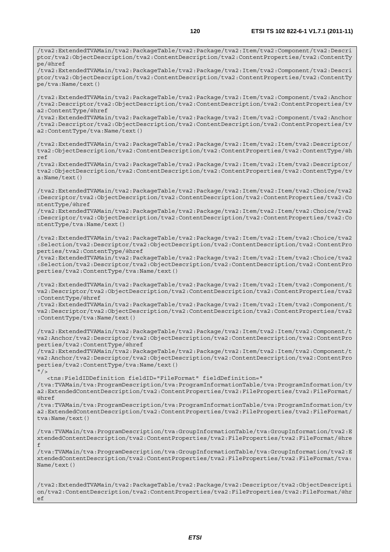/tva2:ExtendedTVAMain/tva2:PackageTable/tva2:Package/tva2:Item/tva2:Component/tva2:Descri ptor/tva2:ObjectDescription/tva2:ContentDescription/tva2:ContentProperties/tva2:ContentTy pe/@href /tva2:ExtendedTVAMain/tva2:PackageTable/tva2:Package/tva2:Item/tva2:Component/tva2:Descri ptor/tva2:ObjectDescription/tva2:ContentDescription/tva2:ContentProperties/tva2:ContentTy pe/tva:Name/text() /tva2:ExtendedTVAMain/tva2:PackageTable/tva2:Package/tva2:Item/tva2:Component/tva2:Anchor /tva2:Descriptor/tva2:ObjectDescription/tva2:ContentDescription/tva2:ContentProperties/tv a2:ContentType/@href /tva2:ExtendedTVAMain/tva2:PackageTable/tva2:Package/tva2:Item/tva2:Component/tva2:Anchor /tva2:Descriptor/tva2:ObjectDescription/tva2:ContentDescription/tva2:ContentProperties/tv a2:ContentType/tva:Name/text() /tva2:ExtendedTVAMain/tva2:PackageTable/tva2:Package/tva2:Item/tva2:Item/tva2:Descriptor/ tva2:ObjectDescription/tva2:ContentDescription/tva2:ContentProperties/tva2:ContentType/@h ref /tva2:ExtendedTVAMain/tva2:PackageTable/tva2:Package/tva2:Item/tva2:Item/tva2:Descriptor/ tva2:ObjectDescription/tva2:ContentDescription/tva2:ContentProperties/tva2:ContentType/tv a:Name/text() /tva2:ExtendedTVAMain/tva2:PackageTable/tva2:Package/tva2:Item/tva2:Item/tva2:Choice/tva2 :Descriptor/tva2:ObjectDescription/tva2:ContentDescription/tva2:ContentProperties/tva2:Co ntentType/@href /tva2:ExtendedTVAMain/tva2:PackageTable/tva2:Package/tva2:Item/tva2:Item/tva2:Choice/tva2 :Descriptor/tva2:ObjectDescription/tva2:ContentDescription/tva2:ContentProperties/tva2:Co ntentType/tva:Name/text() /tva2:ExtendedTVAMain/tva2:PackageTable/tva2:Package/tva2:Item/tva2:Item/tva2:Choice/tva2 :Selection/tva2:Descriptor/tva2:ObjectDescription/tva2:ContentDescription/tva2:ContentPro perties/tva2:ContentType/@href /tva2:ExtendedTVAMain/tva2:PackageTable/tva2:Package/tva2:Item/tva2:Item/tva2:Choice/tva2 :Selection/tva2:Descriptor/tva2:ObjectDescription/tva2:ContentDescription/tva2:ContentPro perties/tva2:ContentType/tva:Name/text() /tva2:ExtendedTVAMain/tva2:PackageTable/tva2:Package/tva2:Item/tva2:Item/tva2:Component/t va2:Descriptor/tva2:ObjectDescription/tva2:ContentDescription/tva2:ContentProperties/tva2 :ContentType/@href /tva2:ExtendedTVAMain/tva2:PackageTable/tva2:Package/tva2:Item/tva2:Item/tva2:Component/t va2:Descriptor/tva2:ObjectDescription/tva2:ContentDescription/tva2:ContentProperties/tva2 :ContentType/tva:Name/text() /tva2:ExtendedTVAMain/tva2:PackageTable/tva2:Package/tva2:Item/tva2:Item/tva2:Component/t va2:Anchor/tva2:Descriptor/tva2:ObjectDescription/tva2:ContentDescription/tva2:ContentPro perties/tva2:ContentType/@href /tva2:ExtendedTVAMain/tva2:PackageTable/tva2:Package/tva2:Item/tva2:Item/tva2:Component/t va2:Anchor/tva2:Descriptor/tva2:ObjectDescription/tva2:ContentDescription/tva2:ContentPro perties/tva2:ContentType/tva:Name/text()  $''$ /> <tns:FieldIDDefinition fieldID="FileFormat" fieldDefinition=" /tva:TVAMain/tva:ProgramDescription/tva:ProgramInformationTable/tva:ProgramInformation/tv a2:ExtendedContentDescription/tva2:ContentProperties/tva2:FileProperties/tva2:FileFormat/ @href /tva:TVAMain/tva:ProgramDescription/tva:ProgramInformationTable/tva:ProgramInformation/tv a2:ExtendedContentDescription/tva2:ContentProperties/tva2:FileProperties/tva2:FileFormat/ tva:Name/text() /tva:TVAMain/tva:ProgramDescription/tva:GroupInformationTable/tva:GroupInformation/tva2:E xtendedContentDescription/tva2:ContentProperties/tva2:FileProperties/tva2:FileFormat/@hre f /tva:TVAMain/tva:ProgramDescription/tva:GroupInformationTable/tva:GroupInformation/tva2:E xtendedContentDescription/tva2:ContentProperties/tva2:FileProperties/tva2:FileFormat/tva:

/tva2:ExtendedTVAMain/tva2:PackageTable/tva2:Package/tva2:Descriptor/tva2:ObjectDescripti on/tva2:ContentDescription/tva2:ContentProperties/tva2:FileProperties/tva2:FileFormat/@hr ef

Name/text()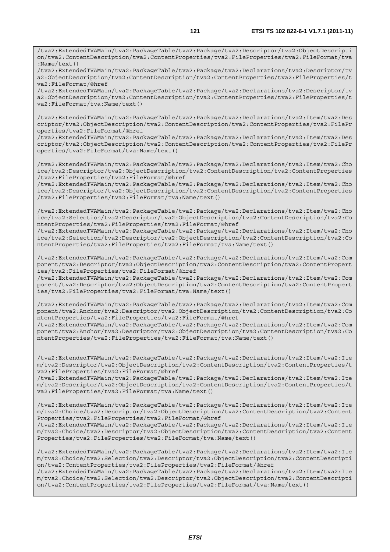/tva2:ExtendedTVAMain/tva2:PackageTable/tva2:Package/tva2:Descriptor/tva2:ObjectDescripti on/tva2:ContentDescription/tva2:ContentProperties/tva2:FileProperties/tva2:FileFormat/tva :Name/text()

/tva2:ExtendedTVAMain/tva2:PackageTable/tva2:Package/tva2:Declarations/tva2:Descriptor/tv a2:ObjectDescription/tva2:ContentDescription/tva2:ContentProperties/tva2:FileProperties/t va2:FileFormat/@href

/tva2:ExtendedTVAMain/tva2:PackageTable/tva2:Package/tva2:Declarations/tva2:Descriptor/tv a2:ObjectDescription/tva2:ContentDescription/tva2:ContentProperties/tva2:FileProperties/t va2:FileFormat/tva:Name/text()

/tva2:ExtendedTVAMain/tva2:PackageTable/tva2:Package/tva2:Declarations/tva2:Item/tva2:Des criptor/tva2:ObjectDescription/tva2:ContentDescription/tva2:ContentProperties/tva2:FilePr operties/tva2:FileFormat/@href

/tva2:ExtendedTVAMain/tva2:PackageTable/tva2:Package/tva2:Declarations/tva2:Item/tva2:Des criptor/tva2:ObjectDescription/tva2:ContentDescription/tva2:ContentProperties/tva2:FilePr operties/tva2:FileFormat/tva:Name/text()

/tva2:ExtendedTVAMain/tva2:PackageTable/tva2:Package/tva2:Declarations/tva2:Item/tva2:Cho ice/tva2:Descriptor/tva2:ObjectDescription/tva2:ContentDescription/tva2:ContentProperties /tva2:FileProperties/tva2:FileFormat/@href

/tva2:ExtendedTVAMain/tva2:PackageTable/tva2:Package/tva2:Declarations/tva2:Item/tva2:Cho ice/tva2:Descriptor/tva2:ObjectDescription/tva2:ContentDescription/tva2:ContentProperties /tva2:FileProperties/tva2:FileFormat/tva:Name/text()

/tva2:ExtendedTVAMain/tva2:PackageTable/tva2:Package/tva2:Declarations/tva2:Item/tva2:Cho ice/tva2:Selection/tva2:Descriptor/tva2:ObjectDescription/tva2:ContentDescription/tva2:Co ntentProperties/tva2:FileProperties/tva2:FileFormat/@href /tva2:ExtendedTVAMain/tva2:PackageTable/tva2:Package/tva2:Declarations/tva2:Item/tva2:Cho

ice/tva2:Selection/tva2:Descriptor/tva2:ObjectDescription/tva2:ContentDescription/tva2:Co ntentProperties/tva2:FileProperties/tva2:FileFormat/tva:Name/text()

/tva2:ExtendedTVAMain/tva2:PackageTable/tva2:Package/tva2:Declarations/tva2:Item/tva2:Com ponent/tva2:Descriptor/tva2:ObjectDescription/tva2:ContentDescription/tva2:ContentPropert ies/tva2:FileProperties/tva2:FileFormat/@href

/tva2:ExtendedTVAMain/tva2:PackageTable/tva2:Package/tva2:Declarations/tva2:Item/tva2:Com ponent/tva2:Descriptor/tva2:ObjectDescription/tva2:ContentDescription/tva2:ContentPropert ies/tva2:FileProperties/tva2:FileFormat/tva:Name/text()

/tva2:ExtendedTVAMain/tva2:PackageTable/tva2:Package/tva2:Declarations/tva2:Item/tva2:Com ponent/tva2:Anchor/tva2:Descriptor/tva2:ObjectDescription/tva2:ContentDescription/tva2:Co ntentProperties/tva2:FileProperties/tva2:FileFormat/@href /tva2:ExtendedTVAMain/tva2:PackageTable/tva2:Package/tva2:Declarations/tva2:Item/tva2:Com ponent/tva2:Anchor/tva2:Descriptor/tva2:ObjectDescription/tva2:ContentDescription/tva2:Co ntentProperties/tva2:FileProperties/tva2:FileFormat/tva:Name/text()

/tva2:ExtendedTVAMain/tva2:PackageTable/tva2:Package/tva2:Declarations/tva2:Item/tva2:Ite m/tva2:Descriptor/tva2:ObjectDescription/tva2:ContentDescription/tva2:ContentProperties/t va2:FileProperties/tva2:FileFormat/@href

/tva2:ExtendedTVAMain/tva2:PackageTable/tva2:Package/tva2:Declarations/tva2:Item/tva2:Ite m/tva2:Descriptor/tva2:ObjectDescription/tva2:ContentDescription/tva2:ContentProperties/t va2:FileProperties/tva2:FileFormat/tva:Name/text()

/tva2:ExtendedTVAMain/tva2:PackageTable/tva2:Package/tva2:Declarations/tva2:Item/tva2:Ite m/tva2:Choice/tva2:Descriptor/tva2:ObjectDescription/tva2:ContentDescription/tva2:Content Properties/tva2:FileProperties/tva2:FileFormat/@href

/tva2:ExtendedTVAMain/tva2:PackageTable/tva2:Package/tva2:Declarations/tva2:Item/tva2:Ite m/tva2:Choice/tva2:Descriptor/tva2:ObjectDescription/tva2:ContentDescription/tva2:Content Properties/tva2:FileProperties/tva2:FileFormat/tva:Name/text()

/tva2:ExtendedTVAMain/tva2:PackageTable/tva2:Package/tva2:Declarations/tva2:Item/tva2:Ite m/tva2:Choice/tva2:Selection/tva2:Descriptor/tva2:ObjectDescription/tva2:ContentDescripti on/tva2:ContentProperties/tva2:FileProperties/tva2:FileFormat/@href

/tva2:ExtendedTVAMain/tva2:PackageTable/tva2:Package/tva2:Declarations/tva2:Item/tva2:Ite m/tva2:Choice/tva2:Selection/tva2:Descriptor/tva2:ObjectDescription/tva2:ContentDescripti on/tva2:ContentProperties/tva2:FileProperties/tva2:FileFormat/tva:Name/text()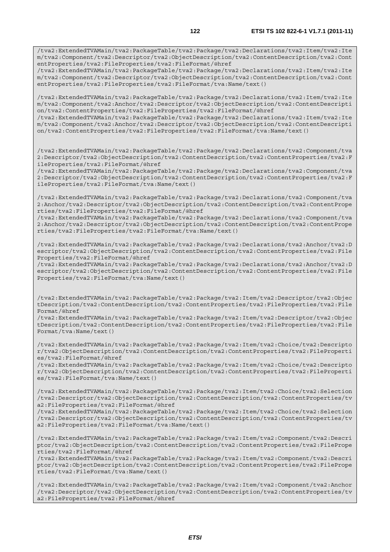entProperties/tva2:FileProperties/tva2:FileFormat/@href /tva2:ExtendedTVAMain/tva2:PackageTable/tva2:Package/tva2:Declarations/tva2:Item/tva2:Ite m/tva2:Component/tva2:Descriptor/tva2:ObjectDescription/tva2:ContentDescription/tva2:Cont entProperties/tva2:FileProperties/tva2:FileFormat/tva:Name/text()

/tva2:ExtendedTVAMain/tva2:PackageTable/tva2:Package/tva2:Declarations/tva2:Item/tva2:Ite m/tva2:Component/tva2:Anchor/tva2:Descriptor/tva2:ObjectDescription/tva2:ContentDescripti on/tva2:ContentProperties/tva2:FileProperties/tva2:FileFormat/@href

/tva2:ExtendedTVAMain/tva2:PackageTable/tva2:Package/tva2:Declarations/tva2:Item/tva2:Ite m/tva2:Component/tva2:Anchor/tva2:Descriptor/tva2:ObjectDescription/tva2:ContentDescripti on/tva2:ContentProperties/tva2:FileProperties/tva2:FileFormat/tva:Name/text()

/tva2:ExtendedTVAMain/tva2:PackageTable/tva2:Package/tva2:Declarations/tva2:Component/tva 2:Descriptor/tva2:ObjectDescription/tva2:ContentDescription/tva2:ContentProperties/tva2:F ileProperties/tva2:FileFormat/@href

/tva2:ExtendedTVAMain/tva2:PackageTable/tva2:Package/tva2:Declarations/tva2:Component/tva 2:Descriptor/tva2:ObjectDescription/tva2:ContentDescription/tva2:ContentProperties/tva2:F ileProperties/tva2:FileFormat/tva:Name/text()

/tva2:ExtendedTVAMain/tva2:PackageTable/tva2:Package/tva2:Declarations/tva2:Component/tva 2:Anchor/tva2:Descriptor/tva2:ObjectDescription/tva2:ContentDescription/tva2:ContentPrope rties/tva2:FileProperties/tva2:FileFormat/@href

/tva2:ExtendedTVAMain/tva2:PackageTable/tva2:Package/tva2:Declarations/tva2:Component/tva 2:Anchor/tva2:Descriptor/tva2:ObjectDescription/tva2:ContentDescription/tva2:ContentPrope rties/tva2:FileProperties/tva2:FileFormat/tva:Name/text()

/tva2:ExtendedTVAMain/tva2:PackageTable/tva2:Package/tva2:Declarations/tva2:Anchor/tva2:D escriptor/tva2:ObjectDescription/tva2:ContentDescription/tva2:ContentProperties/tva2:File Properties/tva2:FileFormat/@href

/tva2:ExtendedTVAMain/tva2:PackageTable/tva2:Package/tva2:Declarations/tva2:Anchor/tva2:D escriptor/tva2:ObjectDescription/tva2:ContentDescription/tva2:ContentProperties/tva2:File Properties/tva2:FileFormat/tva:Name/text()

/tva2:ExtendedTVAMain/tva2:PackageTable/tva2:Package/tva2:Item/tva2:Descriptor/tva2:Objec tDescription/tva2:ContentDescription/tva2:ContentProperties/tva2:FileProperties/tva2:File Format/@href

/tva2:ExtendedTVAMain/tva2:PackageTable/tva2:Package/tva2:Item/tva2:Descriptor/tva2:Objec tDescription/tva2:ContentDescription/tva2:ContentProperties/tva2:FileProperties/tva2:File Format/tva:Name/text()

/tva2:ExtendedTVAMain/tva2:PackageTable/tva2:Package/tva2:Item/tva2:Choice/tva2:Descripto r/tva2:ObjectDescription/tva2:ContentDescription/tva2:ContentProperties/tva2:FileProperti es/tva2:FileFormat/@href

/tva2:ExtendedTVAMain/tva2:PackageTable/tva2:Package/tva2:Item/tva2:Choice/tva2:Descripto r/tva2:ObjectDescription/tva2:ContentDescription/tva2:ContentProperties/tva2:FileProperti es/tva2:FileFormat/tva:Name/text()

/tva2:ExtendedTVAMain/tva2:PackageTable/tva2:Package/tva2:Item/tva2:Choice/tva2:Selection /tva2:Descriptor/tva2:ObjectDescription/tva2:ContentDescription/tva2:ContentProperties/tv a2:FileProperties/tva2:FileFormat/@href

/tva2:ExtendedTVAMain/tva2:PackageTable/tva2:Package/tva2:Item/tva2:Choice/tva2:Selection /tva2:Descriptor/tva2:ObjectDescription/tva2:ContentDescription/tva2:ContentProperties/tv a2:FileProperties/tva2:FileFormat/tva:Name/text()

/tva2:ExtendedTVAMain/tva2:PackageTable/tva2:Package/tva2:Item/tva2:Component/tva2:Descri ptor/tva2:ObjectDescription/tva2:ContentDescription/tva2:ContentProperties/tva2:FilePrope rties/tva2:FileFormat/@href

/tva2:ExtendedTVAMain/tva2:PackageTable/tva2:Package/tva2:Item/tva2:Component/tva2:Descri ptor/tva2:ObjectDescription/tva2:ContentDescription/tva2:ContentProperties/tva2:FilePrope rties/tva2:FileFormat/tva:Name/text()

/tva2:ExtendedTVAMain/tva2:PackageTable/tva2:Package/tva2:Item/tva2:Component/tva2:Anchor /tva2:Descriptor/tva2:ObjectDescription/tva2:ContentDescription/tva2:ContentProperties/tv a2:FileProperties/tva2:FileFormat/@href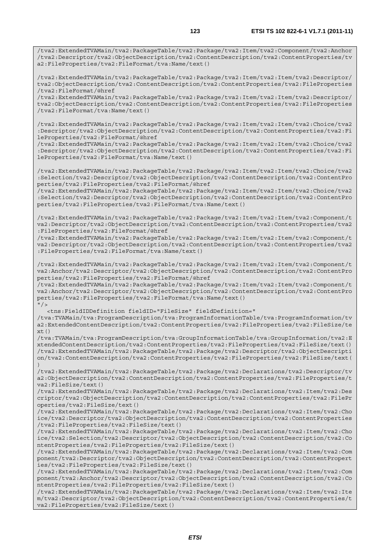/tva2:ExtendedTVAMain/tva2:PackageTable/tva2:Package/tva2:Item/tva2:Component/tva2:Anchor /tva2:Descriptor/tva2:ObjectDescription/tva2:ContentDescription/tva2:ContentProperties/tv a2:FileProperties/tva2:FileFormat/tva:Name/text()

/tva2:ExtendedTVAMain/tva2:PackageTable/tva2:Package/tva2:Item/tva2:Item/tva2:Descriptor/ tva2:ObjectDescription/tva2:ContentDescription/tva2:ContentProperties/tva2:FileProperties /tva2:FileFormat/@href

/tva2:ExtendedTVAMain/tva2:PackageTable/tva2:Package/tva2:Item/tva2:Item/tva2:Descriptor/ tva2:ObjectDescription/tva2:ContentDescription/tva2:ContentProperties/tva2:FileProperties /tva2:FileFormat/tva:Name/text()

/tva2:ExtendedTVAMain/tva2:PackageTable/tva2:Package/tva2:Item/tva2:Item/tva2:Choice/tva2 :Descriptor/tva2:ObjectDescription/tva2:ContentDescription/tva2:ContentProperties/tva2:Fi leProperties/tva2:FileFormat/@href

/tva2:ExtendedTVAMain/tva2:PackageTable/tva2:Package/tva2:Item/tva2:Item/tva2:Choice/tva2 :Descriptor/tva2:ObjectDescription/tva2:ContentDescription/tva2:ContentProperties/tva2:Fi leProperties/tva2:FileFormat/tva:Name/text()

/tva2:ExtendedTVAMain/tva2:PackageTable/tva2:Package/tva2:Item/tva2:Item/tva2:Choice/tva2 :Selection/tva2:Descriptor/tva2:ObjectDescription/tva2:ContentDescription/tva2:ContentPro perties/tva2:FileProperties/tva2:FileFormat/@href

/tva2:ExtendedTVAMain/tva2:PackageTable/tva2:Package/tva2:Item/tva2:Item/tva2:Choice/tva2 :Selection/tva2:Descriptor/tva2:ObjectDescription/tva2:ContentDescription/tva2:ContentPro perties/tva2:FileProperties/tva2:FileFormat/tva:Name/text()

/tva2:ExtendedTVAMain/tva2:PackageTable/tva2:Package/tva2:Item/tva2:Item/tva2:Component/t va2:Descriptor/tva2:ObjectDescription/tva2:ContentDescription/tva2:ContentProperties/tva2 :FileProperties/tva2:FileFormat/@href

/tva2:ExtendedTVAMain/tva2:PackageTable/tva2:Package/tva2:Item/tva2:Item/tva2:Component/t va2:Descriptor/tva2:ObjectDescription/tva2:ContentDescription/tva2:ContentProperties/tva2 :FileProperties/tva2:FileFormat/tva:Name/text()

/tva2:ExtendedTVAMain/tva2:PackageTable/tva2:Package/tva2:Item/tva2:Item/tva2:Component/t va2:Anchor/tva2:Descriptor/tva2:ObjectDescription/tva2:ContentDescription/tva2:ContentPro perties/tva2:FileProperties/tva2:FileFormat/@href

/tva2:ExtendedTVAMain/tva2:PackageTable/tva2:Package/tva2:Item/tva2:Item/tva2:Component/t va2:Anchor/tva2:Descriptor/tva2:ObjectDescription/tva2:ContentDescription/tva2:ContentPro perties/tva2:FileProperties/tva2:FileFormat/tva:Name/text()  $''$  /  $>$ 

<tns:FieldIDDefinition fieldID="FileSize" fieldDefinition="

/tva:TVAMain/tva:ProgramDescription/tva:ProgramInformationTable/tva:ProgramInformation/tv a2:ExtendedContentDescription/tva2:ContentProperties/tva2:FileProperties/tva2:FileSize/te  $xt()$ 

/tva:TVAMain/tva:ProgramDescription/tva:GroupInformationTable/tva:GroupInformation/tva2:E xtendedContentDescription/tva2:ContentProperties/tva2:FileProperties/tva2:FileSize/text() /tva2:ExtendedTVAMain/tva2:PackageTable/tva2:Package/tva2:Descriptor/tva2:ObjectDescripti on/tva2:ContentDescription/tva2:ContentProperties/tva2:FileProperties/tva2:FileSize/text( )

/tva2:ExtendedTVAMain/tva2:PackageTable/tva2:Package/tva2:Declarations/tva2:Descriptor/tv a2:ObjectDescription/tva2:ContentDescription/tva2:ContentProperties/tva2:FileProperties/t va2:FileSize/text()

/tva2:ExtendedTVAMain/tva2:PackageTable/tva2:Package/tva2:Declarations/tva2:Item/tva2:Des criptor/tva2:ObjectDescription/tva2:ContentDescription/tva2:ContentProperties/tva2:FilePr operties/tva2:FileSize/text()

/tva2:ExtendedTVAMain/tva2:PackageTable/tva2:Package/tva2:Declarations/tva2:Item/tva2:Cho ice/tva2:Descriptor/tva2:ObjectDescription/tva2:ContentDescription/tva2:ContentProperties /tva2:FileProperties/tva2:FileSize/text()

/tva2:ExtendedTVAMain/tva2:PackageTable/tva2:Package/tva2:Declarations/tva2:Item/tva2:Cho ice/tva2:Selection/tva2:Descriptor/tva2:ObjectDescription/tva2:ContentDescription/tva2:Co ntentProperties/tva2:FileProperties/tva2:FileSize/text()

/tva2:ExtendedTVAMain/tva2:PackageTable/tva2:Package/tva2:Declarations/tva2:Item/tva2:Com ponent/tva2:Descriptor/tva2:ObjectDescription/tva2:ContentDescription/tva2:ContentPropert ies/tva2:FileProperties/tva2:FileSize/text()

/tva2:ExtendedTVAMain/tva2:PackageTable/tva2:Package/tva2:Declarations/tva2:Item/tva2:Com ponent/tva2:Anchor/tva2:Descriptor/tva2:ObjectDescription/tva2:ContentDescription/tva2:Co ntentProperties/tva2:FileProperties/tva2:FileSize/text()

/tva2:ExtendedTVAMain/tva2:PackageTable/tva2:Package/tva2:Declarations/tva2:Item/tva2:Ite m/tva2:Descriptor/tva2:ObjectDescription/tva2:ContentDescription/tva2:ContentProperties/t va2:FileProperties/tva2:FileSize/text()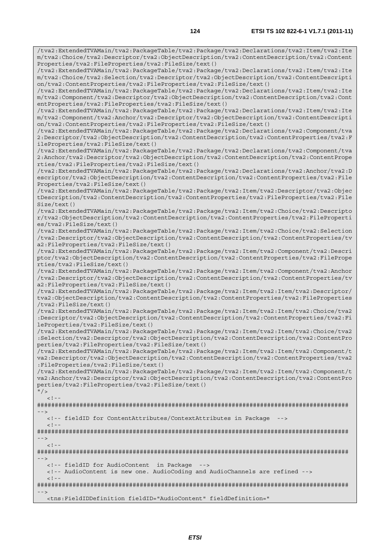/tva2:ExtendedTVAMain/tva2:PackageTable/tva2:Package/tva2:Declarations/tva2:Item/tva2:Ite m/tva2:Choice/tva2:Descriptor/tva2:ObjectDescription/tva2:ContentDescription/tva2:Content Properties/tva2:FileProperties/tva2:FileSize/text() /tva2:ExtendedTVAMain/tva2:PackageTable/tva2:Package/tva2:Declarations/tva2:Item/tva2:Ite m/tva2:Choice/tva2:Selection/tva2:Descriptor/tva2:ObjectDescription/tva2:ContentDescripti on/tva2:ContentProperties/tva2:FileProperties/tva2:FileSize/text() /tva2:ExtendedTVAMain/tva2:PackageTable/tva2:Package/tva2:Declarations/tva2:Item/tva2:Ite m/tva2:Component/tva2:Descriptor/tva2:ObjectDescription/tva2:ContentDescription/tva2:Cont entProperties/tva2:FileProperties/tva2:FileSize/text() /tva2:ExtendedTVAMain/tva2:PackageTable/tva2:Package/tva2:Declarations/tva2:Item/tva2:Ite m/tva2:Component/tva2:Anchor/tva2:Descriptor/tva2:ObjectDescription/tva2:ContentDescripti on/tva2:ContentProperties/tva2:FileProperties/tva2:FileSize/text() /tva2:ExtendedTVAMain/tva2:PackageTable/tva2:Package/tva2:Declarations/tva2:Component/tva 2:Descriptor/tva2:ObjectDescription/tva2:ContentDescription/tva2:ContentProperties/tva2:F ileProperties/tva2:FileSize/text() /tva2:ExtendedTVAMain/tva2:PackageTable/tva2:Package/tva2:Declarations/tva2:Component/tva 2:Anchor/tva2:Descriptor/tva2:ObjectDescription/tva2:ContentDescription/tva2:ContentPrope rties/tva2:FileProperties/tva2:FileSize/text() /tva2:ExtendedTVAMain/tva2:PackageTable/tva2:Package/tva2:Declarations/tva2:Anchor/tva2:D escriptor/tva2:ObjectDescription/tva2:ContentDescription/tva2:ContentProperties/tva2:File Properties/tva2:FileSize/text() /tva2:ExtendedTVAMain/tva2:PackageTable/tva2:Package/tva2:Item/tva2:Descriptor/tva2:Objec tDescription/tva2:ContentDescription/tva2:ContentProperties/tva2:FileProperties/tva2:File Size/text() /tva2:ExtendedTVAMain/tva2:PackageTable/tva2:Package/tva2:Item/tva2:Choice/tva2:Descripto r/tva2:ObjectDescription/tva2:ContentDescription/tva2:ContentProperties/tva2:FileProperti es/tva2:FileSize/text() /tva2:ExtendedTVAMain/tva2:PackageTable/tva2:Package/tva2:Item/tva2:Choice/tva2:Selection /tva2:Descriptor/tva2:ObjectDescription/tva2:ContentDescription/tva2:ContentProperties/tv a2:FileProperties/tva2:FileSize/text() /tva2:ExtendedTVAMain/tva2:PackageTable/tva2:Package/tva2:Item/tva2:Component/tva2:Descri ptor/tva2:ObjectDescription/tva2:ContentDescription/tva2:ContentProperties/tva2:FilePrope rties/tva2:FileSize/text() /tva2:ExtendedTVAMain/tva2:PackageTable/tva2:Package/tva2:Item/tva2:Component/tva2:Anchor /tva2:Descriptor/tva2:ObjectDescription/tva2:ContentDescription/tva2:ContentProperties/tv a2:FileProperties/tva2:FileSize/text() /tva2:ExtendedTVAMain/tva2:PackageTable/tva2:Package/tva2:Item/tva2:Item/tva2:Descriptor/ tva2:ObjectDescription/tva2:ContentDescription/tva2:ContentProperties/tva2:FileProperties /tva2:FileSize/text() /tva2:ExtendedTVAMain/tva2:PackageTable/tva2:Package/tva2:Item/tva2:Item/tva2:Choice/tva2 :Descriptor/tva2:ObjectDescription/tva2:ContentDescription/tva2:ContentProperties/tva2:Fi leProperties/tva2:FileSize/text() /tva2:ExtendedTVAMain/tva2:PackageTable/tva2:Package/tva2:Item/tva2:Item/tva2:Choice/tva2 :Selection/tva2:Descriptor/tva2:ObjectDescription/tva2:ContentDescription/tva2:ContentPro perties/tva2:FileProperties/tva2:FileSize/text() /tva2:ExtendedTVAMain/tva2:PackageTable/tva2:Package/tva2:Item/tva2:Item/tva2:Component/t va2:Descriptor/tva2:ObjectDescription/tva2:ContentDescription/tva2:ContentProperties/tva2 :FileProperties/tva2:FileSize/text() /tva2:ExtendedTVAMain/tva2:PackageTable/tva2:Package/tva2:Item/tva2:Item/tva2:Component/t va2:Anchor/tva2:Descriptor/tva2:ObjectDescription/tva2:ContentDescription/tva2:ContentPro perties/tva2:FileProperties/tva2:FileSize/text()  $"$  />  $\lt$  ! ######################################################################################## --> <!-- fieldID for ContentAttributes/ContextAttributes in Package -->  $\lt$  !  $-$ ######################################################################################## -->  $<$ ! --######################################################################################## --> <!-- fieldID for AudioContent in Package --> <!-- AudioContent is new one. AudioCoding and AudioChannels are refined -->  $\lt$  !  $-$ ######################################################################################## -->

<tns:FieldIDDefinition fieldID="AudioContent" fieldDefinition="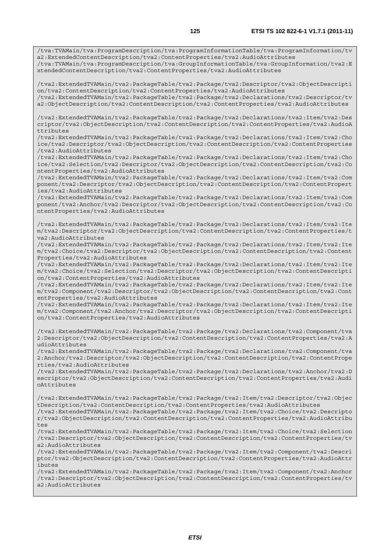/tva:TVAMain/tva:ProgramDescription/tva:ProgramInformationTable/tva:ProgramInformation/tv a2:ExtendedContentDescription/tva2:ContentProperties/tva2:AudioAttributes /tva:TVAMain/tva:ProgramDescription/tva:GroupInformationTable/tva:GroupInformation/tva2:E

xtendedContentDescription/tva2:ContentProperties/tva2:AudioAttributes

/tva2:ExtendedTVAMain/tva2:PackageTable/tva2:Package/tva2:Descriptor/tva2:ObjectDescripti on/tva2:ContentDescription/tva2:ContentProperties/tva2:AudioAttributes

/tva2:ExtendedTVAMain/tva2:PackageTable/tva2:Package/tva2:Declarations/tva2:Descriptor/tv a2:ObjectDescription/tva2:ContentDescription/tva2:ContentProperties/tva2:AudioAttributes

/tva2:ExtendedTVAMain/tva2:PackageTable/tva2:Package/tva2:Declarations/tva2:Item/tva2:Des criptor/tva2:ObjectDescription/tva2:ContentDescription/tva2:ContentProperties/tva2:AudioA ttributes

/tva2:ExtendedTVAMain/tva2:PackageTable/tva2:Package/tva2:Declarations/tva2:Item/tva2:Cho ice/tva2:Descriptor/tva2:ObjectDescription/tva2:ContentDescription/tva2:ContentProperties /tva2:AudioAttributes

/tva2:ExtendedTVAMain/tva2:PackageTable/tva2:Package/tva2:Declarations/tva2:Item/tva2:Cho ice/tva2:Selection/tva2:Descriptor/tva2:ObjectDescription/tva2:ContentDescription/tva2:Co ntentProperties/tva2:AudioAttributes

/tva2:ExtendedTVAMain/tva2:PackageTable/tva2:Package/tva2:Declarations/tva2:Item/tva2:Com ponent/tva2:Descriptor/tva2:ObjectDescription/tva2:ContentDescription/tva2:ContentPropert ies/tva2:AudioAttributes

/tva2:ExtendedTVAMain/tva2:PackageTable/tva2:Package/tva2:Declarations/tva2:Item/tva2:Com ponent/tva2:Anchor/tva2:Descriptor/tva2:ObjectDescription/tva2:ContentDescription/tva2:Co ntentProperties/tva2:AudioAttributes

/tva2:ExtendedTVAMain/tva2:PackageTable/tva2:Package/tva2:Declarations/tva2:Item/tva2:Ite m/tva2:Descriptor/tva2:ObjectDescription/tva2:ContentDescription/tva2:ContentProperties/t va2:AudioAttributes

/tva2:ExtendedTVAMain/tva2:PackageTable/tva2:Package/tva2:Declarations/tva2:Item/tva2:Ite m/tva2:Choice/tva2:Descriptor/tva2:ObjectDescription/tva2:ContentDescription/tva2:Content Properties/tva2:AudioAttributes

/tva2:ExtendedTVAMain/tva2:PackageTable/tva2:Package/tva2:Declarations/tva2:Item/tva2:Ite m/tva2:Choice/tva2:Selection/tva2:Descriptor/tva2:ObjectDescription/tva2:ContentDescripti on/tva2:ContentProperties/tva2:AudioAttributes

/tva2:ExtendedTVAMain/tva2:PackageTable/tva2:Package/tva2:Declarations/tva2:Item/tva2:Ite m/tva2:Component/tva2:Descriptor/tva2:ObjectDescription/tva2:ContentDescription/tva2:Cont entProperties/tva2:AudioAttributes

/tva2:ExtendedTVAMain/tva2:PackageTable/tva2:Package/tva2:Declarations/tva2:Item/tva2:Ite m/tva2:Component/tva2:Anchor/tva2:Descriptor/tva2:ObjectDescription/tva2:ContentDescripti on/tva2:ContentProperties/tva2:AudioAttributes

/tva2:ExtendedTVAMain/tva2:PackageTable/tva2:Package/tva2:Declarations/tva2:Component/tva 2:Descriptor/tva2:ObjectDescription/tva2:ContentDescription/tva2:ContentProperties/tva2:A udioAttributes

/tva2:ExtendedTVAMain/tva2:PackageTable/tva2:Package/tva2:Declarations/tva2:Component/tva 2:Anchor/tva2:Descriptor/tva2:ObjectDescription/tva2:ContentDescription/tva2:ContentPrope rties/tva2:AudioAttributes

/tva2:ExtendedTVAMain/tva2:PackageTable/tva2:Package/tva2:Declarations/tva2:Anchor/tva2:D escriptor/tva2:ObjectDescription/tva2:ContentDescription/tva2:ContentProperties/tva2:Audi oAttributes

/tva2:ExtendedTVAMain/tva2:PackageTable/tva2:Package/tva2:Item/tva2:Descriptor/tva2:Objec tDescription/tva2:ContentDescription/tva2:ContentProperties/tva2:AudioAttributes /tva2:ExtendedTVAMain/tva2:PackageTable/tva2:Package/tva2:Item/tva2:Choice/tva2:Descripto

r/tva2:ObjectDescription/tva2:ContentDescription/tva2:ContentProperties/tva2:AudioAttribu tes

/tva2:ExtendedTVAMain/tva2:PackageTable/tva2:Package/tva2:Item/tva2:Choice/tva2:Selection /tva2:Descriptor/tva2:ObjectDescription/tva2:ContentDescription/tva2:ContentProperties/tv a2:AudioAttributes

/tva2:ExtendedTVAMain/tva2:PackageTable/tva2:Package/tva2:Item/tva2:Component/tva2:Descri ptor/tva2:ObjectDescription/tva2:ContentDescription/tva2:ContentProperties/tva2:AudioAttr ibutes

/tva2:ExtendedTVAMain/tva2:PackageTable/tva2:Package/tva2:Item/tva2:Component/tva2:Anchor /tva2:Descriptor/tva2:ObjectDescription/tva2:ContentDescription/tva2:ContentProperties/tv  $a2 \cdot \Delta u \cdot \Delta t + r \cdot \Delta u + \Delta s$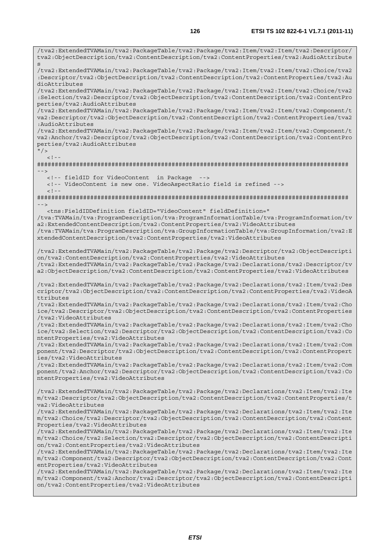/tva2:ExtendedTVAMain/tva2:PackageTable/tva2:Package/tva2:Item/tva2:Item/tva2:Descriptor/ tva2:ObjectDescription/tva2:ContentDescription/tva2:ContentProperties/tva2:AudioAttribute s /tva2:ExtendedTVAMain/tva2:PackageTable/tva2:Package/tva2:Item/tva2:Item/tva2:Choice/tva2 :Descriptor/tva2:ObjectDescription/tva2:ContentDescription/tva2:ContentProperties/tva2:Au dioAttributes /tva2:ExtendedTVAMain/tva2:PackageTable/tva2:Package/tva2:Item/tva2:Item/tva2:Choice/tva2 :Selection/tva2:Descriptor/tva2:ObjectDescription/tva2:ContentDescription/tva2:ContentPro perties/tva2:AudioAttributes /tva2:ExtendedTVAMain/tva2:PackageTable/tva2:Package/tva2:Item/tva2:Item/tva2:Component/t va2:Descriptor/tva2:ObjectDescription/tva2:ContentDescription/tva2:ContentProperties/tva2 :AudioAttributes /tva2:ExtendedTVAMain/tva2:PackageTable/tva2:Package/tva2:Item/tva2:Item/tva2:Component/t va2:Anchor/tva2:Descriptor/tva2:ObjectDescription/tva2:ContentDescription/tva2:ContentPro perties/tva2:AudioAttributes  $"$  / >  $\geq$   $\frac{1}{2}$ ######################################################################################## --> <!-- fieldID for VideoContent in Package --> <!-- VideoContent is new one. VideoAspectRatio field is refined -->  $<$ ! --######################################################################################## --> <tns:FieldIDDefinition fieldID="VideoContent" fieldDefinition=" /tva:TVAMain/tva:ProgramDescription/tva:ProgramInformationTable/tva:ProgramInformation/tv a2:ExtendedContentDescription/tva2:ContentProperties/tva2:VideoAttributes /tva:TVAMain/tva:ProgramDescription/tva:GroupInformationTable/tva:GroupInformation/tva2:E xtendedContentDescription/tva2:ContentProperties/tva2:VideoAttributes /tva2:ExtendedTVAMain/tva2:PackageTable/tva2:Package/tva2:Descriptor/tva2:ObjectDescripti on/tva2:ContentDescription/tva2:ContentProperties/tva2:VideoAttributes /tva2:ExtendedTVAMain/tva2:PackageTable/tva2:Package/tva2:Declarations/tva2:Descriptor/tv a2:ObjectDescription/tva2:ContentDescription/tva2:ContentProperties/tva2:VideoAttributes /tva2:ExtendedTVAMain/tva2:PackageTable/tva2:Package/tva2:Declarations/tva2:Item/tva2:Des criptor/tva2:ObjectDescription/tva2:ContentDescription/tva2:ContentProperties/tva2:VideoA ttributes /tva2:ExtendedTVAMain/tva2:PackageTable/tva2:Package/tva2:Declarations/tva2:Item/tva2:Cho ice/tva2:Descriptor/tva2:ObjectDescription/tva2:ContentDescription/tva2:ContentProperties /tva2:VideoAttributes /tva2:ExtendedTVAMain/tva2:PackageTable/tva2:Package/tva2:Declarations/tva2:Item/tva2:Cho ice/tva2:Selection/tva2:Descriptor/tva2:ObjectDescription/tva2:ContentDescription/tva2:Co ntentProperties/tva2:VideoAttributes /tva2:ExtendedTVAMain/tva2:PackageTable/tva2:Package/tva2:Declarations/tva2:Item/tva2:Com ponent/tva2:Descriptor/tva2:ObjectDescription/tva2:ContentDescription/tva2:ContentPropert ies/tva2:VideoAttributes /tva2:ExtendedTVAMain/tva2:PackageTable/tva2:Package/tva2:Declarations/tva2:Item/tva2:Com ponent/tva2:Anchor/tva2:Descriptor/tva2:ObjectDescription/tva2:ContentDescription/tva2:Co ntentProperties/tva2:VideoAttributes /tva2:ExtendedTVAMain/tva2:PackageTable/tva2:Package/tva2:Declarations/tva2:Item/tva2:Ite m/tva2:Descriptor/tva2:ObjectDescription/tva2:ContentDescription/tva2:ContentProperties/t va2:VideoAttributes /tva2:ExtendedTVAMain/tva2:PackageTable/tva2:Package/tva2:Declarations/tva2:Item/tva2:Ite m/tva2:Choice/tva2:Descriptor/tva2:ObjectDescription/tva2:ContentDescription/tva2:Content Properties/tva2:VideoAttributes /tva2:ExtendedTVAMain/tva2:PackageTable/tva2:Package/tva2:Declarations/tva2:Item/tva2:Ite m/tva2:Choice/tva2:Selection/tva2:Descriptor/tva2:ObjectDescription/tva2:ContentDescripti on/tva2:ContentProperties/tva2:VideoAttributes /tva2:ExtendedTVAMain/tva2:PackageTable/tva2:Package/tva2:Declarations/tva2:Item/tva2:Ite m/tva2:Component/tva2:Descriptor/tva2:ObjectDescription/tva2:ContentDescription/tva2:Cont entProperties/tva2:VideoAttributes /tva2:ExtendedTVAMain/tva2:PackageTable/tva2:Package/tva2:Declarations/tva2:Item/tva2:Ite m/tva2:Component/tva2:Anchor/tva2:Descriptor/tva2:ObjectDescription/tva2:ContentDescripti

on/tva2:ContentProperties/tva2:VideoAttributes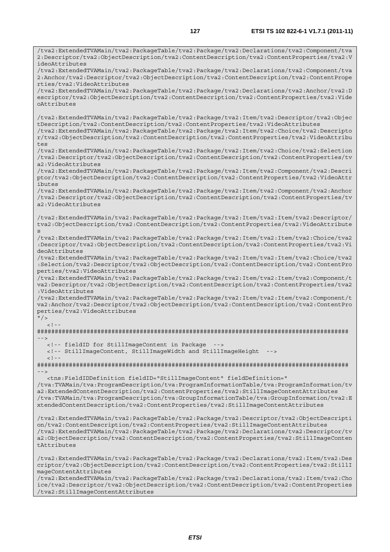/tva2:ExtendedTVAMain/tva2:PackageTable/tva2:Package/tva2:Declarations/tva2:Component/tva 2:Descriptor/tva2:ObjectDescription/tva2:ContentDescription/tva2:ContentProperties/tva2:V ideoAttributes /tva2:ExtendedTVAMain/tva2:PackageTable/tva2:Package/tva2:Declarations/tva2:Component/tva 2:Anchor/tva2:Descriptor/tva2:ObjectDescription/tva2:ContentDescription/tva2:ContentPrope rties/tva2:VideoAttributes /tva2:ExtendedTVAMain/tva2:PackageTable/tva2:Package/tva2:Declarations/tva2:Anchor/tva2:D escriptor/tva2:ObjectDescription/tva2:ContentDescription/tva2:ContentProperties/tva2:Vide oAttributes /tva2:ExtendedTVAMain/tva2:PackageTable/tva2:Package/tva2:Item/tva2:Descriptor/tva2:Objec tDescription/tva2:ContentDescription/tva2:ContentProperties/tva2:VideoAttributes /tva2:ExtendedTVAMain/tva2:PackageTable/tva2:Package/tva2:Item/tva2:Choice/tva2:Descripto r/tva2:ObjectDescription/tva2:ContentDescription/tva2:ContentProperties/tva2:VideoAttribu tes /tva2:ExtendedTVAMain/tva2:PackageTable/tva2:Package/tva2:Item/tva2:Choice/tva2:Selection /tva2:Descriptor/tva2:ObjectDescription/tva2:ContentDescription/tva2:ContentProperties/tv a2:VideoAttributes /tva2:ExtendedTVAMain/tva2:PackageTable/tva2:Package/tva2:Item/tva2:Component/tva2:Descri ptor/tva2:ObjectDescription/tva2:ContentDescription/tva2:ContentProperties/tva2:VideoAttr ibutes /tva2:ExtendedTVAMain/tva2:PackageTable/tva2:Package/tva2:Item/tva2:Component/tva2:Anchor /tva2:Descriptor/tva2:ObjectDescription/tva2:ContentDescription/tva2:ContentProperties/tv a2:VideoAttributes /tva2:ExtendedTVAMain/tva2:PackageTable/tva2:Package/tva2:Item/tva2:Item/tva2:Descriptor/ tva2:ObjectDescription/tva2:ContentDescription/tva2:ContentProperties/tva2:VideoAttribute s /tva2:ExtendedTVAMain/tva2:PackageTable/tva2:Package/tva2:Item/tva2:Item/tva2:Choice/tva2 :Descriptor/tva2:ObjectDescription/tva2:ContentDescription/tva2:ContentProperties/tva2:Vi deoAttributes /tva2:ExtendedTVAMain/tva2:PackageTable/tva2:Package/tva2:Item/tva2:Item/tva2:Choice/tva2 :Selection/tva2:Descriptor/tva2:ObjectDescription/tva2:ContentDescription/tva2:ContentPro perties/tva2:VideoAttributes /tva2:ExtendedTVAMain/tva2:PackageTable/tva2:Package/tva2:Item/tva2:Item/tva2:Component/t va2:Descriptor/tva2:ObjectDescription/tva2:ContentDescription/tva2:ContentProperties/tva2 :VideoAttributes /tva2:ExtendedTVAMain/tva2:PackageTable/tva2:Package/tva2:Item/tva2:Item/tva2:Component/t va2:Anchor/tva2:Descriptor/tva2:ObjectDescription/tva2:ContentDescription/tva2:ContentPro perties/tva2:VideoAttributes  $"$  />  $\geq$   $\geq$ ######################################################################################## --> <!-- fieldID for StillImageContent in Package --> <!-- StillImageContent, StillImageWidth and StillImageHeight -->  $<$ ! --######################################################################################## --> <tns:FieldIDDefinition fieldID="StillImageContent" fieldDefinition=" /tva:TVAMain/tva:ProgramDescription/tva:ProgramInformationTable/tva:ProgramInformation/tv a2:ExtendedContentDescription/tva2:ContentProperties/tva2:StillImageContentAttributes /tva:TVAMain/tva:ProgramDescription/tva:GroupInformationTable/tva:GroupInformation/tva2:E xtendedContentDescription/tva2:ContentProperties/tva2:StillImageContentAttributes /tva2:ExtendedTVAMain/tva2:PackageTable/tva2:Package/tva2:Descriptor/tva2:ObjectDescripti on/tva2:ContentDescription/tva2:ContentProperties/tva2:StillImageContentAttributes /tva2:ExtendedTVAMain/tva2:PackageTable/tva2:Package/tva2:Declarations/tva2:Descriptor/tv a2:ObjectDescription/tva2:ContentDescription/tva2:ContentProperties/tva2:StillImageConten tAttributes /tva2:ExtendedTVAMain/tva2:PackageTable/tva2:Package/tva2:Declarations/tva2:Item/tva2:Des criptor/tva2:ObjectDescription/tva2:ContentDescription/tva2:ContentProperties/tva2:StillI mageContentAttributes /tva2:ExtendedTVAMain/tva2:PackageTable/tva2:Package/tva2:Declarations/tva2:Item/tva2:Cho

ice/tva2:Descriptor/tva2:ObjectDescription/tva2:ContentDescription/tva2:ContentProperties /tva2:StillImageContentAttributes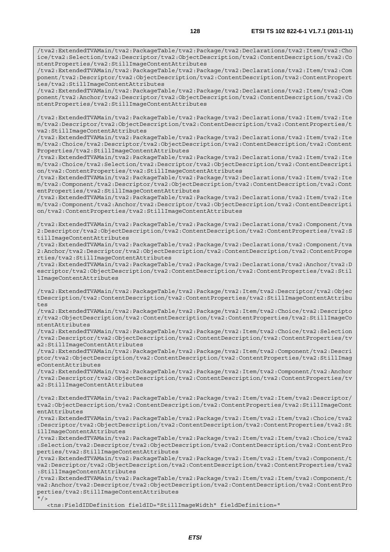/tva2:ExtendedTVAMain/tva2:PackageTable/tva2:Package/tva2:Declarations/tva2:Item/tva2:Cho ice/tva2:Selection/tva2:Descriptor/tva2:ObjectDescription/tva2:ContentDescription/tva2:Co ntentProperties/tva2:StillImageContentAttributes

/tva2:ExtendedTVAMain/tva2:PackageTable/tva2:Package/tva2:Declarations/tva2:Item/tva2:Com ponent/tva2:Descriptor/tva2:ObjectDescription/tva2:ContentDescription/tva2:ContentPropert ies/tva2:StillImageContentAttributes

/tva2:ExtendedTVAMain/tva2:PackageTable/tva2:Package/tva2:Declarations/tva2:Item/tva2:Com ponent/tva2:Anchor/tva2:Descriptor/tva2:ObjectDescription/tva2:ContentDescription/tva2:Co ntentProperties/tva2:StillImageContentAttributes

/tva2:ExtendedTVAMain/tva2:PackageTable/tva2:Package/tva2:Declarations/tva2:Item/tva2:Ite m/tva2:Descriptor/tva2:ObjectDescription/tva2:ContentDescription/tva2:ContentProperties/t va2:StillImageContentAttributes

/tva2:ExtendedTVAMain/tva2:PackageTable/tva2:Package/tva2:Declarations/tva2:Item/tva2:Ite m/tva2:Choice/tva2:Descriptor/tva2:ObjectDescription/tva2:ContentDescription/tva2:Content Properties/tva2:StillImageContentAttributes

/tva2:ExtendedTVAMain/tva2:PackageTable/tva2:Package/tva2:Declarations/tva2:Item/tva2:Ite m/tva2:Choice/tva2:Selection/tva2:Descriptor/tva2:ObjectDescription/tva2:ContentDescripti on/tva2:ContentProperties/tva2:StillImageContentAttributes

/tva2:ExtendedTVAMain/tva2:PackageTable/tva2:Package/tva2:Declarations/tva2:Item/tva2:Ite m/tva2:Component/tva2:Descriptor/tva2:ObjectDescription/tva2:ContentDescription/tva2:Cont entProperties/tva2:StillImageContentAttributes

/tva2:ExtendedTVAMain/tva2:PackageTable/tva2:Package/tva2:Declarations/tva2:Item/tva2:Ite m/tva2:Component/tva2:Anchor/tva2:Descriptor/tva2:ObjectDescription/tva2:ContentDescripti on/tva2:ContentProperties/tva2:StillImageContentAttributes

/tva2:ExtendedTVAMain/tva2:PackageTable/tva2:Package/tva2:Declarations/tva2:Component/tva 2:Descriptor/tva2:ObjectDescription/tva2:ContentDescription/tva2:ContentProperties/tva2:S tillImageContentAttributes

/tva2:ExtendedTVAMain/tva2:PackageTable/tva2:Package/tva2:Declarations/tva2:Component/tva 2:Anchor/tva2:Descriptor/tva2:ObjectDescription/tva2:ContentDescription/tva2:ContentPrope rties/tva2:StillImageContentAttributes

/tva2:ExtendedTVAMain/tva2:PackageTable/tva2:Package/tva2:Declarations/tva2:Anchor/tva2:D escriptor/tva2:ObjectDescription/tva2:ContentDescription/tva2:ContentProperties/tva2:Stil lImageContentAttributes

/tva2:ExtendedTVAMain/tva2:PackageTable/tva2:Package/tva2:Item/tva2:Descriptor/tva2:Objec tDescription/tva2:ContentDescription/tva2:ContentProperties/tva2:StillImageContentAttribu tes

/tva2:ExtendedTVAMain/tva2:PackageTable/tva2:Package/tva2:Item/tva2:Choice/tva2:Descripto r/tva2:ObjectDescription/tva2:ContentDescription/tva2:ContentProperties/tva2:StillImageCo ntentAttributes

/tva2:ExtendedTVAMain/tva2:PackageTable/tva2:Package/tva2:Item/tva2:Choice/tva2:Selection /tva2:Descriptor/tva2:ObjectDescription/tva2:ContentDescription/tva2:ContentProperties/tv a2:StillImageContentAttributes

/tva2:ExtendedTVAMain/tva2:PackageTable/tva2:Package/tva2:Item/tva2:Component/tva2:Descri ptor/tva2:ObjectDescription/tva2:ContentDescription/tva2:ContentProperties/tva2:StillImag eContentAttributes

/tva2:ExtendedTVAMain/tva2:PackageTable/tva2:Package/tva2:Item/tva2:Component/tva2:Anchor /tva2:Descriptor/tva2:ObjectDescription/tva2:ContentDescription/tva2:ContentProperties/tv a2:StillImageContentAttributes

/tva2:ExtendedTVAMain/tva2:PackageTable/tva2:Package/tva2:Item/tva2:Item/tva2:Descriptor/ tva2:ObjectDescription/tva2:ContentDescription/tva2:ContentProperties/tva2:StillImageCont entAttributes

/tva2:ExtendedTVAMain/tva2:PackageTable/tva2:Package/tva2:Item/tva2:Item/tva2:Choice/tva2 :Descriptor/tva2:ObjectDescription/tva2:ContentDescription/tva2:ContentProperties/tva2:St illImageContentAttributes

/tva2:ExtendedTVAMain/tva2:PackageTable/tva2:Package/tva2:Item/tva2:Item/tva2:Choice/tva2 :Selection/tva2:Descriptor/tva2:ObjectDescription/tva2:ContentDescription/tva2:ContentPro perties/tva2:StillImageContentAttributes

/tva2:ExtendedTVAMain/tva2:PackageTable/tva2:Package/tva2:Item/tva2:Item/tva2:Component/t va2:Descriptor/tva2:ObjectDescription/tva2:ContentDescription/tva2:ContentProperties/tva2 :StillImageContentAttributes

/tva2:ExtendedTVAMain/tva2:PackageTable/tva2:Package/tva2:Item/tva2:Item/tva2:Component/t va2:Anchor/tva2:Descriptor/tva2:ObjectDescription/tva2:ContentDescription/tva2:ContentPro perties/tva2:StillImageContentAttributes  $"$  / >

<tns:FieldIDDefinition fieldID="StillImageWidth" fieldDefinition="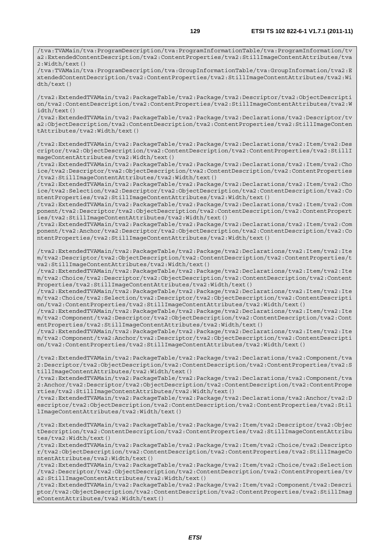/tva:TVAMain/tva:ProgramDescription/tva:ProgramInformationTable/tva:ProgramInformation/tv a2:ExtendedContentDescription/tva2:ContentProperties/tva2:StillImageContentAttributes/tva 2:Width/text()

/tva:TVAMain/tva:ProgramDescription/tva:GroupInformationTable/tva:GroupInformation/tva2:E xtendedContentDescription/tva2:ContentProperties/tva2:StillImageContentAttributes/tva2:Wi dth/text()

/tva2:ExtendedTVAMain/tva2:PackageTable/tva2:Package/tva2:Descriptor/tva2:ObjectDescripti on/tva2:ContentDescription/tva2:ContentProperties/tva2:StillImageContentAttributes/tva2:W idth/text()

/tva2:ExtendedTVAMain/tva2:PackageTable/tva2:Package/tva2:Declarations/tva2:Descriptor/tv a2:ObjectDescription/tva2:ContentDescription/tva2:ContentProperties/tva2:StillImageConten tAttributes/tva2:Width/text()

/tva2:ExtendedTVAMain/tva2:PackageTable/tva2:Package/tva2:Declarations/tva2:Item/tva2:Des criptor/tva2:ObjectDescription/tva2:ContentDescription/tva2:ContentProperties/tva2:StillI mageContentAttributes/tva2:Width/text()

/tva2:ExtendedTVAMain/tva2:PackageTable/tva2:Package/tva2:Declarations/tva2:Item/tva2:Cho ice/tva2:Descriptor/tva2:ObjectDescription/tva2:ContentDescription/tva2:ContentProperties /tva2:StillImageContentAttributes/tva2:Width/text()

/tva2:ExtendedTVAMain/tva2:PackageTable/tva2:Package/tva2:Declarations/tva2:Item/tva2:Cho ice/tva2:Selection/tva2:Descriptor/tva2:ObjectDescription/tva2:ContentDescription/tva2:Co ntentProperties/tva2:StillImageContentAttributes/tva2:Width/text()

/tva2:ExtendedTVAMain/tva2:PackageTable/tva2:Package/tva2:Declarations/tva2:Item/tva2:Com ponent/tva2:Descriptor/tva2:ObjectDescription/tva2:ContentDescription/tva2:ContentPropert ies/tva2:StillImageContentAttributes/tva2:Width/text()

/tva2:ExtendedTVAMain/tva2:PackageTable/tva2:Package/tva2:Declarations/tva2:Item/tva2:Com ponent/tva2:Anchor/tva2:Descriptor/tva2:ObjectDescription/tva2:ContentDescription/tva2:Co ntentProperties/tva2:StillImageContentAttributes/tva2:Width/text()

/tva2:ExtendedTVAMain/tva2:PackageTable/tva2:Package/tva2:Declarations/tva2:Item/tva2:Ite m/tva2:Descriptor/tva2:ObjectDescription/tva2:ContentDescription/tva2:ContentProperties/t va2:StillImageContentAttributes/tva2:Width/text()

/tva2:ExtendedTVAMain/tva2:PackageTable/tva2:Package/tva2:Declarations/tva2:Item/tva2:Ite m/tva2:Choice/tva2:Descriptor/tva2:ObjectDescription/tva2:ContentDescription/tva2:Content Properties/tva2:StillImageContentAttributes/tva2:Width/text()

/tva2:ExtendedTVAMain/tva2:PackageTable/tva2:Package/tva2:Declarations/tva2:Item/tva2:Ite m/tva2:Choice/tva2:Selection/tva2:Descriptor/tva2:ObjectDescription/tva2:ContentDescripti on/tva2:ContentProperties/tva2:StillImageContentAttributes/tva2:Width/text()

/tva2:ExtendedTVAMain/tva2:PackageTable/tva2:Package/tva2:Declarations/tva2:Item/tva2:Ite m/tva2:Component/tva2:Descriptor/tva2:ObjectDescription/tva2:ContentDescription/tva2:Cont entProperties/tva2:StillImageContentAttributes/tva2:Width/text()

/tva2:ExtendedTVAMain/tva2:PackageTable/tva2:Package/tva2:Declarations/tva2:Item/tva2:Ite m/tva2:Component/tva2:Anchor/tva2:Descriptor/tva2:ObjectDescription/tva2:ContentDescripti on/tva2:ContentProperties/tva2:StillImageContentAttributes/tva2:Width/text()

/tva2:ExtendedTVAMain/tva2:PackageTable/tva2:Package/tva2:Declarations/tva2:Component/tva 2:Descriptor/tva2:ObjectDescription/tva2:ContentDescription/tva2:ContentProperties/tva2:S tillImageContentAttributes/tva2:Width/text()

/tva2:ExtendedTVAMain/tva2:PackageTable/tva2:Package/tva2:Declarations/tva2:Component/tva 2:Anchor/tva2:Descriptor/tva2:ObjectDescription/tva2:ContentDescription/tva2:ContentPrope rties/tva2:StillImageContentAttributes/tva2:Width/text()

/tva2:ExtendedTVAMain/tva2:PackageTable/tva2:Package/tva2:Declarations/tva2:Anchor/tva2:D escriptor/tva2:ObjectDescription/tva2:ContentDescription/tva2:ContentProperties/tva2:Stil lImageContentAttributes/tva2:Width/text()

/tva2:ExtendedTVAMain/tva2:PackageTable/tva2:Package/tva2:Item/tva2:Descriptor/tva2:Objec tDescription/tva2:ContentDescription/tva2:ContentProperties/tva2:StillImageContentAttribu tes/tva2:Width/text()

/tva2:ExtendedTVAMain/tva2:PackageTable/tva2:Package/tva2:Item/tva2:Choice/tva2:Descripto r/tva2:ObjectDescription/tva2:ContentDescription/tva2:ContentProperties/tva2:StillImageCo ntentAttributes/tva2:Width/text()

/tva2:ExtendedTVAMain/tva2:PackageTable/tva2:Package/tva2:Item/tva2:Choice/tva2:Selection /tva2:Descriptor/tva2:ObjectDescription/tva2:ContentDescription/tva2:ContentProperties/tv a2:StillImageContentAttributes/tva2:Width/text()

/tva2:ExtendedTVAMain/tva2:PackageTable/tva2:Package/tva2:Item/tva2:Component/tva2:Descri ptor/tva2:ObjectDescription/tva2:ContentDescription/tva2:ContentProperties/tva2:StillImag eContentAttributes/tva2:Width/text()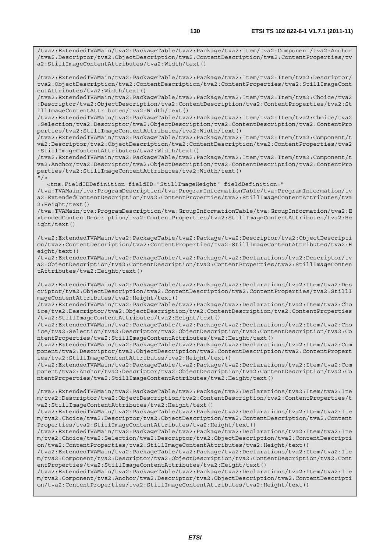/tva2:ExtendedTVAMain/tva2:PackageTable/tva2:Package/tva2:Item/tva2:Component/tva2:Anchor /tva2:Descriptor/tva2:ObjectDescription/tva2:ContentDescription/tva2:ContentProperties/tv a2:StillImageContentAttributes/tva2:Width/text()

/tva2:ExtendedTVAMain/tva2:PackageTable/tva2:Package/tva2:Item/tva2:Item/tva2:Descriptor/ tva2:ObjectDescription/tva2:ContentDescription/tva2:ContentProperties/tva2:StillImageCont entAttributes/tva2:Width/text()

/tva2:ExtendedTVAMain/tva2:PackageTable/tva2:Package/tva2:Item/tva2:Item/tva2:Choice/tva2 :Descriptor/tva2:ObjectDescription/tva2:ContentDescription/tva2:ContentProperties/tva2:St illImageContentAttributes/tva2:Width/text()

/tva2:ExtendedTVAMain/tva2:PackageTable/tva2:Package/tva2:Item/tva2:Item/tva2:Choice/tva2 :Selection/tva2:Descriptor/tva2:ObjectDescription/tva2:ContentDescription/tva2:ContentPro perties/tva2:StillImageContentAttributes/tva2:Width/text()

/tva2:ExtendedTVAMain/tva2:PackageTable/tva2:Package/tva2:Item/tva2:Item/tva2:Component/t va2:Descriptor/tva2:ObjectDescription/tva2:ContentDescription/tva2:ContentProperties/tva2 :StillImageContentAttributes/tva2:Width/text()

/tva2:ExtendedTVAMain/tva2:PackageTable/tva2:Package/tva2:Item/tva2:Item/tva2:Component/t va2:Anchor/tva2:Descriptor/tva2:ObjectDescription/tva2:ContentDescription/tva2:ContentPro perties/tva2:StillImageContentAttributes/tva2:Width/text()  $''$  / >

<tns:FieldIDDefinition fieldID="StillImageHeight" fieldDefinition="

/tva:TVAMain/tva:ProgramDescription/tva:ProgramInformationTable/tva:ProgramInformation/tv a2:ExtendedContentDescription/tva2:ContentProperties/tva2:StillImageContentAttributes/tva 2:Height/text()

/tva:TVAMain/tva:ProgramDescription/tva:GroupInformationTable/tva:GroupInformation/tva2:E xtendedContentDescription/tva2:ContentProperties/tva2:StillImageContentAttributes/tva2:He ight/text()

/tva2:ExtendedTVAMain/tva2:PackageTable/tva2:Package/tva2:Descriptor/tva2:ObjectDescripti on/tva2:ContentDescription/tva2:ContentProperties/tva2:StillImageContentAttributes/tva2:H eight/text()

/tva2:ExtendedTVAMain/tva2:PackageTable/tva2:Package/tva2:Declarations/tva2:Descriptor/tv a2:ObjectDescription/tva2:ContentDescription/tva2:ContentProperties/tva2:StillImageConten tAttributes/tva2:Height/text()

/tva2:ExtendedTVAMain/tva2:PackageTable/tva2:Package/tva2:Declarations/tva2:Item/tva2:Des criptor/tva2:ObjectDescription/tva2:ContentDescription/tva2:ContentProperties/tva2:StillI mageContentAttributes/tva2:Height/text()

/tva2:ExtendedTVAMain/tva2:PackageTable/tva2:Package/tva2:Declarations/tva2:Item/tva2:Cho ice/tva2:Descriptor/tva2:ObjectDescription/tva2:ContentDescription/tva2:ContentProperties /tva2:StillImageContentAttributes/tva2:Height/text()

/tva2:ExtendedTVAMain/tva2:PackageTable/tva2:Package/tva2:Declarations/tva2:Item/tva2:Cho ice/tva2:Selection/tva2:Descriptor/tva2:ObjectDescription/tva2:ContentDescription/tva2:Co ntentProperties/tva2:StillImageContentAttributes/tva2:Height/text()

/tva2:ExtendedTVAMain/tva2:PackageTable/tva2:Package/tva2:Declarations/tva2:Item/tva2:Com ponent/tva2:Descriptor/tva2:ObjectDescription/tva2:ContentDescription/tva2:ContentPropert ies/tva2:StillImageContentAttributes/tva2:Height/text()

/tva2:ExtendedTVAMain/tva2:PackageTable/tva2:Package/tva2:Declarations/tva2:Item/tva2:Com ponent/tva2:Anchor/tva2:Descriptor/tva2:ObjectDescription/tva2:ContentDescription/tva2:Co ntentProperties/tva2:StillImageContentAttributes/tva2:Height/text()

/tva2:ExtendedTVAMain/tva2:PackageTable/tva2:Package/tva2:Declarations/tva2:Item/tva2:Ite m/tva2:Descriptor/tva2:ObjectDescription/tva2:ContentDescription/tva2:ContentProperties/t va2:StillImageContentAttributes/tva2:Height/text()

/tva2:ExtendedTVAMain/tva2:PackageTable/tva2:Package/tva2:Declarations/tva2:Item/tva2:Ite m/tva2:Choice/tva2:Descriptor/tva2:ObjectDescription/tva2:ContentDescription/tva2:Content Properties/tva2:StillImageContentAttributes/tva2:Height/text()

/tva2:ExtendedTVAMain/tva2:PackageTable/tva2:Package/tva2:Declarations/tva2:Item/tva2:Ite m/tva2:Choice/tva2:Selection/tva2:Descriptor/tva2:ObjectDescription/tva2:ContentDescripti on/tva2:ContentProperties/tva2:StillImageContentAttributes/tva2:Height/text()

/tva2:ExtendedTVAMain/tva2:PackageTable/tva2:Package/tva2:Declarations/tva2:Item/tva2:Ite m/tva2:Component/tva2:Descriptor/tva2:ObjectDescription/tva2:ContentDescription/tva2:Cont entProperties/tva2:StillImageContentAttributes/tva2:Height/text()

/tva2:ExtendedTVAMain/tva2:PackageTable/tva2:Package/tva2:Declarations/tva2:Item/tva2:Ite m/tva2:Component/tva2:Anchor/tva2:Descriptor/tva2:ObjectDescription/tva2:ContentDescripti on/tva2:ContentProperties/tva2:StillImageContentAttributes/tva2:Height/text()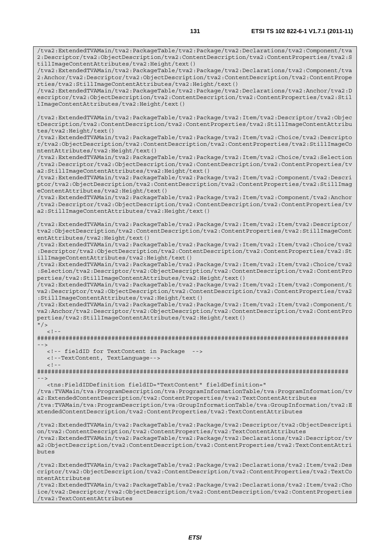/tva2:ExtendedTVAMain/tva2:PackageTable/tva2:Package/tva2:Declarations/tva2:Component/tva 2:Descriptor/tva2:ObjectDescription/tva2:ContentDescription/tva2:ContentProperties/tva2:S tillImageContentAttributes/tva2:Height/text()

/tva2:ExtendedTVAMain/tva2:PackageTable/tva2:Package/tva2:Declarations/tva2:Component/tva 2:Anchor/tva2:Descriptor/tva2:ObjectDescription/tva2:ContentDescription/tva2:ContentPrope rties/tva2:StillImageContentAttributes/tva2:Height/text()

/tva2:ExtendedTVAMain/tva2:PackageTable/tva2:Package/tva2:Declarations/tva2:Anchor/tva2:D escriptor/tva2:ObjectDescription/tva2:ContentDescription/tva2:ContentProperties/tva2:Stil lImageContentAttributes/tva2:Height/text()

/tva2:ExtendedTVAMain/tva2:PackageTable/tva2:Package/tva2:Item/tva2:Descriptor/tva2:Objec tDescription/tva2:ContentDescription/tva2:ContentProperties/tva2:StillImageContentAttribu tes/tva2:Height/text()

/tva2:ExtendedTVAMain/tva2:PackageTable/tva2:Package/tva2:Item/tva2:Choice/tva2:Descripto r/tva2:ObjectDescription/tva2:ContentDescription/tva2:ContentProperties/tva2:StillImageCo ntentAttributes/tva2:Height/text()

/tva2:ExtendedTVAMain/tva2:PackageTable/tva2:Package/tva2:Item/tva2:Choice/tva2:Selection /tva2:Descriptor/tva2:ObjectDescription/tva2:ContentDescription/tva2:ContentProperties/tv a2:StillImageContentAttributes/tva2:Height/text()

/tva2:ExtendedTVAMain/tva2:PackageTable/tva2:Package/tva2:Item/tva2:Component/tva2:Descri ptor/tva2:ObjectDescription/tva2:ContentDescription/tva2:ContentProperties/tva2:StillImag eContentAttributes/tva2:Height/text()

/tva2:ExtendedTVAMain/tva2:PackageTable/tva2:Package/tva2:Item/tva2:Component/tva2:Anchor /tva2:Descriptor/tva2:ObjectDescription/tva2:ContentDescription/tva2:ContentProperties/tv a2:StillImageContentAttributes/tva2:Height/text()

/tva2:ExtendedTVAMain/tva2:PackageTable/tva2:Package/tva2:Item/tva2:Item/tva2:Descriptor/ tva2:ObjectDescription/tva2:ContentDescription/tva2:ContentProperties/tva2:StillImageCont entAttributes/tva2:Height/text()

/tva2:ExtendedTVAMain/tva2:PackageTable/tva2:Package/tva2:Item/tva2:Item/tva2:Choice/tva2 :Descriptor/tva2:ObjectDescription/tva2:ContentDescription/tva2:ContentProperties/tva2:St illImageContentAttributes/tva2:Height/text()

/tva2:ExtendedTVAMain/tva2:PackageTable/tva2:Package/tva2:Item/tva2:Item/tva2:Choice/tva2 :Selection/tva2:Descriptor/tva2:ObjectDescription/tva2:ContentDescription/tva2:ContentPro perties/tva2:StillImageContentAttributes/tva2:Height/text()

/tva2:ExtendedTVAMain/tva2:PackageTable/tva2:Package/tva2:Item/tva2:Item/tva2:Component/t va2:Descriptor/tva2:ObjectDescription/tva2:ContentDescription/tva2:ContentProperties/tva2 :StillImageContentAttributes/tva2:Height/text()

/tva2:ExtendedTVAMain/tva2:PackageTable/tva2:Package/tva2:Item/tva2:Item/tva2:Component/t va2:Anchor/tva2:Descriptor/tva2:ObjectDescription/tva2:ContentDescription/tva2:ContentPro perties/tva2:StillImageContentAttributes/tva2:Height/text()

 $"$  / >  $\lt$  ! -

######################################################################################## -->

<!-- fieldID for TextContent in Package -->

<!--TextContent, TextLanguage-->

 $\leq$  !  $-$ 

######################################################################################## -->

 <tns:FieldIDDefinition fieldID="TextContent" fieldDefinition=" /tva:TVAMain/tva:ProgramDescription/tva:ProgramInformationTable/tva:ProgramInformation/tv a2:ExtendedContentDescription/tva2:ContentProperties/tva2:TextContentAttributes /tva:TVAMain/tva:ProgramDescription/tva:GroupInformationTable/tva:GroupInformation/tva2:E xtendedContentDescription/tva2:ContentProperties/tva2:TextContentAttributes

/tva2:ExtendedTVAMain/tva2:PackageTable/tva2:Package/tva2:Descriptor/tva2:ObjectDescripti on/tva2:ContentDescription/tva2:ContentProperties/tva2:TextContentAttributes /tva2:ExtendedTVAMain/tva2:PackageTable/tva2:Package/tva2:Declarations/tva2:Descriptor/tv a2:ObjectDescription/tva2:ContentDescription/tva2:ContentProperties/tva2:TextContentAttri butes

/tva2:ExtendedTVAMain/tva2:PackageTable/tva2:Package/tva2:Declarations/tva2:Item/tva2:Des criptor/tva2:ObjectDescription/tva2:ContentDescription/tva2:ContentProperties/tva2:TextCo ntentAttributes /tva2:ExtendedTVAMain/tva2:PackageTable/tva2:Package/tva2:Declarations/tva2:Item/tva2:Cho

ice/tva2:Descriptor/tva2:ObjectDescription/tva2:ContentDescription/tva2:ContentProperties /tva2:TextContentAttributes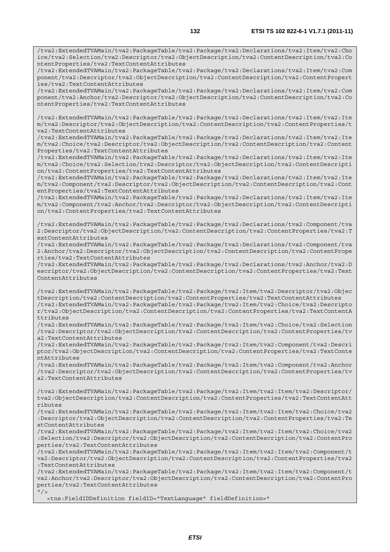/tva2:ExtendedTVAMain/tva2:PackageTable/tva2:Package/tva2:Declarations/tva2:Item/tva2:Cho ice/tva2:Selection/tva2:Descriptor/tva2:ObjectDescription/tva2:ContentDescription/tva2:Co ntentProperties/tva2:TextContentAttributes

/tva2:ExtendedTVAMain/tva2:PackageTable/tva2:Package/tva2:Declarations/tva2:Item/tva2:Com ponent/tva2:Descriptor/tva2:ObjectDescription/tva2:ContentDescription/tva2:ContentPropert ies/tva2:TextContentAttributes

/tva2:ExtendedTVAMain/tva2:PackageTable/tva2:Package/tva2:Declarations/tva2:Item/tva2:Com ponent/tva2:Anchor/tva2:Descriptor/tva2:ObjectDescription/tva2:ContentDescription/tva2:Co ntentProperties/tva2:TextContentAttributes

/tva2:ExtendedTVAMain/tva2:PackageTable/tva2:Package/tva2:Declarations/tva2:Item/tva2:Ite m/tva2:Descriptor/tva2:ObjectDescription/tva2:ContentDescription/tva2:ContentProperties/t va2:TextContentAttributes

/tva2:ExtendedTVAMain/tva2:PackageTable/tva2:Package/tva2:Declarations/tva2:Item/tva2:Ite m/tva2:Choice/tva2:Descriptor/tva2:ObjectDescription/tva2:ContentDescription/tva2:Content Properties/tva2:TextContentAttributes

/tva2:ExtendedTVAMain/tva2:PackageTable/tva2:Package/tva2:Declarations/tva2:Item/tva2:Ite m/tva2:Choice/tva2:Selection/tva2:Descriptor/tva2:ObjectDescription/tva2:ContentDescripti on/tva2:ContentProperties/tva2:TextContentAttributes

/tva2:ExtendedTVAMain/tva2:PackageTable/tva2:Package/tva2:Declarations/tva2:Item/tva2:Ite m/tva2:Component/tva2:Descriptor/tva2:ObjectDescription/tva2:ContentDescription/tva2:Cont entProperties/tva2:TextContentAttributes

/tva2:ExtendedTVAMain/tva2:PackageTable/tva2:Package/tva2:Declarations/tva2:Item/tva2:Ite m/tva2:Component/tva2:Anchor/tva2:Descriptor/tva2:ObjectDescription/tva2:ContentDescripti on/tva2:ContentProperties/tva2:TextContentAttributes

/tva2:ExtendedTVAMain/tva2:PackageTable/tva2:Package/tva2:Declarations/tva2:Component/tva 2:Descriptor/tva2:ObjectDescription/tva2:ContentDescription/tva2:ContentProperties/tva2:T extContentAttributes

/tva2:ExtendedTVAMain/tva2:PackageTable/tva2:Package/tva2:Declarations/tva2:Component/tva 2:Anchor/tva2:Descriptor/tva2:ObjectDescription/tva2:ContentDescription/tva2:ContentPrope rties/tva2:TextContentAttributes

/tva2:ExtendedTVAMain/tva2:PackageTable/tva2:Package/tva2:Declarations/tva2:Anchor/tva2:D escriptor/tva2:ObjectDescription/tva2:ContentDescription/tva2:ContentProperties/tva2:Text ContentAttributes

/tva2:ExtendedTVAMain/tva2:PackageTable/tva2:Package/tva2:Item/tva2:Descriptor/tva2:Objec tDescription/tva2:ContentDescription/tva2:ContentProperties/tva2:TextContentAttributes /tva2:ExtendedTVAMain/tva2:PackageTable/tva2:Package/tva2:Item/tva2:Choice/tva2:Descripto r/tva2:ObjectDescription/tva2:ContentDescription/tva2:ContentProperties/tva2:TextContentA ttributes

/tva2:ExtendedTVAMain/tva2:PackageTable/tva2:Package/tva2:Item/tva2:Choice/tva2:Selection /tva2:Descriptor/tva2:ObjectDescription/tva2:ContentDescription/tva2:ContentProperties/tv a2:TextContentAttributes

/tva2:ExtendedTVAMain/tva2:PackageTable/tva2:Package/tva2:Item/tva2:Component/tva2:Descri ptor/tva2:ObjectDescription/tva2:ContentDescription/tva2:ContentProperties/tva2:TextConte ntAttributes

/tva2:ExtendedTVAMain/tva2:PackageTable/tva2:Package/tva2:Item/tva2:Component/tva2:Anchor /tva2:Descriptor/tva2:ObjectDescription/tva2:ContentDescription/tva2:ContentProperties/tv a2:TextContentAttributes

/tva2:ExtendedTVAMain/tva2:PackageTable/tva2:Package/tva2:Item/tva2:Item/tva2:Descriptor/ tva2:ObjectDescription/tva2:ContentDescription/tva2:ContentProperties/tva2:TextContentAtt ributes

/tva2:ExtendedTVAMain/tva2:PackageTable/tva2:Package/tva2:Item/tva2:Item/tva2:Choice/tva2 :Descriptor/tva2:ObjectDescription/tva2:ContentDescription/tva2:ContentProperties/tva2:Te xtContentAttributes

/tva2:ExtendedTVAMain/tva2:PackageTable/tva2:Package/tva2:Item/tva2:Item/tva2:Choice/tva2 :Selection/tva2:Descriptor/tva2:ObjectDescription/tva2:ContentDescription/tva2:ContentPro perties/tva2:TextContentAttributes

/tva2:ExtendedTVAMain/tva2:PackageTable/tva2:Package/tva2:Item/tva2:Item/tva2:Component/t va2:Descriptor/tva2:ObjectDescription/tva2:ContentDescription/tva2:ContentProperties/tva2 :TextContentAttributes

/tva2:ExtendedTVAMain/tva2:PackageTable/tva2:Package/tva2:Item/tva2:Item/tva2:Component/t va2:Anchor/tva2:Descriptor/tva2:ObjectDescription/tva2:ContentDescription/tva2:ContentPro perties/tva2:TextContentAttributes

 $''$  /  $>$ 

<tns:FieldIDDefinition fieldID="TextLanguage" fieldDefinition="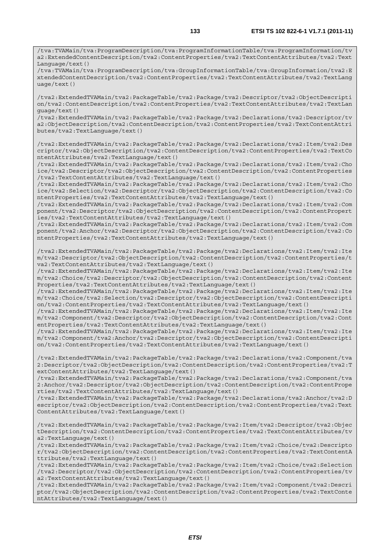/tva:TVAMain/tva:ProgramDescription/tva:ProgramInformationTable/tva:ProgramInformation/tv a2:ExtendedContentDescription/tva2:ContentProperties/tva2:TextContentAttributes/tva2:Text Language/text()

/tva:TVAMain/tva:ProgramDescription/tva:GroupInformationTable/tva:GroupInformation/tva2:E xtendedContentDescription/tva2:ContentProperties/tva2:TextContentAttributes/tva2:TextLang uage/text()

/tva2:ExtendedTVAMain/tva2:PackageTable/tva2:Package/tva2:Descriptor/tva2:ObjectDescripti on/tva2:ContentDescription/tva2:ContentProperties/tva2:TextContentAttributes/tva2:TextLan guage/text()

/tva2:ExtendedTVAMain/tva2:PackageTable/tva2:Package/tva2:Declarations/tva2:Descriptor/tv a2:ObjectDescription/tva2:ContentDescription/tva2:ContentProperties/tva2:TextContentAttri butes/tva2:TextLanguage/text()

/tva2:ExtendedTVAMain/tva2:PackageTable/tva2:Package/tva2:Declarations/tva2:Item/tva2:Des criptor/tva2:ObjectDescription/tva2:ContentDescription/tva2:ContentProperties/tva2:TextCo ntentAttributes/tva2:TextLanguage/text()

/tva2:ExtendedTVAMain/tva2:PackageTable/tva2:Package/tva2:Declarations/tva2:Item/tva2:Cho ice/tva2:Descriptor/tva2:ObjectDescription/tva2:ContentDescription/tva2:ContentProperties /tva2:TextContentAttributes/tva2:TextLanguage/text()

/tva2:ExtendedTVAMain/tva2:PackageTable/tva2:Package/tva2:Declarations/tva2:Item/tva2:Cho ice/tva2:Selection/tva2:Descriptor/tva2:ObjectDescription/tva2:ContentDescription/tva2:Co ntentProperties/tva2:TextContentAttributes/tva2:TextLanguage/text()

/tva2:ExtendedTVAMain/tva2:PackageTable/tva2:Package/tva2:Declarations/tva2:Item/tva2:Com ponent/tva2:Descriptor/tva2:ObjectDescription/tva2:ContentDescription/tva2:ContentPropert ies/tva2:TextContentAttributes/tva2:TextLanguage/text()

/tva2:ExtendedTVAMain/tva2:PackageTable/tva2:Package/tva2:Declarations/tva2:Item/tva2:Com ponent/tva2:Anchor/tva2:Descriptor/tva2:ObjectDescription/tva2:ContentDescription/tva2:Co ntentProperties/tva2:TextContentAttributes/tva2:TextLanguage/text()

/tva2:ExtendedTVAMain/tva2:PackageTable/tva2:Package/tva2:Declarations/tva2:Item/tva2:Ite m/tva2:Descriptor/tva2:ObjectDescription/tva2:ContentDescription/tva2:ContentProperties/t va2:TextContentAttributes/tva2:TextLanguage/text()

/tva2:ExtendedTVAMain/tva2:PackageTable/tva2:Package/tva2:Declarations/tva2:Item/tva2:Ite m/tva2:Choice/tva2:Descriptor/tva2:ObjectDescription/tva2:ContentDescription/tva2:Content Properties/tva2:TextContentAttributes/tva2:TextLanguage/text()

/tva2:ExtendedTVAMain/tva2:PackageTable/tva2:Package/tva2:Declarations/tva2:Item/tva2:Ite m/tva2:Choice/tva2:Selection/tva2:Descriptor/tva2:ObjectDescription/tva2:ContentDescripti on/tva2:ContentProperties/tva2:TextContentAttributes/tva2:TextLanguage/text()

/tva2:ExtendedTVAMain/tva2:PackageTable/tva2:Package/tva2:Declarations/tva2:Item/tva2:Ite m/tva2:Component/tva2:Descriptor/tva2:ObjectDescription/tva2:ContentDescription/tva2:Cont entProperties/tva2:TextContentAttributes/tva2:TextLanguage/text()

/tva2:ExtendedTVAMain/tva2:PackageTable/tva2:Package/tva2:Declarations/tva2:Item/tva2:Ite m/tva2:Component/tva2:Anchor/tva2:Descriptor/tva2:ObjectDescription/tva2:ContentDescripti on/tva2:ContentProperties/tva2:TextContentAttributes/tva2:TextLanguage/text()

/tva2:ExtendedTVAMain/tva2:PackageTable/tva2:Package/tva2:Declarations/tva2:Component/tva 2:Descriptor/tva2:ObjectDescription/tva2:ContentDescription/tva2:ContentProperties/tva2:T extContentAttributes/tva2:TextLanguage/text()

/tva2:ExtendedTVAMain/tva2:PackageTable/tva2:Package/tva2:Declarations/tva2:Component/tva 2:Anchor/tva2:Descriptor/tva2:ObjectDescription/tva2:ContentDescription/tva2:ContentPrope rties/tva2:TextContentAttributes/tva2:TextLanguage/text()

/tva2:ExtendedTVAMain/tva2:PackageTable/tva2:Package/tva2:Declarations/tva2:Anchor/tva2:D escriptor/tva2:ObjectDescription/tva2:ContentDescription/tva2:ContentProperties/tva2:Text ContentAttributes/tva2:TextLanguage/text()

/tva2:ExtendedTVAMain/tva2:PackageTable/tva2:Package/tva2:Item/tva2:Descriptor/tva2:Objec tDescription/tva2:ContentDescription/tva2:ContentProperties/tva2:TextContentAttributes/tv a2:TextLanguage/text()

/tva2:ExtendedTVAMain/tva2:PackageTable/tva2:Package/tva2:Item/tva2:Choice/tva2:Descripto r/tva2:ObjectDescription/tva2:ContentDescription/tva2:ContentProperties/tva2:TextContentA ttributes/tva2:TextLanguage/text()

/tva2:ExtendedTVAMain/tva2:PackageTable/tva2:Package/tva2:Item/tva2:Choice/tva2:Selection /tva2:Descriptor/tva2:ObjectDescription/tva2:ContentDescription/tva2:ContentProperties/tv a2:TextContentAttributes/tva2:TextLanguage/text()

/tva2:ExtendedTVAMain/tva2:PackageTable/tva2:Package/tva2:Item/tva2:Component/tva2:Descri ptor/tva2:ObjectDescription/tva2:ContentDescription/tva2:ContentProperties/tva2:TextConte ntAttributes/tva2:TextLanguage/text()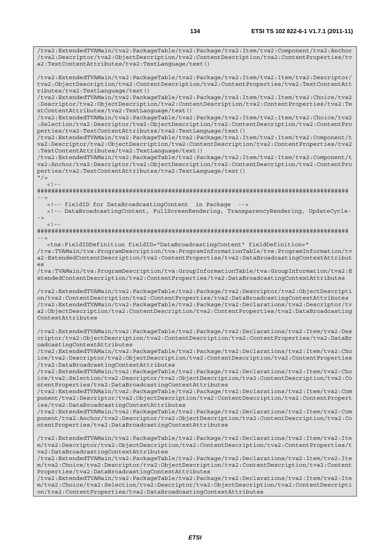/tva2:ExtendedTVAMain/tva2:PackageTable/tva2:Package/tva2:Item/tva2:Component/tva2:Anchor /tva2:Descriptor/tva2:ObjectDescription/tva2:ContentDescription/tva2:ContentProperties/tv a2:TextContentAttributes/tva2:TextLanguage/text() /tva2:ExtendedTVAMain/tva2:PackageTable/tva2:Package/tva2:Item/tva2:Item/tva2:Descriptor/ tva2:ObjectDescription/tva2:ContentDescription/tva2:ContentProperties/tva2:TextContentAtt ributes/tva2:TextLanguage/text() /tva2:ExtendedTVAMain/tva2:PackageTable/tva2:Package/tva2:Item/tva2:Item/tva2:Choice/tva2 :Descriptor/tva2:ObjectDescription/tva2:ContentDescription/tva2:ContentProperties/tva2:Te xtContentAttributes/tva2:TextLanguage/text() /tva2:ExtendedTVAMain/tva2:PackageTable/tva2:Package/tva2:Item/tva2:Item/tva2:Choice/tva2 :Selection/tva2:Descriptor/tva2:ObjectDescription/tva2:ContentDescription/tva2:ContentPro perties/tva2:TextContentAttributes/tva2:TextLanguage/text() /tva2:ExtendedTVAMain/tva2:PackageTable/tva2:Package/tva2:Item/tva2:Item/tva2:Component/t va2:Descriptor/tva2:ObjectDescription/tva2:ContentDescription/tva2:ContentProperties/tva2 :TextContentAttributes/tva2:TextLanguage/text() /tva2:ExtendedTVAMain/tva2:PackageTable/tva2:Package/tva2:Item/tva2:Item/tva2:Component/t va2:Anchor/tva2:Descriptor/tva2:ObjectDescription/tva2:ContentDescription/tva2:ContentPro perties/tva2:TextContentAttributes/tva2:TextLanguage/text()  $"$  />  $\lt$  ! -######################################################################################## --> <!-- fieldID for DataBroadcastingContent in Package --> <!-- DataBroadcastingContent, FullScreenRendering, TransparencyRendering, UpdateCycle- ->  $\lt$  !  $-$ ######################################################################################## --> <tns:FieldIDDefinition fieldID="DataBroadcastingContent" fieldDefinition=" /tva:TVAMain/tva:ProgramDescription/tva:ProgramInformationTable/tva:ProgramInformation/tv a2:ExtendedContentDescription/tva2:ContentProperties/tva2:DataBroadcastingContextAttribut es /tva:TVAMain/tva:ProgramDescription/tva:GroupInformationTable/tva:GroupInformation/tva2:E xtendedContentDescription/tva2:ContentProperties/tva2:DataBroadcastingContextAttributes /tva2:ExtendedTVAMain/tva2:PackageTable/tva2:Package/tva2:Descriptor/tva2:ObjectDescripti on/tva2:ContentDescription/tva2:ContentProperties/tva2:DataBroadcastingContextAttributes /tva2:ExtendedTVAMain/tva2:PackageTable/tva2:Package/tva2:Declarations/tva2:Descriptor/tv a2:ObjectDescription/tva2:ContentDescription/tva2:ContentProperties/tva2:DataBroadcasting ContextAttributes /tva2:ExtendedTVAMain/tva2:PackageTable/tva2:Package/tva2:Declarations/tva2:Item/tva2:Des criptor/tva2:ObjectDescription/tva2:ContentDescription/tva2:ContentProperties/tva2:DataBr oadcastingContextAttributes /tva2:ExtendedTVAMain/tva2:PackageTable/tva2:Package/tva2:Declarations/tva2:Item/tva2:Cho ice/tva2:Descriptor/tva2:ObjectDescription/tva2:ContentDescription/tva2:ContentProperties /tva2:DataBroadcastingContextAttributes /tva2:ExtendedTVAMain/tva2:PackageTable/tva2:Package/tva2:Declarations/tva2:Item/tva2:Cho ice/tva2:Selection/tva2:Descriptor/tva2:ObjectDescription/tva2:ContentDescription/tva2:Co ntentProperties/tva2:DataBroadcastingContextAttributes /tva2:ExtendedTVAMain/tva2:PackageTable/tva2:Package/tva2:Declarations/tva2:Item/tva2:Com ponent/tva2:Descriptor/tva2:ObjectDescription/tva2:ContentDescription/tva2:ContentPropert ies/tva2:DataBroadcastingContextAttributes /tva2:ExtendedTVAMain/tva2:PackageTable/tva2:Package/tva2:Declarations/tva2:Item/tva2:Com ponent/tva2:Anchor/tva2:Descriptor/tva2:ObjectDescription/tva2:ContentDescription/tva2:Co ntentProperties/tva2:DataBroadcastingContextAttributes /tva2:ExtendedTVAMain/tva2:PackageTable/tva2:Package/tva2:Declarations/tva2:Item/tva2:Ite m/tva2:Descriptor/tva2:ObjectDescription/tva2:ContentDescription/tva2:ContentProperties/t va2:DataBroadcastingContextAttributes /tva2:ExtendedTVAMain/tva2:PackageTable/tva2:Package/tva2:Declarations/tva2:Item/tva2:Ite m/tva2:Choice/tva2:Descriptor/tva2:ObjectDescription/tva2:ContentDescription/tva2:Content Properties/tva2:DataBroadcastingContextAttributes /tva2:ExtendedTVAMain/tva2:PackageTable/tva2:Package/tva2:Declarations/tva2:Item/tva2:Ite

m/tva2:Choice/tva2:Selection/tva2:Descriptor/tva2:ObjectDescription/tva2:ContentDescripti on/tva2:ContentProperties/tva2:DataBroadcastingContextAttributes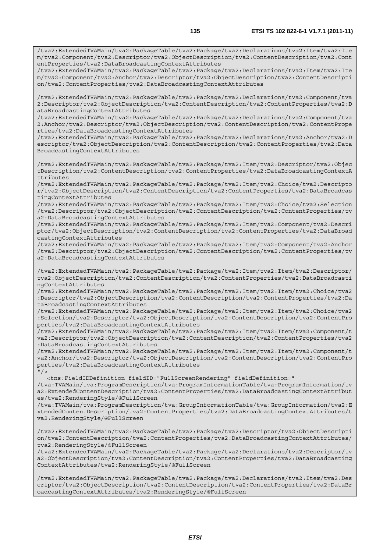/tva2:ExtendedTVAMain/tva2:PackageTable/tva2:Package/tva2:Declarations/tva2:Item/tva2:Ite m/tva2:Component/tva2:Descriptor/tva2:ObjectDescription/tva2:ContentDescription/tva2:Cont entProperties/tva2:DataBroadcastingContextAttributes

/tva2:ExtendedTVAMain/tva2:PackageTable/tva2:Package/tva2:Declarations/tva2:Item/tva2:Ite m/tva2:Component/tva2:Anchor/tva2:Descriptor/tva2:ObjectDescription/tva2:ContentDescripti on/tva2:ContentProperties/tva2:DataBroadcastingContextAttributes

/tva2:ExtendedTVAMain/tva2:PackageTable/tva2:Package/tva2:Declarations/tva2:Component/tva 2:Descriptor/tva2:ObjectDescription/tva2:ContentDescription/tva2:ContentProperties/tva2:D ataBroadcastingContextAttributes

/tva2:ExtendedTVAMain/tva2:PackageTable/tva2:Package/tva2:Declarations/tva2:Component/tva 2:Anchor/tva2:Descriptor/tva2:ObjectDescription/tva2:ContentDescription/tva2:ContentPrope rties/tva2:DataBroadcastingContextAttributes

/tva2:ExtendedTVAMain/tva2:PackageTable/tva2:Package/tva2:Declarations/tva2:Anchor/tva2:D escriptor/tva2:ObjectDescription/tva2:ContentDescription/tva2:ContentProperties/tva2:Data BroadcastingContextAttributes

/tva2:ExtendedTVAMain/tva2:PackageTable/tva2:Package/tva2:Item/tva2:Descriptor/tva2:Objec tDescription/tva2:ContentDescription/tva2:ContentProperties/tva2:DataBroadcastingContextA ttributes

/tva2:ExtendedTVAMain/tva2:PackageTable/tva2:Package/tva2:Item/tva2:Choice/tva2:Descripto r/tva2:ObjectDescription/tva2:ContentDescription/tva2:ContentProperties/tva2:DataBroadcas tingContextAttributes

/tva2:ExtendedTVAMain/tva2:PackageTable/tva2:Package/tva2:Item/tva2:Choice/tva2:Selection /tva2:Descriptor/tva2:ObjectDescription/tva2:ContentDescription/tva2:ContentProperties/tv a2:DataBroadcastingContextAttributes

/tva2:ExtendedTVAMain/tva2:PackageTable/tva2:Package/tva2:Item/tva2:Component/tva2:Descri ptor/tva2:ObjectDescription/tva2:ContentDescription/tva2:ContentProperties/tva2:DataBroad castingContextAttributes

/tva2:ExtendedTVAMain/tva2:PackageTable/tva2:Package/tva2:Item/tva2:Component/tva2:Anchor /tva2:Descriptor/tva2:ObjectDescription/tva2:ContentDescription/tva2:ContentProperties/tv a2:DataBroadcastingContextAttributes

/tva2:ExtendedTVAMain/tva2:PackageTable/tva2:Package/tva2:Item/tva2:Item/tva2:Descriptor/ tva2:ObjectDescription/tva2:ContentDescription/tva2:ContentProperties/tva2:DataBroadcasti ngContextAttributes

/tva2:ExtendedTVAMain/tva2:PackageTable/tva2:Package/tva2:Item/tva2:Item/tva2:Choice/tva2 :Descriptor/tva2:ObjectDescription/tva2:ContentDescription/tva2:ContentProperties/tva2:Da taBroadcastingContextAttributes

/tva2:ExtendedTVAMain/tva2:PackageTable/tva2:Package/tva2:Item/tva2:Item/tva2:Choice/tva2 :Selection/tva2:Descriptor/tva2:ObjectDescription/tva2:ContentDescription/tva2:ContentPro perties/tva2:DataBroadcastingContextAttributes

/tva2:ExtendedTVAMain/tva2:PackageTable/tva2:Package/tva2:Item/tva2:Item/tva2:Component/t va2:Descriptor/tva2:ObjectDescription/tva2:ContentDescription/tva2:ContentProperties/tva2 :DataBroadcastingContextAttributes

/tva2:ExtendedTVAMain/tva2:PackageTable/tva2:Package/tva2:Item/tva2:Item/tva2:Component/t va2:Anchor/tva2:Descriptor/tva2:ObjectDescription/tva2:ContentDescription/tva2:ContentPro perties/tva2:DataBroadcastingContextAttributes  $''$ />

<tns:FieldIDDefinition fieldID="FullScreenRendering" fieldDefinition="

/tva:TVAMain/tva:ProgramDescription/tva:ProgramInformationTable/tva:ProgramInformation/tv a2:ExtendedContentDescription/tva2:ContentProperties/tva2:DataBroadcastingContextAttribut es/tva2:RenderingStyle/@FullScreen

/tva:TVAMain/tva:ProgramDescription/tva:GroupInformationTable/tva:GroupInformation/tva2:E xtendedContentDescription/tva2:ContentProperties/tva2:DataBroadcastingContextAttributes/t va2:RenderingStyle/@FullScreen

/tva2:ExtendedTVAMain/tva2:PackageTable/tva2:Package/tva2:Descriptor/tva2:ObjectDescripti on/tva2:ContentDescription/tva2:ContentProperties/tva2:DataBroadcastingContextAttributes/ tva2:RenderingStyle/@FullScreen

/tva2:ExtendedTVAMain/tva2:PackageTable/tva2:Package/tva2:Declarations/tva2:Descriptor/tv a2:ObjectDescription/tva2:ContentDescription/tva2:ContentProperties/tva2:DataBroadcasting ContextAttributes/tva2:RenderingStyle/@FullScreen

/tva2:ExtendedTVAMain/tva2:PackageTable/tva2:Package/tva2:Declarations/tva2:Item/tva2:Des criptor/tva2:ObjectDescription/tva2:ContentDescription/tva2:ContentProperties/tva2:DataBr oadcastingContextAttributes/tva2:RenderingStyle/@FullScreen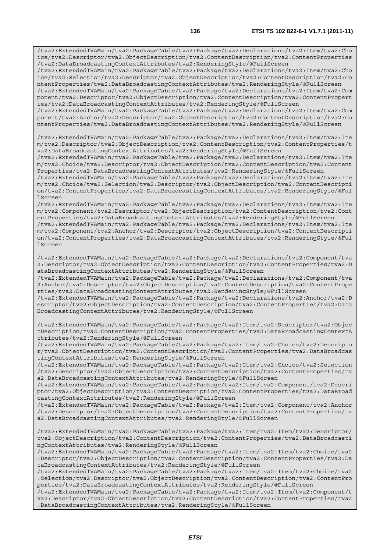/tva2:ExtendedTVAMain/tva2:PackageTable/tva2:Package/tva2:Declarations/tva2:Item/tva2:Cho ice/tva2:Descriptor/tva2:ObjectDescription/tva2:ContentDescription/tva2:ContentProperties /tva2:DataBroadcastingContextAttributes/tva2:RenderingStyle/@FullScreen

/tva2:ExtendedTVAMain/tva2:PackageTable/tva2:Package/tva2:Declarations/tva2:Item/tva2:Cho ice/tva2:Selection/tva2:Descriptor/tva2:ObjectDescription/tva2:ContentDescription/tva2:Co ntentProperties/tva2:DataBroadcastingContextAttributes/tva2:RenderingStyle/@FullScreen

/tva2:ExtendedTVAMain/tva2:PackageTable/tva2:Package/tva2:Declarations/tva2:Item/tva2:Com ponent/tva2:Descriptor/tva2:ObjectDescription/tva2:ContentDescription/tva2:ContentPropert ies/tva2:DataBroadcastingContextAttributes/tva2:RenderingStyle/@FullScreen

/tva2:ExtendedTVAMain/tva2:PackageTable/tva2:Package/tva2:Declarations/tva2:Item/tva2:Com ponent/tva2:Anchor/tva2:Descriptor/tva2:ObjectDescription/tva2:ContentDescription/tva2:Co ntentProperties/tva2:DataBroadcastingContextAttributes/tva2:RenderingStyle/@FullScreen

/tva2:ExtendedTVAMain/tva2:PackageTable/tva2:Package/tva2:Declarations/tva2:Item/tva2:Ite m/tva2:Descriptor/tva2:ObjectDescription/tva2:ContentDescription/tva2:ContentProperties/t va2:DataBroadcastingContextAttributes/tva2:RenderingStyle/@FullScreen

/tva2:ExtendedTVAMain/tva2:PackageTable/tva2:Package/tva2:Declarations/tva2:Item/tva2:Ite m/tva2:Choice/tva2:Descriptor/tva2:ObjectDescription/tva2:ContentDescription/tva2:Content Properties/tva2:DataBroadcastingContextAttributes/tva2:RenderingStyle/@FullScreen

/tva2:ExtendedTVAMain/tva2:PackageTable/tva2:Package/tva2:Declarations/tva2:Item/tva2:Ite m/tva2:Choice/tva2:Selection/tva2:Descriptor/tva2:ObjectDescription/tva2:ContentDescripti on/tva2:ContentProperties/tva2:DataBroadcastingContextAttributes/tva2:RenderingStyle/@Ful lScreen

/tva2:ExtendedTVAMain/tva2:PackageTable/tva2:Package/tva2:Declarations/tva2:Item/tva2:Ite m/tva2:Component/tva2:Descriptor/tva2:ObjectDescription/tva2:ContentDescription/tva2:Cont entProperties/tva2:DataBroadcastingContextAttributes/tva2:RenderingStyle/@FullScreen

/tva2:ExtendedTVAMain/tva2:PackageTable/tva2:Package/tva2:Declarations/tva2:Item/tva2:Ite m/tva2:Component/tva2:Anchor/tva2:Descriptor/tva2:ObjectDescription/tva2:ContentDescripti on/tva2:ContentProperties/tva2:DataBroadcastingContextAttributes/tva2:RenderingStyle/@Ful lScreen

/tva2:ExtendedTVAMain/tva2:PackageTable/tva2:Package/tva2:Declarations/tva2:Component/tva 2:Descriptor/tva2:ObjectDescription/tva2:ContentDescription/tva2:ContentProperties/tva2:D ataBroadcastingContextAttributes/tva2:RenderingStyle/@FullScreen

/tva2:ExtendedTVAMain/tva2:PackageTable/tva2:Package/tva2:Declarations/tva2:Component/tva 2:Anchor/tva2:Descriptor/tva2:ObjectDescription/tva2:ContentDescription/tva2:ContentPrope rties/tva2:DataBroadcastingContextAttributes/tva2:RenderingStyle/@FullScreen

/tva2:ExtendedTVAMain/tva2:PackageTable/tva2:Package/tva2:Declarations/tva2:Anchor/tva2:D escriptor/tva2:ObjectDescription/tva2:ContentDescription/tva2:ContentProperties/tva2:Data BroadcastingContextAttributes/tva2:RenderingStyle/@FullScreen

/tva2:ExtendedTVAMain/tva2:PackageTable/tva2:Package/tva2:Item/tva2:Descriptor/tva2:Objec tDescription/tva2:ContentDescription/tva2:ContentProperties/tva2:DataBroadcastingContextA ttributes/tva2:RenderingStyle/@FullScreen

/tva2:ExtendedTVAMain/tva2:PackageTable/tva2:Package/tva2:Item/tva2:Choice/tva2:Descripto r/tva2:ObjectDescription/tva2:ContentDescription/tva2:ContentProperties/tva2:DataBroadcas tingContextAttributes/tva2:RenderingStyle/@FullScreen

/tva2:ExtendedTVAMain/tva2:PackageTable/tva2:Package/tva2:Item/tva2:Choice/tva2:Selection /tva2:Descriptor/tva2:ObjectDescription/tva2:ContentDescription/tva2:ContentProperties/tv a2:DataBroadcastingContextAttributes/tva2:RenderingStyle/@FullScreen

/tva2:ExtendedTVAMain/tva2:PackageTable/tva2:Package/tva2:Item/tva2:Component/tva2:Descri ptor/tva2:ObjectDescription/tva2:ContentDescription/tva2:ContentProperties/tva2:DataBroad castingContextAttributes/tva2:RenderingStyle/@FullScreen

/tva2:ExtendedTVAMain/tva2:PackageTable/tva2:Package/tva2:Item/tva2:Component/tva2:Anchor /tva2:Descriptor/tva2:ObjectDescription/tva2:ContentDescription/tva2:ContentProperties/tv a2:DataBroadcastingContextAttributes/tva2:RenderingStyle/@FullScreen

/tva2:ExtendedTVAMain/tva2:PackageTable/tva2:Package/tva2:Item/tva2:Item/tva2:Descriptor/ tva2:ObjectDescription/tva2:ContentDescription/tva2:ContentProperties/tva2:DataBroadcasti ngContextAttributes/tva2:RenderingStyle/@FullScreen

/tva2:ExtendedTVAMain/tva2:PackageTable/tva2:Package/tva2:Item/tva2:Item/tva2:Choice/tva2 :Descriptor/tva2:ObjectDescription/tva2:ContentDescription/tva2:ContentProperties/tva2:Da taBroadcastingContextAttributes/tva2:RenderingStyle/@FullScreen

/tva2:ExtendedTVAMain/tva2:PackageTable/tva2:Package/tva2:Item/tva2:Item/tva2:Choice/tva2 :Selection/tva2:Descriptor/tva2:ObjectDescription/tva2:ContentDescription/tva2:ContentPro perties/tva2:DataBroadcastingContextAttributes/tva2:RenderingStyle/@FullScreen

/tva2:ExtendedTVAMain/tva2:PackageTable/tva2:Package/tva2:Item/tva2:Item/tva2:Component/t va2:Descriptor/tva2:ObjectDescription/tva2:ContentDescription/tva2:ContentProperties/tva2 :DataBroadcastingContextAttributes/tva2:RenderingStyle/@FullScreen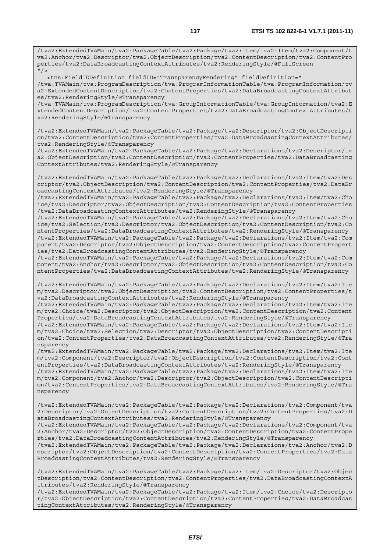/tva2:ExtendedTVAMain/tva2:PackageTable/tva2:Package/tva2:Item/tva2:Item/tva2:Component/t va2:Anchor/tva2:Descriptor/tva2:ObjectDescription/tva2:ContentDescription/tva2:ContentPro perties/tva2:DataBroadcastingContextAttributes/tva2:RenderingStyle/@FullScreen  $"$ /

<tns:FieldIDDefinition fieldID="TransparencyRendering" fieldDefinition="

/tva:TVAMain/tva:ProgramDescription/tva:ProgramInformationTable/tva:ProgramInformation/tv a2:ExtendedContentDescription/tva2:ContentProperties/tva2:DataBroadcastingContextAttribut es/tva2:RenderingStyle/@Transparency

/tva:TVAMain/tva:ProgramDescription/tva:GroupInformationTable/tva:GroupInformation/tva2:E xtendedContentDescription/tva2:ContentProperties/tva2:DataBroadcastingContextAttributes/t va2:RenderingStyle/@Transparency

/tva2:ExtendedTVAMain/tva2:PackageTable/tva2:Package/tva2:Descriptor/tva2:ObjectDescripti on/tva2:ContentDescription/tva2:ContentProperties/tva2:DataBroadcastingContextAttributes/ tva2:RenderingStyle/@Transparency

/tva2:ExtendedTVAMain/tva2:PackageTable/tva2:Package/tva2:Declarations/tva2:Descriptor/tv a2:ObjectDescription/tva2:ContentDescription/tva2:ContentProperties/tva2:DataBroadcasting ContextAttributes/tva2:RenderingStyle/@Transparency

/tva2:ExtendedTVAMain/tva2:PackageTable/tva2:Package/tva2:Declarations/tva2:Item/tva2:Des criptor/tva2:ObjectDescription/tva2:ContentDescription/tva2:ContentProperties/tva2:DataBr oadcastingContextAttributes/tva2:RenderingStyle/@Transparency

/tva2:ExtendedTVAMain/tva2:PackageTable/tva2:Package/tva2:Declarations/tva2:Item/tva2:Cho ice/tva2:Descriptor/tva2:ObjectDescription/tva2:ContentDescription/tva2:ContentProperties /tva2:DataBroadcastingContextAttributes/tva2:RenderingStyle/@Transparency

/tva2:ExtendedTVAMain/tva2:PackageTable/tva2:Package/tva2:Declarations/tva2:Item/tva2:Cho ice/tva2:Selection/tva2:Descriptor/tva2:ObjectDescription/tva2:ContentDescription/tva2:Co ntentProperties/tva2:DataBroadcastingContextAttributes/tva2:RenderingStyle/@Transparency /tva2:ExtendedTVAMain/tva2:PackageTable/tva2:Package/tva2:Declarations/tva2:Item/tva2:Com ponent/tva2:Descriptor/tva2:ObjectDescription/tva2:ContentDescription/tva2:ContentPropert ies/tva2:DataBroadcastingContextAttributes/tva2:RenderingStyle/@Transparency

/tva2:ExtendedTVAMain/tva2:PackageTable/tva2:Package/tva2:Declarations/tva2:Item/tva2:Com ponent/tva2:Anchor/tva2:Descriptor/tva2:ObjectDescription/tva2:ContentDescription/tva2:Co ntentProperties/tva2:DataBroadcastingContextAttributes/tva2:RenderingStyle/@Transparency

/tva2:ExtendedTVAMain/tva2:PackageTable/tva2:Package/tva2:Declarations/tva2:Item/tva2:Ite m/tva2:Descriptor/tva2:ObjectDescription/tva2:ContentDescription/tva2:ContentProperties/t va2:DataBroadcastingContextAttributes/tva2:RenderingStyle/@Transparency

/tva2:ExtendedTVAMain/tva2:PackageTable/tva2:Package/tva2:Declarations/tva2:Item/tva2:Ite m/tva2:Choice/tva2:Descriptor/tva2:ObjectDescription/tva2:ContentDescription/tva2:Content Properties/tva2:DataBroadcastingContextAttributes/tva2:RenderingStyle/@Transparency

/tva2:ExtendedTVAMain/tva2:PackageTable/tva2:Package/tva2:Declarations/tva2:Item/tva2:Ite m/tva2:Choice/tva2:Selection/tva2:Descriptor/tva2:ObjectDescription/tva2:ContentDescripti on/tva2:ContentProperties/tva2:DataBroadcastingContextAttributes/tva2:RenderingStyle/@Tra nsparency

/tva2:ExtendedTVAMain/tva2:PackageTable/tva2:Package/tva2:Declarations/tva2:Item/tva2:Ite m/tva2:Component/tva2:Descriptor/tva2:ObjectDescription/tva2:ContentDescription/tva2:Cont entProperties/tva2:DataBroadcastingContextAttributes/tva2:RenderingStyle/@Transparency /tva2:ExtendedTVAMain/tva2:PackageTable/tva2:Package/tva2:Declarations/tva2:Item/tva2:Ite m/tva2:Component/tva2:Anchor/tva2:Descriptor/tva2:ObjectDescription/tva2:ContentDescripti on/tva2:ContentProperties/tva2:DataBroadcastingContextAttributes/tva2:RenderingStyle/@Tra

/tva2:ExtendedTVAMain/tva2:PackageTable/tva2:Package/tva2:Declarations/tva2:Component/tva 2:Descriptor/tva2:ObjectDescription/tva2:ContentDescription/tva2:ContentProperties/tva2:D ataBroadcastingContextAttributes/tva2:RenderingStyle/@Transparency

nsparency

/tva2:ExtendedTVAMain/tva2:PackageTable/tva2:Package/tva2:Declarations/tva2:Component/tva 2:Anchor/tva2:Descriptor/tva2:ObjectDescription/tva2:ContentDescription/tva2:ContentPrope rties/tva2:DataBroadcastingContextAttributes/tva2:RenderingStyle/@Transparency

/tva2:ExtendedTVAMain/tva2:PackageTable/tva2:Package/tva2:Declarations/tva2:Anchor/tva2:D escriptor/tva2:ObjectDescription/tva2:ContentDescription/tva2:ContentProperties/tva2:Data BroadcastingContextAttributes/tva2:RenderingStyle/@Transparency

/tva2:ExtendedTVAMain/tva2:PackageTable/tva2:Package/tva2:Item/tva2:Descriptor/tva2:Objec tDescription/tva2:ContentDescription/tva2:ContentProperties/tva2:DataBroadcastingContextA ttributes/tva2:RenderingStyle/@Transparency

/tva2:ExtendedTVAMain/tva2:PackageTable/tva2:Package/tva2:Item/tva2:Choice/tva2:Descripto r/tva2:ObjectDescription/tva2:ContentDescription/tva2:ContentProperties/tva2:DataBroadcas tingContextAttributes/tva2:RenderingStyle/@Transparency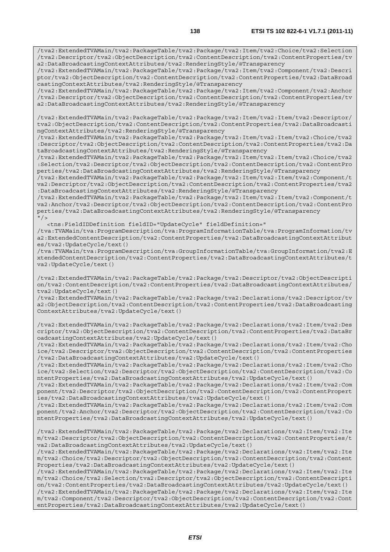/tva2:ExtendedTVAMain/tva2:PackageTable/tva2:Package/tva2:Item/tva2:Component/tva2:Descri ptor/tva2:ObjectDescription/tva2:ContentDescription/tva2:ContentProperties/tva2:DataBroad castingContextAttributes/tva2:RenderingStyle/@Transparency

/tva2:ExtendedTVAMain/tva2:PackageTable/tva2:Package/tva2:Item/tva2:Component/tva2:Anchor /tva2:Descriptor/tva2:ObjectDescription/tva2:ContentDescription/tva2:ContentProperties/tv a2:DataBroadcastingContextAttributes/tva2:RenderingStyle/@Transparency

/tva2:ExtendedTVAMain/tva2:PackageTable/tva2:Package/tva2:Item/tva2:Item/tva2:Descriptor/ tva2:ObjectDescription/tva2:ContentDescription/tva2:ContentProperties/tva2:DataBroadcasti ngContextAttributes/tva2:RenderingStyle/@Transparency

/tva2:ExtendedTVAMain/tva2:PackageTable/tva2:Package/tva2:Item/tva2:Item/tva2:Choice/tva2 :Descriptor/tva2:ObjectDescription/tva2:ContentDescription/tva2:ContentProperties/tva2:Da taBroadcastingContextAttributes/tva2:RenderingStyle/@Transparency

/tva2:ExtendedTVAMain/tva2:PackageTable/tva2:Package/tva2:Item/tva2:Item/tva2:Choice/tva2 :Selection/tva2:Descriptor/tva2:ObjectDescription/tva2:ContentDescription/tva2:ContentPro perties/tva2:DataBroadcastingContextAttributes/tva2:RenderingStyle/@Transparency

/tva2:ExtendedTVAMain/tva2:PackageTable/tva2:Package/tva2:Item/tva2:Item/tva2:Component/t va2:Descriptor/tva2:ObjectDescription/tva2:ContentDescription/tva2:ContentProperties/tva2 :DataBroadcastingContextAttributes/tva2:RenderingStyle/@Transparency

/tva2:ExtendedTVAMain/tva2:PackageTable/tva2:Package/tva2:Item/tva2:Item/tva2:Component/t va2:Anchor/tva2:Descriptor/tva2:ObjectDescription/tva2:ContentDescription/tva2:ContentPro perties/tva2:DataBroadcastingContextAttributes/tva2:RenderingStyle/@Transparency  $''$  / >

<tns:FieldIDDefinition fieldID="UpdateCycle" fieldDefinition="

/tva:TVAMain/tva:ProgramDescription/tva:ProgramInformationTable/tva:ProgramInformation/tv a2:ExtendedContentDescription/tva2:ContentProperties/tva2:DataBroadcastingContextAttribut es/tva2:UpdateCycle/text()

/tva:TVAMain/tva:ProgramDescription/tva:GroupInformationTable/tva:GroupInformation/tva2:E xtendedContentDescription/tva2:ContentProperties/tva2:DataBroadcastingContextAttributes/t va2:UpdateCycle/text()

/tva2:ExtendedTVAMain/tva2:PackageTable/tva2:Package/tva2:Descriptor/tva2:ObjectDescripti on/tva2:ContentDescription/tva2:ContentProperties/tva2:DataBroadcastingContextAttributes/ tva2:UpdateCycle/text()

/tva2:ExtendedTVAMain/tva2:PackageTable/tva2:Package/tva2:Declarations/tva2:Descriptor/tv a2:ObjectDescription/tva2:ContentDescription/tva2:ContentProperties/tva2:DataBroadcasting ContextAttributes/tva2:UpdateCycle/text()

/tva2:ExtendedTVAMain/tva2:PackageTable/tva2:Package/tva2:Declarations/tva2:Item/tva2:Des criptor/tva2:ObjectDescription/tva2:ContentDescription/tva2:ContentProperties/tva2:DataBr oadcastingContextAttributes/tva2:UpdateCycle/text()

/tva2:ExtendedTVAMain/tva2:PackageTable/tva2:Package/tva2:Declarations/tva2:Item/tva2:Cho ice/tva2:Descriptor/tva2:ObjectDescription/tva2:ContentDescription/tva2:ContentProperties /tva2:DataBroadcastingContextAttributes/tva2:UpdateCycle/text()

/tva2:ExtendedTVAMain/tva2:PackageTable/tva2:Package/tva2:Declarations/tva2:Item/tva2:Cho ice/tva2:Selection/tva2:Descriptor/tva2:ObjectDescription/tva2:ContentDescription/tva2:Co ntentProperties/tva2:DataBroadcastingContextAttributes/tva2:UpdateCycle/text()

/tva2:ExtendedTVAMain/tva2:PackageTable/tva2:Package/tva2:Declarations/tva2:Item/tva2:Com ponent/tva2:Descriptor/tva2:ObjectDescription/tva2:ContentDescription/tva2:ContentPropert ies/tva2:DataBroadcastingContextAttributes/tva2:UpdateCycle/text()

/tva2:ExtendedTVAMain/tva2:PackageTable/tva2:Package/tva2:Declarations/tva2:Item/tva2:Com ponent/tva2:Anchor/tva2:Descriptor/tva2:ObjectDescription/tva2:ContentDescription/tva2:Co ntentProperties/tva2:DataBroadcastingContextAttributes/tva2:UpdateCycle/text()

/tva2:ExtendedTVAMain/tva2:PackageTable/tva2:Package/tva2:Declarations/tva2:Item/tva2:Ite m/tva2:Descriptor/tva2:ObjectDescription/tva2:ContentDescription/tva2:ContentProperties/t va2:DataBroadcastingContextAttributes/tva2:UpdateCycle/text()

/tva2:ExtendedTVAMain/tva2:PackageTable/tva2:Package/tva2:Declarations/tva2:Item/tva2:Ite m/tva2:Choice/tva2:Descriptor/tva2:ObjectDescription/tva2:ContentDescription/tva2:Content Properties/tva2:DataBroadcastingContextAttributes/tva2:UpdateCycle/text()

/tva2:ExtendedTVAMain/tva2:PackageTable/tva2:Package/tva2:Declarations/tva2:Item/tva2:Ite m/tva2:Choice/tva2:Selection/tva2:Descriptor/tva2:ObjectDescription/tva2:ContentDescripti on/tva2:ContentProperties/tva2:DataBroadcastingContextAttributes/tva2:UpdateCycle/text() /tva2:ExtendedTVAMain/tva2:PackageTable/tva2:Package/tva2:Declarations/tva2:Item/tva2:Ite

m/tva2:Component/tva2:Descriptor/tva2:ObjectDescription/tva2:ContentDescription/tva2:Cont entProperties/tva2:DataBroadcastingContextAttributes/tva2:UpdateCycle/text()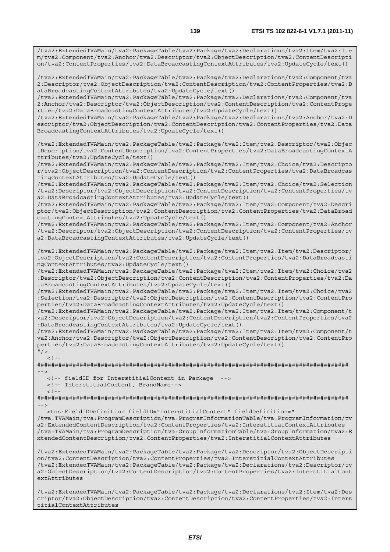/tva2:ExtendedTVAMain/tva2:PackageTable/tva2:Package/tva2:Declarations/tva2:Item/tva2:Ite m/tva2:Component/tva2:Anchor/tva2:Descriptor/tva2:ObjectDescription/tva2:ContentDescripti on/tva2:ContentProperties/tva2:DataBroadcastingContextAttributes/tva2:UpdateCycle/text()

/tva2:ExtendedTVAMain/tva2:PackageTable/tva2:Package/tva2:Declarations/tva2:Component/tva 2:Descriptor/tva2:ObjectDescription/tva2:ContentDescription/tva2:ContentProperties/tva2:D ataBroadcastingContextAttributes/tva2:UpdateCycle/text()

/tva2:ExtendedTVAMain/tva2:PackageTable/tva2:Package/tva2:Declarations/tva2:Component/tva 2:Anchor/tva2:Descriptor/tva2:ObjectDescription/tva2:ContentDescription/tva2:ContentPrope rties/tva2:DataBroadcastingContextAttributes/tva2:UpdateCycle/text()

/tva2:ExtendedTVAMain/tva2:PackageTable/tva2:Package/tva2:Declarations/tva2:Anchor/tva2:D escriptor/tva2:ObjectDescription/tva2:ContentDescription/tva2:ContentProperties/tva2:Data BroadcastingContextAttributes/tva2:UpdateCycle/text()

/tva2:ExtendedTVAMain/tva2:PackageTable/tva2:Package/tva2:Item/tva2:Descriptor/tva2:Objec tDescription/tva2:ContentDescription/tva2:ContentProperties/tva2:DataBroadcastingContextA ttributes/tva2:UpdateCycle/text()

/tva2:ExtendedTVAMain/tva2:PackageTable/tva2:Package/tva2:Item/tva2:Choice/tva2:Descripto r/tva2:ObjectDescription/tva2:ContentDescription/tva2:ContentProperties/tva2:DataBroadcas tingContextAttributes/tva2:UpdateCycle/text()

/tva2:ExtendedTVAMain/tva2:PackageTable/tva2:Package/tva2:Item/tva2:Choice/tva2:Selection /tva2:Descriptor/tva2:ObjectDescription/tva2:ContentDescription/tva2:ContentProperties/tv a2:DataBroadcastingContextAttributes/tva2:UpdateCycle/text()

/tva2:ExtendedTVAMain/tva2:PackageTable/tva2:Package/tva2:Item/tva2:Component/tva2:Descri ptor/tva2:ObjectDescription/tva2:ContentDescription/tva2:ContentProperties/tva2:DataBroad castingContextAttributes/tva2:UpdateCycle/text()

/tva2:ExtendedTVAMain/tva2:PackageTable/tva2:Package/tva2:Item/tva2:Component/tva2:Anchor /tva2:Descriptor/tva2:ObjectDescription/tva2:ContentDescription/tva2:ContentProperties/tv a2:DataBroadcastingContextAttributes/tva2:UpdateCycle/text()

/tva2:ExtendedTVAMain/tva2:PackageTable/tva2:Package/tva2:Item/tva2:Item/tva2:Descriptor/ tva2:ObjectDescription/tva2:ContentDescription/tva2:ContentProperties/tva2:DataBroadcasti ngContextAttributes/tva2:UpdateCycle/text()

/tva2:ExtendedTVAMain/tva2:PackageTable/tva2:Package/tva2:Item/tva2:Item/tva2:Choice/tva2 :Descriptor/tva2:ObjectDescription/tva2:ContentDescription/tva2:ContentProperties/tva2:Da taBroadcastingContextAttributes/tva2:UpdateCycle/text()

/tva2:ExtendedTVAMain/tva2:PackageTable/tva2:Package/tva2:Item/tva2:Item/tva2:Choice/tva2 :Selection/tva2:Descriptor/tva2:ObjectDescription/tva2:ContentDescription/tva2:ContentPro perties/tva2:DataBroadcastingContextAttributes/tva2:UpdateCycle/text()

/tva2:ExtendedTVAMain/tva2:PackageTable/tva2:Package/tva2:Item/tva2:Item/tva2:Component/t va2:Descriptor/tva2:ObjectDescription/tva2:ContentDescription/tva2:ContentProperties/tva2 :DataBroadcastingContextAttributes/tva2:UpdateCycle/text()

/tva2:ExtendedTVAMain/tva2:PackageTable/tva2:Package/tva2:Item/tva2:Item/tva2:Component/t va2:Anchor/tva2:Descriptor/tva2:ObjectDescription/tva2:ContentDescription/tva2:ContentPro perties/tva2:DataBroadcastingContextAttributes/tva2:UpdateCycle/text()

 $"$  / >

 $\leq$   $\perp$ 

######################################################################################## -->

<!-- fieldID for InterstitialContent in Package -->

<!-- InterstitialContent, BrandName-->

 $<$  !  $-\, -$ ########################################################################################

-->

<tns:FieldIDDefinition fieldID="InterstitialContent" fieldDefinition="

/tva:TVAMain/tva:ProgramDescription/tva:ProgramInformationTable/tva:ProgramInformation/tv a2:ExtendedContentDescription/tva2:ContentProperties/tva2:InterstitialContextAttributes /tva:TVAMain/tva:ProgramDescription/tva:GroupInformationTable/tva:GroupInformation/tva2:E xtendedContentDescription/tva2:ContentProperties/tva2:InterstitialContextAttributes

/tva2:ExtendedTVAMain/tva2:PackageTable/tva2:Package/tva2:Descriptor/tva2:ObjectDescripti on/tva2:ContentDescription/tva2:ContentProperties/tva2:InterstitialContextAttributes /tva2:ExtendedTVAMain/tva2:PackageTable/tva2:Package/tva2:Declarations/tva2:Descriptor/tv a2:ObjectDescription/tva2:ContentDescription/tva2:ContentProperties/tva2:InterstitialCont extAttributes

/tva2:ExtendedTVAMain/tva2:PackageTable/tva2:Package/tva2:Declarations/tva2:Item/tva2:Des criptor/tva2:ObjectDescription/tva2:ContentDescription/tva2:ContentProperties/tva2:Inters titialContextAttributes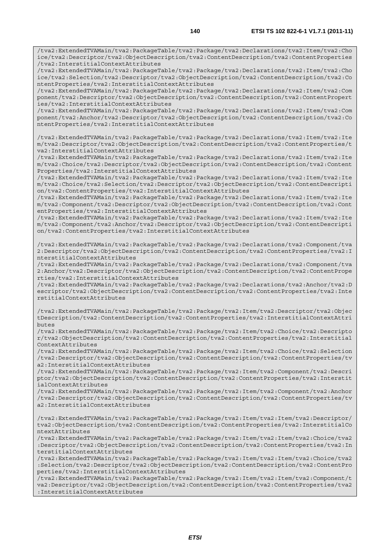/tva2:ExtendedTVAMain/tva2:PackageTable/tva2:Package/tva2:Declarations/tva2:Item/tva2:Cho ice/tva2:Descriptor/tva2:ObjectDescription/tva2:ContentDescription/tva2:ContentProperties /tva2:InterstitialContextAttributes

/tva2:ExtendedTVAMain/tva2:PackageTable/tva2:Package/tva2:Declarations/tva2:Item/tva2:Cho ice/tva2:Selection/tva2:Descriptor/tva2:ObjectDescription/tva2:ContentDescription/tva2:Co ntentProperties/tva2:InterstitialContextAttributes

/tva2:ExtendedTVAMain/tva2:PackageTable/tva2:Package/tva2:Declarations/tva2:Item/tva2:Com ponent/tva2:Descriptor/tva2:ObjectDescription/tva2:ContentDescription/tva2:ContentPropert ies/tva2:InterstitialContextAttributes

/tva2:ExtendedTVAMain/tva2:PackageTable/tva2:Package/tva2:Declarations/tva2:Item/tva2:Com ponent/tva2:Anchor/tva2:Descriptor/tva2:ObjectDescription/tva2:ContentDescription/tva2:Co ntentProperties/tva2:InterstitialContextAttributes

/tva2:ExtendedTVAMain/tva2:PackageTable/tva2:Package/tva2:Declarations/tva2:Item/tva2:Ite m/tva2:Descriptor/tva2:ObjectDescription/tva2:ContentDescription/tva2:ContentProperties/t va2:InterstitialContextAttributes

/tva2:ExtendedTVAMain/tva2:PackageTable/tva2:Package/tva2:Declarations/tva2:Item/tva2:Ite m/tva2:Choice/tva2:Descriptor/tva2:ObjectDescription/tva2:ContentDescription/tva2:Content Properties/tva2:InterstitialContextAttributes

/tva2:ExtendedTVAMain/tva2:PackageTable/tva2:Package/tva2:Declarations/tva2:Item/tva2:Ite m/tva2:Choice/tva2:Selection/tva2:Descriptor/tva2:ObjectDescription/tva2:ContentDescripti on/tva2:ContentProperties/tva2:InterstitialContextAttributes

/tva2:ExtendedTVAMain/tva2:PackageTable/tva2:Package/tva2:Declarations/tva2:Item/tva2:Ite m/tva2:Component/tva2:Descriptor/tva2:ObjectDescription/tva2:ContentDescription/tva2:Cont entProperties/tva2:InterstitialContextAttributes

/tva2:ExtendedTVAMain/tva2:PackageTable/tva2:Package/tva2:Declarations/tva2:Item/tva2:Ite m/tva2:Component/tva2:Anchor/tva2:Descriptor/tva2:ObjectDescription/tva2:ContentDescripti on/tva2:ContentProperties/tva2:InterstitialContextAttributes

/tva2:ExtendedTVAMain/tva2:PackageTable/tva2:Package/tva2:Declarations/tva2:Component/tva 2:Descriptor/tva2:ObjectDescription/tva2:ContentDescription/tva2:ContentProperties/tva2:I nterstitialContextAttributes

/tva2:ExtendedTVAMain/tva2:PackageTable/tva2:Package/tva2:Declarations/tva2:Component/tva 2:Anchor/tva2:Descriptor/tva2:ObjectDescription/tva2:ContentDescription/tva2:ContentPrope rties/tva2:InterstitialContextAttributes

/tva2:ExtendedTVAMain/tva2:PackageTable/tva2:Package/tva2:Declarations/tva2:Anchor/tva2:D escriptor/tva2:ObjectDescription/tva2:ContentDescription/tva2:ContentProperties/tva2:Inte rstitialContextAttributes

/tva2:ExtendedTVAMain/tva2:PackageTable/tva2:Package/tva2:Item/tva2:Descriptor/tva2:Objec tDescription/tva2:ContentDescription/tva2:ContentProperties/tva2:InterstitialContextAttri butes

/tva2:ExtendedTVAMain/tva2:PackageTable/tva2:Package/tva2:Item/tva2:Choice/tva2:Descripto r/tva2:ObjectDescription/tva2:ContentDescription/tva2:ContentProperties/tva2:Interstitial ContextAttributes

/tva2:ExtendedTVAMain/tva2:PackageTable/tva2:Package/tva2:Item/tva2:Choice/tva2:Selection /tva2:Descriptor/tva2:ObjectDescription/tva2:ContentDescription/tva2:ContentProperties/tv a2:InterstitialContextAttributes

/tva2:ExtendedTVAMain/tva2:PackageTable/tva2:Package/tva2:Item/tva2:Component/tva2:Descri ptor/tva2:ObjectDescription/tva2:ContentDescription/tva2:ContentProperties/tva2:Interstit ialContextAttributes

/tva2:ExtendedTVAMain/tva2:PackageTable/tva2:Package/tva2:Item/tva2:Component/tva2:Anchor /tva2:Descriptor/tva2:ObjectDescription/tva2:ContentDescription/tva2:ContentProperties/tv a2:InterstitialContextAttributes

/tva2:ExtendedTVAMain/tva2:PackageTable/tva2:Package/tva2:Item/tva2:Item/tva2:Descriptor/ tva2:ObjectDescription/tva2:ContentDescription/tva2:ContentProperties/tva2:InterstitialCo ntextAttributes

/tva2:ExtendedTVAMain/tva2:PackageTable/tva2:Package/tva2:Item/tva2:Item/tva2:Choice/tva2 :Descriptor/tva2:ObjectDescription/tva2:ContentDescription/tva2:ContentProperties/tva2:In terstitialContextAttributes

/tva2:ExtendedTVAMain/tva2:PackageTable/tva2:Package/tva2:Item/tva2:Item/tva2:Choice/tva2 :Selection/tva2:Descriptor/tva2:ObjectDescription/tva2:ContentDescription/tva2:ContentPro perties/tva2:InterstitialContextAttributes

/tva2:ExtendedTVAMain/tva2:PackageTable/tva2:Package/tva2:Item/tva2:Item/tva2:Component/t va2:Descriptor/tva2:ObjectDescription/tva2:ContentDescription/tva2:ContentProperties/tva2 :InterstitialContextAttributes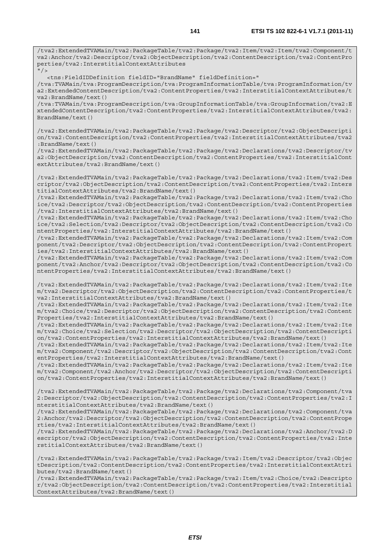/tva2:ExtendedTVAMain/tva2:PackageTable/tva2:Package/tva2:Item/tva2:Item/tva2:Component/t va2:Anchor/tva2:Descriptor/tva2:ObjectDescription/tva2:ContentDescription/tva2:ContentPro perties/tva2:InterstitialContextAttributes  $"$ /

<tns:FieldIDDefinition fieldID="BrandName" fieldDefinition="

/tva:TVAMain/tva:ProgramDescription/tva:ProgramInformationTable/tva:ProgramInformation/tv a2:ExtendedContentDescription/tva2:ContentProperties/tva2:InterstitialContextAttributes/t va2:BrandName/text()

/tva:TVAMain/tva:ProgramDescription/tva:GroupInformationTable/tva:GroupInformation/tva2:E xtendedContentDescription/tva2:ContentProperties/tva2:InterstitialContextAttributes/tva2: BrandName/text()

/tva2:ExtendedTVAMain/tva2:PackageTable/tva2:Package/tva2:Descriptor/tva2:ObjectDescripti on/tva2:ContentDescription/tva2:ContentProperties/tva2:InterstitialContextAttributes/tva2 :BrandName/text()

/tva2:ExtendedTVAMain/tva2:PackageTable/tva2:Package/tva2:Declarations/tva2:Descriptor/tv a2:ObjectDescription/tva2:ContentDescription/tva2:ContentProperties/tva2:InterstitialCont extAttributes/tva2:BrandName/text()

/tva2:ExtendedTVAMain/tva2:PackageTable/tva2:Package/tva2:Declarations/tva2:Item/tva2:Des criptor/tva2:ObjectDescription/tva2:ContentDescription/tva2:ContentProperties/tva2:Inters titialContextAttributes/tva2:BrandName/text()

/tva2:ExtendedTVAMain/tva2:PackageTable/tva2:Package/tva2:Declarations/tva2:Item/tva2:Cho ice/tva2:Descriptor/tva2:ObjectDescription/tva2:ContentDescription/tva2:ContentProperties /tva2:InterstitialContextAttributes/tva2:BrandName/text()

/tva2:ExtendedTVAMain/tva2:PackageTable/tva2:Package/tva2:Declarations/tva2:Item/tva2:Cho ice/tva2:Selection/tva2:Descriptor/tva2:ObjectDescription/tva2:ContentDescription/tva2:Co ntentProperties/tva2:InterstitialContextAttributes/tva2:BrandName/text()

/tva2:ExtendedTVAMain/tva2:PackageTable/tva2:Package/tva2:Declarations/tva2:Item/tva2:Com ponent/tva2:Descriptor/tva2:ObjectDescription/tva2:ContentDescription/tva2:ContentPropert ies/tva2:InterstitialContextAttributes/tva2:BrandName/text()

/tva2:ExtendedTVAMain/tva2:PackageTable/tva2:Package/tva2:Declarations/tva2:Item/tva2:Com ponent/tva2:Anchor/tva2:Descriptor/tva2:ObjectDescription/tva2:ContentDescription/tva2:Co ntentProperties/tva2:InterstitialContextAttributes/tva2:BrandName/text()

/tva2:ExtendedTVAMain/tva2:PackageTable/tva2:Package/tva2:Declarations/tva2:Item/tva2:Ite m/tva2:Descriptor/tva2:ObjectDescription/tva2:ContentDescription/tva2:ContentProperties/t va2:InterstitialContextAttributes/tva2:BrandName/text()

/tva2:ExtendedTVAMain/tva2:PackageTable/tva2:Package/tva2:Declarations/tva2:Item/tva2:Ite m/tva2:Choice/tva2:Descriptor/tva2:ObjectDescription/tva2:ContentDescription/tva2:Content Properties/tva2:InterstitialContextAttributes/tva2:BrandName/text()

/tva2:ExtendedTVAMain/tva2:PackageTable/tva2:Package/tva2:Declarations/tva2:Item/tva2:Ite m/tva2:Choice/tva2:Selection/tva2:Descriptor/tva2:ObjectDescription/tva2:ContentDescripti on/tva2:ContentProperties/tva2:InterstitialContextAttributes/tva2:BrandName/text()

/tva2:ExtendedTVAMain/tva2:PackageTable/tva2:Package/tva2:Declarations/tva2:Item/tva2:Ite m/tva2:Component/tva2:Descriptor/tva2:ObjectDescription/tva2:ContentDescription/tva2:Cont entProperties/tva2:InterstitialContextAttributes/tva2:BrandName/text()

/tva2:ExtendedTVAMain/tva2:PackageTable/tva2:Package/tva2:Declarations/tva2:Item/tva2:Ite m/tva2:Component/tva2:Anchor/tva2:Descriptor/tva2:ObjectDescription/tva2:ContentDescripti on/tva2:ContentProperties/tva2:InterstitialContextAttributes/tva2:BrandName/text()

/tva2:ExtendedTVAMain/tva2:PackageTable/tva2:Package/tva2:Declarations/tva2:Component/tva 2:Descriptor/tva2:ObjectDescription/tva2:ContentDescription/tva2:ContentProperties/tva2:I nterstitialContextAttributes/tva2:BrandName/text()

/tva2:ExtendedTVAMain/tva2:PackageTable/tva2:Package/tva2:Declarations/tva2:Component/tva 2:Anchor/tva2:Descriptor/tva2:ObjectDescription/tva2:ContentDescription/tva2:ContentPrope rties/tva2:InterstitialContextAttributes/tva2:BrandName/text()

/tva2:ExtendedTVAMain/tva2:PackageTable/tva2:Package/tva2:Declarations/tva2:Anchor/tva2:D escriptor/tva2:ObjectDescription/tva2:ContentDescription/tva2:ContentProperties/tva2:Inte rstitialContextAttributes/tva2:BrandName/text()

/tva2:ExtendedTVAMain/tva2:PackageTable/tva2:Package/tva2:Item/tva2:Descriptor/tva2:Objec tDescription/tva2:ContentDescription/tva2:ContentProperties/tva2:InterstitialContextAttri butes/tva2:BrandName/text()

/tva2:ExtendedTVAMain/tva2:PackageTable/tva2:Package/tva2:Item/tva2:Choice/tva2:Descripto r/tva2:ObjectDescription/tva2:ContentDescription/tva2:ContentProperties/tva2:Interstitial ContextAttributes/tva2:BrandName/text()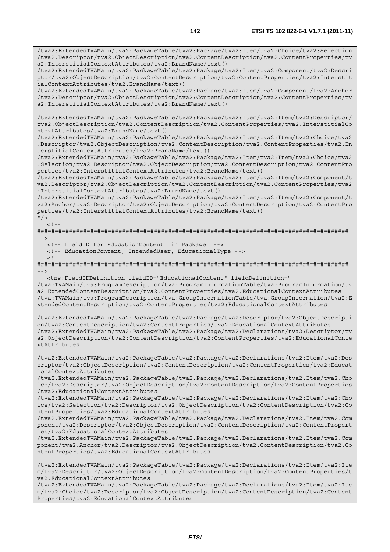/tva2:ExtendedTVAMain/tva2:PackageTable/tva2:Package/tva2:Item/tva2:Choice/tva2:Selection /tva2:Descriptor/tva2:ObjectDescription/tva2:ContentDescription/tva2:ContentProperties/tv a2:InterstitialContextAttributes/tva2:BrandName/text()

/tva2:ExtendedTVAMain/tva2:PackageTable/tva2:Package/tva2:Item/tva2:Component/tva2:Descri ptor/tva2:ObjectDescription/tva2:ContentDescription/tva2:ContentProperties/tva2:Interstit ialContextAttributes/tva2:BrandName/text()

/tva2:ExtendedTVAMain/tva2:PackageTable/tva2:Package/tva2:Item/tva2:Component/tva2:Anchor /tva2:Descriptor/tva2:ObjectDescription/tva2:ContentDescription/tva2:ContentProperties/tv a2:InterstitialContextAttributes/tva2:BrandName/text()

/tva2:ExtendedTVAMain/tva2:PackageTable/tva2:Package/tva2:Item/tva2:Item/tva2:Descriptor/ tva2:ObjectDescription/tva2:ContentDescription/tva2:ContentProperties/tva2:InterstitialCo ntextAttributes/tva2:BrandName/text()

/tva2:ExtendedTVAMain/tva2:PackageTable/tva2:Package/tva2:Item/tva2:Item/tva2:Choice/tva2 :Descriptor/tva2:ObjectDescription/tva2:ContentDescription/tva2:ContentProperties/tva2:In terstitialContextAttributes/tva2:BrandName/text()

/tva2:ExtendedTVAMain/tva2:PackageTable/tva2:Package/tva2:Item/tva2:Item/tva2:Choice/tva2 :Selection/tva2:Descriptor/tva2:ObjectDescription/tva2:ContentDescription/tva2:ContentPro perties/tva2:InterstitialContextAttributes/tva2:BrandName/text()

/tva2:ExtendedTVAMain/tva2:PackageTable/tva2:Package/tva2:Item/tva2:Item/tva2:Component/t va2:Descriptor/tva2:ObjectDescription/tva2:ContentDescription/tva2:ContentProperties/tva2 :InterstitialContextAttributes/tva2:BrandName/text()

/tva2:ExtendedTVAMain/tva2:PackageTable/tva2:Package/tva2:Item/tva2:Item/tva2:Component/t va2:Anchor/tva2:Descriptor/tva2:ObjectDescription/tva2:ContentDescription/tva2:ContentPro perties/tva2:InterstitialContextAttributes/tva2:BrandName/text()

## $^{\prime\prime}$  / >  $<$ ! --

######################################################################################## -->

<!-- fieldID for EducationContent in Package -->

<!-- EducationContent, IntendedUser, EducationalType -->

 $\geq$   $\frac{1}{2}$ .

######################################################################################## -->

 <tns:FieldIDDefinition fieldID="EducationalContent" fieldDefinition=" /tva:TVAMain/tva:ProgramDescription/tva:ProgramInformationTable/tva:ProgramInformation/tv a2:ExtendedContentDescription/tva2:ContentProperties/tva2:EducationalContextAttributes /tva:TVAMain/tva:ProgramDescription/tva:GroupInformationTable/tva:GroupInformation/tva2:E xtendedContentDescription/tva2:ContentProperties/tva2:EducationalContextAttributes

/tva2:ExtendedTVAMain/tva2:PackageTable/tva2:Package/tva2:Descriptor/tva2:ObjectDescripti on/tva2:ContentDescription/tva2:ContentProperties/tva2:EducationalContextAttributes /tva2:ExtendedTVAMain/tva2:PackageTable/tva2:Package/tva2:Declarations/tva2:Descriptor/tv a2:ObjectDescription/tva2:ContentDescription/tva2:ContentProperties/tva2:EducationalConte xtAttributes

/tva2:ExtendedTVAMain/tva2:PackageTable/tva2:Package/tva2:Declarations/tva2:Item/tva2:Des criptor/tva2:ObjectDescription/tva2:ContentDescription/tva2:ContentProperties/tva2:Educat ionalContextAttributes

/tva2:ExtendedTVAMain/tva2:PackageTable/tva2:Package/tva2:Declarations/tva2:Item/tva2:Cho ice/tva2:Descriptor/tva2:ObjectDescription/tva2:ContentDescription/tva2:ContentProperties /tva2:EducationalContextAttributes

/tva2:ExtendedTVAMain/tva2:PackageTable/tva2:Package/tva2:Declarations/tva2:Item/tva2:Cho ice/tva2:Selection/tva2:Descriptor/tva2:ObjectDescription/tva2:ContentDescription/tva2:Co ntentProperties/tva2:EducationalContextAttributes

/tva2:ExtendedTVAMain/tva2:PackageTable/tva2:Package/tva2:Declarations/tva2:Item/tva2:Com ponent/tva2:Descriptor/tva2:ObjectDescription/tva2:ContentDescription/tva2:ContentPropert ies/tva2:EducationalContextAttributes

/tva2:ExtendedTVAMain/tva2:PackageTable/tva2:Package/tva2:Declarations/tva2:Item/tva2:Com ponent/tva2:Anchor/tva2:Descriptor/tva2:ObjectDescription/tva2:ContentDescription/tva2:Co ntentProperties/tva2:EducationalContextAttributes

/tva2:ExtendedTVAMain/tva2:PackageTable/tva2:Package/tva2:Declarations/tva2:Item/tva2:Ite m/tva2:Descriptor/tva2:ObjectDescription/tva2:ContentDescription/tva2:ContentProperties/t va2:EducationalContextAttributes

/tva2:ExtendedTVAMain/tva2:PackageTable/tva2:Package/tva2:Declarations/tva2:Item/tva2:Ite m/tva2:Choice/tva2:Descriptor/tva2:ObjectDescription/tva2:ContentDescription/tva2:Content Properties/tva2:EducationalContextAttributes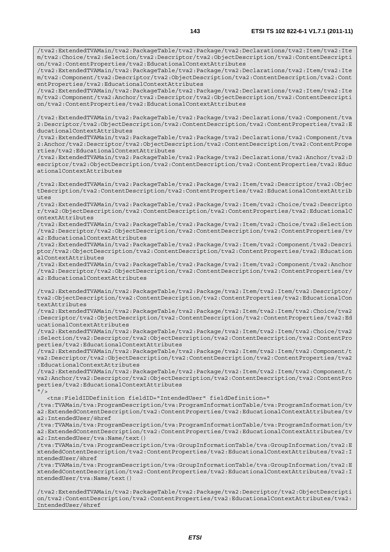/tva2:ExtendedTVAMain/tva2:PackageTable/tva2:Package/tva2:Declarations/tva2:Item/tva2:Ite m/tva2:Component/tva2:Descriptor/tva2:ObjectDescription/tva2:ContentDescription/tva2:Cont entProperties/tva2:EducationalContextAttributes

/tva2:ExtendedTVAMain/tva2:PackageTable/tva2:Package/tva2:Declarations/tva2:Item/tva2:Ite m/tva2:Component/tva2:Anchor/tva2:Descriptor/tva2:ObjectDescription/tva2:ContentDescripti on/tva2:ContentProperties/tva2:EducationalContextAttributes

/tva2:ExtendedTVAMain/tva2:PackageTable/tva2:Package/tva2:Declarations/tva2:Component/tva 2:Descriptor/tva2:ObjectDescription/tva2:ContentDescription/tva2:ContentProperties/tva2:E ducationalContextAttributes

/tva2:ExtendedTVAMain/tva2:PackageTable/tva2:Package/tva2:Declarations/tva2:Component/tva 2:Anchor/tva2:Descriptor/tva2:ObjectDescription/tva2:ContentDescription/tva2:ContentPrope rties/tva2:EducationalContextAttributes

/tva2:ExtendedTVAMain/tva2:PackageTable/tva2:Package/tva2:Declarations/tva2:Anchor/tva2:D escriptor/tva2:ObjectDescription/tva2:ContentDescription/tva2:ContentProperties/tva2:Educ ationalContextAttributes

/tva2:ExtendedTVAMain/tva2:PackageTable/tva2:Package/tva2:Item/tva2:Descriptor/tva2:Objec tDescription/tva2:ContentDescription/tva2:ContentProperties/tva2:EducationalContextAttrib utes

/tva2:ExtendedTVAMain/tva2:PackageTable/tva2:Package/tva2:Item/tva2:Choice/tva2:Descripto r/tva2:ObjectDescription/tva2:ContentDescription/tva2:ContentProperties/tva2:EducationalC ontextAttributes

/tva2:ExtendedTVAMain/tva2:PackageTable/tva2:Package/tva2:Item/tva2:Choice/tva2:Selection /tva2:Descriptor/tva2:ObjectDescription/tva2:ContentDescription/tva2:ContentProperties/tv a2:EducationalContextAttributes

/tva2:ExtendedTVAMain/tva2:PackageTable/tva2:Package/tva2:Item/tva2:Component/tva2:Descri ptor/tva2:ObjectDescription/tva2:ContentDescription/tva2:ContentProperties/tva2:Education alContextAttributes

/tva2:ExtendedTVAMain/tva2:PackageTable/tva2:Package/tva2:Item/tva2:Component/tva2:Anchor /tva2:Descriptor/tva2:ObjectDescription/tva2:ContentDescription/tva2:ContentProperties/tv a2:EducationalContextAttributes

/tva2:ExtendedTVAMain/tva2:PackageTable/tva2:Package/tva2:Item/tva2:Item/tva2:Descriptor/ tva2:ObjectDescription/tva2:ContentDescription/tva2:ContentProperties/tva2:EducationalCon textAttributes

/tva2:ExtendedTVAMain/tva2:PackageTable/tva2:Package/tva2:Item/tva2:Item/tva2:Choice/tva2 :Descriptor/tva2:ObjectDescription/tva2:ContentDescription/tva2:ContentProperties/tva2:Ed ucationalContextAttributes

/tva2:ExtendedTVAMain/tva2:PackageTable/tva2:Package/tva2:Item/tva2:Item/tva2:Choice/tva2 :Selection/tva2:Descriptor/tva2:ObjectDescription/tva2:ContentDescription/tva2:ContentPro perties/tva2:EducationalContextAttributes

/tva2:ExtendedTVAMain/tva2:PackageTable/tva2:Package/tva2:Item/tva2:Item/tva2:Component/t va2:Descriptor/tva2:ObjectDescription/tva2:ContentDescription/tva2:ContentProperties/tva2 :EducationalContextAttributes

/tva2:ExtendedTVAMain/tva2:PackageTable/tva2:Package/tva2:Item/tva2:Item/tva2:Component/t va2:Anchor/tva2:Descriptor/tva2:ObjectDescription/tva2:ContentDescription/tva2:ContentPro perties/tva2:EducationalContextAttributes  $"$  / >

<tns:FieldIDDefinition fieldID="IntendedUser" fieldDefinition="

/tva:TVAMain/tva:ProgramDescription/tva:ProgramInformationTable/tva:ProgramInformation/tv a2:ExtendedContentDescription/tva2:ContentProperties/tva2:EducationalContextAttributes/tv a2:IntendedUser/@href

/tva:TVAMain/tva:ProgramDescription/tva:ProgramInformationTable/tva:ProgramInformation/tv a2:ExtendedContentDescription/tva2:ContentProperties/tva2:EducationalContextAttributes/tv a2:IntendedUser/tva:Name/text()

/tva:TVAMain/tva:ProgramDescription/tva:GroupInformationTable/tva:GroupInformation/tva2:E xtendedContentDescription/tva2:ContentProperties/tva2:EducationalContextAttributes/tva2:I ntendedUser/@href

/tva:TVAMain/tva:ProgramDescription/tva:GroupInformationTable/tva:GroupInformation/tva2:E xtendedContentDescription/tva2:ContentProperties/tva2:EducationalContextAttributes/tva2:I ntendedUser/tva:Name/text()

/tva2:ExtendedTVAMain/tva2:PackageTable/tva2:Package/tva2:Descriptor/tva2:ObjectDescripti on/tva2:ContentDescription/tva2:ContentProperties/tva2:EducationalContextAttributes/tva2: IntendedUser/@href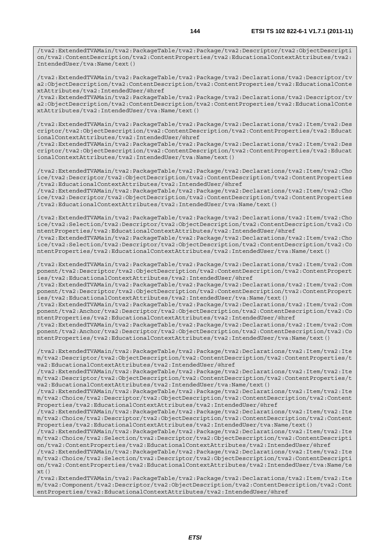/tva2:ExtendedTVAMain/tva2:PackageTable/tva2:Package/tva2:Declarations/tva2:Descriptor/tv a2:ObjectDescription/tva2:ContentDescription/tva2:ContentProperties/tva2:EducationalConte xtAttributes/tva2:IntendedUser/@href

/tva2:ExtendedTVAMain/tva2:PackageTable/tva2:Package/tva2:Declarations/tva2:Descriptor/tv a2:ObjectDescription/tva2:ContentDescription/tva2:ContentProperties/tva2:EducationalConte xtAttributes/tva2:IntendedUser/tva:Name/text()

/tva2:ExtendedTVAMain/tva2:PackageTable/tva2:Package/tva2:Declarations/tva2:Item/tva2:Des criptor/tva2:ObjectDescription/tva2:ContentDescription/tva2:ContentProperties/tva2:Educat ionalContextAttributes/tva2:IntendedUser/@href

/tva2:ExtendedTVAMain/tva2:PackageTable/tva2:Package/tva2:Declarations/tva2:Item/tva2:Des criptor/tva2:ObjectDescription/tva2:ContentDescription/tva2:ContentProperties/tva2:Educat ionalContextAttributes/tva2:IntendedUser/tva:Name/text()

/tva2:ExtendedTVAMain/tva2:PackageTable/tva2:Package/tva2:Declarations/tva2:Item/tva2:Cho ice/tva2:Descriptor/tva2:ObjectDescription/tva2:ContentDescription/tva2:ContentProperties /tva2:EducationalContextAttributes/tva2:IntendedUser/@href

/tva2:ExtendedTVAMain/tva2:PackageTable/tva2:Package/tva2:Declarations/tva2:Item/tva2:Cho ice/tva2:Descriptor/tva2:ObjectDescription/tva2:ContentDescription/tva2:ContentProperties /tva2:EducationalContextAttributes/tva2:IntendedUser/tva:Name/text()

/tva2:ExtendedTVAMain/tva2:PackageTable/tva2:Package/tva2:Declarations/tva2:Item/tva2:Cho ice/tva2:Selection/tva2:Descriptor/tva2:ObjectDescription/tva2:ContentDescription/tva2:Co ntentProperties/tva2:EducationalContextAttributes/tva2:IntendedUser/@href

/tva2:ExtendedTVAMain/tva2:PackageTable/tva2:Package/tva2:Declarations/tva2:Item/tva2:Cho ice/tva2:Selection/tva2:Descriptor/tva2:ObjectDescription/tva2:ContentDescription/tva2:Co ntentProperties/tva2:EducationalContextAttributes/tva2:IntendedUser/tva:Name/text()

/tva2:ExtendedTVAMain/tva2:PackageTable/tva2:Package/tva2:Declarations/tva2:Item/tva2:Com ponent/tva2:Descriptor/tva2:ObjectDescription/tva2:ContentDescription/tva2:ContentPropert ies/tva2:EducationalContextAttributes/tva2:IntendedUser/@href

/tva2:ExtendedTVAMain/tva2:PackageTable/tva2:Package/tva2:Declarations/tva2:Item/tva2:Com ponent/tva2:Descriptor/tva2:ObjectDescription/tva2:ContentDescription/tva2:ContentPropert ies/tva2:EducationalContextAttributes/tva2:IntendedUser/tva:Name/text()

/tva2:ExtendedTVAMain/tva2:PackageTable/tva2:Package/tva2:Declarations/tva2:Item/tva2:Com ponent/tva2:Anchor/tva2:Descriptor/tva2:ObjectDescription/tva2:ContentDescription/tva2:Co ntentProperties/tva2:EducationalContextAttributes/tva2:IntendedUser/@href

/tva2:ExtendedTVAMain/tva2:PackageTable/tva2:Package/tva2:Declarations/tva2:Item/tva2:Com ponent/tva2:Anchor/tva2:Descriptor/tva2:ObjectDescription/tva2:ContentDescription/tva2:Co ntentProperties/tva2:EducationalContextAttributes/tva2:IntendedUser/tva:Name/text()

/tva2:ExtendedTVAMain/tva2:PackageTable/tva2:Package/tva2:Declarations/tva2:Item/tva2:Ite m/tva2:Descriptor/tva2:ObjectDescription/tva2:ContentDescription/tva2:ContentProperties/t va2:EducationalContextAttributes/tva2:IntendedUser/@href

/tva2:ExtendedTVAMain/tva2:PackageTable/tva2:Package/tva2:Declarations/tva2:Item/tva2:Ite m/tva2:Descriptor/tva2:ObjectDescription/tva2:ContentDescription/tva2:ContentProperties/t va2:EducationalContextAttributes/tva2:IntendedUser/tva:Name/text()

/tva2:ExtendedTVAMain/tva2:PackageTable/tva2:Package/tva2:Declarations/tva2:Item/tva2:Ite m/tva2:Choice/tva2:Descriptor/tva2:ObjectDescription/tva2:ContentDescription/tva2:Content Properties/tva2:EducationalContextAttributes/tva2:IntendedUser/@href

/tva2:ExtendedTVAMain/tva2:PackageTable/tva2:Package/tva2:Declarations/tva2:Item/tva2:Ite m/tva2:Choice/tva2:Descriptor/tva2:ObjectDescription/tva2:ContentDescription/tva2:Content Properties/tva2:EducationalContextAttributes/tva2:IntendedUser/tva:Name/text()

/tva2:ExtendedTVAMain/tva2:PackageTable/tva2:Package/tva2:Declarations/tva2:Item/tva2:Ite m/tva2:Choice/tva2:Selection/tva2:Descriptor/tva2:ObjectDescription/tva2:ContentDescripti on/tva2:ContentProperties/tva2:EducationalContextAttributes/tva2:IntendedUser/@href

/tva2:ExtendedTVAMain/tva2:PackageTable/tva2:Package/tva2:Declarations/tva2:Item/tva2:Ite m/tva2:Choice/tva2:Selection/tva2:Descriptor/tva2:ObjectDescription/tva2:ContentDescripti on/tva2:ContentProperties/tva2:EducationalContextAttributes/tva2:IntendedUser/tva:Name/te  $x+()$ 

/tva2:ExtendedTVAMain/tva2:PackageTable/tva2:Package/tva2:Declarations/tva2:Item/tva2:Ite m/tva2:Component/tva2:Descriptor/tva2:ObjectDescription/tva2:ContentDescription/tva2:Cont entProperties/tva2:EducationalContextAttributes/tva2:IntendedUser/@href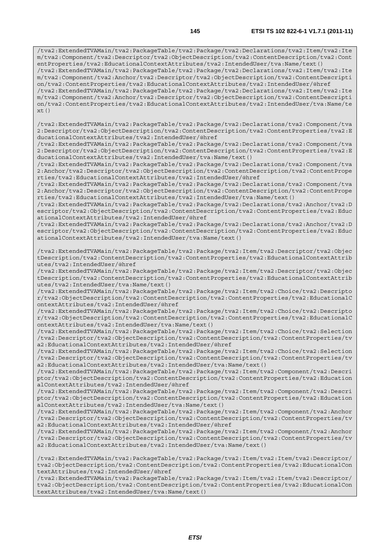/tva2:ExtendedTVAMain/tva2:PackageTable/tva2:Package/tva2:Declarations/tva2:Item/tva2:Ite m/tva2:Component/tva2:Descriptor/tva2:ObjectDescription/tva2:ContentDescription/tva2:Cont entProperties/tva2:EducationalContextAttributes/tva2:IntendedUser/tva:Name/text() /tva2:ExtendedTVAMain/tva2:PackageTable/tva2:Package/tva2:Declarations/tva2:Item/tva2:Ite m/tva2:Component/tva2:Anchor/tva2:Descriptor/tva2:ObjectDescription/tva2:ContentDescripti on/tva2:ContentProperties/tva2:EducationalContextAttributes/tva2:IntendedUser/@href /tva2:ExtendedTVAMain/tva2:PackageTable/tva2:Package/tva2:Declarations/tva2:Item/tva2:Ite m/tva2:Component/tva2:Anchor/tva2:Descriptor/tva2:ObjectDescription/tva2:ContentDescripti on/tva2:ContentProperties/tva2:EducationalContextAttributes/tva2:IntendedUser/tva:Name/te  $xt()$ 

/tva2:ExtendedTVAMain/tva2:PackageTable/tva2:Package/tva2:Declarations/tva2:Component/tva 2:Descriptor/tva2:ObjectDescription/tva2:ContentDescription/tva2:ContentProperties/tva2:E ducationalContextAttributes/tva2:IntendedUser/@href

/tva2:ExtendedTVAMain/tva2:PackageTable/tva2:Package/tva2:Declarations/tva2:Component/tva 2:Descriptor/tva2:ObjectDescription/tva2:ContentDescription/tva2:ContentProperties/tva2:E ducationalContextAttributes/tva2:IntendedUser/tva:Name/text()

/tva2:ExtendedTVAMain/tva2:PackageTable/tva2:Package/tva2:Declarations/tva2:Component/tva 2:Anchor/tva2:Descriptor/tva2:ObjectDescription/tva2:ContentDescription/tva2:ContentPrope rties/tva2:EducationalContextAttributes/tva2:IntendedUser/@href

/tva2:ExtendedTVAMain/tva2:PackageTable/tva2:Package/tva2:Declarations/tva2:Component/tva 2:Anchor/tva2:Descriptor/tva2:ObjectDescription/tva2:ContentDescription/tva2:ContentPrope rties/tva2:EducationalContextAttributes/tva2:IntendedUser/tva:Name/text()

/tva2:ExtendedTVAMain/tva2:PackageTable/tva2:Package/tva2:Declarations/tva2:Anchor/tva2:D escriptor/tva2:ObjectDescription/tva2:ContentDescription/tva2:ContentProperties/tva2:Educ ationalContextAttributes/tva2:IntendedUser/@href

/tva2:ExtendedTVAMain/tva2:PackageTable/tva2:Package/tva2:Declarations/tva2:Anchor/tva2:D escriptor/tva2:ObjectDescription/tva2:ContentDescription/tva2:ContentProperties/tva2:Educ ationalContextAttributes/tva2:IntendedUser/tva:Name/text()

/tva2:ExtendedTVAMain/tva2:PackageTable/tva2:Package/tva2:Item/tva2:Descriptor/tva2:Objec tDescription/tva2:ContentDescription/tva2:ContentProperties/tva2:EducationalContextAttrib utes/tva2:IntendedUser/@href

/tva2:ExtendedTVAMain/tva2:PackageTable/tva2:Package/tva2:Item/tva2:Descriptor/tva2:Objec tDescription/tva2:ContentDescription/tva2:ContentProperties/tva2:EducationalContextAttrib utes/tva2:IntendedUser/tva:Name/text()

/tva2:ExtendedTVAMain/tva2:PackageTable/tva2:Package/tva2:Item/tva2:Choice/tva2:Descripto r/tva2:ObjectDescription/tva2:ContentDescription/tva2:ContentProperties/tva2:EducationalC ontextAttributes/tva2:IntendedUser/@href

/tva2:ExtendedTVAMain/tva2:PackageTable/tva2:Package/tva2:Item/tva2:Choice/tva2:Descripto r/tva2:ObjectDescription/tva2:ContentDescription/tva2:ContentProperties/tva2:EducationalC ontextAttributes/tva2:IntendedUser/tva:Name/text()

/tva2:ExtendedTVAMain/tva2:PackageTable/tva2:Package/tva2:Item/tva2:Choice/tva2:Selection /tva2:Descriptor/tva2:ObjectDescription/tva2:ContentDescription/tva2:ContentProperties/tv a2:EducationalContextAttributes/tva2:IntendedUser/@href

/tva2:ExtendedTVAMain/tva2:PackageTable/tva2:Package/tva2:Item/tva2:Choice/tva2:Selection /tva2:Descriptor/tva2:ObjectDescription/tva2:ContentDescription/tva2:ContentProperties/tv a2:EducationalContextAttributes/tva2:IntendedUser/tva:Name/text()

/tva2:ExtendedTVAMain/tva2:PackageTable/tva2:Package/tva2:Item/tva2:Component/tva2:Descri ptor/tva2:ObjectDescription/tva2:ContentDescription/tva2:ContentProperties/tva2:Education alContextAttributes/tva2:IntendedUser/@href

/tva2:ExtendedTVAMain/tva2:PackageTable/tva2:Package/tva2:Item/tva2:Component/tva2:Descri ptor/tva2:ObjectDescription/tva2:ContentDescription/tva2:ContentProperties/tva2:Education alContextAttributes/tva2:IntendedUser/tva:Name/text()

/tva2:ExtendedTVAMain/tva2:PackageTable/tva2:Package/tva2:Item/tva2:Component/tva2:Anchor /tva2:Descriptor/tva2:ObjectDescription/tva2:ContentDescription/tva2:ContentProperties/tv a2:EducationalContextAttributes/tva2:IntendedUser/@href

/tva2:ExtendedTVAMain/tva2:PackageTable/tva2:Package/tva2:Item/tva2:Component/tva2:Anchor /tva2:Descriptor/tva2:ObjectDescription/tva2:ContentDescription/tva2:ContentProperties/tv a2:EducationalContextAttributes/tva2:IntendedUser/tva:Name/text()

/tva2:ExtendedTVAMain/tva2:PackageTable/tva2:Package/tva2:Item/tva2:Item/tva2:Descriptor/ tva2:ObjectDescription/tva2:ContentDescription/tva2:ContentProperties/tva2:EducationalCon textAttributes/tva2:IntendedUser/@href

/tva2:ExtendedTVAMain/tva2:PackageTable/tva2:Package/tva2:Item/tva2:Item/tva2:Descriptor/ tva2:ObjectDescription/tva2:ContentDescription/tva2:ContentProperties/tva2:EducationalCon textAttributes/tva2:IntendedUser/tva:Name/text()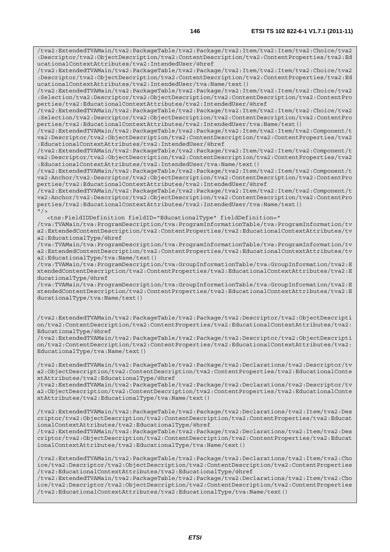/tva2:ExtendedTVAMain/tva2:PackageTable/tva2:Package/tva2:Item/tva2:Item/tva2:Choice/tva2 :Descriptor/tva2:ObjectDescription/tva2:ContentDescription/tva2:ContentProperties/tva2:Ed ucationalContextAttributes/tva2:IntendedUser/@href

/tva2:ExtendedTVAMain/tva2:PackageTable/tva2:Package/tva2:Item/tva2:Item/tva2:Choice/tva2 :Descriptor/tva2:ObjectDescription/tva2:ContentDescription/tva2:ContentProperties/tva2:Ed ucationalContextAttributes/tva2:IntendedUser/tva:Name/text()

/tva2:ExtendedTVAMain/tva2:PackageTable/tva2:Package/tva2:Item/tva2:Item/tva2:Choice/tva2 :Selection/tva2:Descriptor/tva2:ObjectDescription/tva2:ContentDescription/tva2:ContentPro perties/tva2:EducationalContextAttributes/tva2:IntendedUser/@href

/tva2:ExtendedTVAMain/tva2:PackageTable/tva2:Package/tva2:Item/tva2:Item/tva2:Choice/tva2 :Selection/tva2:Descriptor/tva2:ObjectDescription/tva2:ContentDescription/tva2:ContentPro perties/tva2:EducationalContextAttributes/tva2:IntendedUser/tva:Name/text()

/tva2:ExtendedTVAMain/tva2:PackageTable/tva2:Package/tva2:Item/tva2:Item/tva2:Component/t va2:Descriptor/tva2:ObjectDescription/tva2:ContentDescription/tva2:ContentProperties/tva2 :EducationalContextAttributes/tva2:IntendedUser/@href

/tva2:ExtendedTVAMain/tva2:PackageTable/tva2:Package/tva2:Item/tva2:Item/tva2:Component/t va2:Descriptor/tva2:ObjectDescription/tva2:ContentDescription/tva2:ContentProperties/tva2 :EducationalContextAttributes/tva2:IntendedUser/tva:Name/text()

/tva2:ExtendedTVAMain/tva2:PackageTable/tva2:Package/tva2:Item/tva2:Item/tva2:Component/t va2:Anchor/tva2:Descriptor/tva2:ObjectDescription/tva2:ContentDescription/tva2:ContentPro perties/tva2:EducationalContextAttributes/tva2:IntendedUser/@href

/tva2:ExtendedTVAMain/tva2:PackageTable/tva2:Package/tva2:Item/tva2:Item/tva2:Component/t va2:Anchor/tva2:Descriptor/tva2:ObjectDescription/tva2:ContentDescription/tva2:ContentPro perties/tva2:EducationalContextAttributes/tva2:IntendedUser/tva:Name/text()  $"$  />

<tns:FieldIDDefinition fieldID="EducationalType" fieldDefinition="

/tva:TVAMain/tva:ProgramDescription/tva:ProgramInformationTable/tva:ProgramInformation/tv a2:ExtendedContentDescription/tva2:ContentProperties/tva2:EducationalContextAttributes/tv a2:EducationalType/@href

/tva:TVAMain/tva:ProgramDescription/tva:ProgramInformationTable/tva:ProgramInformation/tv a2:ExtendedContentDescription/tva2:ContentProperties/tva2:EducationalContextAttributes/tv a2:EducationalType/tva:Name/text()

/tva:TVAMain/tva:ProgramDescription/tva:GroupInformationTable/tva:GroupInformation/tva2:E xtendedContentDescription/tva2:ContentProperties/tva2:EducationalContextAttributes/tva2:E ducationalType/@href

/tva:TVAMain/tva:ProgramDescription/tva:GroupInformationTable/tva:GroupInformation/tva2:E xtendedContentDescription/tva2:ContentProperties/tva2:EducationalContextAttributes/tva2:E ducationalType/tva:Name/text()

/tva2:ExtendedTVAMain/tva2:PackageTable/tva2:Package/tva2:Descriptor/tva2:ObjectDescripti on/tva2:ContentDescription/tva2:ContentProperties/tva2:EducationalContextAttributes/tva2: EducationalType/@href

/tva2:ExtendedTVAMain/tva2:PackageTable/tva2:Package/tva2:Descriptor/tva2:ObjectDescripti on/tva2:ContentDescription/tva2:ContentProperties/tva2:EducationalContextAttributes/tva2: EducationalType/tva:Name/text()

/tva2:ExtendedTVAMain/tva2:PackageTable/tva2:Package/tva2:Declarations/tva2:Descriptor/tv a2:ObjectDescription/tva2:ContentDescription/tva2:ContentProperties/tva2:EducationalConte xtAttributes/tva2:EducationalType/@href

/tva2:ExtendedTVAMain/tva2:PackageTable/tva2:Package/tva2:Declarations/tva2:Descriptor/tv a2:ObjectDescription/tva2:ContentDescription/tva2:ContentProperties/tva2:EducationalConte xtAttributes/tva2:EducationalType/tva:Name/text()

/tva2:ExtendedTVAMain/tva2:PackageTable/tva2:Package/tva2:Declarations/tva2:Item/tva2:Des criptor/tva2:ObjectDescription/tva2:ContentDescription/tva2:ContentProperties/tva2:Educat ionalContextAttributes/tva2:EducationalType/@href

/tva2:ExtendedTVAMain/tva2:PackageTable/tva2:Package/tva2:Declarations/tva2:Item/tva2:Des criptor/tva2:ObjectDescription/tva2:ContentDescription/tva2:ContentProperties/tva2:Educat ionalContextAttributes/tva2:EducationalType/tva:Name/text()

/tva2:ExtendedTVAMain/tva2:PackageTable/tva2:Package/tva2:Declarations/tva2:Item/tva2:Cho ice/tva2:Descriptor/tva2:ObjectDescription/tva2:ContentDescription/tva2:ContentProperties /tva2:EducationalContextAttributes/tva2:EducationalType/@href

/tva2:ExtendedTVAMain/tva2:PackageTable/tva2:Package/tva2:Declarations/tva2:Item/tva2:Cho ice/tva2:Descriptor/tva2:ObjectDescription/tva2:ContentDescription/tva2:ContentProperties /tva2:EducationalContextAttributes/tva2:EducationalType/tva:Name/text()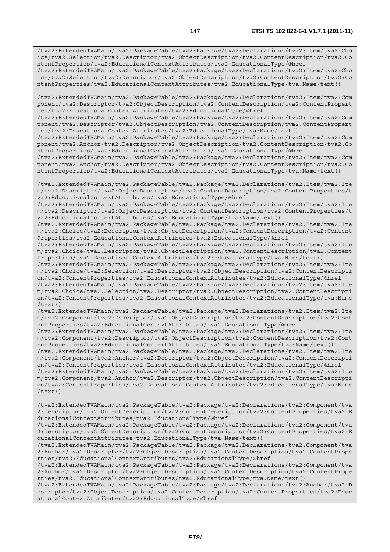/tva2:ExtendedTVAMain/tva2:PackageTable/tva2:Package/tva2:Declarations/tva2:Item/tva2:Cho ice/tva2:Selection/tva2:Descriptor/tva2:ObjectDescription/tva2:ContentDescription/tva2:Co ntentProperties/tva2:EducationalContextAttributes/tva2:EducationalType/@href /tva2:ExtendedTVAMain/tva2:PackageTable/tva2:Package/tva2:Declarations/tva2:Item/tva2:Cho

ice/tva2:Selection/tva2:Descriptor/tva2:ObjectDescription/tva2:ContentDescription/tva2:Co ntentProperties/tva2:EducationalContextAttributes/tva2:EducationalType/tva:Name/text()

/tva2:ExtendedTVAMain/tva2:PackageTable/tva2:Package/tva2:Declarations/tva2:Item/tva2:Com ponent/tva2:Descriptor/tva2:ObjectDescription/tva2:ContentDescription/tva2:ContentPropert ies/tva2:EducationalContextAttributes/tva2:EducationalType/@href

/tva2:ExtendedTVAMain/tva2:PackageTable/tva2:Package/tva2:Declarations/tva2:Item/tva2:Com ponent/tva2:Descriptor/tva2:ObjectDescription/tva2:ContentDescription/tva2:ContentPropert ies/tva2:EducationalContextAttributes/tva2:EducationalType/tva:Name/text()

/tva2:ExtendedTVAMain/tva2:PackageTable/tva2:Package/tva2:Declarations/tva2:Item/tva2:Com ponent/tva2:Anchor/tva2:Descriptor/tva2:ObjectDescription/tva2:ContentDescription/tva2:Co ntentProperties/tva2:EducationalContextAttributes/tva2:EducationalType/@href

/tva2:ExtendedTVAMain/tva2:PackageTable/tva2:Package/tva2:Declarations/tva2:Item/tva2:Com ponent/tva2:Anchor/tva2:Descriptor/tva2:ObjectDescription/tva2:ContentDescription/tva2:Co ntentProperties/tva2:EducationalContextAttributes/tva2:EducationalType/tva:Name/text()

/tva2:ExtendedTVAMain/tva2:PackageTable/tva2:Package/tva2:Declarations/tva2:Item/tva2:Ite m/tva2:Descriptor/tva2:ObjectDescription/tva2:ContentDescription/tva2:ContentProperties/t va2:EducationalContextAttributes/tva2:EducationalType/@href

/tva2:ExtendedTVAMain/tva2:PackageTable/tva2:Package/tva2:Declarations/tva2:Item/tva2:Ite m/tva2:Descriptor/tva2:ObjectDescription/tva2:ContentDescription/tva2:ContentProperties/t va2:EducationalContextAttributes/tva2:EducationalType/tva:Name/text()

/tva2:ExtendedTVAMain/tva2:PackageTable/tva2:Package/tva2:Declarations/tva2:Item/tva2:Ite m/tva2:Choice/tva2:Descriptor/tva2:ObjectDescription/tva2:ContentDescription/tva2:Content Properties/tva2:EducationalContextAttributes/tva2:EducationalType/@href

/tva2:ExtendedTVAMain/tva2:PackageTable/tva2:Package/tva2:Declarations/tva2:Item/tva2:Ite m/tva2:Choice/tva2:Descriptor/tva2:ObjectDescription/tva2:ContentDescription/tva2:Content Properties/tva2:EducationalContextAttributes/tva2:EducationalType/tva:Name/text()

/tva2:ExtendedTVAMain/tva2:PackageTable/tva2:Package/tva2:Declarations/tva2:Item/tva2:Ite m/tva2:Choice/tva2:Selection/tva2:Descriptor/tva2:ObjectDescription/tva2:ContentDescripti on/tva2:ContentProperties/tva2:EducationalContextAttributes/tva2:EducationalType/@href

/tva2:ExtendedTVAMain/tva2:PackageTable/tva2:Package/tva2:Declarations/tva2:Item/tva2:Ite m/tva2:Choice/tva2:Selection/tva2:Descriptor/tva2:ObjectDescription/tva2:ContentDescripti on/tva2:ContentProperties/tva2:EducationalContextAttributes/tva2:EducationalType/tva:Name  $/$ text $()$ 

/tva2:ExtendedTVAMain/tva2:PackageTable/tva2:Package/tva2:Declarations/tva2:Item/tva2:Ite m/tva2:Component/tva2:Descriptor/tva2:ObjectDescription/tva2:ContentDescription/tva2:Cont entProperties/tva2:EducationalContextAttributes/tva2:EducationalType/@href

/tva2:ExtendedTVAMain/tva2:PackageTable/tva2:Package/tva2:Declarations/tva2:Item/tva2:Ite m/tva2:Component/tva2:Descriptor/tva2:ObjectDescription/tva2:ContentDescription/tva2:Cont entProperties/tva2:EducationalContextAttributes/tva2:EducationalType/tva:Name/text()

/tva2:ExtendedTVAMain/tva2:PackageTable/tva2:Package/tva2:Declarations/tva2:Item/tva2:Ite m/tva2:Component/tva2:Anchor/tva2:Descriptor/tva2:ObjectDescription/tva2:ContentDescripti on/tva2:ContentProperties/tva2:EducationalContextAttributes/tva2:EducationalType/@href

/tva2:ExtendedTVAMain/tva2:PackageTable/tva2:Package/tva2:Declarations/tva2:Item/tva2:Ite m/tva2:Component/tva2:Anchor/tva2:Descriptor/tva2:ObjectDescription/tva2:ContentDescripti on/tva2:ContentProperties/tva2:EducationalContextAttributes/tva2:EducationalType/tva:Name /text()

/tva2:ExtendedTVAMain/tva2:PackageTable/tva2:Package/tva2:Declarations/tva2:Component/tva 2:Descriptor/tva2:ObjectDescription/tva2:ContentDescription/tva2:ContentProperties/tva2:E ducationalContextAttributes/tva2:EducationalType/@href

/tva2:ExtendedTVAMain/tva2:PackageTable/tva2:Package/tva2:Declarations/tva2:Component/tva 2:Descriptor/tva2:ObjectDescription/tva2:ContentDescription/tva2:ContentProperties/tva2:E ducationalContextAttributes/tva2:EducationalType/tva:Name/text()

/tva2:ExtendedTVAMain/tva2:PackageTable/tva2:Package/tva2:Declarations/tva2:Component/tva 2:Anchor/tva2:Descriptor/tva2:ObjectDescription/tva2:ContentDescription/tva2:ContentPrope rties/tva2:EducationalContextAttributes/tva2:EducationalType/@href

/tva2:ExtendedTVAMain/tva2:PackageTable/tva2:Package/tva2:Declarations/tva2:Component/tva 2:Anchor/tva2:Descriptor/tva2:ObjectDescription/tva2:ContentDescription/tva2:ContentPrope rties/tva2:EducationalContextAttributes/tva2:EducationalType/tva:Name/text()

/tva2:ExtendedTVAMain/tva2:PackageTable/tva2:Package/tva2:Declarations/tva2:Anchor/tva2:D escriptor/tva2:ObjectDescription/tva2:ContentDescription/tva2:ContentProperties/tva2:Educ ationalContextAttributes/tva2:EducationalType/@href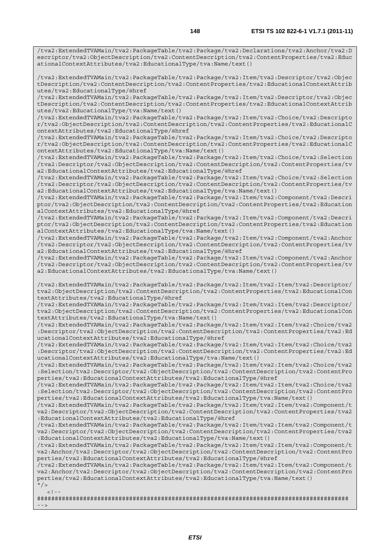/tva2:ExtendedTVAMain/tva2:PackageTable/tva2:Package/tva2:Declarations/tva2:Anchor/tva2:D escriptor/tva2:ObjectDescription/tva2:ContentDescription/tva2:ContentProperties/tva2:Educ ationalContextAttributes/tva2:EducationalType/tva:Name/text()

/tva2:ExtendedTVAMain/tva2:PackageTable/tva2:Package/tva2:Item/tva2:Descriptor/tva2:Objec tDescription/tva2:ContentDescription/tva2:ContentProperties/tva2:EducationalContextAttrib utes/tva2:EducationalType/@href

/tva2:ExtendedTVAMain/tva2:PackageTable/tva2:Package/tva2:Item/tva2:Descriptor/tva2:Objec tDescription/tva2:ContentDescription/tva2:ContentProperties/tva2:EducationalContextAttrib utes/tva2:EducationalType/tva:Name/text()

/tva2:ExtendedTVAMain/tva2:PackageTable/tva2:Package/tva2:Item/tva2:Choice/tva2:Descripto r/tva2:ObjectDescription/tva2:ContentDescription/tva2:ContentProperties/tva2:EducationalC ontextAttributes/tva2:EducationalType/@href

/tva2:ExtendedTVAMain/tva2:PackageTable/tva2:Package/tva2:Item/tva2:Choice/tva2:Descripto r/tva2:ObjectDescription/tva2:ContentDescription/tva2:ContentProperties/tva2:EducationalC ontextAttributes/tva2:EducationalType/tva:Name/text()

/tva2:ExtendedTVAMain/tva2:PackageTable/tva2:Package/tva2:Item/tva2:Choice/tva2:Selection /tva2:Descriptor/tva2:ObjectDescription/tva2:ContentDescription/tva2:ContentProperties/tv a2:EducationalContextAttributes/tva2:EducationalType/@href

/tva2:ExtendedTVAMain/tva2:PackageTable/tva2:Package/tva2:Item/tva2:Choice/tva2:Selection /tva2:Descriptor/tva2:ObjectDescription/tva2:ContentDescription/tva2:ContentProperties/tv a2:EducationalContextAttributes/tva2:EducationalType/tva:Name/text()

/tva2:ExtendedTVAMain/tva2:PackageTable/tva2:Package/tva2:Item/tva2:Component/tva2:Descri ptor/tva2:ObjectDescription/tva2:ContentDescription/tva2:ContentProperties/tva2:Education alContextAttributes/tva2:EducationalType/@href

/tva2:ExtendedTVAMain/tva2:PackageTable/tva2:Package/tva2:Item/tva2:Component/tva2:Descri ptor/tva2:ObjectDescription/tva2:ContentDescription/tva2:ContentProperties/tva2:Education alContextAttributes/tva2:EducationalType/tva:Name/text()

/tva2:ExtendedTVAMain/tva2:PackageTable/tva2:Package/tva2:Item/tva2:Component/tva2:Anchor /tva2:Descriptor/tva2:ObjectDescription/tva2:ContentDescription/tva2:ContentProperties/tv a2:EducationalContextAttributes/tva2:EducationalType/@href

/tva2:ExtendedTVAMain/tva2:PackageTable/tva2:Package/tva2:Item/tva2:Component/tva2:Anchor /tva2:Descriptor/tva2:ObjectDescription/tva2:ContentDescription/tva2:ContentProperties/tv a2:EducationalContextAttributes/tva2:EducationalType/tva:Name/text()

/tva2:ExtendedTVAMain/tva2:PackageTable/tva2:Package/tva2:Item/tva2:Item/tva2:Descriptor/ tva2:ObjectDescription/tva2:ContentDescription/tva2:ContentProperties/tva2:EducationalCon textAttributes/tva2:EducationalType/@href

/tva2:ExtendedTVAMain/tva2:PackageTable/tva2:Package/tva2:Item/tva2:Item/tva2:Descriptor/ tva2:ObjectDescription/tva2:ContentDescription/tva2:ContentProperties/tva2:EducationalCon textAttributes/tva2:EducationalType/tva:Name/text()

/tva2:ExtendedTVAMain/tva2:PackageTable/tva2:Package/tva2:Item/tva2:Item/tva2:Choice/tva2 :Descriptor/tva2:ObjectDescription/tva2:ContentDescription/tva2:ContentProperties/tva2:Ed ucationalContextAttributes/tva2:EducationalType/@href

/tva2:ExtendedTVAMain/tva2:PackageTable/tva2:Package/tva2:Item/tva2:Item/tva2:Choice/tva2 :Descriptor/tva2:ObjectDescription/tva2:ContentDescription/tva2:ContentProperties/tva2:Ed ucationalContextAttributes/tva2:EducationalType/tva:Name/text()

/tva2:ExtendedTVAMain/tva2:PackageTable/tva2:Package/tva2:Item/tva2:Item/tva2:Choice/tva2 :Selection/tva2:Descriptor/tva2:ObjectDescription/tva2:ContentDescription/tva2:ContentPro perties/tva2:EducationalContextAttributes/tva2:EducationalType/@href

/tva2:ExtendedTVAMain/tva2:PackageTable/tva2:Package/tva2:Item/tva2:Item/tva2:Choice/tva2 :Selection/tva2:Descriptor/tva2:ObjectDescription/tva2:ContentDescription/tva2:ContentPro perties/tva2:EducationalContextAttributes/tva2:EducationalType/tva:Name/text()

/tva2:ExtendedTVAMain/tva2:PackageTable/tva2:Package/tva2:Item/tva2:Item/tva2:Component/t va2:Descriptor/tva2:ObjectDescription/tva2:ContentDescription/tva2:ContentProperties/tva2 :EducationalContextAttributes/tva2:EducationalType/@href

/tva2:ExtendedTVAMain/tva2:PackageTable/tva2:Package/tva2:Item/tva2:Item/tva2:Component/t va2:Descriptor/tva2:ObjectDescription/tva2:ContentDescription/tva2:ContentProperties/tva2 :EducationalContextAttributes/tva2:EducationalType/tva:Name/text()

/tva2:ExtendedTVAMain/tva2:PackageTable/tva2:Package/tva2:Item/tva2:Item/tva2:Component/t va2:Anchor/tva2:Descriptor/tva2:ObjectDescription/tva2:ContentDescription/tva2:ContentPro perties/tva2:EducationalContextAttributes/tva2:EducationalType/@href

/tva2:ExtendedTVAMain/tva2:PackageTable/tva2:Package/tva2:Item/tva2:Item/tva2:Component/t va2:Anchor/tva2:Descriptor/tva2:ObjectDescription/tva2:ContentDescription/tva2:ContentPro perties/tva2:EducationalContextAttributes/tva2:EducationalType/tva:Name/text()  $"$  />

 $\geq$  1

######################################################################################## -->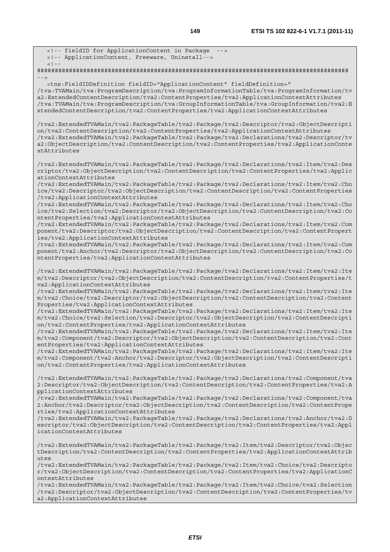<!-- fieldID for ApplicationContent in Package <!-- ApplicationContent, Freeware, Uninstall-->  $<$ ! --######################################################################################## --> <tns:FieldIDDefinition fieldID="ApplicationContent" fieldDefinition=" /tva:TVAMain/tva:ProgramDescription/tva:ProgramInformationTable/tva:ProgramInformation/tv a2:ExtendedContentDescription/tva2:ContentProperties/tva2:ApplicationContextAttributes /tva:TVAMain/tva:ProgramDescription/tva:GroupInformationTable/tva:GroupInformation/tva2:E xtendedContentDescription/tva2:ContentProperties/tva2:ApplicationContextAttributes /tva2:ExtendedTVAMain/tva2:PackageTable/tva2:Package/tva2:Descriptor/tva2:ObjectDescripti on/tva2:ContentDescription/tva2:ContentProperties/tva2:ApplicationContextAttributes /tva2:ExtendedTVAMain/tva2:PackageTable/tva2:Package/tva2:Declarations/tva2:Descriptor/tv a2:ObjectDescription/tva2:ContentDescription/tva2:ContentProperties/tva2:ApplicationConte xtAttributes /tva2:ExtendedTVAMain/tva2:PackageTable/tva2:Package/tva2:Declarations/tva2:Item/tva2:Des criptor/tva2:ObjectDescription/tva2:ContentDescription/tva2:ContentProperties/tva2:Applic ationContextAttributes /tva2:ExtendedTVAMain/tva2:PackageTable/tva2:Package/tva2:Declarations/tva2:Item/tva2:Cho ice/tva2:Descriptor/tva2:ObjectDescription/tva2:ContentDescription/tva2:ContentProperties /tva2:ApplicationContextAttributes /tva2:ExtendedTVAMain/tva2:PackageTable/tva2:Package/tva2:Declarations/tva2:Item/tva2:Cho ice/tva2:Selection/tva2:Descriptor/tva2:ObjectDescription/tva2:ContentDescription/tva2:Co ntentProperties/tva2:ApplicationContextAttributes /tva2:ExtendedTVAMain/tva2:PackageTable/tva2:Package/tva2:Declarations/tva2:Item/tva2:Com ponent/tva2:Descriptor/tva2:ObjectDescription/tva2:ContentDescription/tva2:ContentPropert ies/tva2:ApplicationContextAttributes /tva2:ExtendedTVAMain/tva2:PackageTable/tva2:Package/tva2:Declarations/tva2:Item/tva2:Com ponent/tva2:Anchor/tva2:Descriptor/tva2:ObjectDescription/tva2:ContentDescription/tva2:Co ntentProperties/tva2:ApplicationContextAttributes /tva2:ExtendedTVAMain/tva2:PackageTable/tva2:Package/tva2:Declarations/tva2:Item/tva2:Ite m/tva2:Descriptor/tva2:ObjectDescription/tva2:ContentDescription/tva2:ContentProperties/t va2:ApplicationContextAttributes /tva2:ExtendedTVAMain/tva2:PackageTable/tva2:Package/tva2:Declarations/tva2:Item/tva2:Ite m/tva2:Choice/tva2:Descriptor/tva2:ObjectDescription/tva2:ContentDescription/tva2:Content Properties/tva2:ApplicationContextAttributes /tva2:ExtendedTVAMain/tva2:PackageTable/tva2:Package/tva2:Declarations/tva2:Item/tva2:Ite m/tva2:Choice/tva2:Selection/tva2:Descriptor/tva2:ObjectDescription/tva2:ContentDescripti on/tva2:ContentProperties/tva2:ApplicationContextAttributes /tva2:ExtendedTVAMain/tva2:PackageTable/tva2:Package/tva2:Declarations/tva2:Item/tva2:Ite m/tva2:Component/tva2:Descriptor/tva2:ObjectDescription/tva2:ContentDescription/tva2:Cont entProperties/tva2:ApplicationContextAttributes /tva2:ExtendedTVAMain/tva2:PackageTable/tva2:Package/tva2:Declarations/tva2:Item/tva2:Ite m/tva2:Component/tva2:Anchor/tva2:Descriptor/tva2:ObjectDescription/tva2:ContentDescripti on/tva2:ContentProperties/tva2:ApplicationContextAttributes /tva2:ExtendedTVAMain/tva2:PackageTable/tva2:Package/tva2:Declarations/tva2:Component/tva 2:Descriptor/tva2:ObjectDescription/tva2:ContentDescription/tva2:ContentProperties/tva2:A pplicationContextAttributes /tva2:ExtendedTVAMain/tva2:PackageTable/tva2:Package/tva2:Declarations/tva2:Component/tva 2:Anchor/tva2:Descriptor/tva2:ObjectDescription/tva2:ContentDescription/tva2:ContentPrope rties/tva2:ApplicationContextAttributes /tva2:ExtendedTVAMain/tva2:PackageTable/tva2:Package/tva2:Declarations/tva2:Anchor/tva2:D escriptor/tva2:ObjectDescription/tva2:ContentDescription/tva2:ContentProperties/tva2:Appl icationContextAttributes /tva2:ExtendedTVAMain/tva2:PackageTable/tva2:Package/tva2:Item/tva2:Descriptor/tva2:Objec tDescription/tva2:ContentDescription/tva2:ContentProperties/tva2:ApplicationContextAttrib  $u$ tes /tva2:ExtendedTVAMain/tva2:PackageTable/tva2:Package/tva2:Item/tva2:Choice/tva2:Descripto r/tva2:ObjectDescription/tva2:ContentDescription/tva2:ContentProperties/tva2:ApplicationC ontextAttributes /tva2:ExtendedTVAMain/tva2:PackageTable/tva2:Package/tva2:Item/tva2:Choice/tva2:Selection /tva2:Descriptor/tva2:ObjectDescription/tva2:ContentDescription/tva2:ContentProperties/tv

a2:ApplicationContextAttributes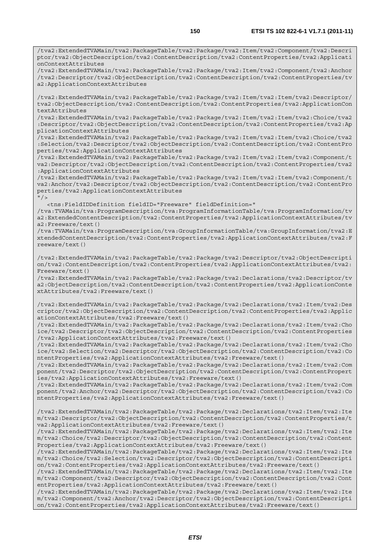/tva2:ExtendedTVAMain/tva2:PackageTable/tva2:Package/tva2:Item/tva2:Component/tva2:Anchor /tva2:Descriptor/tva2:ObjectDescription/tva2:ContentDescription/tva2:ContentProperties/tv a2:ApplicationContextAttributes

/tva2:ExtendedTVAMain/tva2:PackageTable/tva2:Package/tva2:Item/tva2:Item/tva2:Descriptor/ tva2:ObjectDescription/tva2:ContentDescription/tva2:ContentProperties/tva2:ApplicationCon textAttributes

/tva2:ExtendedTVAMain/tva2:PackageTable/tva2:Package/tva2:Item/tva2:Item/tva2:Choice/tva2 :Descriptor/tva2:ObjectDescription/tva2:ContentDescription/tva2:ContentProperties/tva2:Ap plicationContextAttributes

/tva2:ExtendedTVAMain/tva2:PackageTable/tva2:Package/tva2:Item/tva2:Item/tva2:Choice/tva2 :Selection/tva2:Descriptor/tva2:ObjectDescription/tva2:ContentDescription/tva2:ContentPro perties/tva2:ApplicationContextAttributes

/tva2:ExtendedTVAMain/tva2:PackageTable/tva2:Package/tva2:Item/tva2:Item/tva2:Component/t va2:Descriptor/tva2:ObjectDescription/tva2:ContentDescription/tva2:ContentProperties/tva2 :ApplicationContextAttributes

/tva2:ExtendedTVAMain/tva2:PackageTable/tva2:Package/tva2:Item/tva2:Item/tva2:Component/t va2:Anchor/tva2:Descriptor/tva2:ObjectDescription/tva2:ContentDescription/tva2:ContentPro perties/tva2:ApplicationContextAttributes

 $"$  / >

<tns:FieldIDDefinition fieldID="Freeware" fieldDefinition="

/tva:TVAMain/tva:ProgramDescription/tva:ProgramInformationTable/tva:ProgramInformation/tv a2:ExtendedContentDescription/tva2:ContentProperties/tva2:ApplicationContextAttributes/tv a2:Freeware/text()

/tva:TVAMain/tva:ProgramDescription/tva:GroupInformationTable/tva:GroupInformation/tva2:E xtendedContentDescription/tva2:ContentProperties/tva2:ApplicationContextAttributes/tva2:F reeware/text()

/tva2:ExtendedTVAMain/tva2:PackageTable/tva2:Package/tva2:Descriptor/tva2:ObjectDescripti on/tva2:ContentDescription/tva2:ContentProperties/tva2:ApplicationContextAttributes/tva2: Freeware/text()

/tva2:ExtendedTVAMain/tva2:PackageTable/tva2:Package/tva2:Declarations/tva2:Descriptor/tv a2:ObjectDescription/tva2:ContentDescription/tva2:ContentProperties/tva2:ApplicationConte xtAttributes/tva2:Freeware/text()

/tva2:ExtendedTVAMain/tva2:PackageTable/tva2:Package/tva2:Declarations/tva2:Item/tva2:Des criptor/tva2:ObjectDescription/tva2:ContentDescription/tva2:ContentProperties/tva2:Applic ationContextAttributes/tva2:Freeware/text()

/tva2:ExtendedTVAMain/tva2:PackageTable/tva2:Package/tva2:Declarations/tva2:Item/tva2:Cho ice/tva2:Descriptor/tva2:ObjectDescription/tva2:ContentDescription/tva2:ContentProperties /tva2:ApplicationContextAttributes/tva2:Freeware/text()

/tva2:ExtendedTVAMain/tva2:PackageTable/tva2:Package/tva2:Declarations/tva2:Item/tva2:Cho ice/tva2:Selection/tva2:Descriptor/tva2:ObjectDescription/tva2:ContentDescription/tva2:Co ntentProperties/tva2:ApplicationContextAttributes/tva2:Freeware/text()

/tva2:ExtendedTVAMain/tva2:PackageTable/tva2:Package/tva2:Declarations/tva2:Item/tva2:Com ponent/tva2:Descriptor/tva2:ObjectDescription/tva2:ContentDescription/tva2:ContentPropert ies/tva2:ApplicationContextAttributes/tva2:Freeware/text()

/tva2:ExtendedTVAMain/tva2:PackageTable/tva2:Package/tva2:Declarations/tva2:Item/tva2:Com ponent/tva2:Anchor/tva2:Descriptor/tva2:ObjectDescription/tva2:ContentDescription/tva2:Co ntentProperties/tva2:ApplicationContextAttributes/tva2:Freeware/text()

/tva2:ExtendedTVAMain/tva2:PackageTable/tva2:Package/tva2:Declarations/tva2:Item/tva2:Ite m/tva2:Descriptor/tva2:ObjectDescription/tva2:ContentDescription/tva2:ContentProperties/t va2:ApplicationContextAttributes/tva2:Freeware/text()

/tva2:ExtendedTVAMain/tva2:PackageTable/tva2:Package/tva2:Declarations/tva2:Item/tva2:Ite m/tva2:Choice/tva2:Descriptor/tva2:ObjectDescription/tva2:ContentDescription/tva2:Content Properties/tva2:ApplicationContextAttributes/tva2:Freeware/text()

/tva2:ExtendedTVAMain/tva2:PackageTable/tva2:Package/tva2:Declarations/tva2:Item/tva2:Ite m/tva2:Choice/tva2:Selection/tva2:Descriptor/tva2:ObjectDescription/tva2:ContentDescripti on/tva2:ContentProperties/tva2:ApplicationContextAttributes/tva2:Freeware/text()

/tva2:ExtendedTVAMain/tva2:PackageTable/tva2:Package/tva2:Declarations/tva2:Item/tva2:Ite m/tva2:Component/tva2:Descriptor/tva2:ObjectDescription/tva2:ContentDescription/tva2:Cont entProperties/tva2:ApplicationContextAttributes/tva2:Freeware/text()

/tva2:ExtendedTVAMain/tva2:PackageTable/tva2:Package/tva2:Declarations/tva2:Item/tva2:Ite m/tva2:Component/tva2:Anchor/tva2:Descriptor/tva2:ObjectDescription/tva2:ContentDescripti on/tva2:ContentProperties/tva2:ApplicationContextAttributes/tva2:Freeware/text()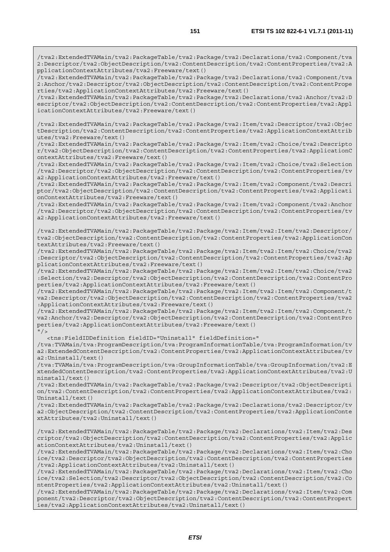/tva2:ExtendedTVAMain/tva2:PackageTable/tva2:Package/tva2:Declarations/tva2:Component/tva 2:Descriptor/tva2:ObjectDescription/tva2:ContentDescription/tva2:ContentProperties/tva2:A pplicationContextAttributes/tva2:Freeware/text()

/tva2:ExtendedTVAMain/tva2:PackageTable/tva2:Package/tva2:Declarations/tva2:Component/tva 2:Anchor/tva2:Descriptor/tva2:ObjectDescription/tva2:ContentDescription/tva2:ContentPrope rties/tva2:ApplicationContextAttributes/tva2:Freeware/text()

/tva2:ExtendedTVAMain/tva2:PackageTable/tva2:Package/tva2:Declarations/tva2:Anchor/tva2:D escriptor/tva2:ObjectDescription/tva2:ContentDescription/tva2:ContentProperties/tva2:Appl icationContextAttributes/tva2:Freeware/text()

/tva2:ExtendedTVAMain/tva2:PackageTable/tva2:Package/tva2:Item/tva2:Descriptor/tva2:Objec tDescription/tva2:ContentDescription/tva2:ContentProperties/tva2:ApplicationContextAttrib utes/tva2:Freeware/text()

/tva2:ExtendedTVAMain/tva2:PackageTable/tva2:Package/tva2:Item/tva2:Choice/tva2:Descripto r/tva2:ObjectDescription/tva2:ContentDescription/tva2:ContentProperties/tva2:ApplicationC ontextAttributes/tva2:Freeware/text()

/tva2:ExtendedTVAMain/tva2:PackageTable/tva2:Package/tva2:Item/tva2:Choice/tva2:Selection /tva2:Descriptor/tva2:ObjectDescription/tva2:ContentDescription/tva2:ContentProperties/tv a2:ApplicationContextAttributes/tva2:Freeware/text()

/tva2:ExtendedTVAMain/tva2:PackageTable/tva2:Package/tva2:Item/tva2:Component/tva2:Descri ptor/tva2:ObjectDescription/tva2:ContentDescription/tva2:ContentProperties/tva2:Applicati onContextAttributes/tva2:Freeware/text()

/tva2:ExtendedTVAMain/tva2:PackageTable/tva2:Package/tva2:Item/tva2:Component/tva2:Anchor /tva2:Descriptor/tva2:ObjectDescription/tva2:ContentDescription/tva2:ContentProperties/tv a2:ApplicationContextAttributes/tva2:Freeware/text()

/tva2:ExtendedTVAMain/tva2:PackageTable/tva2:Package/tva2:Item/tva2:Item/tva2:Descriptor/ tva2:ObjectDescription/tva2:ContentDescription/tva2:ContentProperties/tva2:ApplicationCon textAttributes/tva2:Freeware/text()

/tva2:ExtendedTVAMain/tva2:PackageTable/tva2:Package/tva2:Item/tva2:Item/tva2:Choice/tva2 :Descriptor/tva2:ObjectDescription/tva2:ContentDescription/tva2:ContentProperties/tva2:Ap plicationContextAttributes/tva2:Freeware/text()

/tva2:ExtendedTVAMain/tva2:PackageTable/tva2:Package/tva2:Item/tva2:Item/tva2:Choice/tva2 :Selection/tva2:Descriptor/tva2:ObjectDescription/tva2:ContentDescription/tva2:ContentPro perties/tva2:ApplicationContextAttributes/tva2:Freeware/text()

/tva2:ExtendedTVAMain/tva2:PackageTable/tva2:Package/tva2:Item/tva2:Item/tva2:Component/t va2:Descriptor/tva2:ObjectDescription/tva2:ContentDescription/tva2:ContentProperties/tva2 :ApplicationContextAttributes/tva2:Freeware/text()

/tva2:ExtendedTVAMain/tva2:PackageTable/tva2:Package/tva2:Item/tva2:Item/tva2:Component/t va2:Anchor/tva2:Descriptor/tva2:ObjectDescription/tva2:ContentDescription/tva2:ContentPro perties/tva2:ApplicationContextAttributes/tva2:Freeware/text()  $"$  / >

<tns:FieldIDDefinition fieldID="Uninstall" fieldDefinition="

/tva:TVAMain/tva:ProgramDescription/tva:ProgramInformationTable/tva:ProgramInformation/tv a2:ExtendedContentDescription/tva2:ContentProperties/tva2:ApplicationContextAttributes/tv a2:Uninstall/text()

/tva:TVAMain/tva:ProgramDescription/tva:GroupInformationTable/tva:GroupInformation/tva2:E xtendedContentDescription/tva2:ContentProperties/tva2:ApplicationContextAttributes/tva2:U ninstall/text()

/tva2:ExtendedTVAMain/tva2:PackageTable/tva2:Package/tva2:Descriptor/tva2:ObjectDescripti on/tva2:ContentDescription/tva2:ContentProperties/tva2:ApplicationContextAttributes/tva2: Uninstall/text()

/tva2:ExtendedTVAMain/tva2:PackageTable/tva2:Package/tva2:Declarations/tva2:Descriptor/tv a2:ObjectDescription/tva2:ContentDescription/tva2:ContentProperties/tva2:ApplicationConte xtAttributes/tva2:Uninstall/text()

/tva2:ExtendedTVAMain/tva2:PackageTable/tva2:Package/tva2:Declarations/tva2:Item/tva2:Des criptor/tva2:ObjectDescription/tva2:ContentDescription/tva2:ContentProperties/tva2:Applic ationContextAttributes/tva2:Uninstall/text()

/tva2:ExtendedTVAMain/tva2:PackageTable/tva2:Package/tva2:Declarations/tva2:Item/tva2:Cho ice/tva2:Descriptor/tva2:ObjectDescription/tva2:ContentDescription/tva2:ContentProperties /tva2:ApplicationContextAttributes/tva2:Uninstall/text()

/tva2:ExtendedTVAMain/tva2:PackageTable/tva2:Package/tva2:Declarations/tva2:Item/tva2:Cho ice/tva2:Selection/tva2:Descriptor/tva2:ObjectDescription/tva2:ContentDescription/tva2:Co ntentProperties/tva2:ApplicationContextAttributes/tva2:Uninstall/text()

/tva2:ExtendedTVAMain/tva2:PackageTable/tva2:Package/tva2:Declarations/tva2:Item/tva2:Com ponent/tva2:Descriptor/tva2:ObjectDescription/tva2:ContentDescription/tva2:ContentPropert ies/tva2:ApplicationContextAttributes/tva2:Uninstall/text()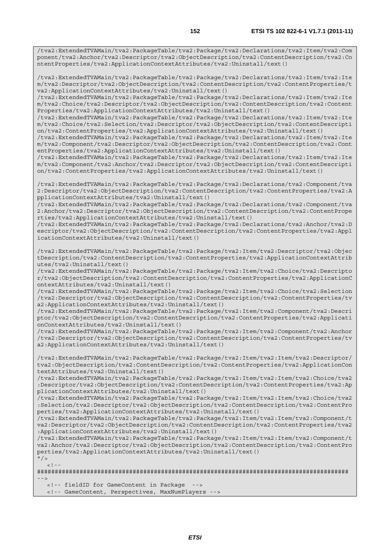/tva2:ExtendedTVAMain/tva2:PackageTable/tva2:Package/tva2:Declarations/tva2:Item/tva2:Com ponent/tva2:Anchor/tva2:Descriptor/tva2:ObjectDescription/tva2:ContentDescription/tva2:Co ntentProperties/tva2:ApplicationContextAttributes/tva2:Uninstall/text()

/tva2:ExtendedTVAMain/tva2:PackageTable/tva2:Package/tva2:Declarations/tva2:Item/tva2:Ite m/tva2:Descriptor/tva2:ObjectDescription/tva2:ContentDescription/tva2:ContentProperties/t va2:ApplicationContextAttributes/tva2:Uninstall/text()

/tva2:ExtendedTVAMain/tva2:PackageTable/tva2:Package/tva2:Declarations/tva2:Item/tva2:Ite m/tva2:Choice/tva2:Descriptor/tva2:ObjectDescription/tva2:ContentDescription/tva2:Content Properties/tva2:ApplicationContextAttributes/tva2:Uninstall/text()

/tva2:ExtendedTVAMain/tva2:PackageTable/tva2:Package/tva2:Declarations/tva2:Item/tva2:Ite m/tva2:Choice/tva2:Selection/tva2:Descriptor/tva2:ObjectDescription/tva2:ContentDescripti on/tva2:ContentProperties/tva2:ApplicationContextAttributes/tva2:Uninstall/text()

/tva2:ExtendedTVAMain/tva2:PackageTable/tva2:Package/tva2:Declarations/tva2:Item/tva2:Ite m/tva2:Component/tva2:Descriptor/tva2:ObjectDescription/tva2:ContentDescription/tva2:Cont entProperties/tva2:ApplicationContextAttributes/tva2:Uninstall/text()

/tva2:ExtendedTVAMain/tva2:PackageTable/tva2:Package/tva2:Declarations/tva2:Item/tva2:Ite m/tva2:Component/tva2:Anchor/tva2:Descriptor/tva2:ObjectDescription/tva2:ContentDescripti on/tva2:ContentProperties/tva2:ApplicationContextAttributes/tva2:Uninstall/text()

/tva2:ExtendedTVAMain/tva2:PackageTable/tva2:Package/tva2:Declarations/tva2:Component/tva 2:Descriptor/tva2:ObjectDescription/tva2:ContentDescription/tva2:ContentProperties/tva2:A pplicationContextAttributes/tva2:Uninstall/text()

/tva2:ExtendedTVAMain/tva2:PackageTable/tva2:Package/tva2:Declarations/tva2:Component/tva 2:Anchor/tva2:Descriptor/tva2:ObjectDescription/tva2:ContentDescription/tva2:ContentPrope rties/tva2:ApplicationContextAttributes/tva2:Uninstall/text()

/tva2:ExtendedTVAMain/tva2:PackageTable/tva2:Package/tva2:Declarations/tva2:Anchor/tva2:D escriptor/tva2:ObjectDescription/tva2:ContentDescription/tva2:ContentProperties/tva2:Appl icationContextAttributes/tva2:Uninstall/text()

/tva2:ExtendedTVAMain/tva2:PackageTable/tva2:Package/tva2:Item/tva2:Descriptor/tva2:Objec tDescription/tva2:ContentDescription/tva2:ContentProperties/tva2:ApplicationContextAttrib utes/tva2:Uninstall/text()

/tva2:ExtendedTVAMain/tva2:PackageTable/tva2:Package/tva2:Item/tva2:Choice/tva2:Descripto r/tva2:ObjectDescription/tva2:ContentDescription/tva2:ContentProperties/tva2:ApplicationC ontextAttributes/tva2:Uninstall/text()

/tva2:ExtendedTVAMain/tva2:PackageTable/tva2:Package/tva2:Item/tva2:Choice/tva2:Selection /tva2:Descriptor/tva2:ObjectDescription/tva2:ContentDescription/tva2:ContentProperties/tv a2:ApplicationContextAttributes/tva2:Uninstall/text()

/tva2:ExtendedTVAMain/tva2:PackageTable/tva2:Package/tva2:Item/tva2:Component/tva2:Descri ptor/tva2:ObjectDescription/tva2:ContentDescription/tva2:ContentProperties/tva2:Applicati onContextAttributes/tva2:Uninstall/text()

/tva2:ExtendedTVAMain/tva2:PackageTable/tva2:Package/tva2:Item/tva2:Component/tva2:Anchor /tva2:Descriptor/tva2:ObjectDescription/tva2:ContentDescription/tva2:ContentProperties/tv a2:ApplicationContextAttributes/tva2:Uninstall/text()

/tva2:ExtendedTVAMain/tva2:PackageTable/tva2:Package/tva2:Item/tva2:Item/tva2:Descriptor/ tva2:ObjectDescription/tva2:ContentDescription/tva2:ContentProperties/tva2:ApplicationCon textAttributes/tva2:Uninstall/text()

/tva2:ExtendedTVAMain/tva2:PackageTable/tva2:Package/tva2:Item/tva2:Item/tva2:Choice/tva2 :Descriptor/tva2:ObjectDescription/tva2:ContentDescription/tva2:ContentProperties/tva2:Ap plicationContextAttributes/tva2:Uninstall/text()

/tva2:ExtendedTVAMain/tva2:PackageTable/tva2:Package/tva2:Item/tva2:Item/tva2:Choice/tva2 :Selection/tva2:Descriptor/tva2:ObjectDescription/tva2:ContentDescription/tva2:ContentPro perties/tva2:ApplicationContextAttributes/tva2:Uninstall/text()

/tva2:ExtendedTVAMain/tva2:PackageTable/tva2:Package/tva2:Item/tva2:Item/tva2:Component/t va2:Descriptor/tva2:ObjectDescription/tva2:ContentDescription/tva2:ContentProperties/tva2 :ApplicationContextAttributes/tva2:Uninstall/text()

/tva2:ExtendedTVAMain/tva2:PackageTable/tva2:Package/tva2:Item/tva2:Item/tva2:Component/t va2:Anchor/tva2:Descriptor/tva2:ObjectDescription/tva2:ContentDescription/tva2:ContentPro perties/tva2:ApplicationContextAttributes/tva2:Uninstall/text()  $''$  / >

 $\langle$ !--

######################################################################################## -->

<!-- fieldID for GameContent in Package -->

<!-- GameContent, Perspectives, MaxNumPlayers -->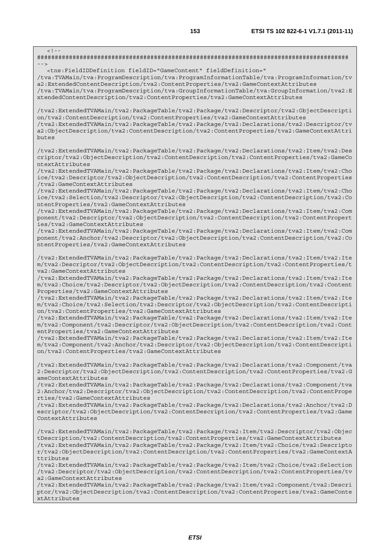| $\lt$ ! - -                                                                                                                                                                                                                                                                                                                                                                                                                |
|----------------------------------------------------------------------------------------------------------------------------------------------------------------------------------------------------------------------------------------------------------------------------------------------------------------------------------------------------------------------------------------------------------------------------|
| $- - >$                                                                                                                                                                                                                                                                                                                                                                                                                    |
| <tns:FieldIDDefinition fieldID="GameContent" fieldDefinition="<br>/tva:TVAMain/tva:ProgramDescription/tva:ProgramInformationTable/tva:ProgramInformation/tv<br>a2:ExtendedContentDescription/tva2:ContentProperties/tva2:GameContextAttributes<br>/tva:TVAMain/tva:ProgramDescription/tva:GroupInformationTable/tva:GroupInformation/tva2:E<br>xtendedContentDescription/tva2:ContentProperties/tva2:GameContextAttributes |
| /tva2:ExtendedTVAMain/tva2:PackageTable/tva2:Package/tva2:Descriptor/tva2:ObjectDescripti<br>on/tva2:ContentDescription/tva2:ContentProperties/tva2:GameContextAttributes<br>/tva2:ExtendedTVAMain/tva2:PackageTable/tva2:Package/tva2:Declarations/tva2:Descriptor/tv<br>a2:ObjectDescription/tva2:ContentDescription/tva2:ContentProperties/tva2:GameContextAttri<br>butes                                               |
| tva2:ExtendedTVAMain/tva2:PackageTable/tva2:Package/tva2:Declarations/tva2:Item/tva2:Des/<br>criptor/tva2:ObjectDescription/tva2:ContentDescription/tva2:ContentProperties/tva2:GameCo<br>ntextAttributes                                                                                                                                                                                                                  |
| tva2:ExtendedTVAMain/tva2:PackageTable/tva2:Package/tva2:Declarations/tva2:Item/tva2:Cho/<br>ice/tva2:Descriptor/tva2:ObjectDescription/tva2:ContentDescription/tva2:ContentProperties<br>/tva2:GameContextAttributes                                                                                                                                                                                                      |
| tva2:ExtendedTVAMain/tva2:PackageTable/tva2:Package/tva2:Declarations/tva2:Item/tva2:Cho/<br>ice/tva2:Selection/tva2:Descriptor/tva2:ObjectDescription/tva2:ContentDescription/tva2:Co<br>ntentProperties/tva2:GameContextAttributes                                                                                                                                                                                       |
| /tva2:ExtendedTVAMain/tva2:PackageTable/tva2:Package/tva2:Declarations/tva2:Item/tva2:Com<br>ponent/tva2:Descriptor/tva2:ObjectDescription/tva2:ContentDescription/tva2:ContentPropert<br>ies/tva2:GameContextAttributes                                                                                                                                                                                                   |
| /tva2:ExtendedTVAMain/tva2:PackageTable/tva2:Package/tva2:Declarations/tva2:Item/tva2:Com<br>ponent/tva2:Anchor/tva2:Descriptor/tva2:ObjectDescription/tva2:ContentDescription/tva2:Co<br>ntentProperties/tva2:GameContextAttributes                                                                                                                                                                                       |
| /tva2:ExtendedTVAMain/tva2:PackageTable/tva2:Package/tva2:Declarations/tva2:Item/tva2:Ite<br>m/tva2:Descriptor/tva2:ObjectDescription/tva2:ContentDescription/tva2:ContentProperties/t<br>va2:GameContextAttributes                                                                                                                                                                                                        |
| tva2:ExtendedTVAMain/tva2:PackageTable/tva2:Package/tva2:Declarations/tva2:Item/tva2:Ite/<br>m/tva2:Choice/tva2:Descriptor/tva2:ObjectDescription/tva2:ContentDescription/tva2:Content<br>Properties/tva2:GameContextAttributes                                                                                                                                                                                            |
| /tva2:ExtendedTVAMain/tva2:PackageTable/tva2:Package/tva2:Declarations/tva2:Item/tva2:Ite<br>m/tva2:Choice/tva2:Selection/tva2:Descriptor/tva2:ObjectDescription/tva2:ContentDescripti<br>on/tva2:ContentProperties/tva2:GameContextAttributes                                                                                                                                                                             |
| /tva2:ExtendedTVAMain/tva2:PackageTable/tva2:Package/tva2:Declarations/tva2:Item/tva2:Ite<br>m/tva2:Component/tva2:Descriptor/tva2:ObjectDescription/tva2:ContentDescription/tva2:Cont<br>entProperties/tva2:GameContextAttributes                                                                                                                                                                                         |
| /tva2:ExtendedTVAMain/tva2:PackageTable/tva2:Package/tva2:Declarations/tva2:Item/tva2:Ite<br>m/tva2:Component/tva2:Anchor/tva2:Descriptor/tva2:ObjectDescription/tva2:ContentDescripti<br>on/tva2:ContentProperties/tva2:GameContextAttributes                                                                                                                                                                             |
| /tva2:ExtendedTVAMain/tva2:PackageTable/tva2:Package/tva2:Declarations/tva2:Component/tva<br>2:Descriptor/tva2:ObjectDescription/tva2:ContentDescription/tva2:ContentProperties/tva2:G<br>ameContextAttributes                                                                                                                                                                                                             |
| /tva2:ExtendedTVAMain/tva2:PackageTable/tva2:Package/tva2:Declarations/tva2:Component/tva<br>2:Anchor/tva2:Descriptor/tva2:ObjectDescription/tva2:ContentDescription/tva2:ContentPrope<br>rties/tva2:GameContextAttributes                                                                                                                                                                                                 |
| tva2:ExtendedTVAMain/tva2:PackageTable/tva2:Package/tva2:Declarations/tva2:Anchor/tva2:D/<br>escriptor/tva2:ObjectDescription/tva2:ContentDescription/tva2:ContentProperties/tva2:Game<br>ContextAttributes                                                                                                                                                                                                                |
|                                                                                                                                                                                                                                                                                                                                                                                                                            |
| /tva2:ExtendedTVAMain/tva2:PackageTable/tva2:Package/tva2:Item/tva2:Descriptor/tva2:Objec<br>tDescription/tva2:ContentDescription/tva2:ContentProperties/tva2:GameContextAttributes<br>/tva2:ExtendedTVAMain/tva2:PackageTable/tva2:Package/tva2:Item/tva2:Choice/tva2:Descripto<br>r/tva2:ObjectDescription/tva2:ContentDescription/tva2:ContentProperties/tva2:GameContextA                                              |
| ttributes<br>/tva2:ExtendedTVAMain/tva2:PackageTable/tva2:Package/tva2:Item/tva2:Choice/tva2:Selection<br>/tva2:Descriptor/tva2:ObjectDescription/tva2:ContentDescription/tva2:ContentProperties/tv                                                                                                                                                                                                                        |
| a2:GameContextAttributes<br>/tva2:ExtendedTVAMain/tva2:PackageTable/tva2:Package/tva2:Item/tva2:Component/tva2:Descri<br>ptor/tva2:ObjectDescription/tva2:ContentDescription/tva2:ContentProperties/tva2:GameConte<br>xtAttributes                                                                                                                                                                                         |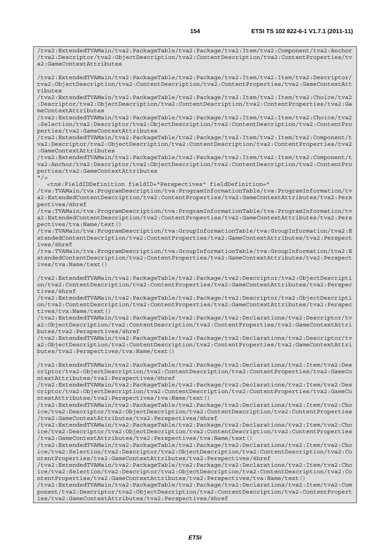/tva2:ExtendedTVAMain/tva2:PackageTable/tva2:Package/tva2:Item/tva2:Component/tva2:Anchor

/tva2:Descriptor/tva2:ObjectDescription/tva2:ContentDescription/tva2:ContentProperties/tv a2:GameContextAttributes /tva2:ExtendedTVAMain/tva2:PackageTable/tva2:Package/tva2:Item/tva2:Item/tva2:Descriptor/ tva2:ObjectDescription/tva2:ContentDescription/tva2:ContentProperties/tva2:GameContextAtt ributes /tva2:ExtendedTVAMain/tva2:PackageTable/tva2:Package/tva2:Item/tva2:Item/tva2:Choice/tva2 :Descriptor/tva2:ObjectDescription/tva2:ContentDescription/tva2:ContentProperties/tva2:Ga meContextAttributes /tva2:ExtendedTVAMain/tva2:PackageTable/tva2:Package/tva2:Item/tva2:Item/tva2:Choice/tva2 :Selection/tva2:Descriptor/tva2:ObjectDescription/tva2:ContentDescription/tva2:ContentPro perties/tva2:GameContextAttributes /tva2:ExtendedTVAMain/tva2:PackageTable/tva2:Package/tva2:Item/tva2:Item/tva2:Component/t va2:Descriptor/tva2:ObjectDescription/tva2:ContentDescription/tva2:ContentProperties/tva2 :GameContextAttributes /tva2:ExtendedTVAMain/tva2:PackageTable/tva2:Package/tva2:Item/tva2:Item/tva2:Component/t va2:Anchor/tva2:Descriptor/tva2:ObjectDescription/tva2:ContentDescription/tva2:ContentPro perties/tva2:GameContextAttributes  $''$  / > <tns:FieldIDDefinition fieldID="Perspectives" fieldDefinition="

/tva:TVAMain/tva:ProgramDescription/tva:ProgramInformationTable/tva:ProgramInformation/tv a2:ExtendedContentDescription/tva2:ContentProperties/tva2:GameContextAttributes/tva2:Pers pectives/@href

/tva:TVAMain/tva:ProgramDescription/tva:ProgramInformationTable/tva:ProgramInformation/tv a2:ExtendedContentDescription/tva2:ContentProperties/tva2:GameContextAttributes/tva2:Pers pectives/tva:Name/text()

/tva:TVAMain/tva:ProgramDescription/tva:GroupInformationTable/tva:GroupInformation/tva2:E xtendedContentDescription/tva2:ContentProperties/tva2:GameContextAttributes/tva2:Perspect ives/@href

/tva:TVAMain/tva:ProgramDescription/tva:GroupInformationTable/tva:GroupInformation/tva2:E xtendedContentDescription/tva2:ContentProperties/tva2:GameContextAttributes/tva2:Perspect ives/tva:Name/text()

/tva2:ExtendedTVAMain/tva2:PackageTable/tva2:Package/tva2:Descriptor/tva2:ObjectDescripti on/tva2:ContentDescription/tva2:ContentProperties/tva2:GameContextAttributes/tva2:Perspec tives/@href

/tva2:ExtendedTVAMain/tva2:PackageTable/tva2:Package/tva2:Descriptor/tva2:ObjectDescripti on/tva2:ContentDescription/tva2:ContentProperties/tva2:GameContextAttributes/tva2:Perspec tives/tva:Name/text()

/tva2:ExtendedTVAMain/tva2:PackageTable/tva2:Package/tva2:Declarations/tva2:Descriptor/tv a2:ObjectDescription/tva2:ContentDescription/tva2:ContentProperties/tva2:GameContextAttri butes/tva2:Perspectives/@href

/tva2:ExtendedTVAMain/tva2:PackageTable/tva2:Package/tva2:Declarations/tva2:Descriptor/tv a2:ObjectDescription/tva2:ContentDescription/tva2:ContentProperties/tva2:GameContextAttri butes/tva2:Perspectives/tva:Name/text()

/tva2:ExtendedTVAMain/tva2:PackageTable/tva2:Package/tva2:Declarations/tva2:Item/tva2:Des criptor/tva2:ObjectDescription/tva2:ContentDescription/tva2:ContentProperties/tva2:GameCo ntextAttributes/tva2:Perspectives/@href

/tva2:ExtendedTVAMain/tva2:PackageTable/tva2:Package/tva2:Declarations/tva2:Item/tva2:Des criptor/tva2:ObjectDescription/tva2:ContentDescription/tva2:ContentProperties/tva2:GameCo ntextAttributes/tva2:Perspectives/tva:Name/text()

/tva2:ExtendedTVAMain/tva2:PackageTable/tva2:Package/tva2:Declarations/tva2:Item/tva2:Cho ice/tva2:Descriptor/tva2:ObjectDescription/tva2:ContentDescription/tva2:ContentProperties /tva2:GameContextAttributes/tva2:Perspectives/@href

/tva2:ExtendedTVAMain/tva2:PackageTable/tva2:Package/tva2:Declarations/tva2:Item/tva2:Cho ice/tva2:Descriptor/tva2:ObjectDescription/tva2:ContentDescription/tva2:ContentProperties /tva2:GameContextAttributes/tva2:Perspectives/tva:Name/text()

/tva2:ExtendedTVAMain/tva2:PackageTable/tva2:Package/tva2:Declarations/tva2:Item/tva2:Cho ice/tva2:Selection/tva2:Descriptor/tva2:ObjectDescription/tva2:ContentDescription/tva2:Co ntentProperties/tva2:GameContextAttributes/tva2:Perspectives/@href

/tva2:ExtendedTVAMain/tva2:PackageTable/tva2:Package/tva2:Declarations/tva2:Item/tva2:Cho ice/tva2:Selection/tva2:Descriptor/tva2:ObjectDescription/tva2:ContentDescription/tva2:Co ntentProperties/tva2:GameContextAttributes/tva2:Perspectives/tva:Name/text()

/tva2:ExtendedTVAMain/tva2:PackageTable/tva2:Package/tva2:Declarations/tva2:Item/tva2:Com ponent/tva2:Descriptor/tva2:ObjectDescription/tva2:ContentDescription/tva2:ContentPropert ies/tva2:GameContextAttributes/tva2:Perspectives/@href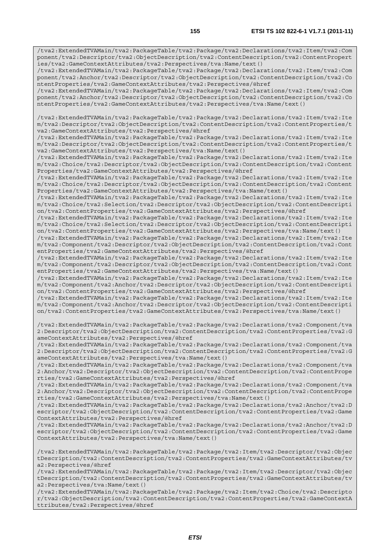/tva2:ExtendedTVAMain/tva2:PackageTable/tva2:Package/tva2:Declarations/tva2:Item/tva2:Com ponent/tva2:Descriptor/tva2:ObjectDescription/tva2:ContentDescription/tva2:ContentPropert ies/tva2:GameContextAttributes/tva2:Perspectives/tva:Name/text()

/tva2:ExtendedTVAMain/tva2:PackageTable/tva2:Package/tva2:Declarations/tva2:Item/tva2:Com ponent/tva2:Anchor/tva2:Descriptor/tva2:ObjectDescription/tva2:ContentDescription/tva2:Co ntentProperties/tva2:GameContextAttributes/tva2:Perspectives/@href

/tva2:ExtendedTVAMain/tva2:PackageTable/tva2:Package/tva2:Declarations/tva2:Item/tva2:Com ponent/tva2:Anchor/tva2:Descriptor/tva2:ObjectDescription/tva2:ContentDescription/tva2:Co ntentProperties/tva2:GameContextAttributes/tva2:Perspectives/tva:Name/text()

/tva2:ExtendedTVAMain/tva2:PackageTable/tva2:Package/tva2:Declarations/tva2:Item/tva2:Ite m/tva2:Descriptor/tva2:ObjectDescription/tva2:ContentDescription/tva2:ContentProperties/t va2:GameContextAttributes/tva2:Perspectives/@href

/tva2:ExtendedTVAMain/tva2:PackageTable/tva2:Package/tva2:Declarations/tva2:Item/tva2:Ite m/tva2:Descriptor/tva2:ObjectDescription/tva2:ContentDescription/tva2:ContentProperties/t va2:GameContextAttributes/tva2:Perspectives/tva:Name/text()

/tva2:ExtendedTVAMain/tva2:PackageTable/tva2:Package/tva2:Declarations/tva2:Item/tva2:Ite m/tva2:Choice/tva2:Descriptor/tva2:ObjectDescription/tva2:ContentDescription/tva2:Content Properties/tva2:GameContextAttributes/tva2:Perspectives/@href

/tva2:ExtendedTVAMain/tva2:PackageTable/tva2:Package/tva2:Declarations/tva2:Item/tva2:Ite m/tva2:Choice/tva2:Descriptor/tva2:ObjectDescription/tva2:ContentDescription/tva2:Content Properties/tva2:GameContextAttributes/tva2:Perspectives/tva:Name/text()

/tva2:ExtendedTVAMain/tva2:PackageTable/tva2:Package/tva2:Declarations/tva2:Item/tva2:Ite m/tva2:Choice/tva2:Selection/tva2:Descriptor/tva2:ObjectDescription/tva2:ContentDescripti on/tva2:ContentProperties/tva2:GameContextAttributes/tva2:Perspectives/@href

/tva2:ExtendedTVAMain/tva2:PackageTable/tva2:Package/tva2:Declarations/tva2:Item/tva2:Ite m/tva2:Choice/tva2:Selection/tva2:Descriptor/tva2:ObjectDescription/tva2:ContentDescripti on/tva2:ContentProperties/tva2:GameContextAttributes/tva2:Perspectives/tva:Name/text()

/tva2:ExtendedTVAMain/tva2:PackageTable/tva2:Package/tva2:Declarations/tva2:Item/tva2:Ite m/tva2:Component/tva2:Descriptor/tva2:ObjectDescription/tva2:ContentDescription/tva2:Cont entProperties/tva2:GameContextAttributes/tva2:Perspectives/@href

/tva2:ExtendedTVAMain/tva2:PackageTable/tva2:Package/tva2:Declarations/tva2:Item/tva2:Ite m/tva2:Component/tva2:Descriptor/tva2:ObjectDescription/tva2:ContentDescription/tva2:Cont entProperties/tva2:GameContextAttributes/tva2:Perspectives/tva:Name/text()

/tva2:ExtendedTVAMain/tva2:PackageTable/tva2:Package/tva2:Declarations/tva2:Item/tva2:Ite m/tva2:Component/tva2:Anchor/tva2:Descriptor/tva2:ObjectDescription/tva2:ContentDescripti on/tva2:ContentProperties/tva2:GameContextAttributes/tva2:Perspectives/@href

/tva2:ExtendedTVAMain/tva2:PackageTable/tva2:Package/tva2:Declarations/tva2:Item/tva2:Ite m/tva2:Component/tva2:Anchor/tva2:Descriptor/tva2:ObjectDescription/tva2:ContentDescripti on/tva2:ContentProperties/tva2:GameContextAttributes/tva2:Perspectives/tva:Name/text()

/tva2:ExtendedTVAMain/tva2:PackageTable/tva2:Package/tva2:Declarations/tva2:Component/tva 2:Descriptor/tva2:ObjectDescription/tva2:ContentDescription/tva2:ContentProperties/tva2:G ameContextAttributes/tva2:Perspectives/@href

/tva2:ExtendedTVAMain/tva2:PackageTable/tva2:Package/tva2:Declarations/tva2:Component/tva 2:Descriptor/tva2:ObjectDescription/tva2:ContentDescription/tva2:ContentProperties/tva2:G ameContextAttributes/tva2:Perspectives/tva:Name/text()

/tva2:ExtendedTVAMain/tva2:PackageTable/tva2:Package/tva2:Declarations/tva2:Component/tva 2:Anchor/tva2:Descriptor/tva2:ObjectDescription/tva2:ContentDescription/tva2:ContentPrope rties/tva2:GameContextAttributes/tva2:Perspectives/@href

/tva2:ExtendedTVAMain/tva2:PackageTable/tva2:Package/tva2:Declarations/tva2:Component/tva 2:Anchor/tva2:Descriptor/tva2:ObjectDescription/tva2:ContentDescription/tva2:ContentPrope rties/tva2:GameContextAttributes/tva2:Perspectives/tva:Name/text()

/tva2:ExtendedTVAMain/tva2:PackageTable/tva2:Package/tva2:Declarations/tva2:Anchor/tva2:D escriptor/tva2:ObjectDescription/tva2:ContentDescription/tva2:ContentProperties/tva2:Game ContextAttributes/tva2:Perspectives/@href

/tva2:ExtendedTVAMain/tva2:PackageTable/tva2:Package/tva2:Declarations/tva2:Anchor/tva2:D escriptor/tva2:ObjectDescription/tva2:ContentDescription/tva2:ContentProperties/tva2:Game ContextAttributes/tva2:Perspectives/tva:Name/text()

/tva2:ExtendedTVAMain/tva2:PackageTable/tva2:Package/tva2:Item/tva2:Descriptor/tva2:Objec tDescription/tva2:ContentDescription/tva2:ContentProperties/tva2:GameContextAttributes/tv a2:Perspectives/@href

/tva2:ExtendedTVAMain/tva2:PackageTable/tva2:Package/tva2:Item/tva2:Descriptor/tva2:Objec tDescription/tva2:ContentDescription/tva2:ContentProperties/tva2:GameContextAttributes/tv a2:Perspectives/tva:Name/text()

/tva2:ExtendedTVAMain/tva2:PackageTable/tva2:Package/tva2:Item/tva2:Choice/tva2:Descripto r/tva2:ObjectDescription/tva2:ContentDescription/tva2:ContentProperties/tva2:GameContextA ttributes/tva2:Perspectives/@href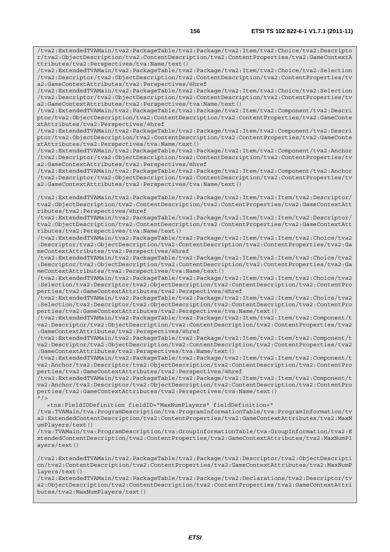/tva2:ExtendedTVAMain/tva2:PackageTable/tva2:Package/tva2:Item/tva2:Choice/tva2:Descripto r/tva2:ObjectDescription/tva2:ContentDescription/tva2:ContentProperties/tva2:GameContextA ttributes/tva2:Perspectives/tva:Name/text()

/tva2:ExtendedTVAMain/tva2:PackageTable/tva2:Package/tva2:Item/tva2:Choice/tva2:Selection /tva2:Descriptor/tva2:ObjectDescription/tva2:ContentDescription/tva2:ContentProperties/tv a2:GameContextAttributes/tva2:Perspectives/@href

/tva2:ExtendedTVAMain/tva2:PackageTable/tva2:Package/tva2:Item/tva2:Choice/tva2:Selection /tva2:Descriptor/tva2:ObjectDescription/tva2:ContentDescription/tva2:ContentProperties/tv a2:GameContextAttributes/tva2:Perspectives/tva:Name/text()

/tva2:ExtendedTVAMain/tva2:PackageTable/tva2:Package/tva2:Item/tva2:Component/tva2:Descri ptor/tva2:ObjectDescription/tva2:ContentDescription/tva2:ContentProperties/tva2:GameConte xtAttributes/tva2:Perspectives/@href

/tva2:ExtendedTVAMain/tva2:PackageTable/tva2:Package/tva2:Item/tva2:Component/tva2:Descri ptor/tva2:ObjectDescription/tva2:ContentDescription/tva2:ContentProperties/tva2:GameConte xtAttributes/tva2:Perspectives/tva:Name/text()

/tva2:ExtendedTVAMain/tva2:PackageTable/tva2:Package/tva2:Item/tva2:Component/tva2:Anchor /tva2:Descriptor/tva2:ObjectDescription/tva2:ContentDescription/tva2:ContentProperties/tv a2:GameContextAttributes/tva2:Perspectives/@href

/tva2:ExtendedTVAMain/tva2:PackageTable/tva2:Package/tva2:Item/tva2:Component/tva2:Anchor /tva2:Descriptor/tva2:ObjectDescription/tva2:ContentDescription/tva2:ContentProperties/tv a2:GameContextAttributes/tva2:Perspectives/tva:Name/text()

/tva2:ExtendedTVAMain/tva2:PackageTable/tva2:Package/tva2:Item/tva2:Item/tva2:Descriptor/ tva2:ObjectDescription/tva2:ContentDescription/tva2:ContentProperties/tva2:GameContextAtt ributes/tva2:Perspectives/@href

/tva2:ExtendedTVAMain/tva2:PackageTable/tva2:Package/tva2:Item/tva2:Item/tva2:Descriptor/ tva2:ObjectDescription/tva2:ContentDescription/tva2:ContentProperties/tva2:GameContextAtt ributes/tva2:Perspectives/tva:Name/text()

/tva2:ExtendedTVAMain/tva2:PackageTable/tva2:Package/tva2:Item/tva2:Item/tva2:Choice/tva2 :Descriptor/tva2:ObjectDescription/tva2:ContentDescription/tva2:ContentProperties/tva2:Ga meContextAttributes/tva2:Perspectives/@href

/tva2:ExtendedTVAMain/tva2:PackageTable/tva2:Package/tva2:Item/tva2:Item/tva2:Choice/tva2 :Descriptor/tva2:ObjectDescription/tva2:ContentDescription/tva2:ContentProperties/tva2:Ga meContextAttributes/tva2:Perspectives/tva:Name/text()

/tva2:ExtendedTVAMain/tva2:PackageTable/tva2:Package/tva2:Item/tva2:Item/tva2:Choice/tva2 :Selection/tva2:Descriptor/tva2:ObjectDescription/tva2:ContentDescription/tva2:ContentPro perties/tva2:GameContextAttributes/tva2:Perspectives/@href

/tva2:ExtendedTVAMain/tva2:PackageTable/tva2:Package/tva2:Item/tva2:Item/tva2:Choice/tva2 :Selection/tva2:Descriptor/tva2:ObjectDescription/tva2:ContentDescription/tva2:ContentPro perties/tva2:GameContextAttributes/tva2:Perspectives/tva:Name/text()

/tva2:ExtendedTVAMain/tva2:PackageTable/tva2:Package/tva2:Item/tva2:Item/tva2:Component/t va2:Descriptor/tva2:ObjectDescription/tva2:ContentDescription/tva2:ContentProperties/tva2 :GameContextAttributes/tva2:Perspectives/@href

/tva2:ExtendedTVAMain/tva2:PackageTable/tva2:Package/tva2:Item/tva2:Item/tva2:Component/t va2:Descriptor/tva2:ObjectDescription/tva2:ContentDescription/tva2:ContentProperties/tva2 :GameContextAttributes/tva2:Perspectives/tva:Name/text()

/tva2:ExtendedTVAMain/tva2:PackageTable/tva2:Package/tva2:Item/tva2:Item/tva2:Component/t va2:Anchor/tva2:Descriptor/tva2:ObjectDescription/tva2:ContentDescription/tva2:ContentPro perties/tva2:GameContextAttributes/tva2:Perspectives/@href

/tva2:ExtendedTVAMain/tva2:PackageTable/tva2:Package/tva2:Item/tva2:Item/tva2:Component/t va2:Anchor/tva2:Descriptor/tva2:ObjectDescription/tva2:ContentDescription/tva2:ContentPro perties/tva2:GameContextAttributes/tva2:Perspectives/tva:Name/text()  $''$  / >

<tns:FieldIDDefinition fieldID="MaxNumPlayers" fieldDefinition="

/tva:TVAMain/tva:ProgramDescription/tva:ProgramInformationTable/tva:ProgramInformation/tv a2:ExtendedContentDescription/tva2:ContentProperties/tva2:GameContextAttributes/tva2:MaxN umPlayers/text()

/tva:TVAMain/tva:ProgramDescription/tva:GroupInformationTable/tva:GroupInformation/tva2:E xtendedContentDescription/tva2:ContentProperties/tva2:GameContextAttributes/tva2:MaxNumPl ayers/text()

/tva2:ExtendedTVAMain/tva2:PackageTable/tva2:Package/tva2:Descriptor/tva2:ObjectDescripti on/tva2:ContentDescription/tva2:ContentProperties/tva2:GameContextAttributes/tva2:MaxNumP layers/text()

/tva2:ExtendedTVAMain/tva2:PackageTable/tva2:Package/tva2:Declarations/tva2:Descriptor/tv a2:ObjectDescription/tva2:ContentDescription/tva2:ContentProperties/tva2:GameContextAttri butes/tva2:MaxNumPlayers/text()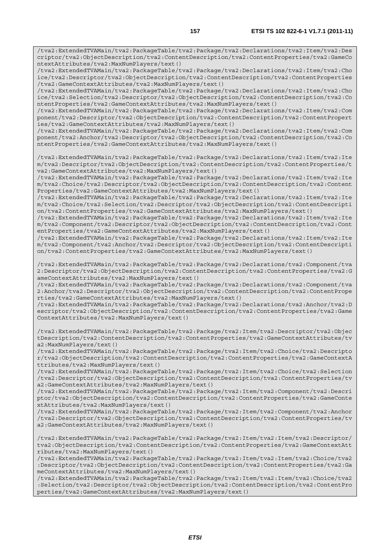/tva2:ExtendedTVAMain/tva2:PackageTable/tva2:Package/tva2:Declarations/tva2:Item/tva2:Des criptor/tva2:ObjectDescription/tva2:ContentDescription/tva2:ContentProperties/tva2:GameCo ntextAttributes/tva2:MaxNumPlayers/text()

/tva2:ExtendedTVAMain/tva2:PackageTable/tva2:Package/tva2:Declarations/tva2:Item/tva2:Cho ice/tva2:Descriptor/tva2:ObjectDescription/tva2:ContentDescription/tva2:ContentProperties /tva2:GameContextAttributes/tva2:MaxNumPlayers/text()

/tva2:ExtendedTVAMain/tva2:PackageTable/tva2:Package/tva2:Declarations/tva2:Item/tva2:Cho ice/tva2:Selection/tva2:Descriptor/tva2:ObjectDescription/tva2:ContentDescription/tva2:Co ntentProperties/tva2:GameContextAttributes/tva2:MaxNumPlayers/text()

/tva2:ExtendedTVAMain/tva2:PackageTable/tva2:Package/tva2:Declarations/tva2:Item/tva2:Com ponent/tva2:Descriptor/tva2:ObjectDescription/tva2:ContentDescription/tva2:ContentPropert ies/tva2:GameContextAttributes/tva2:MaxNumPlayers/text()

/tva2:ExtendedTVAMain/tva2:PackageTable/tva2:Package/tva2:Declarations/tva2:Item/tva2:Com ponent/tva2:Anchor/tva2:Descriptor/tva2:ObjectDescription/tva2:ContentDescription/tva2:Co ntentProperties/tva2:GameContextAttributes/tva2:MaxNumPlayers/text()

/tva2:ExtendedTVAMain/tva2:PackageTable/tva2:Package/tva2:Declarations/tva2:Item/tva2:Ite m/tva2:Descriptor/tva2:ObjectDescription/tva2:ContentDescription/tva2:ContentProperties/t va2:GameContextAttributes/tva2:MaxNumPlayers/text()

/tva2:ExtendedTVAMain/tva2:PackageTable/tva2:Package/tva2:Declarations/tva2:Item/tva2:Ite m/tva2:Choice/tva2:Descriptor/tva2:ObjectDescription/tva2:ContentDescription/tva2:Content Properties/tva2:GameContextAttributes/tva2:MaxNumPlayers/text()

/tva2:ExtendedTVAMain/tva2:PackageTable/tva2:Package/tva2:Declarations/tva2:Item/tva2:Ite m/tva2:Choice/tva2:Selection/tva2:Descriptor/tva2:ObjectDescription/tva2:ContentDescripti on/tva2:ContentProperties/tva2:GameContextAttributes/tva2:MaxNumPlayers/text()

/tva2:ExtendedTVAMain/tva2:PackageTable/tva2:Package/tva2:Declarations/tva2:Item/tva2:Ite m/tva2:Component/tva2:Descriptor/tva2:ObjectDescription/tva2:ContentDescription/tva2:Cont entProperties/tva2:GameContextAttributes/tva2:MaxNumPlayers/text()

/tva2:ExtendedTVAMain/tva2:PackageTable/tva2:Package/tva2:Declarations/tva2:Item/tva2:Ite m/tva2:Component/tva2:Anchor/tva2:Descriptor/tva2:ObjectDescription/tva2:ContentDescripti on/tva2:ContentProperties/tva2:GameContextAttributes/tva2:MaxNumPlayers/text()

/tva2:ExtendedTVAMain/tva2:PackageTable/tva2:Package/tva2:Declarations/tva2:Component/tva 2:Descriptor/tva2:ObjectDescription/tva2:ContentDescription/tva2:ContentProperties/tva2:G ameContextAttributes/tva2:MaxNumPlayers/text()

/tva2:ExtendedTVAMain/tva2:PackageTable/tva2:Package/tva2:Declarations/tva2:Component/tva 2:Anchor/tva2:Descriptor/tva2:ObjectDescription/tva2:ContentDescription/tva2:ContentPrope rties/tva2:GameContextAttributes/tva2:MaxNumPlayers/text()

/tva2:ExtendedTVAMain/tva2:PackageTable/tva2:Package/tva2:Declarations/tva2:Anchor/tva2:D escriptor/tva2:ObjectDescription/tva2:ContentDescription/tva2:ContentProperties/tva2:Game ContextAttributes/tva2:MaxNumPlayers/text()

/tva2:ExtendedTVAMain/tva2:PackageTable/tva2:Package/tva2:Item/tva2:Descriptor/tva2:Objec tDescription/tva2:ContentDescription/tva2:ContentProperties/tva2:GameContextAttributes/tv a2:MaxNumPlayers/text()

/tva2:ExtendedTVAMain/tva2:PackageTable/tva2:Package/tva2:Item/tva2:Choice/tva2:Descripto r/tva2:ObjectDescription/tva2:ContentDescription/tva2:ContentProperties/tva2:GameContextA ttributes/tva2:MaxNumPlayers/text()

/tva2:ExtendedTVAMain/tva2:PackageTable/tva2:Package/tva2:Item/tva2:Choice/tva2:Selection /tva2:Descriptor/tva2:ObjectDescription/tva2:ContentDescription/tva2:ContentProperties/tv a2:GameContextAttributes/tva2:MaxNumPlayers/text()

/tva2:ExtendedTVAMain/tva2:PackageTable/tva2:Package/tva2:Item/tva2:Component/tva2:Descri ptor/tva2:ObjectDescription/tva2:ContentDescription/tva2:ContentProperties/tva2:GameConte xtAttributes/tva2:MaxNumPlayers/text()

/tva2:ExtendedTVAMain/tva2:PackageTable/tva2:Package/tva2:Item/tva2:Component/tva2:Anchor /tva2:Descriptor/tva2:ObjectDescription/tva2:ContentDescription/tva2:ContentProperties/tv a2:GameContextAttributes/tva2:MaxNumPlayers/text()

/tva2:ExtendedTVAMain/tva2:PackageTable/tva2:Package/tva2:Item/tva2:Item/tva2:Descriptor/ tva2:ObjectDescription/tva2:ContentDescription/tva2:ContentProperties/tva2:GameContextAtt ributes/tva2:MaxNumPlayers/text()

/tva2:ExtendedTVAMain/tva2:PackageTable/tva2:Package/tva2:Item/tva2:Item/tva2:Choice/tva2 :Descriptor/tva2:ObjectDescription/tva2:ContentDescription/tva2:ContentProperties/tva2:Ga meContextAttributes/tva2:MaxNumPlayers/text()

/tva2:ExtendedTVAMain/tva2:PackageTable/tva2:Package/tva2:Item/tva2:Item/tva2:Choice/tva2 :Selection/tva2:Descriptor/tva2:ObjectDescription/tva2:ContentDescription/tva2:ContentPro perties/tva2:GameContextAttributes/tva2:MaxNumPlayers/text()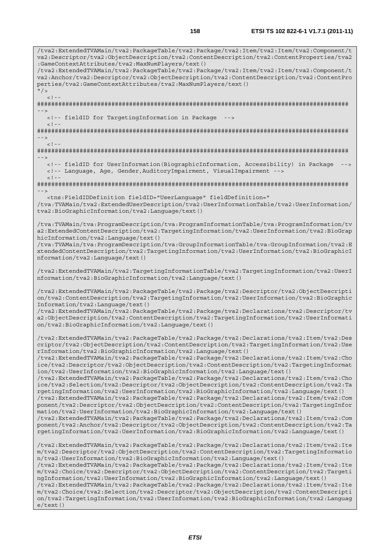/tva2:ExtendedTVAMain/tva2:PackageTable/tva2:Package/tva2:Item/tva2:Item/tva2:Component/t va2:Descriptor/tva2:ObjectDescription/tva2:ContentDescription/tva2:ContentProperties/tva2 :GameContextAttributes/tva2:MaxNumPlayers/text() /tva2:ExtendedTVAMain/tva2:PackageTable/tva2:Package/tva2:Item/tva2:Item/tva2:Component/t va2:Anchor/tva2:Descriptor/tva2:ObjectDescription/tva2:ContentDescription/tva2:ContentPro perties/tva2:GameContextAttributes/tva2:MaxNumPlayers/text()  $''$  /  $>$  $\lt$  ! -######################################################################################## --> <!-- fieldID for TargetingInformation in Package -->  $\geq$   $\frac{1}{2}$   $\geq$   $\frac{1}{2}$ ######################################################################################## -->  $\epsilon$  |  $-$ ######################################################################################## --> <!-- fieldID for UserInformation(BiographicInformation, Accessibility) in Package --> <!-- Language, Age, Gender,AuditoryImpairment, VisualImpairment -->  $< ! - -$ ######################################################################################## --> <tns:FieldIDDefinition fieldID="UserLanguage" fieldDefinition=" /tva:TVAMain/tva2:ExtendedUserDescription/tva2:UserInformationTable/tva2:UserInformation/ tva2:BioGraphicInformation/tva2:Language/text() /tva:TVAMain/tva:ProgramDescription/tva:ProgramInformationTable/tva:ProgramInformation/tv a2:ExtendedContentDescription/tva2:TargetingInformation/tva2:UserInformation/tva2:BioGrap hicInformation/tva2:Language/text() /tva:TVAMain/tva:ProgramDescription/tva:GroupInformationTable/tva:GroupInformation/tva2:E xtendedContentDescription/tva2:TargetingInformation/tva2:UserInformation/tva2:BioGraphicI nformation/tva2:Language/text() /tva2:ExtendedTVAMain/tva2:TargetingInformationTable/tva2:TargetingInformation/tva2:UserI nformation/tva2:BioGraphicInformation/tva2:Language/text() /tva2:ExtendedTVAMain/tva2:PackageTable/tva2:Package/tva2:Descriptor/tva2:ObjectDescripti on/tva2:ContentDescription/tva2:TargetingInformation/tva2:UserInformation/tva2:BioGraphic Information/tva2:Language/text() /tva2:ExtendedTVAMain/tva2:PackageTable/tva2:Package/tva2:Declarations/tva2:Descriptor/tv a2:ObjectDescription/tva2:ContentDescription/tva2:TargetingInformation/tva2:UserInformati on/tva2:BioGraphicInformation/tva2:Language/text() /tva2:ExtendedTVAMain/tva2:PackageTable/tva2:Package/tva2:Declarations/tva2:Item/tva2:Des criptor/tva2:ObjectDescription/tva2:ContentDescription/tva2:TargetingInformation/tva2:Use rInformation/tva2:BioGraphicInformation/tva2:Language/text() /tva2:ExtendedTVAMain/tva2:PackageTable/tva2:Package/tva2:Declarations/tva2:Item/tva2:Cho ice/tva2:Descriptor/tva2:ObjectDescription/tva2:ContentDescription/tva2:TargetingInformat ion/tva2:UserInformation/tva2:BioGraphicInformation/tva2:Language/text() /tva2:ExtendedTVAMain/tva2:PackageTable/tva2:Package/tva2:Declarations/tva2:Item/tva2:Cho ice/tva2:Selection/tva2:Descriptor/tva2:ObjectDescription/tva2:ContentDescription/tva2:Ta rgetingInformation/tva2:UserInformation/tva2:BioGraphicInformation/tva2:Language/text() /tva2:ExtendedTVAMain/tva2:PackageTable/tva2:Package/tva2:Declarations/tva2:Item/tva2:Com ponent/tva2:Descriptor/tva2:ObjectDescription/tva2:ContentDescription/tva2:TargetingInfor mation/tva2:UserInformation/tva2:BioGraphicInformation/tva2:Language/text() /tva2:ExtendedTVAMain/tva2:PackageTable/tva2:Package/tva2:Declarations/tva2:Item/tva2:Com ponent/tva2:Anchor/tva2:Descriptor/tva2:ObjectDescription/tva2:ContentDescription/tva2:Ta rgetingInformation/tva2:UserInformation/tva2:BioGraphicInformation/tva2:Language/text() /tva2:ExtendedTVAMain/tva2:PackageTable/tva2:Package/tva2:Declarations/tva2:Item/tva2:Ite m/tva2:Descriptor/tva2:ObjectDescription/tva2:ContentDescription/tva2:TargetingInformatio n/tva2:UserInformation/tva2:BioGraphicInformation/tva2:Language/text() /tva2:ExtendedTVAMain/tva2:PackageTable/tva2:Package/tva2:Declarations/tva2:Item/tva2:Ite m/tva2:Choice/tva2:Descriptor/tva2:ObjectDescription/tva2:ContentDescription/tva2:Targeti ngInformation/tva2:UserInformation/tva2:BioGraphicInformation/tva2:Language/text() /tva2:ExtendedTVAMain/tva2:PackageTable/tva2:Package/tva2:Declarations/tva2:Item/tva2:Ite m/tva2:Choice/tva2:Selection/tva2:Descriptor/tva2:ObjectDescription/tva2:ContentDescripti on/tva2:TargetingInformation/tva2:UserInformation/tva2:BioGraphicInformation/tva2:Languag e/text()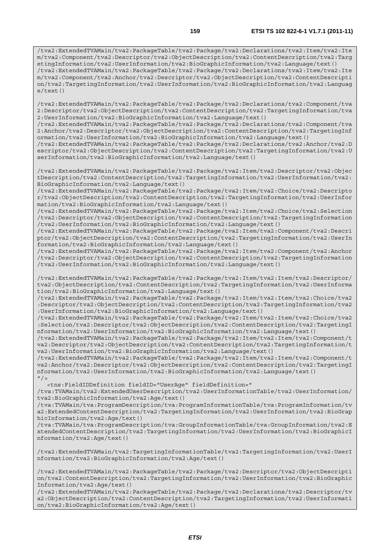/tva2:ExtendedTVAMain/tva2:PackageTable/tva2:Package/tva2:Declarations/tva2:Item/tva2:Ite m/tva2:Component/tva2:Descriptor/tva2:ObjectDescription/tva2:ContentDescription/tva2:Targ etingInformation/tva2:UserInformation/tva2:BioGraphicInformation/tva2:Language/text() /tva2:ExtendedTVAMain/tva2:PackageTable/tva2:Package/tva2:Declarations/tva2:Item/tva2:Ite m/tva2:Component/tva2:Anchor/tva2:Descriptor/tva2:ObjectDescription/tva2:ContentDescripti on/tva2:TargetingInformation/tva2:UserInformation/tva2:BioGraphicInformation/tva2:Languag e/text()

/tva2:ExtendedTVAMain/tva2:PackageTable/tva2:Package/tva2:Declarations/tva2:Component/tva 2:Descriptor/tva2:ObjectDescription/tva2:ContentDescription/tva2:TargetingInformation/tva 2:UserInformation/tva2:BioGraphicInformation/tva2:Language/text()

/tva2:ExtendedTVAMain/tva2:PackageTable/tva2:Package/tva2:Declarations/tva2:Component/tva 2:Anchor/tva2:Descriptor/tva2:ObjectDescription/tva2:ContentDescription/tva2:TargetingInf ormation/tva2:UserInformation/tva2:BioGraphicInformation/tva2:Language/text()

/tva2:ExtendedTVAMain/tva2:PackageTable/tva2:Package/tva2:Declarations/tva2:Anchor/tva2:D escriptor/tva2:ObjectDescription/tva2:ContentDescription/tva2:TargetingInformation/tva2:U serInformation/tva2:BioGraphicInformation/tva2:Language/text()

/tva2:ExtendedTVAMain/tva2:PackageTable/tva2:Package/tva2:Item/tva2:Descriptor/tva2:Objec tDescription/tva2:ContentDescription/tva2:TargetingInformation/tva2:UserInformation/tva2: BioGraphicInformation/tva2:Language/text()

/tva2:ExtendedTVAMain/tva2:PackageTable/tva2:Package/tva2:Item/tva2:Choice/tva2:Descripto r/tva2:ObjectDescription/tva2:ContentDescription/tva2:TargetingInformation/tva2:UserInfor mation/tva2:BioGraphicInformation/tva2:Language/text()

/tva2:ExtendedTVAMain/tva2:PackageTable/tva2:Package/tva2:Item/tva2:Choice/tva2:Selection /tva2:Descriptor/tva2:ObjectDescription/tva2:ContentDescription/tva2:TargetingInformation /tva2:UserInformation/tva2:BioGraphicInformation/tva2:Language/text()

/tva2:ExtendedTVAMain/tva2:PackageTable/tva2:Package/tva2:Item/tva2:Component/tva2:Descri ptor/tva2:ObjectDescription/tva2:ContentDescription/tva2:TargetingInformation/tva2:UserIn formation/tva2:BioGraphicInformation/tva2:Language/text()

/tva2:ExtendedTVAMain/tva2:PackageTable/tva2:Package/tva2:Item/tva2:Component/tva2:Anchor /tva2:Descriptor/tva2:ObjectDescription/tva2:ContentDescription/tva2:TargetingInformation /tva2:UserInformation/tva2:BioGraphicInformation/tva2:Language/text()

/tva2:ExtendedTVAMain/tva2:PackageTable/tva2:Package/tva2:Item/tva2:Item/tva2:Descriptor/ tva2:ObjectDescription/tva2:ContentDescription/tva2:TargetingInformation/tva2:UserInforma tion/tva2:BioGraphicInformation/tva2:Language/text()

/tva2:ExtendedTVAMain/tva2:PackageTable/tva2:Package/tva2:Item/tva2:Item/tva2:Choice/tva2 :Descriptor/tva2:ObjectDescription/tva2:ContentDescription/tva2:TargetingInformation/tva2 :UserInformation/tva2:BioGraphicInformation/tva2:Language/text()

/tva2:ExtendedTVAMain/tva2:PackageTable/tva2:Package/tva2:Item/tva2:Item/tva2:Choice/tva2 :Selection/tva2:Descriptor/tva2:ObjectDescription/tva2:ContentDescription/tva2:TargetingI nformation/tva2:UserInformation/tva2:BioGraphicInformation/tva2:Language/text()

/tva2:ExtendedTVAMain/tva2:PackageTable/tva2:Package/tva2:Item/tva2:Item/tva2:Component/t va2:Descriptor/tva2:ObjectDescription/tva2:ContentDescription/tva2:TargetingInformation/t va2:UserInformation/tva2:BioGraphicInformation/tva2:Language/text()

/tva2:ExtendedTVAMain/tva2:PackageTable/tva2:Package/tva2:Item/tva2:Item/tva2:Component/t va2:Anchor/tva2:Descriptor/tva2:ObjectDescription/tva2:ContentDescription/tva2:TargetingI nformation/tva2:UserInformation/tva2:BioGraphicInformation/tva2:Language/text()  $''$  / >

<tns:FieldIDDefinition fieldID="UserAge" fieldDefinition="

/tva:TVAMain/tva2:ExtendedUserDescription/tva2:UserInformationTable/tva2:UserInformation/ tva2:BioGraphicInformation/tva2:Age/text()

/tva:TVAMain/tva:ProgramDescription/tva:ProgramInformationTable/tva:ProgramInformation/tv a2:ExtendedContentDescription/tva2:TargetingInformation/tva2:UserInformation/tva2:BioGrap hicInformation/tva2:Age/text()

/tva:TVAMain/tva:ProgramDescription/tva:GroupInformationTable/tva:GroupInformation/tva2:E xtendedContentDescription/tva2:TargetingInformation/tva2:UserInformation/tva2:BioGraphicI nformation/tva2:Age/text()

/tva2:ExtendedTVAMain/tva2:TargetingInformationTable/tva2:TargetingInformation/tva2:UserI nformation/tva2:BioGraphicInformation/tva2:Age/text()

/tva2:ExtendedTVAMain/tva2:PackageTable/tva2:Package/tva2:Descriptor/tva2:ObjectDescripti on/tva2:ContentDescription/tva2:TargetingInformation/tva2:UserInformation/tva2:BioGraphic Information/tva2:Age/text()

/tva2:ExtendedTVAMain/tva2:PackageTable/tva2:Package/tva2:Declarations/tva2:Descriptor/tv a2:ObjectDescription/tva2:ContentDescription/tva2:TargetingInformation/tva2:UserInformati on/tva2:BioGraphicInformation/tva2:Age/text()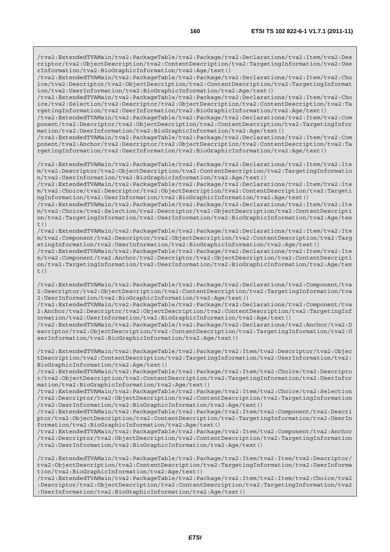/tva2:ExtendedTVAMain/tva2:PackageTable/tva2:Package/tva2:Declarations/tva2:Item/tva2:Des criptor/tva2:ObjectDescription/tva2:ContentDescription/tva2:TargetingInformation/tva2:Use rInformation/tva2:BioGraphicInformation/tva2:Age/text()

/tva2:ExtendedTVAMain/tva2:PackageTable/tva2:Package/tva2:Declarations/tva2:Item/tva2:Cho ice/tva2:Descriptor/tva2:ObjectDescription/tva2:ContentDescription/tva2:TargetingInformat ion/tva2:UserInformation/tva2:BioGraphicInformation/tva2:Age/text()

/tva2:ExtendedTVAMain/tva2:PackageTable/tva2:Package/tva2:Declarations/tva2:Item/tva2:Cho ice/tva2:Selection/tva2:Descriptor/tva2:ObjectDescription/tva2:ContentDescription/tva2:Ta rgetingInformation/tva2:UserInformation/tva2:BioGraphicInformation/tva2:Age/text()

/tva2:ExtendedTVAMain/tva2:PackageTable/tva2:Package/tva2:Declarations/tva2:Item/tva2:Com ponent/tva2:Descriptor/tva2:ObjectDescription/tva2:ContentDescription/tva2:TargetingInfor mation/tva2:UserInformation/tva2:BioGraphicInformation/tva2:Age/text()

/tva2:ExtendedTVAMain/tva2:PackageTable/tva2:Package/tva2:Declarations/tva2:Item/tva2:Com ponent/tva2:Anchor/tva2:Descriptor/tva2:ObjectDescription/tva2:ContentDescription/tva2:Ta rgetingInformation/tva2:UserInformation/tva2:BioGraphicInformation/tva2:Age/text()

/tva2:ExtendedTVAMain/tva2:PackageTable/tva2:Package/tva2:Declarations/tva2:Item/tva2:Ite m/tva2:Descriptor/tva2:ObjectDescription/tva2:ContentDescription/tva2:TargetingInformatio n/tva2:UserInformation/tva2:BioGraphicInformation/tva2:Age/text()

/tva2:ExtendedTVAMain/tva2:PackageTable/tva2:Package/tva2:Declarations/tva2:Item/tva2:Ite m/tva2:Choice/tva2:Descriptor/tva2:ObjectDescription/tva2:ContentDescription/tva2:Targeti ngInformation/tva2:UserInformation/tva2:BioGraphicInformation/tva2:Age/text()

/tva2:ExtendedTVAMain/tva2:PackageTable/tva2:Package/tva2:Declarations/tva2:Item/tva2:Ite m/tva2:Choice/tva2:Selection/tva2:Descriptor/tva2:ObjectDescription/tva2:ContentDescripti on/tva2:TargetingInformation/tva2:UserInformation/tva2:BioGraphicInformation/tva2:Age/tex  $t()$ 

/tva2:ExtendedTVAMain/tva2:PackageTable/tva2:Package/tva2:Declarations/tva2:Item/tva2:Ite m/tva2:Component/tva2:Descriptor/tva2:ObjectDescription/tva2:ContentDescription/tva2:Targ etingInformation/tva2:UserInformation/tva2:BioGraphicInformation/tva2:Age/text()

/tva2:ExtendedTVAMain/tva2:PackageTable/tva2:Package/tva2:Declarations/tva2:Item/tva2:Ite m/tva2:Component/tva2:Anchor/tva2:Descriptor/tva2:ObjectDescription/tva2:ContentDescripti on/tva2:TargetingInformation/tva2:UserInformation/tva2:BioGraphicInformation/tva2:Age/tex  $+$  ()

/tva2:ExtendedTVAMain/tva2:PackageTable/tva2:Package/tva2:Declarations/tva2:Component/tva 2:Descriptor/tva2:ObjectDescription/tva2:ContentDescription/tva2:TargetingInformation/tva 2:UserInformation/tva2:BioGraphicInformation/tva2:Age/text()

/tva2:ExtendedTVAMain/tva2:PackageTable/tva2:Package/tva2:Declarations/tva2:Component/tva 2:Anchor/tva2:Descriptor/tva2:ObjectDescription/tva2:ContentDescription/tva2:TargetingInf ormation/tva2:UserInformation/tva2:BioGraphicInformation/tva2:Age/text()

/tva2:ExtendedTVAMain/tva2:PackageTable/tva2:Package/tva2:Declarations/tva2:Anchor/tva2:D escriptor/tva2:ObjectDescription/tva2:ContentDescription/tva2:TargetingInformation/tva2:U serInformation/tva2:BioGraphicInformation/tva2:Age/text()

/tva2:ExtendedTVAMain/tva2:PackageTable/tva2:Package/tva2:Item/tva2:Descriptor/tva2:Objec tDescription/tva2:ContentDescription/tva2:TargetingInformation/tva2:UserInformation/tva2: BioGraphicInformation/tva2:Age/text()

/tva2:ExtendedTVAMain/tva2:PackageTable/tva2:Package/tva2:Item/tva2:Choice/tva2:Descripto r/tva2:ObjectDescription/tva2:ContentDescription/tva2:TargetingInformation/tva2:UserInfor mation/tva2:BioGraphicInformation/tva2:Age/text()

/tva2:ExtendedTVAMain/tva2:PackageTable/tva2:Package/tva2:Item/tva2:Choice/tva2:Selection /tva2:Descriptor/tva2:ObjectDescription/tva2:ContentDescription/tva2:TargetingInformation /tva2:UserInformation/tva2:BioGraphicInformation/tva2:Age/text()

/tva2:ExtendedTVAMain/tva2:PackageTable/tva2:Package/tva2:Item/tva2:Component/tva2:Descri ptor/tva2:ObjectDescription/tva2:ContentDescription/tva2:TargetingInformation/tva2:UserIn formation/tva2:BioGraphicInformation/tva2:Age/text()

/tva2:ExtendedTVAMain/tva2:PackageTable/tva2:Package/tva2:Item/tva2:Component/tva2:Anchor /tva2:Descriptor/tva2:ObjectDescription/tva2:ContentDescription/tva2:TargetingInformation /tva2:UserInformation/tva2:BioGraphicInformation/tva2:Age/text()

/tva2:ExtendedTVAMain/tva2:PackageTable/tva2:Package/tva2:Item/tva2:Item/tva2:Descriptor/ tva2:ObjectDescription/tva2:ContentDescription/tva2:TargetingInformation/tva2:UserInforma tion/tva2:BioGraphicInformation/tva2:Age/text()

/tva2:ExtendedTVAMain/tva2:PackageTable/tva2:Package/tva2:Item/tva2:Item/tva2:Choice/tva2 :Descriptor/tva2:ObjectDescription/tva2:ContentDescription/tva2:TargetingInformation/tva2 :UserInformation/tva2:BioGraphicInformation/tva2:Age/text()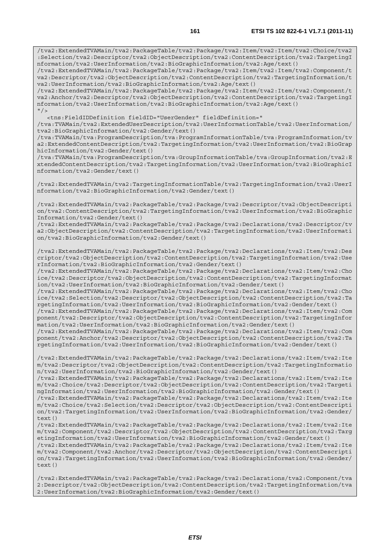/tva2:ExtendedTVAMain/tva2:PackageTable/tva2:Package/tva2:Item/tva2:Item/tva2:Choice/tva2 :Selection/tva2:Descriptor/tva2:ObjectDescription/tva2:ContentDescription/tva2:TargetingI nformation/tva2:UserInformation/tva2:BioGraphicInformation/tva2:Age/text()

/tva2:ExtendedTVAMain/tva2:PackageTable/tva2:Package/tva2:Item/tva2:Item/tva2:Component/t va2:Descriptor/tva2:ObjectDescription/tva2:ContentDescription/tva2:TargetingInformation/t va2:UserInformation/tva2:BioGraphicInformation/tva2:Age/text()

/tva2:ExtendedTVAMain/tva2:PackageTable/tva2:Package/tva2:Item/tva2:Item/tva2:Component/t va2:Anchor/tva2:Descriptor/tva2:ObjectDescription/tva2:ContentDescription/tva2:TargetingI nformation/tva2:UserInformation/tva2:BioGraphicInformation/tva2:Age/text()  $''$  / >

<tns:FieldIDDefinition fieldID="UserGender" fieldDefinition="

/tva:TVAMain/tva2:ExtendedUserDescription/tva2:UserInformationTable/tva2:UserInformation/ tva2:BioGraphicInformation/tva2:Gender/text()

/tva:TVAMain/tva:ProgramDescription/tva:ProgramInformationTable/tva:ProgramInformation/tv a2:ExtendedContentDescription/tva2:TargetingInformation/tva2:UserInformation/tva2:BioGrap hicInformation/tva2:Gender/text()

/tva:TVAMain/tva:ProgramDescription/tva:GroupInformationTable/tva:GroupInformation/tva2:E xtendedContentDescription/tva2:TargetingInformation/tva2:UserInformation/tva2:BioGraphicI nformation/tva2:Gender/text()

/tva2:ExtendedTVAMain/tva2:TargetingInformationTable/tva2:TargetingInformation/tva2:UserI nformation/tva2:BioGraphicInformation/tva2:Gender/text()

/tva2:ExtendedTVAMain/tva2:PackageTable/tva2:Package/tva2:Descriptor/tva2:ObjectDescripti on/tva2:ContentDescription/tva2:TargetingInformation/tva2:UserInformation/tva2:BioGraphic Information/tva2:Gender/text()

/tva2:ExtendedTVAMain/tva2:PackageTable/tva2:Package/tva2:Declarations/tva2:Descriptor/tv a2:ObjectDescription/tva2:ContentDescription/tva2:TargetingInformation/tva2:UserInformati on/tva2:BioGraphicInformation/tva2:Gender/text()

/tva2:ExtendedTVAMain/tva2:PackageTable/tva2:Package/tva2:Declarations/tva2:Item/tva2:Des criptor/tva2:ObjectDescription/tva2:ContentDescription/tva2:TargetingInformation/tva2:Use rInformation/tva2:BioGraphicInformation/tva2:Gender/text()

/tva2:ExtendedTVAMain/tva2:PackageTable/tva2:Package/tva2:Declarations/tva2:Item/tva2:Cho ice/tva2:Descriptor/tva2:ObjectDescription/tva2:ContentDescription/tva2:TargetingInformat ion/tva2:UserInformation/tva2:BioGraphicInformation/tva2:Gender/text()

/tva2:ExtendedTVAMain/tva2:PackageTable/tva2:Package/tva2:Declarations/tva2:Item/tva2:Cho ice/tva2:Selection/tva2:Descriptor/tva2:ObjectDescription/tva2:ContentDescription/tva2:Ta rgetingInformation/tva2:UserInformation/tva2:BioGraphicInformation/tva2:Gender/text()

/tva2:ExtendedTVAMain/tva2:PackageTable/tva2:Package/tva2:Declarations/tva2:Item/tva2:Com ponent/tva2:Descriptor/tva2:ObjectDescription/tva2:ContentDescription/tva2:TargetingInfor mation/tva2:UserInformation/tva2:BioGraphicInformation/tva2:Gender/text()

/tva2:ExtendedTVAMain/tva2:PackageTable/tva2:Package/tva2:Declarations/tva2:Item/tva2:Com ponent/tva2:Anchor/tva2:Descriptor/tva2:ObjectDescription/tva2:ContentDescription/tva2:Ta rgetingInformation/tva2:UserInformation/tva2:BioGraphicInformation/tva2:Gender/text()

/tva2:ExtendedTVAMain/tva2:PackageTable/tva2:Package/tva2:Declarations/tva2:Item/tva2:Ite m/tva2:Descriptor/tva2:ObjectDescription/tva2:ContentDescription/tva2:TargetingInformatio n/tva2:UserInformation/tva2:BioGraphicInformation/tva2:Gender/text()

/tva2:ExtendedTVAMain/tva2:PackageTable/tva2:Package/tva2:Declarations/tva2:Item/tva2:Ite m/tva2:Choice/tva2:Descriptor/tva2:ObjectDescription/tva2:ContentDescription/tva2:Targeti ngInformation/tva2:UserInformation/tva2:BioGraphicInformation/tva2:Gender/text()

/tva2:ExtendedTVAMain/tva2:PackageTable/tva2:Package/tva2:Declarations/tva2:Item/tva2:Ite m/tva2:Choice/tva2:Selection/tva2:Descriptor/tva2:ObjectDescription/tva2:ContentDescripti on/tva2:TargetingInformation/tva2:UserInformation/tva2:BioGraphicInformation/tva2:Gender/ text()

/tva2:ExtendedTVAMain/tva2:PackageTable/tva2:Package/tva2:Declarations/tva2:Item/tva2:Ite m/tva2:Component/tva2:Descriptor/tva2:ObjectDescription/tva2:ContentDescription/tva2:Targ etingInformation/tva2:UserInformation/tva2:BioGraphicInformation/tva2:Gender/text()

/tva2:ExtendedTVAMain/tva2:PackageTable/tva2:Package/tva2:Declarations/tva2:Item/tva2:Ite m/tva2:Component/tva2:Anchor/tva2:Descriptor/tva2:ObjectDescription/tva2:ContentDescripti on/tva2:TargetingInformation/tva2:UserInformation/tva2:BioGraphicInformation/tva2:Gender/ text()

/tva2:ExtendedTVAMain/tva2:PackageTable/tva2:Package/tva2:Declarations/tva2:Component/tva 2:Descriptor/tva2:ObjectDescription/tva2:ContentDescription/tva2:TargetingInformation/tva 2:UserInformation/tva2:BioGraphicInformation/tva2:Gender/text()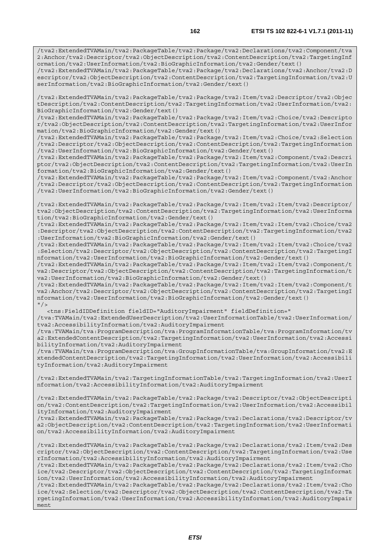/tva2:ExtendedTVAMain/tva2:PackageTable/tva2:Package/tva2:Declarations/tva2:Component/tva 2:Anchor/tva2:Descriptor/tva2:ObjectDescription/tva2:ContentDescription/tva2:TargetingInf ormation/tva2:UserInformation/tva2:BioGraphicInformation/tva2:Gender/text()

/tva2:ExtendedTVAMain/tva2:PackageTable/tva2:Package/tva2:Declarations/tva2:Anchor/tva2:D escriptor/tva2:ObjectDescription/tva2:ContentDescription/tva2:TargetingInformation/tva2:U serInformation/tva2:BioGraphicInformation/tva2:Gender/text()

/tva2:ExtendedTVAMain/tva2:PackageTable/tva2:Package/tva2:Item/tva2:Descriptor/tva2:Objec tDescription/tva2:ContentDescription/tva2:TargetingInformation/tva2:UserInformation/tva2: BioGraphicInformation/tva2:Gender/text()

/tva2:ExtendedTVAMain/tva2:PackageTable/tva2:Package/tva2:Item/tva2:Choice/tva2:Descripto r/tva2:ObjectDescription/tva2:ContentDescription/tva2:TargetingInformation/tva2:UserInfor mation/tva2:BioGraphicInformation/tva2:Gender/text()

/tva2:ExtendedTVAMain/tva2:PackageTable/tva2:Package/tva2:Item/tva2:Choice/tva2:Selection /tva2:Descriptor/tva2:ObjectDescription/tva2:ContentDescription/tva2:TargetingInformation /tva2:UserInformation/tva2:BioGraphicInformation/tva2:Gender/text()

/tva2:ExtendedTVAMain/tva2:PackageTable/tva2:Package/tva2:Item/tva2:Component/tva2:Descri ptor/tva2:ObjectDescription/tva2:ContentDescription/tva2:TargetingInformation/tva2:UserIn formation/tva2:BioGraphicInformation/tva2:Gender/text()

/tva2:ExtendedTVAMain/tva2:PackageTable/tva2:Package/tva2:Item/tva2:Component/tva2:Anchor /tva2:Descriptor/tva2:ObjectDescription/tva2:ContentDescription/tva2:TargetingInformation /tva2:UserInformation/tva2:BioGraphicInformation/tva2:Gender/text()

/tva2:ExtendedTVAMain/tva2:PackageTable/tva2:Package/tva2:Item/tva2:Item/tva2:Descriptor/ tva2:ObjectDescription/tva2:ContentDescription/tva2:TargetingInformation/tva2:UserInforma tion/tva2:BioGraphicInformation/tva2:Gender/text()

/tva2:ExtendedTVAMain/tva2:PackageTable/tva2:Package/tva2:Item/tva2:Item/tva2:Choice/tva2 :Descriptor/tva2:ObjectDescription/tva2:ContentDescription/tva2:TargetingInformation/tva2 :UserInformation/tva2:BioGraphicInformation/tva2:Gender/text()

/tva2:ExtendedTVAMain/tva2:PackageTable/tva2:Package/tva2:Item/tva2:Item/tva2:Choice/tva2 :Selection/tva2:Descriptor/tva2:ObjectDescription/tva2:ContentDescription/tva2:TargetingI nformation/tva2:UserInformation/tva2:BioGraphicInformation/tva2:Gender/text()

/tva2:ExtendedTVAMain/tva2:PackageTable/tva2:Package/tva2:Item/tva2:Item/tva2:Component/t va2:Descriptor/tva2:ObjectDescription/tva2:ContentDescription/tva2:TargetingInformation/t va2:UserInformation/tva2:BioGraphicInformation/tva2:Gender/text()

/tva2:ExtendedTVAMain/tva2:PackageTable/tva2:Package/tva2:Item/tva2:Item/tva2:Component/t va2:Anchor/tva2:Descriptor/tva2:ObjectDescription/tva2:ContentDescription/tva2:TargetingI nformation/tva2:UserInformation/tva2:BioGraphicInformation/tva2:Gender/text()  $"$  />

<tns:FieldIDDefinition fieldID="AuditoryImpairment" fieldDefinition="

/tva:TVAMain/tva2:ExtendedUserDescription/tva2:UserInformationTable/tva2:UserInformation/ tva2:AccessibilityInformation/tva2:AuditoryImpairment

/tva:TVAMain/tva:ProgramDescription/tva:ProgramInformationTable/tva:ProgramInformation/tv a2:ExtendedContentDescription/tva2:TargetingInformation/tva2:UserInformation/tva2:Accessi bilityInformation/tva2:AuditoryImpairment

/tva:TVAMain/tva:ProgramDescription/tva:GroupInformationTable/tva:GroupInformation/tva2:E xtendedContentDescription/tva2:TargetingInformation/tva2:UserInformation/tva2:Accessibili tyInformation/tva2:AuditoryImpairment

/tva2:ExtendedTVAMain/tva2:TargetingInformationTable/tva2:TargetingInformation/tva2:UserI nformation/tva2:AccessibilityInformation/tva2:AuditoryImpairment

/tva2:ExtendedTVAMain/tva2:PackageTable/tva2:Package/tva2:Descriptor/tva2:ObjectDescripti on/tva2:ContentDescription/tva2:TargetingInformation/tva2:UserInformation/tva2:Accessibil ityInformation/tva2:AuditoryImpairment

/tva2:ExtendedTVAMain/tva2:PackageTable/tva2:Package/tva2:Declarations/tva2:Descriptor/tv a2:ObjectDescription/tva2:ContentDescription/tva2:TargetingInformation/tva2:UserInformati on/tva2:AccessibilityInformation/tva2:AuditoryImpairment

/tva2:ExtendedTVAMain/tva2:PackageTable/tva2:Package/tva2:Declarations/tva2:Item/tva2:Des criptor/tva2:ObjectDescription/tva2:ContentDescription/tva2:TargetingInformation/tva2:Use rInformation/tva2:AccessibilityInformation/tva2:AuditoryImpairment

/tva2:ExtendedTVAMain/tva2:PackageTable/tva2:Package/tva2:Declarations/tva2:Item/tva2:Cho ice/tva2:Descriptor/tva2:ObjectDescription/tva2:ContentDescription/tva2:TargetingInformat ion/tva2:UserInformation/tva2:AccessibilityInformation/tva2:AuditoryImpairment

/tva2:ExtendedTVAMain/tva2:PackageTable/tva2:Package/tva2:Declarations/tva2:Item/tva2:Cho ice/tva2:Selection/tva2:Descriptor/tva2:ObjectDescription/tva2:ContentDescription/tva2:Ta rgetingInformation/tva2:UserInformation/tva2:AccessibilityInformation/tva2:AuditoryImpair ment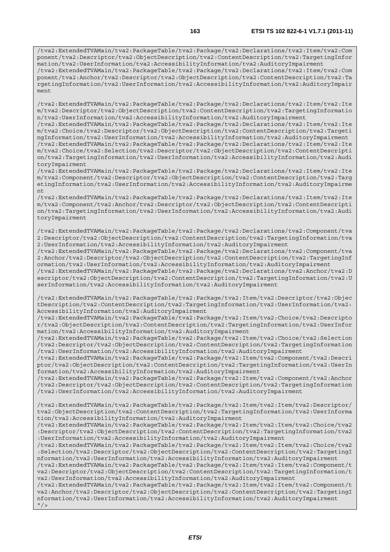/tva2:ExtendedTVAMain/tva2:PackageTable/tva2:Package/tva2:Declarations/tva2:Item/tva2:Com ponent/tva2:Descriptor/tva2:ObjectDescription/tva2:ContentDescription/tva2:TargetingInfor mation/tva2:UserInformation/tva2:AccessibilityInformation/tva2:AuditoryImpairment /tva2:ExtendedTVAMain/tva2:PackageTable/tva2:Package/tva2:Declarations/tva2:Item/tva2:Com ponent/tva2:Anchor/tva2:Descriptor/tva2:ObjectDescription/tva2:ContentDescription/tva2:Ta rgetingInformation/tva2:UserInformation/tva2:AccessibilityInformation/tva2:AuditoryImpair

/tva2:ExtendedTVAMain/tva2:PackageTable/tva2:Package/tva2:Declarations/tva2:Item/tva2:Ite m/tva2:Descriptor/tva2:ObjectDescription/tva2:ContentDescription/tva2:TargetingInformatio n/tva2:UserInformation/tva2:AccessibilityInformation/tva2:AuditoryImpairment

ment

/tva2:ExtendedTVAMain/tva2:PackageTable/tva2:Package/tva2:Declarations/tva2:Item/tva2:Ite m/tva2:Choice/tva2:Descriptor/tva2:ObjectDescription/tva2:ContentDescription/tva2:Targeti ngInformation/tva2:UserInformation/tva2:AccessibilityInformation/tva2:AuditoryImpairment /tva2:ExtendedTVAMain/tva2:PackageTable/tva2:Package/tva2:Declarations/tva2:Item/tva2:Ite m/tva2:Choice/tva2:Selection/tva2:Descriptor/tva2:ObjectDescription/tva2:ContentDescripti on/tva2:TargetingInformation/tva2:UserInformation/tva2:AccessibilityInformation/tva2:Audi toryImpairment

/tva2:ExtendedTVAMain/tva2:PackageTable/tva2:Package/tva2:Declarations/tva2:Item/tva2:Ite m/tva2:Component/tva2:Descriptor/tva2:ObjectDescription/tva2:ContentDescription/tva2:Targ etingInformation/tva2:UserInformation/tva2:AccessibilityInformation/tva2:AuditoryImpairme nt

/tva2:ExtendedTVAMain/tva2:PackageTable/tva2:Package/tva2:Declarations/tva2:Item/tva2:Ite m/tva2:Component/tva2:Anchor/tva2:Descriptor/tva2:ObjectDescription/tva2:ContentDescripti on/tva2:TargetingInformation/tva2:UserInformation/tva2:AccessibilityInformation/tva2:Audi toryImpairment

/tva2:ExtendedTVAMain/tva2:PackageTable/tva2:Package/tva2:Declarations/tva2:Component/tva 2:Descriptor/tva2:ObjectDescription/tva2:ContentDescription/tva2:TargetingInformation/tva 2:UserInformation/tva2:AccessibilityInformation/tva2:AuditoryImpairment

/tva2:ExtendedTVAMain/tva2:PackageTable/tva2:Package/tva2:Declarations/tva2:Component/tva 2:Anchor/tva2:Descriptor/tva2:ObjectDescription/tva2:ContentDescription/tva2:TargetingInf ormation/tva2:UserInformation/tva2:AccessibilityInformation/tva2:AuditoryImpairment

/tva2:ExtendedTVAMain/tva2:PackageTable/tva2:Package/tva2:Declarations/tva2:Anchor/tva2:D escriptor/tva2:ObjectDescription/tva2:ContentDescription/tva2:TargetingInformation/tva2:U serInformation/tva2:AccessibilityInformation/tva2:AuditoryImpairment

/tva2:ExtendedTVAMain/tva2:PackageTable/tva2:Package/tva2:Item/tva2:Descriptor/tva2:Objec tDescription/tva2:ContentDescription/tva2:TargetingInformation/tva2:UserInformation/tva2: AccessibilityInformation/tva2:AuditoryImpairment

/tva2:ExtendedTVAMain/tva2:PackageTable/tva2:Package/tva2:Item/tva2:Choice/tva2:Descripto r/tva2:ObjectDescription/tva2:ContentDescription/tva2:TargetingInformation/tva2:UserInfor mation/tva2:AccessibilityInformation/tva2:AuditoryImpairment

/tva2:ExtendedTVAMain/tva2:PackageTable/tva2:Package/tva2:Item/tva2:Choice/tva2:Selection /tva2:Descriptor/tva2:ObjectDescription/tva2:ContentDescription/tva2:TargetingInformation /tva2:UserInformation/tva2:AccessibilityInformation/tva2:AuditoryImpairment

/tva2:ExtendedTVAMain/tva2:PackageTable/tva2:Package/tva2:Item/tva2:Component/tva2:Descri ptor/tva2:ObjectDescription/tva2:ContentDescription/tva2:TargetingInformation/tva2:UserIn formation/tva2:AccessibilityInformation/tva2:AuditoryImpairment

/tva2:ExtendedTVAMain/tva2:PackageTable/tva2:Package/tva2:Item/tva2:Component/tva2:Anchor /tva2:Descriptor/tva2:ObjectDescription/tva2:ContentDescription/tva2:TargetingInformation /tva2:UserInformation/tva2:AccessibilityInformation/tva2:AuditoryImpairment

/tva2:ExtendedTVAMain/tva2:PackageTable/tva2:Package/tva2:Item/tva2:Item/tva2:Descriptor/ tva2:ObjectDescription/tva2:ContentDescription/tva2:TargetingInformation/tva2:UserInforma tion/tva2:AccessibilityInformation/tva2:AuditoryImpairment

/tva2:ExtendedTVAMain/tva2:PackageTable/tva2:Package/tva2:Item/tva2:Item/tva2:Choice/tva2 :Descriptor/tva2:ObjectDescription/tva2:ContentDescription/tva2:TargetingInformation/tva2 :UserInformation/tva2:AccessibilityInformation/tva2:AuditoryImpairment

/tva2:ExtendedTVAMain/tva2:PackageTable/tva2:Package/tva2:Item/tva2:Item/tva2:Choice/tva2 :Selection/tva2:Descriptor/tva2:ObjectDescription/tva2:ContentDescription/tva2:TargetingI nformation/tva2:UserInformation/tva2:AccessibilityInformation/tva2:AuditoryImpairment

/tva2:ExtendedTVAMain/tva2:PackageTable/tva2:Package/tva2:Item/tva2:Item/tva2:Component/t va2:Descriptor/tva2:ObjectDescription/tva2:ContentDescription/tva2:TargetingInformation/t va2:UserInformation/tva2:AccessibilityInformation/tva2:AuditoryImpairment

/tva2:ExtendedTVAMain/tva2:PackageTable/tva2:Package/tva2:Item/tva2:Item/tva2:Component/t va2:Anchor/tva2:Descriptor/tva2:ObjectDescription/tva2:ContentDescription/tva2:TargetingI nformation/tva2:UserInformation/tva2:AccessibilityInformation/tva2:AuditoryImpairment  $"$  />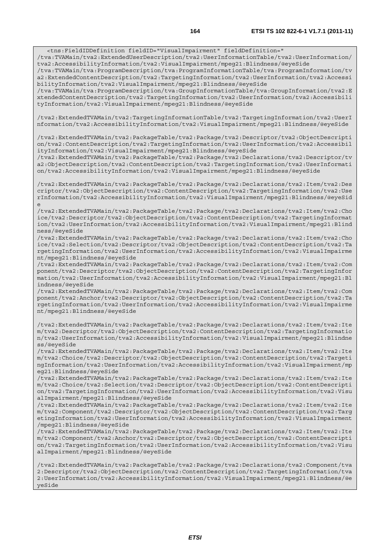<tns:FieldIDDefinition fieldID="VisualImpairment" fieldDefinition=" /tva:TVAMain/tva2:ExtendedUserDescription/tva2:UserInformationTable/tva2:UserInformation/ tva2:AccessibilityInformation/tva2:VisualImpairment/mpeg21:Blindness/@eyeSide /tva:TVAMain/tva:ProgramDescription/tva:ProgramInformationTable/tva:ProgramInformation/tv a2:ExtendedContentDescription/tva2:TargetingInformation/tva2:UserInformation/tva2:Accessi bilityInformation/tva2:VisualImpairment/mpeg21:Blindness/@eyeSide /tva:TVAMain/tva:ProgramDescription/tva:GroupInformationTable/tva:GroupInformation/tva2:E xtendedContentDescription/tva2:TargetingInformation/tva2:UserInformation/tva2:Accessibili tyInformation/tva2:VisualImpairment/mpeg21:Blindness/@eyeSide

/tva2:ExtendedTVAMain/tva2:TargetingInformationTable/tva2:TargetingInformation/tva2:UserI nformation/tva2:AccessibilityInformation/tva2:VisualImpairment/mpeg21:Blindness/@eyeSide

/tva2:ExtendedTVAMain/tva2:PackageTable/tva2:Package/tva2:Descriptor/tva2:ObjectDescripti on/tva2:ContentDescription/tva2:TargetingInformation/tva2:UserInformation/tva2:Accessibil ityInformation/tva2:VisualImpairment/mpeg21:Blindness/@eyeSide

/tva2:ExtendedTVAMain/tva2:PackageTable/tva2:Package/tva2:Declarations/tva2:Descriptor/tv a2:ObjectDescription/tva2:ContentDescription/tva2:TargetingInformation/tva2:UserInformati on/tva2:AccessibilityInformation/tva2:VisualImpairment/mpeg21:Blindness/@eyeSide

/tva2:ExtendedTVAMain/tva2:PackageTable/tva2:Package/tva2:Declarations/tva2:Item/tva2:Des criptor/tva2:ObjectDescription/tva2:ContentDescription/tva2:TargetingInformation/tva2:Use rInformation/tva2:AccessibilityInformation/tva2:VisualImpairment/mpeg21:Blindness/@eyeSid e

/tva2:ExtendedTVAMain/tva2:PackageTable/tva2:Package/tva2:Declarations/tva2:Item/tva2:Cho ice/tva2:Descriptor/tva2:ObjectDescription/tva2:ContentDescription/tva2:TargetingInformat ion/tva2:UserInformation/tva2:AccessibilityInformation/tva2:VisualImpairment/mpeg21:Blind ness/@eyeSide

/tva2:ExtendedTVAMain/tva2:PackageTable/tva2:Package/tva2:Declarations/tva2:Item/tva2:Cho ice/tva2:Selection/tva2:Descriptor/tva2:ObjectDescription/tva2:ContentDescription/tva2:Ta rgetingInformation/tva2:UserInformation/tva2:AccessibilityInformation/tva2:VisualImpairme nt/mpeg21:Blindness/@eyeSide

/tva2:ExtendedTVAMain/tva2:PackageTable/tva2:Package/tva2:Declarations/tva2:Item/tva2:Com ponent/tva2:Descriptor/tva2:ObjectDescription/tva2:ContentDescription/tva2:TargetingInfor mation/tva2:UserInformation/tva2:AccessibilityInformation/tva2:VisualImpairment/mpeg21:Bl indness/@eyeSide

/tva2:ExtendedTVAMain/tva2:PackageTable/tva2:Package/tva2:Declarations/tva2:Item/tva2:Com ponent/tva2:Anchor/tva2:Descriptor/tva2:ObjectDescription/tva2:ContentDescription/tva2:Ta rgetingInformation/tva2:UserInformation/tva2:AccessibilityInformation/tva2:VisualImpairme nt/mpeg21:Blindness/@eyeSide

/tva2:ExtendedTVAMain/tva2:PackageTable/tva2:Package/tva2:Declarations/tva2:Item/tva2:Ite m/tva2:Descriptor/tva2:ObjectDescription/tva2:ContentDescription/tva2:TargetingInformatio n/tva2:UserInformation/tva2:AccessibilityInformation/tva2:VisualImpairment/mpeg21:Blindne ss/@eyeSide

/tva2:ExtendedTVAMain/tva2:PackageTable/tva2:Package/tva2:Declarations/tva2:Item/tva2:Ite m/tva2:Choice/tva2:Descriptor/tva2:ObjectDescription/tva2:ContentDescription/tva2:Targeti ngInformation/tva2:UserInformation/tva2:AccessibilityInformation/tva2:VisualImpairment/mp eg21:Blindness/@eyeSide

/tva2:ExtendedTVAMain/tva2:PackageTable/tva2:Package/tva2:Declarations/tva2:Item/tva2:Ite m/tva2:Choice/tva2:Selection/tva2:Descriptor/tva2:ObjectDescription/tva2:ContentDescripti on/tva2:TargetingInformation/tva2:UserInformation/tva2:AccessibilityInformation/tva2:Visu alImpairment/mpeg21:Blindness/@eyeSide

/tva2:ExtendedTVAMain/tva2:PackageTable/tva2:Package/tva2:Declarations/tva2:Item/tva2:Ite m/tva2:Component/tva2:Descriptor/tva2:ObjectDescription/tva2:ContentDescription/tva2:Targ etingInformation/tva2:UserInformation/tva2:AccessibilityInformation/tva2:VisualImpairment /mpeg21:Blindness/@eyeSide

/tva2:ExtendedTVAMain/tva2:PackageTable/tva2:Package/tva2:Declarations/tva2:Item/tva2:Ite m/tva2:Component/tva2:Anchor/tva2:Descriptor/tva2:ObjectDescription/tva2:ContentDescripti on/tva2:TargetingInformation/tva2:UserInformation/tva2:AccessibilityInformation/tva2:Visu alImpairment/mpeg21:Blindness/@eyeSide

/tva2:ExtendedTVAMain/tva2:PackageTable/tva2:Package/tva2:Declarations/tva2:Component/tva 2:Descriptor/tva2:ObjectDescription/tva2:ContentDescription/tva2:TargetingInformation/tva 2:UserInformation/tva2:AccessibilityInformation/tva2:VisualImpairment/mpeg21:Blindness/@e yeSide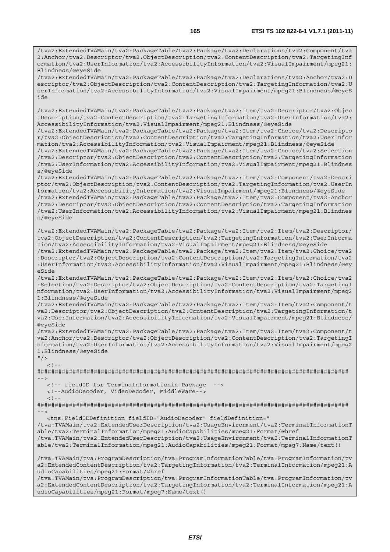/tva2:ExtendedTVAMain/tva2:PackageTable/tva2:Package/tva2:Declarations/tva2:Component/tva 2:Anchor/tva2:Descriptor/tva2:ObjectDescription/tva2:ContentDescription/tva2:TargetingInf ormation/tva2:UserInformation/tva2:AccessibilityInformation/tva2:VisualImpairment/mpeg21: Blindness/@eyeSide

/tva2:ExtendedTVAMain/tva2:PackageTable/tva2:Package/tva2:Declarations/tva2:Anchor/tva2:D escriptor/tva2:ObjectDescription/tva2:ContentDescription/tva2:TargetingInformation/tva2:U serInformation/tva2:AccessibilityInformation/tva2:VisualImpairment/mpeg21:Blindness/@eyeS ide

/tva2:ExtendedTVAMain/tva2:PackageTable/tva2:Package/tva2:Item/tva2:Descriptor/tva2:Objec tDescription/tva2:ContentDescription/tva2:TargetingInformation/tva2:UserInformation/tva2: AccessibilityInformation/tva2:VisualImpairment/mpeg21:Blindness/@eyeSide

/tva2:ExtendedTVAMain/tva2:PackageTable/tva2:Package/tva2:Item/tva2:Choice/tva2:Descripto r/tva2:ObjectDescription/tva2:ContentDescription/tva2:TargetingInformation/tva2:UserInfor mation/tva2:AccessibilityInformation/tva2:VisualImpairment/mpeg21:Blindness/@eyeSide

/tva2:ExtendedTVAMain/tva2:PackageTable/tva2:Package/tva2:Item/tva2:Choice/tva2:Selection /tva2:Descriptor/tva2:ObjectDescription/tva2:ContentDescription/tva2:TargetingInformation /tva2:UserInformation/tva2:AccessibilityInformation/tva2:VisualImpairment/mpeg21:Blindnes s/@eyeSide

/tva2:ExtendedTVAMain/tva2:PackageTable/tva2:Package/tva2:Item/tva2:Component/tva2:Descri ptor/tva2:ObjectDescription/tva2:ContentDescription/tva2:TargetingInformation/tva2:UserIn formation/tva2:AccessibilityInformation/tva2:VisualImpairment/mpeg21:Blindness/@eyeSide /tva2:ExtendedTVAMain/tva2:PackageTable/tva2:Package/tva2:Item/tva2:Component/tva2:Anchor /tva2:Descriptor/tva2:ObjectDescription/tva2:ContentDescription/tva2:TargetingInformation /tva2:UserInformation/tva2:AccessibilityInformation/tva2:VisualImpairment/mpeg21:Blindnes s/@eyeSide

/tva2:ExtendedTVAMain/tva2:PackageTable/tva2:Package/tva2:Item/tva2:Item/tva2:Descriptor/ tva2:ObjectDescription/tva2:ContentDescription/tva2:TargetingInformation/tva2:UserInforma tion/tva2:AccessibilityInformation/tva2:VisualImpairment/mpeg21:Blindness/@eyeSide

/tva2:ExtendedTVAMain/tva2:PackageTable/tva2:Package/tva2:Item/tva2:Item/tva2:Choice/tva2 :Descriptor/tva2:ObjectDescription/tva2:ContentDescription/tva2:TargetingInformation/tva2 :UserInformation/tva2:AccessibilityInformation/tva2:VisualImpairment/mpeg21:Blindness/@ey eSide

/tva2:ExtendedTVAMain/tva2:PackageTable/tva2:Package/tva2:Item/tva2:Item/tva2:Choice/tva2 :Selection/tva2:Descriptor/tva2:ObjectDescription/tva2:ContentDescription/tva2:TargetingI nformation/tva2:UserInformation/tva2:AccessibilityInformation/tva2:VisualImpairment/mpeg2 1:Blindness/@eyeSide

/tva2:ExtendedTVAMain/tva2:PackageTable/tva2:Package/tva2:Item/tva2:Item/tva2:Component/t va2:Descriptor/tva2:ObjectDescription/tva2:ContentDescription/tva2:TargetingInformation/t va2:UserInformation/tva2:AccessibilityInformation/tva2:VisualImpairment/mpeg21:Blindness/ @eyeSide

/tva2:ExtendedTVAMain/tva2:PackageTable/tva2:Package/tva2:Item/tva2:Item/tva2:Component/t va2:Anchor/tva2:Descriptor/tva2:ObjectDescription/tva2:ContentDescription/tva2:TargetingI nformation/tva2:UserInformation/tva2:AccessibilityInformation/tva2:VisualImpairment/mpeg2 1:Blindness/@eyeSide

 $"$  />  $\lt$  !  $-$ 

######################################################################################## -->

<!-- fieldID for Terminalnformationin Package -->

<!--AudioDecoder, VideoDecoder, MiddleWare-->

 $\lt$  ! -

######################################################################################## -->

<tns:FieldIDDefinition fieldID="AudioDecoder" fieldDefinition="

/tva:TVAMain/tva2:ExtendedUserDescription/tva2:UsageEnvironment/tva2:TerminalInformationT able/tva2:TerminalInformation/mpeg21:AudioCapabilities/mpeg21:Format/@href

/tva:TVAMain/tva2:ExtendedUserDescription/tva2:UsageEnvironment/tva2:TerminalInformationT able/tva2:TerminalInformation/mpeg21:AudioCapabilities/mpeg21:Format/mpeg7:Name/text()

/tva:TVAMain/tva:ProgramDescription/tva:ProgramInformationTable/tva:ProgramInformation/tv a2:ExtendedContentDescription/tva2:TargetingInformation/tva2:TerminalInformation/mpeg21:A udioCapabilities/mpeg21:Format/@href

/tva:TVAMain/tva:ProgramDescription/tva:ProgramInformationTable/tva:ProgramInformation/tv a2:ExtendedContentDescription/tva2:TargetingInformation/tva2:TerminalInformation/mpeg21:A udioCapabilities/mpeg21:Format/mpeg7:Name/text()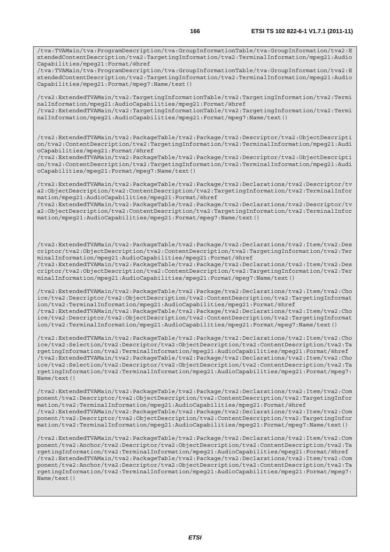/tva:TVAMain/tva:ProgramDescription/tva:GroupInformationTable/tva:GroupInformation/tva2:E xtendedContentDescription/tva2:TargetingInformation/tva2:TerminalInformation/mpeg21:Audio Capabilities/mpeg21:Format/@href

/tva:TVAMain/tva:ProgramDescription/tva:GroupInformationTable/tva:GroupInformation/tva2:E xtendedContentDescription/tva2:TargetingInformation/tva2:TerminalInformation/mpeg21:Audio Capabilities/mpeg21:Format/mpeg7:Name/text()

/tva2:ExtendedTVAMain/tva2:TargetingInformationTable/tva2:TargetingInformation/tva2:Termi nalInformation/mpeg21:AudioCapabilities/mpeg21:Format/@href /tva2:ExtendedTVAMain/tva2:TargetingInformationTable/tva2:TargetingInformation/tva2:Termi

nalInformation/mpeg21:AudioCapabilities/mpeg21:Format/mpeg7:Name/text()

/tva2:ExtendedTVAMain/tva2:PackageTable/tva2:Package/tva2:Descriptor/tva2:ObjectDescripti on/tva2:ContentDescription/tva2:TargetingInformation/tva2:TerminalInformation/mpeg21:Audi oCapabilities/mpeg21:Format/@href

/tva2:ExtendedTVAMain/tva2:PackageTable/tva2:Package/tva2:Descriptor/tva2:ObjectDescripti on/tva2:ContentDescription/tva2:TargetingInformation/tva2:TerminalInformation/mpeg21:Audi oCapabilities/mpeg21:Format/mpeg7:Name/text()

/tva2:ExtendedTVAMain/tva2:PackageTable/tva2:Package/tva2:Declarations/tva2:Descriptor/tv a2:ObjectDescription/tva2:ContentDescription/tva2:TargetingInformation/tva2:TerminalInfor mation/mpeg21:AudioCapabilities/mpeg21:Format/@href

/tva2:ExtendedTVAMain/tva2:PackageTable/tva2:Package/tva2:Declarations/tva2:Descriptor/tv a2:ObjectDescription/tva2:ContentDescription/tva2:TargetingInformation/tva2:TerminalInfor mation/mpeg21:AudioCapabilities/mpeg21:Format/mpeg7:Name/text()

/tva2:ExtendedTVAMain/tva2:PackageTable/tva2:Package/tva2:Declarations/tva2:Item/tva2:Des criptor/tva2:ObjectDescription/tva2:ContentDescription/tva2:TargetingInformation/tva2:Ter minalInformation/mpeg21:AudioCapabilities/mpeg21:Format/@href

/tva2:ExtendedTVAMain/tva2:PackageTable/tva2:Package/tva2:Declarations/tva2:Item/tva2:Des criptor/tva2:ObjectDescription/tva2:ContentDescription/tva2:TargetingInformation/tva2:Ter minalInformation/mpeg21:AudioCapabilities/mpeg21:Format/mpeg7:Name/text()

/tva2:ExtendedTVAMain/tva2:PackageTable/tva2:Package/tva2:Declarations/tva2:Item/tva2:Cho ice/tva2:Descriptor/tva2:ObjectDescription/tva2:ContentDescription/tva2:TargetingInformat ion/tva2:TerminalInformation/mpeg21:AudioCapabilities/mpeg21:Format/@href /tva2:ExtendedTVAMain/tva2:PackageTable/tva2:Package/tva2:Declarations/tva2:Item/tva2:Cho ice/tva2:Descriptor/tva2:ObjectDescription/tva2:ContentDescription/tva2:TargetingInformat ion/tva2:TerminalInformation/mpeg21:AudioCapabilities/mpeg21:Format/mpeg7:Name/text()

/tva2:ExtendedTVAMain/tva2:PackageTable/tva2:Package/tva2:Declarations/tva2:Item/tva2:Cho ice/tva2:Selection/tva2:Descriptor/tva2:ObjectDescription/tva2:ContentDescription/tva2:Ta rgetingInformation/tva2:TerminalInformation/mpeg21:AudioCapabilities/mpeg21:Format/@href /tva2:ExtendedTVAMain/tva2:PackageTable/tva2:Package/tva2:Declarations/tva2:Item/tva2:Cho ice/tva2:Selection/tva2:Descriptor/tva2:ObjectDescription/tva2:ContentDescription/tva2:Ta rgetingInformation/tva2:TerminalInformation/mpeg21:AudioCapabilities/mpeg21:Format/mpeg7: Name/text()

/tva2:ExtendedTVAMain/tva2:PackageTable/tva2:Package/tva2:Declarations/tva2:Item/tva2:Com ponent/tva2:Descriptor/tva2:ObjectDescription/tva2:ContentDescription/tva2:TargetingInfor mation/tva2:TerminalInformation/mpeg21:AudioCapabilities/mpeg21:Format/@href /tva2:ExtendedTVAMain/tva2:PackageTable/tva2:Package/tva2:Declarations/tva2:Item/tva2:Com ponent/tva2:Descriptor/tva2:ObjectDescription/tva2:ContentDescription/tva2:TargetingInfor mation/tva2:TerminalInformation/mpeg21:AudioCapabilities/mpeg21:Format/mpeg7:Name/text()

/tva2:ExtendedTVAMain/tva2:PackageTable/tva2:Package/tva2:Declarations/tva2:Item/tva2:Com ponent/tva2:Anchor/tva2:Descriptor/tva2:ObjectDescription/tva2:ContentDescription/tva2:Ta rgetingInformation/tva2:TerminalInformation/mpeg21:AudioCapabilities/mpeg21:Format/@href /tva2:ExtendedTVAMain/tva2:PackageTable/tva2:Package/tva2:Declarations/tva2:Item/tva2:Com ponent/tva2:Anchor/tva2:Descriptor/tva2:ObjectDescription/tva2:ContentDescription/tva2:Ta rgetingInformation/tva2:TerminalInformation/mpeg21:AudioCapabilities/mpeg21:Format/mpeg7: Name/text()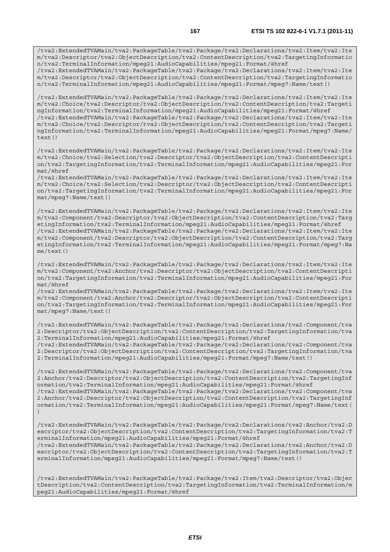/tva2:ExtendedTVAMain/tva2:PackageTable/tva2:Package/tva2:Declarations/tva2:Item/tva2:Ite m/tva2:Descriptor/tva2:ObjectDescription/tva2:ContentDescription/tva2:TargetingInformatio n/tva2:TerminalInformation/mpeg21:AudioCapabilities/mpeg21:Format/@href /tva2:ExtendedTVAMain/tva2:PackageTable/tva2:Package/tva2:Declarations/tva2:Item/tva2:Ite

m/tva2:Descriptor/tva2:ObjectDescription/tva2:ContentDescription/tva2:TargetingInformatio n/tva2:TerminalInformation/mpeg21:AudioCapabilities/mpeg21:Format/mpeg7:Name/text()

/tva2:ExtendedTVAMain/tva2:PackageTable/tva2:Package/tva2:Declarations/tva2:Item/tva2:Ite m/tva2:Choice/tva2:Descriptor/tva2:ObjectDescription/tva2:ContentDescription/tva2:Targeti ngInformation/tva2:TerminalInformation/mpeg21:AudioCapabilities/mpeg21:Format/@href /tva2:ExtendedTVAMain/tva2:PackageTable/tva2:Package/tva2:Declarations/tva2:Item/tva2:Ite m/tva2:Choice/tva2:Descriptor/tva2:ObjectDescription/tva2:ContentDescription/tva2:Targeti ngInformation/tva2:TerminalInformation/mpeg21:AudioCapabilities/mpeg21:Format/mpeg7:Name/ text()

/tva2:ExtendedTVAMain/tva2:PackageTable/tva2:Package/tva2:Declarations/tva2:Item/tva2:Ite m/tva2:Choice/tva2:Selection/tva2:Descriptor/tva2:ObjectDescription/tva2:ContentDescripti on/tva2:TargetingInformation/tva2:TerminalInformation/mpeg21:AudioCapabilities/mpeg21:For mat/@href

/tva2:ExtendedTVAMain/tva2:PackageTable/tva2:Package/tva2:Declarations/tva2:Item/tva2:Ite m/tva2:Choice/tva2:Selection/tva2:Descriptor/tva2:ObjectDescription/tva2:ContentDescripti on/tva2:TargetingInformation/tva2:TerminalInformation/mpeg21:AudioCapabilities/mpeg21:For mat/mpeg7:Name/text()

/tva2:ExtendedTVAMain/tva2:PackageTable/tva2:Package/tva2:Declarations/tva2:Item/tva2:Ite m/tva2:Component/tva2:Descriptor/tva2:ObjectDescription/tva2:ContentDescription/tva2:Targ etingInformation/tva2:TerminalInformation/mpeg21:AudioCapabilities/mpeg21:Format/@href /tva2:ExtendedTVAMain/tva2:PackageTable/tva2:Package/tva2:Declarations/tva2:Item/tva2:Ite m/tva2:Component/tva2:Descriptor/tva2:ObjectDescription/tva2:ContentDescription/tva2:Targ etingInformation/tva2:TerminalInformation/mpeg21:AudioCapabilities/mpeg21:Format/mpeg7:Na me/text()

/tva2:ExtendedTVAMain/tva2:PackageTable/tva2:Package/tva2:Declarations/tva2:Item/tva2:Ite m/tva2:Component/tva2:Anchor/tva2:Descriptor/tva2:ObjectDescription/tva2:ContentDescripti on/tva2:TargetingInformation/tva2:TerminalInformation/mpeg21:AudioCapabilities/mpeg21:For mat/@href

/tva2:ExtendedTVAMain/tva2:PackageTable/tva2:Package/tva2:Declarations/tva2:Item/tva2:Ite m/tva2:Component/tva2:Anchor/tva2:Descriptor/tva2:ObjectDescription/tva2:ContentDescripti on/tva2:TargetingInformation/tva2:TerminalInformation/mpeg21:AudioCapabilities/mpeg21:For mat/mpeg7:Name/text()

/tva2:ExtendedTVAMain/tva2:PackageTable/tva2:Package/tva2:Declarations/tva2:Component/tva 2:Descriptor/tva2:ObjectDescription/tva2:ContentDescription/tva2:TargetingInformation/tva 2:TerminalInformation/mpeg21:AudioCapabilities/mpeg21:Format/@href /tva2:ExtendedTVAMain/tva2:PackageTable/tva2:Package/tva2:Declarations/tva2:Component/tva

2:Descriptor/tva2:ObjectDescription/tva2:ContentDescription/tva2:TargetingInformation/tva 2:TerminalInformation/mpeg21:AudioCapabilities/mpeg21:Format/mpeg7:Name/text()

/tva2:ExtendedTVAMain/tva2:PackageTable/tva2:Package/tva2:Declarations/tva2:Component/tva 2:Anchor/tva2:Descriptor/tva2:ObjectDescription/tva2:ContentDescription/tva2:TargetingInf ormation/tva2:TerminalInformation/mpeg21:AudioCapabilities/mpeg21:Format/@href /tva2:ExtendedTVAMain/tva2:PackageTable/tva2:Package/tva2:Declarations/tva2:Component/tva 2:Anchor/tva2:Descriptor/tva2:ObjectDescription/tva2:ContentDescription/tva2:TargetingInf ormation/tva2:TerminalInformation/mpeg21:AudioCapabilities/mpeg21:Format/mpeg7:Name/text( )

/tva2:ExtendedTVAMain/tva2:PackageTable/tva2:Package/tva2:Declarations/tva2:Anchor/tva2:D escriptor/tva2:ObjectDescription/tva2:ContentDescription/tva2:TargetingInformation/tva2:T erminalInformation/mpeg21:AudioCapabilities/mpeg21:Format/@href /tva2:ExtendedTVAMain/tva2:PackageTable/tva2:Package/tva2:Declarations/tva2:Anchor/tva2:D escriptor/tva2:ObjectDescription/tva2:ContentDescription/tva2:TargetingInformation/tva2:T erminalInformation/mpeg21:AudioCapabilities/mpeg21:Format/mpeg7:Name/text()

/tva2:ExtendedTVAMain/tva2:PackageTable/tva2:Package/tva2:Item/tva2:Descriptor/tva2:Objec tDescription/tva2:ContentDescription/tva2:TargetingInformation/tva2:TerminalInformation/m peg21:AudioCapabilities/mpeg21:Format/@href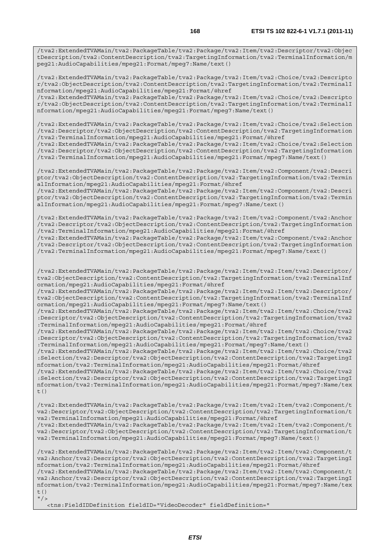/tva2:ExtendedTVAMain/tva2:PackageTable/tva2:Package/tva2:Item/tva2:Descriptor/tva2:Objec tDescription/tva2:ContentDescription/tva2:TargetingInformation/tva2:TerminalInformation/m peg21:AudioCapabilities/mpeg21:Format/mpeg7:Name/text()

/tva2:ExtendedTVAMain/tva2:PackageTable/tva2:Package/tva2:Item/tva2:Choice/tva2:Descripto r/tva2:ObjectDescription/tva2:ContentDescription/tva2:TargetingInformation/tva2:TerminalI nformation/mpeg21:AudioCapabilities/mpeg21:Format/@href

/tva2:ExtendedTVAMain/tva2:PackageTable/tva2:Package/tva2:Item/tva2:Choice/tva2:Descripto r/tva2:ObjectDescription/tva2:ContentDescription/tva2:TargetingInformation/tva2:TerminalI nformation/mpeg21:AudioCapabilities/mpeg21:Format/mpeg7:Name/text()

/tva2:ExtendedTVAMain/tva2:PackageTable/tva2:Package/tva2:Item/tva2:Choice/tva2:Selection /tva2:Descriptor/tva2:ObjectDescription/tva2:ContentDescription/tva2:TargetingInformation /tva2:TerminalInformation/mpeg21:AudioCapabilities/mpeg21:Format/@href

/tva2:ExtendedTVAMain/tva2:PackageTable/tva2:Package/tva2:Item/tva2:Choice/tva2:Selection /tva2:Descriptor/tva2:ObjectDescription/tva2:ContentDescription/tva2:TargetingInformation /tva2:TerminalInformation/mpeg21:AudioCapabilities/mpeg21:Format/mpeg7:Name/text()

/tva2:ExtendedTVAMain/tva2:PackageTable/tva2:Package/tva2:Item/tva2:Component/tva2:Descri ptor/tva2:ObjectDescription/tva2:ContentDescription/tva2:TargetingInformation/tva2:Termin alInformation/mpeg21:AudioCapabilities/mpeg21:Format/@href

/tva2:ExtendedTVAMain/tva2:PackageTable/tva2:Package/tva2:Item/tva2:Component/tva2:Descri ptor/tva2:ObjectDescription/tva2:ContentDescription/tva2:TargetingInformation/tva2:Termin alInformation/mpeg21:AudioCapabilities/mpeg21:Format/mpeg7:Name/text()

/tva2:ExtendedTVAMain/tva2:PackageTable/tva2:Package/tva2:Item/tva2:Component/tva2:Anchor /tva2:Descriptor/tva2:ObjectDescription/tva2:ContentDescription/tva2:TargetingInformation /tva2:TerminalInformation/mpeg21:AudioCapabilities/mpeg21:Format/@href

/tva2:ExtendedTVAMain/tva2:PackageTable/tva2:Package/tva2:Item/tva2:Component/tva2:Anchor /tva2:Descriptor/tva2:ObjectDescription/tva2:ContentDescription/tva2:TargetingInformation /tva2:TerminalInformation/mpeg21:AudioCapabilities/mpeg21:Format/mpeg7:Name/text()

/tva2:ExtendedTVAMain/tva2:PackageTable/tva2:Package/tva2:Item/tva2:Item/tva2:Descriptor/ tva2:ObjectDescription/tva2:ContentDescription/tva2:TargetingInformation/tva2:TerminalInf ormation/mpeg21:AudioCapabilities/mpeg21:Format/@href

/tva2:ExtendedTVAMain/tva2:PackageTable/tva2:Package/tva2:Item/tva2:Item/tva2:Descriptor/ tva2:ObjectDescription/tva2:ContentDescription/tva2:TargetingInformation/tva2:TerminalInf ormation/mpeg21:AudioCapabilities/mpeg21:Format/mpeg7:Name/text()

/tva2:ExtendedTVAMain/tva2:PackageTable/tva2:Package/tva2:Item/tva2:Item/tva2:Choice/tva2 :Descriptor/tva2:ObjectDescription/tva2:ContentDescription/tva2:TargetingInformation/tva2 :TerminalInformation/mpeg21:AudioCapabilities/mpeg21:Format/@href

/tva2:ExtendedTVAMain/tva2:PackageTable/tva2:Package/tva2:Item/tva2:Item/tva2:Choice/tva2 :Descriptor/tva2:ObjectDescription/tva2:ContentDescription/tva2:TargetingInformation/tva2 :TerminalInformation/mpeg21:AudioCapabilities/mpeg21:Format/mpeg7:Name/text()

/tva2:ExtendedTVAMain/tva2:PackageTable/tva2:Package/tva2:Item/tva2:Item/tva2:Choice/tva2 :Selection/tva2:Descriptor/tva2:ObjectDescription/tva2:ContentDescription/tva2:TargetingI nformation/tva2:TerminalInformation/mpeg21:AudioCapabilities/mpeg21:Format/@href

/tva2:ExtendedTVAMain/tva2:PackageTable/tva2:Package/tva2:Item/tva2:Item/tva2:Choice/tva2 :Selection/tva2:Descriptor/tva2:ObjectDescription/tva2:ContentDescription/tva2:TargetingI nformation/tva2:TerminalInformation/mpeg21:AudioCapabilities/mpeg21:Format/mpeg7:Name/tex t()

/tva2:ExtendedTVAMain/tva2:PackageTable/tva2:Package/tva2:Item/tva2:Item/tva2:Component/t va2:Descriptor/tva2:ObjectDescription/tva2:ContentDescription/tva2:TargetingInformation/t va2:TerminalInformation/mpeg21:AudioCapabilities/mpeg21:Format/@href

/tva2:ExtendedTVAMain/tva2:PackageTable/tva2:Package/tva2:Item/tva2:Item/tva2:Component/t va2:Descriptor/tva2:ObjectDescription/tva2:ContentDescription/tva2:TargetingInformation/t va2:TerminalInformation/mpeg21:AudioCapabilities/mpeg21:Format/mpeg7:Name/text()

/tva2:ExtendedTVAMain/tva2:PackageTable/tva2:Package/tva2:Item/tva2:Item/tva2:Component/t va2:Anchor/tva2:Descriptor/tva2:ObjectDescription/tva2:ContentDescription/tva2:TargetingI nformation/tva2:TerminalInformation/mpeg21:AudioCapabilities/mpeg21:Format/@href /tva2:ExtendedTVAMain/tva2:PackageTable/tva2:Package/tva2:Item/tva2:Item/tva2:Component/t va2:Anchor/tva2:Descriptor/tva2:ObjectDescription/tva2:ContentDescription/tva2:TargetingI nformation/tva2:TerminalInformation/mpeg21:AudioCapabilities/mpeg21:Format/mpeg7:Name/tex t()  $"$  / >

<tns:FieldIDDefinition fieldID="VideoDecoder" fieldDefinition="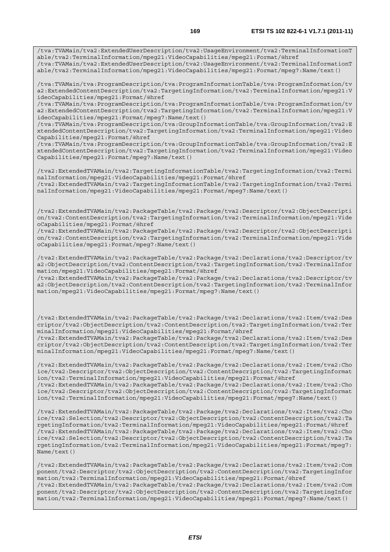able/tva2:TerminalInformation/mpeg21:VideoCapabilities/mpeg21:Format/mpeg7:Name/text()

/tva:TVAMain/tva:ProgramDescription/tva:ProgramInformationTable/tva:ProgramInformation/tv a2:ExtendedContentDescription/tva2:TargetingInformation/tva2:TerminalInformation/mpeg21:V ideoCapabilities/mpeg21:Format/@href

/tva:TVAMain/tva:ProgramDescription/tva:ProgramInformationTable/tva:ProgramInformation/tv a2:ExtendedContentDescription/tva2:TargetingInformation/tva2:TerminalInformation/mpeg21:V ideoCapabilities/mpeg21:Format/mpeg7:Name/text()

/tva:TVAMain/tva:ProgramDescription/tva:GroupInformationTable/tva:GroupInformation/tva2:E xtendedContentDescription/tva2:TargetingInformation/tva2:TerminalInformation/mpeg21:Video Capabilities/mpeg21:Format/@href

/tva:TVAMain/tva:ProgramDescription/tva:GroupInformationTable/tva:GroupInformation/tva2:E xtendedContentDescription/tva2:TargetingInformation/tva2:TerminalInformation/mpeg21:Video Capabilities/mpeg21:Format/mpeg7:Name/text()

/tva2:ExtendedTVAMain/tva2:TargetingInformationTable/tva2:TargetingInformation/tva2:Termi nalInformation/mpeg21:VideoCapabilities/mpeg21:Format/@href /tva2:ExtendedTVAMain/tva2:TargetingInformationTable/tva2:TargetingInformation/tva2:Termi

nalInformation/mpeg21:VideoCapabilities/mpeg21:Format/mpeg7:Name/text()

/tva2:ExtendedTVAMain/tva2:PackageTable/tva2:Package/tva2:Descriptor/tva2:ObjectDescripti on/tva2:ContentDescription/tva2:TargetingInformation/tva2:TerminalInformation/mpeg21:Vide oCapabilities/mpeg21:Format/@href

/tva2:ExtendedTVAMain/tva2:PackageTable/tva2:Package/tva2:Descriptor/tva2:ObjectDescripti on/tva2:ContentDescription/tva2:TargetingInformation/tva2:TerminalInformation/mpeg21:Vide oCapabilities/mpeg21:Format/mpeg7:Name/text()

/tva2:ExtendedTVAMain/tva2:PackageTable/tva2:Package/tva2:Declarations/tva2:Descriptor/tv a2:ObjectDescription/tva2:ContentDescription/tva2:TargetingInformation/tva2:TerminalInfor mation/mpeg21:VideoCapabilities/mpeg21:Format/@href

/tva2:ExtendedTVAMain/tva2:PackageTable/tva2:Package/tva2:Declarations/tva2:Descriptor/tv a2:ObjectDescription/tva2:ContentDescription/tva2:TargetingInformation/tva2:TerminalInfor mation/mpeg21:VideoCapabilities/mpeg21:Format/mpeg7:Name/text()

/tva2:ExtendedTVAMain/tva2:PackageTable/tva2:Package/tva2:Declarations/tva2:Item/tva2:Des criptor/tva2:ObjectDescription/tva2:ContentDescription/tva2:TargetingInformation/tva2:Ter minalInformation/mpeg21:VideoCapabilities/mpeg21:Format/@href

/tva2:ExtendedTVAMain/tva2:PackageTable/tva2:Package/tva2:Declarations/tva2:Item/tva2:Des criptor/tva2:ObjectDescription/tva2:ContentDescription/tva2:TargetingInformation/tva2:Ter minalInformation/mpeg21:VideoCapabilities/mpeg21:Format/mpeg7:Name/text()

/tva2:ExtendedTVAMain/tva2:PackageTable/tva2:Package/tva2:Declarations/tva2:Item/tva2:Cho ice/tva2:Descriptor/tva2:ObjectDescription/tva2:ContentDescription/tva2:TargetingInformat ion/tva2:TerminalInformation/mpeg21:VideoCapabilities/mpeg21:Format/@href /tva2:ExtendedTVAMain/tva2:PackageTable/tva2:Package/tva2:Declarations/tva2:Item/tva2:Cho ice/tva2:Descriptor/tva2:ObjectDescription/tva2:ContentDescription/tva2:TargetingInformat ion/tva2:TerminalInformation/mpeg21:VideoCapabilities/mpeg21:Format/mpeg7:Name/text()

/tva2:ExtendedTVAMain/tva2:PackageTable/tva2:Package/tva2:Declarations/tva2:Item/tva2:Cho ice/tva2:Selection/tva2:Descriptor/tva2:ObjectDescription/tva2:ContentDescription/tva2:Ta rgetingInformation/tva2:TerminalInformation/mpeg21:VideoCapabilities/mpeg21:Format/@href /tva2:ExtendedTVAMain/tva2:PackageTable/tva2:Package/tva2:Declarations/tva2:Item/tva2:Cho ice/tva2:Selection/tva2:Descriptor/tva2:ObjectDescription/tva2:ContentDescription/tva2:Ta rgetingInformation/tva2:TerminalInformation/mpeg21:VideoCapabilities/mpeg21:Format/mpeg7: Name/text()

/tva2:ExtendedTVAMain/tva2:PackageTable/tva2:Package/tva2:Declarations/tva2:Item/tva2:Com ponent/tva2:Descriptor/tva2:ObjectDescription/tva2:ContentDescription/tva2:TargetingInfor mation/tva2:TerminalInformation/mpeg21:VideoCapabilities/mpeg21:Format/@href /tva2:ExtendedTVAMain/tva2:PackageTable/tva2:Package/tva2:Declarations/tva2:Item/tva2:Com ponent/tva2:Descriptor/tva2:ObjectDescription/tva2:ContentDescription/tva2:TargetingInfor mation/tva2:TerminalInformation/mpeg21:VideoCapabilities/mpeg21:Format/mpeg7:Name/text()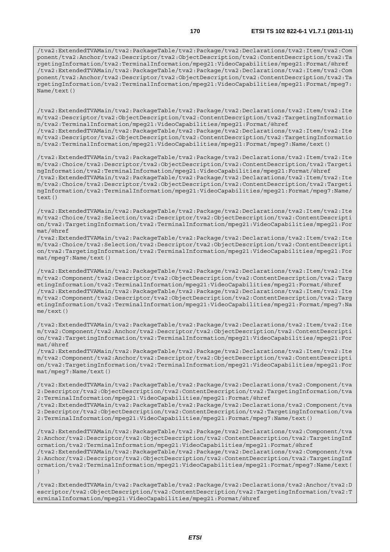/tva2:ExtendedTVAMain/tva2:PackageTable/tva2:Package/tva2:Declarations/tva2:Item/tva2:Com ponent/tva2:Anchor/tva2:Descriptor/tva2:ObjectDescription/tva2:ContentDescription/tva2:Ta rgetingInformation/tva2:TerminalInformation/mpeg21:VideoCapabilities/mpeg21:Format/@href /tva2:ExtendedTVAMain/tva2:PackageTable/tva2:Package/tva2:Declarations/tva2:Item/tva2:Com ponent/tva2:Anchor/tva2:Descriptor/tva2:ObjectDescription/tva2:ContentDescription/tva2:Ta rgetingInformation/tva2:TerminalInformation/mpeg21:VideoCapabilities/mpeg21:Format/mpeg7: Name/text()

/tva2:ExtendedTVAMain/tva2:PackageTable/tva2:Package/tva2:Declarations/tva2:Item/tva2:Ite m/tva2:Descriptor/tva2:ObjectDescription/tva2:ContentDescription/tva2:TargetingInformatio n/tva2:TerminalInformation/mpeg21:VideoCapabilities/mpeg21:Format/@href /tva2:ExtendedTVAMain/tva2:PackageTable/tva2:Package/tva2:Declarations/tva2:Item/tva2:Ite m/tva2:Descriptor/tva2:ObjectDescription/tva2:ContentDescription/tva2:TargetingInformatio

n/tva2:TerminalInformation/mpeg21:VideoCapabilities/mpeg21:Format/mpeg7:Name/text()

/tva2:ExtendedTVAMain/tva2:PackageTable/tva2:Package/tva2:Declarations/tva2:Item/tva2:Ite m/tva2:Choice/tva2:Descriptor/tva2:ObjectDescription/tva2:ContentDescription/tva2:Targeti ngInformation/tva2:TerminalInformation/mpeg21:VideoCapabilities/mpeg21:Format/@href /tva2:ExtendedTVAMain/tva2:PackageTable/tva2:Package/tva2:Declarations/tva2:Item/tva2:Ite m/tva2:Choice/tva2:Descriptor/tva2:ObjectDescription/tva2:ContentDescription/tva2:Targeti ngInformation/tva2:TerminalInformation/mpeg21:VideoCapabilities/mpeg21:Format/mpeg7:Name/  $text()$ 

/tva2:ExtendedTVAMain/tva2:PackageTable/tva2:Package/tva2:Declarations/tva2:Item/tva2:Ite m/tva2:Choice/tva2:Selection/tva2:Descriptor/tva2:ObjectDescription/tva2:ContentDescripti on/tva2:TargetingInformation/tva2:TerminalInformation/mpeg21:VideoCapabilities/mpeg21:For mat/@href

/tva2:ExtendedTVAMain/tva2:PackageTable/tva2:Package/tva2:Declarations/tva2:Item/tva2:Ite m/tva2:Choice/tva2:Selection/tva2:Descriptor/tva2:ObjectDescription/tva2:ContentDescripti on/tva2:TargetingInformation/tva2:TerminalInformation/mpeg21:VideoCapabilities/mpeg21:For mat/mpeg7:Name/text()

/tva2:ExtendedTVAMain/tva2:PackageTable/tva2:Package/tva2:Declarations/tva2:Item/tva2:Ite m/tva2:Component/tva2:Descriptor/tva2:ObjectDescription/tva2:ContentDescription/tva2:Targ etingInformation/tva2:TerminalInformation/mpeg21:VideoCapabilities/mpeg21:Format/@href /tva2:ExtendedTVAMain/tva2:PackageTable/tva2:Package/tva2:Declarations/tva2:Item/tva2:Ite m/tva2:Component/tva2:Descriptor/tva2:ObjectDescription/tva2:ContentDescription/tva2:Targ etingInformation/tva2:TerminalInformation/mpeg21:VideoCapabilities/mpeg21:Format/mpeg7:Na me/text()

/tva2:ExtendedTVAMain/tva2:PackageTable/tva2:Package/tva2:Declarations/tva2:Item/tva2:Ite m/tva2:Component/tva2:Anchor/tva2:Descriptor/tva2:ObjectDescription/tva2:ContentDescripti on/tva2:TargetingInformation/tva2:TerminalInformation/mpeg21:VideoCapabilities/mpeg21:For mat/@href

/tva2:ExtendedTVAMain/tva2:PackageTable/tva2:Package/tva2:Declarations/tva2:Item/tva2:Ite m/tva2:Component/tva2:Anchor/tva2:Descriptor/tva2:ObjectDescription/tva2:ContentDescripti on/tva2:TargetingInformation/tva2:TerminalInformation/mpeg21:VideoCapabilities/mpeg21:For mat/mpeg7:Name/text()

/tva2:ExtendedTVAMain/tva2:PackageTable/tva2:Package/tva2:Declarations/tva2:Component/tva 2:Descriptor/tva2:ObjectDescription/tva2:ContentDescription/tva2:TargetingInformation/tva 2:TerminalInformation/mpeg21:VideoCapabilities/mpeg21:Format/@href

/tva2:ExtendedTVAMain/tva2:PackageTable/tva2:Package/tva2:Declarations/tva2:Component/tva 2:Descriptor/tva2:ObjectDescription/tva2:ContentDescription/tva2:TargetingInformation/tva 2:TerminalInformation/mpeg21:VideoCapabilities/mpeg21:Format/mpeg7:Name/text()

/tva2:ExtendedTVAMain/tva2:PackageTable/tva2:Package/tva2:Declarations/tva2:Component/tva 2:Anchor/tva2:Descriptor/tva2:ObjectDescription/tva2:ContentDescription/tva2:TargetingInf ormation/tva2:TerminalInformation/mpeg21:VideoCapabilities/mpeg21:Format/@href /tva2:ExtendedTVAMain/tva2:PackageTable/tva2:Package/tva2:Declarations/tva2:Component/tva

2:Anchor/tva2:Descriptor/tva2:ObjectDescription/tva2:ContentDescription/tva2:TargetingInf ormation/tva2:TerminalInformation/mpeg21:VideoCapabilities/mpeg21:Format/mpeg7:Name/text( )

/tva2:ExtendedTVAMain/tva2:PackageTable/tva2:Package/tva2:Declarations/tva2:Anchor/tva2:D escriptor/tva2:ObjectDescription/tva2:ContentDescription/tva2:TargetingInformation/tva2:T erminalInformation/mpeg21:VideoCapabilities/mpeg21:Format/@href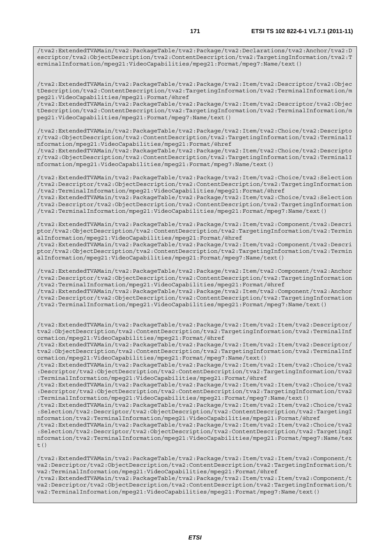/tva2:ExtendedTVAMain/tva2:PackageTable/tva2:Package/tva2:Declarations/tva2:Anchor/tva2:D escriptor/tva2:ObjectDescription/tva2:ContentDescription/tva2:TargetingInformation/tva2:T erminalInformation/mpeg21:VideoCapabilities/mpeg21:Format/mpeg7:Name/text()

/tva2:ExtendedTVAMain/tva2:PackageTable/tva2:Package/tva2:Item/tva2:Descriptor/tva2:Objec tDescription/tva2:ContentDescription/tva2:TargetingInformation/tva2:TerminalInformation/m peg21:VideoCapabilities/mpeg21:Format/@href

/tva2:ExtendedTVAMain/tva2:PackageTable/tva2:Package/tva2:Item/tva2:Descriptor/tva2:Objec tDescription/tva2:ContentDescription/tva2:TargetingInformation/tva2:TerminalInformation/m peg21:VideoCapabilities/mpeg21:Format/mpeg7:Name/text()

/tva2:ExtendedTVAMain/tva2:PackageTable/tva2:Package/tva2:Item/tva2:Choice/tva2:Descripto r/tva2:ObjectDescription/tva2:ContentDescription/tva2:TargetingInformation/tva2:TerminalI nformation/mpeg21:VideoCapabilities/mpeg21:Format/@href

/tva2:ExtendedTVAMain/tva2:PackageTable/tva2:Package/tva2:Item/tva2:Choice/tva2:Descripto r/tva2:ObjectDescription/tva2:ContentDescription/tva2:TargetingInformation/tva2:TerminalI nformation/mpeg21:VideoCapabilities/mpeg21:Format/mpeg7:Name/text()

/tva2:ExtendedTVAMain/tva2:PackageTable/tva2:Package/tva2:Item/tva2:Choice/tva2:Selection /tva2:Descriptor/tva2:ObjectDescription/tva2:ContentDescription/tva2:TargetingInformation /tva2:TerminalInformation/mpeg21:VideoCapabilities/mpeg21:Format/@href

/tva2:ExtendedTVAMain/tva2:PackageTable/tva2:Package/tva2:Item/tva2:Choice/tva2:Selection /tva2:Descriptor/tva2:ObjectDescription/tva2:ContentDescription/tva2:TargetingInformation /tva2:TerminalInformation/mpeg21:VideoCapabilities/mpeg21:Format/mpeg7:Name/text()

/tva2:ExtendedTVAMain/tva2:PackageTable/tva2:Package/tva2:Item/tva2:Component/tva2:Descri ptor/tva2:ObjectDescription/tva2:ContentDescription/tva2:TargetingInformation/tva2:Termin alInformation/mpeg21:VideoCapabilities/mpeg21:Format/@href

/tva2:ExtendedTVAMain/tva2:PackageTable/tva2:Package/tva2:Item/tva2:Component/tva2:Descri ptor/tva2:ObjectDescription/tva2:ContentDescription/tva2:TargetingInformation/tva2:Termin alInformation/mpeg21:VideoCapabilities/mpeg21:Format/mpeg7:Name/text()

/tva2:ExtendedTVAMain/tva2:PackageTable/tva2:Package/tva2:Item/tva2:Component/tva2:Anchor /tva2:Descriptor/tva2:ObjectDescription/tva2:ContentDescription/tva2:TargetingInformation /tva2:TerminalInformation/mpeg21:VideoCapabilities/mpeg21:Format/@href /tva2:ExtendedTVAMain/tva2:PackageTable/tva2:Package/tva2:Item/tva2:Component/tva2:Anchor

/tva2:Descriptor/tva2:ObjectDescription/tva2:ContentDescription/tva2:TargetingInformation /tva2:TerminalInformation/mpeg21:VideoCapabilities/mpeg21:Format/mpeg7:Name/text()

/tva2:ExtendedTVAMain/tva2:PackageTable/tva2:Package/tva2:Item/tva2:Item/tva2:Descriptor/ tva2:ObjectDescription/tva2:ContentDescription/tva2:TargetingInformation/tva2:TerminalInf ormation/mpeg21:VideoCapabilities/mpeg21:Format/@href

/tva2:ExtendedTVAMain/tva2:PackageTable/tva2:Package/tva2:Item/tva2:Item/tva2:Descriptor/ tva2:ObjectDescription/tva2:ContentDescription/tva2:TargetingInformation/tva2:TerminalInf ormation/mpeg21:VideoCapabilities/mpeg21:Format/mpeg7:Name/text()

/tva2:ExtendedTVAMain/tva2:PackageTable/tva2:Package/tva2:Item/tva2:Item/tva2:Choice/tva2 :Descriptor/tva2:ObjectDescription/tva2:ContentDescription/tva2:TargetingInformation/tva2 :TerminalInformation/mpeg21:VideoCapabilities/mpeg21:Format/@href

/tva2:ExtendedTVAMain/tva2:PackageTable/tva2:Package/tva2:Item/tva2:Item/tva2:Choice/tva2 :Descriptor/tva2:ObjectDescription/tva2:ContentDescription/tva2:TargetingInformation/tva2 :TerminalInformation/mpeg21:VideoCapabilities/mpeg21:Format/mpeg7:Name/text()

/tva2:ExtendedTVAMain/tva2:PackageTable/tva2:Package/tva2:Item/tva2:Item/tva2:Choice/tva2 :Selection/tva2:Descriptor/tva2:ObjectDescription/tva2:ContentDescription/tva2:TargetingI nformation/tva2:TerminalInformation/mpeg21:VideoCapabilities/mpeg21:Format/@href

/tva2:ExtendedTVAMain/tva2:PackageTable/tva2:Package/tva2:Item/tva2:Item/tva2:Choice/tva2 :Selection/tva2:Descriptor/tva2:ObjectDescription/tva2:ContentDescription/tva2:TargetingI nformation/tva2:TerminalInformation/mpeg21:VideoCapabilities/mpeg21:Format/mpeg7:Name/tex t()

/tva2:ExtendedTVAMain/tva2:PackageTable/tva2:Package/tva2:Item/tva2:Item/tva2:Component/t va2:Descriptor/tva2:ObjectDescription/tva2:ContentDescription/tva2:TargetingInformation/t va2:TerminalInformation/mpeg21:VideoCapabilities/mpeg21:Format/@href /tva2:ExtendedTVAMain/tva2:PackageTable/tva2:Package/tva2:Item/tva2:Item/tva2:Component/t

va2:Descriptor/tva2:ObjectDescription/tva2:ContentDescription/tva2:TargetingInformation/t va2:TerminalInformation/mpeg21:VideoCapabilities/mpeg21:Format/mpeg7:Name/text()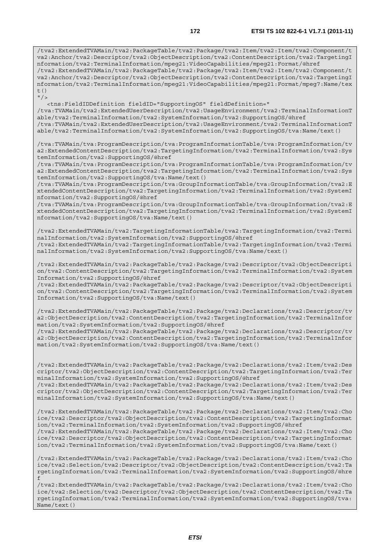/tva2:ExtendedTVAMain/tva2:PackageTable/tva2:Package/tva2:Item/tva2:Item/tva2:Component/t va2:Anchor/tva2:Descriptor/tva2:ObjectDescription/tva2:ContentDescription/tva2:TargetingI nformation/tva2:TerminalInformation/mpeg21:VideoCapabilities/mpeg21:Format/@href /tva2:ExtendedTVAMain/tva2:PackageTable/tva2:Package/tva2:Item/tva2:Item/tva2:Component/t va2:Anchor/tva2:Descriptor/tva2:ObjectDescription/tva2:ContentDescription/tva2:TargetingI nformation/tva2:TerminalInformation/mpeg21:VideoCapabilities/mpeg21:Format/mpeg7:Name/tex t()  $"$ />

 <tns:FieldIDDefinition fieldID="SupportingOS" fieldDefinition=" /tva:TVAMain/tva2:ExtendedUserDescription/tva2:UsageEnvironment/tva2:TerminalInformationT able/tva2:TerminalInformation/tva2:SystemInformation/tva2:SupportingOS/@href /tva:TVAMain/tva2:ExtendedUserDescription/tva2:UsageEnvironment/tva2:TerminalInformationT able/tva2:TerminalInformation/tva2:SystemInformation/tva2:SupportingOS/tva:Name/text()

/tva:TVAMain/tva:ProgramDescription/tva:ProgramInformationTable/tva:ProgramInformation/tv a2:ExtendedContentDescription/tva2:TargetingInformation/tva2:TerminalInformation/tva2:Sys temInformation/tva2:SupportingOS/@href

/tva:TVAMain/tva:ProgramDescription/tva:ProgramInformationTable/tva:ProgramInformation/tv a2:ExtendedContentDescription/tva2:TargetingInformation/tva2:TerminalInformation/tva2:Sys temInformation/tva2:SupportingOS/tva:Name/text()

/tva:TVAMain/tva:ProgramDescription/tva:GroupInformationTable/tva:GroupInformation/tva2:E xtendedContentDescription/tva2:TargetingInformation/tva2:TerminalInformation/tva2:SystemI nformation/tva2:SupportingOS/@href

/tva:TVAMain/tva:ProgramDescription/tva:GroupInformationTable/tva:GroupInformation/tva2:E xtendedContentDescription/tva2:TargetingInformation/tva2:TerminalInformation/tva2:SystemI nformation/tva2:SupportingOS/tva:Name/text()

/tva2:ExtendedTVAMain/tva2:TargetingInformationTable/tva2:TargetingInformation/tva2:Termi nalInformation/tva2:SystemInformation/tva2:SupportingOS/@href

/tva2:ExtendedTVAMain/tva2:TargetingInformationTable/tva2:TargetingInformation/tva2:Termi nalInformation/tva2:SystemInformation/tva2:SupportingOS/tva:Name/text()

/tva2:ExtendedTVAMain/tva2:PackageTable/tva2:Package/tva2:Descriptor/tva2:ObjectDescripti on/tva2:ContentDescription/tva2:TargetingInformation/tva2:TerminalInformation/tva2:System Information/tva2:SupportingOS/@href

/tva2:ExtendedTVAMain/tva2:PackageTable/tva2:Package/tva2:Descriptor/tva2:ObjectDescripti on/tva2:ContentDescription/tva2:TargetingInformation/tva2:TerminalInformation/tva2:System Information/tva2:SupportingOS/tva:Name/text()

/tva2:ExtendedTVAMain/tva2:PackageTable/tva2:Package/tva2:Declarations/tva2:Descriptor/tv a2:ObjectDescription/tva2:ContentDescription/tva2:TargetingInformation/tva2:TerminalInfor mation/tva2:SystemInformation/tva2:SupportingOS/@href

/tva2:ExtendedTVAMain/tva2:PackageTable/tva2:Package/tva2:Declarations/tva2:Descriptor/tv a2:ObjectDescription/tva2:ContentDescription/tva2:TargetingInformation/tva2:TerminalInfor mation/tva2:SystemInformation/tva2:SupportingOS/tva:Name/text()

/tva2:ExtendedTVAMain/tva2:PackageTable/tva2:Package/tva2:Declarations/tva2:Item/tva2:Des criptor/tva2:ObjectDescription/tva2:ContentDescription/tva2:TargetingInformation/tva2:Ter minalInformation/tva2:SystemInformation/tva2:SupportingOS/@href /tva2:ExtendedTVAMain/tva2:PackageTable/tva2:Package/tva2:Declarations/tva2:Item/tva2:Des

criptor/tva2:ObjectDescription/tva2:ContentDescription/tva2:TargetingInformation/tva2:Ter minalInformation/tva2:SystemInformation/tva2:SupportingOS/tva:Name/text()

/tva2:ExtendedTVAMain/tva2:PackageTable/tva2:Package/tva2:Declarations/tva2:Item/tva2:Cho ice/tva2:Descriptor/tva2:ObjectDescription/tva2:ContentDescription/tva2:TargetingInformat ion/tva2:TerminalInformation/tva2:SystemInformation/tva2:SupportingOS/@href /tva2:ExtendedTVAMain/tva2:PackageTable/tva2:Package/tva2:Declarations/tva2:Item/tva2:Cho

ice/tva2:Descriptor/tva2:ObjectDescription/tva2:ContentDescription/tva2:TargetingInformat ion/tva2:TerminalInformation/tva2:SystemInformation/tva2:SupportingOS/tva:Name/text()

/tva2:ExtendedTVAMain/tva2:PackageTable/tva2:Package/tva2:Declarations/tva2:Item/tva2:Cho ice/tva2:Selection/tva2:Descriptor/tva2:ObjectDescription/tva2:ContentDescription/tva2:Ta rgetingInformation/tva2:TerminalInformation/tva2:SystemInformation/tva2:SupportingOS/@hre f

/tva2:ExtendedTVAMain/tva2:PackageTable/tva2:Package/tva2:Declarations/tva2:Item/tva2:Cho ice/tva2:Selection/tva2:Descriptor/tva2:ObjectDescription/tva2:ContentDescription/tva2:Ta rgetingInformation/tva2:TerminalInformation/tva2:SystemInformation/tva2:SupportingOS/tva: Name/text()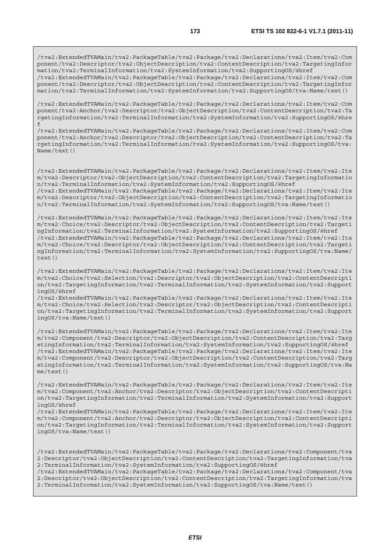/tva2:ExtendedTVAMain/tva2:PackageTable/tva2:Package/tva2:Declarations/tva2:Item/tva2:Com ponent/tva2:Descriptor/tva2:ObjectDescription/tva2:ContentDescription/tva2:TargetingInfor mation/tva2:TerminalInformation/tva2:SystemInformation/tva2:SupportingOS/@href /tva2:ExtendedTVAMain/tva2:PackageTable/tva2:Package/tva2:Declarations/tva2:Item/tva2:Com ponent/tva2:Descriptor/tva2:ObjectDescription/tva2:ContentDescription/tva2:TargetingInfor mation/tva2:TerminalInformation/tva2:SystemInformation/tva2:SupportingOS/tva:Name/text()

/tva2:ExtendedTVAMain/tva2:PackageTable/tva2:Package/tva2:Declarations/tva2:Item/tva2:Com ponent/tva2:Anchor/tva2:Descriptor/tva2:ObjectDescription/tva2:ContentDescription/tva2:Ta rgetingInformation/tva2:TerminalInformation/tva2:SystemInformation/tva2:SupportingOS/@hre f

/tva2:ExtendedTVAMain/tva2:PackageTable/tva2:Package/tva2:Declarations/tva2:Item/tva2:Com ponent/tva2:Anchor/tva2:Descriptor/tva2:ObjectDescription/tva2:ContentDescription/tva2:Ta rgetingInformation/tva2:TerminalInformation/tva2:SystemInformation/tva2:SupportingOS/tva: Name/text()

/tva2:ExtendedTVAMain/tva2:PackageTable/tva2:Package/tva2:Declarations/tva2:Item/tva2:Ite m/tva2:Descriptor/tva2:ObjectDescription/tva2:ContentDescription/tva2:TargetingInformatio n/tva2:TerminalInformation/tva2:SystemInformation/tva2:SupportingOS/@href /tva2:ExtendedTVAMain/tva2:PackageTable/tva2:Package/tva2:Declarations/tva2:Item/tva2:Ite

m/tva2:Descriptor/tva2:ObjectDescription/tva2:ContentDescription/tva2:TargetingInformatio n/tva2:TerminalInformation/tva2:SystemInformation/tva2:SupportingOS/tva:Name/text()

/tva2:ExtendedTVAMain/tva2:PackageTable/tva2:Package/tva2:Declarations/tva2:Item/tva2:Ite m/tva2:Choice/tva2:Descriptor/tva2:ObjectDescription/tva2:ContentDescription/tva2:Targeti ngInformation/tva2:TerminalInformation/tva2:SystemInformation/tva2:SupportingOS/@href /tva2:ExtendedTVAMain/tva2:PackageTable/tva2:Package/tva2:Declarations/tva2:Item/tva2:Ite m/tva2:Choice/tva2:Descriptor/tva2:ObjectDescription/tva2:ContentDescription/tva2:Targeti ngInformation/tva2:TerminalInformation/tva2:SystemInformation/tva2:SupportingOS/tva:Name/  $text()$ 

/tva2:ExtendedTVAMain/tva2:PackageTable/tva2:Package/tva2:Declarations/tva2:Item/tva2:Ite m/tva2:Choice/tva2:Selection/tva2:Descriptor/tva2:ObjectDescription/tva2:ContentDescripti on/tva2:TargetingInformation/tva2:TerminalInformation/tva2:SystemInformation/tva2:Support ingOS/@href

/tva2:ExtendedTVAMain/tva2:PackageTable/tva2:Package/tva2:Declarations/tva2:Item/tva2:Ite m/tva2:Choice/tva2:Selection/tva2:Descriptor/tva2:ObjectDescription/tva2:ContentDescripti on/tva2:TargetingInformation/tva2:TerminalInformation/tva2:SystemInformation/tva2:Support ingOS/tva:Name/text()

/tva2:ExtendedTVAMain/tva2:PackageTable/tva2:Package/tva2:Declarations/tva2:Item/tva2:Ite m/tva2:Component/tva2:Descriptor/tva2:ObjectDescription/tva2:ContentDescription/tva2:Targ etingInformation/tva2:TerminalInformation/tva2:SystemInformation/tva2:SupportingOS/@href /tva2:ExtendedTVAMain/tva2:PackageTable/tva2:Package/tva2:Declarations/tva2:Item/tva2:Ite m/tva2:Component/tva2:Descriptor/tva2:ObjectDescription/tva2:ContentDescription/tva2:Targ etingInformation/tva2:TerminalInformation/tva2:SystemInformation/tva2:SupportingOS/tva:Na me/text()

/tva2:ExtendedTVAMain/tva2:PackageTable/tva2:Package/tva2:Declarations/tva2:Item/tva2:Ite m/tva2:Component/tva2:Anchor/tva2:Descriptor/tva2:ObjectDescription/tva2:ContentDescripti on/tva2:TargetingInformation/tva2:TerminalInformation/tva2:SystemInformation/tva2:Support ingOS/@href

/tva2:ExtendedTVAMain/tva2:PackageTable/tva2:Package/tva2:Declarations/tva2:Item/tva2:Ite m/tva2:Component/tva2:Anchor/tva2:Descriptor/tva2:ObjectDescription/tva2:ContentDescripti on/tva2:TargetingInformation/tva2:TerminalInformation/tva2:SystemInformation/tva2:Support ingOS/tva:Name/text()

/tva2:ExtendedTVAMain/tva2:PackageTable/tva2:Package/tva2:Declarations/tva2:Component/tva 2:Descriptor/tva2:ObjectDescription/tva2:ContentDescription/tva2:TargetingInformation/tva 2:TerminalInformation/tva2:SystemInformation/tva2:SupportingOS/@href

/tva2:ExtendedTVAMain/tva2:PackageTable/tva2:Package/tva2:Declarations/tva2:Component/tva 2:Descriptor/tva2:ObjectDescription/tva2:ContentDescription/tva2:TargetingInformation/tva 2:TerminalInformation/tva2:SystemInformation/tva2:SupportingOS/tva:Name/text()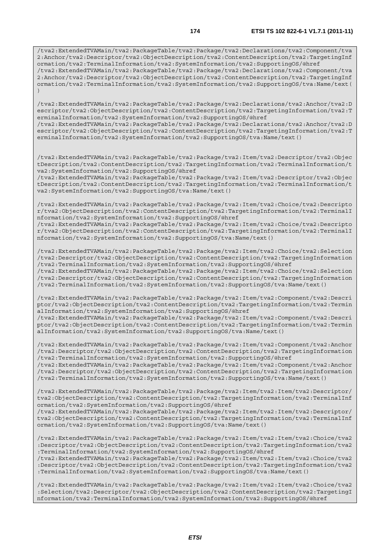/tva2:ExtendedTVAMain/tva2:PackageTable/tva2:Package/tva2:Declarations/tva2:Component/tva 2:Anchor/tva2:Descriptor/tva2:ObjectDescription/tva2:ContentDescription/tva2:TargetingInf ormation/tva2:TerminalInformation/tva2:SystemInformation/tva2:SupportingOS/@href /tva2:ExtendedTVAMain/tva2:PackageTable/tva2:Package/tva2:Declarations/tva2:Component/tva 2:Anchor/tva2:Descriptor/tva2:ObjectDescription/tva2:ContentDescription/tva2:TargetingInf

ormation/tva2:TerminalInformation/tva2:SystemInformation/tva2:SupportingOS/tva:Name/text(

)

/tva2:ExtendedTVAMain/tva2:PackageTable/tva2:Package/tva2:Declarations/tva2:Anchor/tva2:D escriptor/tva2:ObjectDescription/tva2:ContentDescription/tva2:TargetingInformation/tva2:T erminalInformation/tva2:SystemInformation/tva2:SupportingOS/@href

/tva2:ExtendedTVAMain/tva2:PackageTable/tva2:Package/tva2:Declarations/tva2:Anchor/tva2:D escriptor/tva2:ObjectDescription/tva2:ContentDescription/tva2:TargetingInformation/tva2:T erminalInformation/tva2:SystemInformation/tva2:SupportingOS/tva:Name/text()

/tva2:ExtendedTVAMain/tva2:PackageTable/tva2:Package/tva2:Item/tva2:Descriptor/tva2:Objec tDescription/tva2:ContentDescription/tva2:TargetingInformation/tva2:TerminalInformation/t va2:SystemInformation/tva2:SupportingOS/@href

/tva2:ExtendedTVAMain/tva2:PackageTable/tva2:Package/tva2:Item/tva2:Descriptor/tva2:Objec tDescription/tva2:ContentDescription/tva2:TargetingInformation/tva2:TerminalInformation/t va2:SystemInformation/tva2:SupportingOS/tva:Name/text()

/tva2:ExtendedTVAMain/tva2:PackageTable/tva2:Package/tva2:Item/tva2:Choice/tva2:Descripto r/tva2:ObjectDescription/tva2:ContentDescription/tva2:TargetingInformation/tva2:TerminalI nformation/tva2:SystemInformation/tva2:SupportingOS/@href

/tva2:ExtendedTVAMain/tva2:PackageTable/tva2:Package/tva2:Item/tva2:Choice/tva2:Descripto r/tva2:ObjectDescription/tva2:ContentDescription/tva2:TargetingInformation/tva2:TerminalI nformation/tva2:SystemInformation/tva2:SupportingOS/tva:Name/text()

/tva2:ExtendedTVAMain/tva2:PackageTable/tva2:Package/tva2:Item/tva2:Choice/tva2:Selection /tva2:Descriptor/tva2:ObjectDescription/tva2:ContentDescription/tva2:TargetingInformation /tva2:TerminalInformation/tva2:SystemInformation/tva2:SupportingOS/@href /tva2:ExtendedTVAMain/tva2:PackageTable/tva2:Package/tva2:Item/tva2:Choice/tva2:Selection

/tva2:Descriptor/tva2:ObjectDescription/tva2:ContentDescription/tva2:TargetingInformation /tva2:TerminalInformation/tva2:SystemInformation/tva2:SupportingOS/tva:Name/text()

/tva2:ExtendedTVAMain/tva2:PackageTable/tva2:Package/tva2:Item/tva2:Component/tva2:Descri ptor/tva2:ObjectDescription/tva2:ContentDescription/tva2:TargetingInformation/tva2:Termin alInformation/tva2:SystemInformation/tva2:SupportingOS/@href

/tva2:ExtendedTVAMain/tva2:PackageTable/tva2:Package/tva2:Item/tva2:Component/tva2:Descri ptor/tva2:ObjectDescription/tva2:ContentDescription/tva2:TargetingInformation/tva2:Termin alInformation/tva2:SystemInformation/tva2:SupportingOS/tva:Name/text()

/tva2:ExtendedTVAMain/tva2:PackageTable/tva2:Package/tva2:Item/tva2:Component/tva2:Anchor /tva2:Descriptor/tva2:ObjectDescription/tva2:ContentDescription/tva2:TargetingInformation /tva2:TerminalInformation/tva2:SystemInformation/tva2:SupportingOS/@href

/tva2:ExtendedTVAMain/tva2:PackageTable/tva2:Package/tva2:Item/tva2:Component/tva2:Anchor /tva2:Descriptor/tva2:ObjectDescription/tva2:ContentDescription/tva2:TargetingInformation /tva2:TerminalInformation/tva2:SystemInformation/tva2:SupportingOS/tva:Name/text()

/tva2:ExtendedTVAMain/tva2:PackageTable/tva2:Package/tva2:Item/tva2:Item/tva2:Descriptor/ tva2:ObjectDescription/tva2:ContentDescription/tva2:TargetingInformation/tva2:TerminalInf ormation/tva2:SystemInformation/tva2:SupportingOS/@href

/tva2:ExtendedTVAMain/tva2:PackageTable/tva2:Package/tva2:Item/tva2:Item/tva2:Descriptor/ tva2:ObjectDescription/tva2:ContentDescription/tva2:TargetingInformation/tva2:TerminalInf ormation/tva2:SystemInformation/tva2:SupportingOS/tva:Name/text()

/tva2:ExtendedTVAMain/tva2:PackageTable/tva2:Package/tva2:Item/tva2:Item/tva2:Choice/tva2 :Descriptor/tva2:ObjectDescription/tva2:ContentDescription/tva2:TargetingInformation/tva2 :TerminalInformation/tva2:SystemInformation/tva2:SupportingOS/@href

/tva2:ExtendedTVAMain/tva2:PackageTable/tva2:Package/tva2:Item/tva2:Item/tva2:Choice/tva2 :Descriptor/tva2:ObjectDescription/tva2:ContentDescription/tva2:TargetingInformation/tva2 :TerminalInformation/tva2:SystemInformation/tva2:SupportingOS/tva:Name/text()

/tva2:ExtendedTVAMain/tva2:PackageTable/tva2:Package/tva2:Item/tva2:Item/tva2:Choice/tva2 :Selection/tva2:Descriptor/tva2:ObjectDescription/tva2:ContentDescription/tva2:TargetingI nformation/tva2:TerminalInformation/tva2:SystemInformation/tva2:SupportingOS/@href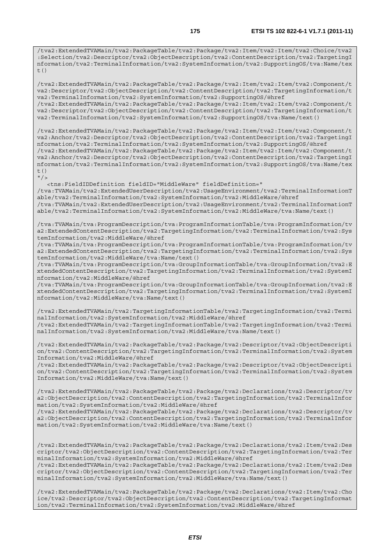/tva2:ExtendedTVAMain/tva2:PackageTable/tva2:Package/tva2:Item/tva2:Item/tva2:Choice/tva2 :Selection/tva2:Descriptor/tva2:ObjectDescription/tva2:ContentDescription/tva2:TargetingI nformation/tva2:TerminalInformation/tva2:SystemInformation/tva2:SupportingOS/tva:Name/tex  $+$  ()

/tva2:ExtendedTVAMain/tva2:PackageTable/tva2:Package/tva2:Item/tva2:Item/tva2:Component/t va2:Descriptor/tva2:ObjectDescription/tva2:ContentDescription/tva2:TargetingInformation/t va2:TerminalInformation/tva2:SystemInformation/tva2:SupportingOS/@href /tva2:ExtendedTVAMain/tva2:PackageTable/tva2:Package/tva2:Item/tva2:Item/tva2:Component/t va2:Descriptor/tva2:ObjectDescription/tva2:ContentDescription/tva2:TargetingInformation/t va2:TerminalInformation/tva2:SystemInformation/tva2:SupportingOS/tva:Name/text()

/tva2:ExtendedTVAMain/tva2:PackageTable/tva2:Package/tva2:Item/tva2:Item/tva2:Component/t va2:Anchor/tva2:Descriptor/tva2:ObjectDescription/tva2:ContentDescription/tva2:TargetingI nformation/tva2:TerminalInformation/tva2:SystemInformation/tva2:SupportingOS/@href /tva2:ExtendedTVAMain/tva2:PackageTable/tva2:Package/tva2:Item/tva2:Item/tva2:Component/t va2:Anchor/tva2:Descriptor/tva2:ObjectDescription/tva2:ContentDescription/tva2:TargetingI nformation/tva2:TerminalInformation/tva2:SystemInformation/tva2:SupportingOS/tva:Name/tex  $t($ )

 $''$  / >

 <tns:FieldIDDefinition fieldID="MiddleWare" fieldDefinition=" /tva:TVAMain/tva2:ExtendedUserDescription/tva2:UsageEnvironment/tva2:TerminalInformationT able/tva2:TerminalInformation/tva2:SystemInformation/tva2:MiddleWare/@href /tva:TVAMain/tva2:ExtendedUserDescription/tva2:UsageEnvironment/tva2:TerminalInformationT able/tva2:TerminalInformation/tva2:SystemInformation/tva2:MiddleWare/tva:Name/text()

/tva:TVAMain/tva:ProgramDescription/tva:ProgramInformationTable/tva:ProgramInformation/tv a2:ExtendedContentDescription/tva2:TargetingInformation/tva2:TerminalInformation/tva2:Sys temInformation/tva2:MiddleWare/@href

/tva:TVAMain/tva:ProgramDescription/tva:ProgramInformationTable/tva:ProgramInformation/tv a2:ExtendedContentDescription/tva2:TargetingInformation/tva2:TerminalInformation/tva2:Sys temInformation/tva2:MiddleWare/tva:Name/text()

/tva:TVAMain/tva:ProgramDescription/tva:GroupInformationTable/tva:GroupInformation/tva2:E xtendedContentDescription/tva2:TargetingInformation/tva2:TerminalInformation/tva2:SystemI nformation/tva2:MiddleWare/@href

/tva:TVAMain/tva:ProgramDescription/tva:GroupInformationTable/tva:GroupInformation/tva2:E xtendedContentDescription/tva2:TargetingInformation/tva2:TerminalInformation/tva2:SystemI nformation/tva2:MiddleWare/tva:Name/text()

/tva2:ExtendedTVAMain/tva2:TargetingInformationTable/tva2:TargetingInformation/tva2:Termi nalInformation/tva2:SystemInformation/tva2:MiddleWare/@href /tva2:ExtendedTVAMain/tva2:TargetingInformationTable/tva2:TargetingInformation/tva2:Termi nalInformation/tva2:SystemInformation/tva2:MiddleWare/tva:Name/text()

/tva2:ExtendedTVAMain/tva2:PackageTable/tva2:Package/tva2:Descriptor/tva2:ObjectDescripti on/tva2:ContentDescription/tva2:TargetingInformation/tva2:TerminalInformation/tva2:System Information/tva2:MiddleWare/@href

/tva2:ExtendedTVAMain/tva2:PackageTable/tva2:Package/tva2:Descriptor/tva2:ObjectDescripti on/tva2:ContentDescription/tva2:TargetingInformation/tva2:TerminalInformation/tva2:System Information/tva2:MiddleWare/tva:Name/text()

/tva2:ExtendedTVAMain/tva2:PackageTable/tva2:Package/tva2:Declarations/tva2:Descriptor/tv a2:ObjectDescription/tva2:ContentDescription/tva2:TargetingInformation/tva2:TerminalInfor mation/tva2:SystemInformation/tva2:MiddleWare/@href

/tva2:ExtendedTVAMain/tva2:PackageTable/tva2:Package/tva2:Declarations/tva2:Descriptor/tv a2:ObjectDescription/tva2:ContentDescription/tva2:TargetingInformation/tva2:TerminalInfor mation/tva2:SystemInformation/tva2:MiddleWare/tva:Name/text()

/tva2:ExtendedTVAMain/tva2:PackageTable/tva2:Package/tva2:Declarations/tva2:Item/tva2:Des criptor/tva2:ObjectDescription/tva2:ContentDescription/tva2:TargetingInformation/tva2:Ter minalInformation/tva2:SystemInformation/tva2:MiddleWare/@href

/tva2:ExtendedTVAMain/tva2:PackageTable/tva2:Package/tva2:Declarations/tva2:Item/tva2:Des criptor/tva2:ObjectDescription/tva2:ContentDescription/tva2:TargetingInformation/tva2:Ter minalInformation/tva2:SystemInformation/tva2:MiddleWare/tva:Name/text()

/tva2:ExtendedTVAMain/tva2:PackageTable/tva2:Package/tva2:Declarations/tva2:Item/tva2:Cho ice/tva2:Descriptor/tva2:ObjectDescription/tva2:ContentDescription/tva2:TargetingInformat ion/tva2:TerminalInformation/tva2:SystemInformation/tva2:MiddleWare/@href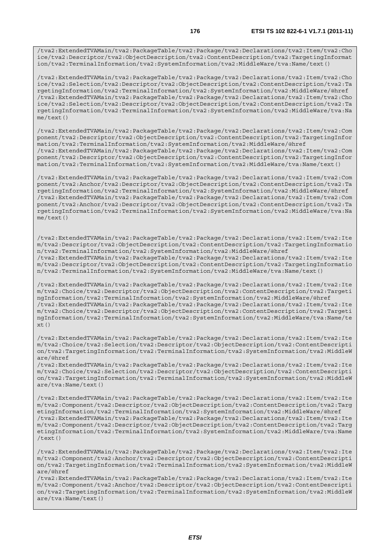/tva2:ExtendedTVAMain/tva2:PackageTable/tva2:Package/tva2:Declarations/tva2:Item/tva2:Cho ice/tva2:Descriptor/tva2:ObjectDescription/tva2:ContentDescription/tva2:TargetingInformat ion/tva2:TerminalInformation/tva2:SystemInformation/tva2:MiddleWare/tva:Name/text()

/tva2:ExtendedTVAMain/tva2:PackageTable/tva2:Package/tva2:Declarations/tva2:Item/tva2:Cho ice/tva2:Selection/tva2:Descriptor/tva2:ObjectDescription/tva2:ContentDescription/tva2:Ta rgetingInformation/tva2:TerminalInformation/tva2:SystemInformation/tva2:MiddleWare/@href /tva2:ExtendedTVAMain/tva2:PackageTable/tva2:Package/tva2:Declarations/tva2:Item/tva2:Cho ice/tva2:Selection/tva2:Descriptor/tva2:ObjectDescription/tva2:ContentDescription/tva2:Ta rgetingInformation/tva2:TerminalInformation/tva2:SystemInformation/tva2:MiddleWare/tva:Na me/text()

/tva2:ExtendedTVAMain/tva2:PackageTable/tva2:Package/tva2:Declarations/tva2:Item/tva2:Com ponent/tva2:Descriptor/tva2:ObjectDescription/tva2:ContentDescription/tva2:TargetingInfor mation/tva2:TerminalInformation/tva2:SystemInformation/tva2:MiddleWare/@href /tva2:ExtendedTVAMain/tva2:PackageTable/tva2:Package/tva2:Declarations/tva2:Item/tva2:Com ponent/tva2:Descriptor/tva2:ObjectDescription/tva2:ContentDescription/tva2:TargetingInfor mation/tva2:TerminalInformation/tva2:SystemInformation/tva2:MiddleWare/tva:Name/text()

/tva2:ExtendedTVAMain/tva2:PackageTable/tva2:Package/tva2:Declarations/tva2:Item/tva2:Com ponent/tva2:Anchor/tva2:Descriptor/tva2:ObjectDescription/tva2:ContentDescription/tva2:Ta rgetingInformation/tva2:TerminalInformation/tva2:SystemInformation/tva2:MiddleWare/@href /tva2:ExtendedTVAMain/tva2:PackageTable/tva2:Package/tva2:Declarations/tva2:Item/tva2:Com ponent/tva2:Anchor/tva2:Descriptor/tva2:ObjectDescription/tva2:ContentDescription/tva2:Ta rgetingInformation/tva2:TerminalInformation/tva2:SystemInformation/tva2:MiddleWare/tva:Na me/text()

/tva2:ExtendedTVAMain/tva2:PackageTable/tva2:Package/tva2:Declarations/tva2:Item/tva2:Ite m/tva2:Descriptor/tva2:ObjectDescription/tva2:ContentDescription/tva2:TargetingInformatio n/tva2:TerminalInformation/tva2:SystemInformation/tva2:MiddleWare/@href /tva2:ExtendedTVAMain/tva2:PackageTable/tva2:Package/tva2:Declarations/tva2:Item/tva2:Ite m/tva2:Descriptor/tva2:ObjectDescription/tva2:ContentDescription/tva2:TargetingInformatio n/tva2:TerminalInformation/tva2:SystemInformation/tva2:MiddleWare/tva:Name/text()

/tva2:ExtendedTVAMain/tva2:PackageTable/tva2:Package/tva2:Declarations/tva2:Item/tva2:Ite m/tva2:Choice/tva2:Descriptor/tva2:ObjectDescription/tva2:ContentDescription/tva2:Targeti ngInformation/tva2:TerminalInformation/tva2:SystemInformation/tva2:MiddleWare/@href /tva2:ExtendedTVAMain/tva2:PackageTable/tva2:Package/tva2:Declarations/tva2:Item/tva2:Ite m/tva2:Choice/tva2:Descriptor/tva2:ObjectDescription/tva2:ContentDescription/tva2:Targeti ngInformation/tva2:TerminalInformation/tva2:SystemInformation/tva2:MiddleWare/tva:Name/te  $x+()$ 

/tva2:ExtendedTVAMain/tva2:PackageTable/tva2:Package/tva2:Declarations/tva2:Item/tva2:Ite m/tva2:Choice/tva2:Selection/tva2:Descriptor/tva2:ObjectDescription/tva2:ContentDescripti on/tva2:TargetingInformation/tva2:TerminalInformation/tva2:SystemInformation/tva2:MiddleW are/@href

/tva2:ExtendedTVAMain/tva2:PackageTable/tva2:Package/tva2:Declarations/tva2:Item/tva2:Ite m/tva2:Choice/tva2:Selection/tva2:Descriptor/tva2:ObjectDescription/tva2:ContentDescripti on/tva2:TargetingInformation/tva2:TerminalInformation/tva2:SystemInformation/tva2:MiddleW are/tva:Name/text()

/tva2:ExtendedTVAMain/tva2:PackageTable/tva2:Package/tva2:Declarations/tva2:Item/tva2:Ite m/tva2:Component/tva2:Descriptor/tva2:ObjectDescription/tva2:ContentDescription/tva2:Targ etingInformation/tva2:TerminalInformation/tva2:SystemInformation/tva2:MiddleWare/@href /tva2:ExtendedTVAMain/tva2:PackageTable/tva2:Package/tva2:Declarations/tva2:Item/tva2:Ite m/tva2:Component/tva2:Descriptor/tva2:ObjectDescription/tva2:ContentDescription/tva2:Targ etingInformation/tva2:TerminalInformation/tva2:SystemInformation/tva2:MiddleWare/tva:Name /text()

/tva2:ExtendedTVAMain/tva2:PackageTable/tva2:Package/tva2:Declarations/tva2:Item/tva2:Ite m/tva2:Component/tva2:Anchor/tva2:Descriptor/tva2:ObjectDescription/tva2:ContentDescripti on/tva2:TargetingInformation/tva2:TerminalInformation/tva2:SystemInformation/tva2:MiddleW are/@href

/tva2:ExtendedTVAMain/tva2:PackageTable/tva2:Package/tva2:Declarations/tva2:Item/tva2:Ite m/tva2:Component/tva2:Anchor/tva2:Descriptor/tva2:ObjectDescription/tva2:ContentDescripti on/tva2:TargetingInformation/tva2:TerminalInformation/tva2:SystemInformation/tva2:MiddleW are/tva:Name/text()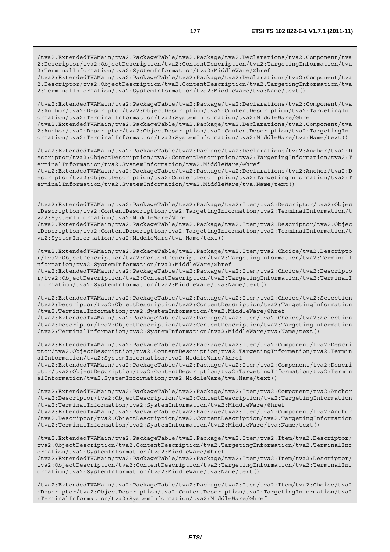/tva2:ExtendedTVAMain/tva2:PackageTable/tva2:Package/tva2:Declarations/tva2:Component/tva 2:Descriptor/tva2:ObjectDescription/tva2:ContentDescription/tva2:TargetingInformation/tva 2:TerminalInformation/tva2:SystemInformation/tva2:MiddleWare/@href

/tva2:ExtendedTVAMain/tva2:PackageTable/tva2:Package/tva2:Declarations/tva2:Component/tva 2:Descriptor/tva2:ObjectDescription/tva2:ContentDescription/tva2:TargetingInformation/tva 2:TerminalInformation/tva2:SystemInformation/tva2:MiddleWare/tva:Name/text()

/tva2:ExtendedTVAMain/tva2:PackageTable/tva2:Package/tva2:Declarations/tva2:Component/tva 2:Anchor/tva2:Descriptor/tva2:ObjectDescription/tva2:ContentDescription/tva2:TargetingInf ormation/tva2:TerminalInformation/tva2:SystemInformation/tva2:MiddleWare/@href /tva2:ExtendedTVAMain/tva2:PackageTable/tva2:Package/tva2:Declarations/tva2:Component/tva

2:Anchor/tva2:Descriptor/tva2:ObjectDescription/tva2:ContentDescription/tva2:TargetingInf ormation/tva2:TerminalInformation/tva2:SystemInformation/tva2:MiddleWare/tva:Name/text()

/tva2:ExtendedTVAMain/tva2:PackageTable/tva2:Package/tva2:Declarations/tva2:Anchor/tva2:D escriptor/tva2:ObjectDescription/tva2:ContentDescription/tva2:TargetingInformation/tva2:T erminalInformation/tva2:SystemInformation/tva2:MiddleWare/@href

/tva2:ExtendedTVAMain/tva2:PackageTable/tva2:Package/tva2:Declarations/tva2:Anchor/tva2:D escriptor/tva2:ObjectDescription/tva2:ContentDescription/tva2:TargetingInformation/tva2:T erminalInformation/tva2:SystemInformation/tva2:MiddleWare/tva:Name/text()

/tva2:ExtendedTVAMain/tva2:PackageTable/tva2:Package/tva2:Item/tva2:Descriptor/tva2:Objec tDescription/tva2:ContentDescription/tva2:TargetingInformation/tva2:TerminalInformation/t va2:SystemInformation/tva2:MiddleWare/@href

/tva2:ExtendedTVAMain/tva2:PackageTable/tva2:Package/tva2:Item/tva2:Descriptor/tva2:Objec tDescription/tva2:ContentDescription/tva2:TargetingInformation/tva2:TerminalInformation/t va2:SystemInformation/tva2:MiddleWare/tva:Name/text()

/tva2:ExtendedTVAMain/tva2:PackageTable/tva2:Package/tva2:Item/tva2:Choice/tva2:Descripto r/tva2:ObjectDescription/tva2:ContentDescription/tva2:TargetingInformation/tva2:TerminalI nformation/tva2:SystemInformation/tva2:MiddleWare/@href

/tva2:ExtendedTVAMain/tva2:PackageTable/tva2:Package/tva2:Item/tva2:Choice/tva2:Descripto r/tva2:ObjectDescription/tva2:ContentDescription/tva2:TargetingInformation/tva2:TerminalI nformation/tva2:SystemInformation/tva2:MiddleWare/tva:Name/text()

/tva2:ExtendedTVAMain/tva2:PackageTable/tva2:Package/tva2:Item/tva2:Choice/tva2:Selection /tva2:Descriptor/tva2:ObjectDescription/tva2:ContentDescription/tva2:TargetingInformation /tva2:TerminalInformation/tva2:SystemInformation/tva2:MiddleWare/@href

/tva2:ExtendedTVAMain/tva2:PackageTable/tva2:Package/tva2:Item/tva2:Choice/tva2:Selection /tva2:Descriptor/tva2:ObjectDescription/tva2:ContentDescription/tva2:TargetingInformation /tva2:TerminalInformation/tva2:SystemInformation/tva2:MiddleWare/tva:Name/text()

/tva2:ExtendedTVAMain/tva2:PackageTable/tva2:Package/tva2:Item/tva2:Component/tva2:Descri ptor/tva2:ObjectDescription/tva2:ContentDescription/tva2:TargetingInformation/tva2:Termin alInformation/tva2:SystemInformation/tva2:MiddleWare/@href

/tva2:ExtendedTVAMain/tva2:PackageTable/tva2:Package/tva2:Item/tva2:Component/tva2:Descri ptor/tva2:ObjectDescription/tva2:ContentDescription/tva2:TargetingInformation/tva2:Termin alInformation/tva2:SystemInformation/tva2:MiddleWare/tva:Name/text()

/tva2:ExtendedTVAMain/tva2:PackageTable/tva2:Package/tva2:Item/tva2:Component/tva2:Anchor /tva2:Descriptor/tva2:ObjectDescription/tva2:ContentDescription/tva2:TargetingInformation /tva2:TerminalInformation/tva2:SystemInformation/tva2:MiddleWare/@href

/tva2:ExtendedTVAMain/tva2:PackageTable/tva2:Package/tva2:Item/tva2:Component/tva2:Anchor /tva2:Descriptor/tva2:ObjectDescription/tva2:ContentDescription/tva2:TargetingInformation /tva2:TerminalInformation/tva2:SystemInformation/tva2:MiddleWare/tva:Name/text()

/tva2:ExtendedTVAMain/tva2:PackageTable/tva2:Package/tva2:Item/tva2:Item/tva2:Descriptor/ tva2:ObjectDescription/tva2:ContentDescription/tva2:TargetingInformation/tva2:TerminalInf ormation/tva2:SystemInformation/tva2:MiddleWare/@href

/tva2:ExtendedTVAMain/tva2:PackageTable/tva2:Package/tva2:Item/tva2:Item/tva2:Descriptor/ tva2:ObjectDescription/tva2:ContentDescription/tva2:TargetingInformation/tva2:TerminalInf ormation/tva2:SystemInformation/tva2:MiddleWare/tva:Name/text()

/tva2:ExtendedTVAMain/tva2:PackageTable/tva2:Package/tva2:Item/tva2:Item/tva2:Choice/tva2 :Descriptor/tva2:ObjectDescription/tva2:ContentDescription/tva2:TargetingInformation/tva2 :TerminalInformation/tva2:SystemInformation/tva2:MiddleWare/@href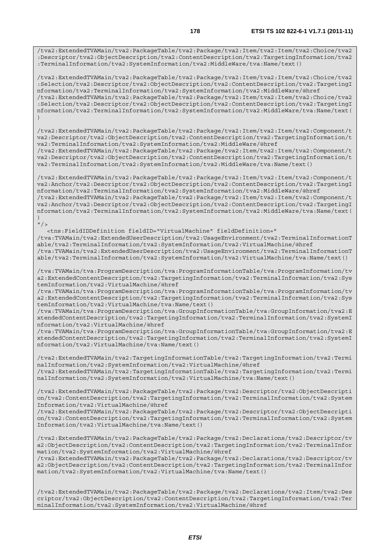/tva2:ExtendedTVAMain/tva2:PackageTable/tva2:Package/tva2:Item/tva2:Item/tva2:Choice/tva2 :Descriptor/tva2:ObjectDescription/tva2:ContentDescription/tva2:TargetingInformation/tva2 :TerminalInformation/tva2:SystemInformation/tva2:MiddleWare/tva:Name/text()

/tva2:ExtendedTVAMain/tva2:PackageTable/tva2:Package/tva2:Item/tva2:Item/tva2:Choice/tva2 :Selection/tva2:Descriptor/tva2:ObjectDescription/tva2:ContentDescription/tva2:TargetingI nformation/tva2:TerminalInformation/tva2:SystemInformation/tva2:MiddleWare/@href /tva2:ExtendedTVAMain/tva2:PackageTable/tva2:Package/tva2:Item/tva2:Item/tva2:Choice/tva2 :Selection/tva2:Descriptor/tva2:ObjectDescription/tva2:ContentDescription/tva2:TargetingI nformation/tva2:TerminalInformation/tva2:SystemInformation/tva2:MiddleWare/tva:Name/text( )

/tva2:ExtendedTVAMain/tva2:PackageTable/tva2:Package/tva2:Item/tva2:Item/tva2:Component/t va2:Descriptor/tva2:ObjectDescription/tva2:ContentDescription/tva2:TargetingInformation/t va2:TerminalInformation/tva2:SystemInformation/tva2:MiddleWare/@href /tva2:ExtendedTVAMain/tva2:PackageTable/tva2:Package/tva2:Item/tva2:Item/tva2:Component/t

va2:Descriptor/tva2:ObjectDescription/tva2:ContentDescription/tva2:TargetingInformation/t va2:TerminalInformation/tva2:SystemInformation/tva2:MiddleWare/tva:Name/text()

/tva2:ExtendedTVAMain/tva2:PackageTable/tva2:Package/tva2:Item/tva2:Item/tva2:Component/t va2:Anchor/tva2:Descriptor/tva2:ObjectDescription/tva2:ContentDescription/tva2:TargetingI nformation/tva2:TerminalInformation/tva2:SystemInformation/tva2:MiddleWare/@href /tva2:ExtendedTVAMain/tva2:PackageTable/tva2:Package/tva2:Item/tva2:Item/tva2:Component/t va2:Anchor/tva2:Descriptor/tva2:ObjectDescription/tva2:ContentDescription/tva2:TargetingI nformation/tva2:TerminalInformation/tva2:SystemInformation/tva2:MiddleWare/tva:Name/text( )

## $"$  / >

 <tns:FieldIDDefinition fieldID="VirtualMachine" fieldDefinition=" /tva:TVAMain/tva2:ExtendedUserDescription/tva2:UsageEnvironment/tva2:TerminalInformationT able/tva2:TerminalInformation/tva2:SystemInformation/tva2:VirtualMachine/@href /tva:TVAMain/tva2:ExtendedUserDescription/tva2:UsageEnvironment/tva2:TerminalInformationT able/tva2:TerminalInformation/tva2:SystemInformation/tva2:VirtualMachine/tva:Name/text()

/tva:TVAMain/tva:ProgramDescription/tva:ProgramInformationTable/tva:ProgramInformation/tv a2:ExtendedContentDescription/tva2:TargetingInformation/tva2:TerminalInformation/tva2:Sys temInformation/tva2:VirtualMachine/@href

/tva:TVAMain/tva:ProgramDescription/tva:ProgramInformationTable/tva:ProgramInformation/tv a2:ExtendedContentDescription/tva2:TargetingInformation/tva2:TerminalInformation/tva2:Sys temInformation/tva2:VirtualMachine/tva:Name/text()

/tva:TVAMain/tva:ProgramDescription/tva:GroupInformationTable/tva:GroupInformation/tva2:E xtendedContentDescription/tva2:TargetingInformation/tva2:TerminalInformation/tva2:SystemI nformation/tva2:VirtualMachine/@href

/tva:TVAMain/tva:ProgramDescription/tva:GroupInformationTable/tva:GroupInformation/tva2:E xtendedContentDescription/tva2:TargetingInformation/tva2:TerminalInformation/tva2:SystemI nformation/tva2:VirtualMachine/tva:Name/text()

/tva2:ExtendedTVAMain/tva2:TargetingInformationTable/tva2:TargetingInformation/tva2:Termi nalInformation/tva2:SystemInformation/tva2:VirtualMachine/@href /tva2:ExtendedTVAMain/tva2:TargetingInformationTable/tva2:TargetingInformation/tva2:Termi nalInformation/tva2:SystemInformation/tva2:VirtualMachine/tva:Name/text()

/tva2:ExtendedTVAMain/tva2:PackageTable/tva2:Package/tva2:Descriptor/tva2:ObjectDescripti on/tva2:ContentDescription/tva2:TargetingInformation/tva2:TerminalInformation/tva2:System Information/tva2:VirtualMachine/@href

/tva2:ExtendedTVAMain/tva2:PackageTable/tva2:Package/tva2:Descriptor/tva2:ObjectDescripti on/tva2:ContentDescription/tva2:TargetingInformation/tva2:TerminalInformation/tva2:System Information/tva2:VirtualMachine/tva:Name/text()

/tva2:ExtendedTVAMain/tva2:PackageTable/tva2:Package/tva2:Declarations/tva2:Descriptor/tv a2:ObjectDescription/tva2:ContentDescription/tva2:TargetingInformation/tva2:TerminalInfor mation/tva2:SystemInformation/tva2:VirtualMachine/@href

/tva2:ExtendedTVAMain/tva2:PackageTable/tva2:Package/tva2:Declarations/tva2:Descriptor/tv a2:ObjectDescription/tva2:ContentDescription/tva2:TargetingInformation/tva2:TerminalInfor mation/tva2:SystemInformation/tva2:VirtualMachine/tva:Name/text()

/tva2:ExtendedTVAMain/tva2:PackageTable/tva2:Package/tva2:Declarations/tva2:Item/tva2:Des criptor/tva2:ObjectDescription/tva2:ContentDescription/tva2:TargetingInformation/tva2:Ter minalInformation/tva2:SystemInformation/tva2:VirtualMachine/@href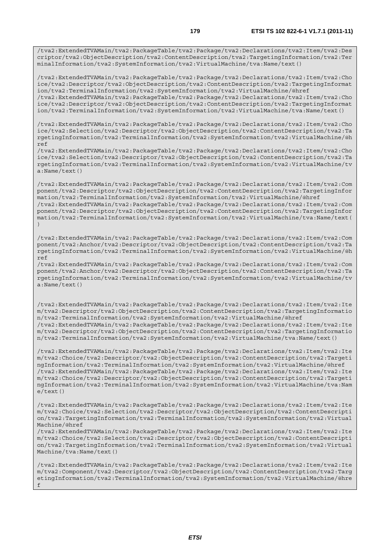/tva2:ExtendedTVAMain/tva2:PackageTable/tva2:Package/tva2:Declarations/tva2:Item/tva2:Des criptor/tva2:ObjectDescription/tva2:ContentDescription/tva2:TargetingInformation/tva2:Ter minalInformation/tva2:SystemInformation/tva2:VirtualMachine/tva:Name/text()

/tva2:ExtendedTVAMain/tva2:PackageTable/tva2:Package/tva2:Declarations/tva2:Item/tva2:Cho ice/tva2:Descriptor/tva2:ObjectDescription/tva2:ContentDescription/tva2:TargetingInformat ion/tva2:TerminalInformation/tva2:SystemInformation/tva2:VirtualMachine/@href /tva2:ExtendedTVAMain/tva2:PackageTable/tva2:Package/tva2:Declarations/tva2:Item/tva2:Cho

ice/tva2:Descriptor/tva2:ObjectDescription/tva2:ContentDescription/tva2:TargetingInformat ion/tva2:TerminalInformation/tva2:SystemInformation/tva2:VirtualMachine/tva:Name/text()

/tva2:ExtendedTVAMain/tva2:PackageTable/tva2:Package/tva2:Declarations/tva2:Item/tva2:Cho ice/tva2:Selection/tva2:Descriptor/tva2:ObjectDescription/tva2:ContentDescription/tva2:Ta rgetingInformation/tva2:TerminalInformation/tva2:SystemInformation/tva2:VirtualMachine/@h ref

/tva2:ExtendedTVAMain/tva2:PackageTable/tva2:Package/tva2:Declarations/tva2:Item/tva2:Cho ice/tva2:Selection/tva2:Descriptor/tva2:ObjectDescription/tva2:ContentDescription/tva2:Ta rgetingInformation/tva2:TerminalInformation/tva2:SystemInformation/tva2:VirtualMachine/tv a:Name/text()

/tva2:ExtendedTVAMain/tva2:PackageTable/tva2:Package/tva2:Declarations/tva2:Item/tva2:Com ponent/tva2:Descriptor/tva2:ObjectDescription/tva2:ContentDescription/tva2:TargetingInfor mation/tva2:TerminalInformation/tva2:SystemInformation/tva2:VirtualMachine/@href /tva2:ExtendedTVAMain/tva2:PackageTable/tva2:Package/tva2:Declarations/tva2:Item/tva2:Com ponent/tva2:Descriptor/tva2:ObjectDescription/tva2:ContentDescription/tva2:TargetingInfor mation/tva2:TerminalInformation/tva2:SystemInformation/tva2:VirtualMachine/tva:Name/text( )

/tva2:ExtendedTVAMain/tva2:PackageTable/tva2:Package/tva2:Declarations/tva2:Item/tva2:Com ponent/tva2:Anchor/tva2:Descriptor/tva2:ObjectDescription/tva2:ContentDescription/tva2:Ta rgetingInformation/tva2:TerminalInformation/tva2:SystemInformation/tva2:VirtualMachine/@h ref

/tva2:ExtendedTVAMain/tva2:PackageTable/tva2:Package/tva2:Declarations/tva2:Item/tva2:Com ponent/tva2:Anchor/tva2:Descriptor/tva2:ObjectDescription/tva2:ContentDescription/tva2:Ta rgetingInformation/tva2:TerminalInformation/tva2:SystemInformation/tva2:VirtualMachine/tv a:Name/text()

/tva2:ExtendedTVAMain/tva2:PackageTable/tva2:Package/tva2:Declarations/tva2:Item/tva2:Ite m/tva2:Descriptor/tva2:ObjectDescription/tva2:ContentDescription/tva2:TargetingInformatio n/tva2:TerminalInformation/tva2:SystemInformation/tva2:VirtualMachine/@href /tva2:ExtendedTVAMain/tva2:PackageTable/tva2:Package/tva2:Declarations/tva2:Item/tva2:Ite m/tva2:Descriptor/tva2:ObjectDescription/tva2:ContentDescription/tva2:TargetingInformatio n/tva2:TerminalInformation/tva2:SystemInformation/tva2:VirtualMachine/tva:Name/text()

/tva2:ExtendedTVAMain/tva2:PackageTable/tva2:Package/tva2:Declarations/tva2:Item/tva2:Ite m/tva2:Choice/tva2:Descriptor/tva2:ObjectDescription/tva2:ContentDescription/tva2:Targeti ngInformation/tva2:TerminalInformation/tva2:SystemInformation/tva2:VirtualMachine/@href /tva2:ExtendedTVAMain/tva2:PackageTable/tva2:Package/tva2:Declarations/tva2:Item/tva2:Ite m/tva2:Choice/tva2:Descriptor/tva2:ObjectDescription/tva2:ContentDescription/tva2:Targeti ngInformation/tva2:TerminalInformation/tva2:SystemInformation/tva2:VirtualMachine/tva:Nam e/text()

/tva2:ExtendedTVAMain/tva2:PackageTable/tva2:Package/tva2:Declarations/tva2:Item/tva2:Ite m/tva2:Choice/tva2:Selection/tva2:Descriptor/tva2:ObjectDescription/tva2:ContentDescripti on/tva2:TargetingInformation/tva2:TerminalInformation/tva2:SystemInformation/tva2:Virtual Machine/@href

/tva2:ExtendedTVAMain/tva2:PackageTable/tva2:Package/tva2:Declarations/tva2:Item/tva2:Ite m/tva2:Choice/tva2:Selection/tva2:Descriptor/tva2:ObjectDescription/tva2:ContentDescripti on/tva2:TargetingInformation/tva2:TerminalInformation/tva2:SystemInformation/tva2:Virtual Machine/tva:Name/text()

/tva2:ExtendedTVAMain/tva2:PackageTable/tva2:Package/tva2:Declarations/tva2:Item/tva2:Ite m/tva2:Component/tva2:Descriptor/tva2:ObjectDescription/tva2:ContentDescription/tva2:Targ etingInformation/tva2:TerminalInformation/tva2:SystemInformation/tva2:VirtualMachine/@hre f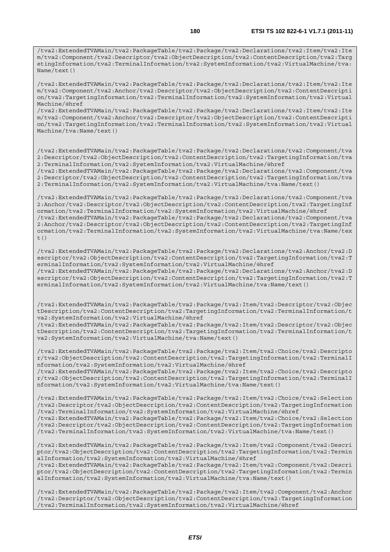/tva2:ExtendedTVAMain/tva2:PackageTable/tva2:Package/tva2:Declarations/tva2:Item/tva2:Ite m/tva2:Component/tva2:Descriptor/tva2:ObjectDescription/tva2:ContentDescription/tva2:Targ etingInformation/tva2:TerminalInformation/tva2:SystemInformation/tva2:VirtualMachine/tva: Name/text()

/tva2:ExtendedTVAMain/tva2:PackageTable/tva2:Package/tva2:Declarations/tva2:Item/tva2:Ite m/tva2:Component/tva2:Anchor/tva2:Descriptor/tva2:ObjectDescription/tva2:ContentDescripti on/tva2:TargetingInformation/tva2:TerminalInformation/tva2:SystemInformation/tva2:Virtual Machine/@href

/tva2:ExtendedTVAMain/tva2:PackageTable/tva2:Package/tva2:Declarations/tva2:Item/tva2:Ite m/tva2:Component/tva2:Anchor/tva2:Descriptor/tva2:ObjectDescription/tva2:ContentDescripti on/tva2:TargetingInformation/tva2:TerminalInformation/tva2:SystemInformation/tva2:Virtual Machine/tva:Name/text()

/tva2:ExtendedTVAMain/tva2:PackageTable/tva2:Package/tva2:Declarations/tva2:Component/tva 2:Descriptor/tva2:ObjectDescription/tva2:ContentDescription/tva2:TargetingInformation/tva 2:TerminalInformation/tva2:SystemInformation/tva2:VirtualMachine/@href

/tva2:ExtendedTVAMain/tva2:PackageTable/tva2:Package/tva2:Declarations/tva2:Component/tva 2:Descriptor/tva2:ObjectDescription/tva2:ContentDescription/tva2:TargetingInformation/tva 2:TerminalInformation/tva2:SystemInformation/tva2:VirtualMachine/tva:Name/text()

/tva2:ExtendedTVAMain/tva2:PackageTable/tva2:Package/tva2:Declarations/tva2:Component/tva 2:Anchor/tva2:Descriptor/tva2:ObjectDescription/tva2:ContentDescription/tva2:TargetingInf ormation/tva2:TerminalInformation/tva2:SystemInformation/tva2:VirtualMachine/@href /tva2:ExtendedTVAMain/tva2:PackageTable/tva2:Package/tva2:Declarations/tva2:Component/tva 2:Anchor/tva2:Descriptor/tva2:ObjectDescription/tva2:ContentDescription/tva2:TargetingInf ormation/tva2:TerminalInformation/tva2:SystemInformation/tva2:VirtualMachine/tva:Name/tex t()

/tva2:ExtendedTVAMain/tva2:PackageTable/tva2:Package/tva2:Declarations/tva2:Anchor/tva2:D escriptor/tva2:ObjectDescription/tva2:ContentDescription/tva2:TargetingInformation/tva2:T erminalInformation/tva2:SystemInformation/tva2:VirtualMachine/@href /tva2:ExtendedTVAMain/tva2:PackageTable/tva2:Package/tva2:Declarations/tva2:Anchor/tva2:D escriptor/tva2:ObjectDescription/tva2:ContentDescription/tva2:TargetingInformation/tva2:T erminalInformation/tva2:SystemInformation/tva2:VirtualMachine/tva:Name/text()

/tva2:ExtendedTVAMain/tva2:PackageTable/tva2:Package/tva2:Item/tva2:Descriptor/tva2:Objec tDescription/tva2:ContentDescription/tva2:TargetingInformation/tva2:TerminalInformation/t va2:SystemInformation/tva2:VirtualMachine/@href

/tva2:ExtendedTVAMain/tva2:PackageTable/tva2:Package/tva2:Item/tva2:Descriptor/tva2:Objec tDescription/tva2:ContentDescription/tva2:TargetingInformation/tva2:TerminalInformation/t va2:SystemInformation/tva2:VirtualMachine/tva:Name/text()

/tva2:ExtendedTVAMain/tva2:PackageTable/tva2:Package/tva2:Item/tva2:Choice/tva2:Descripto r/tva2:ObjectDescription/tva2:ContentDescription/tva2:TargetingInformation/tva2:TerminalI nformation/tva2:SystemInformation/tva2:VirtualMachine/@href

/tva2:ExtendedTVAMain/tva2:PackageTable/tva2:Package/tva2:Item/tva2:Choice/tva2:Descripto r/tva2:ObjectDescription/tva2:ContentDescription/tva2:TargetingInformation/tva2:TerminalI nformation/tva2:SystemInformation/tva2:VirtualMachine/tva:Name/text()

/tva2:ExtendedTVAMain/tva2:PackageTable/tva2:Package/tva2:Item/tva2:Choice/tva2:Selection /tva2:Descriptor/tva2:ObjectDescription/tva2:ContentDescription/tva2:TargetingInformation /tva2:TerminalInformation/tva2:SystemInformation/tva2:VirtualMachine/@href /tva2:ExtendedTVAMain/tva2:PackageTable/tva2:Package/tva2:Item/tva2:Choice/tva2:Selection

/tva2:Descriptor/tva2:ObjectDescription/tva2:ContentDescription/tva2:TargetingInformation /tva2:TerminalInformation/tva2:SystemInformation/tva2:VirtualMachine/tva:Name/text()

/tva2:ExtendedTVAMain/tva2:PackageTable/tva2:Package/tva2:Item/tva2:Component/tva2:Descri ptor/tva2:ObjectDescription/tva2:ContentDescription/tva2:TargetingInformation/tva2:Termin alInformation/tva2:SystemInformation/tva2:VirtualMachine/@href

/tva2:ExtendedTVAMain/tva2:PackageTable/tva2:Package/tva2:Item/tva2:Component/tva2:Descri ptor/tva2:ObjectDescription/tva2:ContentDescription/tva2:TargetingInformation/tva2:Termin alInformation/tva2:SystemInformation/tva2:VirtualMachine/tva:Name/text()

/tva2:ExtendedTVAMain/tva2:PackageTable/tva2:Package/tva2:Item/tva2:Component/tva2:Anchor /tva2:Descriptor/tva2:ObjectDescription/tva2:ContentDescription/tva2:TargetingInformation /tva2:TerminalInformation/tva2:SystemInformation/tva2:VirtualMachine/@href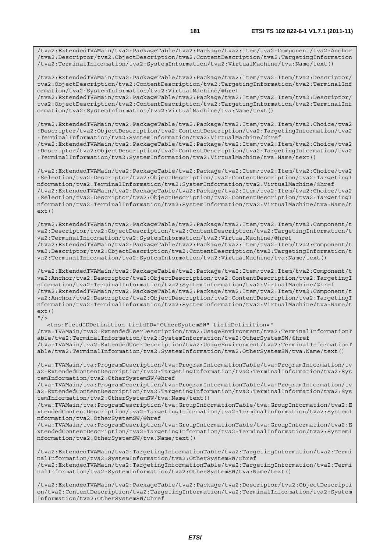/tva2:ExtendedTVAMain/tva2:PackageTable/tva2:Package/tva2:Item/tva2:Component/tva2:Anchor /tva2:Descriptor/tva2:ObjectDescription/tva2:ContentDescription/tva2:TargetingInformation /tva2:TerminalInformation/tva2:SystemInformation/tva2:VirtualMachine/tva:Name/text()

/tva2:ExtendedTVAMain/tva2:PackageTable/tva2:Package/tva2:Item/tva2:Item/tva2:Descriptor/ tva2:ObjectDescription/tva2:ContentDescription/tva2:TargetingInformation/tva2:TerminalInf ormation/tva2:SystemInformation/tva2:VirtualMachine/@href

/tva2:ExtendedTVAMain/tva2:PackageTable/tva2:Package/tva2:Item/tva2:Item/tva2:Descriptor/ tva2:ObjectDescription/tva2:ContentDescription/tva2:TargetingInformation/tva2:TerminalInf ormation/tva2:SystemInformation/tva2:VirtualMachine/tva:Name/text()

/tva2:ExtendedTVAMain/tva2:PackageTable/tva2:Package/tva2:Item/tva2:Item/tva2:Choice/tva2 :Descriptor/tva2:ObjectDescription/tva2:ContentDescription/tva2:TargetingInformation/tva2 :TerminalInformation/tva2:SystemInformation/tva2:VirtualMachine/@href

/tva2:ExtendedTVAMain/tva2:PackageTable/tva2:Package/tva2:Item/tva2:Item/tva2:Choice/tva2 :Descriptor/tva2:ObjectDescription/tva2:ContentDescription/tva2:TargetingInformation/tva2 :TerminalInformation/tva2:SystemInformation/tva2:VirtualMachine/tva:Name/text()

/tva2:ExtendedTVAMain/tva2:PackageTable/tva2:Package/tva2:Item/tva2:Item/tva2:Choice/tva2 :Selection/tva2:Descriptor/tva2:ObjectDescription/tva2:ContentDescription/tva2:TargetingI nformation/tva2:TerminalInformation/tva2:SystemInformation/tva2:VirtualMachine/@href /tva2:ExtendedTVAMain/tva2:PackageTable/tva2:Package/tva2:Item/tva2:Item/tva2:Choice/tva2 :Selection/tva2:Descriptor/tva2:ObjectDescription/tva2:ContentDescription/tva2:TargetingI nformation/tva2:TerminalInformation/tva2:SystemInformation/tva2:VirtualMachine/tva:Name/t ext()

/tva2:ExtendedTVAMain/tva2:PackageTable/tva2:Package/tva2:Item/tva2:Item/tva2:Component/t va2:Descriptor/tva2:ObjectDescription/tva2:ContentDescription/tva2:TargetingInformation/t va2:TerminalInformation/tva2:SystemInformation/tva2:VirtualMachine/@href /tva2:ExtendedTVAMain/tva2:PackageTable/tva2:Package/tva2:Item/tva2:Item/tva2:Component/t va2:Descriptor/tva2:ObjectDescription/tva2:ContentDescription/tva2:TargetingInformation/t va2:TerminalInformation/tva2:SystemInformation/tva2:VirtualMachine/tva:Name/text()

/tva2:ExtendedTVAMain/tva2:PackageTable/tva2:Package/tva2:Item/tva2:Item/tva2:Component/t va2:Anchor/tva2:Descriptor/tva2:ObjectDescription/tva2:ContentDescription/tva2:TargetingI nformation/tva2:TerminalInformation/tva2:SystemInformation/tva2:VirtualMachine/@href /tva2:ExtendedTVAMain/tva2:PackageTable/tva2:Package/tva2:Item/tva2:Item/tva2:Component/t va2:Anchor/tva2:Descriptor/tva2:ObjectDescription/tva2:ContentDescription/tva2:TargetingI nformation/tva2:TerminalInformation/tva2:SystemInformation/tva2:VirtualMachine/tva:Name/t ext()  $''$  /  $>$ 

 <tns:FieldIDDefinition fieldID="OtherSystemSW" fieldDefinition=" /tva:TVAMain/tva2:ExtendedUserDescription/tva2:UsageEnvironment/tva2:TerminalInformationT able/tva2:TerminalInformation/tva2:SystemInformation/tva2:OtherSystemSW/@href /tva:TVAMain/tva2:ExtendedUserDescription/tva2:UsageEnvironment/tva2:TerminalInformationT able/tva2:TerminalInformation/tva2:SystemInformation/tva2:OtherSystemSW/tva:Name/text()

/tva:TVAMain/tva:ProgramDescription/tva:ProgramInformationTable/tva:ProgramInformation/tv a2:ExtendedContentDescription/tva2:TargetingInformation/tva2:TerminalInformation/tva2:Sys temInformation/tva2:OtherSystemSW/@href

/tva:TVAMain/tva:ProgramDescription/tva:ProgramInformationTable/tva:ProgramInformation/tv a2:ExtendedContentDescription/tva2:TargetingInformation/tva2:TerminalInformation/tva2:Sys temInformation/tva2:OtherSystemSW/tva:Name/text()

/tva:TVAMain/tva:ProgramDescription/tva:GroupInformationTable/tva:GroupInformation/tva2:E xtendedContentDescription/tva2:TargetingInformation/tva2:TerminalInformation/tva2:SystemI nformation/tva2:OtherSystemSW/@href

/tva:TVAMain/tva:ProgramDescription/tva:GroupInformationTable/tva:GroupInformation/tva2:E xtendedContentDescription/tva2:TargetingInformation/tva2:TerminalInformation/tva2:SystemI nformation/tva2:OtherSystemSW/tva:Name/text()

/tva2:ExtendedTVAMain/tva2:TargetingInformationTable/tva2:TargetingInformation/tva2:Termi nalInformation/tva2:SystemInformation/tva2:OtherSystemSW/@href /tva2:ExtendedTVAMain/tva2:TargetingInformationTable/tva2:TargetingInformation/tva2:Termi nalInformation/tva2:SystemInformation/tva2:OtherSystemSW/tva:Name/text()

/tva2:ExtendedTVAMain/tva2:PackageTable/tva2:Package/tva2:Descriptor/tva2:ObjectDescripti on/tva2:ContentDescription/tva2:TargetingInformation/tva2:TerminalInformation/tva2:System Information/tva2:OtherSystemSW/@href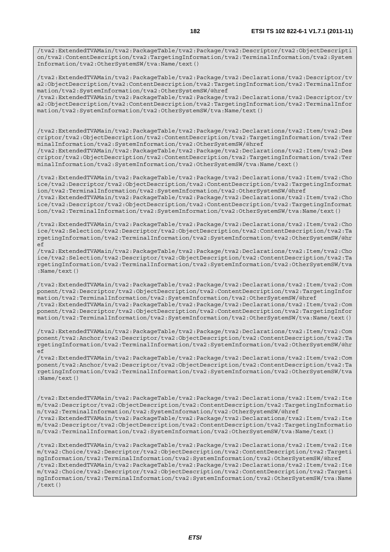/tva2:ExtendedTVAMain/tva2:PackageTable/tva2:Package/tva2:Descriptor/tva2:ObjectDescripti on/tva2:ContentDescription/tva2:TargetingInformation/tva2:TerminalInformation/tva2:System Information/tva2:OtherSystemSW/tva:Name/text()

/tva2:ExtendedTVAMain/tva2:PackageTable/tva2:Package/tva2:Declarations/tva2:Descriptor/tv a2:ObjectDescription/tva2:ContentDescription/tva2:TargetingInformation/tva2:TerminalInfor mation/tva2:SystemInformation/tva2:OtherSystemSW/@href

/tva2:ExtendedTVAMain/tva2:PackageTable/tva2:Package/tva2:Declarations/tva2:Descriptor/tv a2:ObjectDescription/tva2:ContentDescription/tva2:TargetingInformation/tva2:TerminalInfor mation/tva2:SystemInformation/tva2:OtherSystemSW/tva:Name/text()

/tva2:ExtendedTVAMain/tva2:PackageTable/tva2:Package/tva2:Declarations/tva2:Item/tva2:Des criptor/tva2:ObjectDescription/tva2:ContentDescription/tva2:TargetingInformation/tva2:Ter minalInformation/tva2:SystemInformation/tva2:OtherSystemSW/@href

/tva2:ExtendedTVAMain/tva2:PackageTable/tva2:Package/tva2:Declarations/tva2:Item/tva2:Des criptor/tva2:ObjectDescription/tva2:ContentDescription/tva2:TargetingInformation/tva2:Ter minalInformation/tva2:SystemInformation/tva2:OtherSystemSW/tva:Name/text()

/tva2:ExtendedTVAMain/tva2:PackageTable/tva2:Package/tva2:Declarations/tva2:Item/tva2:Cho ice/tva2:Descriptor/tva2:ObjectDescription/tva2:ContentDescription/tva2:TargetingInformat ion/tva2:TerminalInformation/tva2:SystemInformation/tva2:OtherSystemSW/@href /tva2:ExtendedTVAMain/tva2:PackageTable/tva2:Package/tva2:Declarations/tva2:Item/tva2:Cho ice/tva2:Descriptor/tva2:ObjectDescription/tva2:ContentDescription/tva2:TargetingInformat

ion/tva2:TerminalInformation/tva2:SystemInformation/tva2:OtherSystemSW/tva:Name/text()

/tva2:ExtendedTVAMain/tva2:PackageTable/tva2:Package/tva2:Declarations/tva2:Item/tva2:Cho ice/tva2:Selection/tva2:Descriptor/tva2:ObjectDescription/tva2:ContentDescription/tva2:Ta rgetingInformation/tva2:TerminalInformation/tva2:SystemInformation/tva2:OtherSystemSW/@hr ef

/tva2:ExtendedTVAMain/tva2:PackageTable/tva2:Package/tva2:Declarations/tva2:Item/tva2:Cho ice/tva2:Selection/tva2:Descriptor/tva2:ObjectDescription/tva2:ContentDescription/tva2:Ta rgetingInformation/tva2:TerminalInformation/tva2:SystemInformation/tva2:OtherSystemSW/tva :Name/text()

/tva2:ExtendedTVAMain/tva2:PackageTable/tva2:Package/tva2:Declarations/tva2:Item/tva2:Com ponent/tva2:Descriptor/tva2:ObjectDescription/tva2:ContentDescription/tva2:TargetingInfor mation/tva2:TerminalInformation/tva2:SystemInformation/tva2:OtherSystemSW/@href /tva2:ExtendedTVAMain/tva2:PackageTable/tva2:Package/tva2:Declarations/tva2:Item/tva2:Com ponent/tva2:Descriptor/tva2:ObjectDescription/tva2:ContentDescription/tva2:TargetingInfor mation/tva2:TerminalInformation/tva2:SystemInformation/tva2:OtherSystemSW/tva:Name/text()

/tva2:ExtendedTVAMain/tva2:PackageTable/tva2:Package/tva2:Declarations/tva2:Item/tva2:Com ponent/tva2:Anchor/tva2:Descriptor/tva2:ObjectDescription/tva2:ContentDescription/tva2:Ta rgetingInformation/tva2:TerminalInformation/tva2:SystemInformation/tva2:OtherSystemSW/@hr ef

/tva2:ExtendedTVAMain/tva2:PackageTable/tva2:Package/tva2:Declarations/tva2:Item/tva2:Com ponent/tva2:Anchor/tva2:Descriptor/tva2:ObjectDescription/tva2:ContentDescription/tva2:Ta rgetingInformation/tva2:TerminalInformation/tva2:SystemInformation/tva2:OtherSystemSW/tva :Name/text()

/tva2:ExtendedTVAMain/tva2:PackageTable/tva2:Package/tva2:Declarations/tva2:Item/tva2:Ite m/tva2:Descriptor/tva2:ObjectDescription/tva2:ContentDescription/tva2:TargetingInformatio n/tva2:TerminalInformation/tva2:SystemInformation/tva2:OtherSystemSW/@href /tva2:ExtendedTVAMain/tva2:PackageTable/tva2:Package/tva2:Declarations/tva2:Item/tva2:Ite m/tva2:Descriptor/tva2:ObjectDescription/tva2:ContentDescription/tva2:TargetingInformatio n/tva2:TerminalInformation/tva2:SystemInformation/tva2:OtherSystemSW/tva:Name/text()

/tva2:ExtendedTVAMain/tva2:PackageTable/tva2:Package/tva2:Declarations/tva2:Item/tva2:Ite m/tva2:Choice/tva2:Descriptor/tva2:ObjectDescription/tva2:ContentDescription/tva2:Targeti ngInformation/tva2:TerminalInformation/tva2:SystemInformation/tva2:OtherSystemSW/@href /tva2:ExtendedTVAMain/tva2:PackageTable/tva2:Package/tva2:Declarations/tva2:Item/tva2:Ite m/tva2:Choice/tva2:Descriptor/tva2:ObjectDescription/tva2:ContentDescription/tva2:Targeti ngInformation/tva2:TerminalInformation/tva2:SystemInformation/tva2:OtherSystemSW/tva:Name  $/$ text $()$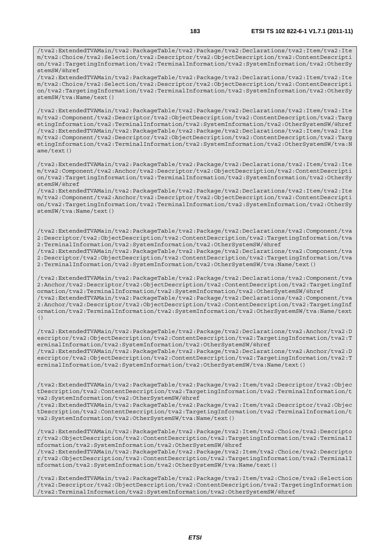/tva2:ExtendedTVAMain/tva2:PackageTable/tva2:Package/tva2:Declarations/tva2:Item/tva2:Ite m/tva2:Choice/tva2:Selection/tva2:Descriptor/tva2:ObjectDescription/tva2:ContentDescripti on/tva2:TargetingInformation/tva2:TerminalInformation/tva2:SystemInformation/tva2:OtherSy stemSW/tva:Name/text()

/tva2:ExtendedTVAMain/tva2:PackageTable/tva2:Package/tva2:Declarations/tva2:Item/tva2:Ite m/tva2:Component/tva2:Descriptor/tva2:ObjectDescription/tva2:ContentDescription/tva2:Targ etingInformation/tva2:TerminalInformation/tva2:SystemInformation/tva2:OtherSystemSW/@href /tva2:ExtendedTVAMain/tva2:PackageTable/tva2:Package/tva2:Declarations/tva2:Item/tva2:Ite m/tva2:Component/tva2:Descriptor/tva2:ObjectDescription/tva2:ContentDescription/tva2:Targ etingInformation/tva2:TerminalInformation/tva2:SystemInformation/tva2:OtherSystemSW/tva:N ame/text()

/tva2:ExtendedTVAMain/tva2:PackageTable/tva2:Package/tva2:Declarations/tva2:Item/tva2:Ite m/tva2:Component/tva2:Anchor/tva2:Descriptor/tva2:ObjectDescription/tva2:ContentDescripti on/tva2:TargetingInformation/tva2:TerminalInformation/tva2:SystemInformation/tva2:OtherSy stemSW/@href

/tva2:ExtendedTVAMain/tva2:PackageTable/tva2:Package/tva2:Declarations/tva2:Item/tva2:Ite m/tva2:Component/tva2:Anchor/tva2:Descriptor/tva2:ObjectDescription/tva2:ContentDescripti on/tva2:TargetingInformation/tva2:TerminalInformation/tva2:SystemInformation/tva2:OtherSy stemSW/tva:Name/text()

/tva2:ExtendedTVAMain/tva2:PackageTable/tva2:Package/tva2:Declarations/tva2:Component/tva 2:Descriptor/tva2:ObjectDescription/tva2:ContentDescription/tva2:TargetingInformation/tva 2:TerminalInformation/tva2:SystemInformation/tva2:OtherSystemSW/@href

/tva2:ExtendedTVAMain/tva2:PackageTable/tva2:Package/tva2:Declarations/tva2:Component/tva 2:Descriptor/tva2:ObjectDescription/tva2:ContentDescription/tva2:TargetingInformation/tva 2:TerminalInformation/tva2:SystemInformation/tva2:OtherSystemSW/tva:Name/text()

/tva2:ExtendedTVAMain/tva2:PackageTable/tva2:Package/tva2:Declarations/tva2:Component/tva 2:Anchor/tva2:Descriptor/tva2:ObjectDescription/tva2:ContentDescription/tva2:TargetingInf ormation/tva2:TerminalInformation/tva2:SystemInformation/tva2:OtherSystemSW/@href /tva2:ExtendedTVAMain/tva2:PackageTable/tva2:Package/tva2:Declarations/tva2:Component/tva 2:Anchor/tva2:Descriptor/tva2:ObjectDescription/tva2:ContentDescription/tva2:TargetingInf ormation/tva2:TerminalInformation/tva2:SystemInformation/tva2:OtherSystemSW/tva:Name/text ()

/tva2:ExtendedTVAMain/tva2:PackageTable/tva2:Package/tva2:Declarations/tva2:Anchor/tva2:D escriptor/tva2:ObjectDescription/tva2:ContentDescription/tva2:TargetingInformation/tva2:T erminalInformation/tva2:SystemInformation/tva2:OtherSystemSW/@href /tva2:ExtendedTVAMain/tva2:PackageTable/tva2:Package/tva2:Declarations/tva2:Anchor/tva2:D escriptor/tva2:ObjectDescription/tva2:ContentDescription/tva2:TargetingInformation/tva2:T erminalInformation/tva2:SystemInformation/tva2:OtherSystemSW/tva:Name/text()

/tva2:ExtendedTVAMain/tva2:PackageTable/tva2:Package/tva2:Item/tva2:Descriptor/tva2:Objec tDescription/tva2:ContentDescription/tva2:TargetingInformation/tva2:TerminalInformation/t va2:SystemInformation/tva2:OtherSystemSW/@href

/tva2:ExtendedTVAMain/tva2:PackageTable/tva2:Package/tva2:Item/tva2:Descriptor/tva2:Objec tDescription/tva2:ContentDescription/tva2:TargetingInformation/tva2:TerminalInformation/t va2:SystemInformation/tva2:OtherSystemSW/tva:Name/text()

/tva2:ExtendedTVAMain/tva2:PackageTable/tva2:Package/tva2:Item/tva2:Choice/tva2:Descripto r/tva2:ObjectDescription/tva2:ContentDescription/tva2:TargetingInformation/tva2:TerminalI nformation/tva2:SystemInformation/tva2:OtherSystemSW/@href

/tva2:ExtendedTVAMain/tva2:PackageTable/tva2:Package/tva2:Item/tva2:Choice/tva2:Descripto r/tva2:ObjectDescription/tva2:ContentDescription/tva2:TargetingInformation/tva2:TerminalI nformation/tva2:SystemInformation/tva2:OtherSystemSW/tva:Name/text()

/tva2:ExtendedTVAMain/tva2:PackageTable/tva2:Package/tva2:Item/tva2:Choice/tva2:Selection /tva2:Descriptor/tva2:ObjectDescription/tva2:ContentDescription/tva2:TargetingInformation /tva2:TerminalInformation/tva2:SystemInformation/tva2:OtherSystemSW/@href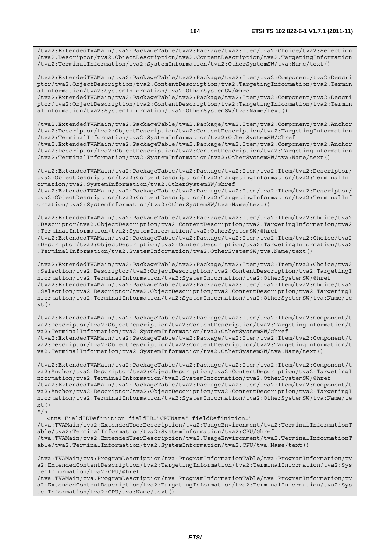/tva2:ExtendedTVAMain/tva2:PackageTable/tva2:Package/tva2:Item/tva2:Choice/tva2:Selection /tva2:Descriptor/tva2:ObjectDescription/tva2:ContentDescription/tva2:TargetingInformation /tva2:TerminalInformation/tva2:SystemInformation/tva2:OtherSystemSW/tva:Name/text()

/tva2:ExtendedTVAMain/tva2:PackageTable/tva2:Package/tva2:Item/tva2:Component/tva2:Descri ptor/tva2:ObjectDescription/tva2:ContentDescription/tva2:TargetingInformation/tva2:Termin alInformation/tva2:SystemInformation/tva2:OtherSystemSW/@href

/tva2:ExtendedTVAMain/tva2:PackageTable/tva2:Package/tva2:Item/tva2:Component/tva2:Descri ptor/tva2:ObjectDescription/tva2:ContentDescription/tva2:TargetingInformation/tva2:Termin alInformation/tva2:SystemInformation/tva2:OtherSystemSW/tva:Name/text()

/tva2:ExtendedTVAMain/tva2:PackageTable/tva2:Package/tva2:Item/tva2:Component/tva2:Anchor /tva2:Descriptor/tva2:ObjectDescription/tva2:ContentDescription/tva2:TargetingInformation /tva2:TerminalInformation/tva2:SystemInformation/tva2:OtherSystemSW/@href

/tva2:ExtendedTVAMain/tva2:PackageTable/tva2:Package/tva2:Item/tva2:Component/tva2:Anchor /tva2:Descriptor/tva2:ObjectDescription/tva2:ContentDescription/tva2:TargetingInformation /tva2:TerminalInformation/tva2:SystemInformation/tva2:OtherSystemSW/tva:Name/text()

/tva2:ExtendedTVAMain/tva2:PackageTable/tva2:Package/tva2:Item/tva2:Item/tva2:Descriptor/ tva2:ObjectDescription/tva2:ContentDescription/tva2:TargetingInformation/tva2:TerminalInf ormation/tva2:SystemInformation/tva2:OtherSystemSW/@href

/tva2:ExtendedTVAMain/tva2:PackageTable/tva2:Package/tva2:Item/tva2:Item/tva2:Descriptor/ tva2:ObjectDescription/tva2:ContentDescription/tva2:TargetingInformation/tva2:TerminalInf ormation/tva2:SystemInformation/tva2:OtherSystemSW/tva:Name/text()

/tva2:ExtendedTVAMain/tva2:PackageTable/tva2:Package/tva2:Item/tva2:Item/tva2:Choice/tva2 :Descriptor/tva2:ObjectDescription/tva2:ContentDescription/tva2:TargetingInformation/tva2 :TerminalInformation/tva2:SystemInformation/tva2:OtherSystemSW/@href

/tva2:ExtendedTVAMain/tva2:PackageTable/tva2:Package/tva2:Item/tva2:Item/tva2:Choice/tva2 :Descriptor/tva2:ObjectDescription/tva2:ContentDescription/tva2:TargetingInformation/tva2 :TerminalInformation/tva2:SystemInformation/tva2:OtherSystemSW/tva:Name/text()

/tva2:ExtendedTVAMain/tva2:PackageTable/tva2:Package/tva2:Item/tva2:Item/tva2:Choice/tva2 :Selection/tva2:Descriptor/tva2:ObjectDescription/tva2:ContentDescription/tva2:TargetingI nformation/tva2:TerminalInformation/tva2:SystemInformation/tva2:OtherSystemSW/@href /tva2:ExtendedTVAMain/tva2:PackageTable/tva2:Package/tva2:Item/tva2:Item/tva2:Choice/tva2 :Selection/tva2:Descriptor/tva2:ObjectDescription/tva2:ContentDescription/tva2:TargetingI nformation/tva2:TerminalInformation/tva2:SystemInformation/tva2:OtherSystemSW/tva:Name/te  $xt()$ 

/tva2:ExtendedTVAMain/tva2:PackageTable/tva2:Package/tva2:Item/tva2:Item/tva2:Component/t va2:Descriptor/tva2:ObjectDescription/tva2:ContentDescription/tva2:TargetingInformation/t va2:TerminalInformation/tva2:SystemInformation/tva2:OtherSystemSW/@href /tva2:ExtendedTVAMain/tva2:PackageTable/tva2:Package/tva2:Item/tva2:Item/tva2:Component/t va2:Descriptor/tva2:ObjectDescription/tva2:ContentDescription/tva2:TargetingInformation/t va2:TerminalInformation/tva2:SystemInformation/tva2:OtherSystemSW/tva:Name/text()

/tva2:ExtendedTVAMain/tva2:PackageTable/tva2:Package/tva2:Item/tva2:Item/tva2:Component/t va2:Anchor/tva2:Descriptor/tva2:ObjectDescription/tva2:ContentDescription/tva2:TargetingI nformation/tva2:TerminalInformation/tva2:SystemInformation/tva2:OtherSystemSW/@href /tva2:ExtendedTVAMain/tva2:PackageTable/tva2:Package/tva2:Item/tva2:Item/tva2:Component/t va2:Anchor/tva2:Descriptor/tva2:ObjectDescription/tva2:ContentDescription/tva2:TargetingI nformation/tva2:TerminalInformation/tva2:SystemInformation/tva2:OtherSystemSW/tva:Name/te  $xt()$  $"$  / >

<tns:FieldIDDefinition fieldID="CPUName" fieldDefinition="

/tva:TVAMain/tva2:ExtendedUserDescription/tva2:UsageEnvironment/tva2:TerminalInformationT able/tva2:TerminalInformation/tva2:SystemInformation/tva2:CPU/@href

/tva:TVAMain/tva2:ExtendedUserDescription/tva2:UsageEnvironment/tva2:TerminalInformationT able/tva2:TerminalInformation/tva2:SystemInformation/tva2:CPU/tva:Name/text()

/tva:TVAMain/tva:ProgramDescription/tva:ProgramInformationTable/tva:ProgramInformation/tv a2:ExtendedContentDescription/tva2:TargetingInformation/tva2:TerminalInformation/tva2:Sys temInformation/tva2:CPU/@href

/tva:TVAMain/tva:ProgramDescription/tva:ProgramInformationTable/tva:ProgramInformation/tv a2:ExtendedContentDescription/tva2:TargetingInformation/tva2:TerminalInformation/tva2:Sys temInformation/tva2:CPU/tva:Name/text()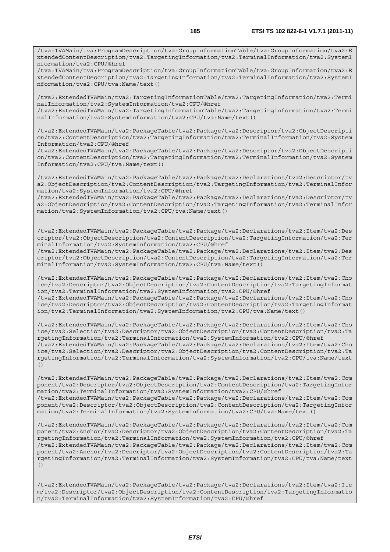/tva:TVAMain/tva:ProgramDescription/tva:GroupInformationTable/tva:GroupInformation/tva2:E xtendedContentDescription/tva2:TargetingInformation/tva2:TerminalInformation/tva2:SystemI nformation/tva2:CPU/@href

/tva:TVAMain/tva:ProgramDescription/tva:GroupInformationTable/tva:GroupInformation/tva2:E xtendedContentDescription/tva2:TargetingInformation/tva2:TerminalInformation/tva2:SystemI nformation/tva2:CPU/tva:Name/text()

/tva2:ExtendedTVAMain/tva2:TargetingInformationTable/tva2:TargetingInformation/tva2:Termi nalInformation/tva2:SystemInformation/tva2:CPU/@href

/tva2:ExtendedTVAMain/tva2:TargetingInformationTable/tva2:TargetingInformation/tva2:Termi nalInformation/tva2:SystemInformation/tva2:CPU/tva:Name/text()

/tva2:ExtendedTVAMain/tva2:PackageTable/tva2:Package/tva2:Descriptor/tva2:ObjectDescripti on/tva2:ContentDescription/tva2:TargetingInformation/tva2:TerminalInformation/tva2:System Information/tva2:CPU/@href

/tva2:ExtendedTVAMain/tva2:PackageTable/tva2:Package/tva2:Descriptor/tva2:ObjectDescripti on/tva2:ContentDescription/tva2:TargetingInformation/tva2:TerminalInformation/tva2:System Information/tva2:CPU/tva:Name/text()

/tva2:ExtendedTVAMain/tva2:PackageTable/tva2:Package/tva2:Declarations/tva2:Descriptor/tv a2:ObjectDescription/tva2:ContentDescription/tva2:TargetingInformation/tva2:TerminalInfor mation/tva2:SystemInformation/tva2:CPU/@href

/tva2:ExtendedTVAMain/tva2:PackageTable/tva2:Package/tva2:Declarations/tva2:Descriptor/tv a2:ObjectDescription/tva2:ContentDescription/tva2:TargetingInformation/tva2:TerminalInfor mation/tva2:SystemInformation/tva2:CPU/tva:Name/text()

/tva2:ExtendedTVAMain/tva2:PackageTable/tva2:Package/tva2:Declarations/tva2:Item/tva2:Des criptor/tva2:ObjectDescription/tva2:ContentDescription/tva2:TargetingInformation/tva2:Ter minalInformation/tva2:SystemInformation/tva2:CPU/@href

/tva2:ExtendedTVAMain/tva2:PackageTable/tva2:Package/tva2:Declarations/tva2:Item/tva2:Des criptor/tva2:ObjectDescription/tva2:ContentDescription/tva2:TargetingInformation/tva2:Ter minalInformation/tva2:SystemInformation/tva2:CPU/tva:Name/text()

/tva2:ExtendedTVAMain/tva2:PackageTable/tva2:Package/tva2:Declarations/tva2:Item/tva2:Cho ice/tva2:Descriptor/tva2:ObjectDescription/tva2:ContentDescription/tva2:TargetingInformat ion/tva2:TerminalInformation/tva2:SystemInformation/tva2:CPU/@href /tva2:ExtendedTVAMain/tva2:PackageTable/tva2:Package/tva2:Declarations/tva2:Item/tva2:Cho ice/tva2:Descriptor/tva2:ObjectDescription/tva2:ContentDescription/tva2:TargetingInformat ion/tva2:TerminalInformation/tva2:SystemInformation/tva2:CPU/tva:Name/text()

/tva2:ExtendedTVAMain/tva2:PackageTable/tva2:Package/tva2:Declarations/tva2:Item/tva2:Cho ice/tva2:Selection/tva2:Descriptor/tva2:ObjectDescription/tva2:ContentDescription/tva2:Ta rgetingInformation/tva2:TerminalInformation/tva2:SystemInformation/tva2:CPU/@href /tva2:ExtendedTVAMain/tva2:PackageTable/tva2:Package/tva2:Declarations/tva2:Item/tva2:Cho ice/tva2:Selection/tva2:Descriptor/tva2:ObjectDescription/tva2:ContentDescription/tva2:Ta rgetingInformation/tva2:TerminalInformation/tva2:SystemInformation/tva2:CPU/tva:Name/text ()

/tva2:ExtendedTVAMain/tva2:PackageTable/tva2:Package/tva2:Declarations/tva2:Item/tva2:Com ponent/tva2:Descriptor/tva2:ObjectDescription/tva2:ContentDescription/tva2:TargetingInfor mation/tva2:TerminalInformation/tva2:SystemInformation/tva2:CPU/@href /tva2:ExtendedTVAMain/tva2:PackageTable/tva2:Package/tva2:Declarations/tva2:Item/tva2:Com ponent/tva2:Descriptor/tva2:ObjectDescription/tva2:ContentDescription/tva2:TargetingInfor mation/tva2:TerminalInformation/tva2:SystemInformation/tva2:CPU/tva:Name/text()

/tva2:ExtendedTVAMain/tva2:PackageTable/tva2:Package/tva2:Declarations/tva2:Item/tva2:Com ponent/tva2:Anchor/tva2:Descriptor/tva2:ObjectDescription/tva2:ContentDescription/tva2:Ta rgetingInformation/tva2:TerminalInformation/tva2:SystemInformation/tva2:CPU/@href /tva2:ExtendedTVAMain/tva2:PackageTable/tva2:Package/tva2:Declarations/tva2:Item/tva2:Com ponent/tva2:Anchor/tva2:Descriptor/tva2:ObjectDescription/tva2:ContentDescription/tva2:Ta rgetingInformation/tva2:TerminalInformation/tva2:SystemInformation/tva2:CPU/tva:Name/text ()

/tva2:ExtendedTVAMain/tva2:PackageTable/tva2:Package/tva2:Declarations/tva2:Item/tva2:Ite m/tva2:Descriptor/tva2:ObjectDescription/tva2:ContentDescription/tva2:TargetingInformatio n/tva2:TerminalInformation/tva2:SystemInformation/tva2:CPU/@href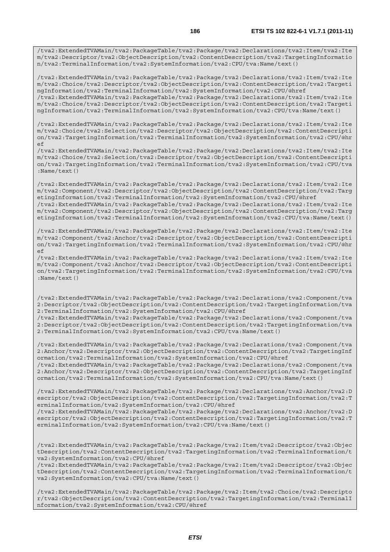/tva2:ExtendedTVAMain/tva2:PackageTable/tva2:Package/tva2:Declarations/tva2:Item/tva2:Ite m/tva2:Descriptor/tva2:ObjectDescription/tva2:ContentDescription/tva2:TargetingInformatio n/tva2:TerminalInformation/tva2:SystemInformation/tva2:CPU/tva:Name/text()

/tva2:ExtendedTVAMain/tva2:PackageTable/tva2:Package/tva2:Declarations/tva2:Item/tva2:Ite m/tva2:Choice/tva2:Descriptor/tva2:ObjectDescription/tva2:ContentDescription/tva2:Targeti ngInformation/tva2:TerminalInformation/tva2:SystemInformation/tva2:CPU/@href /tva2:ExtendedTVAMain/tva2:PackageTable/tva2:Package/tva2:Declarations/tva2:Item/tva2:Ite

m/tva2:Choice/tva2:Descriptor/tva2:ObjectDescription/tva2:ContentDescription/tva2:Targeti ngInformation/tva2:TerminalInformation/tva2:SystemInformation/tva2:CPU/tva:Name/text()

/tva2:ExtendedTVAMain/tva2:PackageTable/tva2:Package/tva2:Declarations/tva2:Item/tva2:Ite m/tva2:Choice/tva2:Selection/tva2:Descriptor/tva2:ObjectDescription/tva2:ContentDescripti on/tva2:TargetingInformation/tva2:TerminalInformation/tva2:SystemInformation/tva2:CPU/@hr  $\epsilon$ 

/tva2:ExtendedTVAMain/tva2:PackageTable/tva2:Package/tva2:Declarations/tva2:Item/tva2:Ite m/tva2:Choice/tva2:Selection/tva2:Descriptor/tva2:ObjectDescription/tva2:ContentDescripti on/tva2:TargetingInformation/tva2:TerminalInformation/tva2:SystemInformation/tva2:CPU/tva :Name/text()

/tva2:ExtendedTVAMain/tva2:PackageTable/tva2:Package/tva2:Declarations/tva2:Item/tva2:Ite m/tva2:Component/tva2:Descriptor/tva2:ObjectDescription/tva2:ContentDescription/tva2:Targ etingInformation/tva2:TerminalInformation/tva2:SystemInformation/tva2:CPU/@href /tva2:ExtendedTVAMain/tva2:PackageTable/tva2:Package/tva2:Declarations/tva2:Item/tva2:Ite m/tva2:Component/tva2:Descriptor/tva2:ObjectDescription/tva2:ContentDescription/tva2:Targ etingInformation/tva2:TerminalInformation/tva2:SystemInformation/tva2:CPU/tva:Name/text()

/tva2:ExtendedTVAMain/tva2:PackageTable/tva2:Package/tva2:Declarations/tva2:Item/tva2:Ite m/tva2:Component/tva2:Anchor/tva2:Descriptor/tva2:ObjectDescription/tva2:ContentDescripti on/tva2:TargetingInformation/tva2:TerminalInformation/tva2:SystemInformation/tva2:CPU/@hr ef

/tva2:ExtendedTVAMain/tva2:PackageTable/tva2:Package/tva2:Declarations/tva2:Item/tva2:Ite m/tva2:Component/tva2:Anchor/tva2:Descriptor/tva2:ObjectDescription/tva2:ContentDescripti on/tva2:TargetingInformation/tva2:TerminalInformation/tva2:SystemInformation/tva2:CPU/tva :Name/text()

/tva2:ExtendedTVAMain/tva2:PackageTable/tva2:Package/tva2:Declarations/tva2:Component/tva 2:Descriptor/tva2:ObjectDescription/tva2:ContentDescription/tva2:TargetingInformation/tva 2:TerminalInformation/tva2:SystemInformation/tva2:CPU/@href

/tva2:ExtendedTVAMain/tva2:PackageTable/tva2:Package/tva2:Declarations/tva2:Component/tva 2:Descriptor/tva2:ObjectDescription/tva2:ContentDescription/tva2:TargetingInformation/tva 2:TerminalInformation/tva2:SystemInformation/tva2:CPU/tva:Name/text()

/tva2:ExtendedTVAMain/tva2:PackageTable/tva2:Package/tva2:Declarations/tva2:Component/tva 2:Anchor/tva2:Descriptor/tva2:ObjectDescription/tva2:ContentDescription/tva2:TargetingInf ormation/tva2:TerminalInformation/tva2:SystemInformation/tva2:CPU/@href /tva2:ExtendedTVAMain/tva2:PackageTable/tva2:Package/tva2:Declarations/tva2:Component/tva 2:Anchor/tva2:Descriptor/tva2:ObjectDescription/tva2:ContentDescription/tva2:TargetingInf ormation/tva2:TerminalInformation/tva2:SystemInformation/tva2:CPU/tva:Name/text()

/tva2:ExtendedTVAMain/tva2:PackageTable/tva2:Package/tva2:Declarations/tva2:Anchor/tva2:D escriptor/tva2:ObjectDescription/tva2:ContentDescription/tva2:TargetingInformation/tva2:T erminalInformation/tva2:SystemInformation/tva2:CPU/@href /tva2:ExtendedTVAMain/tva2:PackageTable/tva2:Package/tva2:Declarations/tva2:Anchor/tva2:D

escriptor/tva2:ObjectDescription/tva2:ContentDescription/tva2:TargetingInformation/tva2:T erminalInformation/tva2:SystemInformation/tva2:CPU/tva:Name/text()

/tva2:ExtendedTVAMain/tva2:PackageTable/tva2:Package/tva2:Item/tva2:Descriptor/tva2:Objec tDescription/tva2:ContentDescription/tva2:TargetingInformation/tva2:TerminalInformation/t va2:SystemInformation/tva2:CPU/@href

/tva2:ExtendedTVAMain/tva2:PackageTable/tva2:Package/tva2:Item/tva2:Descriptor/tva2:Objec tDescription/tva2:ContentDescription/tva2:TargetingInformation/tva2:TerminalInformation/t va2:SystemInformation/tva2:CPU/tva:Name/text()

/tva2:ExtendedTVAMain/tva2:PackageTable/tva2:Package/tva2:Item/tva2:Choice/tva2:Descripto r/tva2:ObjectDescription/tva2:ContentDescription/tva2:TargetingInformation/tva2:TerminalI nformation/tva2:SystemInformation/tva2:CPU/@href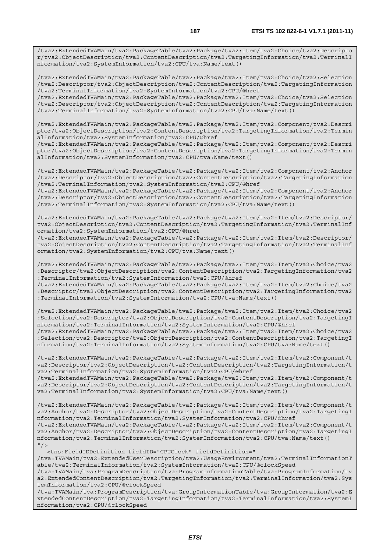/tva2:ExtendedTVAMain/tva2:PackageTable/tva2:Package/tva2:Item/tva2:Choice/tva2:Descripto r/tva2:ObjectDescription/tva2:ContentDescription/tva2:TargetingInformation/tva2:TerminalI nformation/tva2:SystemInformation/tva2:CPU/tva:Name/text()

/tva2:ExtendedTVAMain/tva2:PackageTable/tva2:Package/tva2:Item/tva2:Choice/tva2:Selection /tva2:Descriptor/tva2:ObjectDescription/tva2:ContentDescription/tva2:TargetingInformation /tva2:TerminalInformation/tva2:SystemInformation/tva2:CPU/@href

/tva2:ExtendedTVAMain/tva2:PackageTable/tva2:Package/tva2:Item/tva2:Choice/tva2:Selection /tva2:Descriptor/tva2:ObjectDescription/tva2:ContentDescription/tva2:TargetingInformation /tva2:TerminalInformation/tva2:SystemInformation/tva2:CPU/tva:Name/text()

/tva2:ExtendedTVAMain/tva2:PackageTable/tva2:Package/tva2:Item/tva2:Component/tva2:Descri ptor/tva2:ObjectDescription/tva2:ContentDescription/tva2:TargetingInformation/tva2:Termin alInformation/tva2:SystemInformation/tva2:CPU/@href

/tva2:ExtendedTVAMain/tva2:PackageTable/tva2:Package/tva2:Item/tva2:Component/tva2:Descri ptor/tva2:ObjectDescription/tva2:ContentDescription/tva2:TargetingInformation/tva2:Termin alInformation/tva2:SystemInformation/tva2:CPU/tva:Name/text()

/tva2:ExtendedTVAMain/tva2:PackageTable/tva2:Package/tva2:Item/tva2:Component/tva2:Anchor /tva2:Descriptor/tva2:ObjectDescription/tva2:ContentDescription/tva2:TargetingInformation /tva2:TerminalInformation/tva2:SystemInformation/tva2:CPU/@href

/tva2:ExtendedTVAMain/tva2:PackageTable/tva2:Package/tva2:Item/tva2:Component/tva2:Anchor /tva2:Descriptor/tva2:ObjectDescription/tva2:ContentDescription/tva2:TargetingInformation /tva2:TerminalInformation/tva2:SystemInformation/tva2:CPU/tva:Name/text()

/tva2:ExtendedTVAMain/tva2:PackageTable/tva2:Package/tva2:Item/tva2:Item/tva2:Descriptor/ tva2:ObjectDescription/tva2:ContentDescription/tva2:TargetingInformation/tva2:TerminalInf ormation/tva2:SystemInformation/tva2:CPU/@href

/tva2:ExtendedTVAMain/tva2:PackageTable/tva2:Package/tva2:Item/tva2:Item/tva2:Descriptor/ tva2:ObjectDescription/tva2:ContentDescription/tva2:TargetingInformation/tva2:TerminalInf ormation/tva2:SystemInformation/tva2:CPU/tva:Name/text()

/tva2:ExtendedTVAMain/tva2:PackageTable/tva2:Package/tva2:Item/tva2:Item/tva2:Choice/tva2 :Descriptor/tva2:ObjectDescription/tva2:ContentDescription/tva2:TargetingInformation/tva2 :TerminalInformation/tva2:SystemInformation/tva2:CPU/@href

/tva2:ExtendedTVAMain/tva2:PackageTable/tva2:Package/tva2:Item/tva2:Item/tva2:Choice/tva2 :Descriptor/tva2:ObjectDescription/tva2:ContentDescription/tva2:TargetingInformation/tva2 :TerminalInformation/tva2:SystemInformation/tva2:CPU/tva:Name/text()

/tva2:ExtendedTVAMain/tva2:PackageTable/tva2:Package/tva2:Item/tva2:Item/tva2:Choice/tva2 :Selection/tva2:Descriptor/tva2:ObjectDescription/tva2:ContentDescription/tva2:TargetingI nformation/tva2:TerminalInformation/tva2:SystemInformation/tva2:CPU/@href

/tva2:ExtendedTVAMain/tva2:PackageTable/tva2:Package/tva2:Item/tva2:Item/tva2:Choice/tva2 :Selection/tva2:Descriptor/tva2:ObjectDescription/tva2:ContentDescription/tva2:TargetingI nformation/tva2:TerminalInformation/tva2:SystemInformation/tva2:CPU/tva:Name/text()

/tva2:ExtendedTVAMain/tva2:PackageTable/tva2:Package/tva2:Item/tva2:Item/tva2:Component/t va2:Descriptor/tva2:ObjectDescription/tva2:ContentDescription/tva2:TargetingInformation/t va2:TerminalInformation/tva2:SystemInformation/tva2:CPU/@href

/tva2:ExtendedTVAMain/tva2:PackageTable/tva2:Package/tva2:Item/tva2:Item/tva2:Component/t va2:Descriptor/tva2:ObjectDescription/tva2:ContentDescription/tva2:TargetingInformation/t va2:TerminalInformation/tva2:SystemInformation/tva2:CPU/tva:Name/text()

/tva2:ExtendedTVAMain/tva2:PackageTable/tva2:Package/tva2:Item/tva2:Item/tva2:Component/t va2:Anchor/tva2:Descriptor/tva2:ObjectDescription/tva2:ContentDescription/tva2:TargetingI nformation/tva2:TerminalInformation/tva2:SystemInformation/tva2:CPU/@href

/tva2:ExtendedTVAMain/tva2:PackageTable/tva2:Package/tva2:Item/tva2:Item/tva2:Component/t va2:Anchor/tva2:Descriptor/tva2:ObjectDescription/tva2:ContentDescription/tva2:TargetingI nformation/tva2:TerminalInformation/tva2:SystemInformation/tva2:CPU/tva:Name/text()  $''/2$ 

<tns:FieldIDDefinition fieldID="CPUClock" fieldDefinition="

/tva:TVAMain/tva2:ExtendedUserDescription/tva2:UsageEnvironment/tva2:TerminalInformationT able/tva2:TerminalInformation/tva2:SystemInformation/tva2:CPU/@clockSpeed

/tva:TVAMain/tva:ProgramDescription/tva:ProgramInformationTable/tva:ProgramInformation/tv a2:ExtendedContentDescription/tva2:TargetingInformation/tva2:TerminalInformation/tva2:Sys temInformation/tva2:CPU/@clockSpeed

/tva:TVAMain/tva:ProgramDescription/tva:GroupInformationTable/tva:GroupInformation/tva2:E xtendedContentDescription/tva2:TargetingInformation/tva2:TerminalInformation/tva2:SystemI nformation/tva2:CPU/@clockSpeed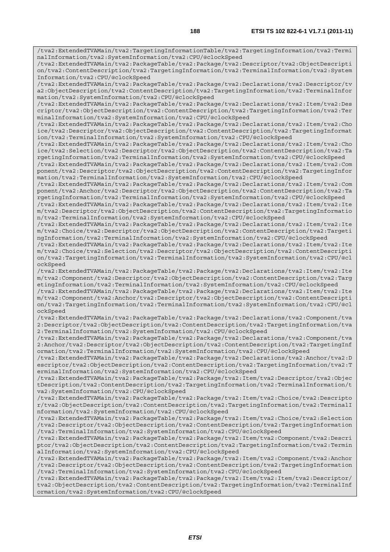/tva2:ExtendedTVAMain/tva2:TargetingInformationTable/tva2:TargetingInformation/tva2:Termi nalInformation/tva2:SystemInformation/tva2:CPU/@clockSpeed

/tva2:ExtendedTVAMain/tva2:PackageTable/tva2:Package/tva2:Descriptor/tva2:ObjectDescripti on/tva2:ContentDescription/tva2:TargetingInformation/tva2:TerminalInformation/tva2:System Information/tva2:CPU/@clockSpeed

/tva2:ExtendedTVAMain/tva2:PackageTable/tva2:Package/tva2:Declarations/tva2:Descriptor/tv a2:ObjectDescription/tva2:ContentDescription/tva2:TargetingInformation/tva2:TerminalInfor mation/tva2:SystemInformation/tva2:CPU/@clockSpeed

/tva2:ExtendedTVAMain/tva2:PackageTable/tva2:Package/tva2:Declarations/tva2:Item/tva2:Des criptor/tva2:ObjectDescription/tva2:ContentDescription/tva2:TargetingInformation/tva2:Ter minalInformation/tva2:SystemInformation/tva2:CPU/@clockSpeed

/tva2:ExtendedTVAMain/tva2:PackageTable/tva2:Package/tva2:Declarations/tva2:Item/tva2:Cho ice/tva2:Descriptor/tva2:ObjectDescription/tva2:ContentDescription/tva2:TargetingInformat ion/tva2:TerminalInformation/tva2:SystemInformation/tva2:CPU/@clockSpeed

/tva2:ExtendedTVAMain/tva2:PackageTable/tva2:Package/tva2:Declarations/tva2:Item/tva2:Cho ice/tva2:Selection/tva2:Descriptor/tva2:ObjectDescription/tva2:ContentDescription/tva2:Ta rgetingInformation/tva2:TerminalInformation/tva2:SystemInformation/tva2:CPU/@clockSpeed

/tva2:ExtendedTVAMain/tva2:PackageTable/tva2:Package/tva2:Declarations/tva2:Item/tva2:Com ponent/tva2:Descriptor/tva2:ObjectDescription/tva2:ContentDescription/tva2:TargetingInfor mation/tva2:TerminalInformation/tva2:SystemInformation/tva2:CPU/@clockSpeed

/tva2:ExtendedTVAMain/tva2:PackageTable/tva2:Package/tva2:Declarations/tva2:Item/tva2:Com ponent/tva2:Anchor/tva2:Descriptor/tva2:ObjectDescription/tva2:ContentDescription/tva2:Ta rgetingInformation/tva2:TerminalInformation/tva2:SystemInformation/tva2:CPU/@clockSpeed

/tva2:ExtendedTVAMain/tva2:PackageTable/tva2:Package/tva2:Declarations/tva2:Item/tva2:Ite m/tva2:Descriptor/tva2:ObjectDescription/tva2:ContentDescription/tva2:TargetingInformatio n/tva2:TerminalInformation/tva2:SystemInformation/tva2:CPU/@clockSpeed

/tva2:ExtendedTVAMain/tva2:PackageTable/tva2:Package/tva2:Declarations/tva2:Item/tva2:Ite m/tva2:Choice/tva2:Descriptor/tva2:ObjectDescription/tva2:ContentDescription/tva2:Targeti ngInformation/tva2:TerminalInformation/tva2:SystemInformation/tva2:CPU/@clockSpeed

/tva2:ExtendedTVAMain/tva2:PackageTable/tva2:Package/tva2:Declarations/tva2:Item/tva2:Ite m/tva2:Choice/tva2:Selection/tva2:Descriptor/tva2:ObjectDescription/tva2:ContentDescripti on/tva2:TargetingInformation/tva2:TerminalInformation/tva2:SystemInformation/tva2:CPU/@cl ockSpeed

/tva2:ExtendedTVAMain/tva2:PackageTable/tva2:Package/tva2:Declarations/tva2:Item/tva2:Ite m/tva2:Component/tva2:Descriptor/tva2:ObjectDescription/tva2:ContentDescription/tva2:Targ etingInformation/tva2:TerminalInformation/tva2:SystemInformation/tva2:CPU/@clockSpeed

/tva2:ExtendedTVAMain/tva2:PackageTable/tva2:Package/tva2:Declarations/tva2:Item/tva2:Ite m/tva2:Component/tva2:Anchor/tva2:Descriptor/tva2:ObjectDescription/tva2:ContentDescripti on/tva2:TargetingInformation/tva2:TerminalInformation/tva2:SystemInformation/tva2:CPU/@cl ockSpeed

/tva2:ExtendedTVAMain/tva2:PackageTable/tva2:Package/tva2:Declarations/tva2:Component/tva 2:Descriptor/tva2:ObjectDescription/tva2:ContentDescription/tva2:TargetingInformation/tva 2:TerminalInformation/tva2:SystemInformation/tva2:CPU/@clockSpeed

/tva2:ExtendedTVAMain/tva2:PackageTable/tva2:Package/tva2:Declarations/tva2:Component/tva 2:Anchor/tva2:Descriptor/tva2:ObjectDescription/tva2:ContentDescription/tva2:TargetingInf ormation/tva2:TerminalInformation/tva2:SystemInformation/tva2:CPU/@clockSpeed

/tva2:ExtendedTVAMain/tva2:PackageTable/tva2:Package/tva2:Declarations/tva2:Anchor/tva2:D escriptor/tva2:ObjectDescription/tva2:ContentDescription/tva2:TargetingInformation/tva2:T erminalInformation/tva2:SystemInformation/tva2:CPU/@clockSpeed

/tva2:ExtendedTVAMain/tva2:PackageTable/tva2:Package/tva2:Item/tva2:Descriptor/tva2:Objec tDescription/tva2:ContentDescription/tva2:TargetingInformation/tva2:TerminalInformation/t va2:SystemInformation/tva2:CPU/@clockSpeed

/tva2:ExtendedTVAMain/tva2:PackageTable/tva2:Package/tva2:Item/tva2:Choice/tva2:Descripto r/tva2:ObjectDescription/tva2:ContentDescription/tva2:TargetingInformation/tva2:TerminalI nformation/tva2:SystemInformation/tva2:CPU/@clockSpeed

/tva2:ExtendedTVAMain/tva2:PackageTable/tva2:Package/tva2:Item/tva2:Choice/tva2:Selection /tva2:Descriptor/tva2:ObjectDescription/tva2:ContentDescription/tva2:TargetingInformation /tva2:TerminalInformation/tva2:SystemInformation/tva2:CPU/@clockSpeed

/tva2:ExtendedTVAMain/tva2:PackageTable/tva2:Package/tva2:Item/tva2:Component/tva2:Descri ptor/tva2:ObjectDescription/tva2:ContentDescription/tva2:TargetingInformation/tva2:Termin alInformation/tva2:SystemInformation/tva2:CPU/@clockSpeed

/tva2:ExtendedTVAMain/tva2:PackageTable/tva2:Package/tva2:Item/tva2:Component/tva2:Anchor /tva2:Descriptor/tva2:ObjectDescription/tva2:ContentDescription/tva2:TargetingInformation /tva2:TerminalInformation/tva2:SystemInformation/tva2:CPU/@clockSpeed

/tva2:ExtendedTVAMain/tva2:PackageTable/tva2:Package/tva2:Item/tva2:Item/tva2:Descriptor/ tva2:ObjectDescription/tva2:ContentDescription/tva2:TargetingInformation/tva2:TerminalInf ormation/tva2:SystemInformation/tva2:CPU/@clockSpeed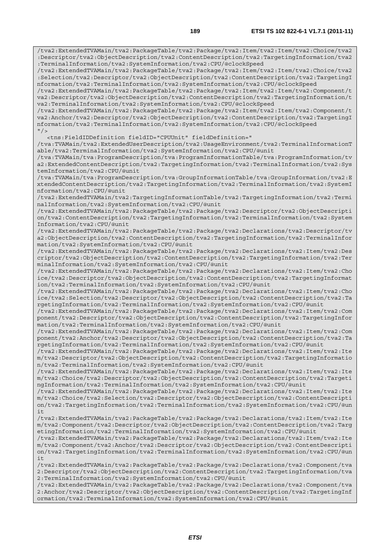/tva2:ExtendedTVAMain/tva2:PackageTable/tva2:Package/tva2:Item/tva2:Item/tva2:Choice/tva2 :Descriptor/tva2:ObjectDescription/tva2:ContentDescription/tva2:TargetingInformation/tva2 :TerminalInformation/tva2:SystemInformation/tva2:CPU/@clockSpeed /tva2:ExtendedTVAMain/tva2:PackageTable/tva2:Package/tva2:Item/tva2:Item/tva2:Choice/tva2 :Selection/tva2:Descriptor/tva2:ObjectDescription/tva2:ContentDescription/tva2:TargetingI nformation/tva2:TerminalInformation/tva2:SystemInformation/tva2:CPU/@clockSpeed /tva2:ExtendedTVAMain/tva2:PackageTable/tva2:Package/tva2:Item/tva2:Item/tva2:Component/t va2:Descriptor/tva2:ObjectDescription/tva2:ContentDescription/tva2:TargetingInformation/t va2:TerminalInformation/tva2:SystemInformation/tva2:CPU/@clockSpeed /tva2:ExtendedTVAMain/tva2:PackageTable/tva2:Package/tva2:Item/tva2:Item/tva2:Component/t va2:Anchor/tva2:Descriptor/tva2:ObjectDescription/tva2:ContentDescription/tva2:TargetingI nformation/tva2:TerminalInformation/tva2:SystemInformation/tva2:CPU/@clockSpeed  $"$  / > <tns:FieldIDDefinition fieldID="CPUUnit" fieldDefinition=" /tva:TVAMain/tva2:ExtendedUserDescription/tva2:UsageEnvironment/tva2:TerminalInformationT able/tva2:TerminalInformation/tva2:SystemInformation/tva2:CPU/@unit /tva:TVAMain/tva:ProgramDescription/tva:ProgramInformationTable/tva:ProgramInformation/tv a2:ExtendedContentDescription/tva2:TargetingInformation/tva2:TerminalInformation/tva2:Sys temInformation/tva2:CPU/@unit /tva:TVAMain/tva:ProgramDescription/tva:GroupInformationTable/tva:GroupInformation/tva2:E xtendedContentDescription/tva2:TargetingInformation/tva2:TerminalInformation/tva2:SystemI nformation/tva2:CPU/@unit /tva2:ExtendedTVAMain/tva2:TargetingInformationTable/tva2:TargetingInformation/tva2:Termi nalInformation/tva2:SystemInformation/tva2:CPU/@unit /tva2:ExtendedTVAMain/tva2:PackageTable/tva2:Package/tva2:Descriptor/tva2:ObjectDescripti on/tva2:ContentDescription/tva2:TargetingInformation/tva2:TerminalInformation/tva2:System Information/tva2:CPU/@unit /tva2:ExtendedTVAMain/tva2:PackageTable/tva2:Package/tva2:Declarations/tva2:Descriptor/tv a2:ObjectDescription/tva2:ContentDescription/tva2:TargetingInformation/tva2:TerminalInfor mation/tva2:SystemInformation/tva2:CPU/@unit /tva2:ExtendedTVAMain/tva2:PackageTable/tva2:Package/tva2:Declarations/tva2:Item/tva2:Des criptor/tva2:ObjectDescription/tva2:ContentDescription/tva2:TargetingInformation/tva2:Ter minalInformation/tva2:SystemInformation/tva2:CPU/@unit /tva2:ExtendedTVAMain/tva2:PackageTable/tva2:Package/tva2:Declarations/tva2:Item/tva2:Cho ice/tva2:Descriptor/tva2:ObjectDescription/tva2:ContentDescription/tva2:TargetingInformat ion/tva2:TerminalInformation/tva2:SystemInformation/tva2:CPU/@unit /tva2:ExtendedTVAMain/tva2:PackageTable/tva2:Package/tva2:Declarations/tva2:Item/tva2:Cho ice/tva2:Selection/tva2:Descriptor/tva2:ObjectDescription/tva2:ContentDescription/tva2:Ta rgetingInformation/tva2:TerminalInformation/tva2:SystemInformation/tva2:CPU/@unit /tva2:ExtendedTVAMain/tva2:PackageTable/tva2:Package/tva2:Declarations/tva2:Item/tva2:Com ponent/tva2:Descriptor/tva2:ObjectDescription/tva2:ContentDescription/tva2:TargetingInfor mation/tva2:TerminalInformation/tva2:SystemInformation/tva2:CPU/@unit /tva2:ExtendedTVAMain/tva2:PackageTable/tva2:Package/tva2:Declarations/tva2:Item/tva2:Com ponent/tva2:Anchor/tva2:Descriptor/tva2:ObjectDescription/tva2:ContentDescription/tva2:Ta rgetingInformation/tva2:TerminalInformation/tva2:SystemInformation/tva2:CPU/@unit /tva2:ExtendedTVAMain/tva2:PackageTable/tva2:Package/tva2:Declarations/tva2:Item/tva2:Ite m/tva2:Descriptor/tva2:ObjectDescription/tva2:ContentDescription/tva2:TargetingInformatio n/tva2:TerminalInformation/tva2:SystemInformation/tva2:CPU/@unit /tva2:ExtendedTVAMain/tva2:PackageTable/tva2:Package/tva2:Declarations/tva2:Item/tva2:Ite m/tva2:Choice/tva2:Descriptor/tva2:ObjectDescription/tva2:ContentDescription/tva2:Targeti ngInformation/tva2:TerminalInformation/tva2:SystemInformation/tva2:CPU/@unit /tva2:ExtendedTVAMain/tva2:PackageTable/tva2:Package/tva2:Declarations/tva2:Item/tva2:Ite m/tva2:Choice/tva2:Selection/tva2:Descriptor/tva2:ObjectDescription/tva2:ContentDescripti on/tva2:TargetingInformation/tva2:TerminalInformation/tva2:SystemInformation/tva2:CPU/@un /tva2:ExtendedTVAMain/tva2:PackageTable/tva2:Package/tva2:Declarations/tva2:Item/tva2:Ite m/tva2:Component/tva2:Descriptor/tva2:ObjectDescription/tva2:ContentDescription/tva2:Targ etingInformation/tva2:TerminalInformation/tva2:SystemInformation/tva2:CPU/@unit /tva2:ExtendedTVAMain/tva2:PackageTable/tva2:Package/tva2:Declarations/tva2:Item/tva2:Ite m/tva2:Component/tva2:Anchor/tva2:Descriptor/tva2:ObjectDescription/tva2:ContentDescripti

on/tva2:TargetingInformation/tva2:TerminalInformation/tva2:SystemInformation/tva2:CPU/@un it /tva2:ExtendedTVAMain/tva2:PackageTable/tva2:Package/tva2:Declarations/tva2:Component/tva 2:Descriptor/tva2:ObjectDescription/tva2:ContentDescription/tva2:TargetingInformation/tva

it

2:TerminalInformation/tva2:SystemInformation/tva2:CPU/@unit /tva2:ExtendedTVAMain/tva2:PackageTable/tva2:Package/tva2:Declarations/tva2:Component/tva

2:Anchor/tva2:Descriptor/tva2:ObjectDescription/tva2:ContentDescription/tva2:TargetingInf ormation/tva2:TerminalInformation/tva2:SystemInformation/tva2:CPU/@unit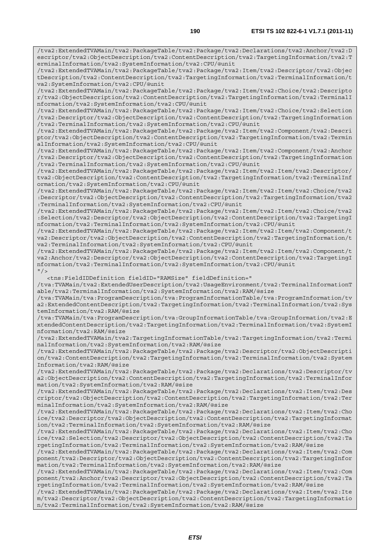/tva2:ExtendedTVAMain/tva2:PackageTable/tva2:Package/tva2:Declarations/tva2:Anchor/tva2:D escriptor/tva2:ObjectDescription/tva2:ContentDescription/tva2:TargetingInformation/tva2:T erminalInformation/tva2:SystemInformation/tva2:CPU/@unit

/tva2:ExtendedTVAMain/tva2:PackageTable/tva2:Package/tva2:Item/tva2:Descriptor/tva2:Objec tDescription/tva2:ContentDescription/tva2:TargetingInformation/tva2:TerminalInformation/t va2:SystemInformation/tva2:CPU/@unit

/tva2:ExtendedTVAMain/tva2:PackageTable/tva2:Package/tva2:Item/tva2:Choice/tva2:Descripto r/tva2:ObjectDescription/tva2:ContentDescription/tva2:TargetingInformation/tva2:TerminalI nformation/tva2:SystemInformation/tva2:CPU/@unit

/tva2:ExtendedTVAMain/tva2:PackageTable/tva2:Package/tva2:Item/tva2:Choice/tva2:Selection /tva2:Descriptor/tva2:ObjectDescription/tva2:ContentDescription/tva2:TargetingInformation /tva2:TerminalInformation/tva2:SystemInformation/tva2:CPU/@unit

/tva2:ExtendedTVAMain/tva2:PackageTable/tva2:Package/tva2:Item/tva2:Component/tva2:Descri ptor/tva2:ObjectDescription/tva2:ContentDescription/tva2:TargetingInformation/tva2:Termin alInformation/tva2:SystemInformation/tva2:CPU/@unit

/tva2:ExtendedTVAMain/tva2:PackageTable/tva2:Package/tva2:Item/tva2:Component/tva2:Anchor /tva2:Descriptor/tva2:ObjectDescription/tva2:ContentDescription/tva2:TargetingInformation /tva2:TerminalInformation/tva2:SystemInformation/tva2:CPU/@unit

/tva2:ExtendedTVAMain/tva2:PackageTable/tva2:Package/tva2:Item/tva2:Item/tva2:Descriptor/ tva2:ObjectDescription/tva2:ContentDescription/tva2:TargetingInformation/tva2:TerminalInf ormation/tva2:SystemInformation/tva2:CPU/@unit

/tva2:ExtendedTVAMain/tva2:PackageTable/tva2:Package/tva2:Item/tva2:Item/tva2:Choice/tva2 :Descriptor/tva2:ObjectDescription/tva2:ContentDescription/tva2:TargetingInformation/tva2 :TerminalInformation/tva2:SystemInformation/tva2:CPU/@unit

/tva2:ExtendedTVAMain/tva2:PackageTable/tva2:Package/tva2:Item/tva2:Item/tva2:Choice/tva2 :Selection/tva2:Descriptor/tva2:ObjectDescription/tva2:ContentDescription/tva2:TargetingI nformation/tva2:TerminalInformation/tva2:SystemInformation/tva2:CPU/@unit

/tva2:ExtendedTVAMain/tva2:PackageTable/tva2:Package/tva2:Item/tva2:Item/tva2:Component/t va2:Descriptor/tva2:ObjectDescription/tva2:ContentDescription/tva2:TargetingInformation/t va2:TerminalInformation/tva2:SystemInformation/tva2:CPU/@unit

/tva2:ExtendedTVAMain/tva2:PackageTable/tva2:Package/tva2:Item/tva2:Item/tva2:Component/t va2:Anchor/tva2:Descriptor/tva2:ObjectDescription/tva2:ContentDescription/tva2:TargetingI nformation/tva2:TerminalInformation/tva2:SystemInformation/tva2:CPU/@unit  $"$ />

<tns:FieldIDDefinition fieldID="RAMSize" fieldDefinition="

/tva:TVAMain/tva2:ExtendedUserDescription/tva2:UsageEnvironment/tva2:TerminalInformationT able/tva2:TerminalInformation/tva2:SystemInformation/tva2:RAM/@size

/tva:TVAMain/tva:ProgramDescription/tva:ProgramInformationTable/tva:ProgramInformation/tv a2:ExtendedContentDescription/tva2:TargetingInformation/tva2:TerminalInformation/tva2:Sys temInformation/tva2:RAM/@size

/tva:TVAMain/tva:ProgramDescription/tva:GroupInformationTable/tva:GroupInformation/tva2:E xtendedContentDescription/tva2:TargetingInformation/tva2:TerminalInformation/tva2:SystemI nformation/tva2:RAM/@size

/tva2:ExtendedTVAMain/tva2:TargetingInformationTable/tva2:TargetingInformation/tva2:Termi nalInformation/tva2:SystemInformation/tva2:RAM/@size

/tva2:ExtendedTVAMain/tva2:PackageTable/tva2:Package/tva2:Descriptor/tva2:ObjectDescripti on/tva2:ContentDescription/tva2:TargetingInformation/tva2:TerminalInformation/tva2:System Information/tva2:RAM/@size

/tva2:ExtendedTVAMain/tva2:PackageTable/tva2:Package/tva2:Declarations/tva2:Descriptor/tv a2:ObjectDescription/tva2:ContentDescription/tva2:TargetingInformation/tva2:TerminalInfor mation/tva2:SystemInformation/tva2:RAM/@size

/tva2:ExtendedTVAMain/tva2:PackageTable/tva2:Package/tva2:Declarations/tva2:Item/tva2:Des criptor/tva2:ObjectDescription/tva2:ContentDescription/tva2:TargetingInformation/tva2:Ter minalInformation/tva2:SystemInformation/tva2:RAM/@size

/tva2:ExtendedTVAMain/tva2:PackageTable/tva2:Package/tva2:Declarations/tva2:Item/tva2:Cho ice/tva2:Descriptor/tva2:ObjectDescription/tva2:ContentDescription/tva2:TargetingInformat ion/tva2:TerminalInformation/tva2:SystemInformation/tva2:RAM/@size

/tva2:ExtendedTVAMain/tva2:PackageTable/tva2:Package/tva2:Declarations/tva2:Item/tva2:Cho ice/tva2:Selection/tva2:Descriptor/tva2:ObjectDescription/tva2:ContentDescription/tva2:Ta rgetingInformation/tva2:TerminalInformation/tva2:SystemInformation/tva2:RAM/@size

/tva2:ExtendedTVAMain/tva2:PackageTable/tva2:Package/tva2:Declarations/tva2:Item/tva2:Com ponent/tva2:Descriptor/tva2:ObjectDescription/tva2:ContentDescription/tva2:TargetingInfor mation/tva2:TerminalInformation/tva2:SystemInformation/tva2:RAM/@size

/tva2:ExtendedTVAMain/tva2:PackageTable/tva2:Package/tva2:Declarations/tva2:Item/tva2:Com ponent/tva2:Anchor/tva2:Descriptor/tva2:ObjectDescription/tva2:ContentDescription/tva2:Ta rgetingInformation/tva2:TerminalInformation/tva2:SystemInformation/tva2:RAM/@size

/tva2:ExtendedTVAMain/tva2:PackageTable/tva2:Package/tva2:Declarations/tva2:Item/tva2:Ite m/tva2:Descriptor/tva2:ObjectDescription/tva2:ContentDescription/tva2:TargetingInformatio n/tva2:TerminalInformation/tva2:SystemInformation/tva2:RAM/@size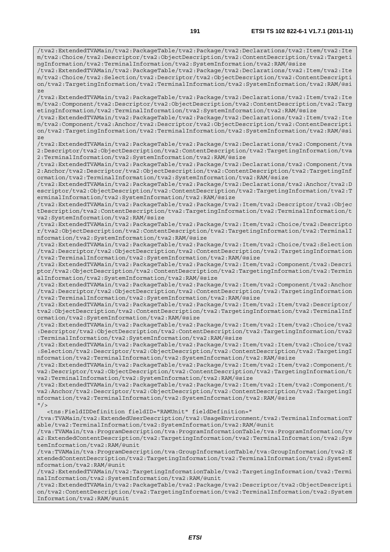/tva2:ExtendedTVAMain/tva2:PackageTable/tva2:Package/tva2:Declarations/tva2:Item/tva2:Ite m/tva2:Choice/tva2:Descriptor/tva2:ObjectDescription/tva2:ContentDescription/tva2:Targeti ngInformation/tva2:TerminalInformation/tva2:SystemInformation/tva2:RAM/@size /tva2:ExtendedTVAMain/tva2:PackageTable/tva2:Package/tva2:Declarations/tva2:Item/tva2:Ite m/tva2:Choice/tva2:Selection/tva2:Descriptor/tva2:ObjectDescription/tva2:ContentDescripti on/tva2:TargetingInformation/tva2:TerminalInformation/tva2:SystemInformation/tva2:RAM/@si ze /tva2:ExtendedTVAMain/tva2:PackageTable/tva2:Package/tva2:Declarations/tva2:Item/tva2:Ite m/tva2:Component/tva2:Descriptor/tva2:ObjectDescription/tva2:ContentDescription/tva2:Targ etingInformation/tva2:TerminalInformation/tva2:SystemInformation/tva2:RAM/@size /tva2:ExtendedTVAMain/tva2:PackageTable/tva2:Package/tva2:Declarations/tva2:Item/tva2:Ite m/tva2:Component/tva2:Anchor/tva2:Descriptor/tva2:ObjectDescription/tva2:ContentDescripti on/tva2:TargetingInformation/tva2:TerminalInformation/tva2:SystemInformation/tva2:RAM/@si ze /tva2:ExtendedTVAMain/tva2:PackageTable/tva2:Package/tva2:Declarations/tva2:Component/tva 2:Descriptor/tva2:ObjectDescription/tva2:ContentDescription/tva2:TargetingInformation/tva 2:TerminalInformation/tva2:SystemInformation/tva2:RAM/@size /tva2:ExtendedTVAMain/tva2:PackageTable/tva2:Package/tva2:Declarations/tva2:Component/tva 2:Anchor/tva2:Descriptor/tva2:ObjectDescription/tva2:ContentDescription/tva2:TargetingInf ormation/tva2:TerminalInformation/tva2:SystemInformation/tva2:RAM/@size /tva2:ExtendedTVAMain/tva2:PackageTable/tva2:Package/tva2:Declarations/tva2:Anchor/tva2:D escriptor/tva2:ObjectDescription/tva2:ContentDescription/tva2:TargetingInformation/tva2:T erminalInformation/tva2:SystemInformation/tva2:RAM/@size /tva2:ExtendedTVAMain/tva2:PackageTable/tva2:Package/tva2:Item/tva2:Descriptor/tva2:Objec tDescription/tva2:ContentDescription/tva2:TargetingInformation/tva2:TerminalInformation/t va2:SystemInformation/tva2:RAM/@size /tva2:ExtendedTVAMain/tva2:PackageTable/tva2:Package/tva2:Item/tva2:Choice/tva2:Descripto r/tva2:ObjectDescription/tva2:ContentDescription/tva2:TargetingInformation/tva2:TerminalI nformation/tva2:SystemInformation/tva2:RAM/@size /tva2:ExtendedTVAMain/tva2:PackageTable/tva2:Package/tva2:Item/tva2:Choice/tva2:Selection /tva2:Descriptor/tva2:ObjectDescription/tva2:ContentDescription/tva2:TargetingInformation /tva2:TerminalInformation/tva2:SystemInformation/tva2:RAM/@size /tva2:ExtendedTVAMain/tva2:PackageTable/tva2:Package/tva2:Item/tva2:Component/tva2:Descri ptor/tva2:ObjectDescription/tva2:ContentDescription/tva2:TargetingInformation/tva2:Termin alInformation/tva2:SystemInformation/tva2:RAM/@size /tva2:ExtendedTVAMain/tva2:PackageTable/tva2:Package/tva2:Item/tva2:Component/tva2:Anchor /tva2:Descriptor/tva2:ObjectDescription/tva2:ContentDescription/tva2:TargetingInformation /tva2:TerminalInformation/tva2:SystemInformation/tva2:RAM/@size /tva2:ExtendedTVAMain/tva2:PackageTable/tva2:Package/tva2:Item/tva2:Item/tva2:Descriptor/ tva2:ObjectDescription/tva2:ContentDescription/tva2:TargetingInformation/tva2:TerminalInf ormation/tva2:SystemInformation/tva2:RAM/@size /tva2:ExtendedTVAMain/tva2:PackageTable/tva2:Package/tva2:Item/tva2:Item/tva2:Choice/tva2 :Descriptor/tva2:ObjectDescription/tva2:ContentDescription/tva2:TargetingInformation/tva2 :TerminalInformation/tva2:SystemInformation/tva2:RAM/@size /tva2:ExtendedTVAMain/tva2:PackageTable/tva2:Package/tva2:Item/tva2:Item/tva2:Choice/tva2 :Selection/tva2:Descriptor/tva2:ObjectDescription/tva2:ContentDescription/tva2:TargetingI nformation/tva2:TerminalInformation/tva2:SystemInformation/tva2:RAM/@size /tva2:ExtendedTVAMain/tva2:PackageTable/tva2:Package/tva2:Item/tva2:Item/tva2:Component/t va2:Descriptor/tva2:ObjectDescription/tva2:ContentDescription/tva2:TargetingInformation/t va2:TerminalInformation/tva2:SystemInformation/tva2:RAM/@size /tva2:ExtendedTVAMain/tva2:PackageTable/tva2:Package/tva2:Item/tva2:Item/tva2:Component/t va2:Anchor/tva2:Descriptor/tva2:ObjectDescription/tva2:ContentDescription/tva2:TargetingI nformation/tva2:TerminalInformation/tva2:SystemInformation/tva2:RAM/@size  $''/$  <tns:FieldIDDefinition fieldID="RAMUnit" fieldDefinition=" /tva:TVAMain/tva2:ExtendedUserDescription/tva2:UsageEnvironment/tva2:TerminalInformationT able/tva2:TerminalInformation/tva2:SystemInformation/tva2:RAM/@unit /tva:TVAMain/tva:ProgramDescription/tva:ProgramInformationTable/tva:ProgramInformation/tv a2:ExtendedContentDescription/tva2:TargetingInformation/tva2:TerminalInformation/tva2:Sys temInformation/tva2:RAM/@unit /tva:TVAMain/tva:ProgramDescription/tva:GroupInformationTable/tva:GroupInformation/tva2:E

xtendedContentDescription/tva2:TargetingInformation/tva2:TerminalInformation/tva2:SystemI nformation/tva2:RAM/@unit

/tva2:ExtendedTVAMain/tva2:TargetingInformationTable/tva2:TargetingInformation/tva2:Termi nalInformation/tva2:SystemInformation/tva2:RAM/@unit

/tva2:ExtendedTVAMain/tva2:PackageTable/tva2:Package/tva2:Descriptor/tva2:ObjectDescripti on/tva2:ContentDescription/tva2:TargetingInformation/tva2:TerminalInformation/tva2:System Information/tva2:RAM/@unit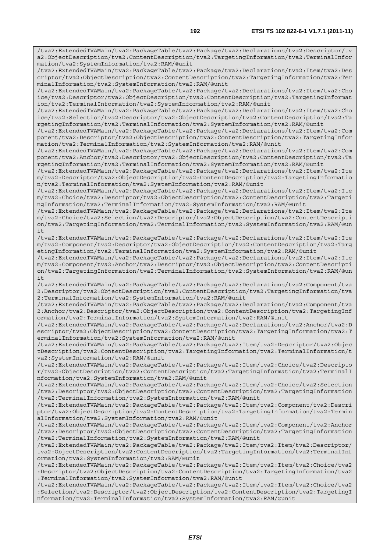/tva2:ExtendedTVAMain/tva2:PackageTable/tva2:Package/tva2:Declarations/tva2:Descriptor/tv a2:ObjectDescription/tva2:ContentDescription/tva2:TargetingInformation/tva2:TerminalInfor mation/tva2:SystemInformation/tva2:RAM/@unit /tva2:ExtendedTVAMain/tva2:PackageTable/tva2:Package/tva2:Declarations/tva2:Item/tva2:Des criptor/tva2:ObjectDescription/tva2:ContentDescription/tva2:TargetingInformation/tva2:Ter minalInformation/tva2:SystemInformation/tva2:RAM/@unit /tva2:ExtendedTVAMain/tva2:PackageTable/tva2:Package/tva2:Declarations/tva2:Item/tva2:Cho ice/tva2:Descriptor/tva2:ObjectDescription/tva2:ContentDescription/tva2:TargetingInformat ion/tva2:TerminalInformation/tva2:SystemInformation/tva2:RAM/@unit /tva2:ExtendedTVAMain/tva2:PackageTable/tva2:Package/tva2:Declarations/tva2:Item/tva2:Cho ice/tva2:Selection/tva2:Descriptor/tva2:ObjectDescription/tva2:ContentDescription/tva2:Ta rgetingInformation/tva2:TerminalInformation/tva2:SystemInformation/tva2:RAM/@unit /tva2:ExtendedTVAMain/tva2:PackageTable/tva2:Package/tva2:Declarations/tva2:Item/tva2:Com ponent/tva2:Descriptor/tva2:ObjectDescription/tva2:ContentDescription/tva2:TargetingInfor mation/tva2:TerminalInformation/tva2:SystemInformation/tva2:RAM/@unit /tva2:ExtendedTVAMain/tva2:PackageTable/tva2:Package/tva2:Declarations/tva2:Item/tva2:Com ponent/tva2:Anchor/tva2:Descriptor/tva2:ObjectDescription/tva2:ContentDescription/tva2:Ta rgetingInformation/tva2:TerminalInformation/tva2:SystemInformation/tva2:RAM/@unit /tva2:ExtendedTVAMain/tva2:PackageTable/tva2:Package/tva2:Declarations/tva2:Item/tva2:Ite m/tva2:Descriptor/tva2:ObjectDescription/tva2:ContentDescription/tva2:TargetingInformatio n/tva2:TerminalInformation/tva2:SystemInformation/tva2:RAM/@unit /tva2:ExtendedTVAMain/tva2:PackageTable/tva2:Package/tva2:Declarations/tva2:Item/tva2:Ite m/tva2:Choice/tva2:Descriptor/tva2:ObjectDescription/tva2:ContentDescription/tva2:Targeti ngInformation/tva2:TerminalInformation/tva2:SystemInformation/tva2:RAM/@unit /tva2:ExtendedTVAMain/tva2:PackageTable/tva2:Package/tva2:Declarations/tva2:Item/tva2:Ite m/tva2:Choice/tva2:Selection/tva2:Descriptor/tva2:ObjectDescription/tva2:ContentDescripti on/tva2:TargetingInformation/tva2:TerminalInformation/tva2:SystemInformation/tva2:RAM/@un it /tva2:ExtendedTVAMain/tva2:PackageTable/tva2:Package/tva2:Declarations/tva2:Item/tva2:Ite m/tva2:Component/tva2:Descriptor/tva2:ObjectDescription/tva2:ContentDescription/tva2:Targ etingInformation/tva2:TerminalInformation/tva2:SystemInformation/tva2:RAM/@unit /tva2:ExtendedTVAMain/tva2:PackageTable/tva2:Package/tva2:Declarations/tva2:Item/tva2:Ite m/tva2:Component/tva2:Anchor/tva2:Descriptor/tva2:ObjectDescription/tva2:ContentDescripti on/tva2:TargetingInformation/tva2:TerminalInformation/tva2:SystemInformation/tva2:RAM/@un it /tva2:ExtendedTVAMain/tva2:PackageTable/tva2:Package/tva2:Declarations/tva2:Component/tva 2:Descriptor/tva2:ObjectDescription/tva2:ContentDescription/tva2:TargetingInformation/tva 2:TerminalInformation/tva2:SystemInformation/tva2:RAM/@unit /tva2:ExtendedTVAMain/tva2:PackageTable/tva2:Package/tva2:Declarations/tva2:Component/tva 2:Anchor/tva2:Descriptor/tva2:ObjectDescription/tva2:ContentDescription/tva2:TargetingInf ormation/tva2:TerminalInformation/tva2:SystemInformation/tva2:RAM/@unit /tva2:ExtendedTVAMain/tva2:PackageTable/tva2:Package/tva2:Declarations/tva2:Anchor/tva2:D escriptor/tva2:ObjectDescription/tva2:ContentDescription/tva2:TargetingInformation/tva2:T erminalInformation/tva2:SystemInformation/tva2:RAM/@unit /tva2:ExtendedTVAMain/tva2:PackageTable/tva2:Package/tva2:Item/tva2:Descriptor/tva2:Objec tDescription/tva2:ContentDescription/tva2:TargetingInformation/tva2:TerminalInformation/t va2:SystemInformation/tva2:RAM/@unit /tva2:ExtendedTVAMain/tva2:PackageTable/tva2:Package/tva2:Item/tva2:Choice/tva2:Descripto r/tva2:ObjectDescription/tva2:ContentDescription/tva2:TargetingInformation/tva2:TerminalI nformation/tva2:SystemInformation/tva2:RAM/@unit /tva2:ExtendedTVAMain/tva2:PackageTable/tva2:Package/tva2:Item/tva2:Choice/tva2:Selection /tva2:Descriptor/tva2:ObjectDescription/tva2:ContentDescription/tva2:TargetingInformation /tva2:TerminalInformation/tva2:SystemInformation/tva2:RAM/@unit /tva2:ExtendedTVAMain/tva2:PackageTable/tva2:Package/tva2:Item/tva2:Component/tva2:Descri ptor/tva2:ObjectDescription/tva2:ContentDescription/tva2:TargetingInformation/tva2:Termin alInformation/tva2:SystemInformation/tva2:RAM/@unit /tva2:ExtendedTVAMain/tva2:PackageTable/tva2:Package/tva2:Item/tva2:Component/tva2:Anchor /tva2:Descriptor/tva2:ObjectDescription/tva2:ContentDescription/tva2:TargetingInformation /tva2:TerminalInformation/tva2:SystemInformation/tva2:RAM/@unit /tva2:ExtendedTVAMain/tva2:PackageTable/tva2:Package/tva2:Item/tva2:Item/tva2:Descriptor/ tva2:ObjectDescription/tva2:ContentDescription/tva2:TargetingInformation/tva2:TerminalInf ormation/tva2:SystemInformation/tva2:RAM/@unit /tva2:ExtendedTVAMain/tva2:PackageTable/tva2:Package/tva2:Item/tva2:Item/tva2:Choice/tva2 :Descriptor/tva2:ObjectDescription/tva2:ContentDescription/tva2:TargetingInformation/tva2 :TerminalInformation/tva2:SystemInformation/tva2:RAM/@unit

/tva2:ExtendedTVAMain/tva2:PackageTable/tva2:Package/tva2:Item/tva2:Item/tva2:Choice/tva2 :Selection/tva2:Descriptor/tva2:ObjectDescription/tva2:ContentDescription/tva2:TargetingI nformation/tva2:TerminalInformation/tva2:SystemInformation/tva2:RAM/@unit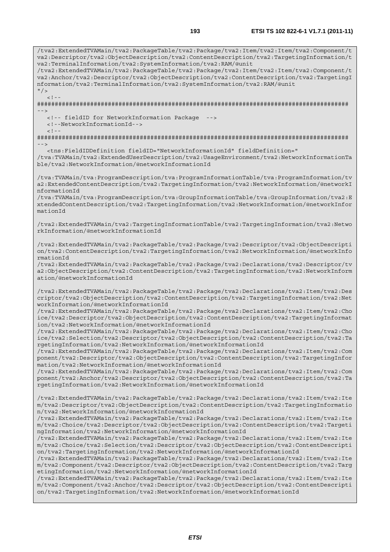/tva2:ExtendedTVAMain/tva2:PackageTable/tva2:Package/tva2:Item/tva2:Item/tva2:Component/t va2:Descriptor/tva2:ObjectDescription/tva2:ContentDescription/tva2:TargetingInformation/t va2:TerminalInformation/tva2:SystemInformation/tva2:RAM/@unit /tva2:ExtendedTVAMain/tva2:PackageTable/tva2:Package/tva2:Item/tva2:Item/tva2:Component/t va2:Anchor/tva2:Descriptor/tva2:ObjectDescription/tva2:ContentDescription/tva2:TargetingI nformation/tva2:TerminalInformation/tva2:SystemInformation/tva2:RAM/@unit  $^{\prime\prime}$ />  $\lt$  ! -######################################################################################## --> <!-- fieldID for NetworkInformation Package --> <!--NetworkInformationId-->  $\lt$  !  $-$ ######################################################################################## --> <tns:FieldIDDefinition fieldID="NetworkInformationId" fieldDefinition=" /tva:TVAMain/tva2:ExtendedUserDescription/tva2:UsageEnvironment/tva2:NetworkInformationTa ble/tva2:NetworkInformation/@networkInformationId /tva:TVAMain/tva:ProgramDescription/tva:ProgramInformationTable/tva:ProgramInformation/tv a2:ExtendedContentDescription/tva2:TargetingInformation/tva2:NetworkInformation/@networkI nformationId /tva:TVAMain/tva:ProgramDescription/tva:GroupInformationTable/tva:GroupInformation/tva2:E xtendedContentDescription/tva2:TargetingInformation/tva2:NetworkInformation/@networkInfor mationId /tva2:ExtendedTVAMain/tva2:TargetingInformationTable/tva2:TargetingInformation/tva2:Netwo rkInformation/@networkInformationId /tva2:ExtendedTVAMain/tva2:PackageTable/tva2:Package/tva2:Descriptor/tva2:ObjectDescripti on/tva2:ContentDescription/tva2:TargetingInformation/tva2:NetworkInformation/@networkInfo rmationId /tva2:ExtendedTVAMain/tva2:PackageTable/tva2:Package/tva2:Declarations/tva2:Descriptor/tv a2:ObjectDescription/tva2:ContentDescription/tva2:TargetingInformation/tva2:NetworkInform ation/@networkInformationId /tva2:ExtendedTVAMain/tva2:PackageTable/tva2:Package/tva2:Declarations/tva2:Item/tva2:Des criptor/tva2:ObjectDescription/tva2:ContentDescription/tva2:TargetingInformation/tva2:Net workInformation/@networkInformationId /tva2:ExtendedTVAMain/tva2:PackageTable/tva2:Package/tva2:Declarations/tva2:Item/tva2:Cho ice/tva2:Descriptor/tva2:ObjectDescription/tva2:ContentDescription/tva2:TargetingInformat ion/tva2:NetworkInformation/@networkInformationId /tva2:ExtendedTVAMain/tva2:PackageTable/tva2:Package/tva2:Declarations/tva2:Item/tva2:Cho ice/tva2:Selection/tva2:Descriptor/tva2:ObjectDescription/tva2:ContentDescription/tva2:Ta rgetingInformation/tva2:NetworkInformation/@networkInformationId /tva2:ExtendedTVAMain/tva2:PackageTable/tva2:Package/tva2:Declarations/tva2:Item/tva2:Com ponent/tva2:Descriptor/tva2:ObjectDescription/tva2:ContentDescription/tva2:TargetingInfor mation/tva2:NetworkInformation/@networkInformationId /tva2:ExtendedTVAMain/tva2:PackageTable/tva2:Package/tva2:Declarations/tva2:Item/tva2:Com ponent/tva2:Anchor/tva2:Descriptor/tva2:ObjectDescription/tva2:ContentDescription/tva2:Ta rgetingInformation/tva2:NetworkInformation/@networkInformationId /tva2:ExtendedTVAMain/tva2:PackageTable/tva2:Package/tva2:Declarations/tva2:Item/tva2:Ite m/tva2:Descriptor/tva2:ObjectDescription/tva2:ContentDescription/tva2:TargetingInformatio n/tva2:NetworkInformation/@networkInformationId /tva2:ExtendedTVAMain/tva2:PackageTable/tva2:Package/tva2:Declarations/tva2:Item/tva2:Ite m/tva2:Choice/tva2:Descriptor/tva2:ObjectDescription/tva2:ContentDescription/tva2:Targeti ngInformation/tva2:NetworkInformation/@networkInformationId /tva2:ExtendedTVAMain/tva2:PackageTable/tva2:Package/tva2:Declarations/tva2:Item/tva2:Ite m/tva2:Choice/tva2:Selection/tva2:Descriptor/tva2:ObjectDescription/tva2:ContentDescripti on/tva2:TargetingInformation/tva2:NetworkInformation/@networkInformationId /tva2:ExtendedTVAMain/tva2:PackageTable/tva2:Package/tva2:Declarations/tva2:Item/tva2:Ite m/tva2:Component/tva2:Descriptor/tva2:ObjectDescription/tva2:ContentDescription/tva2:Targ etingInformation/tva2:NetworkInformation/@networkInformationId /tva2:ExtendedTVAMain/tva2:PackageTable/tva2:Package/tva2:Declarations/tva2:Item/tva2:Ite m/tva2:Component/tva2:Anchor/tva2:Descriptor/tva2:ObjectDescription/tva2:ContentDescripti on/tva2:TargetingInformation/tva2:NetworkInformation/@networkInformationId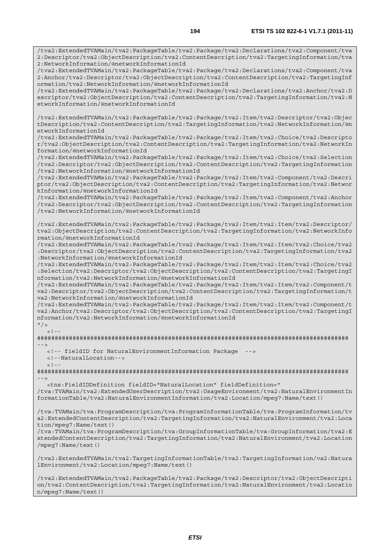/tva2:ExtendedTVAMain/tva2:PackageTable/tva2:Package/tva2:Declarations/tva2:Component/tva 2:Descriptor/tva2:ObjectDescription/tva2:ContentDescription/tva2:TargetingInformation/tva 2:NetworkInformation/@networkInformationId

/tva2:ExtendedTVAMain/tva2:PackageTable/tva2:Package/tva2:Declarations/tva2:Component/tva 2:Anchor/tva2:Descriptor/tva2:ObjectDescription/tva2:ContentDescription/tva2:TargetingInf ormation/tva2:NetworkInformation/@networkInformationId

/tva2:ExtendedTVAMain/tva2:PackageTable/tva2:Package/tva2:Declarations/tva2:Anchor/tva2:D escriptor/tva2:ObjectDescription/tva2:ContentDescription/tva2:TargetingInformation/tva2:N etworkInformation/@networkInformationId

/tva2:ExtendedTVAMain/tva2:PackageTable/tva2:Package/tva2:Item/tva2:Descriptor/tva2:Objec tDescription/tva2:ContentDescription/tva2:TargetingInformation/tva2:NetworkInformation/@n etworkInformationId

/tva2:ExtendedTVAMain/tva2:PackageTable/tva2:Package/tva2:Item/tva2:Choice/tva2:Descripto r/tva2:ObjectDescription/tva2:ContentDescription/tva2:TargetingInformation/tva2:NetworkIn formation/@networkInformationId

/tva2:ExtendedTVAMain/tva2:PackageTable/tva2:Package/tva2:Item/tva2:Choice/tva2:Selection /tva2:Descriptor/tva2:ObjectDescription/tva2:ContentDescription/tva2:TargetingInformation /tva2:NetworkInformation/@networkInformationId

/tva2:ExtendedTVAMain/tva2:PackageTable/tva2:Package/tva2:Item/tva2:Component/tva2:Descri ptor/tva2:ObjectDescription/tva2:ContentDescription/tva2:TargetingInformation/tva2:Networ kInformation/@networkInformationId

/tva2:ExtendedTVAMain/tva2:PackageTable/tva2:Package/tva2:Item/tva2:Component/tva2:Anchor /tva2:Descriptor/tva2:ObjectDescription/tva2:ContentDescription/tva2:TargetingInformation /tva2:NetworkInformation/@networkInformationId

/tva2:ExtendedTVAMain/tva2:PackageTable/tva2:Package/tva2:Item/tva2:Item/tva2:Descriptor/ tva2:ObjectDescription/tva2:ContentDescription/tva2:TargetingInformation/tva2:NetworkInfo rmation/@networkInformationId

/tva2:ExtendedTVAMain/tva2:PackageTable/tva2:Package/tva2:Item/tva2:Item/tva2:Choice/tva2 :Descriptor/tva2:ObjectDescription/tva2:ContentDescription/tva2:TargetingInformation/tva2 :NetworkInformation/@networkInformationId

/tva2:ExtendedTVAMain/tva2:PackageTable/tva2:Package/tva2:Item/tva2:Item/tva2:Choice/tva2 :Selection/tva2:Descriptor/tva2:ObjectDescription/tva2:ContentDescription/tva2:TargetingI nformation/tva2:NetworkInformation/@networkInformationId

/tva2:ExtendedTVAMain/tva2:PackageTable/tva2:Package/tva2:Item/tva2:Item/tva2:Component/t va2:Descriptor/tva2:ObjectDescription/tva2:ContentDescription/tva2:TargetingInformation/t va2:NetworkInformation/@networkInformationId

/tva2:ExtendedTVAMain/tva2:PackageTable/tva2:Package/tva2:Item/tva2:Item/tva2:Component/t va2:Anchor/tva2:Descriptor/tva2:ObjectDescription/tva2:ContentDescription/tva2:TargetingI nformation/tva2:NetworkInformation/@networkInformationId

 $"$  />  $\langle$  !

######################################################################################## -->

<!-- fieldID for NaturalEnvironmentInformation Package -->

<!--NaturalLocation-->

 $\leq$  !  $-$ 

######################################################################################## -->

<tns:FieldIDDefinition fieldID="NaturalLocation" fieldDefinition="

/tva:TVAMain/tva2:ExtendedUserDescription/tva2:UsageEnvironment/tva2:NaturalEnvironmentIn formationTable/tva2:NaturalEnvironmentInformation/tva2:Location/mpeg7:Name/text()

/tva:TVAMain/tva:ProgramDescription/tva:ProgramInformationTable/tva:ProgramInformation/tv a2:ExtendedContentDescription/tva2:TargetingInformation/tva2:NaturalEnvironment/tva2:Loca tion/mpeg7:Name/text()

/tva:TVAMain/tva:ProgramDescription/tva:GroupInformationTable/tva:GroupInformation/tva2:E xtendedContentDescription/tva2:TargetingInformation/tva2:NaturalEnvironment/tva2:Location /mpeg7:Name/text()

/tva2:ExtendedTVAMain/tva2:TargetingInformationTable/tva2:TargetingInformation/va2:Natura lEnvironment/tva2:Location/mpeg7:Name/text()

/tva2:ExtendedTVAMain/tva2:PackageTable/tva2:Package/tva2:Descriptor/tva2:ObjectDescripti on/tva2:ContentDescription/tva2:TargetingInformation/tva2:NaturalEnvironment/tva2:Locatio n/mpeg7:Name/text()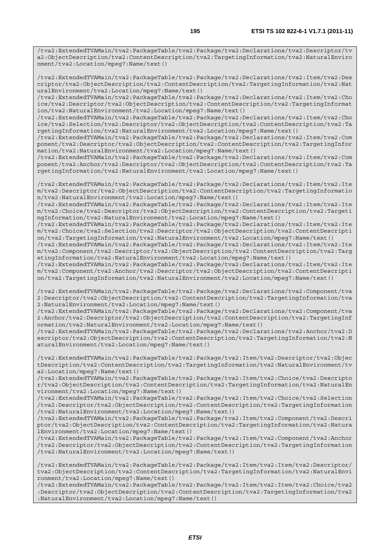/tva2:ExtendedTVAMain/tva2:PackageTable/tva2:Package/tva2:Declarations/tva2:Descriptor/tv a2:ObjectDescription/tva2:ContentDescription/tva2:TargetingInformation/tva2:NaturalEnviro nment/tva2:Location/mpeg7:Name/text()

/tva2:ExtendedTVAMain/tva2:PackageTable/tva2:Package/tva2:Declarations/tva2:Item/tva2:Des criptor/tva2:ObjectDescription/tva2:ContentDescription/tva2:TargetingInformation/tva2:Nat uralEnvironment/tva2:Location/mpeg7:Name/text()

/tva2:ExtendedTVAMain/tva2:PackageTable/tva2:Package/tva2:Declarations/tva2:Item/tva2:Cho ice/tva2:Descriptor/tva2:ObjectDescription/tva2:ContentDescription/tva2:TargetingInformat ion/tva2:NaturalEnvironment/tva2:Location/mpeg7:Name/text()

/tva2:ExtendedTVAMain/tva2:PackageTable/tva2:Package/tva2:Declarations/tva2:Item/tva2:Cho ice/tva2:Selection/tva2:Descriptor/tva2:ObjectDescription/tva2:ContentDescription/tva2:Ta rgetingInformation/tva2:NaturalEnvironment/tva2:Location/mpeg7:Name/text()

/tva2:ExtendedTVAMain/tva2:PackageTable/tva2:Package/tva2:Declarations/tva2:Item/tva2:Com ponent/tva2:Descriptor/tva2:ObjectDescription/tva2:ContentDescription/tva2:TargetingInfor mation/tva2:NaturalEnvironment/tva2:Location/mpeg7:Name/text()

/tva2:ExtendedTVAMain/tva2:PackageTable/tva2:Package/tva2:Declarations/tva2:Item/tva2:Com ponent/tva2:Anchor/tva2:Descriptor/tva2:ObjectDescription/tva2:ContentDescription/tva2:Ta rgetingInformation/tva2:NaturalEnvironment/tva2:Location/mpeg7:Name/text()

/tva2:ExtendedTVAMain/tva2:PackageTable/tva2:Package/tva2:Declarations/tva2:Item/tva2:Ite m/tva2:Descriptor/tva2:ObjectDescription/tva2:ContentDescription/tva2:TargetingInformatio n/tva2:NaturalEnvironment/tva2:Location/mpeg7:Name/text()

/tva2:ExtendedTVAMain/tva2:PackageTable/tva2:Package/tva2:Declarations/tva2:Item/tva2:Ite m/tva2:Choice/tva2:Descriptor/tva2:ObjectDescription/tva2:ContentDescription/tva2:Targeti ngInformation/tva2:NaturalEnvironment/tva2:Location/mpeg7:Name/text()

/tva2:ExtendedTVAMain/tva2:PackageTable/tva2:Package/tva2:Declarations/tva2:Item/tva2:Ite m/tva2:Choice/tva2:Selection/tva2:Descriptor/tva2:ObjectDescription/tva2:ContentDescripti on/tva2:TargetingInformation/tva2:NaturalEnvironment/tva2:Location/mpeg7:Name/text()

/tva2:ExtendedTVAMain/tva2:PackageTable/tva2:Package/tva2:Declarations/tva2:Item/tva2:Ite m/tva2:Component/tva2:Descriptor/tva2:ObjectDescription/tva2:ContentDescription/tva2:Targ etingInformation/tva2:NaturalEnvironment/tva2:Location/mpeg7:Name/text()

/tva2:ExtendedTVAMain/tva2:PackageTable/tva2:Package/tva2:Declarations/tva2:Item/tva2:Ite m/tva2:Component/tva2:Anchor/tva2:Descriptor/tva2:ObjectDescription/tva2:ContentDescripti on/tva2:TargetingInformation/tva2:NaturalEnvironment/tva2:Location/mpeg7:Name/text()

/tva2:ExtendedTVAMain/tva2:PackageTable/tva2:Package/tva2:Declarations/tva2:Component/tva 2:Descriptor/tva2:ObjectDescription/tva2:ContentDescription/tva2:TargetingInformation/tva 2:NaturalEnvironment/tva2:Location/mpeg7:Name/text()

/tva2:ExtendedTVAMain/tva2:PackageTable/tva2:Package/tva2:Declarations/tva2:Component/tva 2:Anchor/tva2:Descriptor/tva2:ObjectDescription/tva2:ContentDescription/tva2:TargetingInf ormation/tva2:NaturalEnvironment/tva2:Location/mpeg7:Name/text()

/tva2:ExtendedTVAMain/tva2:PackageTable/tva2:Package/tva2:Declarations/tva2:Anchor/tva2:D escriptor/tva2:ObjectDescription/tva2:ContentDescription/tva2:TargetingInformation/tva2:N aturalEnvironment/tva2:Location/mpeg7:Name/text()

/tva2:ExtendedTVAMain/tva2:PackageTable/tva2:Package/tva2:Item/tva2:Descriptor/tva2:Objec tDescription/tva2:ContentDescription/tva2:TargetingInformation/tva2:NaturalEnvironment/tv a2:Location/mpeg7:Name/text()

/tva2:ExtendedTVAMain/tva2:PackageTable/tva2:Package/tva2:Item/tva2:Choice/tva2:Descripto r/tva2:ObjectDescription/tva2:ContentDescription/tva2:TargetingInformation/tva2:NaturalEn vironment/tva2:Location/mpeg7:Name/text()

/tva2:ExtendedTVAMain/tva2:PackageTable/tva2:Package/tva2:Item/tva2:Choice/tva2:Selection /tva2:Descriptor/tva2:ObjectDescription/tva2:ContentDescription/tva2:TargetingInformation /tva2:NaturalEnvironment/tva2:Location/mpeg7:Name/text()

/tva2:ExtendedTVAMain/tva2:PackageTable/tva2:Package/tva2:Item/tva2:Component/tva2:Descri ptor/tva2:ObjectDescription/tva2:ContentDescription/tva2:TargetingInformation/tva2:Natura lEnvironment/tva2:Location/mpeg7:Name/text()

/tva2:ExtendedTVAMain/tva2:PackageTable/tva2:Package/tva2:Item/tva2:Component/tva2:Anchor /tva2:Descriptor/tva2:ObjectDescription/tva2:ContentDescription/tva2:TargetingInformation /tva2:NaturalEnvironment/tva2:Location/mpeg7:Name/text()

/tva2:ExtendedTVAMain/tva2:PackageTable/tva2:Package/tva2:Item/tva2:Item/tva2:Descriptor/ tva2:ObjectDescription/tva2:ContentDescription/tva2:TargetingInformation/tva2:NaturalEnvi ronment/tva2:Location/mpeg7:Name/text()

/tva2:ExtendedTVAMain/tva2:PackageTable/tva2:Package/tva2:Item/tva2:Item/tva2:Choice/tva2 :Descriptor/tva2:ObjectDescription/tva2:ContentDescription/tva2:TargetingInformation/tva2 :NaturalEnvironment/tva2:Location/mpeg7:Name/text()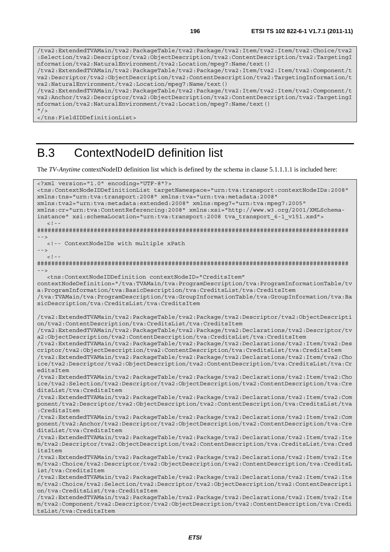/tva2:ExtendedTVAMain/tva2:PackageTable/tva2:Package/tva2:Item/tva2:Item/tva2:Choice/tva2 :Selection/tva2:Descriptor/tva2:ObjectDescription/tva2:ContentDescription/tva2:TargetingI nformation/tva2:NaturalEnvironment/tva2:Location/mpeg7:Name/text() /tva2:ExtendedTVAMain/tva2:PackageTable/tva2:Package/tva2:Item/tva2:Item/tva2:Component/t va2:Descriptor/tva2:ObjectDescription/tva2:ContentDescription/tva2:TargetingInformation/t va2:NaturalEnvironment/tva2:Location/mpeg7:Name/text() /tva2:ExtendedTVAMain/tva2:PackageTable/tva2:Package/tva2:Item/tva2:Item/tva2:Component/t va2:Anchor/tva2:Descriptor/tva2:ObjectDescription/tva2:ContentDescription/tva2:TargetingI nformation/tva2:NaturalEnvironment/tva2:Location/mpeg7:Name/text()  $''$  / > </tns:FieldIDDefinitionList>

## B.3 ContextNodeID definition list

The *TV-Anytime* contextNodeID definition list which is defined by the schema in clause 5.1.1.1.1 is included here:

```
<?xml version="1.0" encoding="UTF-8"?> 
<tns:ContextNodeIDDefinitionList targetNamespace="urn:tva:transport:contextNodeIDs:2008" 
xmlns:tns="urn:tva:transport:2008" xmlns:tva="urn:tva:metadata:2008" 
xmlns:tva2="urn:tva:metadata:extended:2008" xmlns:mpeg7="urn:tva:mpeg7:2005" 
xmlns:cr="urn:tva:ContentReferencing:2008" xmlns:xsi="http://www.w3.org/2001/XMLSchema-
instance" xsi:schemaLocation="urn:tva:transport:2008 tva_transport_6-1_v151.xsd"> 
  \lt \vert - -######################################################################################## 
--> 
   <!-- ContextNodeIDs with multiple xPath 
--> 
  \geq \frac{1}{2} \sim \frac{1}{2}######################################################################################## 
--> 
   <tns:ContextNodeIDDefinition contextNodeID="CreditsItem" 
contextNodeDefinition="/tva:TVAMain/tva:ProgramDescription/tva:ProgramInformationTable/tv
a:ProgramInformation/tva:BasicDescription/tva:CreditsList/tva:CreditsItem 
/tva:TVAMain/tva:ProgramDescription/tva:GroupInformationTable/tva:GroupInformation/tva:Ba
sicDescription/tva:CreditsList/tva:CreditsItem 
/tva2:ExtendedTVAMain/tva2:PackageTable/tva2:Package/tva2:Descriptor/tva2:ObjectDescripti
on/tva2:ContentDescription/tva:CreditsList/tva:CreditsItem 
/tva2:ExtendedTVAMain/tva2:PackageTable/tva2:Package/tva2:Declarations/tva2:Descriptor/tv
a2:ObjectDescription/tva2:ContentDescription/tva:CreditsList/tva:CreditsItem 
/tva2:ExtendedTVAMain/tva2:PackageTable/tva2:Package/tva2:Declarations/tva2:Item/tva2:Des
criptor/tva2:ObjectDescription/tva2:ContentDescription/tva:CreditsList/tva:CreditsItem 
/tva2:ExtendedTVAMain/tva2:PackageTable/tva2:Package/tva2:Declarations/tva2:Item/tva2:Cho
ice/tva2:Descriptor/tva2:ObjectDescription/tva2:ContentDescription/tva:CreditsList/tva:Cr
editsItem 
/tva2:ExtendedTVAMain/tva2:PackageTable/tva2:Package/tva2:Declarations/tva2:Item/tva2:Cho
ice/tva2:Selection/tva2:Descriptor/tva2:ObjectDescription/tva2:ContentDescription/tva:Cre
ditsList/tva:CreditsItem 
/tva2:ExtendedTVAMain/tva2:PackageTable/tva2:Package/tva2:Declarations/tva2:Item/tva2:Com
ponent/tva2:Descriptor/tva2:ObjectDescription/tva2:ContentDescription/tva:CreditsList/tva
:CreditsItem 
/tva2:ExtendedTVAMain/tva2:PackageTable/tva2:Package/tva2:Declarations/tva2:Item/tva2:Com
ponent/tva2:Anchor/tva2:Descriptor/tva2:ObjectDescription/tva2:ContentDescription/tva:Cre
ditsList/tva:CreditsItem 
/tva2:ExtendedTVAMain/tva2:PackageTable/tva2:Package/tva2:Declarations/tva2:Item/tva2:Ite
m/tva2:Descriptor/tva2:ObjectDescription/tva2:ContentDescription/tva:CreditsList/tva:Cred
itsItem 
/tva2:ExtendedTVAMain/tva2:PackageTable/tva2:Package/tva2:Declarations/tva2:Item/tva2:Ite
m/tva2:Choice/tva2:Descriptor/tva2:ObjectDescription/tva2:ContentDescription/tva:CreditsL
ist/tva:CreditsItem 
/tva2:ExtendedTVAMain/tva2:PackageTable/tva2:Package/tva2:Declarations/tva2:Item/tva2:Ite
m/tva2:Choice/tva2:Selection/tva2:Descriptor/tva2:ObjectDescription/tva2:ContentDescripti
on/tva:CreditsList/tva:CreditsItem 
/tva2:ExtendedTVAMain/tva2:PackageTable/tva2:Package/tva2:Declarations/tva2:Item/tva2:Ite
m/tva2:Component/tva2:Descriptor/tva2:ObjectDescription/tva2:ContentDescription/tva:Credi
tsList/tva:CreditsItem
```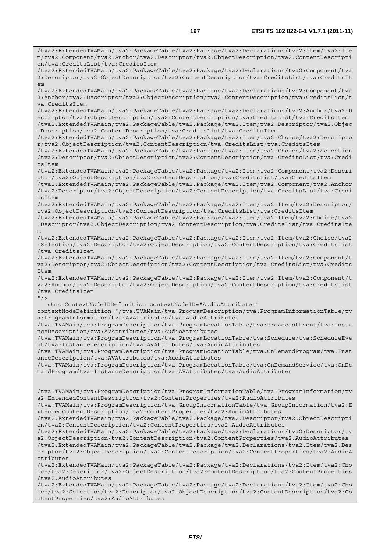/tva2:ExtendedTVAMain/tva2:PackageTable/tva2:Package/tva2:Declarations/tva2:Item/tva2:Ite m/tva2:Component/tva2:Anchor/tva2:Descriptor/tva2:ObjectDescription/tva2:ContentDescripti on/tva:CreditsList/tva:CreditsItem /tva2:ExtendedTVAMain/tva2:PackageTable/tva2:Package/tva2:Declarations/tva2:Component/tva 2:Descriptor/tva2:ObjectDescription/tva2:ContentDescription/tva:CreditsList/tva:CreditsIt em /tva2:ExtendedTVAMain/tva2:PackageTable/tva2:Package/tva2:Declarations/tva2:Component/tva 2:Anchor/tva2:Descriptor/tva2:ObjectDescription/tva2:ContentDescription/tva:CreditsList/t va:CreditsItem /tva2:ExtendedTVAMain/tva2:PackageTable/tva2:Package/tva2:Declarations/tva2:Anchor/tva2:D escriptor/tva2:ObjectDescription/tva2:ContentDescription/tva:CreditsList/tva:CreditsItem /tva2:ExtendedTVAMain/tva2:PackageTable/tva2:Package/tva2:Item/tva2:Descriptor/tva2:Objec tDescription/tva2:ContentDescription/tva:CreditsList/tva:CreditsItem /tva2:ExtendedTVAMain/tva2:PackageTable/tva2:Package/tva2:Item/tva2:Choice/tva2:Descripto r/tva2:ObjectDescription/tva2:ContentDescription/tva:CreditsList/tva:CreditsItem /tva2:ExtendedTVAMain/tva2:PackageTable/tva2:Package/tva2:Item/tva2:Choice/tva2:Selection /tva2:Descriptor/tva2:ObjectDescription/tva2:ContentDescription/tva:CreditsList/tva:Credi tsItem /tva2:ExtendedTVAMain/tva2:PackageTable/tva2:Package/tva2:Item/tva2:Component/tva2:Descri ptor/tva2:ObjectDescription/tva2:ContentDescription/tva:CreditsList/tva:CreditsItem /tva2:ExtendedTVAMain/tva2:PackageTable/tva2:Package/tva2:Item/tva2:Component/tva2:Anchor /tva2:Descriptor/tva2:ObjectDescription/tva2:ContentDescription/tva:CreditsList/tva:Credi tsItem /tva2:ExtendedTVAMain/tva2:PackageTable/tva2:Package/tva2:Item/tva2:Item/tva2:Descriptor/ tva2:ObjectDescription/tva2:ContentDescription/tva:CreditsList/tva:CreditsItem /tva2:ExtendedTVAMain/tva2:PackageTable/tva2:Package/tva2:Item/tva2:Item/tva2:Choice/tva2 :Descriptor/tva2:ObjectDescription/tva2:ContentDescription/tva:CreditsList/tva:CreditsIte m /tva2:ExtendedTVAMain/tva2:PackageTable/tva2:Package/tva2:Item/tva2:Item/tva2:Choice/tva2 :Selection/tva2:Descriptor/tva2:ObjectDescription/tva2:ContentDescription/tva:CreditsList /tva:CreditsItem /tva2:ExtendedTVAMain/tva2:PackageTable/tva2:Package/tva2:Item/tva2:Item/tva2:Component/t va2:Descriptor/tva2:ObjectDescription/tva2:ContentDescription/tva:CreditsList/tva:Credits  $T \uparrow \sim m$ /tva2:ExtendedTVAMain/tva2:PackageTable/tva2:Package/tva2:Item/tva2:Item/tva2:Component/t va2:Anchor/tva2:Descriptor/tva2:ObjectDescription/tva2:ContentDescription/tva:CreditsList /tva:CreditsItem  $"$  / > <tns:ContextNodeIDDefinition contextNodeID="AudioAttributes" contextNodeDefinition="/tva:TVAMain/tva:ProgramDescription/tva:ProgramInformationTable/tv a:ProgramInformation/tva:AVAttributes/tva:AudioAttributes /tva:TVAMain/tva:ProgramDescription/tva:ProgramLocationTable/tva:BroadcastEvent/tva:Insta nceDescription/tva:AVAttributes/tva:AudioAttributes /tva:TVAMain/tva:ProgramDescription/tva:ProgramLocationTable/tva:Schedule/tva:ScheduleEve nt/tva:InstanceDescription/tva:AVAttributes/tva:AudioAttributes /tva:TVAMain/tva:ProgramDescription/tva:ProgramLocationTable/tva:OnDemandProgram/tva:Inst anceDescription/tva:AVAttributes/tva:AudioAttributes /tva:TVAMain/tva:ProgramDescription/tva:ProgramLocationTable/tva:OnDemandService/tva:OnDe mandProgram/tva:InstanceDescription/tva:AVAttributes/tva:AudioAttributes /tva:TVAMain/tva:ProgramDescription/tva:ProgramInformationTable/tva:ProgramInformation/tv a2:ExtendedContentDescription/tva2:ContentProperties/tva2:AudioAttributes /tva:TVAMain/tva:ProgramDescription/tva:GroupInformationTable/tva:GroupInformation/tva2:E xtendedContentDescription/tva2:ContentProperties/tva2:AudioAttributes /tva2:ExtendedTVAMain/tva2:PackageTable/tva2:Package/tva2:Descriptor/tva2:ObjectDescripti on/tva2:ContentDescription/tva2:ContentProperties/tva2:AudioAttributes /tva2:ExtendedTVAMain/tva2:PackageTable/tva2:Package/tva2:Declarations/tva2:Descriptor/tv a2:ObjectDescription/tva2:ContentDescription/tva2:ContentProperties/tva2:AudioAttributes /tva2:ExtendedTVAMain/tva2:PackageTable/tva2:Package/tva2:Declarations/tva2:Item/tva2:Des criptor/tva2:ObjectDescription/tva2:ContentDescription/tva2:ContentProperties/tva2:AudioA ttributes /tva2:ExtendedTVAMain/tva2:PackageTable/tva2:Package/tva2:Declarations/tva2:Item/tva2:Cho ice/tva2:Descriptor/tva2:ObjectDescription/tva2:ContentDescription/tva2:ContentProperties /tva2:AudioAttributes

/tva2:ExtendedTVAMain/tva2:PackageTable/tva2:Package/tva2:Declarations/tva2:Item/tva2:Cho ice/tva2:Selection/tva2:Descriptor/tva2:ObjectDescription/tva2:ContentDescription/tva2:Co ntentProperties/tva2:AudioAttributes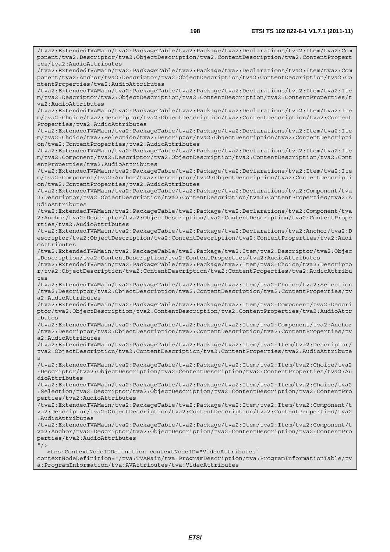/tva2:ExtendedTVAMain/tva2:PackageTable/tva2:Package/tva2:Declarations/tva2:Item/tva2:Com ponent/tva2:Descriptor/tva2:ObjectDescription/tva2:ContentDescription/tva2:ContentPropert ies/tva2:AudioAttributes /tva2:ExtendedTVAMain/tva2:PackageTable/tva2:Package/tva2:Declarations/tva2:Item/tva2:Com ponent/tva2:Anchor/tva2:Descriptor/tva2:ObjectDescription/tva2:ContentDescription/tva2:Co ntentProperties/tva2:AudioAttributes /tva2:ExtendedTVAMain/tva2:PackageTable/tva2:Package/tva2:Declarations/tva2:Item/tva2:Ite m/tva2:Descriptor/tva2:ObjectDescription/tva2:ContentDescription/tva2:ContentProperties/t va2:AudioAttributes /tva2:ExtendedTVAMain/tva2:PackageTable/tva2:Package/tva2:Declarations/tva2:Item/tva2:Ite m/tva2:Choice/tva2:Descriptor/tva2:ObjectDescription/tva2:ContentDescription/tva2:Content Properties/tva2:AudioAttributes /tva2:ExtendedTVAMain/tva2:PackageTable/tva2:Package/tva2:Declarations/tva2:Item/tva2:Ite m/tva2:Choice/tva2:Selection/tva2:Descriptor/tva2:ObjectDescription/tva2:ContentDescripti on/tva2:ContentProperties/tva2:AudioAttributes /tva2:ExtendedTVAMain/tva2:PackageTable/tva2:Package/tva2:Declarations/tva2:Item/tva2:Ite m/tva2:Component/tva2:Descriptor/tva2:ObjectDescription/tva2:ContentDescription/tva2:Cont entProperties/tva2:AudioAttributes /tva2:ExtendedTVAMain/tva2:PackageTable/tva2:Package/tva2:Declarations/tva2:Item/tva2:Ite m/tva2:Component/tva2:Anchor/tva2:Descriptor/tva2:ObjectDescription/tva2:ContentDescripti on/tva2:ContentProperties/tva2:AudioAttributes /tva2:ExtendedTVAMain/tva2:PackageTable/tva2:Package/tva2:Declarations/tva2:Component/tva 2:Descriptor/tva2:ObjectDescription/tva2:ContentDescription/tva2:ContentProperties/tva2:A udioAttributes /tva2:ExtendedTVAMain/tva2:PackageTable/tva2:Package/tva2:Declarations/tva2:Component/tva 2:Anchor/tva2:Descriptor/tva2:ObjectDescription/tva2:ContentDescription/tva2:ContentPrope rties/tva2:AudioAttributes /tva2:ExtendedTVAMain/tva2:PackageTable/tva2:Package/tva2:Declarations/tva2:Anchor/tva2:D escriptor/tva2:ObjectDescription/tva2:ContentDescription/tva2:ContentProperties/tva2:Audi oAttributes /tva2:ExtendedTVAMain/tva2:PackageTable/tva2:Package/tva2:Item/tva2:Descriptor/tva2:Objec tDescription/tva2:ContentDescription/tva2:ContentProperties/tva2:AudioAttributes /tva2:ExtendedTVAMain/tva2:PackageTable/tva2:Package/tva2:Item/tva2:Choice/tva2:Descripto r/tva2:ObjectDescription/tva2:ContentDescription/tva2:ContentProperties/tva2:AudioAttribu tes /tva2:ExtendedTVAMain/tva2:PackageTable/tva2:Package/tva2:Item/tva2:Choice/tva2:Selection /tva2:Descriptor/tva2:ObjectDescription/tva2:ContentDescription/tva2:ContentProperties/tv a2:AudioAttributes /tva2:ExtendedTVAMain/tva2:PackageTable/tva2:Package/tva2:Item/tva2:Component/tva2:Descri ptor/tva2:ObjectDescription/tva2:ContentDescription/tva2:ContentProperties/tva2:AudioAttr ibutes

/tva2:ExtendedTVAMain/tva2:PackageTable/tva2:Package/tva2:Item/tva2:Component/tva2:Anchor /tva2:Descriptor/tva2:ObjectDescription/tva2:ContentDescription/tva2:ContentProperties/tv a2:AudioAttributes

/tva2:ExtendedTVAMain/tva2:PackageTable/tva2:Package/tva2:Item/tva2:Item/tva2:Descriptor/ tva2:ObjectDescription/tva2:ContentDescription/tva2:ContentProperties/tva2:AudioAttribute s

/tva2:ExtendedTVAMain/tva2:PackageTable/tva2:Package/tva2:Item/tva2:Item/tva2:Choice/tva2 :Descriptor/tva2:ObjectDescription/tva2:ContentDescription/tva2:ContentProperties/tva2:Au dioAttributes

/tva2:ExtendedTVAMain/tva2:PackageTable/tva2:Package/tva2:Item/tva2:Item/tva2:Choice/tva2 :Selection/tva2:Descriptor/tva2:ObjectDescription/tva2:ContentDescription/tva2:ContentPro perties/tva2:AudioAttributes

/tva2:ExtendedTVAMain/tva2:PackageTable/tva2:Package/tva2:Item/tva2:Item/tva2:Component/t va2:Descriptor/tva2:ObjectDescription/tva2:ContentDescription/tva2:ContentProperties/tva2 :AudioAttributes

/tva2:ExtendedTVAMain/tva2:PackageTable/tva2:Package/tva2:Item/tva2:Item/tva2:Component/t va2:Anchor/tva2:Descriptor/tva2:ObjectDescription/tva2:ContentDescription/tva2:ContentPro perties/tva2:AudioAttributes

 $''$  /  $>$ 

<tns:ContextNodeIDDefinition contextNodeID="VideoAttributes"

contextNodeDefinition="/tva:TVAMain/tva:ProgramDescription/tva:ProgramInformationTable/tv a:ProgramInformation/tva:AVAttributes/tva:VideoAttributes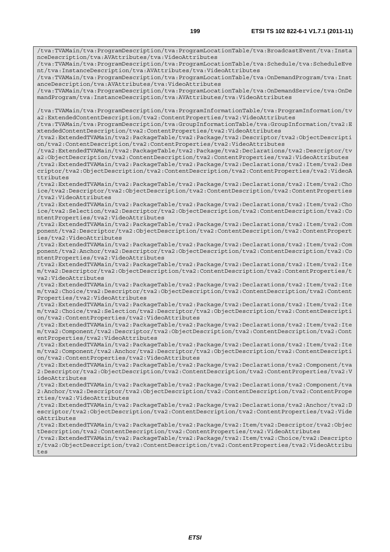/tva:TVAMain/tva:ProgramDescription/tva:ProgramLocationTable/tva:BroadcastEvent/tva:Insta nceDescription/tva:AVAttributes/tva:VideoAttributes /tva:TVAMain/tva:ProgramDescription/tva:ProgramLocationTable/tva:Schedule/tva:ScheduleEve nt/tva:InstanceDescription/tva:AVAttributes/tva:VideoAttributes /tva:TVAMain/tva:ProgramDescription/tva:ProgramLocationTable/tva:OnDemandProgram/tva:Inst anceDescription/tva:AVAttributes/tva:VideoAttributes /tva:TVAMain/tva:ProgramDescription/tva:ProgramLocationTable/tva:OnDemandService/tva:OnDe mandProgram/tva:InstanceDescription/tva:AVAttributes/tva:VideoAttributes /tva:TVAMain/tva:ProgramDescription/tva:ProgramInformationTable/tva:ProgramInformation/tv a2:ExtendedContentDescription/tva2:ContentProperties/tva2:VideoAttributes /tva:TVAMain/tva:ProgramDescription/tva:GroupInformationTable/tva:GroupInformation/tva2:E xtendedContentDescription/tva2:ContentProperties/tva2:VideoAttributes /tva2:ExtendedTVAMain/tva2:PackageTable/tva2:Package/tva2:Descriptor/tva2:ObjectDescripti on/tva2:ContentDescription/tva2:ContentProperties/tva2:VideoAttributes /tva2:ExtendedTVAMain/tva2:PackageTable/tva2:Package/tva2:Declarations/tva2:Descriptor/tv a2:ObjectDescription/tva2:ContentDescription/tva2:ContentProperties/tva2:VideoAttributes /tva2:ExtendedTVAMain/tva2:PackageTable/tva2:Package/tva2:Declarations/tva2:Item/tva2:Des criptor/tva2:ObjectDescription/tva2:ContentDescription/tva2:ContentProperties/tva2:VideoA ttributes /tva2:ExtendedTVAMain/tva2:PackageTable/tva2:Package/tva2:Declarations/tva2:Item/tva2:Cho ice/tva2:Descriptor/tva2:ObjectDescription/tva2:ContentDescription/tva2:ContentProperties /tva2:VideoAttributes /tva2:ExtendedTVAMain/tva2:PackageTable/tva2:Package/tva2:Declarations/tva2:Item/tva2:Cho ice/tva2:Selection/tva2:Descriptor/tva2:ObjectDescription/tva2:ContentDescription/tva2:Co ntentProperties/tva2:VideoAttributes /tva2:ExtendedTVAMain/tva2:PackageTable/tva2:Package/tva2:Declarations/tva2:Item/tva2:Com ponent/tva2:Descriptor/tva2:ObjectDescription/tva2:ContentDescription/tva2:ContentPropert ies/tva2:VideoAttributes /tva2:ExtendedTVAMain/tva2:PackageTable/tva2:Package/tva2:Declarations/tva2:Item/tva2:Com ponent/tva2:Anchor/tva2:Descriptor/tva2:ObjectDescription/tva2:ContentDescription/tva2:Co ntentProperties/tva2:VideoAttributes /tva2:ExtendedTVAMain/tva2:PackageTable/tva2:Package/tva2:Declarations/tva2:Item/tva2:Ite m/tva2:Descriptor/tva2:ObjectDescription/tva2:ContentDescription/tva2:ContentProperties/t va2:VideoAttributes /tva2:ExtendedTVAMain/tva2:PackageTable/tva2:Package/tva2:Declarations/tva2:Item/tva2:Ite m/tva2:Choice/tva2:Descriptor/tva2:ObjectDescription/tva2:ContentDescription/tva2:Content Properties/tva2:VideoAttributes /tva2:ExtendedTVAMain/tva2:PackageTable/tva2:Package/tva2:Declarations/tva2:Item/tva2:Ite m/tva2:Choice/tva2:Selection/tva2:Descriptor/tva2:ObjectDescription/tva2:ContentDescripti on/tva2:ContentProperties/tva2:VideoAttributes /tva2:ExtendedTVAMain/tva2:PackageTable/tva2:Package/tva2:Declarations/tva2:Item/tva2:Ite m/tva2:Component/tva2:Descriptor/tva2:ObjectDescription/tva2:ContentDescription/tva2:Cont entProperties/tva2:VideoAttributes /tva2:ExtendedTVAMain/tva2:PackageTable/tva2:Package/tva2:Declarations/tva2:Item/tva2:Ite m/tva2:Component/tva2:Anchor/tva2:Descriptor/tva2:ObjectDescription/tva2:ContentDescripti on/tva2:ContentProperties/tva2:VideoAttributes /tva2:ExtendedTVAMain/tva2:PackageTable/tva2:Package/tva2:Declarations/tva2:Component/tva 2:Descriptor/tva2:ObjectDescription/tva2:ContentDescription/tva2:ContentProperties/tva2:V ideoAttributes /tva2:ExtendedTVAMain/tva2:PackageTable/tva2:Package/tva2:Declarations/tva2:Component/tva 2:Anchor/tva2:Descriptor/tva2:ObjectDescription/tva2:ContentDescription/tva2:ContentPrope rties/tva2:VideoAttributes /tva2:ExtendedTVAMain/tva2:PackageTable/tva2:Package/tva2:Declarations/tva2:Anchor/tva2:D escriptor/tva2:ObjectDescription/tva2:ContentDescription/tva2:ContentProperties/tva2:Vide oAttributes /tva2:ExtendedTVAMain/tva2:PackageTable/tva2:Package/tva2:Item/tva2:Descriptor/tva2:Objec tDescription/tva2:ContentDescription/tva2:ContentProperties/tva2:VideoAttributes /tva2:ExtendedTVAMain/tva2:PackageTable/tva2:Package/tva2:Item/tva2:Choice/tva2:Descripto r/tva2:ObjectDescription/tva2:ContentDescription/tva2:ContentProperties/tva2:VideoAttribu tes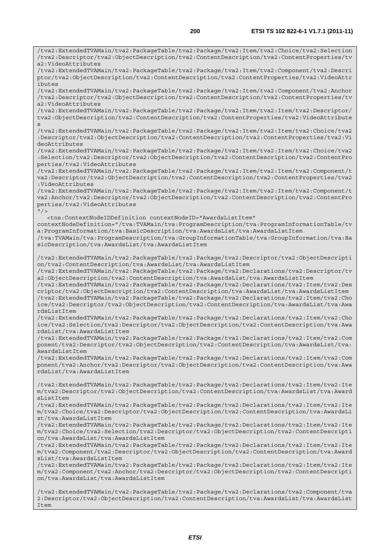/tva2:ExtendedTVAMain/tva2:PackageTable/tva2:Package/tva2:Item/tva2:Choice/tva2:Selection /tva2:Descriptor/tva2:ObjectDescription/tva2:ContentDescription/tva2:ContentProperties/tv a2:VideoAttributes /tva2:ExtendedTVAMain/tva2:PackageTable/tva2:Package/tva2:Item/tva2:Component/tva2:Descri ptor/tva2:ObjectDescription/tva2:ContentDescription/tva2:ContentProperties/tva2:VideoAttr ibutes /tva2:ExtendedTVAMain/tva2:PackageTable/tva2:Package/tva2:Item/tva2:Component/tva2:Anchor /tva2:Descriptor/tva2:ObjectDescription/tva2:ContentDescription/tva2:ContentProperties/tv a2:VideoAttributes /tva2:ExtendedTVAMain/tva2:PackageTable/tva2:Package/tva2:Item/tva2:Item/tva2:Descriptor/ tva2:ObjectDescription/tva2:ContentDescription/tva2:ContentProperties/tva2:VideoAttribute s /tva2:ExtendedTVAMain/tva2:PackageTable/tva2:Package/tva2:Item/tva2:Item/tva2:Choice/tva2 :Descriptor/tva2:ObjectDescription/tva2:ContentDescription/tva2:ContentProperties/tva2:Vi deoAttributes /tva2:ExtendedTVAMain/tva2:PackageTable/tva2:Package/tva2:Item/tva2:Item/tva2:Choice/tva2 :Selection/tva2:Descriptor/tva2:ObjectDescription/tva2:ContentDescription/tva2:ContentPro perties/tva2:VideoAttributes /tva2:ExtendedTVAMain/tva2:PackageTable/tva2:Package/tva2:Item/tva2:Item/tva2:Component/t va2:Descriptor/tva2:ObjectDescription/tva2:ContentDescription/tva2:ContentProperties/tva2 :VideoAttributes /tva2:ExtendedTVAMain/tva2:PackageTable/tva2:Package/tva2:Item/tva2:Item/tva2:Component/t va2:Anchor/tva2:Descriptor/tva2:ObjectDescription/tva2:ContentDescription/tva2:ContentPro perties/tva2:VideoAttributes  $"$  /> <tns:ContextNodeIDDefinition contextNodeID="AwardsListItem" contextNodeDefinition="/tva:TVAMain/tva:ProgramDescription/tva:ProgramInformationTable/tv a:ProgramInformation/tva:BasicDescription/tva:AwardsList/tva:AwardsListItem /tva:TVAMain/tva:ProgramDescription/tva:GroupInformationTable/tva:GroupInformation/tva:Ba sicDescription/tva:AwardsList/tva:AwardsListItem /tva2:ExtendedTVAMain/tva2:PackageTable/tva2:Package/tva2:Descriptor/tva2:ObjectDescripti on/tva2:ContentDescription/tva:AwardsList/tva:AwardsListItem /tva2:ExtendedTVAMain/tva2:PackageTable/tva2:Package/tva2:Declarations/tva2:Descriptor/tv a2:ObjectDescription/tva2:ContentDescription/tva:AwardsList/tva:AwardsListItem /tva2:ExtendedTVAMain/tva2:PackageTable/tva2:Package/tva2:Declarations/tva2:Item/tva2:Des criptor/tva2:ObjectDescription/tva2:ContentDescription/tva:AwardsList/tva:AwardsListItem /tva2:ExtendedTVAMain/tva2:PackageTable/tva2:Package/tva2:Declarations/tva2:Item/tva2:Cho ice/tva2:Descriptor/tva2:ObjectDescription/tva2:ContentDescription/tva:AwardsList/tva:Awa rdsListItem /tva2:ExtendedTVAMain/tva2:PackageTable/tva2:Package/tva2:Declarations/tva2:Item/tva2:Cho ice/tva2:Selection/tva2:Descriptor/tva2:ObjectDescription/tva2:ContentDescription/tva:Awa rdsList/tva:AwardsListItem /tva2:ExtendedTVAMain/tva2:PackageTable/tva2:Package/tva2:Declarations/tva2:Item/tva2:Com ponent/tva2:Descriptor/tva2:ObjectDescription/tva2:ContentDescription/tva:AwardsList/tva: AwardsListItem /tva2:ExtendedTVAMain/tva2:PackageTable/tva2:Package/tva2:Declarations/tva2:Item/tva2:Com ponent/tva2:Anchor/tva2:Descriptor/tva2:ObjectDescription/tva2:ContentDescription/tva:Awa rdsList/tva:AwardsListItem /tva2:ExtendedTVAMain/tva2:PackageTable/tva2:Package/tva2:Declarations/tva2:Item/tva2:Ite m/tva2:Descriptor/tva2:ObjectDescription/tva2:ContentDescription/tva:AwardsList/tva:Award sListItem /tva2:ExtendedTVAMain/tva2:PackageTable/tva2:Package/tva2:Declarations/tva2:Item/tva2:Ite m/tva2:Choice/tva2:Descriptor/tva2:ObjectDescription/tva2:ContentDescription/tva:AwardsLi st/tva:AwardsListItem /tva2:ExtendedTVAMain/tva2:PackageTable/tva2:Package/tva2:Declarations/tva2:Item/tva2:Ite m/tva2:Choice/tva2:Selection/tva2:Descriptor/tva2:ObjectDescription/tva2:ContentDescripti on/tva:AwardsList/tva:AwardsListItem /tva2:ExtendedTVAMain/tva2:PackageTable/tva2:Package/tva2:Declarations/tva2:Item/tva2:Ite m/tva2:Component/tva2:Descriptor/tva2:ObjectDescription/tva2:ContentDescription/tva:Award sList/tva:AwardsListItem /tva2:ExtendedTVAMain/tva2:PackageTable/tva2:Package/tva2:Declarations/tva2:Item/tva2:Ite m/tva2:Component/tva2:Anchor/tva2:Descriptor/tva2:ObjectDescription/tva2:ContentDescripti on/tva:AwardsList/tva:AwardsListItem

/tva2:ExtendedTVAMain/tva2:PackageTable/tva2:Package/tva2:Declarations/tva2:Component/tva 2:Descriptor/tva2:ObjectDescription/tva2:ContentDescription/tva:AwardsList/tva:AwardsList Item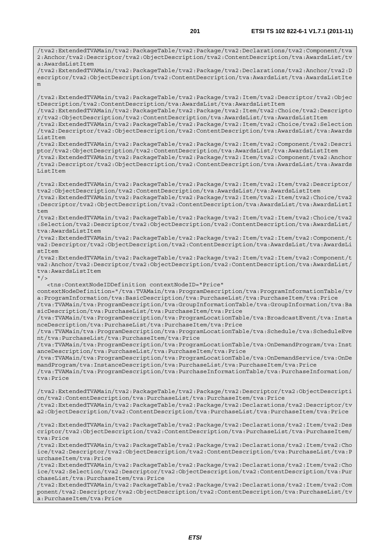/tva2:ExtendedTVAMain/tva2:PackageTable/tva2:Package/tva2:Declarations/tva2:Component/tva 2:Anchor/tva2:Descriptor/tva2:ObjectDescription/tva2:ContentDescription/tva:AwardsList/tv a:AwardsListItem /tva2:ExtendedTVAMain/tva2:PackageTable/tva2:Package/tva2:Declarations/tva2:Anchor/tva2:D escriptor/tva2:ObjectDescription/tva2:ContentDescription/tva:AwardsList/tva:AwardsListIte m /tva2:ExtendedTVAMain/tva2:PackageTable/tva2:Package/tva2:Item/tva2:Descriptor/tva2:Objec tDescription/tva2:ContentDescription/tva:AwardsList/tva:AwardsListItem /tva2:ExtendedTVAMain/tva2:PackageTable/tva2:Package/tva2:Item/tva2:Choice/tva2:Descripto r/tva2:ObjectDescription/tva2:ContentDescription/tva:AwardsList/tva:AwardsListItem /tva2:ExtendedTVAMain/tva2:PackageTable/tva2:Package/tva2:Item/tva2:Choice/tva2:Selection /tva2:Descriptor/tva2:ObjectDescription/tva2:ContentDescription/tva:AwardsList/tva:Awards ListItem /tva2:ExtendedTVAMain/tva2:PackageTable/tva2:Package/tva2:Item/tva2:Component/tva2:Descri ptor/tva2:ObjectDescription/tva2:ContentDescription/tva:AwardsList/tva:AwardsListItem /tva2:ExtendedTVAMain/tva2:PackageTable/tva2:Package/tva2:Item/tva2:Component/tva2:Anchor /tva2:Descriptor/tva2:ObjectDescription/tva2:ContentDescription/tva:AwardsList/tva:Awards ListItem /tva2:ExtendedTVAMain/tva2:PackageTable/tva2:Package/tva2:Item/tva2:Item/tva2:Descriptor/ tva2:ObjectDescription/tva2:ContentDescription/tva:AwardsList/tva:AwardsListItem /tva2:ExtendedTVAMain/tva2:PackageTable/tva2:Package/tva2:Item/tva2:Item/tva2:Choice/tva2 :Descriptor/tva2:ObjectDescription/tva2:ContentDescription/tva:AwardsList/tva:AwardsListI tem /tva2:ExtendedTVAMain/tva2:PackageTable/tva2:Package/tva2:Item/tva2:Item/tva2:Choice/tva2 :Selection/tva2:Descriptor/tva2:ObjectDescription/tva2:ContentDescription/tva:AwardsList/ tva:AwardsListItem /tva2:ExtendedTVAMain/tva2:PackageTable/tva2:Package/tva2:Item/tva2:Item/tva2:Component/t va2:Descriptor/tva2:ObjectDescription/tva2:ContentDescription/tva:AwardsList/tva:AwardsLi stItem /tva2:ExtendedTVAMain/tva2:PackageTable/tva2:Package/tva2:Item/tva2:Item/tva2:Component/t va2:Anchor/tva2:Descriptor/tva2:ObjectDescription/tva2:ContentDescription/tva:AwardsList/ tva:AwardsListItem  $"$  / > <tns:ContextNodeIDDefinition contextNodeID="Price" contextNodeDefinition="/tva:TVAMain/tva:ProgramDescription/tva:ProgramInformationTable/tv a:ProgramInformation/tva:BasicDescription/tva:PurchaseList/tva:PurchaseItem/tva:Price /tva:TVAMain/tva:ProgramDescription/tva:GroupInformationTable/tva:GroupInformation/tva:Ba sicDescription/tva:PurchaseList/tva:PurchaseItem/tva:Price /tva:TVAMain/tva:ProgramDescription/tva:ProgramLocationTable/tva:BroadcastEvent/tva:Insta nceDescription/tva:PurchaseList/tva:PurchaseItem/tva:Price /tva:TVAMain/tva:ProgramDescription/tva:ProgramLocationTable/tva:Schedule/tva:ScheduleEve nt/tva:PurchaseList/tva:PurchaseItem/tva:Price /tva:TVAMain/tva:ProgramDescription/tva:ProgramLocationTable/tva:OnDemandProgram/tva:Inst anceDescription/tva:PurchaseList/tva:PurchaseItem/tva:Price /tva:TVAMain/tva:ProgramDescription/tva:ProgramLocationTable/tva:OnDemandService/tva:OnDe mandProgram/tva:InstanceDescription/tva:PurchaseList/tva:PurchaseItem/tva:Price /tva:TVAMain/tva:ProgramDescription/tva:PurchaseInformationTable/tva:PurchaseInformation/ tva:Price /tva2:ExtendedTVAMain/tva2:PackageTable/tva2:Package/tva2:Descriptor/tva2:ObjectDescripti on/tva2:ContentDescription/tva:PurchaseList/tva:PurchaseItem/tva:Price /tva2:ExtendedTVAMain/tva2:PackageTable/tva2:Package/tva2:Declarations/tva2:Descriptor/tv a2:ObjectDescription/tva2:ContentDescription/tva:PurchaseList/tva:PurchaseItem/tva:Price /tva2:ExtendedTVAMain/tva2:PackageTable/tva2:Package/tva2:Declarations/tva2:Item/tva2:Des criptor/tva2:ObjectDescription/tva2:ContentDescription/tva:PurchaseList/tva:PurchaseItem/ tva:Price /tva2:ExtendedTVAMain/tva2:PackageTable/tva2:Package/tva2:Declarations/tva2:Item/tva2:Cho ice/tva2:Descriptor/tva2:ObjectDescription/tva2:ContentDescription/tva:PurchaseList/tva:P urchaseItem/tva:Price /tva2:ExtendedTVAMain/tva2:PackageTable/tva2:Package/tva2:Declarations/tva2:Item/tva2:Cho ice/tva2:Selection/tva2:Descriptor/tva2:ObjectDescription/tva2:ContentDescription/tva:Pur chaseList/tva:PurchaseItem/tva:Price /tva2:ExtendedTVAMain/tva2:PackageTable/tva2:Package/tva2:Declarations/tva2:Item/tva2:Com ponent/tva2:Descriptor/tva2:ObjectDescription/tva2:ContentDescription/tva:PurchaseList/tv

a:PurchaseItem/tva:Price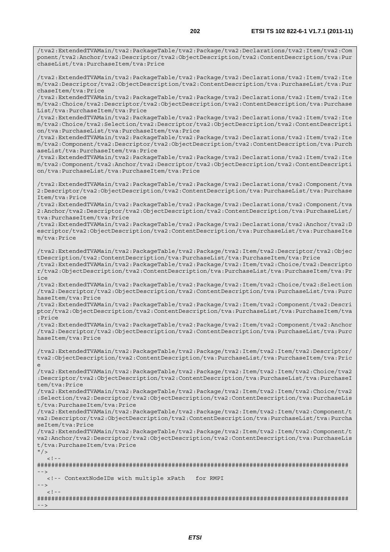/tva2:ExtendedTVAMain/tva2:PackageTable/tva2:Package/tva2:Declarations/tva2:Item/tva2:Com ponent/tva2:Anchor/tva2:Descriptor/tva2:ObjectDescription/tva2:ContentDescription/tva:Pur

chaseList/tva:PurchaseItem/tva:Price /tva2:ExtendedTVAMain/tva2:PackageTable/tva2:Package/tva2:Declarations/tva2:Item/tva2:Ite m/tva2:Descriptor/tva2:ObjectDescription/tva2:ContentDescription/tva:PurchaseList/tva:Pur chaseItem/tva:Price /tva2:ExtendedTVAMain/tva2:PackageTable/tva2:Package/tva2:Declarations/tva2:Item/tva2:Ite m/tva2:Choice/tva2:Descriptor/tva2:ObjectDescription/tva2:ContentDescription/tva:Purchase List/tva:PurchaseItem/tva:Price /tva2:ExtendedTVAMain/tva2:PackageTable/tva2:Package/tva2:Declarations/tva2:Item/tva2:Ite m/tva2:Choice/tva2:Selection/tva2:Descriptor/tva2:ObjectDescription/tva2:ContentDescripti on/tva:PurchaseList/tva:PurchaseItem/tva:Price /tva2:ExtendedTVAMain/tva2:PackageTable/tva2:Package/tva2:Declarations/tva2:Item/tva2:Ite m/tva2:Component/tva2:Descriptor/tva2:ObjectDescription/tva2:ContentDescription/tva:Purch aseList/tva:PurchaseItem/tva:Price /tva2:ExtendedTVAMain/tva2:PackageTable/tva2:Package/tva2:Declarations/tva2:Item/tva2:Ite m/tva2:Component/tva2:Anchor/tva2:Descriptor/tva2:ObjectDescription/tva2:ContentDescripti on/tva:PurchaseList/tva:PurchaseItem/tva:Price /tva2:ExtendedTVAMain/tva2:PackageTable/tva2:Package/tva2:Declarations/tva2:Component/tva 2:Descriptor/tva2:ObjectDescription/tva2:ContentDescription/tva:PurchaseList/tva:Purchase Item/tva:Price /tva2:ExtendedTVAMain/tva2:PackageTable/tva2:Package/tva2:Declarations/tva2:Component/tva 2:Anchor/tva2:Descriptor/tva2:ObjectDescription/tva2:ContentDescription/tva:PurchaseList/ tva:PurchaseItem/tva:Price /tva2:ExtendedTVAMain/tva2:PackageTable/tva2:Package/tva2:Declarations/tva2:Anchor/tva2:D escriptor/tva2:ObjectDescription/tva2:ContentDescription/tva:PurchaseList/tva:PurchaseIte m/tva:Price /tva2:ExtendedTVAMain/tva2:PackageTable/tva2:Package/tva2:Item/tva2:Descriptor/tva2:Objec tDescription/tva2:ContentDescription/tva:PurchaseList/tva:PurchaseItem/tva:Price /tva2:ExtendedTVAMain/tva2:PackageTable/tva2:Package/tva2:Item/tva2:Choice/tva2:Descripto r/tva2:ObjectDescription/tva2:ContentDescription/tva:PurchaseList/tva:PurchaseItem/tva:Pr ice /tva2:ExtendedTVAMain/tva2:PackageTable/tva2:Package/tva2:Item/tva2:Choice/tva2:Selection /tva2:Descriptor/tva2:ObjectDescription/tva2:ContentDescription/tva:PurchaseList/tva:Purc haseItem/tva:Price /tva2:ExtendedTVAMain/tva2:PackageTable/tva2:Package/tva2:Item/tva2:Component/tva2:Descri

ptor/tva2:ObjectDescription/tva2:ContentDescription/tva:PurchaseList/tva:PurchaseItem/tva :Price /tva2:ExtendedTVAMain/tva2:PackageTable/tva2:Package/tva2:Item/tva2:Component/tva2:Anchor /tva2:Descriptor/tva2:ObjectDescription/tva2:ContentDescription/tva:PurchaseList/tva:Purc

haseItem/tva:Price

/tva2:ExtendedTVAMain/tva2:PackageTable/tva2:Package/tva2:Item/tva2:Item/tva2:Descriptor/ tva2:ObjectDescription/tva2:ContentDescription/tva:PurchaseList/tva:PurchaseItem/tva:Pric e

/tva2:ExtendedTVAMain/tva2:PackageTable/tva2:Package/tva2:Item/tva2:Item/tva2:Choice/tva2 :Descriptor/tva2:ObjectDescription/tva2:ContentDescription/tva:PurchaseList/tva:PurchaseI tem/tva:Price

/tva2:ExtendedTVAMain/tva2:PackageTable/tva2:Package/tva2:Item/tva2:Item/tva2:Choice/tva2 :Selection/tva2:Descriptor/tva2:ObjectDescription/tva2:ContentDescription/tva:PurchaseLis t/tva:PurchaseItem/tva:Price

/tva2:ExtendedTVAMain/tva2:PackageTable/tva2:Package/tva2:Item/tva2:Item/tva2:Component/t va2:Descriptor/tva2:ObjectDescription/tva2:ContentDescription/tva:PurchaseList/tva:Purcha seItem/tva:Price

/tva2:ExtendedTVAMain/tva2:PackageTable/tva2:Package/tva2:Item/tva2:Item/tva2:Component/t va2:Anchor/tva2:Descriptor/tva2:ObjectDescription/tva2:ContentDescription/tva:PurchaseLis t/tva:PurchaseItem/tva:Price

 $"$  / >  $\leq$  1

######################################################################################## --> <!-- ContextNodeIDs with multiple xPath for RMPI -->

 $\lt$  ! --

######################################################################################## -->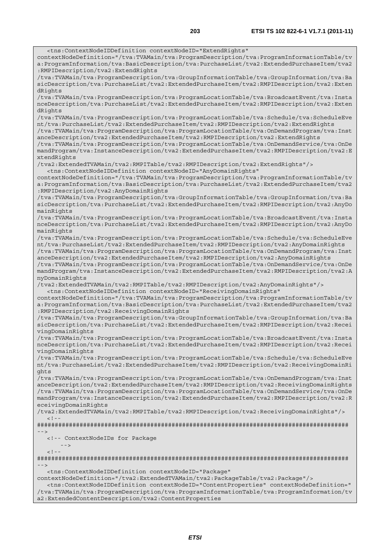<tns:ContextNodeIDDefinition contextNodeID="ExtendRights" contextNodeDefinition="/tva:TVAMain/tva:ProgramDescription/tva:ProgramInformationTable/tv a:ProgramInformation/tva:BasicDescription/tva:PurchaseList/tva2:ExtendedPurchaseItem/tva2 :RMPIDescription/tva2:ExtendRights /tva:TVAMain/tva:ProgramDescription/tva:GroupInformationTable/tva:GroupInformation/tva:Ba sicDescription/tva:PurchaseList/tva2:ExtendedPurchaseItem/tva2:RMPIDescription/tva2:Exten dRights /tva:TVAMain/tva:ProgramDescription/tva:ProgramLocationTable/tva:BroadcastEvent/tva:Insta nceDescription/tva:PurchaseList/tva2:ExtendedPurchaseItem/tva2:RMPIDescription/tva2:Exten dRights /tva:TVAMain/tva:ProgramDescription/tva:ProgramLocationTable/tva:Schedule/tva:ScheduleEve nt/tva:PurchaseList/tva2:ExtendedPurchaseItem/tva2:RMPIDescription/tva2:ExtendRights /tva:TVAMain/tva:ProgramDescription/tva:ProgramLocationTable/tva:OnDemandProgram/tva:Inst anceDescription/tva2:ExtendedPurchaseItem/tva2:RMPIDescription/tva2:ExtendRights /tva:TVAMain/tva:ProgramDescription/tva:ProgramLocationTable/tva:OnDemandService/tva:OnDe mandProgram/tva:InstanceDescription/tva2:ExtendedPurchaseItem/tva2:RMPIDescription/tva2:E xtendRights /tva2:ExtendedTVAMain/tva2:RMPITable/tva2:RMPIDescription/tva2:ExtendRights"/> <tns:ContextNodeIDDefinition contextNodeID="AnyDomainRights" contextNodeDefinition="/tva:TVAMain/tva:ProgramDescription/tva:ProgramInformationTable/tv a:ProgramInformation/tva:BasicDescription/tva:PurchaseList/tva2:ExtendedPurchaseItem/tva2 :RMPIDescription/tva2:AnyDomainRights /tva:TVAMain/tva:ProgramDescription/tva:GroupInformationTable/tva:GroupInformation/tva:Ba sicDescription/tva:PurchaseList/tva2:ExtendedPurchaseItem/tva2:RMPIDescription/tva2:AnyDo mainRights /tva:TVAMain/tva:ProgramDescription/tva:ProgramLocationTable/tva:BroadcastEvent/tva:Insta nceDescription/tva:PurchaseList/tva2:ExtendedPurchaseItem/tva2:RMPIDescription/tva2:AnyDo mainRights /tva:TVAMain/tva:ProgramDescription/tva:ProgramLocationTable/tva:Schedule/tva:ScheduleEve nt/tva:PurchaseList/tva2:ExtendedPurchaseItem/tva2:RMPIDescription/tva2:AnyDomainRights /tva:TVAMain/tva:ProgramDescription/tva:ProgramLocationTable/tva:OnDemandProgram/tva:Inst anceDescription/tva2:ExtendedPurchaseItem/tva2:RMPIDescription/tva2:AnyDomainRights /tva:TVAMain/tva:ProgramDescription/tva:ProgramLocationTable/tva:OnDemandService/tva:OnDe mandProgram/tva:InstanceDescription/tva2:ExtendedPurchaseItem/tva2:RMPIDescription/tva2:A nyDomainRights /tva2:ExtendedTVAMain/tva2:RMPITable/tva2:RMPIDescription/tva2:AnyDomainRights"/> <tns:ContextNodeIDDefinition contextNodeID="ReceivingDomainRights" contextNodeDefinition="/tva:TVAMain/tva:ProgramDescription/tva:ProgramInformationTable/tv a:ProgramInformation/tva:BasicDescription/tva:PurchaseList/tva2:ExtendedPurchaseItem/tva2 :RMPIDescription/tva2:ReceivingDomainRights /tva:TVAMain/tva:ProgramDescription/tva:GroupInformationTable/tva:GroupInformation/tva:Ba sicDescription/tva:PurchaseList/tva2:ExtendedPurchaseItem/tva2:RMPIDescription/tva2:Recei vingDomainRights /tva:TVAMain/tva:ProgramDescription/tva:ProgramLocationTable/tva:BroadcastEvent/tva:Insta nceDescription/tva:PurchaseList/tva2:ExtendedPurchaseItem/tva2:RMPIDescription/tva2:Recei vingDomainRights /tva:TVAMain/tva:ProgramDescription/tva:ProgramLocationTable/tva:Schedule/tva:ScheduleEve nt/tva:PurchaseList/tva2:ExtendedPurchaseItem/tva2:RMPIDescription/tva2:ReceivingDomainRi ghts /tva:TVAMain/tva:ProgramDescription/tva:ProgramLocationTable/tva:OnDemandProgram/tva:Inst anceDescription/tva2:ExtendedPurchaseItem/tva2:RMPIDescription/tva2:ReceivingDomainRights /tva:TVAMain/tva:ProgramDescription/tva:ProgramLocationTable/tva:OnDemandService/tva:OnDe mandProgram/tva:InstanceDescription/tva2:ExtendedPurchaseItem/tva2:RMPIDescription/tva2:R eceivingDomainRights /tva2:ExtendedTVAMain/tva2:RMPITable/tva2:RMPIDescription/tva2:ReceivingDomainRights"/>  $\lt$  !  $-$ ######################################################################################## --> <!-- ContextNodeIDs for Package  $-$  --- $-$  -->  $< ! - -$ ######################################################################################## --> <tns:ContextNodeIDDefinition contextNodeID="Package" contextNodeDefinition="/tva2:ExtendedTVAMain/tva2:PackageTable/tva2:Package"/> <tns:ContextNodeIDDefinition contextNodeID="ContentProperties" contextNodeDefinition="

/tva:TVAMain/tva:ProgramDescription/tva:ProgramInformationTable/tva:ProgramInformation/tv a2:ExtendedContentDescription/tva2:ContentProperties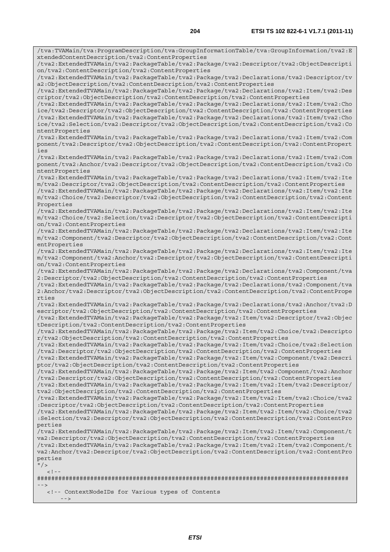/tva:TVAMain/tva:ProgramDescription/tva:GroupInformationTable/tva:GroupInformation/tva2:E xtendedContentDescription/tva2:ContentProperties /tva2:ExtendedTVAMain/tva2:PackageTable/tva2:Package/tva2:Descriptor/tva2:ObjectDescripti on/tva2:ContentDescription/tva2:ContentProperties /tva2:ExtendedTVAMain/tva2:PackageTable/tva2:Package/tva2:Declarations/tva2:Descriptor/tv a2:ObjectDescription/tva2:ContentDescription/tva2:ContentProperties /tva2:ExtendedTVAMain/tva2:PackageTable/tva2:Package/tva2:Declarations/tva2:Item/tva2:Des criptor/tva2:ObjectDescription/tva2:ContentDescription/tva2:ContentProperties /tva2:ExtendedTVAMain/tva2:PackageTable/tva2:Package/tva2:Declarations/tva2:Item/tva2:Cho ice/tva2:Descriptor/tva2:ObjectDescription/tva2:ContentDescription/tva2:ContentProperties /tva2:ExtendedTVAMain/tva2:PackageTable/tva2:Package/tva2:Declarations/tva2:Item/tva2:Cho ice/tva2:Selection/tva2:Descriptor/tva2:ObjectDescription/tva2:ContentDescription/tva2:Co ntentProperties /tva2:ExtendedTVAMain/tva2:PackageTable/tva2:Package/tva2:Declarations/tva2:Item/tva2:Com ponent/tva2:Descriptor/tva2:ObjectDescription/tva2:ContentDescription/tva2:ContentPropert ies /tva2:ExtendedTVAMain/tva2:PackageTable/tva2:Package/tva2:Declarations/tva2:Item/tva2:Com ponent/tva2:Anchor/tva2:Descriptor/tva2:ObjectDescription/tva2:ContentDescription/tva2:Co ntentProperties /tva2:ExtendedTVAMain/tva2:PackageTable/tva2:Package/tva2:Declarations/tva2:Item/tva2:Ite m/tva2:Descriptor/tva2:ObjectDescription/tva2:ContentDescription/tva2:ContentProperties /tva2:ExtendedTVAMain/tva2:PackageTable/tva2:Package/tva2:Declarations/tva2:Item/tva2:Ite m/tva2:Choice/tva2:Descriptor/tva2:ObjectDescription/tva2:ContentDescription/tva2:Content Properties /tva2:ExtendedTVAMain/tva2:PackageTable/tva2:Package/tva2:Declarations/tva2:Item/tva2:Ite m/tva2:Choice/tva2:Selection/tva2:Descriptor/tva2:ObjectDescription/tva2:ContentDescripti on/tva2:ContentProperties /tva2:ExtendedTVAMain/tva2:PackageTable/tva2:Package/tva2:Declarations/tva2:Item/tva2:Ite m/tva2:Component/tva2:Descriptor/tva2:ObjectDescription/tva2:ContentDescription/tva2:Cont entProperties /tva2:ExtendedTVAMain/tva2:PackageTable/tva2:Package/tva2:Declarations/tva2:Item/tva2:Ite m/tva2:Component/tva2:Anchor/tva2:Descriptor/tva2:ObjectDescription/tva2:ContentDescripti on/tva2:ContentProperties /tva2:ExtendedTVAMain/tva2:PackageTable/tva2:Package/tva2:Declarations/tva2:Component/tva 2:Descriptor/tva2:ObjectDescription/tva2:ContentDescription/tva2:ContentProperties /tva2:ExtendedTVAMain/tva2:PackageTable/tva2:Package/tva2:Declarations/tva2:Component/tva 2:Anchor/tva2:Descriptor/tva2:ObjectDescription/tva2:ContentDescription/tva2:ContentPrope rties /tva2:ExtendedTVAMain/tva2:PackageTable/tva2:Package/tva2:Declarations/tva2:Anchor/tva2:D escriptor/tva2:ObjectDescription/tva2:ContentDescription/tva2:ContentProperties /tva2:ExtendedTVAMain/tva2:PackageTable/tva2:Package/tva2:Item/tva2:Descriptor/tva2:Objec tDescription/tva2:ContentDescription/tva2:ContentProperties /tva2:ExtendedTVAMain/tva2:PackageTable/tva2:Package/tva2:Item/tva2:Choice/tva2:Descripto r/tva2:ObjectDescription/tva2:ContentDescription/tva2:ContentProperties /tva2:ExtendedTVAMain/tva2:PackageTable/tva2:Package/tva2:Item/tva2:Choice/tva2:Selection /tva2:Descriptor/tva2:ObjectDescription/tva2:ContentDescription/tva2:ContentProperties /tva2:ExtendedTVAMain/tva2:PackageTable/tva2:Package/tva2:Item/tva2:Component/tva2:Descri ptor/tva2:ObjectDescription/tva2:ContentDescription/tva2:ContentProperties /tva2:ExtendedTVAMain/tva2:PackageTable/tva2:Package/tva2:Item/tva2:Component/tva2:Anchor /tva2:Descriptor/tva2:ObjectDescription/tva2:ContentDescription/tva2:ContentProperties /tva2:ExtendedTVAMain/tva2:PackageTable/tva2:Package/tva2:Item/tva2:Item/tva2:Descriptor/ tva2:ObjectDescription/tva2:ContentDescription/tva2:ContentProperties /tva2:ExtendedTVAMain/tva2:PackageTable/tva2:Package/tva2:Item/tva2:Item/tva2:Choice/tva2 :Descriptor/tva2:ObjectDescription/tva2:ContentDescription/tva2:ContentProperties /tva2:ExtendedTVAMain/tva2:PackageTable/tva2:Package/tva2:Item/tva2:Item/tva2:Choice/tva2 :Selection/tva2:Descriptor/tva2:ObjectDescription/tva2:ContentDescription/tva2:ContentPro perties /tva2:ExtendedTVAMain/tva2:PackageTable/tva2:Package/tva2:Item/tva2:Item/tva2:Component/t va2:Descriptor/tva2:ObjectDescription/tva2:ContentDescription/tva2:ContentProperties /tva2:ExtendedTVAMain/tva2:PackageTable/tva2:Package/tva2:Item/tva2:Item/tva2:Component/t va2:Anchor/tva2:Descriptor/tva2:ObjectDescription/tva2:ContentDescription/tva2:ContentPro perties  $"$  / >  $\geq$   $\perp$ ######################################################################################## --> <!-- ContextNodeIDs for Various types of Contents

```
- ---- -->
```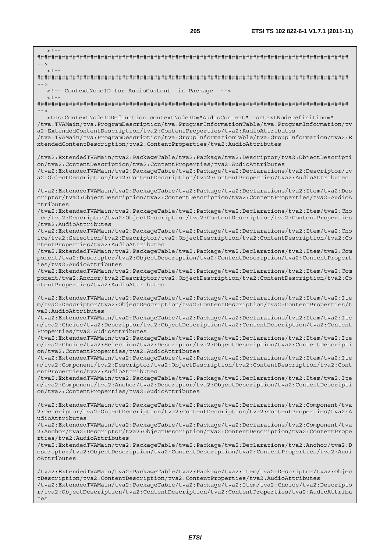$>1-$ ######################################################################################## -->  $\lt$   $\perp$   $\perp$ ######################################################################################## --> <!-- ContextNodeID for AudioContent in Package -->  $\lt$  ! - -######################################################################################## --> <tns:ContextNodeIDDefinition contextNodeID="AudioContent" contextNodeDefinition=" /tva:TVAMain/tva:ProgramDescription/tva:ProgramInformationTable/tva:ProgramInformation/tv a2:ExtendedContentDescription/tva2:ContentProperties/tva2:AudioAttributes /tva:TVAMain/tva:ProgramDescription/tva:GroupInformationTable/tva:GroupInformation/tva2:E xtendedContentDescription/tva2:ContentProperties/tva2:AudioAttributes /tva2:ExtendedTVAMain/tva2:PackageTable/tva2:Package/tva2:Descriptor/tva2:ObjectDescripti on/tva2:ContentDescription/tva2:ContentProperties/tva2:AudioAttributes /tva2:ExtendedTVAMain/tva2:PackageTable/tva2:Package/tva2:Declarations/tva2:Descriptor/tv a2:ObjectDescription/tva2:ContentDescription/tva2:ContentProperties/tva2:AudioAttributes /tva2:ExtendedTVAMain/tva2:PackageTable/tva2:Package/tva2:Declarations/tva2:Item/tva2:Des criptor/tva2:ObjectDescription/tva2:ContentDescription/tva2:ContentProperties/tva2:AudioA ttributes /tva2:ExtendedTVAMain/tva2:PackageTable/tva2:Package/tva2:Declarations/tva2:Item/tva2:Cho ice/tva2:Descriptor/tva2:ObjectDescription/tva2:ContentDescription/tva2:ContentProperties /tva2:AudioAttributes /tva2:ExtendedTVAMain/tva2:PackageTable/tva2:Package/tva2:Declarations/tva2:Item/tva2:Cho ice/tva2:Selection/tva2:Descriptor/tva2:ObjectDescription/tva2:ContentDescription/tva2:Co ntentProperties/tva2:AudioAttributes /tva2:ExtendedTVAMain/tva2:PackageTable/tva2:Package/tva2:Declarations/tva2:Item/tva2:Com ponent/tva2:Descriptor/tva2:ObjectDescription/tva2:ContentDescription/tva2:ContentPropert ies/tva2:AudioAttributes /tva2:ExtendedTVAMain/tva2:PackageTable/tva2:Package/tva2:Declarations/tva2:Item/tva2:Com ponent/tva2:Anchor/tva2:Descriptor/tva2:ObjectDescription/tva2:ContentDescription/tva2:Co ntentProperties/tva2:AudioAttributes /tva2:ExtendedTVAMain/tva2:PackageTable/tva2:Package/tva2:Declarations/tva2:Item/tva2:Ite m/tva2:Descriptor/tva2:ObjectDescription/tva2:ContentDescription/tva2:ContentProperties/t va2:AudioAttributes /tva2:ExtendedTVAMain/tva2:PackageTable/tva2:Package/tva2:Declarations/tva2:Item/tva2:Ite m/tva2:Choice/tva2:Descriptor/tva2:ObjectDescription/tva2:ContentDescription/tva2:Content Properties/tva2:AudioAttributes /tva2:ExtendedTVAMain/tva2:PackageTable/tva2:Package/tva2:Declarations/tva2:Item/tva2:Ite m/tva2:Choice/tva2:Selection/tva2:Descriptor/tva2:ObjectDescription/tva2:ContentDescripti on/tva2:ContentProperties/tva2:AudioAttributes /tva2:ExtendedTVAMain/tva2:PackageTable/tva2:Package/tva2:Declarations/tva2:Item/tva2:Ite m/tva2:Component/tva2:Descriptor/tva2:ObjectDescription/tva2:ContentDescription/tva2:Cont entProperties/tva2:AudioAttributes /tva2:ExtendedTVAMain/tva2:PackageTable/tva2:Package/tva2:Declarations/tva2:Item/tva2:Ite m/tva2:Component/tva2:Anchor/tva2:Descriptor/tva2:ObjectDescription/tva2:ContentDescripti on/tva2:ContentProperties/tva2:AudioAttributes /tva2:ExtendedTVAMain/tva2:PackageTable/tva2:Package/tva2:Declarations/tva2:Component/tva 2:Descriptor/tva2:ObjectDescription/tva2:ContentDescription/tva2:ContentProperties/tva2:A udioAttributes /tva2:ExtendedTVAMain/tva2:PackageTable/tva2:Package/tva2:Declarations/tva2:Component/tva 2:Anchor/tva2:Descriptor/tva2:ObjectDescription/tva2:ContentDescription/tva2:ContentPrope rties/tva2:AudioAttributes /tva2:ExtendedTVAMain/tva2:PackageTable/tva2:Package/tva2:Declarations/tva2:Anchor/tva2:D escriptor/tva2:ObjectDescription/tva2:ContentDescription/tva2:ContentProperties/tva2:Audi oAttributes /tva2:ExtendedTVAMain/tva2:PackageTable/tva2:Package/tva2:Item/tva2:Descriptor/tva2:Objec tDescription/tva2:ContentDescription/tva2:ContentProperties/tva2:AudioAttributes /tva2:ExtendedTVAMain/tva2:PackageTable/tva2:Package/tva2:Item/tva2:Choice/tva2:Descripto r/tva2:ObjectDescription/tva2:ContentDescription/tva2:ContentProperties/tva2:AudioAttribu tes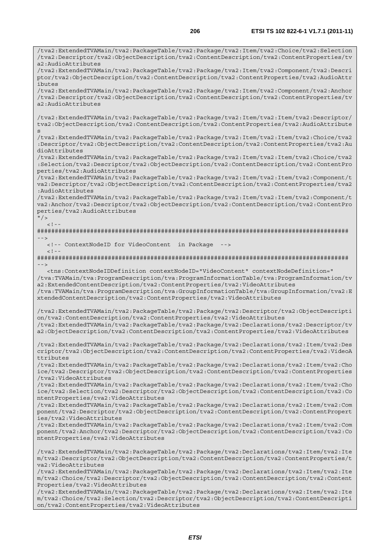/tva2:ExtendedTVAMain/tva2:PackageTable/tva2:Package/tva2:Item/tva2:Choice/tva2:Selection /tva2:Descriptor/tva2:ObjectDescription/tva2:ContentDescription/tva2:ContentProperties/tv a2:AudioAttributes /tva2:ExtendedTVAMain/tva2:PackageTable/tva2:Package/tva2:Item/tva2:Component/tva2:Descri ptor/tva2:ObjectDescription/tva2:ContentDescription/tva2:ContentProperties/tva2:AudioAttr ibutes /tva2:ExtendedTVAMain/tva2:PackageTable/tva2:Package/tva2:Item/tva2:Component/tva2:Anchor /tva2:Descriptor/tva2:ObjectDescription/tva2:ContentDescription/tva2:ContentProperties/tv  $a^2 \cdot \Delta u d \cdot \Delta t + r \cdot i$  but  $a$ /tva2:ExtendedTVAMain/tva2:PackageTable/tva2:Package/tva2:Item/tva2:Item/tva2:Descriptor/ tva2:ObjectDescription/tva2:ContentDescription/tva2:ContentProperties/tva2:AudioAttribute s /tva2:ExtendedTVAMain/tva2:PackageTable/tva2:Package/tva2:Item/tva2:Item/tva2:Choice/tva2 :Descriptor/tva2:ObjectDescription/tva2:ContentDescription/tva2:ContentProperties/tva2:Au dioAttributes /tva2:ExtendedTVAMain/tva2:PackageTable/tva2:Package/tva2:Item/tva2:Item/tva2:Choice/tva2 :Selection/tva2:Descriptor/tva2:ObjectDescription/tva2:ContentDescription/tva2:ContentPro perties/tva2:AudioAttributes /tva2:ExtendedTVAMain/tva2:PackageTable/tva2:Package/tva2:Item/tva2:Item/tva2:Component/t va2:Descriptor/tva2:ObjectDescription/tva2:ContentDescription/tva2:ContentProperties/tva2 :AudioAttributes /tva2:ExtendedTVAMain/tva2:PackageTable/tva2:Package/tva2:Item/tva2:Item/tva2:Component/t va2:Anchor/tva2:Descriptor/tva2:ObjectDescription/tva2:ContentDescription/tva2:ContentPro perties/tva2:AudioAttributes  $"$  / >  $\lt$  ! -######################################################################################## --> <!-- ContextNodeID for VideoContent in Package -->  $<$ ! --######################################################################################## --> <tns:ContextNodeIDDefinition contextNodeID="VideoContent" contextNodeDefinition=" /tva:TVAMain/tva:ProgramDescription/tva:ProgramInformationTable/tva:ProgramInformation/tv a2:ExtendedContentDescription/tva2:ContentProperties/tva2:VideoAttributes /tva:TVAMain/tva:ProgramDescription/tva:GroupInformationTable/tva:GroupInformation/tva2:E xtendedContentDescription/tva2:ContentProperties/tva2:VideoAttributes /tva2:ExtendedTVAMain/tva2:PackageTable/tva2:Package/tva2:Descriptor/tva2:ObjectDescripti on/tva2:ContentDescription/tva2:ContentProperties/tva2:VideoAttributes /tva2:ExtendedTVAMain/tva2:PackageTable/tva2:Package/tva2:Declarations/tva2:Descriptor/tv a2:ObjectDescription/tva2:ContentDescription/tva2:ContentProperties/tva2:VideoAttributes /tva2:ExtendedTVAMain/tva2:PackageTable/tva2:Package/tva2:Declarations/tva2:Item/tva2:Des criptor/tva2:ObjectDescription/tva2:ContentDescription/tva2:ContentProperties/tva2:VideoA ttributes /tva2:ExtendedTVAMain/tva2:PackageTable/tva2:Package/tva2:Declarations/tva2:Item/tva2:Cho ice/tva2:Descriptor/tva2:ObjectDescription/tva2:ContentDescription/tva2:ContentProperties /tva2:VideoAttributes /tva2:ExtendedTVAMain/tva2:PackageTable/tva2:Package/tva2:Declarations/tva2:Item/tva2:Cho ice/tva2:Selection/tva2:Descriptor/tva2:ObjectDescription/tva2:ContentDescription/tva2:Co ntentProperties/tva2:VideoAttributes /tva2:ExtendedTVAMain/tva2:PackageTable/tva2:Package/tva2:Declarations/tva2:Item/tva2:Com ponent/tva2:Descriptor/tva2:ObjectDescription/tva2:ContentDescription/tva2:ContentPropert ies/tva2:VideoAttributes /tva2:ExtendedTVAMain/tva2:PackageTable/tva2:Package/tva2:Declarations/tva2:Item/tva2:Com ponent/tva2:Anchor/tva2:Descriptor/tva2:ObjectDescription/tva2:ContentDescription/tva2:Co ntentProperties/tva2:VideoAttributes /tva2:ExtendedTVAMain/tva2:PackageTable/tva2:Package/tva2:Declarations/tva2:Item/tva2:Ite m/tva2:Descriptor/tva2:ObjectDescription/tva2:ContentDescription/tva2:ContentProperties/t va2:VideoAttributes /tva2:ExtendedTVAMain/tva2:PackageTable/tva2:Package/tva2:Declarations/tva2:Item/tva2:Ite m/tva2:Choice/tva2:Descriptor/tva2:ObjectDescription/tva2:ContentDescription/tva2:Content Properties/tva2:VideoAttributes /tva2:ExtendedTVAMain/tva2:PackageTable/tva2:Package/tva2:Declarations/tva2:Item/tva2:Ite m/tva2:Choice/tva2:Selection/tva2:Descriptor/tva2:ObjectDescription/tva2:ContentDescripti on/tva2:ContentProperties/tva2:VideoAttributes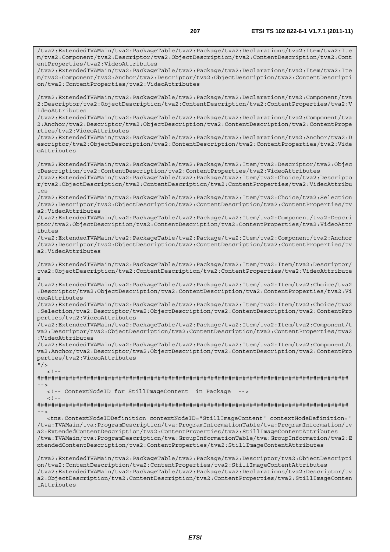/tva2:ExtendedTVAMain/tva2:PackageTable/tva2:Package/tva2:Declarations/tva2:Item/tva2:Ite m/tva2:Component/tva2:Descriptor/tva2:ObjectDescription/tva2:ContentDescription/tva2:Cont entProperties/tva2:VideoAttributes /tva2:ExtendedTVAMain/tva2:PackageTable/tva2:Package/tva2:Declarations/tva2:Item/tva2:Ite m/tva2:Component/tva2:Anchor/tva2:Descriptor/tva2:ObjectDescription/tva2:ContentDescripti on/tva2:ContentProperties/tva2:VideoAttributes /tva2:ExtendedTVAMain/tva2:PackageTable/tva2:Package/tva2:Declarations/tva2:Component/tva 2:Descriptor/tva2:ObjectDescription/tva2:ContentDescription/tva2:ContentProperties/tva2:V ideoAttributes /tva2:ExtendedTVAMain/tva2:PackageTable/tva2:Package/tva2:Declarations/tva2:Component/tva 2:Anchor/tva2:Descriptor/tva2:ObjectDescription/tva2:ContentDescription/tva2:ContentPrope rties/tva2:VideoAttributes /tva2:ExtendedTVAMain/tva2:PackageTable/tva2:Package/tva2:Declarations/tva2:Anchor/tva2:D escriptor/tva2:ObjectDescription/tva2:ContentDescription/tva2:ContentProperties/tva2:Vide oAttributes /tva2:ExtendedTVAMain/tva2:PackageTable/tva2:Package/tva2:Item/tva2:Descriptor/tva2:Objec tDescription/tva2:ContentDescription/tva2:ContentProperties/tva2:VideoAttributes /tva2:ExtendedTVAMain/tva2:PackageTable/tva2:Package/tva2:Item/tva2:Choice/tva2:Descripto r/tva2:ObjectDescription/tva2:ContentDescription/tva2:ContentProperties/tva2:VideoAttribu tes /tva2:ExtendedTVAMain/tva2:PackageTable/tva2:Package/tva2:Item/tva2:Choice/tva2:Selection /tva2:Descriptor/tva2:ObjectDescription/tva2:ContentDescription/tva2:ContentProperties/tv a2:VideoAttributes /tva2:ExtendedTVAMain/tva2:PackageTable/tva2:Package/tva2:Item/tva2:Component/tva2:Descri ptor/tva2:ObjectDescription/tva2:ContentDescription/tva2:ContentProperties/tva2:VideoAttr ibutes /tva2:ExtendedTVAMain/tva2:PackageTable/tva2:Package/tva2:Item/tva2:Component/tva2:Anchor /tva2:Descriptor/tva2:ObjectDescription/tva2:ContentDescription/tva2:ContentProperties/tv a2:VideoAttributes /tva2:ExtendedTVAMain/tva2:PackageTable/tva2:Package/tva2:Item/tva2:Item/tva2:Descriptor/ tva2:ObjectDescription/tva2:ContentDescription/tva2:ContentProperties/tva2:VideoAttribute s /tva2:ExtendedTVAMain/tva2:PackageTable/tva2:Package/tva2:Item/tva2:Item/tva2:Choice/tva2 :Descriptor/tva2:ObjectDescription/tva2:ContentDescription/tva2:ContentProperties/tva2:Vi deoAttributes /tva2:ExtendedTVAMain/tva2:PackageTable/tva2:Package/tva2:Item/tva2:Item/tva2:Choice/tva2 :Selection/tva2:Descriptor/tva2:ObjectDescription/tva2:ContentDescription/tva2:ContentPro perties/tva2:VideoAttributes /tva2:ExtendedTVAMain/tva2:PackageTable/tva2:Package/tva2:Item/tva2:Item/tva2:Component/t va2:Descriptor/tva2:ObjectDescription/tva2:ContentDescription/tva2:ContentProperties/tva2 :VideoAttributes /tva2:ExtendedTVAMain/tva2:PackageTable/tva2:Package/tva2:Item/tva2:Item/tva2:Component/t va2:Anchor/tva2:Descriptor/tva2:ObjectDescription/tva2:ContentDescription/tva2:ContentPro perties/tva2:VideoAttributes  $"$  / >  $\geq 1$  =  $-$ ######################################################################################## --> <!-- ContextNodeID for StillImageContent in Package -->  $<$ ! --######################################################################################## --> <tns:ContextNodeIDDefinition contextNodeID="StillImageContent" contextNodeDefinition=" /tva:TVAMain/tva:ProgramDescription/tva:ProgramInformationTable/tva:ProgramInformation/tv a2:ExtendedContentDescription/tva2:ContentProperties/tva2:StillImageContentAttributes /tva:TVAMain/tva:ProgramDescription/tva:GroupInformationTable/tva:GroupInformation/tva2:E xtendedContentDescription/tva2:ContentProperties/tva2:StillImageContentAttributes /tva2:ExtendedTVAMain/tva2:PackageTable/tva2:Package/tva2:Descriptor/tva2:ObjectDescripti on/tva2:ContentDescription/tva2:ContentProperties/tva2:StillImageContentAttributes /tva2:ExtendedTVAMain/tva2:PackageTable/tva2:Package/tva2:Declarations/tva2:Descriptor/tv a2:ObjectDescription/tva2:ContentDescription/tva2:ContentProperties/tva2:StillImageConten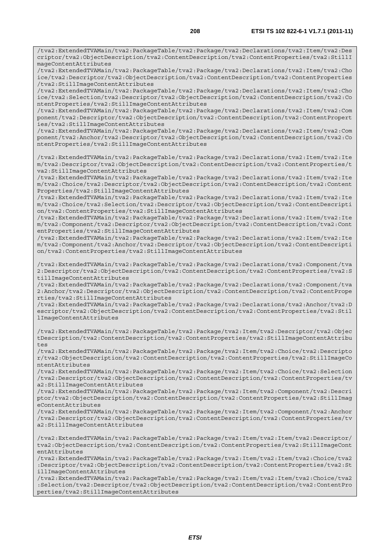/tva2:ExtendedTVAMain/tva2:PackageTable/tva2:Package/tva2:Declarations/tva2:Item/tva2:Des criptor/tva2:ObjectDescription/tva2:ContentDescription/tva2:ContentProperties/tva2:StillI mageContentAttributes

/tva2:ExtendedTVAMain/tva2:PackageTable/tva2:Package/tva2:Declarations/tva2:Item/tva2:Cho ice/tva2:Descriptor/tva2:ObjectDescription/tva2:ContentDescription/tva2:ContentProperties /tva2:StillImageContentAttributes

/tva2:ExtendedTVAMain/tva2:PackageTable/tva2:Package/tva2:Declarations/tva2:Item/tva2:Cho ice/tva2:Selection/tva2:Descriptor/tva2:ObjectDescription/tva2:ContentDescription/tva2:Co ntentProperties/tva2:StillImageContentAttributes

/tva2:ExtendedTVAMain/tva2:PackageTable/tva2:Package/tva2:Declarations/tva2:Item/tva2:Com ponent/tva2:Descriptor/tva2:ObjectDescription/tva2:ContentDescription/tva2:ContentPropert ies/tva2:StillImageContentAttributes

/tva2:ExtendedTVAMain/tva2:PackageTable/tva2:Package/tva2:Declarations/tva2:Item/tva2:Com ponent/tva2:Anchor/tva2:Descriptor/tva2:ObjectDescription/tva2:ContentDescription/tva2:Co ntentProperties/tva2:StillImageContentAttributes

/tva2:ExtendedTVAMain/tva2:PackageTable/tva2:Package/tva2:Declarations/tva2:Item/tva2:Ite m/tva2:Descriptor/tva2:ObjectDescription/tva2:ContentDescription/tva2:ContentProperties/t va2:StillImageContentAttributes

/tva2:ExtendedTVAMain/tva2:PackageTable/tva2:Package/tva2:Declarations/tva2:Item/tva2:Ite m/tva2:Choice/tva2:Descriptor/tva2:ObjectDescription/tva2:ContentDescription/tva2:Content Properties/tva2:StillImageContentAttributes

/tva2:ExtendedTVAMain/tva2:PackageTable/tva2:Package/tva2:Declarations/tva2:Item/tva2:Ite m/tva2:Choice/tva2:Selection/tva2:Descriptor/tva2:ObjectDescription/tva2:ContentDescripti on/tva2:ContentProperties/tva2:StillImageContentAttributes

/tva2:ExtendedTVAMain/tva2:PackageTable/tva2:Package/tva2:Declarations/tva2:Item/tva2:Ite m/tva2:Component/tva2:Descriptor/tva2:ObjectDescription/tva2:ContentDescription/tva2:Cont entProperties/tva2:StillImageContentAttributes

/tva2:ExtendedTVAMain/tva2:PackageTable/tva2:Package/tva2:Declarations/tva2:Item/tva2:Ite m/tva2:Component/tva2:Anchor/tva2:Descriptor/tva2:ObjectDescription/tva2:ContentDescripti on/tva2:ContentProperties/tva2:StillImageContentAttributes

/tva2:ExtendedTVAMain/tva2:PackageTable/tva2:Package/tva2:Declarations/tva2:Component/tva 2:Descriptor/tva2:ObjectDescription/tva2:ContentDescription/tva2:ContentProperties/tva2:S tillImageContentAttributes

/tva2:ExtendedTVAMain/tva2:PackageTable/tva2:Package/tva2:Declarations/tva2:Component/tva 2:Anchor/tva2:Descriptor/tva2:ObjectDescription/tva2:ContentDescription/tva2:ContentPrope rties/tva2:StillImageContentAttributes

/tva2:ExtendedTVAMain/tva2:PackageTable/tva2:Package/tva2:Declarations/tva2:Anchor/tva2:D escriptor/tva2:ObjectDescription/tva2:ContentDescription/tva2:ContentProperties/tva2:Stil lImageContentAttributes

/tva2:ExtendedTVAMain/tva2:PackageTable/tva2:Package/tva2:Item/tva2:Descriptor/tva2:Objec tDescription/tva2:ContentDescription/tva2:ContentProperties/tva2:StillImageContentAttribu  $t eS$ 

/tva2:ExtendedTVAMain/tva2:PackageTable/tva2:Package/tva2:Item/tva2:Choice/tva2:Descripto r/tva2:ObjectDescription/tva2:ContentDescription/tva2:ContentProperties/tva2:StillImageCo ntentAttributes

/tva2:ExtendedTVAMain/tva2:PackageTable/tva2:Package/tva2:Item/tva2:Choice/tva2:Selection /tva2:Descriptor/tva2:ObjectDescription/tva2:ContentDescription/tva2:ContentProperties/tv a2:StillImageContentAttributes

/tva2:ExtendedTVAMain/tva2:PackageTable/tva2:Package/tva2:Item/tva2:Component/tva2:Descri ptor/tva2:ObjectDescription/tva2:ContentDescription/tva2:ContentProperties/tva2:StillImag eContentAttributes

/tva2:ExtendedTVAMain/tva2:PackageTable/tva2:Package/tva2:Item/tva2:Component/tva2:Anchor /tva2:Descriptor/tva2:ObjectDescription/tva2:ContentDescription/tva2:ContentProperties/tv a2:StillImageContentAttributes

/tva2:ExtendedTVAMain/tva2:PackageTable/tva2:Package/tva2:Item/tva2:Item/tva2:Descriptor/ tva2:ObjectDescription/tva2:ContentDescription/tva2:ContentProperties/tva2:StillImageCont entAttributes

/tva2:ExtendedTVAMain/tva2:PackageTable/tva2:Package/tva2:Item/tva2:Item/tva2:Choice/tva2 :Descriptor/tva2:ObjectDescription/tva2:ContentDescription/tva2:ContentProperties/tva2:St illImageContentAttributes

/tva2:ExtendedTVAMain/tva2:PackageTable/tva2:Package/tva2:Item/tva2:Item/tva2:Choice/tva2 :Selection/tva2:Descriptor/tva2:ObjectDescription/tva2:ContentDescription/tva2:ContentPro perties/tva2:StillImageContentAttributes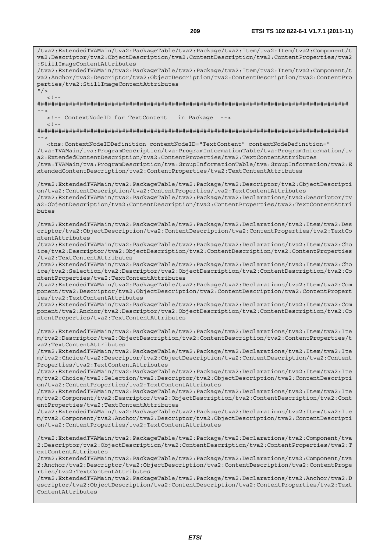/tva2:ExtendedTVAMain/tva2:PackageTable/tva2:Package/tva2:Item/tva2:Item/tva2:Component/t va2:Descriptor/tva2:ObjectDescription/tva2:ContentDescription/tva2:ContentProperties/tva2 :StillImageContentAttributes /tva2:ExtendedTVAMain/tva2:PackageTable/tva2:Package/tva2:Item/tva2:Item/tva2:Component/t va2:Anchor/tva2:Descriptor/tva2:ObjectDescription/tva2:ContentDescription/tva2:ContentPro perties/tva2:StillImageContentAttributes  $''$  /  $>$  $\lt$  ! -######################################################################################## --> <!-- ContextNodeID for TextContent in Package -->  $< ! - -$ ######################################################################################## --> <tns:ContextNodeIDDefinition contextNodeID="TextContent" contextNodeDefinition=" /tva:TVAMain/tva:ProgramDescription/tva:ProgramInformationTable/tva:ProgramInformation/tv a2:ExtendedContentDescription/tva2:ContentProperties/tva2:TextContentAttributes /tva:TVAMain/tva:ProgramDescription/tva:GroupInformationTable/tva:GroupInformation/tva2:E xtendedContentDescription/tva2:ContentProperties/tva2:TextContentAttributes /tva2:ExtendedTVAMain/tva2:PackageTable/tva2:Package/tva2:Descriptor/tva2:ObjectDescripti on/tva2:ContentDescription/tva2:ContentProperties/tva2:TextContentAttributes /tva2:ExtendedTVAMain/tva2:PackageTable/tva2:Package/tva2:Declarations/tva2:Descriptor/tv a2:ObjectDescription/tva2:ContentDescription/tva2:ContentProperties/tva2:TextContentAttri butes /tva2:ExtendedTVAMain/tva2:PackageTable/tva2:Package/tva2:Declarations/tva2:Item/tva2:Des criptor/tva2:ObjectDescription/tva2:ContentDescription/tva2:ContentProperties/tva2:TextCo ntentAttributes /tva2:ExtendedTVAMain/tva2:PackageTable/tva2:Package/tva2:Declarations/tva2:Item/tva2:Cho ice/tva2:Descriptor/tva2:ObjectDescription/tva2:ContentDescription/tva2:ContentProperties /tva2:TextContentAttributes /tva2:ExtendedTVAMain/tva2:PackageTable/tva2:Package/tva2:Declarations/tva2:Item/tva2:Cho ice/tva2:Selection/tva2:Descriptor/tva2:ObjectDescription/tva2:ContentDescription/tva2:Co ntentProperties/tva2:TextContentAttributes /tva2:ExtendedTVAMain/tva2:PackageTable/tva2:Package/tva2:Declarations/tva2:Item/tva2:Com ponent/tva2:Descriptor/tva2:ObjectDescription/tva2:ContentDescription/tva2:ContentPropert ies/tva2:TextContentAttributes /tva2:ExtendedTVAMain/tva2:PackageTable/tva2:Package/tva2:Declarations/tva2:Item/tva2:Com ponent/tva2:Anchor/tva2:Descriptor/tva2:ObjectDescription/tva2:ContentDescription/tva2:Co ntentProperties/tva2:TextContentAttributes /tva2:ExtendedTVAMain/tva2:PackageTable/tva2:Package/tva2:Declarations/tva2:Item/tva2:Ite m/tva2:Descriptor/tva2:ObjectDescription/tva2:ContentDescription/tva2:ContentProperties/t va2:TextContentAttributes /tva2:ExtendedTVAMain/tva2:PackageTable/tva2:Package/tva2:Declarations/tva2:Item/tva2:Ite m/tva2:Choice/tva2:Descriptor/tva2:ObjectDescription/tva2:ContentDescription/tva2:Content Properties/tva2:TextContentAttributes /tva2:ExtendedTVAMain/tva2:PackageTable/tva2:Package/tva2:Declarations/tva2:Item/tva2:Ite m/tva2:Choice/tva2:Selection/tva2:Descriptor/tva2:ObjectDescription/tva2:ContentDescripti on/tva2:ContentProperties/tva2:TextContentAttributes /tva2:ExtendedTVAMain/tva2:PackageTable/tva2:Package/tva2:Declarations/tva2:Item/tva2:Ite m/tva2:Component/tva2:Descriptor/tva2:ObjectDescription/tva2:ContentDescription/tva2:Cont entProperties/tva2:TextContentAttributes /tva2:ExtendedTVAMain/tva2:PackageTable/tva2:Package/tva2:Declarations/tva2:Item/tva2:Ite m/tva2:Component/tva2:Anchor/tva2:Descriptor/tva2:ObjectDescription/tva2:ContentDescripti on/tva2:ContentProperties/tva2:TextContentAttributes /tva2:ExtendedTVAMain/tva2:PackageTable/tva2:Package/tva2:Declarations/tva2:Component/tva 2:Descriptor/tva2:ObjectDescription/tva2:ContentDescription/tva2:ContentProperties/tva2:T extContentAttributes /tva2:ExtendedTVAMain/tva2:PackageTable/tva2:Package/tva2:Declarations/tva2:Component/tva 2:Anchor/tva2:Descriptor/tva2:ObjectDescription/tva2:ContentDescription/tva2:ContentPrope rties/tva2:TextContentAttributes /tva2:ExtendedTVAMain/tva2:PackageTable/tva2:Package/tva2:Declarations/tva2:Anchor/tva2:D escriptor/tva2:ObjectDescription/tva2:ContentDescription/tva2:ContentProperties/tva2:Text ContentAttributes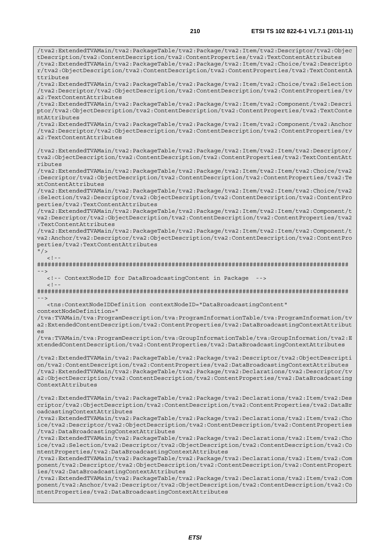/tva2:ExtendedTVAMain/tva2:PackageTable/tva2:Package/tva2:Item/tva2:Descriptor/tva2:Objec tDescription/tva2:ContentDescription/tva2:ContentProperties/tva2:TextContentAttributes /tva2:ExtendedTVAMain/tva2:PackageTable/tva2:Package/tva2:Item/tva2:Choice/tva2:Descripto r/tva2:ObjectDescription/tva2:ContentDescription/tva2:ContentProperties/tva2:TextContentA ttributes /tva2:ExtendedTVAMain/tva2:PackageTable/tva2:Package/tva2:Item/tva2:Choice/tva2:Selection /tva2:Descriptor/tva2:ObjectDescription/tva2:ContentDescription/tva2:ContentProperties/tv a2:TextContentAttributes /tva2:ExtendedTVAMain/tva2:PackageTable/tva2:Package/tva2:Item/tva2:Component/tva2:Descri ptor/tva2:ObjectDescription/tva2:ContentDescription/tva2:ContentProperties/tva2:TextConte ntAttributes /tva2:ExtendedTVAMain/tva2:PackageTable/tva2:Package/tva2:Item/tva2:Component/tva2:Anchor /tva2:Descriptor/tva2:ObjectDescription/tva2:ContentDescription/tva2:ContentProperties/tv a2:TextContentAttributes /tva2:ExtendedTVAMain/tva2:PackageTable/tva2:Package/tva2:Item/tva2:Item/tva2:Descriptor/ tva2:ObjectDescription/tva2:ContentDescription/tva2:ContentProperties/tva2:TextContentAtt ributes /tva2:ExtendedTVAMain/tva2:PackageTable/tva2:Package/tva2:Item/tva2:Item/tva2:Choice/tva2 :Descriptor/tva2:ObjectDescription/tva2:ContentDescription/tva2:ContentProperties/tva2:Te xtContentAttributes /tva2:ExtendedTVAMain/tva2:PackageTable/tva2:Package/tva2:Item/tva2:Item/tva2:Choice/tva2 :Selection/tva2:Descriptor/tva2:ObjectDescription/tva2:ContentDescription/tva2:ContentPro perties/tva2:TextContentAttributes /tva2:ExtendedTVAMain/tva2:PackageTable/tva2:Package/tva2:Item/tva2:Item/tva2:Component/t va2:Descriptor/tva2:ObjectDescription/tva2:ContentDescription/tva2:ContentProperties/tva2 :TextContentAttributes /tva2:ExtendedTVAMain/tva2:PackageTable/tva2:Package/tva2:Item/tva2:Item/tva2:Component/t va2:Anchor/tva2:Descriptor/tva2:ObjectDescription/tva2:ContentDescription/tva2:ContentPro perties/tva2:TextContentAttributes  $"$  / >  $\leq$  1 ######################################################################################## --> <!-- ContextNodeID for DataBroadcastingContent in Package -->  $<$  !  $-$ ######################################################################################## --> <tns:ContextNodeIDDefinition contextNodeID="DataBroadcastingContent" contextNodeDefinition=" /tva:TVAMain/tva:ProgramDescription/tva:ProgramInformationTable/tva:ProgramInformation/tv a2:ExtendedContentDescription/tva2:ContentProperties/tva2:DataBroadcastingContextAttribut es /tva:TVAMain/tva:ProgramDescription/tva:GroupInformationTable/tva:GroupInformation/tva2:E xtendedContentDescription/tva2:ContentProperties/tva2:DataBroadcastingContextAttributes /tva2:ExtendedTVAMain/tva2:PackageTable/tva2:Package/tva2:Descriptor/tva2:ObjectDescripti on/tva2:ContentDescription/tva2:ContentProperties/tva2:DataBroadcastingContextAttributes /tva2:ExtendedTVAMain/tva2:PackageTable/tva2:Package/tva2:Declarations/tva2:Descriptor/tv a2:ObjectDescription/tva2:ContentDescription/tva2:ContentProperties/tva2:DataBroadcasting ContextAttributes /tva2:ExtendedTVAMain/tva2:PackageTable/tva2:Package/tva2:Declarations/tva2:Item/tva2:Des criptor/tva2:ObjectDescription/tva2:ContentDescription/tva2:ContentProperties/tva2:DataBr oadcastingContextAttributes /tva2:ExtendedTVAMain/tva2:PackageTable/tva2:Package/tva2:Declarations/tva2:Item/tva2:Cho ice/tva2:Descriptor/tva2:ObjectDescription/tva2:ContentDescription/tva2:ContentProperties /tva2:DataBroadcastingContextAttributes /tva2:ExtendedTVAMain/tva2:PackageTable/tva2:Package/tva2:Declarations/tva2:Item/tva2:Cho ice/tva2:Selection/tva2:Descriptor/tva2:ObjectDescription/tva2:ContentDescription/tva2:Co ntentProperties/tva2:DataBroadcastingContextAttributes /tva2:ExtendedTVAMain/tva2:PackageTable/tva2:Package/tva2:Declarations/tva2:Item/tva2:Com ponent/tva2:Descriptor/tva2:ObjectDescription/tva2:ContentDescription/tva2:ContentPropert ies/tva2:DataBroadcastingContextAttributes /tva2:ExtendedTVAMain/tva2:PackageTable/tva2:Package/tva2:Declarations/tva2:Item/tva2:Com ponent/tva2:Anchor/tva2:Descriptor/tva2:ObjectDescription/tva2:ContentDescription/tva2:Co ntentProperties/tva2:DataBroadcastingContextAttributes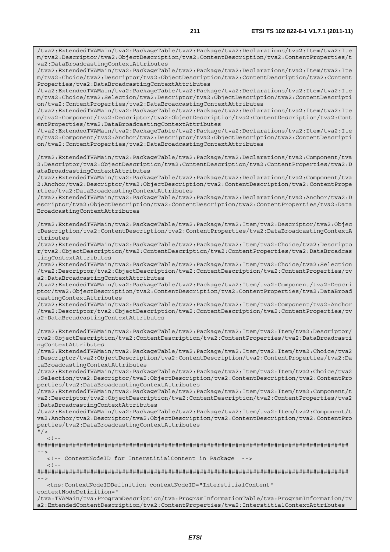/tva2:ExtendedTVAMain/tva2:PackageTable/tva2:Package/tva2:Declarations/tva2:Item/tva2:Ite m/tva2:Descriptor/tva2:ObjectDescription/tva2:ContentDescription/tva2:ContentProperties/t

va2:DataBroadcastingContextAttributes /tva2:ExtendedTVAMain/tva2:PackageTable/tva2:Package/tva2:Declarations/tva2:Item/tva2:Ite m/tva2:Choice/tva2:Descriptor/tva2:ObjectDescription/tva2:ContentDescription/tva2:Content Properties/tva2:DataBroadcastingContextAttributes /tva2:ExtendedTVAMain/tva2:PackageTable/tva2:Package/tva2:Declarations/tva2:Item/tva2:Ite m/tva2:Choice/tva2:Selection/tva2:Descriptor/tva2:ObjectDescription/tva2:ContentDescripti on/tva2:ContentProperties/tva2:DataBroadcastingContextAttributes /tva2:ExtendedTVAMain/tva2:PackageTable/tva2:Package/tva2:Declarations/tva2:Item/tva2:Ite m/tva2:Component/tva2:Descriptor/tva2:ObjectDescription/tva2:ContentDescription/tva2:Cont entProperties/tva2:DataBroadcastingContextAttributes /tva2:ExtendedTVAMain/tva2:PackageTable/tva2:Package/tva2:Declarations/tva2:Item/tva2:Ite m/tva2:Component/tva2:Anchor/tva2:Descriptor/tva2:ObjectDescription/tva2:ContentDescripti on/tva2:ContentProperties/tva2:DataBroadcastingContextAttributes /tva2:ExtendedTVAMain/tva2:PackageTable/tva2:Package/tva2:Declarations/tva2:Component/tva 2:Descriptor/tva2:ObjectDescription/tva2:ContentDescription/tva2:ContentProperties/tva2:D ataBroadcastingContextAttributes /tva2:ExtendedTVAMain/tva2:PackageTable/tva2:Package/tva2:Declarations/tva2:Component/tva 2:Anchor/tva2:Descriptor/tva2:ObjectDescription/tva2:ContentDescription/tva2:ContentPrope rties/tva2:DataBroadcastingContextAttributes /tva2:ExtendedTVAMain/tva2:PackageTable/tva2:Package/tva2:Declarations/tva2:Anchor/tva2:D escriptor/tva2:ObjectDescription/tva2:ContentDescription/tva2:ContentProperties/tva2:Data BroadcastingContextAttributes /tva2:ExtendedTVAMain/tva2:PackageTable/tva2:Package/tva2:Item/tva2:Descriptor/tva2:Objec tDescription/tva2:ContentDescription/tva2:ContentProperties/tva2:DataBroadcastingContextA ttributes /tva2:ExtendedTVAMain/tva2:PackageTable/tva2:Package/tva2:Item/tva2:Choice/tva2:Descripto r/tva2:ObjectDescription/tva2:ContentDescription/tva2:ContentProperties/tva2:DataBroadcas tingContextAttributes /tva2:ExtendedTVAMain/tva2:PackageTable/tva2:Package/tva2:Item/tva2:Choice/tva2:Selection /tva2:Descriptor/tva2:ObjectDescription/tva2:ContentDescription/tva2:ContentProperties/tv a2:DataBroadcastingContextAttributes /tva2:ExtendedTVAMain/tva2:PackageTable/tva2:Package/tva2:Item/tva2:Component/tva2:Descri ptor/tva2:ObjectDescription/tva2:ContentDescription/tva2:ContentProperties/tva2:DataBroad castingContextAttributes /tva2:ExtendedTVAMain/tva2:PackageTable/tva2:Package/tva2:Item/tva2:Component/tva2:Anchor /tva2:Descriptor/tva2:ObjectDescription/tva2:ContentDescription/tva2:ContentProperties/tv a2:DataBroadcastingContextAttributes /tva2:ExtendedTVAMain/tva2:PackageTable/tva2:Package/tva2:Item/tva2:Item/tva2:Descriptor/ tva2:ObjectDescription/tva2:ContentDescription/tva2:ContentProperties/tva2:DataBroadcasti ngContextAttributes /tva2:ExtendedTVAMain/tva2:PackageTable/tva2:Package/tva2:Item/tva2:Item/tva2:Choice/tva2 :Descriptor/tva2:ObjectDescription/tva2:ContentDescription/tva2:ContentProperties/tva2:Da taBroadcastingContextAttributes /tva2:ExtendedTVAMain/tva2:PackageTable/tva2:Package/tva2:Item/tva2:Item/tva2:Choice/tva2 :Selection/tva2:Descriptor/tva2:ObjectDescription/tva2:ContentDescription/tva2:ContentPro perties/tva2:DataBroadcastingContextAttributes /tva2:ExtendedTVAMain/tva2:PackageTable/tva2:Package/tva2:Item/tva2:Item/tva2:Component/t va2:Descriptor/tva2:ObjectDescription/tva2:ContentDescription/tva2:ContentProperties/tva2 :DataBroadcastingContextAttributes /tva2:ExtendedTVAMain/tva2:PackageTable/tva2:Package/tva2:Item/tva2:Item/tva2:Component/t va2:Anchor/tva2:Descriptor/tva2:ObjectDescription/tva2:ContentDescription/tva2:ContentPro perties/tva2:DataBroadcastingContextAttributes  $"$  / >  $\geq$   $\geq$ ######################################################################################## --> <!-- ContextNodeID for InterstitialContent in Package -->  $<$ ! --######################################################################################## -->

<tns:ContextNodeIDDefinition contextNodeID="InterstitialContent"

contextNodeDefinition="

/tva:TVAMain/tva:ProgramDescription/tva:ProgramInformationTable/tva:ProgramInformation/tv a2:ExtendedContentDescription/tva2:ContentProperties/tva2:InterstitialContextAttributes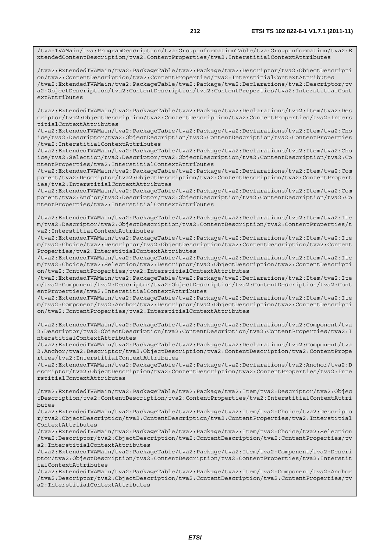/tva:TVAMain/tva:ProgramDescription/tva:GroupInformationTable/tva:GroupInformation/tva2:E xtendedContentDescription/tva2:ContentProperties/tva2:InterstitialContextAttributes

/tva2:ExtendedTVAMain/tva2:PackageTable/tva2:Package/tva2:Descriptor/tva2:ObjectDescripti on/tva2:ContentDescription/tva2:ContentProperties/tva2:InterstitialContextAttributes /tva2:ExtendedTVAMain/tva2:PackageTable/tva2:Package/tva2:Declarations/tva2:Descriptor/tv a2:ObjectDescription/tva2:ContentDescription/tva2:ContentProperties/tva2:InterstitialCont extAttributes

/tva2:ExtendedTVAMain/tva2:PackageTable/tva2:Package/tva2:Declarations/tva2:Item/tva2:Des criptor/tva2:ObjectDescription/tva2:ContentDescription/tva2:ContentProperties/tva2:Inters titialContextAttributes

/tva2:ExtendedTVAMain/tva2:PackageTable/tva2:Package/tva2:Declarations/tva2:Item/tva2:Cho ice/tva2:Descriptor/tva2:ObjectDescription/tva2:ContentDescription/tva2:ContentProperties /tva2:InterstitialContextAttributes

/tva2:ExtendedTVAMain/tva2:PackageTable/tva2:Package/tva2:Declarations/tva2:Item/tva2:Cho ice/tva2:Selection/tva2:Descriptor/tva2:ObjectDescription/tva2:ContentDescription/tva2:Co ntentProperties/tva2:InterstitialContextAttributes

/tva2:ExtendedTVAMain/tva2:PackageTable/tva2:Package/tva2:Declarations/tva2:Item/tva2:Com ponent/tva2:Descriptor/tva2:ObjectDescription/tva2:ContentDescription/tva2:ContentPropert ies/tva2:InterstitialContextAttributes

/tva2:ExtendedTVAMain/tva2:PackageTable/tva2:Package/tva2:Declarations/tva2:Item/tva2:Com ponent/tva2:Anchor/tva2:Descriptor/tva2:ObjectDescription/tva2:ContentDescription/tva2:Co ntentProperties/tva2:InterstitialContextAttributes

/tva2:ExtendedTVAMain/tva2:PackageTable/tva2:Package/tva2:Declarations/tva2:Item/tva2:Ite m/tva2:Descriptor/tva2:ObjectDescription/tva2:ContentDescription/tva2:ContentProperties/t va2:InterstitialContextAttributes

/tva2:ExtendedTVAMain/tva2:PackageTable/tva2:Package/tva2:Declarations/tva2:Item/tva2:Ite m/tva2:Choice/tva2:Descriptor/tva2:ObjectDescription/tva2:ContentDescription/tva2:Content Properties/tva2:InterstitialContextAttributes

/tva2:ExtendedTVAMain/tva2:PackageTable/tva2:Package/tva2:Declarations/tva2:Item/tva2:Ite m/tva2:Choice/tva2:Selection/tva2:Descriptor/tva2:ObjectDescription/tva2:ContentDescripti on/tva2:ContentProperties/tva2:InterstitialContextAttributes

/tva2:ExtendedTVAMain/tva2:PackageTable/tva2:Package/tva2:Declarations/tva2:Item/tva2:Ite m/tva2:Component/tva2:Descriptor/tva2:ObjectDescription/tva2:ContentDescription/tva2:Cont entProperties/tva2:InterstitialContextAttributes

/tva2:ExtendedTVAMain/tva2:PackageTable/tva2:Package/tva2:Declarations/tva2:Item/tva2:Ite m/tva2:Component/tva2:Anchor/tva2:Descriptor/tva2:ObjectDescription/tva2:ContentDescripti on/tva2:ContentProperties/tva2:InterstitialContextAttributes

/tva2:ExtendedTVAMain/tva2:PackageTable/tva2:Package/tva2:Declarations/tva2:Component/tva 2:Descriptor/tva2:ObjectDescription/tva2:ContentDescription/tva2:ContentProperties/tva2:I nterstitialContextAttributes

/tva2:ExtendedTVAMain/tva2:PackageTable/tva2:Package/tva2:Declarations/tva2:Component/tva 2:Anchor/tva2:Descriptor/tva2:ObjectDescription/tva2:ContentDescription/tva2:ContentPrope rties/tva2:InterstitialContextAttributes

/tva2:ExtendedTVAMain/tva2:PackageTable/tva2:Package/tva2:Declarations/tva2:Anchor/tva2:D escriptor/tva2:ObjectDescription/tva2:ContentDescription/tva2:ContentProperties/tva2:Inte rstitialContextAttributes

/tva2:ExtendedTVAMain/tva2:PackageTable/tva2:Package/tva2:Item/tva2:Descriptor/tva2:Objec tDescription/tva2:ContentDescription/tva2:ContentProperties/tva2:InterstitialContextAttri butes

/tva2:ExtendedTVAMain/tva2:PackageTable/tva2:Package/tva2:Item/tva2:Choice/tva2:Descripto r/tva2:ObjectDescription/tva2:ContentDescription/tva2:ContentProperties/tva2:Interstitial ContextAttributes

/tva2:ExtendedTVAMain/tva2:PackageTable/tva2:Package/tva2:Item/tva2:Choice/tva2:Selection /tva2:Descriptor/tva2:ObjectDescription/tva2:ContentDescription/tva2:ContentProperties/tv a2:InterstitialContextAttributes

/tva2:ExtendedTVAMain/tva2:PackageTable/tva2:Package/tva2:Item/tva2:Component/tva2:Descri ptor/tva2:ObjectDescription/tva2:ContentDescription/tva2:ContentProperties/tva2:Interstit ialContextAttributes

/tva2:ExtendedTVAMain/tva2:PackageTable/tva2:Package/tva2:Item/tva2:Component/tva2:Anchor /tva2:Descriptor/tva2:ObjectDescription/tva2:ContentDescription/tva2:ContentProperties/tv a2:InterstitialContextAttributes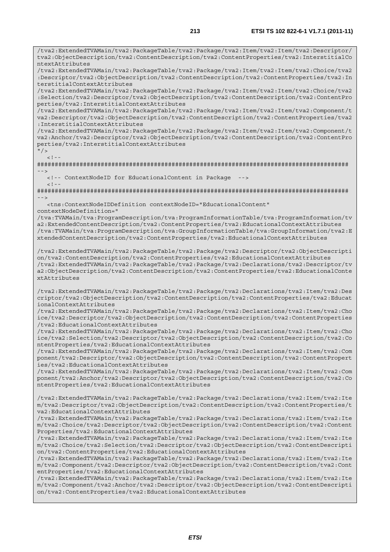/tva2:ExtendedTVAMain/tva2:PackageTable/tva2:Package/tva2:Item/tva2:Item/tva2:Descriptor/ tva2:ObjectDescription/tva2:ContentDescription/tva2:ContentProperties/tva2:InterstitialCo ntextAttributes

/tva2:ExtendedTVAMain/tva2:PackageTable/tva2:Package/tva2:Item/tva2:Item/tva2:Choice/tva2 :Descriptor/tva2:ObjectDescription/tva2:ContentDescription/tva2:ContentProperties/tva2:In terstitialContextAttributes

/tva2:ExtendedTVAMain/tva2:PackageTable/tva2:Package/tva2:Item/tva2:Item/tva2:Choice/tva2 :Selection/tva2:Descriptor/tva2:ObjectDescription/tva2:ContentDescription/tva2:ContentPro perties/tva2:InterstitialContextAttributes

/tva2:ExtendedTVAMain/tva2:PackageTable/tva2:Package/tva2:Item/tva2:Item/tva2:Component/t va2:Descriptor/tva2:ObjectDescription/tva2:ContentDescription/tva2:ContentProperties/tva2 :InterstitialContextAttributes

/tva2:ExtendedTVAMain/tva2:PackageTable/tva2:Package/tva2:Item/tva2:Item/tva2:Component/t va2:Anchor/tva2:Descriptor/tva2:ObjectDescription/tva2:ContentDescription/tva2:ContentPro perties/tva2:InterstitialContextAttributes

 $"$  / >  $\geq$   $\frac{1}{2}$   $\sim$   $\frac{1}{2}$ 

######################################################################################## -->

 <!-- ContextNodeID for EducationalContent in Package -->  $<$ ! --

######################################################################################## -->

 <tns:ContextNodeIDDefinition contextNodeID="EducationalContent" contextNodeDefinition="

/tva:TVAMain/tva:ProgramDescription/tva:ProgramInformationTable/tva:ProgramInformation/tv a2:ExtendedContentDescription/tva2:ContentProperties/tva2:EducationalContextAttributes /tva:TVAMain/tva:ProgramDescription/tva:GroupInformationTable/tva:GroupInformation/tva2:E xtendedContentDescription/tva2:ContentProperties/tva2:EducationalContextAttributes

/tva2:ExtendedTVAMain/tva2:PackageTable/tva2:Package/tva2:Descriptor/tva2:ObjectDescripti on/tva2:ContentDescription/tva2:ContentProperties/tva2:EducationalContextAttributes /tva2:ExtendedTVAMain/tva2:PackageTable/tva2:Package/tva2:Declarations/tva2:Descriptor/tv a2:ObjectDescription/tva2:ContentDescription/tva2:ContentProperties/tva2:EducationalConte xtAttributes

/tva2:ExtendedTVAMain/tva2:PackageTable/tva2:Package/tva2:Declarations/tva2:Item/tva2:Des criptor/tva2:ObjectDescription/tva2:ContentDescription/tva2:ContentProperties/tva2:Educat ionalContextAttributes

/tva2:ExtendedTVAMain/tva2:PackageTable/tva2:Package/tva2:Declarations/tva2:Item/tva2:Cho ice/tva2:Descriptor/tva2:ObjectDescription/tva2:ContentDescription/tva2:ContentProperties /tva2:EducationalContextAttributes

/tva2:ExtendedTVAMain/tva2:PackageTable/tva2:Package/tva2:Declarations/tva2:Item/tva2:Cho ice/tva2:Selection/tva2:Descriptor/tva2:ObjectDescription/tva2:ContentDescription/tva2:Co ntentProperties/tva2:EducationalContextAttributes

/tva2:ExtendedTVAMain/tva2:PackageTable/tva2:Package/tva2:Declarations/tva2:Item/tva2:Com ponent/tva2:Descriptor/tva2:ObjectDescription/tva2:ContentDescription/tva2:ContentPropert ies/tva2:EducationalContextAttributes

/tva2:ExtendedTVAMain/tva2:PackageTable/tva2:Package/tva2:Declarations/tva2:Item/tva2:Com ponent/tva2:Anchor/tva2:Descriptor/tva2:ObjectDescription/tva2:ContentDescription/tva2:Co ntentProperties/tva2:EducationalContextAttributes

/tva2:ExtendedTVAMain/tva2:PackageTable/tva2:Package/tva2:Declarations/tva2:Item/tva2:Ite m/tva2:Descriptor/tva2:ObjectDescription/tva2:ContentDescription/tva2:ContentProperties/t va2:EducationalContextAttributes

/tva2:ExtendedTVAMain/tva2:PackageTable/tva2:Package/tva2:Declarations/tva2:Item/tva2:Ite m/tva2:Choice/tva2:Descriptor/tva2:ObjectDescription/tva2:ContentDescription/tva2:Content Properties/tva2:EducationalContextAttributes

/tva2:ExtendedTVAMain/tva2:PackageTable/tva2:Package/tva2:Declarations/tva2:Item/tva2:Ite m/tva2:Choice/tva2:Selection/tva2:Descriptor/tva2:ObjectDescription/tva2:ContentDescripti on/tva2:ContentProperties/tva2:EducationalContextAttributes

/tva2:ExtendedTVAMain/tva2:PackageTable/tva2:Package/tva2:Declarations/tva2:Item/tva2:Ite m/tva2:Component/tva2:Descriptor/tva2:ObjectDescription/tva2:ContentDescription/tva2:Cont entProperties/tva2:EducationalContextAttributes

/tva2:ExtendedTVAMain/tva2:PackageTable/tva2:Package/tva2:Declarations/tva2:Item/tva2:Ite m/tva2:Component/tva2:Anchor/tva2:Descriptor/tva2:ObjectDescription/tva2:ContentDescripti on/tva2:ContentProperties/tva2:EducationalContextAttributes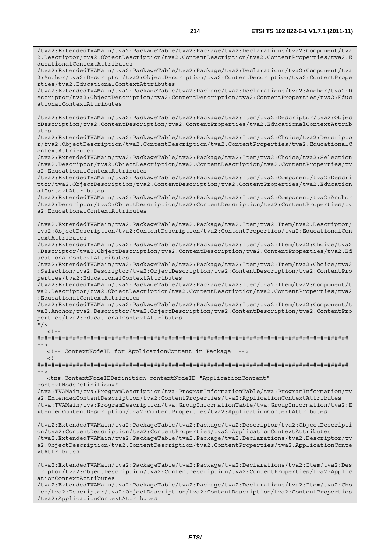/tva2:ExtendedTVAMain/tva2:PackageTable/tva2:Package/tva2:Declarations/tva2:Component/tva 2:Descriptor/tva2:ObjectDescription/tva2:ContentDescription/tva2:ContentProperties/tva2:E ducationalContextAttributes

/tva2:ExtendedTVAMain/tva2:PackageTable/tva2:Package/tva2:Declarations/tva2:Component/tva 2:Anchor/tva2:Descriptor/tva2:ObjectDescription/tva2:ContentDescription/tva2:ContentPrope rties/tva2:EducationalContextAttributes

/tva2:ExtendedTVAMain/tva2:PackageTable/tva2:Package/tva2:Declarations/tva2:Anchor/tva2:D escriptor/tva2:ObjectDescription/tva2:ContentDescription/tva2:ContentProperties/tva2:Educ ationalContextAttributes

/tva2:ExtendedTVAMain/tva2:PackageTable/tva2:Package/tva2:Item/tva2:Descriptor/tva2:Objec tDescription/tva2:ContentDescription/tva2:ContentProperties/tva2:EducationalContextAttrib utes

/tva2:ExtendedTVAMain/tva2:PackageTable/tva2:Package/tva2:Item/tva2:Choice/tva2:Descripto r/tva2:ObjectDescription/tva2:ContentDescription/tva2:ContentProperties/tva2:EducationalC ontextAttributes

/tva2:ExtendedTVAMain/tva2:PackageTable/tva2:Package/tva2:Item/tva2:Choice/tva2:Selection /tva2:Descriptor/tva2:ObjectDescription/tva2:ContentDescription/tva2:ContentProperties/tv a2:EducationalContextAttributes

/tva2:ExtendedTVAMain/tva2:PackageTable/tva2:Package/tva2:Item/tva2:Component/tva2:Descri ptor/tva2:ObjectDescription/tva2:ContentDescription/tva2:ContentProperties/tva2:Education alContextAttributes

/tva2:ExtendedTVAMain/tva2:PackageTable/tva2:Package/tva2:Item/tva2:Component/tva2:Anchor /tva2:Descriptor/tva2:ObjectDescription/tva2:ContentDescription/tva2:ContentProperties/tv a2:EducationalContextAttributes

/tva2:ExtendedTVAMain/tva2:PackageTable/tva2:Package/tva2:Item/tva2:Item/tva2:Descriptor/ tva2:ObjectDescription/tva2:ContentDescription/tva2:ContentProperties/tva2:EducationalCon textAttributes

/tva2:ExtendedTVAMain/tva2:PackageTable/tva2:Package/tva2:Item/tva2:Item/tva2:Choice/tva2 :Descriptor/tva2:ObjectDescription/tva2:ContentDescription/tva2:ContentProperties/tva2:Ed ucationalContextAttributes

/tva2:ExtendedTVAMain/tva2:PackageTable/tva2:Package/tva2:Item/tva2:Item/tva2:Choice/tva2 :Selection/tva2:Descriptor/tva2:ObjectDescription/tva2:ContentDescription/tva2:ContentPro perties/tva2:EducationalContextAttributes

/tva2:ExtendedTVAMain/tva2:PackageTable/tva2:Package/tva2:Item/tva2:Item/tva2:Component/t va2:Descriptor/tva2:ObjectDescription/tva2:ContentDescription/tva2:ContentProperties/tva2 :EducationalContextAttributes

/tva2:ExtendedTVAMain/tva2:PackageTable/tva2:Package/tva2:Item/tva2:Item/tva2:Component/t va2:Anchor/tva2:Descriptor/tva2:ObjectDescription/tva2:ContentDescription/tva2:ContentPro perties/tva2:EducationalContextAttributes

 $"$  />  $\lt$  ! -

######################################################################################## -->

 <!-- ContextNodeID for ApplicationContent in Package -->  $<$ ! --

######################################################################################## -->

 <tns:ContextNodeIDDefinition contextNodeID="ApplicationContent" contextNodeDefinition="

/tva:TVAMain/tva:ProgramDescription/tva:ProgramInformationTable/tva:ProgramInformation/tv a2:ExtendedContentDescription/tva2:ContentProperties/tva2:ApplicationContextAttributes /tva:TVAMain/tva:ProgramDescription/tva:GroupInformationTable/tva:GroupInformation/tva2:E xtendedContentDescription/tva2:ContentProperties/tva2:ApplicationContextAttributes

/tva2:ExtendedTVAMain/tva2:PackageTable/tva2:Package/tva2:Descriptor/tva2:ObjectDescripti on/tva2:ContentDescription/tva2:ContentProperties/tva2:ApplicationContextAttributes /tva2:ExtendedTVAMain/tva2:PackageTable/tva2:Package/tva2:Declarations/tva2:Descriptor/tv a2:ObjectDescription/tva2:ContentDescription/tva2:ContentProperties/tva2:ApplicationConte xtAttributes

/tva2:ExtendedTVAMain/tva2:PackageTable/tva2:Package/tva2:Declarations/tva2:Item/tva2:Des criptor/tva2:ObjectDescription/tva2:ContentDescription/tva2:ContentProperties/tva2:Applic ationContextAttributes

/tva2:ExtendedTVAMain/tva2:PackageTable/tva2:Package/tva2:Declarations/tva2:Item/tva2:Cho ice/tva2:Descriptor/tva2:ObjectDescription/tva2:ContentDescription/tva2:ContentProperties /tva2:ApplicationContextAttributes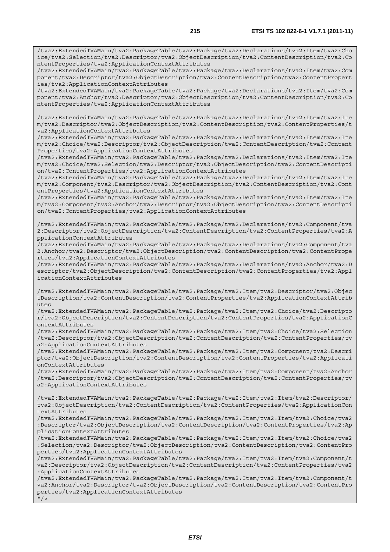/tva2:ExtendedTVAMain/tva2:PackageTable/tva2:Package/tva2:Declarations/tva2:Item/tva2:Cho ice/tva2:Selection/tva2:Descriptor/tva2:ObjectDescription/tva2:ContentDescription/tva2:Co ntentProperties/tva2:ApplicationContextAttributes

/tva2:ExtendedTVAMain/tva2:PackageTable/tva2:Package/tva2:Declarations/tva2:Item/tva2:Com ponent/tva2:Descriptor/tva2:ObjectDescription/tva2:ContentDescription/tva2:ContentPropert ies/tva2:ApplicationContextAttributes

/tva2:ExtendedTVAMain/tva2:PackageTable/tva2:Package/tva2:Declarations/tva2:Item/tva2:Com ponent/tva2:Anchor/tva2:Descriptor/tva2:ObjectDescription/tva2:ContentDescription/tva2:Co ntentProperties/tva2:ApplicationContextAttributes

/tva2:ExtendedTVAMain/tva2:PackageTable/tva2:Package/tva2:Declarations/tva2:Item/tva2:Ite m/tva2:Descriptor/tva2:ObjectDescription/tva2:ContentDescription/tva2:ContentProperties/t va2:ApplicationContextAttributes

/tva2:ExtendedTVAMain/tva2:PackageTable/tva2:Package/tva2:Declarations/tva2:Item/tva2:Ite m/tva2:Choice/tva2:Descriptor/tva2:ObjectDescription/tva2:ContentDescription/tva2:Content Properties/tva2:ApplicationContextAttributes

/tva2:ExtendedTVAMain/tva2:PackageTable/tva2:Package/tva2:Declarations/tva2:Item/tva2:Ite m/tva2:Choice/tva2:Selection/tva2:Descriptor/tva2:ObjectDescription/tva2:ContentDescripti on/tva2:ContentProperties/tva2:ApplicationContextAttributes

/tva2:ExtendedTVAMain/tva2:PackageTable/tva2:Package/tva2:Declarations/tva2:Item/tva2:Ite m/tva2:Component/tva2:Descriptor/tva2:ObjectDescription/tva2:ContentDescription/tva2:Cont entProperties/tva2:ApplicationContextAttributes

/tva2:ExtendedTVAMain/tva2:PackageTable/tva2:Package/tva2:Declarations/tva2:Item/tva2:Ite m/tva2:Component/tva2:Anchor/tva2:Descriptor/tva2:ObjectDescription/tva2:ContentDescripti on/tva2:ContentProperties/tva2:ApplicationContextAttributes

/tva2:ExtendedTVAMain/tva2:PackageTable/tva2:Package/tva2:Declarations/tva2:Component/tva 2:Descriptor/tva2:ObjectDescription/tva2:ContentDescription/tva2:ContentProperties/tva2:A pplicationContextAttributes

/tva2:ExtendedTVAMain/tva2:PackageTable/tva2:Package/tva2:Declarations/tva2:Component/tva 2:Anchor/tva2:Descriptor/tva2:ObjectDescription/tva2:ContentDescription/tva2:ContentPrope rties/tva2:ApplicationContextAttributes

/tva2:ExtendedTVAMain/tva2:PackageTable/tva2:Package/tva2:Declarations/tva2:Anchor/tva2:D escriptor/tva2:ObjectDescription/tva2:ContentDescription/tva2:ContentProperties/tva2:Appl icationContextAttributes

/tva2:ExtendedTVAMain/tva2:PackageTable/tva2:Package/tva2:Item/tva2:Descriptor/tva2:Objec tDescription/tva2:ContentDescription/tva2:ContentProperties/tva2:ApplicationContextAttrib utes

/tva2:ExtendedTVAMain/tva2:PackageTable/tva2:Package/tva2:Item/tva2:Choice/tva2:Descripto r/tva2:ObjectDescription/tva2:ContentDescription/tva2:ContentProperties/tva2:ApplicationC ontextAttributes

/tva2:ExtendedTVAMain/tva2:PackageTable/tva2:Package/tva2:Item/tva2:Choice/tva2:Selection /tva2:Descriptor/tva2:ObjectDescription/tva2:ContentDescription/tva2:ContentProperties/tv a2:ApplicationContextAttributes

/tva2:ExtendedTVAMain/tva2:PackageTable/tva2:Package/tva2:Item/tva2:Component/tva2:Descri ptor/tva2:ObjectDescription/tva2:ContentDescription/tva2:ContentProperties/tva2:Applicati onContextAttributes

/tva2:ExtendedTVAMain/tva2:PackageTable/tva2:Package/tva2:Item/tva2:Component/tva2:Anchor /tva2:Descriptor/tva2:ObjectDescription/tva2:ContentDescription/tva2:ContentProperties/tv a2:ApplicationContextAttributes

/tva2:ExtendedTVAMain/tva2:PackageTable/tva2:Package/tva2:Item/tva2:Item/tva2:Descriptor/ tva2:ObjectDescription/tva2:ContentDescription/tva2:ContentProperties/tva2:ApplicationCon textAttributes

/tva2:ExtendedTVAMain/tva2:PackageTable/tva2:Package/tva2:Item/tva2:Item/tva2:Choice/tva2 :Descriptor/tva2:ObjectDescription/tva2:ContentDescription/tva2:ContentProperties/tva2:Ap plicationContextAttributes

/tva2:ExtendedTVAMain/tva2:PackageTable/tva2:Package/tva2:Item/tva2:Item/tva2:Choice/tva2 :Selection/tva2:Descriptor/tva2:ObjectDescription/tva2:ContentDescription/tva2:ContentPro perties/tva2:ApplicationContextAttributes

/tva2:ExtendedTVAMain/tva2:PackageTable/tva2:Package/tva2:Item/tva2:Item/tva2:Component/t va2:Descriptor/tva2:ObjectDescription/tva2:ContentDescription/tva2:ContentProperties/tva2 :ApplicationContextAttributes

/tva2:ExtendedTVAMain/tva2:PackageTable/tva2:Package/tva2:Item/tva2:Item/tva2:Component/t va2:Anchor/tva2:Descriptor/tva2:ObjectDescription/tva2:ContentDescription/tva2:ContentPro perties/tva2:ApplicationContextAttributes  $''$  / >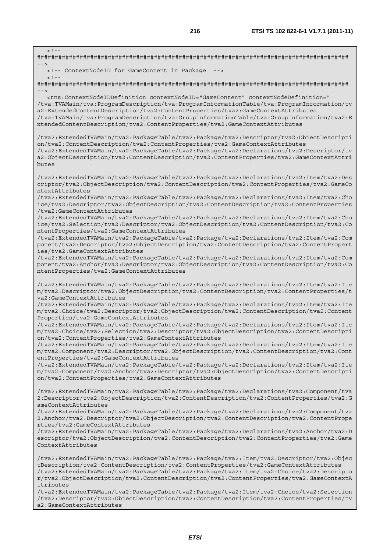**216 ETSI TS 102 822-6-1 V1.7.1 (2011-11)**  $\lt$  !  $-$ ######################################################################################## --> <!-- ContextNodeID for GameContent in Package -->  $\geq$  1  $-$ ######################################################################################## --> <tns:ContextNodeIDDefinition contextNodeID="GameContent" contextNodeDefinition=" /tva:TVAMain/tva:ProgramDescription/tva:ProgramInformationTable/tva:ProgramInformation/tv a2:ExtendedContentDescription/tva2:ContentProperties/tva2:GameContextAttributes /tva:TVAMain/tva:ProgramDescription/tva:GroupInformationTable/tva:GroupInformation/tva2:E xtendedContentDescription/tva2:ContentProperties/tva2:GameContextAttributes /tva2:ExtendedTVAMain/tva2:PackageTable/tva2:Package/tva2:Descriptor/tva2:ObjectDescripti on/tva2:ContentDescription/tva2:ContentProperties/tva2:GameContextAttributes /tva2:ExtendedTVAMain/tva2:PackageTable/tva2:Package/tva2:Declarations/tva2:Descriptor/tv a2:ObjectDescription/tva2:ContentDescription/tva2:ContentProperties/tva2:GameContextAttri butes /tva2:ExtendedTVAMain/tva2:PackageTable/tva2:Package/tva2:Declarations/tva2:Item/tva2:Des criptor/tva2:ObjectDescription/tva2:ContentDescription/tva2:ContentProperties/tva2:GameCo ntextAttributes /tva2:ExtendedTVAMain/tva2:PackageTable/tva2:Package/tva2:Declarations/tva2:Item/tva2:Cho ice/tva2:Descriptor/tva2:ObjectDescription/tva2:ContentDescription/tva2:ContentProperties /tva2:GameContextAttributes /tva2:ExtendedTVAMain/tva2:PackageTable/tva2:Package/tva2:Declarations/tva2:Item/tva2:Cho ice/tva2:Selection/tva2:Descriptor/tva2:ObjectDescription/tva2:ContentDescription/tva2:Co ntentProperties/tva2:GameContextAttributes /tva2:ExtendedTVAMain/tva2:PackageTable/tva2:Package/tva2:Declarations/tva2:Item/tva2:Com ponent/tva2:Descriptor/tva2:ObjectDescription/tva2:ContentDescription/tva2:ContentPropert ies/tva2:GameContextAttributes /tva2:ExtendedTVAMain/tva2:PackageTable/tva2:Package/tva2:Declarations/tva2:Item/tva2:Com ponent/tva2:Anchor/tva2:Descriptor/tva2:ObjectDescription/tva2:ContentDescription/tva2:Co ntentProperties/tva2:GameContextAttributes /tva2:ExtendedTVAMain/tva2:PackageTable/tva2:Package/tva2:Declarations/tva2:Item/tva2:Ite m/tva2:Descriptor/tva2:ObjectDescription/tva2:ContentDescription/tva2:ContentProperties/t va2:GameContextAttributes /tva2:ExtendedTVAMain/tva2:PackageTable/tva2:Package/tva2:Declarations/tva2:Item/tva2:Ite m/tva2:Choice/tva2:Descriptor/tva2:ObjectDescription/tva2:ContentDescription/tva2:Content Properties/tva2:GameContextAttributes /tva2:ExtendedTVAMain/tva2:PackageTable/tva2:Package/tva2:Declarations/tva2:Item/tva2:Ite m/tva2:Choice/tva2:Selection/tva2:Descriptor/tva2:ObjectDescription/tva2:ContentDescripti on/tva2:ContentProperties/tva2:GameContextAttributes /tva2:ExtendedTVAMain/tva2:PackageTable/tva2:Package/tva2:Declarations/tva2:Item/tva2:Ite m/tva2:Component/tva2:Descriptor/tva2:ObjectDescription/tva2:ContentDescription/tva2:Cont entProperties/tva2:GameContextAttributes /tva2:ExtendedTVAMain/tva2:PackageTable/tva2:Package/tva2:Declarations/tva2:Item/tva2:Ite m/tva2:Component/tva2:Anchor/tva2:Descriptor/tva2:ObjectDescription/tva2:ContentDescripti on/tva2:ContentProperties/tva2:GameContextAttributes /tva2:ExtendedTVAMain/tva2:PackageTable/tva2:Package/tva2:Declarations/tva2:Component/tva 2:Descriptor/tva2:ObjectDescription/tva2:ContentDescription/tva2:ContentProperties/tva2:G ameContextAttributes /tva2:ExtendedTVAMain/tva2:PackageTable/tva2:Package/tva2:Declarations/tva2:Component/tva 2:Anchor/tva2:Descriptor/tva2:ObjectDescription/tva2:ContentDescription/tva2:ContentPrope rties/tva2:GameContextAttributes /tva2:ExtendedTVAMain/tva2:PackageTable/tva2:Package/tva2:Declarations/tva2:Anchor/tva2:D escriptor/tva2:ObjectDescription/tva2:ContentDescription/tva2:ContentProperties/tva2:Game ContextAttributes /tva2:ExtendedTVAMain/tva2:PackageTable/tva2:Package/tva2:Item/tva2:Descriptor/tva2:Objec tDescription/tva2:ContentDescription/tva2:ContentProperties/tva2:GameContextAttributes /tva2:ExtendedTVAMain/tva2:PackageTable/tva2:Package/tva2:Item/tva2:Choice/tva2:Descripto r/tva2:ObjectDescription/tva2:ContentDescription/tva2:ContentProperties/tva2:GameContextA

/tva2:ExtendedTVAMain/tva2:PackageTable/tva2:Package/tva2:Item/tva2:Choice/tva2:Selection /tva2:Descriptor/tva2:ObjectDescription/tva2:ContentDescription/tva2:ContentProperties/tv a2:GameContextAttributes

ttributes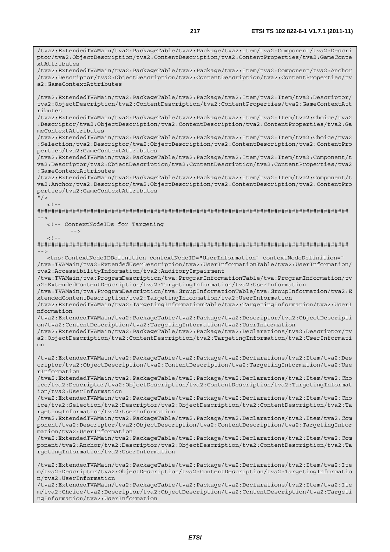/tva2:ExtendedTVAMain/tva2:PackageTable/tva2:Package/tva2:Item/tva2:Component/tva2:Descri ptor/tva2:ObjectDescription/tva2:ContentDescription/tva2:ContentProperties/tva2:GameConte

/tva2:ExtendedTVAMain/tva2:PackageTable/tva2:Package/tva2:Item/tva2:Component/tva2:Anchor

xtAttributes

/tva2:Descriptor/tva2:ObjectDescription/tva2:ContentDescription/tva2:ContentProperties/tv a2:GameContextAttributes /tva2:ExtendedTVAMain/tva2:PackageTable/tva2:Package/tva2:Item/tva2:Item/tva2:Descriptor/ tva2:ObjectDescription/tva2:ContentDescription/tva2:ContentProperties/tva2:GameContextAtt ributes /tva2:ExtendedTVAMain/tva2:PackageTable/tva2:Package/tva2:Item/tva2:Item/tva2:Choice/tva2 :Descriptor/tva2:ObjectDescription/tva2:ContentDescription/tva2:ContentProperties/tva2:Ga meContextAttributes /tva2:ExtendedTVAMain/tva2:PackageTable/tva2:Package/tva2:Item/tva2:Item/tva2:Choice/tva2 :Selection/tva2:Descriptor/tva2:ObjectDescription/tva2:ContentDescription/tva2:ContentPro perties/tva2:GameContextAttributes /tva2:ExtendedTVAMain/tva2:PackageTable/tva2:Package/tva2:Item/tva2:Item/tva2:Component/t va2:Descriptor/tva2:ObjectDescription/tva2:ContentDescription/tva2:ContentProperties/tva2 :GameContextAttributes /tva2:ExtendedTVAMain/tva2:PackageTable/tva2:Package/tva2:Item/tva2:Item/tva2:Component/t va2:Anchor/tva2:Descriptor/tva2:ObjectDescription/tva2:ContentDescription/tva2:ContentPro perties/tva2:GameContextAttributes  $"$  / >  $\langle$ !--######################################################################################## --> <!-- ContextNodeIDs for Targeting -->  $\leq 1$ ######################################################################################## --> <tns:ContextNodeIDDefinition contextNodeID="UserInformation" contextNodeDefinition=" /tva:TVAMain/tva2:ExtendedUserDescription/tva2:UserInformationTable/tva2:UserInformation/ tva2:AccessibilityInformation/tva2:AuditoryImpairment /tva:TVAMain/tva:ProgramDescription/tva:ProgramInformationTable/tva:ProgramInformation/tv a2:ExtendedContentDescription/tva2:TargetingInformation/tva2:UserInformation /tva:TVAMain/tva:ProgramDescription/tva:GroupInformationTable/tva:GroupInformation/tva2:E xtendedContentDescription/tva2:TargetingInformation/tva2:UserInformation /tva2:ExtendedTVAMain/tva2:TargetingInformationTable/tva2:TargetingInformation/tva2:UserI nformation /tva2:ExtendedTVAMain/tva2:PackageTable/tva2:Package/tva2:Descriptor/tva2:ObjectDescripti on/tva2:ContentDescription/tva2:TargetingInformation/tva2:UserInformation /tva2:ExtendedTVAMain/tva2:PackageTable/tva2:Package/tva2:Declarations/tva2:Descriptor/tv a2:ObjectDescription/tva2:ContentDescription/tva2:TargetingInformation/tva2:UserInformati on /tva2:ExtendedTVAMain/tva2:PackageTable/tva2:Package/tva2:Declarations/tva2:Item/tva2:Des criptor/tva2:ObjectDescription/tva2:ContentDescription/tva2:TargetingInformation/tva2:Use rInformation /tva2:ExtendedTVAMain/tva2:PackageTable/tva2:Package/tva2:Declarations/tva2:Item/tva2:Cho ice/tva2:Descriptor/tva2:ObjectDescription/tva2:ContentDescription/tva2:TargetingInformat ion/tva2:UserInformation /tva2:ExtendedTVAMain/tva2:PackageTable/tva2:Package/tva2:Declarations/tva2:Item/tva2:Cho ice/tva2:Selection/tva2:Descriptor/tva2:ObjectDescription/tva2:ContentDescription/tva2:Ta rgetingInformation/tva2:UserInformation /tva2:ExtendedTVAMain/tva2:PackageTable/tva2:Package/tva2:Declarations/tva2:Item/tva2:Com ponent/tva2:Descriptor/tva2:ObjectDescription/tva2:ContentDescription/tva2:TargetingInfor mation/tva2:UserInformation /tva2:ExtendedTVAMain/tva2:PackageTable/tva2:Package/tva2:Declarations/tva2:Item/tva2:Com ponent/tva2:Anchor/tva2:Descriptor/tva2:ObjectDescription/tva2:ContentDescription/tva2:Ta rgetingInformation/tva2:UserInformation /tva2:ExtendedTVAMain/tva2:PackageTable/tva2:Package/tva2:Declarations/tva2:Item/tva2:Ite m/tva2:Descriptor/tva2:ObjectDescription/tva2:ContentDescription/tva2:TargetingInformatio n/tva2:UserInformation /tva2:ExtendedTVAMain/tva2:PackageTable/tva2:Package/tva2:Declarations/tva2:Item/tva2:Ite m/tva2:Choice/tva2:Descriptor/tva2:ObjectDescription/tva2:ContentDescription/tva2:Targeti ngInformation/tva2:UserInformation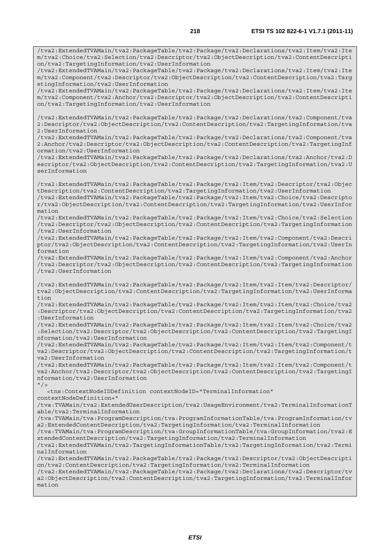/tva2:ExtendedTVAMain/tva2:PackageTable/tva2:Package/tva2:Declarations/tva2:Item/tva2:Ite m/tva2:Choice/tva2:Selection/tva2:Descriptor/tva2:ObjectDescription/tva2:ContentDescripti on/tva2:TargetingInformation/tva2:UserInformation /tva2:ExtendedTVAMain/tva2:PackageTable/tva2:Package/tva2:Declarations/tva2:Item/tva2:Ite m/tva2:Component/tva2:Descriptor/tva2:ObjectDescription/tva2:ContentDescription/tva2:Targ etingInformation/tva2:UserInformation /tva2:ExtendedTVAMain/tva2:PackageTable/tva2:Package/tva2:Declarations/tva2:Item/tva2:Ite m/tva2:Component/tva2:Anchor/tva2:Descriptor/tva2:ObjectDescription/tva2:ContentDescripti on/tva2:TargetingInformation/tva2:UserInformation /tva2:ExtendedTVAMain/tva2:PackageTable/tva2:Package/tva2:Declarations/tva2:Component/tva 2:Descriptor/tva2:ObjectDescription/tva2:ContentDescription/tva2:TargetingInformation/tva 2:UserInformation /tva2:ExtendedTVAMain/tva2:PackageTable/tva2:Package/tva2:Declarations/tva2:Component/tva 2:Anchor/tva2:Descriptor/tva2:ObjectDescription/tva2:ContentDescription/tva2:TargetingInf ormation/tva2:UserInformation /tva2:ExtendedTVAMain/tva2:PackageTable/tva2:Package/tva2:Declarations/tva2:Anchor/tva2:D escriptor/tva2:ObjectDescription/tva2:ContentDescription/tva2:TargetingInformation/tva2:U serInformation /tva2:ExtendedTVAMain/tva2:PackageTable/tva2:Package/tva2:Item/tva2:Descriptor/tva2:Objec tDescription/tva2:ContentDescription/tva2:TargetingInformation/tva2:UserInformation /tva2:ExtendedTVAMain/tva2:PackageTable/tva2:Package/tva2:Item/tva2:Choice/tva2:Descripto r/tva2:ObjectDescription/tva2:ContentDescription/tva2:TargetingInformation/tva2:UserInfor mation /tva2:ExtendedTVAMain/tva2:PackageTable/tva2:Package/tva2:Item/tva2:Choice/tva2:Selection /tva2:Descriptor/tva2:ObjectDescription/tva2:ContentDescription/tva2:TargetingInformation /tva2:UserInformation /tva2:ExtendedTVAMain/tva2:PackageTable/tva2:Package/tva2:Item/tva2:Component/tva2:Descri ptor/tva2:ObjectDescription/tva2:ContentDescription/tva2:TargetingInformation/tva2:UserIn formation /tva2:ExtendedTVAMain/tva2:PackageTable/tva2:Package/tva2:Item/tva2:Component/tva2:Anchor /tva2:Descriptor/tva2:ObjectDescription/tva2:ContentDescription/tva2:TargetingInformation /tva2:UserInformation /tva2:ExtendedTVAMain/tva2:PackageTable/tva2:Package/tva2:Item/tva2:Item/tva2:Descriptor/ tva2:ObjectDescription/tva2:ContentDescription/tva2:TargetingInformation/tva2:UserInforma tion /tva2:ExtendedTVAMain/tva2:PackageTable/tva2:Package/tva2:Item/tva2:Item/tva2:Choice/tva2 :Descriptor/tva2:ObjectDescription/tva2:ContentDescription/tva2:TargetingInformation/tva2 :UserInformation /tva2:ExtendedTVAMain/tva2:PackageTable/tva2:Package/tva2:Item/tva2:Item/tva2:Choice/tva2 :Selection/tva2:Descriptor/tva2:ObjectDescription/tva2:ContentDescription/tva2:TargetingI nformation/tva2:UserInformation /tva2:ExtendedTVAMain/tva2:PackageTable/tva2:Package/tva2:Item/tva2:Item/tva2:Component/t va2:Descriptor/tva2:ObjectDescription/tva2:ContentDescription/tva2:TargetingInformation/t va2:UserInformation /tva2:ExtendedTVAMain/tva2:PackageTable/tva2:Package/tva2:Item/tva2:Item/tva2:Component/t va2:Anchor/tva2:Descriptor/tva2:ObjectDescription/tva2:ContentDescription/tva2:TargetingI nformation/tva2:UserInformation  $''$  / > <tns:ContextNodeIDDefinition contextNodeID="TerminalInformation" contextNodeDefinition=" /tva:TVAMain/tva2:ExtendedUserDescription/tva2:UsageEnvironment/tva2:TerminalInformationT able/tva2:TerminalInformation /tva:TVAMain/tva:ProgramDescription/tva:ProgramInformationTable/tva:ProgramInformation/tv a2:ExtendedContentDescription/tva2:TargetingInformation/tva2:TerminalInformation /tva:TVAMain/tva:ProgramDescription/tva:GroupInformationTable/tva:GroupInformation/tva2:E xtendedContentDescription/tva2:TargetingInformation/tva2:TerminalInformation /tva2:ExtendedTVAMain/tva2:TargetingInformationTable/tva2:TargetingInformation/tva2:Termi nalInformation /tva2:ExtendedTVAMain/tva2:PackageTable/tva2:Package/tva2:Descriptor/tva2:ObjectDescripti on/tva2:ContentDescription/tva2:TargetingInformation/tva2:TerminalInformation /tva2:ExtendedTVAMain/tva2:PackageTable/tva2:Package/tva2:Declarations/tva2:Descriptor/tv a2:ObjectDescription/tva2:ContentDescription/tva2:TargetingInformation/tva2:TerminalInfor mation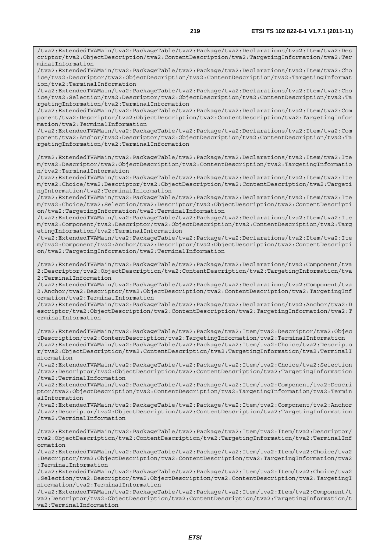/tva2:ExtendedTVAMain/tva2:PackageTable/tva2:Package/tva2:Declarations/tva2:Item/tva2:Des criptor/tva2:ObjectDescription/tva2:ContentDescription/tva2:TargetingInformation/tva2:Ter minalInformation

/tva2:ExtendedTVAMain/tva2:PackageTable/tva2:Package/tva2:Declarations/tva2:Item/tva2:Cho ice/tva2:Descriptor/tva2:ObjectDescription/tva2:ContentDescription/tva2:TargetingInformat ion/tva2:TerminalInformation

/tva2:ExtendedTVAMain/tva2:PackageTable/tva2:Package/tva2:Declarations/tva2:Item/tva2:Cho ice/tva2:Selection/tva2:Descriptor/tva2:ObjectDescription/tva2:ContentDescription/tva2:Ta rgetingInformation/tva2:TerminalInformation

/tva2:ExtendedTVAMain/tva2:PackageTable/tva2:Package/tva2:Declarations/tva2:Item/tva2:Com ponent/tva2:Descriptor/tva2:ObjectDescription/tva2:ContentDescription/tva2:TargetingInfor mation/tva2:TerminalInformation

/tva2:ExtendedTVAMain/tva2:PackageTable/tva2:Package/tva2:Declarations/tva2:Item/tva2:Com ponent/tva2:Anchor/tva2:Descriptor/tva2:ObjectDescription/tva2:ContentDescription/tva2:Ta rgetingInformation/tva2:TerminalInformation

/tva2:ExtendedTVAMain/tva2:PackageTable/tva2:Package/tva2:Declarations/tva2:Item/tva2:Ite m/tva2:Descriptor/tva2:ObjectDescription/tva2:ContentDescription/tva2:TargetingInformatio n/tva2:TerminalInformation

/tva2:ExtendedTVAMain/tva2:PackageTable/tva2:Package/tva2:Declarations/tva2:Item/tva2:Ite m/tva2:Choice/tva2:Descriptor/tva2:ObjectDescription/tva2:ContentDescription/tva2:Targeti ngInformation/tva2:TerminalInformation

/tva2:ExtendedTVAMain/tva2:PackageTable/tva2:Package/tva2:Declarations/tva2:Item/tva2:Ite m/tva2:Choice/tva2:Selection/tva2:Descriptor/tva2:ObjectDescription/tva2:ContentDescripti on/tva2:TargetingInformation/tva2:TerminalInformation

/tva2:ExtendedTVAMain/tva2:PackageTable/tva2:Package/tva2:Declarations/tva2:Item/tva2:Ite m/tva2:Component/tva2:Descriptor/tva2:ObjectDescription/tva2:ContentDescription/tva2:Targ etingInformation/tva2:TerminalInformation

/tva2:ExtendedTVAMain/tva2:PackageTable/tva2:Package/tva2:Declarations/tva2:Item/tva2:Ite m/tva2:Component/tva2:Anchor/tva2:Descriptor/tva2:ObjectDescription/tva2:ContentDescripti on/tva2:TargetingInformation/tva2:TerminalInformation

/tva2:ExtendedTVAMain/tva2:PackageTable/tva2:Package/tva2:Declarations/tva2:Component/tva 2:Descriptor/tva2:ObjectDescription/tva2:ContentDescription/tva2:TargetingInformation/tva 2:TerminalInformation

/tva2:ExtendedTVAMain/tva2:PackageTable/tva2:Package/tva2:Declarations/tva2:Component/tva 2:Anchor/tva2:Descriptor/tva2:ObjectDescription/tva2:ContentDescription/tva2:TargetingInf ormation/tva2:TerminalInformation

/tva2:ExtendedTVAMain/tva2:PackageTable/tva2:Package/tva2:Declarations/tva2:Anchor/tva2:D escriptor/tva2:ObjectDescription/tva2:ContentDescription/tva2:TargetingInformation/tva2:T erminalInformation

/tva2:ExtendedTVAMain/tva2:PackageTable/tva2:Package/tva2:Item/tva2:Descriptor/tva2:Objec tDescription/tva2:ContentDescription/tva2:TargetingInformation/tva2:TerminalInformation /tva2:ExtendedTVAMain/tva2:PackageTable/tva2:Package/tva2:Item/tva2:Choice/tva2:Descripto r/tva2:ObjectDescription/tva2:ContentDescription/tva2:TargetingInformation/tva2:TerminalI nformation

/tva2:ExtendedTVAMain/tva2:PackageTable/tva2:Package/tva2:Item/tva2:Choice/tva2:Selection /tva2:Descriptor/tva2:ObjectDescription/tva2:ContentDescription/tva2:TargetingInformation /tva2:TerminalInformation

/tva2:ExtendedTVAMain/tva2:PackageTable/tva2:Package/tva2:Item/tva2:Component/tva2:Descri ptor/tva2:ObjectDescription/tva2:ContentDescription/tva2:TargetingInformation/tva2:Termin alInformation

/tva2:ExtendedTVAMain/tva2:PackageTable/tva2:Package/tva2:Item/tva2:Component/tva2:Anchor /tva2:Descriptor/tva2:ObjectDescription/tva2:ContentDescription/tva2:TargetingInformation /tva2:TerminalInformation

/tva2:ExtendedTVAMain/tva2:PackageTable/tva2:Package/tva2:Item/tva2:Item/tva2:Descriptor/ tva2:ObjectDescription/tva2:ContentDescription/tva2:TargetingInformation/tva2:TerminalInf ormation

/tva2:ExtendedTVAMain/tva2:PackageTable/tva2:Package/tva2:Item/tva2:Item/tva2:Choice/tva2 :Descriptor/tva2:ObjectDescription/tva2:ContentDescription/tva2:TargetingInformation/tva2 :TerminalInformation

/tva2:ExtendedTVAMain/tva2:PackageTable/tva2:Package/tva2:Item/tva2:Item/tva2:Choice/tva2 :Selection/tva2:Descriptor/tva2:ObjectDescription/tva2:ContentDescription/tva2:TargetingI nformation/tva2:TerminalInformation

/tva2:ExtendedTVAMain/tva2:PackageTable/tva2:Package/tva2:Item/tva2:Item/tva2:Component/t va2:Descriptor/tva2:ObjectDescription/tva2:ContentDescription/tva2:TargetingInformation/t va2:TerminalInformation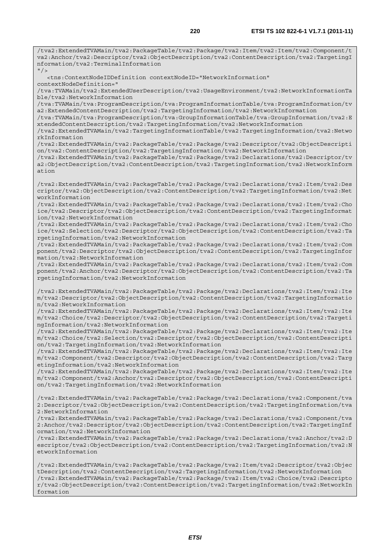va2:Anchor/tva2:Descriptor/tva2:ObjectDescription/tva2:ContentDescription/tva2:TargetingI nformation/tva2:TerminalInformation  $''$  / > <tns:ContextNodeIDDefinition contextNodeID="NetworkInformation" contextNodeDefinition=" /tva:TVAMain/tva2:ExtendedUserDescription/tva2:UsageEnvironment/tva2:NetworkInformationTa ble/tva2:NetworkInformation /tva:TVAMain/tva:ProgramDescription/tva:ProgramInformationTable/tva:ProgramInformation/tv a2:ExtendedContentDescription/tva2:TargetingInformation/tva2:NetworkInformation /tva:TVAMain/tva:ProgramDescription/tva:GroupInformationTable/tva:GroupInformation/tva2:E xtendedContentDescription/tva2:TargetingInformation/tva2:NetworkInformation /tva2:ExtendedTVAMain/tva2:TargetingInformationTable/tva2:TargetingInformation/tva2:Netwo rkInformation /tva2:ExtendedTVAMain/tva2:PackageTable/tva2:Package/tva2:Descriptor/tva2:ObjectDescripti on/tva2:ContentDescription/tva2:TargetingInformation/tva2:NetworkInformation /tva2:ExtendedTVAMain/tva2:PackageTable/tva2:Package/tva2:Declarations/tva2:Descriptor/tv a2:ObjectDescription/tva2:ContentDescription/tva2:TargetingInformation/tva2:NetworkInform ation /tva2:ExtendedTVAMain/tva2:PackageTable/tva2:Package/tva2:Declarations/tva2:Item/tva2:Des criptor/tva2:ObjectDescription/tva2:ContentDescription/tva2:TargetingInformation/tva2:Net workInformation /tva2:ExtendedTVAMain/tva2:PackageTable/tva2:Package/tva2:Declarations/tva2:Item/tva2:Cho ice/tva2:Descriptor/tva2:ObjectDescription/tva2:ContentDescription/tva2:TargetingInformat ion/tva2:NetworkInformation /tva2:ExtendedTVAMain/tva2:PackageTable/tva2:Package/tva2:Declarations/tva2:Item/tva2:Cho ice/tva2:Selection/tva2:Descriptor/tva2:ObjectDescription/tva2:ContentDescription/tva2:Ta rgetingInformation/tva2:NetworkInformation /tva2:ExtendedTVAMain/tva2:PackageTable/tva2:Package/tva2:Declarations/tva2:Item/tva2:Com ponent/tva2:Descriptor/tva2:ObjectDescription/tva2:ContentDescription/tva2:TargetingInfor mation/tva2:NetworkInformation /tva2:ExtendedTVAMain/tva2:PackageTable/tva2:Package/tva2:Declarations/tva2:Item/tva2:Com ponent/tva2:Anchor/tva2:Descriptor/tva2:ObjectDescription/tva2:ContentDescription/tva2:Ta rgetingInformation/tva2:NetworkInformation /tva2:ExtendedTVAMain/tva2:PackageTable/tva2:Package/tva2:Declarations/tva2:Item/tva2:Ite m/tva2:Descriptor/tva2:ObjectDescription/tva2:ContentDescription/tva2:TargetingInformatio n/tva2:NetworkInformation /tva2:ExtendedTVAMain/tva2:PackageTable/tva2:Package/tva2:Declarations/tva2:Item/tva2:Ite m/tva2:Choice/tva2:Descriptor/tva2:ObjectDescription/tva2:ContentDescription/tva2:Targeti ngInformation/tva2:NetworkInformation /tva2:ExtendedTVAMain/tva2:PackageTable/tva2:Package/tva2:Declarations/tva2:Item/tva2:Ite m/tva2:Choice/tva2:Selection/tva2:Descriptor/tva2:ObjectDescription/tva2:ContentDescripti on/tva2:TargetingInformation/tva2:NetworkInformation /tva2:ExtendedTVAMain/tva2:PackageTable/tva2:Package/tva2:Declarations/tva2:Item/tva2:Ite m/tva2:Component/tva2:Descriptor/tva2:ObjectDescription/tva2:ContentDescription/tva2:Targ etingInformation/tva2:NetworkInformation /tva2:ExtendedTVAMain/tva2:PackageTable/tva2:Package/tva2:Declarations/tva2:Item/tva2:Ite m/tva2:Component/tva2:Anchor/tva2:Descriptor/tva2:ObjectDescription/tva2:ContentDescripti on/tva2:TargetingInformation/tva2:NetworkInformation /tva2:ExtendedTVAMain/tva2:PackageTable/tva2:Package/tva2:Declarations/tva2:Component/tva 2:Descriptor/tva2:ObjectDescription/tva2:ContentDescription/tva2:TargetingInformation/tva 2:NetworkInformation /tva2:ExtendedTVAMain/tva2:PackageTable/tva2:Package/tva2:Declarations/tva2:Component/tva 2:Anchor/tva2:Descriptor/tva2:ObjectDescription/tva2:ContentDescription/tva2:TargetingInf ormation/tva2:NetworkInformation

/tva2:ExtendedTVAMain/tva2:PackageTable/tva2:Package/tva2:Declarations/tva2:Anchor/tva2:D escriptor/tva2:ObjectDescription/tva2:ContentDescription/tva2:TargetingInformation/tva2:N etworkInformation

/tva2:ExtendedTVAMain/tva2:PackageTable/tva2:Package/tva2:Item/tva2:Descriptor/tva2:Objec tDescription/tva2:ContentDescription/tva2:TargetingInformation/tva2:NetworkInformation /tva2:ExtendedTVAMain/tva2:PackageTable/tva2:Package/tva2:Item/tva2:Choice/tva2:Descripto r/tva2:ObjectDescription/tva2:ContentDescription/tva2:TargetingInformation/tva2:NetworkIn formation

/tva2:ExtendedTVAMain/tva2:PackageTable/tva2:Package/tva2:Item/tva2:Item/tva2:Component/t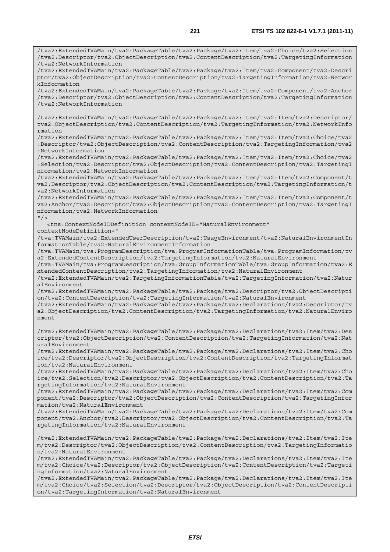/tva2:ExtendedTVAMain/tva2:PackageTable/tva2:Package/tva2:Item/tva2:Choice/tva2:Selection /tva2:Descriptor/tva2:ObjectDescription/tva2:ContentDescription/tva2:TargetingInformation /tva2:NetworkInformation /tva2:ExtendedTVAMain/tva2:PackageTable/tva2:Package/tva2:Item/tva2:Component/tva2:Descri ptor/tva2:ObjectDescription/tva2:ContentDescription/tva2:TargetingInformation/tva2:Networ kInformation /tva2:ExtendedTVAMain/tva2:PackageTable/tva2:Package/tva2:Item/tva2:Component/tva2:Anchor /tva2:Descriptor/tva2:ObjectDescription/tva2:ContentDescription/tva2:TargetingInformation /tva2:NetworkInformation /tva2:ExtendedTVAMain/tva2:PackageTable/tva2:Package/tva2:Item/tva2:Item/tva2:Descriptor/ tva2:ObjectDescription/tva2:ContentDescription/tva2:TargetingInformation/tva2:NetworkInfo rmation /tva2:ExtendedTVAMain/tva2:PackageTable/tva2:Package/tva2:Item/tva2:Item/tva2:Choice/tva2 :Descriptor/tva2:ObjectDescription/tva2:ContentDescription/tva2:TargetingInformation/tva2 :NetworkInformation /tva2:ExtendedTVAMain/tva2:PackageTable/tva2:Package/tva2:Item/tva2:Item/tva2:Choice/tva2 :Selection/tva2:Descriptor/tva2:ObjectDescription/tva2:ContentDescription/tva2:TargetingI nformation/tva2:NetworkInformation /tva2:ExtendedTVAMain/tva2:PackageTable/tva2:Package/tva2:Item/tva2:Item/tva2:Component/t va2:Descriptor/tva2:ObjectDescription/tva2:ContentDescription/tva2:TargetingInformation/t va2:NetworkInformation /tva2:ExtendedTVAMain/tva2:PackageTable/tva2:Package/tva2:Item/tva2:Item/tva2:Component/t va2:Anchor/tva2:Descriptor/tva2:ObjectDescription/tva2:ContentDescription/tva2:TargetingI nformation/tva2:NetworkInformation  $''$  /> <tns:ContextNodeIDDefinition contextNodeID="NaturalEnvironment" contextNodeDefinition=" /tva:TVAMain/tva2:ExtendedUserDescription/tva2:UsageEnvironment/tva2:NaturalEnvironmentIn formationTable/tva2:NaturalEnvironmentInformation /tva:TVAMain/tva:ProgramDescription/tva:ProgramInformationTable/tva:ProgramInformation/tv a2:ExtendedContentDescription/tva2:TargetingInformation/tva2:NaturalEnvironment /tva:TVAMain/tva:ProgramDescription/tva:GroupInformationTable/tva:GroupInformation/tva2:E xtendedContentDescription/tva2:TargetingInformation/tva2:NaturalEnvironment /tva2:ExtendedTVAMain/tva2:TargetingInformationTable/tva2:TargetingInformation/tva2:Natur alEnvironment /tva2:ExtendedTVAMain/tva2:PackageTable/tva2:Package/tva2:Descriptor/tva2:ObjectDescripti on/tva2:ContentDescription/tva2:TargetingInformation/tva2:NaturalEnvironment /tva2:ExtendedTVAMain/tva2:PackageTable/tva2:Package/tva2:Declarations/tva2:Descriptor/tv a2:ObjectDescription/tva2:ContentDescription/tva2:TargetingInformation/tva2:NaturalEnviro nment /tva2:ExtendedTVAMain/tva2:PackageTable/tva2:Package/tva2:Declarations/tva2:Item/tva2:Des criptor/tva2:ObjectDescription/tva2:ContentDescription/tva2:TargetingInformation/tva2:Nat uralEnvironment /tva2:ExtendedTVAMain/tva2:PackageTable/tva2:Package/tva2:Declarations/tva2:Item/tva2:Cho ice/tva2:Descriptor/tva2:ObjectDescription/tva2:ContentDescription/tva2:TargetingInformat ion/tva2:NaturalEnvironment /tva2:ExtendedTVAMain/tva2:PackageTable/tva2:Package/tva2:Declarations/tva2:Item/tva2:Cho ice/tva2:Selection/tva2:Descriptor/tva2:ObjectDescription/tva2:ContentDescription/tva2:Ta rgetingInformation/tva2:NaturalEnvironment /tva2:ExtendedTVAMain/tva2:PackageTable/tva2:Package/tva2:Declarations/tva2:Item/tva2:Com ponent/tva2:Descriptor/tva2:ObjectDescription/tva2:ContentDescription/tva2:TargetingInfor mation/tva2:NaturalEnvironment /tva2:ExtendedTVAMain/tva2:PackageTable/tva2:Package/tva2:Declarations/tva2:Item/tva2:Com ponent/tva2:Anchor/tva2:Descriptor/tva2:ObjectDescription/tva2:ContentDescription/tva2:Ta rgetingInformation/tva2:NaturalEnvironment /tva2:ExtendedTVAMain/tva2:PackageTable/tva2:Package/tva2:Declarations/tva2:Item/tva2:Ite m/tva2:Descriptor/tva2:ObjectDescription/tva2:ContentDescription/tva2:TargetingInformatio n/tva2:NaturalEnvironment /tva2:ExtendedTVAMain/tva2:PackageTable/tva2:Package/tva2:Declarations/tva2:Item/tva2:Ite m/tva2:Choice/tva2:Descriptor/tva2:ObjectDescription/tva2:ContentDescription/tva2:Targeti ngInformation/tva2:NaturalEnvironment /tva2:ExtendedTVAMain/tva2:PackageTable/tva2:Package/tva2:Declarations/tva2:Item/tva2:Ite m/tva2:Choice/tva2:Selection/tva2:Descriptor/tva2:ObjectDescription/tva2:ContentDescripti

on/tva2:TargetingInformation/tva2:NaturalEnvironment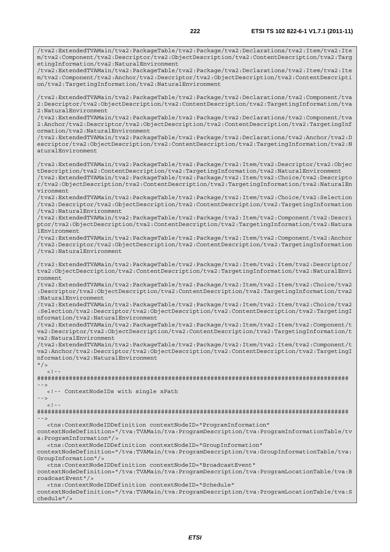/tva2:ExtendedTVAMain/tva2:PackageTable/tva2:Package/tva2:Declarations/tva2:Item/tva2:Ite m/tva2:Component/tva2:Descriptor/tva2:ObjectDescription/tva2:ContentDescription/tva2:Targ etingInformation/tva2:NaturalEnvironment /tva2:ExtendedTVAMain/tva2:PackageTable/tva2:Package/tva2:Declarations/tva2:Item/tva2:Ite m/tva2:Component/tva2:Anchor/tva2:Descriptor/tva2:ObjectDescription/tva2:ContentDescripti on/tva2:TargetingInformation/tva2:NaturalEnvironment /tva2:ExtendedTVAMain/tva2:PackageTable/tva2:Package/tva2:Declarations/tva2:Component/tva 2:Descriptor/tva2:ObjectDescription/tva2:ContentDescription/tva2:TargetingInformation/tva 2:NaturalEnvironment /tva2:ExtendedTVAMain/tva2:PackageTable/tva2:Package/tva2:Declarations/tva2:Component/tva 2:Anchor/tva2:Descriptor/tva2:ObjectDescription/tva2:ContentDescription/tva2:TargetingInf ormation/tva2:NaturalEnvironment /tva2:ExtendedTVAMain/tva2:PackageTable/tva2:Package/tva2:Declarations/tva2:Anchor/tva2:D escriptor/tva2:ObjectDescription/tva2:ContentDescription/tva2:TargetingInformation/tva2:N aturalEnvironment /tva2:ExtendedTVAMain/tva2:PackageTable/tva2:Package/tva2:Item/tva2:Descriptor/tva2:Objec tDescription/tva2:ContentDescription/tva2:TargetingInformation/tva2:NaturalEnvironment /tva2:ExtendedTVAMain/tva2:PackageTable/tva2:Package/tva2:Item/tva2:Choice/tva2:Descripto r/tva2:ObjectDescription/tva2:ContentDescription/tva2:TargetingInformation/tva2:NaturalEn vironment /tva2:ExtendedTVAMain/tva2:PackageTable/tva2:Package/tva2:Item/tva2:Choice/tva2:Selection /tva2:Descriptor/tva2:ObjectDescription/tva2:ContentDescription/tva2:TargetingInformation /tva2:NaturalEnvironment /tva2:ExtendedTVAMain/tva2:PackageTable/tva2:Package/tva2:Item/tva2:Component/tva2:Descri ptor/tva2:ObjectDescription/tva2:ContentDescription/tva2:TargetingInformation/tva2:Natura lEnvironment /tva2:ExtendedTVAMain/tva2:PackageTable/tva2:Package/tva2:Item/tva2:Component/tva2:Anchor /tva2:Descriptor/tva2:ObjectDescription/tva2:ContentDescription/tva2:TargetingInformation /tva2:NaturalEnvironment /tva2:ExtendedTVAMain/tva2:PackageTable/tva2:Package/tva2:Item/tva2:Item/tva2:Descriptor/ tva2:ObjectDescription/tva2:ContentDescription/tva2:TargetingInformation/tva2:NaturalEnvi ronment /tva2:ExtendedTVAMain/tva2:PackageTable/tva2:Package/tva2:Item/tva2:Item/tva2:Choice/tva2 :Descriptor/tva2:ObjectDescription/tva2:ContentDescription/tva2:TargetingInformation/tva2 :NaturalEnvironment /tva2:ExtendedTVAMain/tva2:PackageTable/tva2:Package/tva2:Item/tva2:Item/tva2:Choice/tva2 :Selection/tva2:Descriptor/tva2:ObjectDescription/tva2:ContentDescription/tva2:TargetingI nformation/tva2:NaturalEnvironment /tva2:ExtendedTVAMain/tva2:PackageTable/tva2:Package/tva2:Item/tva2:Item/tva2:Component/t va2:Descriptor/tva2:ObjectDescription/tva2:ContentDescription/tva2:TargetingInformation/t va2:NaturalEnvironment /tva2:ExtendedTVAMain/tva2:PackageTable/tva2:Package/tva2:Item/tva2:Item/tva2:Component/t va2:Anchor/tva2:Descriptor/tva2:ObjectDescription/tva2:ContentDescription/tva2:TargetingI nformation/tva2:NaturalEnvironment  $''$  / >  $\geq 1$  =  $-$ ######################################################################################## --> <!-- ContextNodeIDs with single xPath -->  $\leq$  !  $-$ ######################################################################################## --> <tns:ContextNodeIDDefinition contextNodeID="ProgramInformation" contextNodeDefinition="/tva:TVAMain/tva:ProgramDescription/tva:ProgramInformationTable/tv a:ProgramInformation"/> <tns:ContextNodeIDDefinition contextNodeID="GroupInformation" contextNodeDefinition="/tva:TVAMain/tva:ProgramDescription/tva:GroupInformationTable/tva: GroupInformation"/> <tns:ContextNodeIDDefinition contextNodeID="BroadcastEvent" contextNodeDefinition="/tva:TVAMain/tva:ProgramDescription/tva:ProgramLocationTable/tva:B roadcastEvent"/> <tns:ContextNodeIDDefinition contextNodeID="Schedule" contextNodeDefinition="/tva:TVAMain/tva:ProgramDescription/tva:ProgramLocationTable/tva:S

chedule"/>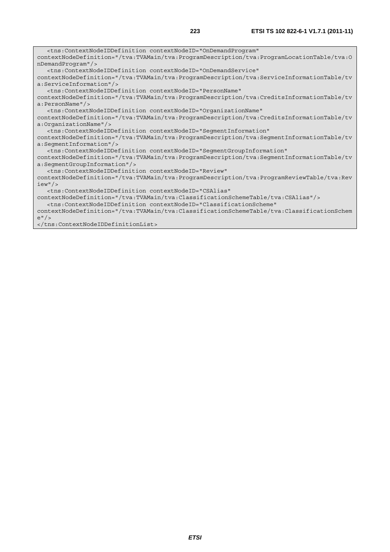<tns:ContextNodeIDDefinition contextNodeID="OnDemandProgram" contextNodeDefinition="/tva:TVAMain/tva:ProgramDescription/tva:ProgramLocationTable/tva:O nDemandProgram"/> <tns:ContextNodeIDDefinition contextNodeID="OnDemandService" contextNodeDefinition="/tva:TVAMain/tva:ProgramDescription/tva:ServiceInformationTable/tv a:ServiceInformation"/> <tns:ContextNodeIDDefinition contextNodeID="PersonName" contextNodeDefinition="/tva:TVAMain/tva:ProgramDescription/tva:CreditsInformationTable/tv a:PersonName"/> <tns:ContextNodeIDDefinition contextNodeID="OrganizationName" contextNodeDefinition="/tva:TVAMain/tva:ProgramDescription/tva:CreditsInformationTable/tv a:OrganizationName"/> <tns:ContextNodeIDDefinition contextNodeID="SegmentInformation" contextNodeDefinition="/tva:TVAMain/tva:ProgramDescription/tva:SegmentInformationTable/tv a:SegmentInformation"/> <tns:ContextNodeIDDefinition contextNodeID="SegmentGroupInformation" contextNodeDefinition="/tva:TVAMain/tva:ProgramDescription/tva:SegmentInformationTable/tv a:SegmentGroupInformation"/> <tns:ContextNodeIDDefinition contextNodeID="Review" contextNodeDefinition="/tva:TVAMain/tva:ProgramDescription/tva:ProgramReviewTable/tva:Rev iew"/> <tns:ContextNodeIDDefinition contextNodeID="CSAlias" contextNodeDefinition="/tva:TVAMain/tva:ClassificationSchemeTable/tva:CSAlias"/> <tns:ContextNodeIDDefinition contextNodeID="ClassificationScheme"

contextNodeDefinition="/tva:TVAMain/tva:ClassificationSchemeTable/tva:ClassificationSchem e"/>

</tns:ContextNodeIDDefinitionList>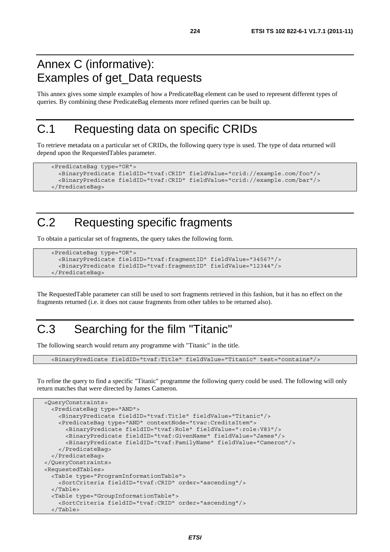#### Annex C (informative): Examples of get\_Data requests

This annex gives some simple examples of how a PredicateBag element can be used to represent different types of queries. By combining these PredicateBag elements more refined queries can be built up.

#### C.1 Requesting data on specific CRIDs

To retrieve metadata on a particular set of CRIDs, the following query type is used. The type of data returned will depend upon the RequestedTables parameter.

```
 <PredicateBag type="OR"> 
   <BinaryPredicate fieldID="tvaf:CRID" fieldValue="crid://example.com/foo"/> 
   <BinaryPredicate fieldID="tvaf:CRID" fieldValue="crid://example.com/bar"/> 
 </PredicateBag>
```
### C.2 Requesting specific fragments

To obtain a particular set of fragments, the query takes the following form.

```
 <PredicateBag type="OR"> 
   <BinaryPredicate fieldID="tvaf:fragmentID" fieldValue="34567"/> 
   <BinaryPredicate fieldID="tvaf:fragmentID" fieldValue="12344"/> 
 </PredicateBag>
```
The RequestedTable parameter can still be used to sort fragments retrieved in this fashion, but it has no effect on the fragments returned (i.e. it does not cause fragments from other tables to be returned also).

### C.3 Searching for the film "Titanic"

The following search would return any programme with "Titanic" in the title.

<BinaryPredicate fieldID="tvaf:Title" fieldValue="Titanic" test="contains"/>

To refine the query to find a specific "Titanic" programme the following query could be used. The following will only return matches that were directed by James Cameron.

```
 <QueryConstraints> 
   <PredicateBag type="AND"> 
     <BinaryPredicate fieldID="tvaf:Title" fieldValue="Titanic"/> 
     <PredicateBag type="AND" contextNode="tvac:CreditsItem"> 
       <BinaryPredicate fieldID="tvaf:Role" fieldValue=":role:V83"/> 
       <BinaryPredicate fieldID="tvaf:GivenName" fieldValue="James"/> 
       <BinaryPredicate fieldID="tvaf:FamilyName" fieldValue="Cameron"/> 
     </PredicateBag> 
   </PredicateBag> 
 </QueryConstraints> 
 <RequestedTables> 
   <Table type="ProgramInformationTable"> 
     <SortCriteria fieldID="tvaf:CRID" order="ascending"/> 
   </Table> 
   <Table type="GroupInformationTable"> 
     <SortCriteria fieldID="tvaf:CRID" order="ascending"/> 
   </Table>
```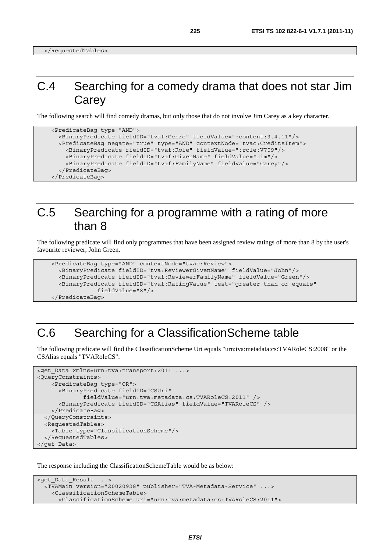### C.4 Searching for a comedy drama that does not star Jim **Carey**

The following search will find comedy dramas, but only those that do not involve Jim Carey as a key character.

```
 <PredicateBag type="AND"> 
   <BinaryPredicate fieldID="tvaf:Genre" fieldValue=":content:3.4.11"/> 
   <PredicateBag negate="true" type="AND" contextNode="tvac:CreditsItem"> 
     <BinaryPredicate fieldID="tvaf:Role" fieldValue=":role:V709"/> 
     <BinaryPredicate fieldID="tvaf:GivenName" fieldValue="Jim"/> 
     <BinaryPredicate fieldID="tvaf:FamilyName" fieldValue="Carey"/> 
   </PredicateBag> 
 </PredicateBag>
```
#### C.5 Searching for a programme with a rating of more than 8

The following predicate will find only programmes that have been assigned review ratings of more than 8 by the user's favourite reviewer, John Green.

```
 <PredicateBag type="AND" contextNode="tvac:Review"> 
   <BinaryPredicate fieldID="tva:ReviewerGivenName" fieldValue="John"/> 
   <BinaryPredicate fieldID="tvaf:ReviewerFamilyName" fieldValue="Green"/> 
   <BinaryPredicate fieldID="tvaf:RatingValue" test="greater_than_or_equals" 
              fieldValue="8"/> 
 </PredicateBag>
```
#### C.6 Searching for a ClassificationScheme table

The following predicate will find the ClassificationScheme Uri equals "urn:tva:metadata:cs:TVARoleCS:2008" or the CSAlias equals "TVARoleCS".

```
<get Data xmlns=urn:tva:transport:2011 ...>
<QueryConstraints> 
     <PredicateBag type="OR"> 
       <BinaryPredicate fieldID="CSUri" 
               fieldValue="urn:tva:metadata:cs:TVARoleCS:2011" /> 
       <BinaryPredicate fieldID="CSAlias" fieldValue="TVARoleCS" /> 
    </PredicateBag> 
   </QueryConstraints> 
   <RequestedTables> 
     <Table type="ClassificationScheme"/> 
   </RequestedTables> 
</get_Data>
```
The response including the ClassificationSchemeTable would be as below:

```
<get_Data_Result ...> 
  <TVAMain version="20020928" publisher="TVA-Metadata-Service" ...> 
     <ClassificationSchemeTable> 
       <ClassificationScheme uri="urn:tva:metadata:cs:TVARoleCS:2011">
```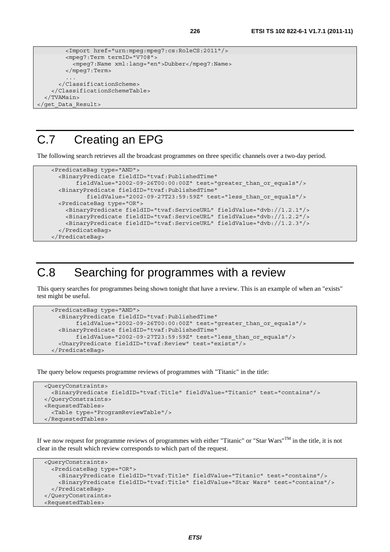```
 <Import href="urn:mpeg:mpeg7:cs:RoleCS:2011"/> 
   <mpeg7:Term termID="V708"> 
     <mpeg7:Name xml:lang="en">Dubber</mpeg7:Name> 
  </mpeg7:Term> 
   ... 
 </ClassificationScheme>
```

```
 </ClassificationSchemeTable> 
   </TVAMain> 
</get_Data_Result>
```
### C.7 Creating an EPG

The following search retrieves all the broadcast programmes on three specific channels over a two-day period.

```
 <PredicateBag type="AND"> 
   <BinaryPredicate fieldID="tvaf:PublishedTime" 
        fieldValue="2002-09-26T00:00:00Z" test="greater_than_or_equals"/> 
   <BinaryPredicate fieldID="tvaf:PublishedTime" 
           fieldValue="2002-09-27T23:59:59Z" test="less_than_or_equals"/> 
   <PredicateBag type="OR"> 
     <BinaryPredicate fieldID="tvaf:ServiceURL" fieldValue="dvb://1.2.1"/> 
     <BinaryPredicate fieldID="tvaf:ServiceURL" fieldValue="dvb://1.2.2"/> 
     <BinaryPredicate fieldID="tvaf:ServiceURL" fieldValue="dvb://1.2.3"/> 
   </PredicateBag> 
 </PredicateBag>
```
### C.8 Searching for programmes with a review

This query searches for programmes being shown tonight that have a review. This is an example of when an "exists" test might be useful.

```
 <PredicateBag type="AND"> 
   <BinaryPredicate fieldID="tvaf:PublishedTime" 
        fieldValue="2002-09-26T00:00:00Z" test="greater_than_or_equals"/> 
   <BinaryPredicate fieldID="tvaf:PublishedTime" 
       fieldValue="2002-09-27T23:59:59Z" test="less than or equals"/>
   <UnaryPredicate fieldID="tvaf:Review" test="exists"/> 
 </PredicateBag>
```
The query below requests programme reviews of programmes with "Titanic" in the title:

```
 <QueryConstraints> 
   <BinaryPredicate fieldID="tvaf:Title" fieldValue="Titanic" test="contains"/> 
 </QueryConstraints> 
 <RequestedTables> 
   <Table type="ProgramReviewTable"/> 
 </RequestedTables>
```
If we now request for programme reviews of programmes with either "Titanic" or "Star Wars"<sup>TM</sup> in the title, it is not clear in the result which review corresponds to which part of the request.

```
 <QueryConstraints> 
   <PredicateBag type="OR"> 
     <BinaryPredicate fieldID="tvaf:Title" fieldValue="Titanic" test="contains"/> 
     <BinaryPredicate fieldID="tvaf:Title" fieldValue="Star Wars" test="contains"/> 
   </PredicateBag> 
 </QueryConstraints> 
 <RequestedTables>
```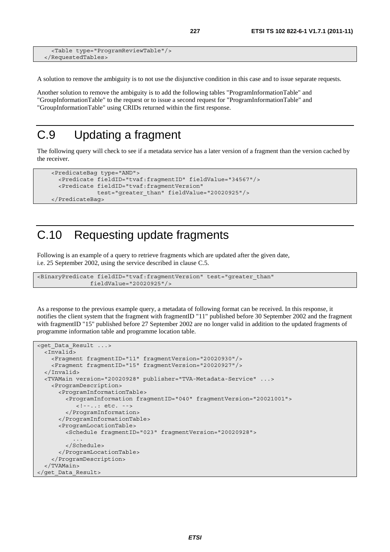```
 <Table type="ProgramReviewTable"/> 
 </RequestedTables>
```
A solution to remove the ambiguity is to not use the disjunctive condition in this case and to issue separate requests.

Another solution to remove the ambiguity is to add the following tables "ProgramInformationTable" and "GroupInformationTable" to the request or to issue a second request for "ProgramInformationTable" and "GroupInformationTable" using CRIDs returned within the first response.

### C.9 Updating a fragment

The following query will check to see if a metadata service has a later version of a fragment than the version cached by the receiver.

```
 <PredicateBag type="AND"> 
   <Predicate fieldID="tvaf:fragmentID" fieldValue="34567"/> 
   <Predicate fieldID="tvaf:fragmentVersion" 
              test="greater_than" fieldValue="20020925"/> 
 </PredicateBag>
```
#### C.10 Requesting update fragments

Following is an example of a query to retrieve fragments which are updated after the given date, i.e. 25 September 2002, using the service described in clause C.5.

```
<BinaryPredicate fieldID="tvaf:fragmentVersion" test="greater_than" 
                fieldValue="20020925"/>
```
As a response to the previous example query, a metadata of following format can be received. In this response, it notifies the client system that the fragment with fragmentID "11" published before 30 September 2002 and the fragment with fragmentID "15" published before 27 September 2002 are no longer valid in addition to the updated fragments of programme information table and programme location table.

```
<get_Data_Result ...> 
   <Invalid> 
    <Fragment fragmentID="11" fragmentVersion="20020930"/> 
     <Fragment fragmentID="15" fragmentVersion="20020927"/> 
   </Invalid> 
   <TVAMain version="20020928" publisher="TVA-Metadata-Service" ...> 
     <ProgramDescription> 
       <ProgramInformationTable> 
         <ProgramInformation fragmentID="040" fragmentVersion="20021001"> 
            <!--..: etc. --> 
         </ProgramInformation> 
       </ProgramInformationTable> 
       <ProgramLocationTable> 
         <Schedule fragmentID="023" fragmentVersion="20020928"> 
 ... 
         </Schedule> 
       </ProgramLocationTable> 
    </ProgramDescription> 
   </TVAMain> 
</get_Data_Result>
```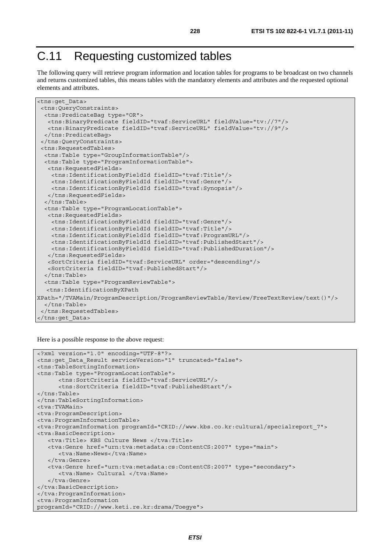# C.11 Requesting customized tables

The following query will retrieve program information and location tables for programs to be broadcast on two channels and returns customized tables, this means tables with the mandatory elements and attributes and the requested optional elements and attributes.

```
<tns:get_Data> 
 <tns:QueryConstraints> 
  <tns:PredicateBag type="OR"> 
    <tns:BinaryPredicate fieldID="tvaf:ServiceURL" fieldValue="tv://7"/> 
    <tns:BinaryPredicate fieldID="tvaf:ServiceURL" fieldValue="tv://9"/> 
   </tns:PredicateBag> 
  </tns:QueryConstraints> 
  <tns:RequestedTables> 
  <tns:Table type="GroupInformationTable"/> 
   <tns:Table type="ProgramInformationTable"> 
    <tns:RequestedFields> 
     <tns:IdentificationByFieldId fieldID="tvaf:Title"/> 
     <tns:IdentificationByFieldId fieldID="tvaf:Genre"/> 
     <tns:IdentificationByFieldId fieldID="tvaf:Synopsis"/> 
    </tns:RequestedFields> 
   </tns:Table> 
   <tns:Table type="ProgramLocationTable"> 
   <tns:RequestedFields> 
     <tns:IdentificationByFieldId fieldID="tvaf:Genre"/> 
     <tns:IdentificationByFieldId fieldID="tvaf:Title"/> 
     <tns:IdentificationByFieldId fieldID="tvaf:ProgramURL"/> 
     <tns:IdentificationByFieldId fieldID="tvaf:PublishedStart"/> 
     <tns:IdentificationByFieldId fieldID="tvaf:PublishedDuration"/> 
    </tns:RequestedFields> 
    <SortCriteria fieldID="tvaf:ServiceURL" order="descending"/> 
   <SortCriteria fieldID="tvaf:PublishedStart"/> 
   </tns:Table> 
   <tns:Table type="ProgramReviewTable"> 
   <tns:IdentificationByXPath 
XPath="/TVAMain/ProgramDescription/ProgramReviewTable/Review/FreeTextReview/text()"/> 
   </tns:Table> 
  </tns:RequestedTables> 
</tns:get_Data>
```
Here is a possible response to the above request:

```
<?xml version="1.0" encoding="UTF-8"?> 
<tns:get_Data_Result serviceVersion="1" truncated="false"> 
<tns:TableSortingInformation> 
<tns:Table type="ProgramLocationTable"> 
       <tns:SortCriteria fieldID="tvaf:ServiceURL"/> 
       <tns:SortCriteria fieldID="tvaf:PublishedStart"/> 
</tns:Table> 
</tns:TableSortingInformation> 
<tva:TVAMain> 
<tva:ProgramDescription> 
<tva:ProgramInformationTable> 
<tva:ProgramInformation programId="CRID://www.kbs.co.kr:cultural/specialreport_7"> 
<tva:BasicDescription> 
    <tva:Title> KBS Culture News </tva:Title> 
    <tva:Genre href="urn:tva:metadata:cs:ContentCS:2007" type="main"> 
      <tva:Name>News</tva:Name>
    </tva:Genre> 
    <tva:Genre href="urn:tva:metadata:cs:ContentCS:2007" type="secondary"> 
      <tva:Name> Cultural </tva:Name>
    </tva:Genre> 
</tva:BasicDescription> 
</tva:ProgramInformation> 
<tva:ProgramInformation 
programId="CRID://www.keti.re.kr:drama/Toegye">
```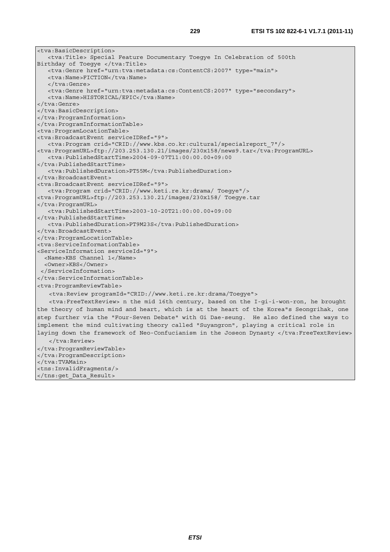<tva:BasicDescription> <tva:Title> Special Feature Documentary Toegye In Celebration of 500th Birthday of Toegye </tva:Title> <tva:Genre href="urn:tva:metadata:cs:ContentCS:2007" type="main"> <tva:Name>FICTION</tva:Name> </tva:Genre> <tva:Genre href="urn:tva:metadata:cs:ContentCS:2007" type="secondary"> <tva:Name>HISTORICAL/EPIC</tva:Name> </tva:Genre> </tva:BasicDescription> </tva:ProgramInformation> </tva:ProgramInformationTable> <tva:ProgramLocationTable> <tva:BroadcastEvent serviceIDRef="9"> <tva:Program crid="CRID://www.kbs.co.kr:cultural/specialreport\_7"/> <tva:ProgramURL>ftp://203.253.130.21/images/230x158/news9.tar</tva:ProgramURL> <tva:PublishedStartTime>2004-09-07T11:00:00.00+09:00 </tva:PublishedStartTime> <tva:PublishedDuration>PT55M</tva:PublishedDuration> </tva:BroadcastEvent> <tva:BroadcastEvent serviceIDRef="9"> <tva:Program crid="CRID://www.keti.re.kr:drama/ Toegye"/> <tva:ProgramURL>ftp://203.253.130.21/images/230x158/ Toegye.tar </tva:ProgramURL> <tva:PublishedStartTime>2003-10-20T21:00:00.00+09:00 </tva:PublishedStartTime> <tva:PublishedDuration>PT9M23S</tva:PublishedDuration> </tva:BroadcastEvent> </tva:ProgramLocationTable> <tva:ServiceInformationTable> <ServiceInformation serviceId="9"> <Name>KBS Channel 1</Name> <Owner>KBS</Owner> </ServiceInformation> </tva:ServiceInformationTable> <tva:ProgramReviewTable> <tva:Review programId="CRID://www.keti.re.kr:drama/Toegye"> <tva:FreeTextReview> n the mid 16th century, based on the I-gi-i-won-ron, he brought the theory of human mind and heart, which is at the heart of the Korea"s Seongrihak, one step further via the "Four-Seven Debate" with Gi Dae-seung. He also defined the ways to implement the mind cultivating theory called "Suyangron", playing a critical role in laying down the framework of Neo-Confucianism in the Joseon Dynasty </tva:FreeTextReview> </tva:Review> </tva:ProgramReviewTable> </tva:ProgramDescription> </tva:TVAMain> <tns:InvalidFragments/> </tns:get\_Data\_Result>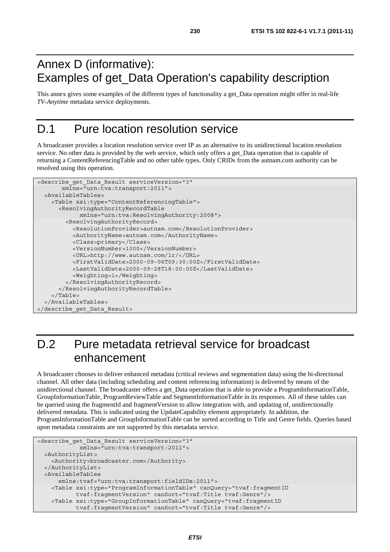### Annex D (informative): Examples of get\_Data Operation's capability description

This annex gives some examples of the different types of functionality a get\_Data operation might offer in real-life *TV-Anytime* metadata service deployments.

### D.1 Pure location resolution service

A broadcaster provides a location resolution service over IP as an alternative to its unidirectional location resolution service. No other data is provided by the web service, which only offers a get Data operation that is capable of returning a ContentReferencingTable and no other table types. Only CRIDs from the autnam.com authority can be resolved using this operation.

```
<describe_get_Data_Result serviceVersion="3" 
        xmlns="urn:tva:transport:2011"> 
   <AvailableTables> 
     <Table xsi:type="ContentReferencingTable"> 
       <ResolvingAuthorityRecordTable 
             xmlns="urn:tva:ResolvingAuthority:2008"> 
         <ResolvingAuthorityRecord> 
           <ResolutionProvider>autnam.com</ResolutionProvider> 
           <AuthorityName>autnam.com</AuthorityName> 
           <Class>primary</Class> 
           <VersionNumber>1000</VersionNumber> 
           <URL>http://www.autnam.com/lr/</URL> 
           <FirstValidDate>2000-09-06T09:30:00Z</FirstValidDate> 
           <LastValidDate>2000-09-28T18:00:00Z</LastValidDate> 
           <Weighting>1</Weighting> 
         </ResolvingAuthorityRecord> 
       </ResolvingAuthorityRecordTable> 
     </Table> 
   </AvailableTables> 
</describe_get_Data_Result>
```
# D.2 Pure metadata retrieval service for broadcast enhancement

A broadcaster chooses to deliver enhanced metadata (critical reviews and segmentation data) using the bi-directional channel. All other data (including scheduling and content referencing information) is delivered by means of the unidirectional channel. The broadcaster offers a get\_Data operation that is able to provide a ProgramInformationTable, GroupInformationTable, ProgramReviewTable and SegmentInformationTable in its responses. All of these tables can be queried using the fragmentId and fragmentVersion to allow integration with, and updating of, unidirectionally delivered metadata. This is indicated using the UpdateCapability element appropriately. In addition, the ProgramInformationTable and GroupInformationTable can be sorted according to Title and Genre fields. Queries based upon metadata constraints are not supported by this metadata service.

```
<describe_get_Data_Result serviceVersion="3" 
             xmlns="urn:tva:transport:2011"> 
  <AuthorityList> 
    <Authority>broadcaster.com</Authority> 
  </AuthorityList> 
  <AvailableTables 
      xmlns:tvaf="urn:tva:transport:fieldIDs:2011"> 
    <Table xsi:type="ProgramInformationTable" canQuery="tvaf:fragmentID 
            tvaf:fragmentVersion" canSort="tvaf:Title tvaf:Genre"/> 
    <Table xsi:type="GroupInformationTable" canQuery="tvaf:fragmentID 
            tvaf:fragmentVersion" canSort="tvaf:Title tvaf:Genre"/>
```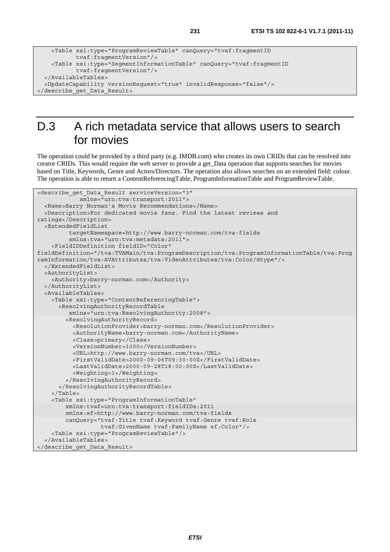```
 <Table xsi:type="ProgramReviewTable" canQuery="tvaf:fragmentID 
            tvaf:fragmentVersion"/> 
    <Table xsi:type="SegmentInformationTable" canQuery="tvaf:fragmentID 
            tvaf:fragmentVersion"/> 
  </AvailableTables> 
  <UpdateCapability versionRequest="true" invalidResponse="false"/> 
</describe_get_Data_Result>
```
### D.3 A rich metadata service that allows users to search for movies

The operation could be provided by a third party (e.g. IMDB.com) who creates its own CRIDs that can be resolved into creator CRIDs. This would require the web server to provide a get\_Data operation that supports searches for movies based on Title, Keywords, Genre and Actors/Directors. The operation also allows searches on an extended field: colour. The operation is able to return a ContentReferencingTable, ProgramInformationTable and ProgramReviewTable.

```
<describe_get_Data_Result serviceVersion="3" 
             xmlns="urn:tva:transport:2011"> 
   <Name>Barry Norman's Movie Recommendations</Name> 
   <Description>For dedicated movie fans. Find the latest reviews and 
ratings</Description> 
   <ExtendedFieldList 
          targetNamespace=http://www.barry-norman.com/tva-fields 
          xmlns:tva="urn:tva:metadata:2011"> 
     <FieldIDDefinition fieldID="Color" 
fieldDefinition="/tva:TVAMain/tva:ProgramDescription/tva:ProgramInformationTable/tva:Prog
ramInformation/tva:AVAttributes/tva:VideoAttributes/tva:Color/@type"/> 
   </ExtendedFieldList> 
   <AuthorityList> 
     <Authority>barry-norman.com</Authority> 
   </AuthorityList> 
   <AvailableTables> 
     <Table xsi:type="ContentReferencingTable"> 
       <ResolvingAuthorityRecordTable 
          xmlns="urn:tva:ResolvingAuthority:2008"> 
         <ResolvingAuthorityRecord> 
           <ResolutionProvider>barry-norman.com</ResolutionProvider> 
           <AuthorityName>barry-norman.com</AuthorityName> 
           <Class>primary</Class> 
           <VersionNumber>1000</VersionNumber> 
           <URL>http://www.barry-norman.com/tva</URL> 
           <FirstValidDate>2000-09-06T09:30:00Z</FirstValidDate> 
           <LastValidDate>2000-09-28T18:00:00Z</LastValidDate> 
           <Weighting>1</Weighting> 
         </ResolvingAuthorityRecord> 
       </ResolvingAuthorityRecordTable> 
     </Table> 
     <Table xsi:type="ProgramInformationTable" 
         xmlns:tvaf=urn:tva:transport:fieldIDs:2011 
         xmlns:ef=http://www.barry-norman.com/tva-fields 
         canQuery="tvaf:Title tvaf:Keyword tvaf:Genre tvaf:Role 
                    tvaf:GivenName tvaf:FamilyName ef:Color"/> 
     <Table xsi:type="ProgramReviewTable"/> 
   </AvailableTables> 
</describe_get_Data_Result>
```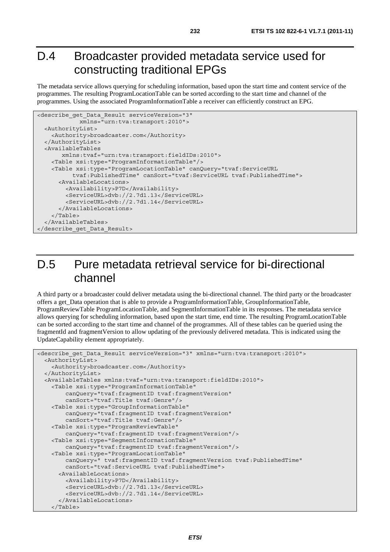### D.4 Broadcaster provided metadata service used for constructing traditional EPGs

The metadata service allows querying for scheduling information, based upon the start time and content service of the programmes. The resulting ProgramLocationTable can be sorted according to the start time and channel of the programmes. Using the associated ProgramInformationTable a receiver can efficiently construct an EPG.

```
<describe_get_Data_Result serviceVersion="3" 
             xmlns="urn:tva:transport:2010"> 
   <AuthorityList> 
     <Authority>broadcaster.com</Authority> 
   </AuthorityList> 
   <AvailableTables 
        xmlns:tvaf="urn:tva:transport:fieldIDs:2010"> 
     <Table xsi:type="ProgramInformationTable"/> 
     <Table xsi:type="ProgramLocationTable" canQuery="tvaf:ServiceURL 
           tvaf:PublishedTime" canSort="tvaf:ServiceURL tvaf:PublishedTime"> 
       <AvailableLocations> 
         <Availability>P7D</Availability> 
         <ServiceURL>dvb://2.7d1.13</ServiceURL> 
         <ServiceURL>dvb://2.7d1.14</ServiceURL> 
       </AvailableLocations> 
     </Table> 
   </AvailableTables> 
</describe_get_Data_Result>
```
### D.5 Pure metadata retrieval service for bi-directional channel

A third party or a broadcaster could deliver metadata using the bi-directional channel. The third party or the broadcaster offers a get\_Data operation that is able to provide a ProgramInformationTable, GroupInformationTable, ProgramReviewTable ProgramLocationTable, and SegmentInformationTable in its responses. The metadata service allows querying for scheduling information, based upon the start time, end time. The resulting ProgramLocationTable can be sorted according to the start time and channel of the programmes. All of these tables can be queried using the fragmentId and fragmentVersion to allow updating of the previously delivered metadata. This is indicated using the UpdateCapability element appropriately.

```
<describe get Data Result serviceVersion="3" xmlns="urn:tva:transport:2010">
   <AuthorityList> 
     <Authority>broadcaster.com</Authority> 
   </AuthorityList> 
   <AvailableTables xmlns:tvaf="urn:tva:transport:fieldIDs:2010"> 
     <Table xsi:type="ProgramInformationTable" 
         canQuery="tvaf:fragmentID tvaf:fragmentVersion" 
         canSort="tvaf:Title tvaf:Genre"/> 
     <Table xsi:type="GroupInformationTable" 
         canQuery="tvaf:fragmentID tvaf:fragmentVersion" 
         canSort="tvaf:Title tvaf:Genre"/> 
     <Table xsi:type="ProgramReviewTable" 
         canQuery="tvaf:fragmentID tvaf:fragmentVersion"/> 
     <Table xsi:type="SegmentInformationTable" 
         canQuery="tvaf:fragmentID tvaf:fragmentVersion"/> 
     <Table xsi:type="ProgramLocationTable" 
         canQuery=" tvaf:fragmentID tvaf:fragmentVersion tvaf:PublishedTime" 
         canSort="tvaf:ServiceURL tvaf:PublishedTime"> 
       <AvailableLocations> 
         <Availability>P7D</Availability> 
         <ServiceURL>dvb://2.7d1.13</ServiceURL> 
         <ServiceURL>dvb://2.7d1.14</ServiceURL> 
       </AvailableLocations> 
     </Table>
```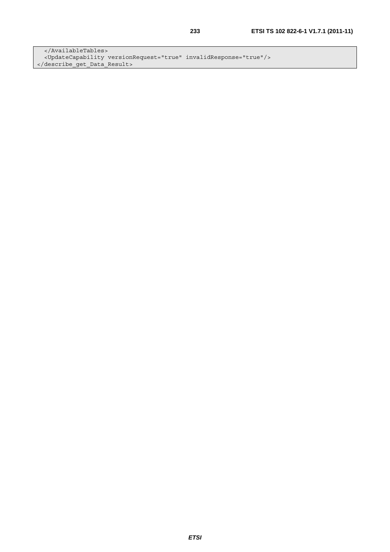</AvailableTables> <UpdateCapability versionRequest="true" invalidResponse="true"/> </describe\_get\_Data\_Result>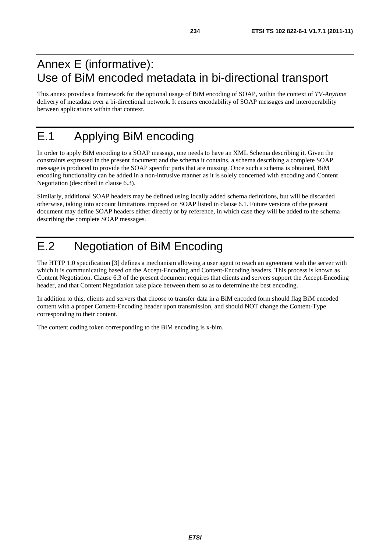### Annex E (informative): Use of BiM encoded metadata in bi-directional transport

This annex provides a framework for the optional usage of BiM encoding of SOAP, within the context of *TV-Anytime* delivery of metadata over a bi-directional network. It ensures encodability of SOAP messages and interoperability between applications within that context.

# E.1 Applying BiM encoding

In order to apply BiM encoding to a SOAP message, one needs to have an XML Schema describing it. Given the constraints expressed in the present document and the schema it contains, a schema describing a complete SOAP message is produced to provide the SOAP specific parts that are missing. Once such a schema is obtained, BiM encoding functionality can be added in a non-intrusive manner as it is solely concerned with encoding and Content Negotiation (described in clause 6.3).

Similarly, additional SOAP headers may be defined using locally added schema definitions, but will be discarded otherwise, taking into account limitations imposed on SOAP listed in clause 6.1. Future versions of the present document may define SOAP headers either directly or by reference, in which case they will be added to the schema describing the complete SOAP messages.

# E.2 Negotiation of BiM Encoding

The HTTP 1.0 specification [3] defines a mechanism allowing a user agent to reach an agreement with the server with which it is communicating based on the Accept-Encoding and Content-Encoding headers. This process is known as Content Negotiation. Clause 6.3 of the present document requires that clients and servers support the Accept-Encoding header, and that Content Negotiation take place between them so as to determine the best encoding.

In addition to this, clients and servers that choose to transfer data in a BiM encoded form should flag BiM encoded content with a proper Content-Encoding header upon transmission, and should NOT change the Content-Type corresponding to their content.

The content coding token corresponding to the BiM encoding is x-bim.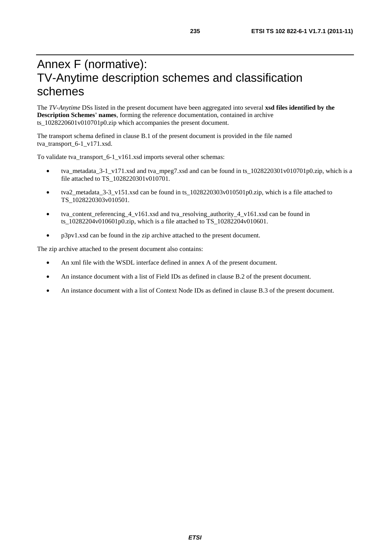### Annex F (normative): TV-Anytime description schemes and classification schemes

The *TV-Anytime* DSs listed in the present document have been aggregated into several **xsd files identified by the Description Schemes' names**, forming the reference documentation, contained in archive ts\_1028220601v010701p0.zip which accompanies the present document.

The transport schema defined in clause B.1 of the present document is provided in the file named tva\_transport\_6-1\_v171.xsd.

To validate tva\_transport\_6-1\_v161.xsd imports several other schemas:

- tva\_metadata\_3-1\_v171.xsd and tva\_mpeg7.xsd and can be found in ts\_1028220301v010701p0.zip, which is a file attached to TS\_1028220301v010701.
- tva2\_metadata\_3-3\_v151.xsd can be found in ts\_1028220303v010501p0.zip, which is a file attached to TS\_1028220303v010501.
- tva\_content\_referencing\_4\_v161.xsd and tva\_resolving\_authority\_4\_v161.xsd can be found in ts\_10282204v010601p0.zip, which is a file attached to TS\_10282204v010601.
- p3pv1.xsd can be found in the zip archive attached to the present document.

The zip archive attached to the present document also contains:

- An xml file with the WSDL interface defined in annex A of the present document.
- An instance document with a list of Field IDs as defined in clause B.2 of the present document.
- An instance document with a list of Context Node IDs as defined in clause B.3 of the present document.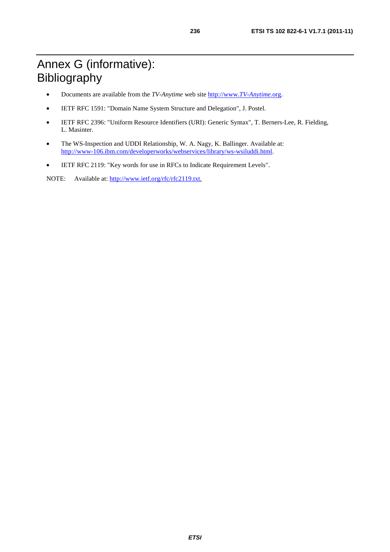# Annex G (informative): Bibliography

- Documents are available from the *TV-Anytime* web site [http://www.](http://www.tv-anytime.org/)*TV-Anytime*.org.
- IETF RFC 1591: "Domain Name System Structure and Delegation", J. Postel.
- IETF RFC 2396: "Uniform Resource Identifiers (URI): Generic Syntax", T. Berners-Lee, R. Fielding, L. Masinter.
- The WS-Inspection and UDDI Relationship, W. A. Nagy, K. Ballinger. Available at: [http://www-106.ibm.com/developerworks/webservices/library/ws-wsiluddi.htm](http://www-106.ibm.com/developerworks/webservices/library/ws-wsiluddi.html)l.
- IETF RFC 2119: "Key words for use in RFCs to Indicate Requirement Levels".

NOTE: Available at: [http://www.ietf.org/rfc/rfc2119.tx](http://www.ietf.org/rfc/rfc2119.txt)t.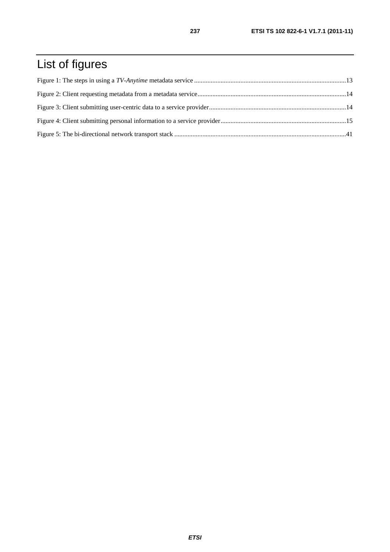# List of figures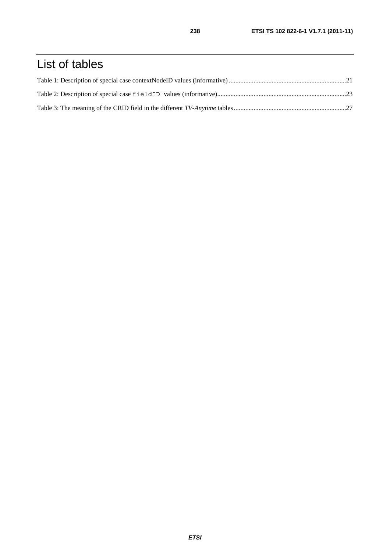# List of tables